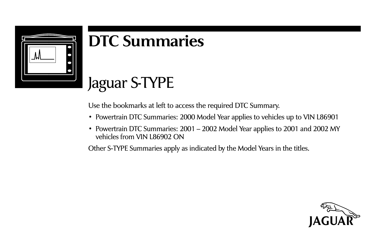

## **DTC Summaries**

### Jaguar S-TYPE

Use the bookmarks at left to access the required DTC Summary.

- Powertrain DTC Summaries: 2000 Model Year applies to vehicles up to VIN L86901
- Powertrain DTC Summaries: 2001 2002 Model Year applies to 2001 and 2002 MY vehicles from VIN L86902 ON

Other S-TYPE Summaries apply as indicated by the Model Years in the titles.

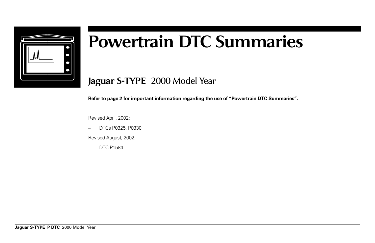

# **Powertrain DTC Summaries**

**Jaguar S-TYPE** 2000 Model Year

**Refer to page 2 for important information regarding the use of "Powertrain DTC Summaries".**

Revised April, 2002:

– DTCs P0325, P0330

Revised August, 2002:

– DTC P1584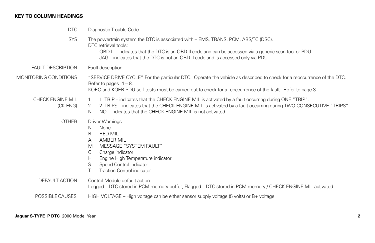#### **KEY TO COLUMN HEADINGS**

| <b>DTC</b>                          | Diagnostic Trouble Code.                                                                                                                                                                                                                                                                               |
|-------------------------------------|--------------------------------------------------------------------------------------------------------------------------------------------------------------------------------------------------------------------------------------------------------------------------------------------------------|
| <b>SYS</b>                          | The powertrain system the DTC is associated with – EMS, TRANS, PCM, ABS/TC (DSC).<br>DTC retrieval tools:<br>OBD II – indicates that the DTC is an OBD II code and can be accessed via a generic scan tool or PDU.<br>JAG – indicates that the DTC is not an OBD II code and is accessed only via PDU. |
| <b>FAULT DESCRIPTION</b>            | Fault description.                                                                                                                                                                                                                                                                                     |
| MONITORING CONDITIONS               | "SERVICE DRIVE CYCLE" For the particular DTC. Operate the vehicle as described to check for a reoccurrence of the DTC.<br>Refer to pages $4 - 8$ .<br>KOEO and KOER PDU self tests must be carried out to check for a reoccurrence of the fault. Refer to page 3.                                      |
| <b>CHECK ENGINE MIL</b><br>(CK ENG) | 1 TRIP – indicates that the CHECK ENGINE MIL is activated by a fault occurring during ONE "TRIP".<br>1<br>2 TRIPS – indicates that the CHECK ENGINE MIL is activated by a fault occurring during TWO CONSECUTIVE "TRIPS".<br>2<br>NO – indicates that the CHECK ENGINE MIL is not activated.<br>N      |
| <b>OTHER</b>                        | Driver Warnings:<br>None<br>N<br>R<br><b>RED MIL</b><br><b>AMBER MIL</b><br>А<br>MESSAGE "SYSTEM FAULT"<br>M<br>С<br>Charge indicator<br>Engine High Temperature indicator<br>H<br>S<br>Speed Control indicator<br>Τ<br><b>Traction Control indicator</b>                                              |
| DEFAULT ACTION                      | Control Module default action:<br>Logged – DTC stored in PCM memory buffer; Flagged – DTC stored in PCM memory / CHECK ENGINE MIL activated.                                                                                                                                                           |
| POSSIBLE CAUSES                     | HIGH VOLTAGE – High voltage can be either sensor supply voltage (5 volts) or $B+$ voltage.                                                                                                                                                                                                             |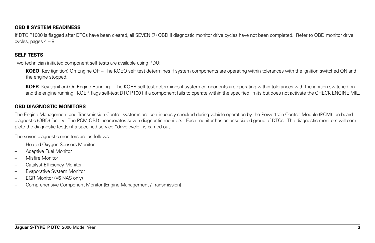#### **OBD II SYSTEM READINESS**

If DTC P1000 is flagged after DTCs have been cleared, all SEVEN (7) OBD II diagnostic monitor drive cycles have not been completed. Refer to OBD monitor drive cycles, pages 4 – 8.

#### **SELF TESTS**

Two technician initiated component self tests are available using PDU:

**KOEO** Key (ignition) On Engine Off – The KOEO self test determines if system components are operating within tolerances with the ignition switched ON and the engine stopped.

**KOER** Key (ignition) On Engine Running – The KOER self test determines if system components are operating within tolerances with the ignition switched on and the engine running. KOER flags self-test DTC P1001 if a component fails to operate within the specified limits but does not activate the CHECK ENGINE MIL.

#### **OBD DIAGNOSTIC MONITORS**

The Engine Management and Transmission Control systems are continuously checked during vehicle operation by the Powertrain Control Module (PCM) on-board diagnostic (OBD) facility. The PCM OBD incorporates seven diagnostic monitors. Each monitor has an associated group of DTCs. The diagnostic monitors will complete the diagnostic test(s) if a specified service "drive cycle" is carried out.

The seven diagnostic monitors are as follows:

- Heated Oxygen Sensors Monitor
- Adaptive Fuel Monitor
- Misfire Monitor
- Catalyst Efficiency Monitor
- Evaporative System Monitor
- EGR Monitor (V6 NAS only)
- Comprehensive Component Monitor (Engine Management / Transmission)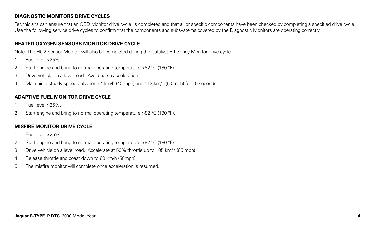#### **DIAGNOSTIC MONITORS DRIVE CYCLES**

Technicians can ensure that an OBD Monitor drive cycle is completed and that all or specific components have been checked by completing a specified drive cycle. Use the following service drive cycles to confirm that the components and subsystems covered by the Diagnostic Monitors are operating correctly.

#### **HEATED OXYGEN SENSORS MONITOR DRIVE CYCLE**

Note: The HO2 Sensor Monitor will also be completed during the Catalyst Efficiency Monitor drive cycle.

- 1 Fuel level >25%.
- 2 Start engine and bring to normal operating temperature >82 °C (180 °F).
- 3 Drive vehicle on a level road. Avoid harsh acceleration.
- 4 Maintain a steady speed between 64 km/h (40 mph) and 113 km/h (60 mph) for 10 seconds.

#### **ADAPTIVE FUEL MONITOR DRIVE CYCLE**

- 1 Fuel level >25%.
- 2 Start engine and bring to normal operating temperature >82 °C (180 °F).

#### **MISFIRE MONITOR DRIVE CYCLE**

- 1 Fuel level >25%.
- 2 Start engine and bring to normal operating temperature >82 °C (180 °F).
- 3 Drive vehicle on a level road. Accelerate at 50% throttle up to 105 km/h (65 mph).
- 4 Release throttle and coast down to 80 km/h (50mph).
- 5 The misfire monitor will complete once acceleration is resumed.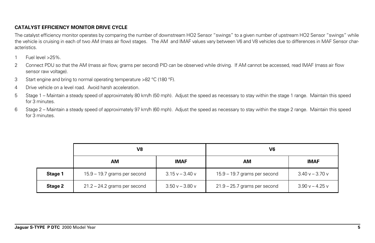#### **CATALYST EFFICIENCY MONITOR DRIVE CYCLE**

The catalyst efficiency monitor operates by comparing the number of downstream HO2 Sensor "swings" to a given number of upstream HO2 Sensor "swings" while the vehicle is cruising in each of two AM (mass air flow) stages. The AM and IMAF values vary between V6 and V8 vehicles due to differences in MAF Sensor characteristics.

- 1 Fuel level >25%.
- 2 Connect PDU so that the AM (mass air flow, grams per second) PID can be observed while driving. If AM cannot be accessed, read IMAF (mass air flow sensor raw voltage).
- 3 Start engine and bring to normal operating temperature >82 °C (180 °F).
- 4 Drive vehicle on a level road. Avoid harsh acceleration.
- 5 Stage 1 Maintain a steady speed of approximately 80 km/h (50 mph). Adjust the speed as necessary to stay within the stage 1 range. Maintain this speed for 3 minutes.
- 6 Stage 2 Maintain a steady speed of approximately 97 km/h (60 mph). Adjust the speed as necessary to stay within the stage 2 range. Maintain this speed for 3 minutes.

|         | V8                             |                 | V6                             |                   |  |
|---------|--------------------------------|-----------------|--------------------------------|-------------------|--|
|         | АM                             | <b>IMAF</b>     | AM                             | <b>IMAF</b>       |  |
| Stage 1 | 15.9 - 19.7 grams per second   | $3.15v - 3.40v$ | 15.9 - 19.7 grams per second   | $3.40 v - 3.70 v$ |  |
| Stage 2 | $21.2 - 24.2$ grams per second | $3.50v - 3.80v$ | $21.9 - 25.7$ grams per second | $3.90 v - 4.25 v$ |  |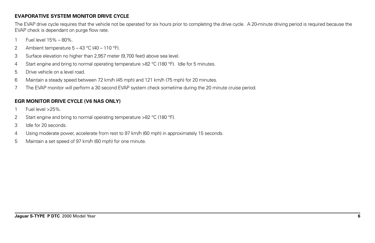#### **EVAPORATIVE SYSTEM MONITOR DRIVE CYCLE**

The EVAP drive cycle requires that the vehicle not be operated for six hours prior to completing the drive cycle. A 20-minute driving period is required because the EVAP check is dependant on purge flow rate.

- 1 Fuel level 15% 80%.
- 2 Ambient temperature  $5 43$  °C (40 110 °F).
- 3 Surface elevation no higher than 2,957 meter (9,700 feet) above sea level.
- 4 Start engine and bring to normal operating temperature >82 °C (180 °F). Idle for 5 minutes.
- 5 Drive vehicle on a level road.
- 6 Maintain a steady speed between 72 km/h (45 mph) and 121 km/h (75 mph) for 20 minutes.
- 7 The EVAP monitor will perform a 30 second EVAP system check sometime during the 20 minute cruise period.

#### **EGR MONITOR DRIVE CYCLE (V6 NAS ONLY)**

- 1 Fuel level >25%.
- 2 Start engine and bring to normal operating temperature >82 °C (180 °F).
- 3 Idle for 20 seconds.
- 4 Using moderate power, accelerate from rest to 97 km/h (60 mph) in approximately 15 seconds.
- 5 Maintain a set speed of 97 km/h (60 mph) for one minute.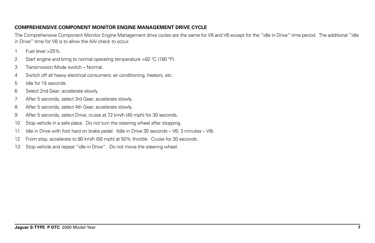#### **COMPREHENSIVE COMPONENT MONITOR ENGINE MANAGEMENT DRIVE CYCLE**

The Comprehensive Component Monitor Engine Management drive cycles are the same for V6 and V8 except for the "idle in Drive" time period. The additional "idle in Drive" time for V8 is to allow the AAI check to occur.

- 1 Fuel level >25%.
- 2 Start engine and bring to normal operating temperature >82 °C (180 °F).
- 3 Transmission Mode switch Normal.
- 4 Switch off all heavy electrical consumers: air conditioning, heaters, etc.
- 5 Idle for 15 seconds.
- 6 Select 2nd Gear; accelerate slowly.
- 7 After 5 seconds, select 3rd Gear; accelerate slowly.
- 8 After 5 seconds, select 4th Gear; accelerate slowly.
- 9 After 5 seconds, select Drive; cruise at 72 km/h (45 mph) for 30 seconds.
- 10 Stop vehicle in a safe place. Do not turn the steering wheel after stopping.
- 11 Idle in Drive with foot hard on brake pedal. (Idle in Drive 30 seconds V6; 3 minutes V8).
- 12 From stop, accelerate to 80 km/h (50 mph) at 50% throttle. Cruise for 30 seconds.
- 13 Stop vehicle and repeat "idle in Drive". Do not move the steering wheel.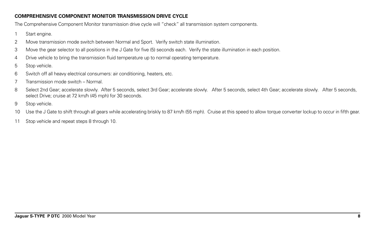#### **COMPREHENSIVE COMPONENT MONITOR TRANSMISSION DRIVE CYCLE**

The Comprehensive Component Monitor transmission drive cycle will "check" all transmission system components.

- 1 Start engine.
- 2 Move transmission mode switch between Normal and Sport. Verify switch state illumination.
- 3 Move the gear selector to all positions in the J Gate for five (5) seconds each. Verify the state illumination in each position.
- 4 Drive vehicle to bring the transmission fluid temperature up to normal operating temperature.
- 5 Stop vehicle.
- 6 Switch off all heavy electrical consumers: air conditioning, heaters, etc.
- 7 Transmission mode switch Normal.
- 8 Select 2nd Gear; accelerate slowly. After 5 seconds, select 3rd Gear; accelerate slowly. After 5 seconds, select 4th Gear; accelerate slowly. After 5 seconds, select Drive; cruise at 72 km/h (45 mph) for 30 seconds.
- 9 Stop vehicle.
- 10 Use the J Gate to shift through all gears while accelerating briskly to 87 km/h (55 mph). Cruise at this speed to allow torque converter lockup to occur in fifth gear.
- 11 Stop vehicle and repeat steps 8 through 10.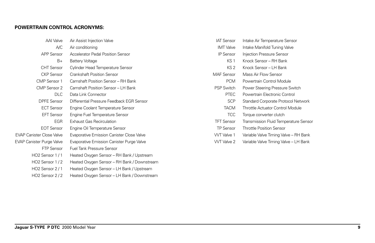#### **POWERTRAIN CONTROL ACRONYMS:**

| AAI Valve                        | Air Assist Injection Valve                       |
|----------------------------------|--------------------------------------------------|
| A/C                              | Air conditioning                                 |
| <b>APP Sensor</b>                | Accelerator Pedal Position Sensor                |
| B+                               | <b>Battery Voltage</b>                           |
| <b>CHT</b> Sensor                | Cylinder Head Temperature Sensor                 |
| <b>CKP Sensor</b>                | <b>Crankshaft Position Sensor</b>                |
| CMP Sensor 1                     | Camshaft Position Sensor - RH Bank               |
| CMP Sensor 2                     | Camshaft Position Sensor - LH Bank               |
| DLC.                             | Data Link Connector                              |
| <b>DPFE Sensor</b>               | Differential Pressure Feedback EGR Sensor        |
| <b>ECT Sensor</b>                | Engine Coolant Temperature Sensor                |
| <b>EFT Sensor</b>                | Engine Fuel Temperature Sensor                   |
| <b>EGR</b>                       | <b>Exhaust Gas Recirculation</b>                 |
| <b>EOT Sensor</b>                | Engine Oil Temperature Sensor                    |
| <b>EVAP Canister Close Valve</b> | <b>Evaporative Emission Canister Close Valve</b> |
| <b>EVAP Canister Purge Valve</b> | Evaporative Emission Canister Purge Valve        |
| FTP Sensor                       | <b>Fuel Tank Pressure Sensor</b>                 |
| HO <sub>2</sub> Sensor 1/1       | Heated Oxygen Sensor - RH Bank / Upstream        |
| HO <sub>2</sub> Sensor 1/2       | Heated Oxygen Sensor - RH Bank / Downstream      |
| HO <sub>2</sub> Sensor 2/1       | Heated Oxygen Sensor – LH Bank / Upstream        |
| HO <sub>2</sub> Sensor 2/2       | Heated Oxygen Sensor - LH Bank / Downstream      |

| <b>IAT Sensor</b> | Intake Air Temperature Sensor         |
|-------------------|---------------------------------------|
| IMT Valve         | Intake Manifold Tuning Valve          |
| <b>IP Sensor</b>  | Injection Pressure Sensor             |
| KS <sub>1</sub>   | Knock Sensor – RH Bank                |
| KS 2              | Knock Sensor – LH Bank                |
| <b>MAF Sensor</b> | Mass Air Flow Sensor                  |
| PCM               | Powertrain Control Module             |
| <b>PSP Switch</b> | Power Steering Pressure Switch        |
| PTEC              | Powertrain Electronic Control         |
| <b>SCP</b>        | Standard Corporate Protocol Network   |
| <b>TACM</b>       | Throttle Actuator Control Module      |
| TCC.              | Torque converter clutch               |
| <b>TFT Sensor</b> | Transmission Fluid Temperature Sensor |
| <b>TP Sensor</b>  | <b>Throttle Position Sensor</b>       |
| WT Valve 1        | Variable Valve Timing Valve – RH Bank |
| <b>WT Valve 2</b> | Variable Valve Timing Valve – LH Bank |
|                   |                                       |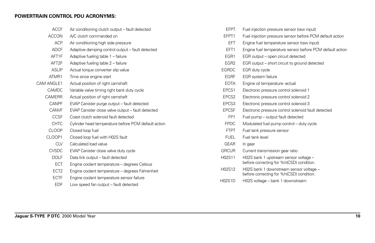#### **POWERTRAIN CONTROL PDU ACRONYMS:**

| <b>ACCF</b>       | Air conditioning clutch output - fault detected     | <b>FFPT</b>       | Fuel injection pressure sensor (raw input)                                          |
|-------------------|-----------------------------------------------------|-------------------|-------------------------------------------------------------------------------------|
| <b>ACCON</b>      | A/C clutch commanded on                             | EFPT1             | Fuel injection pressure sensor before PCM default action                            |
| <b>ACP</b>        | Air conditioning high side pressure                 | EFT               | Engine fuel temperature sensor (raw input)                                          |
| <b>ADCF</b>       | Adaptive damping control output - fault detected    | EFT1              | Engine fuel temperature sensor before PCM default action                            |
| AFT1F             | Adaptive fueling table 1 - failure                  | EGR1              | EGR output – open circuit detected                                                  |
| AFT <sub>2F</sub> | Adaptive fueling table 2 - failure                  | EGR <sub>2</sub>  | EGR output – short circuit to ground detected                                       |
| <b>ASLIP</b>      | Actual torque converter slip value                  | <b>EGRDC</b>      | EGR duty cycle                                                                      |
| ATMR1             | Time since engine start                             | <b>EGRF</b>       | EGR system failure                                                                  |
| CAM ANGLE1        | Actual position of right camshaft                   | <b>EOTA</b>       | Engine oil temperature -actual                                                      |
| <b>CAMDC</b>      | Variable valve timing right bank duty cycle         | EPCS1             | Electronic pressure control solenoid 1                                              |
| <b>CAMERR</b>     | Actual position of right camshaft                   | EPCS <sub>2</sub> | Electronic pressure control solenoid 2                                              |
| CANPF             | EVAP Canister purge output - fault detected         | EPCS3             | Electronic pressure control solenoid 3                                              |
| <b>CANVF</b>      | EVAP Canister close valve output - fault detected   | <b>EPCSF</b>      | Electronic pressure control solenoid fault detected                                 |
| <b>CCSF</b>       | Coast clutch solenoid fault detected                | FP <sub>1</sub>   | Fuel pump - output fault detected                                                   |
| <b>CHTC</b>       | Cylinder head temperature before PCM default action | <b>FPDC</b>       | Modulated fuel pump control - duty cycle                                            |
| <b>CLOOP</b>      | Closed loop fuel                                    | <b>FTPT</b>       | Fuel tank pressure sensor                                                           |
| CLOOP1            | Closed loop fuel with H02S fault                    | <b>FUEL</b>       | Fuel tank level                                                                     |
| <b>CLV</b>        | Calculated load value                               | <b>GEAR</b>       | In gear                                                                             |
| <b>CVSDC</b>      | EVAP Canister close valve duty cycle                | <b>GRCUR</b>      | Current transmission gear ratio                                                     |
| <b>DOLF</b>       | Data link output - fault detected                   | H02S11            | H02S bank 1 upstream sensor voltage -                                               |
| ECT               | Engine coolant temperature - degrees Celsius        |                   | before correcting for %h(CSD) condition.                                            |
| ECT <sub>2</sub>  | Engine coolant temperature - degrees Fahrenheit     | H02S12            | H02S bank 1 downstream sensor voltage -<br>before correcting for %h(CSD) condition. |
| <b>ECTF</b>       | Engine coolant temperature sensor failure           | <b>H02S1D</b>     | H02S voltage - bank 1 downstream                                                    |
| <b>EDF</b>        | Low speed fan output - fault detected               |                   |                                                                                     |
|                   |                                                     |                   |                                                                                     |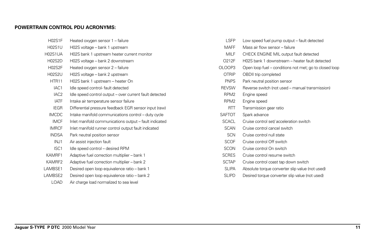#### **POWERTRAIN CONTROL PDU ACRONYMS:**

| <b>H02S1F</b>    | Heated oxygen sensor 1 - failure                        |
|------------------|---------------------------------------------------------|
| <b>H02S1U</b>    | H02S voltage - bank 1 upstream                          |
| H02S1UA          | H02S bank 1 upstream heater current monitor             |
| <b>H02S2D</b>    | H02S voltage – bank 2 downstream                        |
| <b>H02S2F</b>    | Heated oxygen sensor 2 – failure                        |
| <b>H02S2U</b>    | H02S voltage - bank 2 upstream                          |
| HTR11            | H02S bank 1 upstream – heater On                        |
| IAC <sub>1</sub> | Idle speed control-fault detected                       |
| IAC <sub>2</sub> | Idle speed control output - over current fault detected |
| <b>IATF</b>      | Intake air temperature sensor failure                   |
| <b>IEGR</b>      | Differential pressure feedback EGR sensor input (raw)   |
| <b>IMCDC</b>     | Intake manifold communications control - duty cycle     |
| <b>IMCF</b>      | Inlet manifold communications output - fault indicated  |
| <b>IMRCF</b>     | Inlet manifold runner control output fault indicated    |
| <b>INDSA</b>     | Park neutral position sensor                            |
| INJ1             | Air assist injection fault                              |
| ISC <sub>1</sub> | Idle speed control - desired RPM                        |
| KAMRF1           | Adaptive fuel correction multiplier - bank 1            |
| KAMRF2           | Adaptive fuel correction multiplier - bank 2            |
| LAMBSE1          | Desired open loop equivalence ratio – bank 1            |
| LAMBSE2          | Desired open loop equivalence ratio - bank 2            |
| <b>LOAD</b>      | Air charge load normalized to sea level                 |

| I SEP            | Low speed fuel pump output – fault detected            |
|------------------|--------------------------------------------------------|
| <b>MAFF</b>      | Mass air flow sensor – failure                         |
| MILF             | CHECK ENGINE MIL output fault detected                 |
| O212F            | H02S bank 1 downstream – heater fault detected         |
| OLOOP3           | Open loop fuel – conditions not met; go to closed loop |
| OTRIP            | OBDII trip completed                                   |
| <b>PNPS</b>      | Park neutral position sensor                           |
| <b>REVSW</b>     | Reverse switch (not used – manual transmission)        |
| RPM <sub>2</sub> | Engine speed                                           |
| RPM <sub>2</sub> | Engine speed                                           |
| RTT              | Transmission gear ratio                                |
| <b>SAFTOT</b>    | Spark advance                                          |
| SCACL            | Cruise control set/acceleration switch                 |
| <b>SCAN</b>      | Cruise control cancel switch                           |
| <b>SCN</b>       | Cruise control null state                              |
| <b>SCOF</b>      | Cruise control Off switch                              |
| <b>SCON</b>      | Cruise control On switch                               |
| <b>SCRES</b>     | Cruise control resume switch                           |
| SCTAP            | Cruise control coast tap down switch                   |

- SLIPA Absolute torque converter slip value (not used)
- SLIPD Desired torque converter slip value (not used)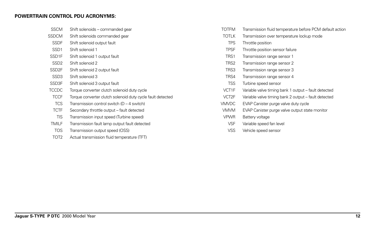#### **POWERTRAIN CONTROL PDU ACRONYMS:**

| <b>SSCM</b>       | Shift solenoids – commanded gear                           |
|-------------------|------------------------------------------------------------|
| <b>SSDCM</b>      | Shift solenoids commanded gear                             |
| <b>SSDF</b>       | Shift solenoid output fault                                |
| SSD <sub>1</sub>  | Shift solenoid 1                                           |
| SSD <sub>1F</sub> | Shift solenoid 1 output fault                              |
| SSD <sub>2</sub>  | Shift solenoid 2                                           |
| SSD <sub>2F</sub> | Shift solenoid 2 output fault                              |
| SSD <sub>3</sub>  | Shift solenoid 3                                           |
| SSD3F             | Shift solenoid 3 output fault                              |
| <b>TCCDC</b>      | Torque converter clutch solenoid duty cycle                |
| <b>TCCF</b>       | Torque converter clutch solenoid duty cycle fault detected |
| <b>TCS</b>        | Transmission control switch (D – 4 switch)                 |
| <b>TCTF</b>       | Secondary throttle output - fault detected                 |
| <b>TIS</b>        | Transmission input speed (Turbine speed)                   |
| TMILF             | Transmission fault lamp output fault detected              |
|                   |                                                            |

- TOS Transmission output speed (OSS)
- TOT2 Actual transmission fluid temperature (TFT)
- TOTFM Transmission fluid temperature before PCM default action
- TOTLK Transmission over temperature lockup mode
	- TPS Throttle position
- TPSF Throttle position sensor failure
- TRS1 Transmission range sensor 1
- TRS2 Transmission range sensor 2
- TRS3 Transmission range sensor 3
- TRS4 Transmission range sensor 4
- TSS Turbine speed sensor
- VCT1F Variable valve timing bank 1 output fault detected
- VCT2F Variable valve timing bank 2 output fault detected
- VMVDC EVAP Canister purge valve duty cycle
- VMVM EVAP Canister purge valve output state monitor
- VPWR Battery voltage
- VSF Variable speed fan level
- VSS Vehicle speed sensor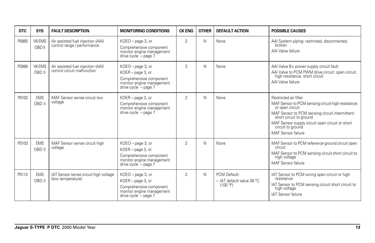| <b>DTC</b> | <b>SYS</b>           | <b>FAULT DESCRIPTION</b>                                         | <b>MONITORING CONDITIONS</b>                                                                                                | <b>CK ENG</b>  | <b>OTHER</b> | <b>DEFAULT ACTION</b>                                 | <b>POSSIBLE CAUSES</b>                                                                                                                                                                                                                                                   |
|------------|----------------------|------------------------------------------------------------------|-----------------------------------------------------------------------------------------------------------------------------|----------------|--------------|-------------------------------------------------------|--------------------------------------------------------------------------------------------------------------------------------------------------------------------------------------------------------------------------------------------------------------------------|
| P0065      | V8 EMS<br>OBD II     | Air assisted fuel injection (AAI)<br>control range / performance | KOEO - page 3, or<br>Comprehensive component<br>monitor engine management<br>drive cycle $-$ page 7                         | $\overline{2}$ | N            | None                                                  | AAI System piping: restricted, disconnected,<br>broken<br>AAI Valve failure                                                                                                                                                                                              |
| P0066      | V8 EMS<br>OBD II     | Air assisted fuel injection (AAI)<br>control circuit malfunction | KOEO - page 3, or<br>KOER - page 3, or<br>Comprehensive component<br>monitor engine management<br>drive cycle $-$ page $7$  | $\overline{2}$ | Ν            | None                                                  | AAI Valve B+ power supply circuit fault<br>AAI Valve to PCM PWM drive circuit: open circuit,<br>high resistance, short circuit<br>AAI Valve failure                                                                                                                      |
| P0102      | <b>EMS</b><br>OBD II | MAF Sensor sense circuit low<br>voltage                          | KOER - page 3, or<br>Comprehensive component<br>monitor engine management<br>drive cycle $-$ page $7$                       | $\overline{2}$ | N            | None                                                  | Restricted air filter<br>MAF Sensor to PCM sensing circuit high resistance<br>or open circuit<br>MAF Sensor to PCM sensing circuit intermittent<br>short circuit to ground<br>MAF Sensor supply circuit open circuit or short<br>circuit to ground<br>MAF Sensor failure |
| P0103      | <b>EMS</b><br>OBD II | MAF Sensor sense circuit high<br>voltage                         | KOEO - page 3, or<br>KOER - page 3, or<br>Comprehensive component<br>monitor engine management<br>drive cycle - page 7      | $\overline{2}$ | Ν            | None                                                  | MAF Sensor to PCM reference ground circuit open<br>circuit<br>MAF Sensor to PCM sensing circuit short circuit to<br>high voltage<br>MAF Sensor failure                                                                                                                   |
| P0112      | <b>EMS</b><br>OBD II | IAT Sensor sense circuit high voltage<br>(low temperature)       | KOEO - page 3, or<br>$KOER - page 3$ , or<br>Comprehensive component<br>monitor engine management<br>drive cycle $-$ page 7 | $\overline{2}$ | N            | PCM Default:<br>- IAT default value 38 °C<br>(100 °F) | IAT Sensor to PCM wiring open circuit or high<br>resistance<br>IAT Sensor to PCM sensing circuit short circuit to<br>high voltage<br><b>IAT Sensor failure</b>                                                                                                           |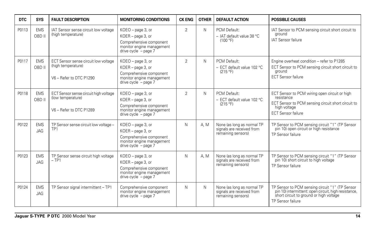| <b>DTC</b> | <b>SYS</b>               | <b>FAULT DESCRIPTION</b>                                                              | <b>MONITORING CONDITIONS</b>                                                                                               | <b>CK ENG</b>  | <b>OTHER</b> | <b>DEFAULT ACTION</b>                                                         | <b>POSSIBLE CAUSES</b>                                                                                                                                                  |
|------------|--------------------------|---------------------------------------------------------------------------------------|----------------------------------------------------------------------------------------------------------------------------|----------------|--------------|-------------------------------------------------------------------------------|-------------------------------------------------------------------------------------------------------------------------------------------------------------------------|
| P0113      | <b>EMS</b><br>OBD II     | IAT Sensor sense circuit low voltage<br>(high temperature)                            | KOEO - page 3, or<br>KOER - page 3, or<br>Comprehensive component<br>monitor engine management<br>drive $cycle - page 7$   | $\overline{2}$ | N            | PCM Default:<br>- IAT default value 38 °C<br>(100 °F)                         | IAT Sensor to PCM sensing circuit short circuit to<br>ground<br><b>IAT Sensor failure</b>                                                                               |
| P0117      | <b>EMS</b><br>OBD II     | ECT Sensor sense circuit low voltage<br>(high temperature)<br>V6 - Refer to DTC P1290 | KOEO - page 3, or<br>KOER - page 3, or<br>Comprehensive component<br>monitor engine management<br>drive cycle $-$ page $7$ | $\overline{2}$ | N            | PCM Default:<br>- ECT default value 102 °C<br>(215 °F)                        | Engine overheat condition - refer to P1285<br>ECT Sensor to PCM sensing circuit short circuit to<br>ground<br><b>ECT Sensor failure</b>                                 |
| P0118      | <b>EMS</b><br>OBD II     | ECT Sensor sense circuit high voltage<br>(low temperature)<br>V6 - Refer to DTC P1289 | KOEO - page 3, or<br>KOER - page 3, or<br>Comprehensive component<br>monitor engine management<br>drive cycle $-$ page 7   | $\overline{2}$ | N            | PCM Default:<br>- ECT default value 102 °C<br>(215 °F)                        | ECT Sensor to PCM wiring open circuit or high<br>resistance<br>ECT Sensor to PCM sensing circuit short circuit to<br>high voltage<br><b>ECT Sensor failure</b>          |
| P0122      | <b>EMS</b><br><b>JAG</b> | TP Sensor sense circuit low voltage -<br>TP <sub>1</sub>                              | KOEO - page 3, or<br>KOER - page 3, or<br>Comprehensive component<br>monitor engine management<br>drive $cycle - page 7$   | N              | A. M         | None (as long as normal TP<br>signals are received from<br>remaining sensors) | TP Sensor to PCM sensing circuit "1" (TP Sensor<br>pin 10) open circuit or high resistance<br>TP Sensor failure                                                         |
| P0123      | <b>EMS</b><br><b>JAG</b> | TP Sensor sense circuit high voltage<br>$-TP1$                                        | KOEO - page 3, or<br>KOER - page 3, or<br>Comprehensive component<br>monitor engine management<br>drive cycle $-$ page 7   | N              | A. M         | None (as long as normal TP<br>signals are received from<br>remaining sensors) | TP Sensor to PCM sensing circuit "1" (TP Sensor<br>pin 10) short circuit to high voltage<br>TP Sensor failure                                                           |
| P0124      | <b>EMS</b><br><b>JAG</b> | TP Sensor signal intermittent - TP1                                                   | Comprehensive component<br>monitor engine management<br>drive cycle $-$ page 7                                             | N              | N            | None (as long as normal TP<br>signals are received from<br>remaining sensors) | TP Sensor to PCM sensing circuit "1" (TP Sensor<br>pin 10) intermittent: open circuit, high resistance,<br>short circuit to ground or high voltage<br>TP Sensor failure |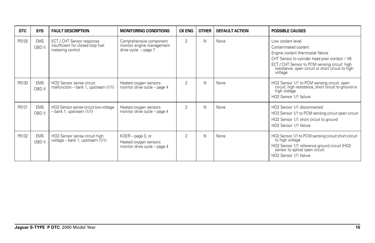| <b>DTC</b> | <b>SYS</b>           | <b>FAULT DESCRIPTION</b>                                                           | <b>MONITORING CONDITIONS</b>                                                   | <b>CK ENG</b>  | <b>OTHER</b> | <b>DEFAULT ACTION</b> | <b>POSSIBLE CAUSES</b>                                                                                                                                                                                                                           |
|------------|----------------------|------------------------------------------------------------------------------------|--------------------------------------------------------------------------------|----------------|--------------|-----------------------|--------------------------------------------------------------------------------------------------------------------------------------------------------------------------------------------------------------------------------------------------|
| P0125      | <b>EMS</b><br>OBD II | ECT / CHT Sensor response<br>insufficient for closed loop fuel<br>metering control | Comprehensive component<br>monitor engine management<br>drive $cycle - page 7$ | 2              | Ν            | None                  | Low coolant level<br>Contaminated coolant<br>Engine coolant thermostat failure<br>CHT Sensor to cylinder head poor contact – V6<br>ECT / CHT Sensor to PCM sensing circuit: high<br>resistance, open circuit or short circuit to high<br>voltage |
| P0130      | <b>EMS</b><br>OBD II | HO <sub>2</sub> Sensor sense circuit<br>malfunction - bank 1, upstream (1/1)       | Heated oxygen sensors<br>monitor drive cycle - page 4                          | $\overline{2}$ | Ν            | None                  | HO2 Sensor 1/1 to PCM sensing circuit: open<br>circuit, high resistance, short circuit to ground or<br>high voltage<br>HO2 Sensor 1/1 failure                                                                                                    |
| P0131      | <b>EMS</b><br>OBD II | HO2 Sensor sense circuit low voltage<br>$-$ bank 1, upstream $(1/1)$               | Heated oxygen sensors<br>monitor drive cycle - page 4                          | 2              | Ν            | None                  | HO2 Sensor 1/1 disconnected<br>HO2 Sensor 1/1 to PCM sensing circuit open circuit<br>HO2 Sensor 1/1 short circuit to ground<br>HO2 Sensor 1/1 failure                                                                                            |
| P0132      | <b>EMS</b><br>OBD II | HO2 Sensor sense circuit high<br>voltage - bank 1, upstream (1/1)                  | $KOER - page 3$ , or<br>Heated oxygen sensors<br>monitor drive cycle - page 4  | 2              | Ν            | None                  | HO2 Sensor 1/1 to PCM sensing circuit short circuit<br>to high voltage<br>HO2 Sensor 1/1 reference ground circuit (HO2<br>sensor to splice) open circuit<br>HO2 Sensor 1/1 failure                                                               |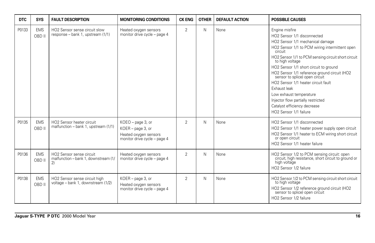| <b>DTC</b> | <b>SYS</b>           | <b>FAULT DESCRIPTION</b>                                                      | <b>MONITORING CONDITIONS</b>                                                                    | <b>CK ENG</b>  | <b>OTHER</b> | <b>DEFAULT ACTION</b> | <b>POSSIBLE CAUSES</b>                                                                                                                                                                                                                                                                                                                                                                                                                                                                                                                 |
|------------|----------------------|-------------------------------------------------------------------------------|-------------------------------------------------------------------------------------------------|----------------|--------------|-----------------------|----------------------------------------------------------------------------------------------------------------------------------------------------------------------------------------------------------------------------------------------------------------------------------------------------------------------------------------------------------------------------------------------------------------------------------------------------------------------------------------------------------------------------------------|
| P0133      | <b>EMS</b><br>OBD II | HO2 Sensor sense circuit slow<br>response – bank 1, upstream (1/1)            | Heated oxygen sensors<br>monitor drive cycle - page 4                                           | 2              | N            | None                  | Engine misfire<br>HO2 Sensor 1/1 disconnected<br>HO2 Sensor 1/1 mechanical damage<br>HO2 Sensor 1/1 to PCM wiring intermittent open<br>circuit<br>HO2 Sensor 1/1 to PCM sensing circuit short circuit<br>to high voltage<br>HO2 Sensor 1/1 short circuit to ground<br>HO2 Sensor 1/1 reference ground circuit (HO2<br>sensor to splice) open circuit<br>HO2 Sensor 1/1 heater circuit fault<br>Exhaust leak<br>Low exhaust temperature<br>Injector flow partially restricted<br>Catalyst efficiency decrease<br>HO2 Sensor 1/1 failure |
| P0135      | <b>EMS</b><br>OBD II | HO <sub>2</sub> Sensor heater circuit<br>malfunction - bank 1, upstream (1/1) | KOEO - page 3, or<br>KOER - page 3, or<br>Heated oxygen sensors<br>monitor drive cycle - page 4 | $\mathfrak{D}$ | N            | None                  | HO2 Sensor 1/1 disconnected<br>HO2 Sensor 1/1 heater power supply open circuit<br>HO2 Sensor 1/1 heater to ECM wiring short circuit<br>or open circuit<br>HO2 Sensor 1/1 heater failure                                                                                                                                                                                                                                                                                                                                                |
| P0136      | <b>EMS</b><br>OBD II | HO2 Sensor sense circuit<br>malfunction - bank 1, downstream (1/<br>2)        | Heated oxygen sensors<br>monitor drive cycle - page 4                                           | $\overline{2}$ | N            | None                  | HO2 Sensor 1/2 to PCM sensing circuit: open<br>circuit, high resistance, short circuit to ground or<br>high voltage<br>HO2 Sensor 1/2 failure                                                                                                                                                                                                                                                                                                                                                                                          |
| P0138      | <b>EMS</b><br>OBD II | HO2 Sensor sense circuit high<br>voltage - bank 1, downstream (1/2)           | KOER - page 3, or<br>Heated oxygen sensors<br>monitor drive cycle - page 4                      | $\overline{2}$ | N            | None                  | HO2 Sensor 1/2 to PCM sensing circuit short circuit<br>to high voltage<br>HO2 Sensor 1/2 reference ground circuit (HO2<br>sensor to splice) open circuit<br>HO2 Sensor 1/2 failure                                                                                                                                                                                                                                                                                                                                                     |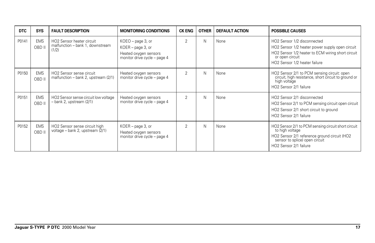| <b>DTC</b> | <b>SYS</b>           | <b>FAULT DESCRIPTION</b>                                               | <b>MONITORING CONDITIONS</b>                                                                      | <b>CK ENG</b>  | <b>OTHER</b> | <b>DEFAULT ACTION</b> | <b>POSSIBLE CAUSES</b>                                                                                                                                                                  |
|------------|----------------------|------------------------------------------------------------------------|---------------------------------------------------------------------------------------------------|----------------|--------------|-----------------------|-----------------------------------------------------------------------------------------------------------------------------------------------------------------------------------------|
| P0141      | <b>EMS</b><br>OBD II | HO2 Sensor heater circuit<br>malfunction - bank 1, downstream<br>(1/2) | $KOEO$ – page 3, or<br>KOER - page 3, or<br>Heated oxygen sensors<br>monitor drive cycle - page 4 | $\overline{2}$ | N            | None                  | HO2 Sensor 1/2 disconnected<br>HO2 Sensor 1/2 heater power supply open circuit<br>HO2 Sensor 1/2 heater to ECM wiring short circuit<br>or open circuit<br>HO2 Sensor 1/2 heater failure |
| P0150      | <b>EMS</b><br>OBD II | HO2 Sensor sense circuit<br>malfunction - bank 2, upstream (2/1)       | Heated oxygen sensors<br>monitor drive cycle - page 4                                             | 2              | Ν            | None                  | HO2 Sensor 2/1 to PCM sensing circuit: open<br>circuit, high resistance, short circuit to ground or<br>high voltage<br>HO2 Sensor 2/1 failure                                           |
| P0151      | <b>EMS</b><br>OBD II | HO2 Sensor sense circuit low voltage<br>$-$ bank 2, upstream $(2/1)$   | Heated oxygen sensors<br>monitor drive cycle - page 4                                             | 2              | N            | None                  | HO2 Sensor 2/1 disconnected<br>HO2 Sensor 2/1 to PCM sensing circuit open circuit<br>HO2 Sensor 2/1 short circuit to ground<br>HO2 Sensor 2/1 failure                                   |
| P0152      | <b>EMS</b><br>OBD II | HO2 Sensor sense circuit high<br>voltage - bank 2, upstream (2/1)      | KOER - page 3, or<br>Heated oxygen sensors<br>monitor drive cycle - page 4                        | 2              | N            | None                  | HO2 Sensor 2/1 to PCM sensing circuit short circuit<br>to high voltage<br>HO2 Sensor 2/1 reference ground circuit (HO2<br>sensor to splice) open circuit<br>HO2 Sensor 2/1 failure      |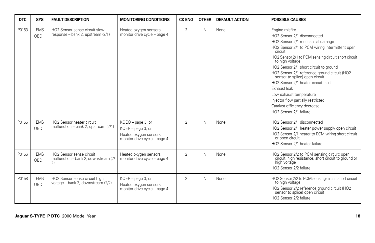| <b>DTC</b> | <b>SYS</b>           | <b>FAULT DESCRIPTION</b>                                                      | <b>MONITORING CONDITIONS</b>                                                                    | <b>CK ENG</b>  | <b>OTHER</b> | <b>DEFAULT ACTION</b> | <b>POSSIBLE CAUSES</b>                                                                                                                                                                                                                                                                                                                                                                                                                                                                                                                 |
|------------|----------------------|-------------------------------------------------------------------------------|-------------------------------------------------------------------------------------------------|----------------|--------------|-----------------------|----------------------------------------------------------------------------------------------------------------------------------------------------------------------------------------------------------------------------------------------------------------------------------------------------------------------------------------------------------------------------------------------------------------------------------------------------------------------------------------------------------------------------------------|
| P0153      | <b>EMS</b><br>OBD II | HO2 Sensor sense circuit slow<br>response - bank 2, upstream (2/1)            | Heated oxygen sensors<br>monitor drive cycle - page 4                                           | 2              | N            | None                  | Engine misfire<br>HO2 Sensor 2/1 disconnected<br>HO2 Sensor 2/1 mechanical damage<br>HO2 Sensor 2/1 to PCM wiring intermittent open<br>circuit<br>HO2 Sensor 2/1 to PCM sensing circuit short circuit<br>to high voltage<br>HO2 Sensor 2/1 short circuit to ground<br>HO2 Sensor 2/1 reference ground circuit (HO2<br>sensor to splice) open circuit<br>HO2 Sensor 2/1 heater circuit fault<br>Exhaust leak<br>Low exhaust temperature<br>Injector flow partially restricted<br>Catalyst efficiency decrease<br>HO2 Sensor 2/1 failure |
| P0155      | <b>EMS</b><br>OBD II | HO <sub>2</sub> Sensor heater circuit<br>malfunction - bank 2, upstream (2/1) | KOEO - page 3, or<br>KOER - page 3, or<br>Heated oxygen sensors<br>monitor drive cycle - page 4 | $\mathfrak{D}$ | N            | None                  | HO2 Sensor 2/1 disconnected<br>HO2 Sensor 2/1 heater power supply open circuit<br>HO2 Sensor 2/1 heater to ECM wiring short circuit<br>or open circuit<br>HO2 Sensor 2/1 heater failure                                                                                                                                                                                                                                                                                                                                                |
| P0156      | <b>EMS</b><br>OBD II | HO2 Sensor sense circuit<br>malfunction - bank 2, downstream (2/<br>2)        | Heated oxygen sensors<br>monitor drive cycle - page 4                                           | $\overline{2}$ | N            | None                  | HO2 Sensor 2/2 to PCM sensing circuit: open<br>circuit, high resistance, short circuit to ground or<br>high voltage<br>HO2 Sensor 2/2 failure                                                                                                                                                                                                                                                                                                                                                                                          |
| P0158      | <b>EMS</b><br>OBD II | HO2 Sensor sense circuit high<br>voltage - bank 2, downstream (2/2)           | KOER - page 3, or<br>Heated oxygen sensors<br>monitor drive cycle - page 4                      | $\overline{2}$ | N            | None                  | HO2 Sensor 2/2 to PCM sensing circuit short circuit<br>to high voltage<br>HO2 Sensor 2/2 reference ground circuit (HO2<br>sensor to splice) open circuit<br>HO2 Sensor 2/2 failure                                                                                                                                                                                                                                                                                                                                                     |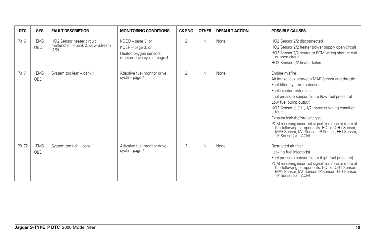| <b>DTC</b> | <b>SYS</b>           | <b>FAULT DESCRIPTION</b>                                                           | <b>MONITORING CONDITIONS</b>                                                                    | <b>CK ENG</b>  | <b>OTHER</b> | <b>DEFAULT ACTION</b> | <b>POSSIBLE CAUSES</b>                                                                                                                                                                                                                                                                                                                                                                                                                                                                      |
|------------|----------------------|------------------------------------------------------------------------------------|-------------------------------------------------------------------------------------------------|----------------|--------------|-----------------------|---------------------------------------------------------------------------------------------------------------------------------------------------------------------------------------------------------------------------------------------------------------------------------------------------------------------------------------------------------------------------------------------------------------------------------------------------------------------------------------------|
| P0161      | <b>EMS</b><br>OBD II | HO <sub>2</sub> Sensor heater circuit<br>malfunction - bank 2, downstream<br>(2/2) | KOEO - page 3, or<br>KOER - page 3, or<br>Heated oxygen sensors<br>monitor drive cycle - page 4 | $\overline{2}$ | N            | None                  | HO2 Sensor 2/2 disconnected<br>HO2 Sensor 2/2 heater power supply open circuit<br>HO2 Sensor 2/2 heater to ECM wiring short circuit<br>or open circuit<br>HO2 Sensor 2/2 heater failure                                                                                                                                                                                                                                                                                                     |
| P0171      | <b>EMS</b><br>OBD II | System too lean - bank 1                                                           | Adaptive fuel monitor drive<br>$cycle - page 4$                                                 | $\overline{2}$ | N            | None                  | Engine misfire<br>Air intake leak between MAF Sensor and throttle<br>Fuel filter, system restriction<br>Fuel injector restriction<br>Fuel pressure sensor failure (low fuel pressure)<br>Low fuel pump output<br>HO2 Sensor(s) (1/1, 1/2) harness wiring condition<br>fault<br>Exhaust leak (before catalyst)<br>PCM receiving incorrect signal from one or more of<br>the following components: ECT or CHT Sensor,<br>MAF Sensor, IAT Sensor, IP Sensor, EFT Sensor,<br>TP Sensor(s), TACM |
| P0172      | <b>EMS</b><br>OBD II | System too rich - bank 1                                                           | Adaptive fuel monitor drive<br>cycle – page 4                                                   | $\overline{2}$ | N            | None                  | Restricted air filter<br>Leaking fuel injector(s)<br>Fuel pressure sensor failure (high fuel pressure)<br>PCM receiving incorrect signal from one or more of<br>the following components: ECT or CHT Sensor,<br>MAF Sensor, IAT Sensor, IP Sensor, EFT Sensor,<br>TP Sensor(s), TACM                                                                                                                                                                                                        |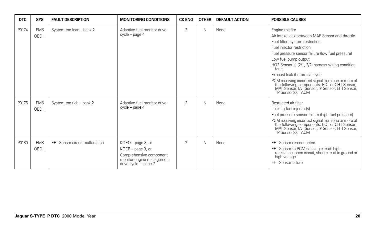| <b>DTC</b> | <b>SYS</b>           | <b>FAULT DESCRIPTION</b>              | <b>MONITORING CONDITIONS</b>                                                                                             | <b>CK ENG</b>  | <b>OTHER</b> | <b>DEFAULT ACTION</b> | <b>POSSIBLE CAUSES</b>                                                                                                                                                                                                                                                                                                                                                                                                                                                                      |
|------------|----------------------|---------------------------------------|--------------------------------------------------------------------------------------------------------------------------|----------------|--------------|-----------------------|---------------------------------------------------------------------------------------------------------------------------------------------------------------------------------------------------------------------------------------------------------------------------------------------------------------------------------------------------------------------------------------------------------------------------------------------------------------------------------------------|
| P0174      | <b>EMS</b><br>OBD II | System too lean - bank 2              | Adaptive fuel monitor drive<br>cycle – page 4                                                                            | $\overline{2}$ | N            | None                  | Engine misfire<br>Air intake leak between MAF Sensor and throttle<br>Fuel filter, system restriction<br>Fuel injector restriction<br>Fuel pressure sensor failure (low fuel pressure)<br>Low fuel pump output<br>HO2 Sensor(s) (2/1, 2/2) harness wiring condition<br>fault<br>Exhaust leak (before catalyst)<br>PCM receiving incorrect signal from one or more of<br>the following components: ECT or CHT Sensor,<br>MAF Sensor, IAT Sensor, IP Sensor, EFT Sensor,<br>TP Sensor(s), TACM |
| P0175      | <b>EMS</b><br>OBD II | System too rich - bank 2              | Adaptive fuel monitor drive<br>cycle – page 4                                                                            | $\overline{2}$ | N            | None                  | Restricted air filter<br>Leaking fuel injector(s)<br>Fuel pressure sensor failure (high fuel pressure)<br>PCM receiving incorrect signal from one or more of<br>the following components: ECT or CHT Sensor,<br>MAF Sensor, IAT Sensor, IP Sensor, EFT Sensor,<br>TP Sensor(s), TACM                                                                                                                                                                                                        |
| P0180      | <b>EMS</b><br>OBD II | <b>EFT Sensor circuit malfunction</b> | KOEO - page 3, or<br>KOER - page 3, or<br>Comprehensive component<br>monitor engine management<br>drive cycle $-$ page 7 | $\overline{2}$ | N            | None                  | EFT Sensor disconnected<br>EFT Sensor to PCM sensing circuit: high<br>resistance, open circuit, short circuit to ground or<br>high voltage<br><b>EFT Sensor failure</b>                                                                                                                                                                                                                                                                                                                     |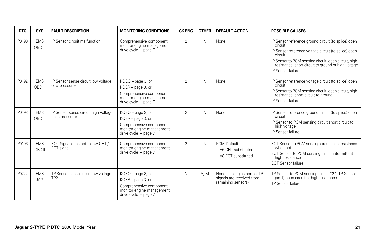| <b>DTC</b> | SYS                      | <b>FAULT DESCRIPTION</b>                                 | <b>MONITORING CONDITIONS</b>                                                                                              | <b>CK ENG</b>  | <b>OTHER</b> | <b>DEFAULT ACTION</b>                                                         | <b>POSSIBLE CAUSES</b>                                                                                                                                                                                                                                                |
|------------|--------------------------|----------------------------------------------------------|---------------------------------------------------------------------------------------------------------------------------|----------------|--------------|-------------------------------------------------------------------------------|-----------------------------------------------------------------------------------------------------------------------------------------------------------------------------------------------------------------------------------------------------------------------|
| P0190      | <b>EMS</b><br>OBD II     | IP Sensor circuit malfunction                            | Comprehensive component<br>monitor engine management<br>drive cycle $-$ page $7$                                          | $\overline{2}$ | N            | None                                                                          | IP Sensor reference ground circuit (to splice) open<br>circuit<br>IP Sensor reference voltage circuit (to splice) open<br>circuit<br>IP Sensor to PCM sensing circuit; open circuit, high<br>resistance, short circuit to ground or high voltage<br>IP Sensor failure |
| P0192      | <b>EMS</b><br>OBD II     | IP Sensor sense circuit low voltage<br>(low pressure)    | KOEO - page 3, or<br>KOER - page 3, or<br>Comprehensive component<br>monitor engine management<br>drive $cycle - page 7$  | $\overline{2}$ | N            | None                                                                          | IP Sensor reference voltage circuit (to splice) open<br>circuit<br>IP Sensor to PCM sensing circuit; open circuit, high<br>resistance, short circuit to ground<br>IP Sensor failure                                                                                   |
| P0193      | <b>EMS</b><br>OBD II     | IP Sensor sense circuit high voltage<br>(high pressure)  | KOEO - page 3, or<br>KOER - page 3, or<br>Comprehensive component<br>monitor engine management<br>drive $cycle - page 7$  | $\overline{2}$ | N            | None                                                                          | IP Sensor reference ground circuit (to splice) open<br>circuit<br>IP Sensor to PCM sensing circuit short circuit to<br>high voltage<br>IP Sensor failure                                                                                                              |
| P0196      | <b>EMS</b><br>OBD II     | EOT Signal does not follow CHT /<br>ECT signal           | Comprehensive component<br>monitor engine management<br>drive cycle - page 7                                              | $\mathfrak{D}$ | N            | PCM Default:<br>- V6 CHT substituted<br>- V8 ECT substituted                  | EOT Sensor to PCM sensing circuit high resistance<br>when hot<br>EOT Sensor to PCM sensing circuit intermittent<br>high resistance<br><b>EOT Sensor failure</b>                                                                                                       |
| P0222      | <b>EMS</b><br><b>JAG</b> | TP Sensor sense circuit low voltage -<br>TP <sub>2</sub> | KOEO - page 3, or<br>$KOER - page 3$ , or<br>Comprehensive component<br>monitor engine management<br>drive cycle - page 7 | N              | A. M         | None (as long as normal TP<br>signals are received from<br>remaining sensors) | TP Sensor to PCM sensing circuit "2" (TP Sensor<br>pin 1) open circuit or high resistance<br>TP Sensor failure                                                                                                                                                        |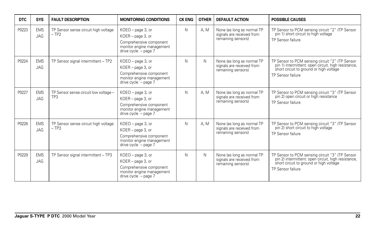| <b>DTC</b> | <b>SYS</b>               | <b>FAULT DESCRIPTION</b>                       | <b>MONITORING CONDITIONS</b>                                                                                               | <b>CK ENG</b> | <b>OTHER</b> | <b>DEFAULT ACTION</b>                                                         | <b>POSSIBLE CAUSES</b>                                                                                                                                                 |
|------------|--------------------------|------------------------------------------------|----------------------------------------------------------------------------------------------------------------------------|---------------|--------------|-------------------------------------------------------------------------------|------------------------------------------------------------------------------------------------------------------------------------------------------------------------|
| P0223      | <b>EMS</b><br><b>JAG</b> | TP Sensor sense circuit high voltage<br>$-TP2$ | KOEO - page 3, or<br>KOER - page 3, or<br>Comprehensive component<br>monitor engine management<br>drive $cycle - page 7$   | N             | A. M         | None (as long as normal TP<br>signals are received from<br>remaining sensors) | TP Sensor to PCM sensing circuit "2" (TP Sensor<br>pin 1) short circuit to high voltage<br>TP Sensor failure                                                           |
| P0224      | <b>EMS</b><br><b>JAG</b> | TP Sensor signal intermittent - TP2            | KOEO - page 3, or<br>KOER - page 3, or<br>Comprehensive component<br>monitor engine management<br>drive cycle $-$ page $7$ | N             | Ν            | None (as long as normal TP<br>signals are received from<br>remaining sensors) | TP Sensor to PCM sensing circuit "2" (TP Sensor<br>pin 1) intermittent: open circuit, high resistance,<br>short circuit to ground or high voltage<br>TP Sensor failure |
| P0227      | <b>EMS</b><br><b>JAG</b> | TP Sensor sense circuit low voltage -<br>TP3   | KOEO - page 3, or<br>KOER - page 3, or<br>Comprehensive component<br>monitor engine management<br>drive cycle $-$ page $7$ | N             | A. M         | None (as long as normal TP<br>signals are received from<br>remaining sensors) | TP Sensor to PCM sensing circuit "3" (TP Sensor<br>pin 2) open circuit or high resistance<br>TP Sensor failure                                                         |
| P0228      | <b>EMS</b><br><b>JAG</b> | TP Sensor sense circuit high voltage<br>$-TP3$ | KOEO - page 3, or<br>KOER - page 3, or<br>Comprehensive component<br>monitor engine management<br>drive $cycle - page 7$   | N             | A. M         | None (as long as normal TP<br>signals are received from<br>remaining sensors) | TP Sensor to PCM sensing circuit "3" (TP Sensor<br>pin 2) short circuit to high voltage<br>TP Sensor failure                                                           |
| P0229      | <b>EMS</b><br><b>JAG</b> | TP Sensor signal intermittent - TP3            | KOEO - page 3, or<br>KOER - page 3, or<br>Comprehensive component<br>monitor engine management<br>drive cycle $-$ page $7$ | N             | N            | None (as long as normal TP<br>signals are received from<br>remaining sensors) | TP Sensor to PCM sensing circuit "3" (TP Sensor<br>pin 2) intermittent: open circuit, high resistance,<br>short circuit to ground or high voltage<br>TP Sensor failure |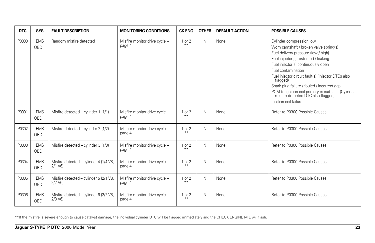| <b>DTC</b> | <b>SYS</b>           | <b>FAULT DESCRIPTION</b>                                | <b>MONITORING CONDITIONS</b>            | <b>CK ENG</b>       | <b>OTHER</b> | <b>DEFAULT ACTION</b> | <b>POSSIBLE CAUSES</b>                                                                                                                                                                                                                                                                                                                                                                                                                              |
|------------|----------------------|---------------------------------------------------------|-----------------------------------------|---------------------|--------------|-----------------------|-----------------------------------------------------------------------------------------------------------------------------------------------------------------------------------------------------------------------------------------------------------------------------------------------------------------------------------------------------------------------------------------------------------------------------------------------------|
| P0300      | <b>EMS</b><br>OBD II | Random misfire detected                                 | Misfire monitor drive cycle -<br>page 4 | $1$ or $2$<br>$* *$ | N            | None                  | Cylinder compression low<br>Worn camshaft / broken valve spring(s)<br>Fuel delivery pressure (low / high)<br>Fuel injector(s) restricted / leaking<br>Fuel injector(s) continuously open<br>Fuel contamination<br>Fuel injector circuit fault(s) (Injector DTCs also<br>flagged)<br>Spark plug failure / fouled / incorrect gap<br>PCM to ignition coil primary circuit fault (Cylinder misfire detected DTC also flagged)<br>Ignition coil failure |
| P0301      | <b>EMS</b><br>OBD II | Misfire detected - cylinder 1 (1/1)                     | Misfire monitor drive cycle -<br>page 4 | 1 or 2<br>$* *$     | N            | None                  | Refer to P0300 Possible Causes                                                                                                                                                                                                                                                                                                                                                                                                                      |
| P0302      | <b>EMS</b><br>OBD II | Misfire detected – cylinder 2 (1/2)                     | Misfire monitor drive cycle -<br>page 4 | 1 or 2<br>$* *$     | N            | None                  | Refer to P0300 Possible Causes                                                                                                                                                                                                                                                                                                                                                                                                                      |
| P0303      | <b>EMS</b><br>OBD II | Misfire detected - cylinder 3 (1/3)                     | Misfire monitor drive cycle -<br>page 4 | 1 or 2<br>$***$     | N            | None                  | Refer to P0300 Possible Causes                                                                                                                                                                                                                                                                                                                                                                                                                      |
| P0304      | <b>EMS</b><br>OBD II | Misfire detected - cylinder 4 (1/4 V8,<br>$2/1$ $V_6$ ) | Misfire monitor drive cycle -<br>page 4 | $1$ or $2$<br>$* *$ | N            | None                  | Refer to P0300 Possible Causes                                                                                                                                                                                                                                                                                                                                                                                                                      |
| P0305      | <b>EMS</b><br>OBD II | Misfire detected - cylinder 5 (2/1 V8,<br>$2/2$ $V6$ )  | Misfire monitor drive cycle -<br>page 4 | $1$ or $2$<br>$* *$ | N            | None                  | Refer to P0300 Possible Causes                                                                                                                                                                                                                                                                                                                                                                                                                      |
| P0306      | <b>EMS</b><br>OBD II | Misfire detected - cylinder 6 (2/2 V8,<br>$2/3$ $V6$ )  | Misfire monitor drive cycle -<br>page 4 | $1$ or $2$<br>$***$ | N            | None                  | Refer to P0300 Possible Causes                                                                                                                                                                                                                                                                                                                                                                                                                      |

\*\*If the misfire is severe enough to cause catalyst damage, the individual cylinder DTC will be flagged immediately and the CHECK ENGINE MIL will flash.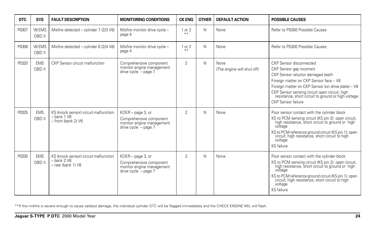| <b>DTC</b> | <b>SYS</b>           | <b>FAULT DESCRIPTION</b>                                                        | <b>MONITORING CONDITIONS</b>                                                                        | <b>CK ENG</b>       | <b>OTHER</b> | <b>DEFAULT ACTION</b>              | <b>POSSIBLE CAUSES</b>                                                                                                                                                                                                                                                                                                 |
|------------|----------------------|---------------------------------------------------------------------------------|-----------------------------------------------------------------------------------------------------|---------------------|--------------|------------------------------------|------------------------------------------------------------------------------------------------------------------------------------------------------------------------------------------------------------------------------------------------------------------------------------------------------------------------|
| P0307      | V8 EMS<br>OBD II     | Misfire detected - cylinder 7 (2/3 V8)                                          | Misfire monitor drive cycle -<br>page 4                                                             | 1 or 2<br>$* *$     | N            | None                               | Refer to P0300 Possible Causes                                                                                                                                                                                                                                                                                         |
| P0308      | V8 EMS<br>OBD II     | Misfire detected - cylinder 8 (2/4 V8)                                          | Misfire monitor drive cycle -<br>page 4                                                             | $1$ or $2$<br>$* *$ | N            | None                               | Refer to P0300 Possible Causes                                                                                                                                                                                                                                                                                         |
| P0320      | <b>EMS</b><br>OBD II | CKP Sensor circuit malfunction                                                  | Comprehensive component<br>monitor engine management<br>drive cycle $-$ page 7                      | $\overline{2}$      | N            | None<br>(The engine will shut off) | CKP Sensor disconnected<br>CKP Sensor gap incorrect<br>CKP Sensor reluctor damaged teeth<br>Foreign matter on CKP Sensor face - V8<br>Foreign matter on CKP Sensor (on drive plate) - V8<br>CKP Sensor sensing circuit open circuit, high<br>resistance, short circuit to ground or high voltage<br>CKP Sensor failure |
| P0325      | <b>EMS</b><br>OBD II | KS (knock sensor) circuit malfunction<br>$-$ bank 1 $V8$<br>- front (bank 2) V6 | KOER - page 3, or<br>Comprehensive component<br>monitor engine management<br>drive cycle $-$ page 7 | $\overline{2}$      | N            | None                               | Poor sensor contact with the cylinder block<br>KS to PCM sensing circuit (KS pin 2): open circuit,<br>high resistance, short circuit to ground or high<br>voltage<br>KS to PCM reference ground circuit (KS pin 1): open<br>circuit, high resistance, short circuit to high<br>voltage<br><b>KS</b> failure            |
| P0330      | <b>EMS</b><br>OBD II | KS (knock sensor) circuit malfunction<br>$-$ bank 2 $V8$<br>- rear (bank 1) V6  | KOER - page 3, or<br>Comprehensive component<br>monitor engine management<br>drive cycle - page 7   | $\overline{2}$      | N            | None                               | Poor sensor contact with the cylinder block<br>KS to PCM sensing circuit (KS pin 2): open circuit,<br>high resistance, short circuit to ground or high<br>voltage<br>KS to PCM reference ground circuit (KS pin 1): open<br>circuit, high resistance, short circuit to high<br>voltage<br>KS failure                   |

\*\*If the misfire is severe enough to cause catalyst damage, the individual cylinder DTC will be flagged immediately and the CHECK ENGINE MIL will flash.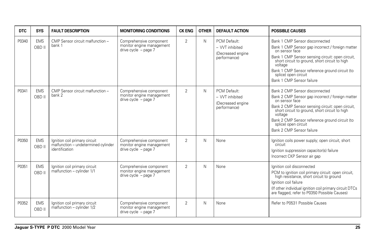| <b>DTC</b> | <b>SYS</b>           | <b>FAULT DESCRIPTION</b>                                                               | <b>MONITORING CONDITIONS</b>                                                     | <b>CK ENG</b>  | <b>OTHER</b> | <b>DEFAULT ACTION</b>                                                 | <b>POSSIBLE CAUSES</b>                                                                                                                                                                                                                                                                                                       |
|------------|----------------------|----------------------------------------------------------------------------------------|----------------------------------------------------------------------------------|----------------|--------------|-----------------------------------------------------------------------|------------------------------------------------------------------------------------------------------------------------------------------------------------------------------------------------------------------------------------------------------------------------------------------------------------------------------|
| P0340      | <b>EMS</b><br>OBD II | CMP Sensor circuit malfunction -<br>bank 1                                             | Comprehensive component<br>monitor engine management<br>drive cycle $-$ page 7   | $\overline{2}$ | Ν            | PCM Default:<br>- VVT inhibited<br>(Decreased engine)<br>performance) | Bank 1 CMP Sensor disconnected<br>Bank 1 CMP Sensor gap incorrect / foreign matter<br>on sensor face<br>Bank 1 CMP Sensor sensing circuit: open circuit,<br>short circuit to ground, short circuit to high<br>voltage<br>Bank 1 CMP Sensor reference ground circuit (to<br>splice) open circuit<br>Bank 1 CMP Sensor failure |
| P0341      | <b>EMS</b><br>OBD II | CMP Sensor circuit malfunction -<br>bank 2                                             | Comprehensive component<br>monitor engine management<br>drive cycle $-$ page $7$ | $\overline{2}$ | N            | PCM Default:<br>- VVT inhibited<br>(Decreased engine)<br>performance) | Bank 2 CMP Sensor disconnected<br>Bank 2 CMP Sensor gap incorrect / foreign matter<br>on sensor face<br>Bank 2 CMP Sensor sensing circuit: open circuit,<br>short circuit to ground, short circuit to high<br>voltage<br>Bank 2 CMP Sensor reference ground circuit (to<br>splice) open circuit<br>Bank 2 CMP Sensor failure |
| P0350      | <b>EMS</b><br>OBD II | Ignition coil primary circuit<br>malfunction - undetermined cylinder<br>identification | Comprehensive component<br>monitor engine management<br>drive cycle $-$ page $7$ | $\overline{2}$ | N            | None                                                                  | Ignition coils power supply; open circuit, short<br>circuit<br>Ignition suppression capacitor(s) failure<br>Incorrect CKP Sensor air gap                                                                                                                                                                                     |
| P0351      | <b>EMS</b><br>OBD II | Ignition coil primary circuit<br>malfunction - cylinder 1/1                            | Comprehensive component<br>monitor engine management<br>drive cycle - page 7     | $\overline{2}$ | N            | None                                                                  | lanition coil disconnected<br>PCM to ignition coil primary circuit: open circuit,<br>high resistance, short circuit to ground<br>Ignition coil failure<br>(If other individual ignition coil primary circuit DTCs)<br>are flagged, refer to P0350 Possible Causes)                                                           |
| P0352      | <b>EMS</b><br>OBD II | Ignition coil primary circuit<br>malfunction - cylinder 1/2                            | Comprehensive component<br>monitor engine management<br>drive cycle $-$ page $7$ | $\overline{2}$ | N            | None                                                                  | Refer to P0531 Possible Causes                                                                                                                                                                                                                                                                                               |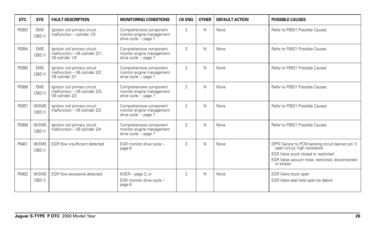| <b>DTC</b> | <b>SYS</b>           | <b>FAULT DESCRIPTION</b>                                                           | <b>MONITORING CONDITIONS</b>                                                     | <b>CK ENG</b>  | <b>OTHER</b> | <b>DEFAULT ACTION</b> | <b>POSSIBLE CAUSES</b>                                                                                                                                                                     |
|------------|----------------------|------------------------------------------------------------------------------------|----------------------------------------------------------------------------------|----------------|--------------|-----------------------|--------------------------------------------------------------------------------------------------------------------------------------------------------------------------------------------|
| P0353      | <b>EMS</b><br>OBD II | Ignition coil primary circuit<br>malfunction - cylinder 1/3                        | Comprehensive component<br>monitor engine management<br>drive cycle $-$ page 7   | $\overline{2}$ | N            | None                  | Refer to P0531 Possible Causes                                                                                                                                                             |
| P0354      | <b>EMS</b><br>OBD II | Ignition coil primary circuit<br>malfunction - V6 cylinder 2/1;<br>V8 cvlinder 1/4 | Comprehensive component<br>monitor engine management<br>drive cycle $-$ page $7$ | $\overline{2}$ | N            | None                  | Refer to P0531 Possible Causes                                                                                                                                                             |
| P0355      | <b>EMS</b><br>OBD II | Ignition coil primary circuit<br>malfunction - V6 cylinder 2/2;<br>V8 cvlinder 2/1 | Comprehensive component<br>monitor engine management<br>drive cycle $-$ page $7$ | $\overline{2}$ | N            | None                  | Refer to P0531 Possible Causes                                                                                                                                                             |
| P0356      | <b>EMS</b><br>OBD II | Ignition coil primary circuit<br>malfunction - V6 cylinder 2/3;<br>V8 cylinder 2/2 | Comprehensive component<br>monitor engine management<br>drive cycle $-$ page 7   | $\overline{2}$ | N            | None                  | Refer to P0531 Possible Causes                                                                                                                                                             |
| P0357      | V8 EMS<br>OBD II     | Ignition coil primary circuit<br>malfunction - V8 cylinder 2/3                     | Comprehensive component<br>monitor engine management<br>drive cycle $-$ page $7$ | $\overline{2}$ | N            | None                  | Refer to P0531 Possible Causes                                                                                                                                                             |
| P0358      | V8 EMS<br>OBD II     | Ignition coil primary circuit<br>malfunction - V8 cylinder 2/4                     | Comprehensive component<br>monitor engine management<br>drive cycle $-$ page $7$ | $\overline{2}$ | N            | None                  | Refer to P0531 Possible Causes                                                                                                                                                             |
| P0401      | V6 EMS<br>OBD II     | EGR flow insufficient detected                                                     | EGR monitor drive cycle -<br>page 6                                              | $\mathfrak{D}$ | N            | None                  | DPFE Sensor to PCM sensing circuit (sensor pin 1)<br>open circuit, high resistance<br>EGR Valve stuck closed or restricted<br>EGR Valve vacuum hose, restricted, disconnected<br>or broken |
| P0402      | V6 EMS<br>OBD II     | EGR flow excessive detected                                                        | KOER - page 3, or<br>EGR monitor drive cycle -<br>page 6                         | $\overline{2}$ | N            | None                  | EGR Valve stuck open<br>EGR Valve seat held open by debris                                                                                                                                 |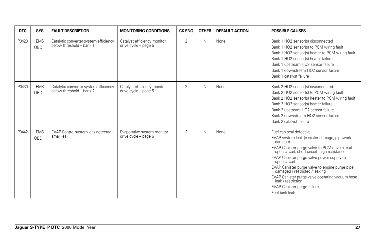| <b>DTC</b> | <b>SYS</b>           | <b>FAULT DESCRIPTION</b>                                          | <b>MONITORING CONDITIONS</b>                           | <b>CK ENG</b>  | <b>OTHER</b> | <b>DEFAULT ACTION</b> | <b>POSSIBLE CAUSES</b>                                                                                                                                                                                                                                                                                                                                                                                                                                              |
|------------|----------------------|-------------------------------------------------------------------|--------------------------------------------------------|----------------|--------------|-----------------------|---------------------------------------------------------------------------------------------------------------------------------------------------------------------------------------------------------------------------------------------------------------------------------------------------------------------------------------------------------------------------------------------------------------------------------------------------------------------|
| P0420      | <b>EMS</b><br>OBD II | Catalytic converter system efficiency<br>below threshold - bank 1 | Catalyst efficiency monitor<br>drive cycle - page 5    | $\overline{2}$ | N            | None                  | Bank 1 HO2 sensor(s) disconnected<br>Bank 1 HO2 sensor(s) to PCM wiring fault<br>Bank 1 HO2 sensor(s) heater to PCM wiring fault<br>Bank 1 HO2 sensor(s) heater failure<br>Bank 1 upstream HO2 sensor failure<br>Bank 1 downstream HO2 sensor failure<br>Bank 1 catalyst failure                                                                                                                                                                                    |
| P0430      | <b>EMS</b><br>OBD II | Catalytic converter system efficiency<br>below threshold - bank 2 | Catalyst efficiency monitor<br>drive cycle - page 5    | $\overline{2}$ | N            | None                  | Bank 2 HO2 sensor(s) disconnected<br>Bank 2 HO2 sensor(s) to PCM wiring fault<br>Bank 2 HO2 sensor(s) heater to PCM wiring fault<br>Bank 2 HO2 sensor(s) heater failure<br>Bank 2 upstream HO2 sensor failure<br>Bank 2 downstream HO2 sensor failure<br>Bank 2 catalyst failure                                                                                                                                                                                    |
| P0442      | <b>EMS</b><br>OBD II | EVAP Control system leak detected -<br>small leak                 | Evaporative system monitor<br>drive cycle $-$ page $6$ | $\overline{2}$ | N            | None                  | Fuel cap seal defective<br>EVAP system leak (canister damage, pipework<br>damage)<br>EVAP Canister purge valve to PCM drive circuit<br>open circuit, short circuit, high resistance<br>EVAP Canister purge valve power supply circuit<br>open circuit<br>EVAP Canister purge valve to engine purge pipe<br>damaged / restricted / leaking<br>EVAP Canister purge valve operating vacuum hose<br>leak / restriction<br>EVAP Canister purge failure<br>Fuel tank leak |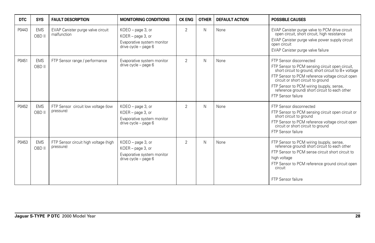| <b>DTC</b> | <b>SYS</b>           | <b>FAULT DESCRIPTION</b>                           | <b>MONITORING CONDITIONS</b>                                                                    | <b>CK ENG</b>  | <b>OTHER</b> | <b>DEFAULT ACTION</b> | <b>POSSIBLE CAUSES</b>                                                                                                                                                                                                                                                                                                                          |
|------------|----------------------|----------------------------------------------------|-------------------------------------------------------------------------------------------------|----------------|--------------|-----------------------|-------------------------------------------------------------------------------------------------------------------------------------------------------------------------------------------------------------------------------------------------------------------------------------------------------------------------------------------------|
| P0443      | <b>EMS</b><br>OBD II | EVAP Canister purge valve circuit<br>malfunction   | $KOEO - page 3$ , or<br>KOER - page 3, or<br>Evaporative system monitor<br>drive cycle - page 6 | $\overline{2}$ | N            | None                  | EVAP Canister purge valve to PCM drive circuit<br>open circuit, short circuit, high resistance<br>EVAP Canister purge valve power supply circuit<br>open circuit<br>EVAP Canister purge valve failure                                                                                                                                           |
| P0451      | <b>EMS</b><br>OBD II | FTP Sensor range / performance                     | Evaporative system monitor<br>drive cycle - page 6                                              | $\overline{2}$ | N            | None                  | FTP Sensor disconnected<br>FTP Sensor to PCM sensing circuit open circuit,<br>short circuit to ground, short circuit to B+ voltage<br>FTP Sensor to PCM reference voltage circuit open<br>circuit or short circuit to ground<br>FTP Sensor to PCM wiring (supply, sense,<br>reference ground) short circuit to each other<br>FTP Sensor failure |
| P0452      | <b>EMS</b><br>OBD II | FTP Sensor circuit low voltage (low<br>pressure)   | KOEO - page 3, or<br>KOER - page 3, or<br>Evaporative system monitor<br>drive cycle - page 6    | $\mathcal{P}$  | N            | None                  | FTP Sensor disconnected<br>FTP Sensor to PCM sensing circuit open circuit or<br>short circuit to ground<br>FTP Sensor to PCM reference voltage circuit open<br>circuit or short circuit to ground<br><b>FTP Sensor failure</b>                                                                                                                  |
| P0453      | <b>EMS</b><br>OBD II | FTP Sensor circuit high voltage (high<br>pressure) | $KOEO - page 3$ , or<br>KOER - page 3, or<br>Evaporative system monitor<br>drive cycle - page 6 | $\overline{2}$ | N            | None                  | FTP Sensor to PCM wiring (supply, sense,<br>reference ground) short circuit to each other<br>FTP Sensor to PCM sense circuit short circuit to<br>high voltage<br>FTP Sensor to PCM reference ground circuit open<br>circuit<br><b>FTP Sensor failure</b>                                                                                        |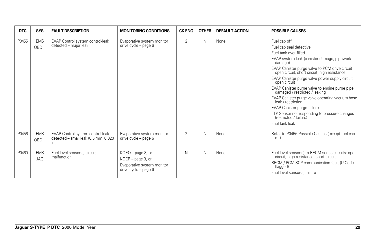| <b>DTC</b> | <b>SYS</b>               | <b>FAULT DESCRIPTION</b>                                                         | <b>MONITORING CONDITIONS</b>                                                                    | <b>CK ENG</b>  | <b>OTHER</b> | <b>DEFAULT ACTION</b> | <b>POSSIBLE CAUSES</b>                                                                                                                                                                                                                                                                                                                                                                                                                                                                                                                                                                  |
|------------|--------------------------|----------------------------------------------------------------------------------|-------------------------------------------------------------------------------------------------|----------------|--------------|-----------------------|-----------------------------------------------------------------------------------------------------------------------------------------------------------------------------------------------------------------------------------------------------------------------------------------------------------------------------------------------------------------------------------------------------------------------------------------------------------------------------------------------------------------------------------------------------------------------------------------|
| P0455      | <b>EMS</b><br>OBD II     | EVAP Control system control-leak<br>detected - major leak                        | Evaporative system monitor<br>drive cycle - page 6                                              | $\overline{2}$ | N            | None                  | Fuel cap off<br>Fuel cap seal defective<br>Fuel tank over filled<br>EVAP system leak (canister damage, pipework<br>damage)<br>EVAP Canister purge valve to PCM drive circuit<br>open circuit, short circuit, high resistance<br>EVAP Canister purge valve power supply circuit<br>open circuit<br>EVAP Canister purge valve to engine purge pipe<br>damaged / restricted / leaking<br>EVAP Canister purge valve operating vacuum hose<br>leak / restriction<br>EVAP Canister purge failure<br>FTP Sensor not responding to pressure changes<br>(restricted / failure)<br>Fuel tank leak |
| P0456      | <b>EMS</b><br>OBD II     | EVAP Control system control-leak<br>detected - small leak (0.5 mm; 0.020<br>in.) | Evaporative system monitor<br>drive cycle - page 6                                              | $\overline{2}$ | N            | None                  | Refer to P0456 Possible Causes (except fuel cap<br>off)                                                                                                                                                                                                                                                                                                                                                                                                                                                                                                                                 |
| P0460      | <b>EMS</b><br><b>JAG</b> | Fuel level sensor(s) circuit<br>malfunction                                      | KOEO - page 3, or<br>$KOER - page 3$ , or<br>Evaporative system monitor<br>drive cycle - page 6 | N              | N            | None                  | Fuel level sensor(s) to RECM sense circuits: open<br>circuit, high resistance, short circuit<br>RECM / PCM SCP communication fault (U Code<br>flagged)<br>Fuel level sensor(s) failure                                                                                                                                                                                                                                                                                                                                                                                                  |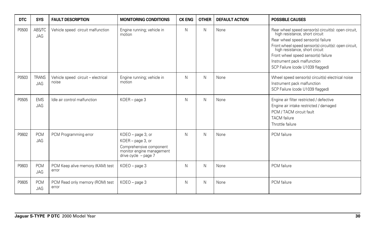| <b>DTC</b> | <b>SYS</b>                  | <b>FAULT DESCRIPTION</b>                    | <b>MONITORING CONDITIONS</b>                                                                                             | <b>CK ENG</b> | <b>OTHER</b> | <b>DEFAULT ACTION</b> | <b>POSSIBLE CAUSES</b>                                                                                                                                                                                                                                                                                                            |
|------------|-----------------------------|---------------------------------------------|--------------------------------------------------------------------------------------------------------------------------|---------------|--------------|-----------------------|-----------------------------------------------------------------------------------------------------------------------------------------------------------------------------------------------------------------------------------------------------------------------------------------------------------------------------------|
| P0500      | <b>ABS/TC</b><br><b>JAG</b> | Vehicle speed circuit malfunction           | Engine running; vehicle in<br>motion                                                                                     | N             | N            | None                  | Rear wheel speed sensor(s) circuit(s): open circuit,<br>high resistance, short circuit<br>Rear wheel speed sensor(s) failure<br>Front wheel speed sensor(s) circuit(s): open circuit,<br>high resistance, short circuit<br>Front wheel speed sensor(s) failure<br>Instrument pack malfunction<br>SCP Failure (code U1039 flagged) |
| P0503      | <b>TRANS</b><br>JAG         | Vehicle speed circuit - electrical<br>noise | Engine running; vehicle in<br>motion                                                                                     | N             | Ν            | None                  | Wheel speed sensor(s) circuit(s) electrical noise<br>Instrument pack malfunction<br>SCP Failure (code U1039 flagged)                                                                                                                                                                                                              |
| P0505      | <b>EMS</b><br><b>JAG</b>    | Idle air control malfunction                | KOER - page 3                                                                                                            | N             | N            | None                  | Engine air filter restricted / defective<br>Engine air intake restricted / damaged<br>PCM / TACM circuit fault<br><b>TACM</b> failure<br>Throttle failure                                                                                                                                                                         |
| P0602      | <b>PCM</b><br><b>JAG</b>    | PCM Programming error                       | KOEO - page 3, or<br>KOER - page 3, or<br>Comprehensive component<br>monitor engine management<br>drive cycle $-$ page 7 | N             | Ν            | None                  | PCM failure                                                                                                                                                                                                                                                                                                                       |
| P0603      | <b>PCM</b><br><b>JAG</b>    | PCM Keep alive memory (KAM) test<br>error   | KOEO - page 3                                                                                                            | N             | Ν            | None                  | PCM failure                                                                                                                                                                                                                                                                                                                       |
| P0605      | <b>PCM</b><br>JAG           | PCM Read only memory (ROM) test<br>error    | KOEO - page 3                                                                                                            | N             | Ν            | None                  | PCM failure                                                                                                                                                                                                                                                                                                                       |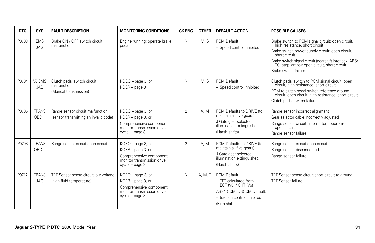| <b>DTC</b> | <b>SYS</b>             | <b>FAULT DESCRIPTION</b>                                                  | <b>MONITORING CONDITIONS</b>                                                                                        | <b>CK ENG</b>  | <b>OTHER</b> | <b>DEFAULT ACTION</b>                                                                                                                     | <b>POSSIBLE CAUSES</b>                                                                                                                                                                                                                                                                     |
|------------|------------------------|---------------------------------------------------------------------------|---------------------------------------------------------------------------------------------------------------------|----------------|--------------|-------------------------------------------------------------------------------------------------------------------------------------------|--------------------------------------------------------------------------------------------------------------------------------------------------------------------------------------------------------------------------------------------------------------------------------------------|
| P0703      | <b>EMS</b><br>JAG      | Brake ON / OFF switch circuit<br>malfunction                              | Engine running; operate brake<br>pedal                                                                              | N              | M.S          | PCM Default:<br>- Speed control inhibited                                                                                                 | Brake switch to PCM signal circuit: open circuit,<br>high resistance, short circuit<br>Brake switch power supply circuit: open circuit,<br>short circuit<br>Brake switch signal circuit (gearshift interlock, ABS/<br>TC, stop lamps): open circuit, short circuit<br>Brake switch failure |
| P0704      | V6 EMS<br><b>JAG</b>   | Clutch pedal switch circuit<br>malfunction<br>(Manual transmission)       | KOEO - page 3, or<br>$KOER - page 3$                                                                                | N              | M.S          | PCM Default:<br>- Speed control inhibited                                                                                                 | Clutch pedal switch to PCM signal circuit: open<br>circuit, high resistance, short circuit<br>PCM to clutch pedal switch reference ground<br>circuit: open circuit, high resistance, short circuit<br>Clutch pedal switch failure                                                          |
| P0705      | <b>TRANS</b><br>OBD II | Range sensor circuit malfunction<br>(sensor transmitting an invalid code) | KOEO - page 3, or<br>KOER - page 3, or<br>Comprehensive component<br>monitor transmission drive<br>$cycle - page 8$ | $\overline{2}$ | A. M         | PCM Defaults to DRIVE (to<br>maintain all five gears)<br>J Gate gear selected<br>illumination extinguished<br>(Harsh shifts)              | Range sensor incorrect alignment<br>Gear selector cable incorrectly adjusted<br>Range sensor circuit: intermittent open circuit;<br>open circuit<br>Range sensor failure                                                                                                                   |
| P0708      | <b>TRANS</b><br>OBD II | Range sensor circuit open circuit                                         | KOEO - page 3, or<br>KOER - page 3, or<br>Comprehensive component<br>monitor transmission drive<br>$cycle - page 8$ | $\overline{2}$ | A. M         | PCM Defaults to DRIVE (to<br>maintain all five gears)<br>J Gate gear selected<br>illumination extinguished<br>(Harsh shifts)              | Range sensor circuit open circuit<br>Range sensor disconnected<br>Range sensor failure                                                                                                                                                                                                     |
| P0712      | <b>TRANS</b><br>JAG    | TFT Sensor sense circuit low voltage<br>(high fluid temperature)          | KOEO - page 3, or<br>KOER - page 3, or<br>Comprehensive component<br>monitor transmission drive<br>$cycle - page 8$ | N              | A, M, T      | PCM Default:<br>- TFT calculated from<br>ECT (V8) / CHT (V6)<br>ABS/TCCM, DSCCM Default:<br>- traction control inhibited<br>(Firm shifts) | TFT Sensor sense circuit short circuit to ground<br><b>TFT Sensor failure</b>                                                                                                                                                                                                              |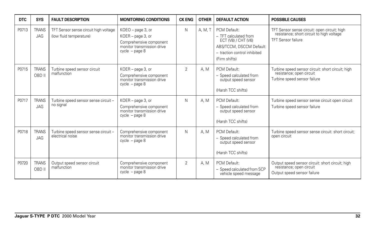| <b>DTC</b> | <b>SYS</b>                 | <b>FAULT DESCRIPTION</b>                                         | <b>MONITORING CONDITIONS</b>                                                                                        | <b>CK ENG</b>  | <b>OTHER</b> | <b>DEFAULT ACTION</b>                                                                                                                     | <b>POSSIBLE CAUSES</b>                                                                                                 |
|------------|----------------------------|------------------------------------------------------------------|---------------------------------------------------------------------------------------------------------------------|----------------|--------------|-------------------------------------------------------------------------------------------------------------------------------------------|------------------------------------------------------------------------------------------------------------------------|
| P0713      | <b>TRANS</b><br><b>JAG</b> | TFT Sensor sense circuit high voltage<br>(low fluid temperature) | KOEO - page 3, or<br>KOER - page 3, or<br>Comprehensive component<br>monitor transmission drive<br>$cycle - page 8$ | N              | A, M, T      | PCM Default:<br>- TFT calculated from<br>ECT (V8) / CHT (V6)<br>ABS/TCCM, DSCCM Default:<br>- traction control inhibited<br>(Firm shifts) | TFT Sensor sense circuit: open circuit; high<br>resistance; short circuit to high voltage<br><b>TFT Sensor failure</b> |
| P0715      | <b>TRANS</b><br>OBD II     | Turbine speed sensor circuit<br>malfunction                      | KOER - page 3, or<br>Comprehensive component<br>monitor transmission drive<br>$cycle - page 8$                      | $\overline{2}$ | A.M          | PCM Default:<br>- Speed calculated from<br>output speed sensor<br>(Harsh TCC shifts)                                                      | Turbine speed sensor circuit: short circuit; high<br>resistance; open circuit<br>Turbine speed sensor failure          |
| P0717      | <b>TRANS</b><br><b>JAG</b> | Turbine speed sensor sense circuit -<br>no signal                | KOER - page 3, or<br>Comprehensive component<br>monitor transmission drive<br>$cycle - page 8$                      | N              | A.M          | PCM Default:<br>- Speed calculated from<br>output speed sensor<br>(Harsh TCC shifts)                                                      | Turbine speed sensor sense circuit open circuit<br>Turbine speed sensor failure                                        |
| P0718      | <b>TRANS</b><br><b>JAG</b> | Turbine speed sensor sense circuit -<br>electrical noise         | Comprehensive component<br>monitor transmission drive<br>$cycle - page 8$                                           | N              | A. M         | PCM Default:<br>- Speed calculated from<br>output speed sensor<br>(Harsh TCC shifts)                                                      | Turbine speed sensor sense circuit: short circuit;<br>open circuit                                                     |
| P0720      | <b>TRANS</b><br>OBD II     | Output speed sensor circuit<br>malfunction                       | Comprehensive component<br>monitor transmission drive<br>$cycle - page 8$                                           | $\overline{2}$ | A.M          | PCM Default:<br>- Speed calculated from SCP<br>vehicle speed message                                                                      | Output speed sensor circuit: short circuit; high<br>resistance; open circuit<br>Output speed sensor failure            |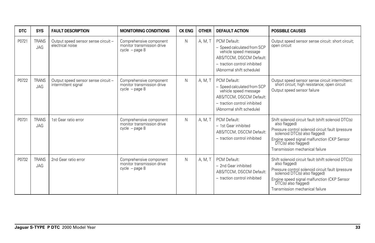| <b>DTC</b> | <b>SYS</b>                 | <b>FAULT DESCRIPTION</b>                                   | <b>MONITORING CONDITIONS</b>                                              | <b>CK ENG</b> | <b>OTHER</b> | <b>DEFAULT ACTION</b>                                                                                                                                         | <b>POSSIBLE CAUSES</b>                                                                                                                                                                                                                                                            |
|------------|----------------------------|------------------------------------------------------------|---------------------------------------------------------------------------|---------------|--------------|---------------------------------------------------------------------------------------------------------------------------------------------------------------|-----------------------------------------------------------------------------------------------------------------------------------------------------------------------------------------------------------------------------------------------------------------------------------|
| P0721      | <b>TRANS</b><br>JAG        | Output speed sensor sense circuit -<br>electrical noise    | Comprehensive component<br>monitor transmission drive<br>$cycle - page 8$ | N             | A, M, T      | PCM Default:<br>- Speed calculated from SCP<br>vehicle speed message<br>ABS/TCCM, DSCCM Default:<br>- traction control inhibited<br>(Abnormal shift schedule) | Output speed sensor sense circuit: short circuit;<br>open circuit                                                                                                                                                                                                                 |
| P0722      | <b>TRANS</b><br><b>JAG</b> | Output speed sensor sense circuit -<br>intermittent signal | Comprehensive component<br>monitor transmission drive<br>$cycle - page 8$ | N             | A. M. T      | PCM Default:<br>- Speed calculated from SCP<br>vehicle speed message<br>ABS/TCCM, DSCCM Default:<br>- traction control inhibited<br>(Abnormal shift schedule) | Output speed sensor sense circuit intermittent:<br>short circuit; high resistance; open circuit<br>Output speed sensor failure                                                                                                                                                    |
| P0731      | <b>TRANS</b><br><b>JAG</b> | 1st Gear ratio error                                       | Comprehensive component<br>monitor transmission drive<br>$cycle - page 8$ | N             | A. M. T      | PCM Default:<br>- 1st Gear inhibited<br>ABS/TCCM, DSCCM Default:<br>- traction control inhibited                                                              | Shift solenoid circuit fault (shift solenoid DTC(s)<br>also flagged)<br>Pressure control solenoid circuit fault (pressure<br>solenoid DTC(s) also flagged)<br>Engine speed signal malfunction (CKP Sensor<br>$\overline{D}TC(s)$ also flagged)<br>Transmission mechanical failure |
| P0732      | <b>TRANS</b><br><b>JAG</b> | 2nd Gear ratio error                                       | Comprehensive component<br>monitor transmission drive<br>$cycle - page 8$ | N             | A, M, T      | PCM Default:<br>- 2nd Gear inhibited<br>ABS/TCCM, DSCCM Default:<br>- traction control inhibited                                                              | Shift solenoid circuit fault (shift solenoid DTC(s)<br>also flagged)<br>Pressure control solenoid circuit fault (pressure<br>solenoid DTC(s) also flagged)<br>Engine speed signal malfunction (CKP Sensor<br>DTC(s) also flagged)<br>Transmission mechanical failure              |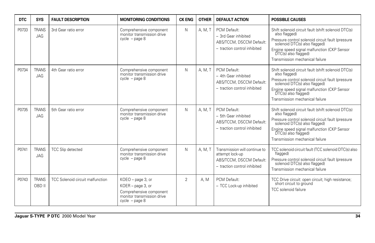| <b>DTC</b> | <b>SYS</b>                 | <b>FAULT DESCRIPTION</b>         | <b>MONITORING CONDITIONS</b>                                                                                        | <b>CK ENG</b>  | <b>OTHER</b> | <b>DEFAULT ACTION</b>                                                                                        | <b>POSSIBLE CAUSES</b>                                                                                                                                                                                                                                                            |
|------------|----------------------------|----------------------------------|---------------------------------------------------------------------------------------------------------------------|----------------|--------------|--------------------------------------------------------------------------------------------------------------|-----------------------------------------------------------------------------------------------------------------------------------------------------------------------------------------------------------------------------------------------------------------------------------|
| P0733      | <b>TRANS</b><br><b>JAG</b> | 3rd Gear ratio error             | Comprehensive component<br>monitor transmission drive<br>$cycle - page 8$                                           | N              | A, M, T      | PCM Default:<br>$-$ 3rd Gear inhibited<br>ABS/TCCM, DSCCM Default:<br>- traction control inhibited           | Shift solenoid circuit fault (shift solenoid DTC(s)<br>also flagged)<br>Pressure control solenoid circuit fault (pressure<br>solenoid DTC(s) also flagged)<br>Engine speed signal malfunction (CKP Sensor<br>DTC(s) also flagged)<br>Transmission mechanical failure              |
| P0734      | <b>TRANS</b><br><b>JAG</b> | 4th Gear ratio error             | Comprehensive component<br>monitor transmission drive<br>$cycle - page 8$                                           | N              | A. M. T      | PCM Default:<br>- 4th Gear inhibited<br>ABS/TCCM, DSCCM Default:<br>- traction control inhibited             | Shift solenoid circuit fault (shift solenoid DTC(s)<br>also flagged)<br>Pressure control solenoid circuit fault (pressure<br>solenoid DTC(s) also flagged)<br>Engine speed signal malfunction (CKP Sensor<br>$\overline{D}TC(s)$ also flagged)<br>Transmission mechanical failure |
| P0735      | <b>TRANS</b><br><b>JAG</b> | 5th Gear ratio error             | Comprehensive component<br>monitor transmission drive<br>$cycle - page 8$                                           | N              | A. M. T      | PCM Default:<br>- 5th Gear inhibited<br>ABS/TCCM, DSCCM Default:<br>- traction control inhibited             | Shift solenoid circuit fault (shift solenoid DTC(s)<br>also flagged)<br>Pressure control solenoid circuit fault (pressure<br>solenoid DTC(s) also flagged)<br>Engine speed signal malfunction (CKP Sensor<br>DTC(s) also flagged)<br>Transmission mechanical failure              |
| P0741      | <b>TRANS</b><br><b>JAG</b> | <b>TCC Slip detected</b>         | Comprehensive component<br>monitor transmission drive<br>$cycle - page 8$                                           | N              | A, M, T      | Transmission will continue to<br>attempt lock-up<br>ABS/TCCM, DSCCM Default:<br>- traction control inhibited | TCC solenoid circuit fault (TCC solenoid DTC(s) also<br>flagged)<br>Pressure control solenoid circuit fault (pressure<br>solenoid DTC(s) also flagged)<br>Transmission mechanical failure                                                                                         |
| P0743      | <b>TRANS</b><br>OBD II     | TCC Solenoid circuit malfunction | KOEO - page 3, or<br>KOER - page 3, or<br>Comprehensive component<br>monitor transmission drive<br>$cycle - page 8$ | $\overline{2}$ | A. M         | PCM Default:<br>- TCC Lock-up inhibited                                                                      | TCC Drive circuit: open circuit; high resistance;<br>short circuit to ground<br><b>TCC</b> solenoid failure                                                                                                                                                                       |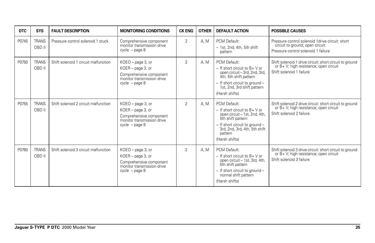| <b>DTC</b> | <b>SYS</b>             | <b>FAULT DESCRIPTION</b>             | <b>MONITORING CONDITIONS</b>                                                                                             | <b>CK ENG</b>  | <b>OTHER</b> | <b>DEFAULT ACTION</b>                                                                                                                                                                                    | <b>POSSIBLE CAUSES</b>                                                                                                        |
|------------|------------------------|--------------------------------------|--------------------------------------------------------------------------------------------------------------------------|----------------|--------------|----------------------------------------------------------------------------------------------------------------------------------------------------------------------------------------------------------|-------------------------------------------------------------------------------------------------------------------------------|
| P0745      | <b>TRANS</b><br>OBD II | Pressure control solenoid 1 stuck    | Comprehensive component<br>monitor transmission drive<br>$cycle - page 8$                                                | $\overline{2}$ | A. M         | PCM Default:<br>- 1st, 2nd, 4th, 5th shift<br>pattern                                                                                                                                                    | Pressure control solenoid 1 drive circuit: short<br>circuit to ground; open circuit<br>Pressure control solenoid 1 failure    |
| P0750      | <b>TRANS</b><br>OBD II | Shift solenoid 1 circuit malfunction | $KOEO$ – page 3, or<br>$KOER - page 3$ , or<br>Comprehensive component<br>monitor transmission drive<br>$cycle - page 8$ | $\overline{2}$ | A. M.        | PCM Default:<br>$-$ If short circuit to B+ V or<br>open circuit - 3rd, 2nd, 3rd,<br>4th, 5th shift pattern<br>- If short circuit to ground -<br>1st, 2nd, 3rd shift pattern<br>(Harsh shifts)            | Shift solenoid 1 drive circuit: short circuit to ground<br>or B+ V; high resistance; open circuit<br>Shift solenoid 1 failure |
| P0755      | <b>TRANS</b><br>OBD II | Shift solenoid 2 circuit malfunction | KOEO - page 3, or<br>KOER - page 3, or<br>Comprehensive component<br>monitor transmission drive<br>$cycle - page 8$      | 2              | A.M          | PCM Default:<br>$-$ If short circuit to $B + V$ or<br>open circuit - 1st, 2nd, 4th,<br>5th shift pattern<br>- If short circuit to ground -<br>3rd, 2nd, 3rd, 4th, 5th shift<br>pattern<br>(Harsh shifts) | Shift solenoid 2 drive circuit: short circuit to ground<br>or B+ V; high resistance; open circuit<br>Shift solenoid 2 failure |
| P0760      | <b>TRANS</b><br>OBD II | Shift solenoid 3 circuit malfunction | KOEO - page 3, or<br>$KOER - page 3$ , or<br>Comprehensive component<br>monitor transmission drive<br>$cycle - page 8$   | $\overline{2}$ | A. M.        | PCM Default:<br>$-$ If short circuit to B+ V or<br>open circuit - 1st, 3rd, 4th,<br>5th shift pattern<br>- If short circuit to around -<br>normal shift pattern<br>(Harsh shifts)                        | Shift solenoid 3 drive circuit: short circuit to ground<br>or B+ V; high resistance; open circuit<br>Shift solenoid 3 failure |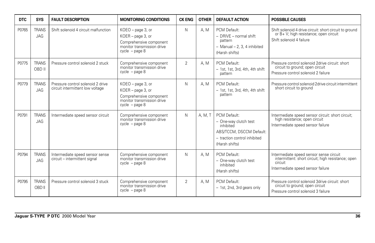| DTC   | <b>SYS</b>                 | <b>FAULT DESCRIPTION</b>                                              | <b>MONITORING CONDITIONS</b>                                                                                        | <b>CK ENG</b>  | <b>OTHER</b> | <b>DEFAULT ACTION</b>                                                                                                            | <b>POSSIBLE CAUSES</b>                                                                                                                        |
|-------|----------------------------|-----------------------------------------------------------------------|---------------------------------------------------------------------------------------------------------------------|----------------|--------------|----------------------------------------------------------------------------------------------------------------------------------|-----------------------------------------------------------------------------------------------------------------------------------------------|
| P0765 | <b>TRANS</b><br><b>JAG</b> | Shift solenoid 4 circuit malfunction                                  | KOEO - page 3, or<br>KOER - page 3, or<br>Comprehensive component<br>monitor transmission drive<br>$cycle - page 8$ | N              | A. M         | PCM Default:<br>$-$ DRIVE $-$ normal shift<br>pattern<br>$-$ Manual $-$ 2, 3, 4 inhibited<br>(Harsh shifts)                      | Shift solenoid 4 drive circuit: short circuit to ground<br>or B+ V; high resistance; open circuit<br>Shift solenoid 4 failure                 |
| P0775 | <b>TRANS</b><br>OBD II     | Pressure control solenoid 2 stuck                                     | Comprehensive component<br>monitor transmission drive<br>$cycle - page 8$                                           | $\overline{2}$ | A. M         | PCM Default:<br>- 1st, 1st, 3rd, 4th, 4th shift<br>pattern                                                                       | Pressure control solenoid 2drive circuit: short<br>circuit to ground; open circuit<br>Pressure control solenoid 2 failure                     |
| P0779 | <b>TRANS</b><br><b>JAG</b> | Pressure control solenoid 2 drive<br>circuit intermittent low voltage | KOEO - page 3, or<br>KOER - page 3, or<br>Comprehensive component<br>monitor transmission drive<br>$cycle - page 8$ | N              | A. M         | PCM Default:<br>$-1$ st, 1st, 3rd, 4th, 4th shift<br>pattern                                                                     | Pressure control solenoid 2drive circuit intermittent<br>short circuit to ground                                                              |
| P0791 | <b>TRANS</b><br><b>JAG</b> | Intermediate speed sensor circuit                                     | Comprehensive component<br>monitor transmission drive<br>$cycle - page 8$                                           | N              | A. M. T      | PCM Default:<br>- One-way clutch test<br>inhibited<br>ABS/TCCM, DSCCM Default:<br>- traction control inhibited<br>(Harsh shifts) | Intermediate speed sensor circuit: short circuit;<br>high resistance; open circuit<br>Intermediate speed sensor failure                       |
| P0794 | <b>TRANS</b><br><b>JAG</b> | Intermediate speed sensor sense<br>circuit - intermittent signal      | Comprehensive component<br>monitor transmission drive<br>$cycle - page 8$                                           | N              | A.M          | PCM Default:<br>- One-way clutch test<br>inhibited<br>(Harsh shifts)                                                             | Intermediate speed sensor sense circuit<br>intermittent: short circuit; high resistance; open<br>circuit<br>Intermediate speed sensor failure |
| P0795 | <b>TRANS</b><br>OBD II     | Pressure control solenoid 3 stuck                                     | Comprehensive component<br>monitor transmission drive<br>$cycle - page 8$                                           | $\overline{2}$ | A. M         | PCM Default:<br>- 1st, 2nd, 3rd gears only                                                                                       | Pressure control solenoid 3drive circuit: short<br>circuit to ground; open circuit<br>Pressure control solenoid 3 failure                     |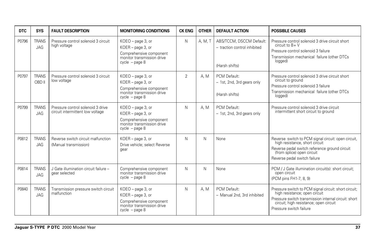| <b>DTC</b> | <b>SYS</b>                 | <b>FAULT DESCRIPTION</b>                                              | <b>MONITORING CONDITIONS</b>                                                                                        | <b>CK ENG</b>  | <b>OTHER</b> | <b>DEFAULT ACTION</b>                                                      | <b>POSSIBLE CAUSES</b>                                                                                                                                                                                              |
|------------|----------------------------|-----------------------------------------------------------------------|---------------------------------------------------------------------------------------------------------------------|----------------|--------------|----------------------------------------------------------------------------|---------------------------------------------------------------------------------------------------------------------------------------------------------------------------------------------------------------------|
| P0796      | <b>TRANS</b><br><b>JAG</b> | Pressure control solenoid 3 circuit<br>high voltage                   | KOEO - page 3, or<br>KOER - page 3, or<br>Comprehensive component<br>monitor transmission drive<br>$cycle - page 8$ | N              | A, M, T      | ABS/TCCM, DSCCM Default:<br>- traction control inhibited<br>(Harsh shifts) | Pressure control solenoid 3 drive circuit short<br>circuit to $B + V$<br>Pressure control solenoid 3 failure<br>Transmission mechanical failure (other DTCs<br>logged)                                              |
| P0797      | <b>TRANS</b><br>OBD II     | Pressure control solenoid 3 circuit<br>low voltage                    | KOEO - page 3, or<br>KOER - page 3, or<br>Comprehensive component<br>monitor transmission drive<br>$cycle - page 8$ | $\overline{2}$ | A.M          | PCM Default:<br>- 1st, 2nd, 3rd gears only<br>(Harsh shifts)               | Pressure control solenoid 3 drive circuit short<br>circuit to ground<br>Pressure control solenoid 3 failure<br>Transmission mechanical failure (other DTCs<br>logged)                                               |
| P0799      | <b>TRANS</b><br><b>JAG</b> | Pressure control solenoid 3 drive<br>circuit intermittent low voltage | KOEO - page 3, or<br>KOER - page 3, or<br>Comprehensive component<br>monitor transmission drive<br>$cycle - page 8$ | N              | A.M          | PCM Default:<br>- 1st, 2nd, 3rd gears only                                 | Pressure control solenoid 3 drive circuit<br>intermittent short circuit to ground                                                                                                                                   |
| P0812      | <b>TRANS</b><br>JAG        | Reverse switch circuit malfunction<br>(Manual transmission)           | KOER - page 3, or<br>Drive vehicle; select Reverse<br>qear                                                          | N              | N            | None                                                                       | Reverse switch to PCM signal circuit: open circuit,<br>high resistance, short circuit<br>Reverse pedal switch reference ground circuit<br>(from splice) open circuit<br>Reverse pedal switch failure                |
| P0814      | <b>TRANS</b><br><b>JAG</b> | J Gate illumination circuit failure -<br>gear selected                | Comprehensive component<br>monitor transmission drive<br>$cycle - page 8$                                           | N              | N            | None                                                                       | PCM / J Gate illumination circuit(s): short circuit;<br>open circuit<br>(PCM pins FH1-7, 8, 9)                                                                                                                      |
| P0840      | <b>TRANS</b><br><b>JAG</b> | Transmission pressure switch circuit<br>malfunction                   | KOEO - page 3, or<br>KOER - page 3, or<br>Comprehensive component<br>monitor transmission drive<br>$cycle - page 8$ | N              | A.M          | PCM Default:<br>- Manual 2nd, 3rd inhibited                                | Pressure switch to PCM signal circuit: short circuit;<br>high resistance; open circuit<br>Pressure switch transmission internal circuit: short<br>circuit; high resistance; open circuit<br>Pressure switch failure |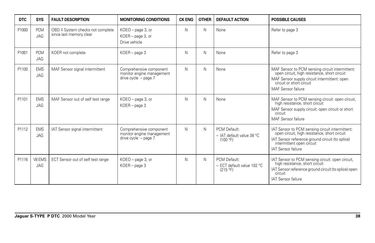| <b>DTC</b> | <b>SYS</b>               | <b>FAULT DESCRIPTION</b>                                     | <b>MONITORING CONDITIONS</b>                                                   | <b>CK ENG</b> | <b>OTHER</b> | <b>DEFAULT ACTION</b>                                   | <b>POSSIBLE CAUSES</b>                                                                                                                                                                                       |
|------------|--------------------------|--------------------------------------------------------------|--------------------------------------------------------------------------------|---------------|--------------|---------------------------------------------------------|--------------------------------------------------------------------------------------------------------------------------------------------------------------------------------------------------------------|
| P1000      | <b>PCM</b><br><b>JAG</b> | OBD II System checks not complete<br>since last memory clear | KOEO - page 3, or<br>KOER - page 3, or<br>Drive vehicle                        | N             | N            | None                                                    | Refer to page 3                                                                                                                                                                                              |
| P1001      | <b>PCM</b><br><b>JAG</b> | KOER not complete                                            | $KOER - page 3$                                                                | N             | N            | None                                                    | Refer to page 3                                                                                                                                                                                              |
| P1100      | <b>EMS</b><br><b>JAG</b> | MAF Sensor signal intermittent                               | Comprehensive component<br>monitor engine management<br>drive cycle $-$ page 7 | N             | N            | None                                                    | MAF Sensor to PCM sensing circuit intermittent:<br>open circuit, high resistance, short circuit<br>MAF Sensor supply circuit intermittent: open<br>circuit or short circuit<br>MAF Sensor failure            |
| P1101      | <b>EMS</b><br><b>JAG</b> | MAF Sensor out of self test range                            | KOEO - page 3, or<br>$KOER - page 3$                                           | N             | N            | None                                                    | MAF Sensor to PCM sensing circuit: open circuit,<br>high resistance, short circuit<br>MAF Sensor supply circuit: open circuit or short<br>circuit<br>MAF Sensor failure                                      |
| P1112      | <b>EMS</b><br><b>JAG</b> | IAT Sensor signal intermittent                               | Comprehensive component<br>monitor engine management<br>drive cycle $-$ page 7 | N             | N            | PCM Default:<br>$-$ IAT default value 38 °C<br>(100 °F) | IAT Sensor to PCM sensing circuit intermittent:<br>open circuit, high resistance, short circuit<br>IAT Sensor reference ground circuit (to splice)<br>intermittent open circuit<br><b>IAT Sensor failure</b> |
| P1116      | V8 EMS<br><b>JAG</b>     | ECT Sensor out of self test range                            | KOEO - page 3, or<br>$KOER - page 3$                                           | N             | N            | PCM Default:<br>- ECT default value 102 °C<br>(215 °F)  | IAT Sensor to PCM sensing circuit: open circuit,<br>high resistance, short circuit<br>IAT Sensor reference ground circuit (to splice) open<br>circuit<br><b>IAT Sensor failure</b>                           |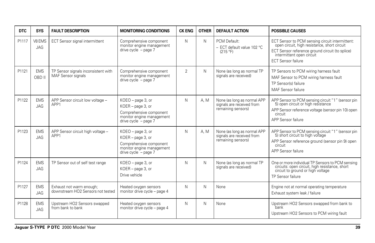| <b>DTC</b> | <b>SYS</b>               | <b>FAULT DESCRIPTION</b>                                      | <b>MONITORING CONDITIONS</b>                                                                                             | <b>CK ENG</b>  | <b>OTHER</b> | <b>DEFAULT ACTION</b>                                                          | <b>POSSIBLE CAUSES</b>                                                                                                                                                                                       |
|------------|--------------------------|---------------------------------------------------------------|--------------------------------------------------------------------------------------------------------------------------|----------------|--------------|--------------------------------------------------------------------------------|--------------------------------------------------------------------------------------------------------------------------------------------------------------------------------------------------------------|
| P1117      | V8 EMS<br><b>JAG</b>     | ECT Sensor signal intermittent                                | Comprehensive component<br>monitor engine management<br>drive cycle $-$ page $7$                                         | N              | N            | PCM Default:<br>- ECT default value 102 °C<br>(215 °F)                         | ECT Sensor to PCM sensing circuit intermittent:<br>open circuit, high resistance, short circuit<br>ECT Sensor reference ground circuit (to splice)<br>intermittent open circuit<br><b>ECT Sensor failure</b> |
| P1121      | <b>EMS</b><br>OBD II     | TP Sensor signals inconsistent with<br>MAF Sensor signals     | Comprehensive component<br>monitor engine management<br>drive cycle $-$ page $7$                                         | $\overline{2}$ | N            | None (as long as normal TP<br>signals are received)                            | TP Sensors to PCM wiring harness fault<br>MAF Sensor to PCM wiring harness fault<br>TP Sensor(s) failure<br>MAF Sensor failure                                                                               |
| P1122      | <b>EMS</b><br>JAG        | APP Sensor circuit low voltage -<br>APP1                      | KOEO - page 3, or<br>KOER - page 3, or<br>Comprehensive component<br>monitor engine management<br>drive cycle $-$ page 7 | N              | A. M         | None (as long as normal APP<br>signals are received from<br>remaining sensors) | APP Sensor to PCM sensing circuit "1" (sensor pin<br>5) open circuit or high resistance<br>APP Sensor reference voltage (sensor pin 10) open<br>circuit<br>APP Sensor failure                                |
| P1123      | <b>EMS</b><br><b>JAG</b> | APP Sensor circuit high voltage -<br>APP1                     | KOEO - page 3, or<br>KOER - page 3, or<br>Comprehensive component<br>monitor engine management<br>drive cycle $-$ page 7 | N              | A, M         | None (as long as normal APP<br>signals are received from<br>remaining sensors) | APP Sensor to PCM sensing circuit "1" (sensor pin<br>5) short circuit to high voltage<br>APP Sensor reference ground (sensor pin 9) open<br>circuit<br>APP Sensor failure                                    |
| P1124      | <b>EMS</b><br>JAG        | TP Sensor out of self test range                              | KOEO - page 3, or<br>KOER - page 3, or<br>Drive vehicle                                                                  | N              | N            | None (as long as normal TP<br>signals are received)                            | One or more individual TP Sensors to PCM sensing<br>circuits: open circuit, high resistance, short<br>circuit to ground or high voltage<br>TP Sensor failure                                                 |
| P1127      | <b>EMS</b><br><b>JAG</b> | Exhaust not warm enough;<br>downstream HO2 Sensors not tested | Heated oxygen sensors<br>monitor drive cycle - page 4                                                                    | N              | N            | None                                                                           | Engine not at normal operating temperature<br>Exhaust system leak / failure                                                                                                                                  |
| P1128      | <b>EMS</b><br><b>JAG</b> | Upstream HO2 Sensors swapped<br>from bank to bank             | Heated oxygen sensors<br>monitor drive cycle - page 4                                                                    | N              | N            | None                                                                           | Upstream HO2 Sensors swapped from bank to<br>`bank<br>Upstream HO2 Sensors to PCM wiring fault                                                                                                               |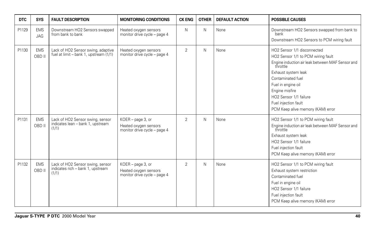| <b>DTC</b> | <b>SYS</b>           | <b>FAULT DESCRIPTION</b>                                                       | <b>MONITORING CONDITIONS</b>                                               | <b>CK ENG</b>  | <b>OTHER</b> | <b>DEFAULT ACTION</b> | <b>POSSIBLE CAUSES</b>                                                                                                                                                                                                                                                                                       |
|------------|----------------------|--------------------------------------------------------------------------------|----------------------------------------------------------------------------|----------------|--------------|-----------------------|--------------------------------------------------------------------------------------------------------------------------------------------------------------------------------------------------------------------------------------------------------------------------------------------------------------|
| P1129      | <b>EMS</b><br>JAG    | Downstream HO2 Sensors swapped<br>from bank to bank                            | Heated oxygen sensors<br>monitor drive cycle - page 4                      | N              | N            | None                  | Downstream HO2 Sensors swapped from bank to<br>bank<br>Downstream HO2 Sensors to PCM wiring fault                                                                                                                                                                                                            |
| P1130      | <b>EMS</b><br>OBD II | Lack of HO2 Sensor swing, adaptive<br>fuel at limit - bank 1, upstream (1/1)   | Heated oxygen sensors<br>monitor drive cycle - page 4                      | $\overline{2}$ | N            | None                  | HO2 Sensor 1/1 disconnected<br>HO2 Sensor 1/1 to PCM wiring fault<br>Engine induction air leak between MAF Sensor and<br>throttle<br>Exhaust system leak<br>Contaminated fuel<br>Fuel in engine oil<br>Engine misfire<br>HO2 Sensor 1/1 failure<br>Fuel injection fault<br>PCM Keep alive memory (KAM) error |
| P1131      | <b>EMS</b><br>OBD II | Lack of HO2 Sensor swing, sensor<br>indicates lean - bank 1, upstream<br>(1/1) | KOER - page 3, or<br>Heated oxygen sensors<br>monitor drive cycle - page 4 | $\overline{2}$ | N            | None                  | HO2 Sensor 1/1 to PCM wiring fault<br>Engine induction air leak between MAF Sensor and<br>throttle<br>Exhaust system leak<br>HO2 Sensor 1/1 failure<br>Fuel injection fault<br>PCM Keep alive memory (KAM) error                                                                                             |
| P1132      | <b>EMS</b><br>OBD II | Lack of HO2 Sensor swing, sensor<br>indicates rich - bank 1, upstream<br>(1/1) | KOER - page 3, or<br>Heated oxygen sensors<br>monitor drive cycle - page 4 | $\overline{2}$ | N            | None                  | HO2 Sensor 1/1 to PCM wiring fault<br>Exhaust system restriction<br>Contaminated fuel<br>Fuel in engine oil<br>HO2 Sensor 1/1 failure<br>Fuel injection fault<br>PCM Keep alive memory (KAM) error                                                                                                           |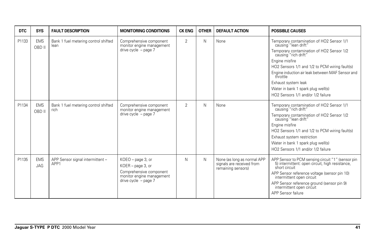| <b>DTC</b> | <b>SYS</b>               | <b>FAULT DESCRIPTION</b>                     | <b>MONITORING CONDITIONS</b>                                                                                               | <b>CK ENG</b>  | <b>OTHER</b> | <b>DEFAULT ACTION</b>                                                          | <b>POSSIBLE CAUSES</b>                                                                                                                                                                                                                                                                                                                                                        |
|------------|--------------------------|----------------------------------------------|----------------------------------------------------------------------------------------------------------------------------|----------------|--------------|--------------------------------------------------------------------------------|-------------------------------------------------------------------------------------------------------------------------------------------------------------------------------------------------------------------------------------------------------------------------------------------------------------------------------------------------------------------------------|
| P1133      | <b>EMS</b><br>OBD II     | Bank 1 fuel metering control shifted<br>lean | Comprehensive component<br>monitor engine management<br>drive cycle - page 7                                               | $\overline{2}$ | N            | None                                                                           | Temporary contamination of HO2 Sensor 1/1<br>causing "lean drift"<br>Temporary contamination of HO2 Sensor 1/2<br>causing "rich drift"<br>Engine misfire<br>HO2 Sensors 1/1 and 1/2 to PCM wiring fault(s)<br>Engine induction air leak between MAF Sensor and<br>throttle<br>Exhaust system leak<br>Water in bank 1 spark plug well(s)<br>HO2 Sensors 1/1 and/or 1/2 failure |
| P1134      | <b>EMS</b><br>OBD II     | Bank 1 fuel metering control shifted<br>rich | Comprehensive component<br>monitor engine management<br>drive cycle $-$ page $7$                                           | $\overline{2}$ | N            | None                                                                           | Temporary contamination of HO2 Sensor 1/1<br>causing "rich drift"<br>Temporary contamination of HO2 Sensor 1/2<br>causing "lean drift"<br>Engine misfire<br>HO2 Sensors 1/1 and 1/2 to PCM wiring fault(s)<br>Exhaust system restriction<br>Water in bank 1 spark plug well(s)<br>HO2 Sensors 1/1 and/or 1/2 failure                                                          |
| P1135      | <b>EMS</b><br><b>JAG</b> | APP Sensor signal intermittent -<br>APP1     | KOEO - page 3, or<br>KOER - page 3, or<br>Comprehensive component<br>monitor engine management<br>drive cycle $-$ page $7$ | N              | N            | None (as long as normal APP<br>signals are received from<br>remaining sensors) | APP Sensor to PCM sensing circuit "1" (sensor pin<br>5) intermittent: open circuit, high resistance,<br>short circuit<br>APP Sensor reference voltage (sensor pin 10)<br>intermittent open circuit<br>APP Sensor reference ground (sensor pin 9)<br>intermittent open circuit<br>APP Sensor failure                                                                           |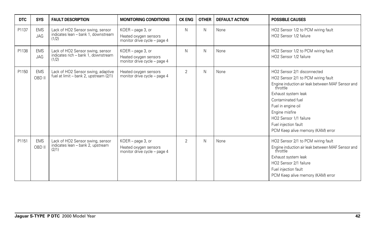| <b>DTC</b> | <b>SYS</b>               | <b>FAULT DESCRIPTION</b>                                                         | <b>MONITORING CONDITIONS</b>                                                  | <b>CK ENG</b>  | <b>OTHER</b> | <b>DEFAULT ACTION</b> | <b>POSSIBLE CAUSES</b>                                                                                                                                                                                                                                                                                       |
|------------|--------------------------|----------------------------------------------------------------------------------|-------------------------------------------------------------------------------|----------------|--------------|-----------------------|--------------------------------------------------------------------------------------------------------------------------------------------------------------------------------------------------------------------------------------------------------------------------------------------------------------|
| P1137      | <b>EMS</b><br><b>JAG</b> | Lack of HO2 Sensor swing, sensor<br>indicates lean - bank 1, downstream<br>(1/2) | $KOER - page 3$ , or<br>Heated oxygen sensors<br>monitor drive cycle - page 4 | N              | N            | None                  | HO2 Sensor 1/2 to PCM wiring fault<br>HO2 Sensor 1/2 failure                                                                                                                                                                                                                                                 |
| P1138      | <b>EMS</b><br><b>JAG</b> | Lack of HO2 Sensor swing, sensor<br>indicates rich - bank 1, downstream<br>(1/2) | KOER - page 3, or<br>Heated oxygen sensors<br>monitor drive cycle - page 4    | N              | N            | None                  | HO2 Sensor 1/2 to PCM wiring fault<br>HO2 Sensor 1/2 failure                                                                                                                                                                                                                                                 |
| P1150      | <b>EMS</b><br>OBD II     | Lack of HO2 Sensor swing, adaptive<br>fuel at limit - bank 2, upstream (2/1)     | Heated oxygen sensors<br>monitor drive cycle - page 4                         | $\overline{2}$ | N            | None                  | HO2 Sensor 2/1 disconnected<br>HO2 Sensor 2/1 to PCM wiring fault<br>Engine induction air leak between MAF Sensor and<br>throttle<br>Exhaust system leak<br>Contaminated fuel<br>Fuel in engine oil<br>Engine misfire<br>HO2 Sensor 1/1 failure<br>Fuel injection fault<br>PCM Keep alive memory (KAM) error |
| P1151      | <b>EMS</b><br>OBD II     | Lack of HO2 Sensor swing, sensor<br>indicates lean - bank 2, upstream<br>(2/1)   | KOER - page 3, or<br>Heated oxygen sensors<br>monitor drive cycle - page 4    | $\overline{2}$ | N            | None                  | HO2 Sensor 2/1 to PCM wiring fault<br>Engine induction air leak between MAF Sensor and<br>throttle<br>Exhaust system leak<br>HO2 Sensor 2/1 failure<br>Fuel injection fault<br>PCM Keep alive memory (KAM) error                                                                                             |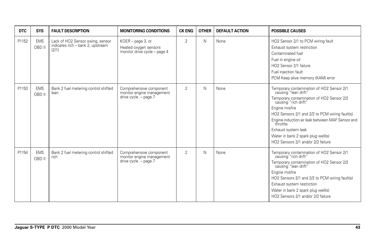| <b>DTC</b> | <b>SYS</b>           | <b>FAULT DESCRIPTION</b>                                                       | <b>MONITORING CONDITIONS</b>                                                   | <b>CK ENG</b>  | <b>OTHER</b> | <b>DEFAULT ACTION</b> | <b>POSSIBLE CAUSES</b>                                                                                                                                                                                                                                                                                                                                                        |
|------------|----------------------|--------------------------------------------------------------------------------|--------------------------------------------------------------------------------|----------------|--------------|-----------------------|-------------------------------------------------------------------------------------------------------------------------------------------------------------------------------------------------------------------------------------------------------------------------------------------------------------------------------------------------------------------------------|
| P1152      | <b>EMS</b><br>OBD II | Lack of HO2 Sensor swing, sensor<br>indicates rich - bank 2, upstream<br>(2/1) | KOER - page 3, or<br>Heated oxygen sensors<br>monitor drive cycle - page 4     | $\overline{2}$ | Ν            | None                  | HO2 Sensor 2/1 to PCM wiring fault<br>Exhaust system restriction<br>Contaminated fuel<br>Fuel in engine oil<br>HO2 Sensor 2/1 failure<br>Fuel injection fault<br>PCM Keep alive memory (KAM) error                                                                                                                                                                            |
| P1153      | <b>EMS</b><br>OBD II | Bank 2 fuel metering control shifted<br>lean                                   | Comprehensive component<br>monitor engine management<br>drive cycle - page 7   | $\overline{2}$ | Ν            | None                  | Temporary contamination of HO2 Sensor 2/1<br>causing "lean drift"<br>Temporary contamination of HO2 Sensor 2/2<br>causing "rich drift"<br>Engine misfire<br>HO2 Sensors 2/1 and 2/2 to PCM wiring fault(s)<br>Engine induction air leak between MAF Sensor and<br>throttle<br>Exhaust system leak<br>Water in bank 2 spark plug well(s)<br>HO2 Sensors 2/1 and/or 2/2 failure |
| P1154      | <b>EMS</b><br>OBD II | Bank 2 fuel metering control shifted<br>rich                                   | Comprehensive component<br>monitor engine management<br>drive cycle $-$ page 7 | $\overline{2}$ | Ν            | None                  | Temporary contamination of HO2 Sensor 2/1<br>causing "rich drift"<br>Temporary contamination of HO2 Sensor 2/2<br>causing "lean drift"<br>Engine misfire<br>HO2 Sensors 2/1 and 2/2 to PCM wiring fault(s)<br>Exhaust system restriction<br>Water in bank 2 spark plug well(s)<br>HO2 Sensors 2/1 and/or 2/2 failure                                                          |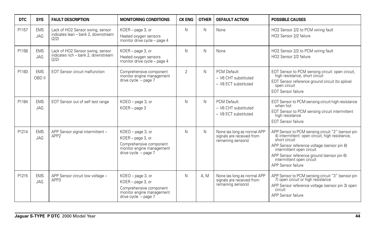| <b>DTC</b> | <b>SYS</b>               | <b>FAULT DESCRIPTION</b>                                                         | <b>MONITORING CONDITIONS</b>                                                                                               | <b>CK ENG</b>  | <b>OTHER</b> | <b>DEFAULT ACTION</b>                                                          | <b>POSSIBLE CAUSES</b>                                                                                                                                                                                                                                                                          |
|------------|--------------------------|----------------------------------------------------------------------------------|----------------------------------------------------------------------------------------------------------------------------|----------------|--------------|--------------------------------------------------------------------------------|-------------------------------------------------------------------------------------------------------------------------------------------------------------------------------------------------------------------------------------------------------------------------------------------------|
| P1157      | <b>EMS</b><br>JAG        | Lack of HO2 Sensor swing, sensor<br>indicates lean - bank 2, downstream<br>(2/2) | KOER - page 3, or<br>Heated oxygen sensors<br>monitor drive cycle - page 4                                                 | N              | N            | None                                                                           | HO2 Sensor 2/2 to PCM wiring fault<br>HO2 Sensor 2/2 failure                                                                                                                                                                                                                                    |
| P1158      | <b>EMS</b><br><b>JAG</b> | Lack of HO2 Sensor swing, sensor<br>indicates rich - bank 2, downstream<br>(2/2) | KOER - page 3, or<br>Heated oxygen sensors<br>monitor drive cycle - page 4                                                 | N              | N            | None                                                                           | HO2 Sensor 2/2 to PCM wiring fault<br>HO2 Sensor 2/2 failure                                                                                                                                                                                                                                    |
| P1183      | <b>EMS</b><br>OBD II     | <b>EOT Sensor circuit malfunction</b>                                            | Comprehensive component<br>monitor engine management<br>drive cycle $-$ page $7$                                           | $\overline{2}$ | N            | PCM Default:<br>- V6 CHT substituted<br>- V8 ECT substituted                   | EOT Sensor to PCM sensing circuit: open circuit,<br>high resistance, short circuit<br>EOT Sensor reference ground circuit (to splice)<br>open circuit<br><b>EOT Sensor failure</b>                                                                                                              |
| P1184      | <b>EMS</b><br><b>JAG</b> | EOT Sensor out of self test range                                                | KOEO - page 3, or<br>$KOER - page 3$                                                                                       | N              | N            | PCM Default:<br>- V6 CHT substituted<br>- V8 ECT substituted                   | EOT Sensor to PCM sensing circuit high resistance<br>when hot<br>EOT Sensor to PCM sensing circuit intermittent<br>high resistance<br><b>EOT Sensor failure</b>                                                                                                                                 |
| P1214      | <b>EMS</b><br>JAG        | APP Sensor signal intermittent -<br>APP <sub>2</sub>                             | KOEO - page 3, or<br>KOER - page 3, or<br>Comprehensive component<br>monitor engine management<br>drive cycle - page 7     | N              | N            | None (as long as normal APP<br>signals are received from<br>remaining sensors) | APP Sensor to PCM sensing circuit "2" (sensor pin 4) intermittent: open circuit, high resistance,<br>short circuit<br>APP Sensor reference voltage (sensor pin 8)<br>intermittent open circuit<br>APP Sensor reference ground (sensor pin 6)<br>intermittent open circuit<br>APP Sensor failure |
| P1215      | <b>EMS</b><br>JAG        | APP Sensor circuit low voltage -<br>APP3                                         | KOEO - page 3, or<br>KOER - page 3, or<br>Comprehensive component<br>monitor engine management<br>drive cycle $-$ page $7$ | N              | A. M         | None (as long as normal APP<br>signals are received from<br>remaining sensors) | APP Sensor to PCM sensing circuit "3" (sensor pin<br>7) open circuit or high resistance<br>APP Sensor reference voltage (sensor pin 3) open<br>circuit<br>APP Sensor failure                                                                                                                    |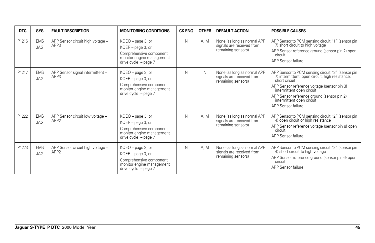| DTC   | <b>SYS</b>               | <b>FAULT DESCRIPTION</b>                              | <b>MONITORING CONDITIONS</b>                                                                                                  | <b>CK ENG</b> | <b>OTHER</b> | <b>DEFAULT ACTION</b>                                                          | <b>POSSIBLE CAUSES</b>                                                                                                                                                                                                                                                                             |
|-------|--------------------------|-------------------------------------------------------|-------------------------------------------------------------------------------------------------------------------------------|---------------|--------------|--------------------------------------------------------------------------------|----------------------------------------------------------------------------------------------------------------------------------------------------------------------------------------------------------------------------------------------------------------------------------------------------|
| P1216 | <b>EMS</b><br>JAG        | APP Sensor circuit high voltage -<br>APP3             | KOEO - page 3, or<br>KOER - page 3, or<br>Comprehensive component<br>monitor engine management<br>drive cycle - page 7        | N             | A, M         | None (as long as normal APP<br>signals are received from<br>remaining sensors) | APP Sensor to PCM sensing circuit "1" (sensor pin<br>7) short circuit to high voltage<br>APP Sensor reference ground (sensor pin 2) open<br>circuit<br>APP Sensor failure                                                                                                                          |
| P1217 | <b>EMS</b><br><b>JAG</b> | APP Sensor signal intermittent -<br>APP3              | KOEO - page 3, or<br>KOER - page 3, or<br>Comprehensive component<br>monitor engine management<br>drive cycle $-$ page 7      | N             | N            | None (as long as normal APP<br>signals are received from<br>remaining sensors) | APP Sensor to PCM sensing circuit "3" (sensor pin<br>7) intermittent: open circuit, high resistance,<br>short circuit<br>APP Sensor reference voltage (sensor pin 3)<br>intermittent open circuit<br>APP Sensor reference ground (sensor pin 2)<br>intermittent open circuit<br>APP Sensor failure |
| P1222 | <b>EMS</b><br>JAG        | APP Sensor circuit low voltage -<br>APP <sub>2</sub>  | KOEO - page 3, or<br>KOER - page 3, or<br>Comprehensive component<br>monitor engine management<br>drive cycle $-$ page $7$    | N             | A. M         | None (as long as normal APP<br>signals are received from<br>remaining sensors) | APP Sensor to PCM sensing circuit "2" (sensor pin<br>4) open circuit or high resistance<br>APP Sensor reference voltage (sensor pin 8) open<br>circuit<br>APP Sensor failure                                                                                                                       |
| P1223 | <b>EMS</b><br><b>JAG</b> | APP Sensor circuit high voltage -<br>APP <sub>2</sub> | KOEO - page 3, or<br>$KOER - page 3$ , or<br>Comprehensive component<br>monitor engine management<br>drive cycle $-$ page $7$ | N             | A, M         | None (as long as normal APP<br>signals are received from<br>remaining sensors) | APP Sensor to PCM sensing circuit "2" (sensor pin<br>4) short circuit to high voltage<br>APP Sensor reference ground (sensor pin 6) open<br>circuit<br>APP Sensor failure                                                                                                                          |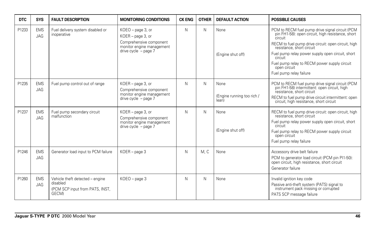| <b>DTC</b> | <b>SYS</b>               | <b>FAULT DESCRIPTION</b>                                                                | <b>MONITORING CONDITIONS</b>                                                                                             | <b>CK ENG</b> | <b>OTHER</b> | <b>DEFAULT ACTION</b>                       | <b>POSSIBLE CAUSES</b>                                                                                                                                                                                                                                                                                                                                        |
|------------|--------------------------|-----------------------------------------------------------------------------------------|--------------------------------------------------------------------------------------------------------------------------|---------------|--------------|---------------------------------------------|---------------------------------------------------------------------------------------------------------------------------------------------------------------------------------------------------------------------------------------------------------------------------------------------------------------------------------------------------------------|
| P1233      | <b>EMS</b><br><b>JAG</b> | Fuel delivery system disabled or<br>inoperative                                         | KOEO - page 3, or<br>KOER - page 3, or<br>Comprehensive component<br>monitor engine management<br>drive $cycle - page 7$ | N             | N            | None<br>(Engine shut off)                   | PCM to RECM fuel pump drive signal circuit (PCM<br>pin FH1-58): open circuit, high resistance, short<br>circuit<br>RECM to fuel pump drive circuit: open circuit, high<br>resistance, short circuit<br>Fuel pump relay power supply open circuit, short<br>circuit<br>Fuel pump relay to RECM power supply circuit<br>open circuit<br>Fuel pump relay failure |
| P1235      | <b>EMS</b><br><b>JAG</b> | Fuel pump control out of range                                                          | KOER - page 3, or<br>Comprehensive component<br>monitor engine management<br>drive cycle $-$ page 7                      | N             | Ν            | None<br>(Engine running too rich /<br>lean) | PCM to RECM fuel pump drive signal circuit (PCM<br>pin FH1-58) intermittent: open circuit, high<br>resistance, short circuit<br>RECM to fuel pump drive circuit intermittent: open<br>circuit, high resistance, short circuit                                                                                                                                 |
| P1237      | <b>EMS</b><br><b>JAG</b> | Fuel pump secondary circuit<br>malfunction                                              | KOER - page 3, or<br>Comprehensive component<br>monitor engine management<br>drive cycle $-$ page $7$                    | N             | Ν            | None<br>(Engine shut off)                   | RECM to fuel pump drive circuit: open circuit, high<br>resistance, short circuit<br>Fuel pump relay power supply open circuit, short<br>circuit<br>Fuel pump relay to RECM power supply circuit<br>open circuit<br>Fuel pump relay failure                                                                                                                    |
| P1246      | <b>EMS</b><br><b>JAG</b> | Generator load input to PCM failure                                                     | KOER - page 3                                                                                                            | N             | M.C          | None                                        | Accessory drive belt failure<br>PCM to generator load circuit (PCM pin PI1-50):<br>open circuit, high resistance, short circuit<br>Generator failure                                                                                                                                                                                                          |
| P1260      | <b>EMS</b><br>JAG        | Vehicle theft detected - engine<br>disabled<br>(PCM SCP input from PATS, INST,<br>GECM) | KOEO - page 3                                                                                                            | N             | Ν            | None                                        | Invalid ignition key code<br>Passive anti-theft system (PATS) signal to<br>instrument pack missing or corrupted<br>PATS SCP message failure                                                                                                                                                                                                                   |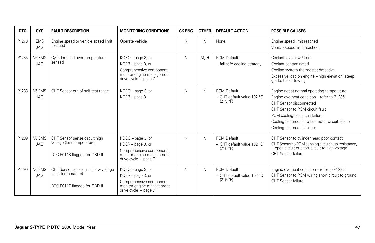| <b>DTC</b> | <b>SYS</b>               | <b>FAULT DESCRIPTION</b>                                                                   | <b>MONITORING CONDITIONS</b>                                                                                               | <b>CK ENG</b> | <b>OTHER</b> | <b>DEFAULT ACTION</b>                                    | <b>POSSIBLE CAUSES</b>                                                                                                                                                                                                                                                     |
|------------|--------------------------|--------------------------------------------------------------------------------------------|----------------------------------------------------------------------------------------------------------------------------|---------------|--------------|----------------------------------------------------------|----------------------------------------------------------------------------------------------------------------------------------------------------------------------------------------------------------------------------------------------------------------------------|
| P1270      | <b>EMS</b><br><b>JAG</b> | Engine speed or vehicle speed limit<br>reached                                             | Operate vehicle                                                                                                            | N             | N            | None                                                     | Engine speed limit reached<br>Vehicle speed limit reached                                                                                                                                                                                                                  |
| P1285      | V6 EMS<br><b>JAG</b>     | Cylinder head over temperature<br>sensed                                                   | KOEO - page 3, or<br>KOER - page 3, or<br>Comprehensive component<br>monitor engine management<br>drive cycle $-$ page 7   | N             | M.H          | PCM Default:<br>- fail-safe cooling strategy             | Coolant level low / leak<br>Coolant contaminated<br>Cooling system thermostat defective<br>Excessive load on engine – high elevation, steep<br>grade, trailer towing                                                                                                       |
| P1288      | V6 EMS<br><b>JAG</b>     | CHT Sensor out of self test range                                                          | KOEO - page 3, or<br>$KOER - page 3$                                                                                       | N             | N            | PCM Default:<br>$-$ CHT default value 102 °C<br>(215 °F) | Engine not at normal operating temperature<br>Engine overheat condition - refer to P1285<br>CHT Sensor disconnected<br>CHT Sensor to PCM circuit fault<br>PCM cooling fan circuit failure<br>Cooling fan module to fan motor circuit failure<br>Cooling fan module failure |
| P1289      | V6 EMS<br><b>JAG</b>     | CHT Sensor sense circuit high<br>voltage (low temperature)<br>DTC P0118 flagged for OBD II | KOEO - page 3, or<br>KOER - page 3, or<br>Comprehensive component<br>monitor engine management<br>drive cycle $-$ page 7   | N             | N            | PCM Default:<br>- CHT default value 102 °C<br>(215 °F)   | CHT Sensor to cylinder head poor contact<br>CHT Sensor to PCM sensing circuit high resistance,<br>open circuit or short circuit to high voltage<br>CHT Sensor failure                                                                                                      |
| P1290      | V6 EMS<br><b>JAG</b>     | CHT Sensor sense circuit low voltage<br>(high temperature)<br>DTC P0117 flagged for OBD II | KOEO - page 3, or<br>KOER - page 3, or<br>Comprehensive component<br>monitor engine management<br>drive cycle $-$ page $7$ | N             | N            | PCM Default:<br>- CHT default value 102 °C<br>(215 °F)   | Engine overheat condition - refer to P1285<br>CHT Sensor to PCM wiring short circuit to ground<br>CHT Sensor failure                                                                                                                                                       |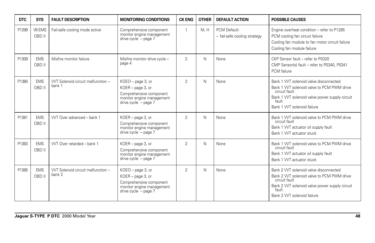| <b>DTC</b> | <b>SYS</b>           | <b>FAULT DESCRIPTION</b>                    | <b>MONITORING CONDITIONS</b>                                                                                                 | <b>CK ENG</b>  | <b>OTHER</b> | <b>DEFAULT ACTION</b>                        | <b>POSSIBLE CAUSES</b>                                                                                                                                                                        |
|------------|----------------------|---------------------------------------------|------------------------------------------------------------------------------------------------------------------------------|----------------|--------------|----------------------------------------------|-----------------------------------------------------------------------------------------------------------------------------------------------------------------------------------------------|
| P1299      | V6 EMS<br>OBD II     | Fail-safe cooling mode active               | Comprehensive component<br>monitor engine management<br>drive cycle - page 7                                                 | 1              | M.H          | PCM Default:<br>- fail-safe cooling strategy | Engine overheat condition - refer to P1285<br>PCM cooling fan circuit failure<br>Cooling fan module to fan motor circuit failure<br>Cooling fan module failure                                |
| P1309      | <b>EMS</b><br>OBD II | Misfire monitor failure                     | Misfire monitor drive cycle -<br>page 4                                                                                      | $\overline{2}$ | N            | None                                         | CKP Sensor fault - refer to P0320<br>CMP Sensor(s) fault - refer to P0340, P0341<br>PCM failure                                                                                               |
| P1380      | <b>EMS</b><br>OBD II | WT Solenoid circuit malfunction -<br>bank 1 | $KOEO$ – page 3, or<br>KOER - page 3, or<br>Comprehensive component<br>monitor engine management<br>drive cycle $-$ page $7$ | $\overline{2}$ | Ν            | None                                         | Bank 1 VVT solenoid valve disconnected<br>Bank 1 WT solenoid valve to PCM PWM drive<br>circuit fault<br>Bank 1 WT solenoid valve power supply circuit<br>fault<br>Bank 1 VVT solenoid failure |
| P1381      | <b>EMS</b><br>OBD II | WT Over advanced - bank 1                   | KOER - page 3, or<br>Comprehensive component<br>monitor engine management<br>drive cycle $-$ page $7$                        | $\overline{2}$ | N            | None                                         | Bank 1 WT solenoid valve to PCM PWM drive<br>circuit fault<br>Bank 1 WT actuator oil supply fault<br>Bank 1 WT actuator stuck                                                                 |
| P1383      | <b>EMS</b><br>OBD II | WT Over retarded - bank 1                   | KOER - page 3, or<br>Comprehensive component<br>monitor engine management<br>drive cycle $-$ page $7$                        | $\overline{2}$ | N            | None                                         | Bank 1 VVT solenoid valve to PCM PWM drive<br>circuit fault<br>Bank 1 VVT actuator oil supply fault<br>Bank 1 WT actuator stuck                                                               |
| P1385      | <b>EMS</b><br>OBD II | WT Solenoid circuit malfunction -<br>bank 2 | KOEO - page 3, or<br>KOER - page 3, or<br>Comprehensive component<br>monitor engine management<br>drive cycle $-$ page $7$   | $\overline{2}$ | Ν            | None                                         | Bank 2 WT solenoid valve disconnected<br>Bank 2 WT solenoid valve to PCM PWM drive<br>circuit fault<br>Bank 2 VVT solenoid valve power supply circuit<br>fault<br>Bank 2 VVT solenoid failure |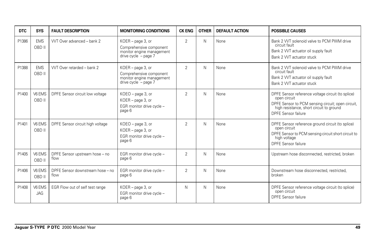| <b>DTC</b> | <b>SYS</b>           | <b>FAULT DESCRIPTION</b>                 | <b>MONITORING CONDITIONS</b>                                                                        | <b>CK ENG</b>  | <b>OTHER</b> | <b>DEFAULT ACTION</b> | <b>POSSIBLE CAUSES</b>                                                                                                                                                                    |
|------------|----------------------|------------------------------------------|-----------------------------------------------------------------------------------------------------|----------------|--------------|-----------------------|-------------------------------------------------------------------------------------------------------------------------------------------------------------------------------------------|
| P1386      | <b>EMS</b><br>OBD II | WT Over advanced - bank 2                | KOER - page 3, or<br>Comprehensive component<br>monitor engine management<br>drive cycle $-$ page 7 | $\overline{2}$ | N            | None                  | Bank 2 WT solenoid valve to PCM PWM drive<br>circuit fault<br>Bank 2 VVT actuator oil supply fault<br>Bank 2 VVT actuator stuck                                                           |
| P1388      | <b>EMS</b><br>OBD II | WT Over retarded - bank 2                | KOER - page 3, or<br>Comprehensive component<br>monitor engine management<br>drive cycle $-$ page 7 | $\overline{2}$ | N            | None                  | Bank 2 WT solenoid valve to PCM PWM drive<br>circuit fault<br>Bank 2 VVT actuator oil supply fault<br>Bank 2 VVT actuator stuck                                                           |
| P1400      | V6 EMS<br>OBD II     | DPFE Sensor circuit low voltage          | KOEO - page 3, or<br>KOER - page 3, or<br>EGR monitor drive cycle -<br>page 6                       | $\overline{2}$ | N            | None                  | DPFE Sensor reference voltage circuit (to splice)<br>open circuit<br>DPFE Sensor to PCM sensing circuit; open circuit,<br>high resistance, short circuit to ground<br>DPFE Sensor failure |
| P1401      | V6 EMS<br>OBD II     | DPFE Sensor circuit high voltage         | KOEO - page 3, or<br>KOER - page 3, or<br>EGR monitor drive cycle -<br>page 6                       | $\overline{2}$ | N            | None                  | DPFE Sensor reference ground circuit (to splice)<br>open circuit<br>DPFE Sensor to PCM sensing circuit short circuit to<br>high voltage<br>DPFE Sensor failure                            |
| P1405      | V6 EMS<br>OBD II     | DPFE Sensor upstream hose - no<br>flow   | EGR monitor drive cycle -<br>page 6                                                                 | $\overline{2}$ | N            | None                  | Upstream hose disconnected, restricted, broken                                                                                                                                            |
| P1406      | V6 EMS<br>OBD II     | DPFE Sensor downstream hose - no<br>flow | EGR monitor drive cycle -<br>page 6                                                                 | $\overline{2}$ | N            | None                  | Downstream hose disconnected, restricted,<br>broken                                                                                                                                       |
| P1408      | V6 EMS<br><b>JAG</b> | EGR Flow out of self test range          | KOER - page 3, or<br>EGR monitor drive cycle -<br>page 6                                            | N              | N            | None                  | DPFE Sensor reference voltage circuit (to splice)<br>open circuit<br>DPFE Sensor failure                                                                                                  |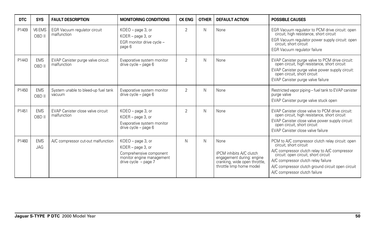| <b>DTC</b> | <b>SYS</b>               | <b>FAULT DESCRIPTION</b>                         | <b>MONITORING CONDITIONS</b>                                                                                             | <b>CK ENG</b>  | <b>OTHER</b> | <b>DEFAULT ACTION</b>                                                                                                      | <b>POSSIBLE CAUSES</b>                                                                                                                                                                                                                                                                           |
|------------|--------------------------|--------------------------------------------------|--------------------------------------------------------------------------------------------------------------------------|----------------|--------------|----------------------------------------------------------------------------------------------------------------------------|--------------------------------------------------------------------------------------------------------------------------------------------------------------------------------------------------------------------------------------------------------------------------------------------------|
| P1409      | V6 EMS<br>OBD II         | EGR Vacuum regulator circuit<br>malfunction      | KOEO - page 3, or<br>KOER - page 3, or<br>EGR monitor drive cycle -<br>page 6                                            | $\overline{2}$ | Ν            | None                                                                                                                       | EGR Vacuum regulator to PCM drive circuit: open<br>circuit, high resistance, short circuit<br>EGR Vacuum regulator power supply circuit: open<br>circuit, short circuit<br>EGR Vacuum regulator failure                                                                                          |
| P1443      | <b>EMS</b><br>OBD II     | EVAP Canister purge valve circuit<br>malfunction | Evaporative system monitor<br>drive cycle - page 6                                                                       | $\overline{2}$ | N            | None                                                                                                                       | EVAP Canister purge valve to PCM drive circuit:<br>open circuit, high resistance, short circuit<br>EVAP Canister purge valve power supply circuit:<br>open circuit, short circuit<br>EVAP Canister purge valve failure                                                                           |
| P1450      | <b>EMS</b><br>OBD II     | System unable to bleed-up fuel tank<br>vacuum    | Evaporative system monitor<br>drive cycle - page 6                                                                       | $\mathfrak{D}$ | N            | None                                                                                                                       | Restricted vapor piping - fuel tank to EVAP canister<br>purge valve<br>EVAP Canister purge valve stuck open                                                                                                                                                                                      |
| P1451      | <b>EMS</b><br>OBD II     | EVAP Canister close valve circuit<br>malfunction | KOEO - page 3, or<br>KOER - page 3, or<br>Evaporative system monitor<br>drive cycle - page 6                             | $\overline{2}$ | N            | None                                                                                                                       | EVAP Canister close valve to PCM drive circuit:<br>open circuit, high resistance, short circuit<br>EVAP Canister close valve power supply circuit:<br>open circuit, short circuit<br>EVAP Canister close valve failure                                                                           |
| P1460      | <b>EMS</b><br><b>JAG</b> | A/C compressor cut-out malfunction               | KOEO - page 3, or<br>KOER - page 3, or<br>Comprehensive component<br>monitor engine management<br>drive cycle $-$ page 7 | Ν              | N            | None<br>(PCM inhibits A/C clutch<br>engagement during: engine<br>cranking, wide open throttle,<br>throttle limp home mode) | PCM to A/C compressor clutch relay circuit: open<br>circuit, short circuit<br>A/C compressor clutch relay to A/C compressor<br>circuit: open circuit, short circuit<br>A/C compressor clutch relay failure<br>A/C compressor clutch ground circuit open circuit<br>A/C compressor clutch failure |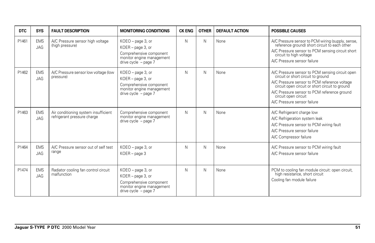| <b>DTC</b> | <b>SYS</b>               | <b>FAULT DESCRIPTION</b>                                            | <b>MONITORING CONDITIONS</b>                                                                                             | <b>CK ENG</b> | <b>OTHER</b> | <b>DEFAULT ACTION</b> | <b>POSSIBLE CAUSES</b>                                                                                                                                                                                                                                                                         |
|------------|--------------------------|---------------------------------------------------------------------|--------------------------------------------------------------------------------------------------------------------------|---------------|--------------|-----------------------|------------------------------------------------------------------------------------------------------------------------------------------------------------------------------------------------------------------------------------------------------------------------------------------------|
| P1461      | <b>EMS</b><br><b>JAG</b> | A/C Pressure sensor high voltage<br>(high pressure)                 | KOEO - page 3, or<br>KOER - page 3, or<br>Comprehensive component<br>monitor engine management<br>drive cycle $-$ page 7 | N             | N            | None                  | A/C Pressure sensor to PCM wiring (supply, sense,<br>reference ground) short circuit to each other<br>A/C Pressure sensor to PCM sensing circuit short<br>circuit to high voltage<br>A/C Pressure sensor failure                                                                               |
| P1462      | <b>EMS</b><br>JAG        | A/C Pressure sensor low voltage (low<br>pressure)                   | KOEO - page 3, or<br>KOER - page 3, or<br>Comprehensive component<br>monitor engine management<br>drive cycle - page 7   | N             | N            | None                  | A/C Pressure sensor to PCM sensing circuit open<br>circuit or short circuit to ground<br>A/C Pressure sensor to PCM reference voltage<br>circuit open circuit or short circuit to ground<br>A/C Pressure sensor to PCM reference ground<br>circuit open circuit<br>A/C Pressure sensor failure |
| P1463      | <b>EMS</b><br><b>JAG</b> | Air conditioning system insufficient<br>refrigerant pressure charge | Comprehensive component<br>monitor engine management<br>drive cycle - page 7                                             | N             | N            | None                  | A/C Refrigerant charge low<br>A/C Refrigeration system leak<br>A/C Pressure sensor to PCM wiring fault<br>A/C Pressure sensor failure<br>A/C Compressor failure                                                                                                                                |
| P1464      | <b>EMS</b><br><b>JAG</b> | A/C Pressure sensor out of self test<br>range                       | KOEO - page 3, or<br>$KOER - page 3$                                                                                     | N             | N            | None                  | A/C Pressure sensor to PCM wiring fault<br>A/C Pressure sensor failure                                                                                                                                                                                                                         |
| P1474      | <b>EMS</b><br><b>JAG</b> | Radiator cooling fan control circuit<br>malfunction                 | KOEO - page 3, or<br>KOER - page 3, or<br>Comprehensive component<br>monitor engine management<br>drive cycle - page 7   | N             | N            | None                  | PCM to cooling fan module circuit: open circuit,<br>high resistance, short circuit<br>Cooling fan module failure                                                                                                                                                                               |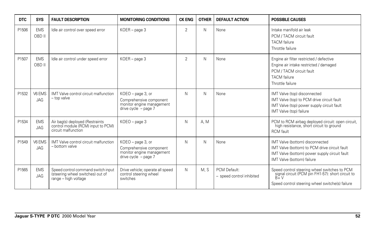| <b>DTC</b> | <b>SYS</b>               | <b>FAULT DESCRIPTION</b>                                                                       | <b>MONITORING CONDITIONS</b>                                                                          | <b>CK ENG</b>  | <b>OTHER</b> | <b>DEFAULT ACTION</b>                     | <b>POSSIBLE CAUSES</b>                                                                                                                                          |
|------------|--------------------------|------------------------------------------------------------------------------------------------|-------------------------------------------------------------------------------------------------------|----------------|--------------|-------------------------------------------|-----------------------------------------------------------------------------------------------------------------------------------------------------------------|
| P1506      | <b>EMS</b><br>OBD II     | Idle air control over speed error                                                              | $KOER - page 3$                                                                                       | 2              | N            | None                                      | Intake manifold air leak<br>PCM / TACM circuit fault<br><b>TACM</b> failure<br>Throttle failure                                                                 |
| P1507      | <b>EMS</b><br>OBD II     | Idle air control under speed error                                                             | $KOER - page 3$                                                                                       | $\overline{2}$ | N            | None                                      | Engine air filter restricted / defective<br>Engine air intake restricted / damaged<br>PCM / TACM circuit fault<br><b>TACM</b> failure<br>Throttle failure       |
| P1532      | V6 EMS<br><b>JAG</b>     | IMT Valve control circuit malfunction<br>- top valve                                           | KOEO - page 3, or<br>Comprehensive component<br>monitor engine management<br>drive cycle $-$ page 7   | N              | N            | None                                      | IMT Valve (top) disconnected<br>IMT Valve (top) to PCM drive circuit fault<br>IMT Valve (top) power supply circuit fault<br>IMT Valve (top) failure             |
| P1534      | <b>EMS</b><br><b>JAG</b> | Air bag(s) deployed (Restraints<br>control module (RCM) input to PCM)<br>circuit malfunction   | KOEO - page 3                                                                                         | N              | A. M         |                                           | PCM to RCM airbag deployed circuit: open circuit,<br>high resistance, short circuit to ground<br><b>RCM</b> fault                                               |
| P1549      | V6 EMS<br><b>JAG</b>     | IMT Valve control circuit malfunction<br>- bottom valve                                        | KOEO - page 3, or<br>Comprehensive component<br>monitor engine management<br>drive cycle $-$ page $7$ | N              | N            | None                                      | IMT Valve (bottom) disconnected<br>IMT Valve (bottom) to PCM drive circuit fault<br>IMT Valve (bottom) power supply circuit fault<br>IMT Valve (bottom) failure |
| P1565      | <b>EMS</b><br>JAG        | Speed control command switch input<br>(steering wheel switches) out of<br>range - high voltage | Drive vehicle; operate all speed<br>control steering wheel<br>switches                                | N              | M.S          | PCM Default:<br>- speed control inhibited | Speed control steering wheel switches to PCM<br>signal circuit (PCM pin FH1-57): short circuit to<br>$B+V$<br>Speed control steering wheel switche(s) failure   |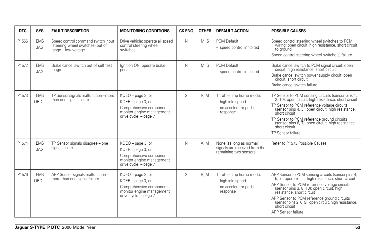| <b>DTC</b> | <b>SYS</b>               | <b>FAULT DESCRIPTION</b>                                                                        | <b>MONITORING CONDITIONS</b>                                                                                             | <b>CK ENG</b>  | <b>OTHER</b> | <b>DEFAULT ACTION</b>                                                               | <b>POSSIBLE CAUSES</b>                                                                                                                                                                                                                                                                                                                                                           |
|------------|--------------------------|-------------------------------------------------------------------------------------------------|--------------------------------------------------------------------------------------------------------------------------|----------------|--------------|-------------------------------------------------------------------------------------|----------------------------------------------------------------------------------------------------------------------------------------------------------------------------------------------------------------------------------------------------------------------------------------------------------------------------------------------------------------------------------|
| P1566      | <b>EMS</b><br>JAG        | Speed control command switch input<br>(steering wheel switches) out of<br>$range - low$ voltage | Drive vehicle; operate all speed<br>control steering wheel<br>switches                                                   | N              | M.S          | PCM Default:<br>- speed control inhibited                                           | Speed control steering wheel switches to PCM<br>wiring: open circuit, high resistance, short circuit<br>to ground<br>Speed control steering wheel switche(s) failure                                                                                                                                                                                                             |
| P1572      | <b>EMS</b><br>JAG        | Brake cancel switch out of self test<br>range                                                   | Ignition ON; operate brake<br>pedal                                                                                      | N              | M. S         | PCM Default:<br>- speed control inhibited                                           | Brake cancel switch to PCM signal circuit: open<br>circuit, high resistance, short circuit<br>Brake cancel switch power supply circuit: open<br>circuit, short circuit<br>Brake cancel switch failure                                                                                                                                                                            |
| P1573      | <b>EMS</b><br>OBD II     | TP Sensor signals malfunction - more<br>than one signal failure                                 | KOEO - page 3, or<br>KOER - page 3, or<br>Comprehensive component<br>monitor engine management<br>drive cycle - page 7   | $\overline{2}$ | R.M          | Throttle limp home mode:<br>- high idle speed<br>- no accelerator pedal<br>response | TP Sensor to PCM sensing circuits (sensor pins 1)<br>2, 10): open circuit, high resistance, short circuit<br>TP Sensor to PCM reference voltage circuits<br>(sensor pins 4, 3): open circuit, high resistance,<br>short circuit<br>TP Sensor to PCM reference ground circuits<br>(sensor pins 6, 7): open circuit, high resistance,<br>short circuit<br>TP Sensor failure        |
| P1574      | <b>EMS</b><br><b>JAG</b> | TP Sensor signals disagree - one<br>signal failure                                              | KOEO - page 3, or<br>KOER - page 3, or<br>Comprehensive component<br>monitor engine management<br>drive cycle $-$ page 7 | N              | A. M         | None (as long as normal<br>signals are received from the<br>remaining two sensors)  | Refer to P1573 Possible Causes                                                                                                                                                                                                                                                                                                                                                   |
| P1576      | <b>EMS</b><br>OBD II     | APP Sensor signals malfunction -<br>more than one signal failure                                | KOEO - page 3, or<br>KOER - page 3, or<br>Comprehensive component<br>monitor engine management<br>drive cycle - page 7   | $\overline{2}$ | R.M          | Throttle limp home mode:<br>- high idle speed<br>- no accelerator pedal<br>response | APP Sensor to PCM sensing circuits (sensor pins 4, 5, 7): open circuit, high resistance, short circuit<br>APP Sensor to PCM reference voltage circuits<br>(sensor pins 3, 8, 10): open circuit, high<br>resistance, short circuit<br>APP Sensor to PCM reference ground circuits<br>(sensor pins 2, 6, 9): open circuit, high resistance,<br>short circuit<br>APP Sensor failure |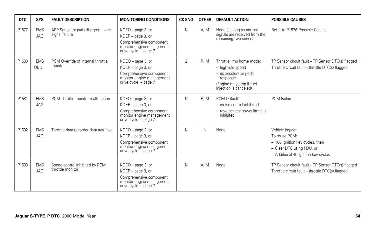| <b>DTC</b> | <b>SYS</b>               | <b>FAULT DESCRIPTION</b>                            | <b>MONITORING CONDITIONS</b>                                                                                               | <b>CK ENG</b>  | <b>OTHER</b> | <b>DEFAULT ACTION</b>                                                                                                                     | <b>POSSIBLE CAUSES</b>                                                                                                                 |
|------------|--------------------------|-----------------------------------------------------|----------------------------------------------------------------------------------------------------------------------------|----------------|--------------|-------------------------------------------------------------------------------------------------------------------------------------------|----------------------------------------------------------------------------------------------------------------------------------------|
| P1577      | <b>EMS</b><br><b>JAG</b> | APP Sensor signals disagree - one<br>signal failure | KOEO - page 3, or<br>KOER - page 3, or<br>Comprehensive component<br>monitor engine management<br>drive cycle $-$ page $7$ | N              | A. M         | None (as long as normal<br>signals are received from the<br>remaining two sensors)                                                        | Refer to P1576 Possible Causes                                                                                                         |
| P1580      | <b>EMS</b><br>OBD II     | PCM Override of internal throttle<br>monitor        | KOEO - page 3, or<br>KOER - page 3, or<br>Comprehensive component<br>monitor engine management<br>drive cycle $-$ page 7   | $\overline{2}$ | <b>R. M</b>  | Throttle limp home mode:<br>- high idle speed<br>- no accelerator pedal<br>response<br>(Engine may stop if fuel<br>injection is canceled) | TP Sensor circuit fault - TP Sensor DTC(s) flagged<br>Throttle circuit fault - throttle DTC(s) flagged                                 |
| P1581      | <b>EMS</b><br>JAG        | PCM Throttle monitor malfunction                    | KOEO - page 3, or<br>KOER - page 3, or<br>Comprehensive component<br>monitor engine management<br>drive cycle - page 7     | N              | R.M          | PCM Default:<br>- cruise control inhibited<br>- reverse gear power limiting<br>inhibited                                                  | <b>PCM Failure</b>                                                                                                                     |
| P1582      | <b>EMS</b><br><b>JAG</b> | Throttle data recorder data available               | $KOEO$ – page 3, or<br>KOER - page 3, or<br>Comprehensive component<br>monitor engine management<br>drive cycle $-$ page 7 | Ν              | Ν            | None                                                                                                                                      | Vehicle impact<br>To reuse PCM:<br>- 100 Ignition key cycles, then<br>- Clear DTC using PDU, or<br>- Additional 40 ignition key cycles |
| P1583      | <b>EMS</b><br>JAG        | Speed control inhibited by PCM<br>throttle monitor  | KOEO - page 3, or<br>KOER - page 3, or<br>Comprehensive component<br>monitor engine management<br>drive cycle - page 7     | N              | A. M         | None                                                                                                                                      | TP Sensor circuit fault - TP Sensor DTC(s) flagged<br>Throttle circuit fault - throttle DTC(s) flagged                                 |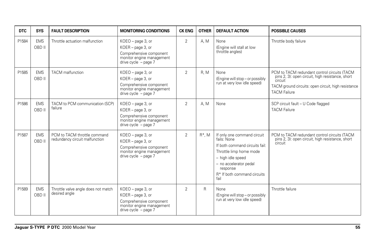| <b>DTC</b> | <b>SYS</b>           | <b>FAULT DESCRIPTION</b>                                       | <b>MONITORING CONDITIONS</b>                                                                                               | <b>CK ENG</b>  | <b>OTHER</b> | <b>DEFAULT ACTION</b>                                                                                                                                                                                                 | <b>POSSIBLE CAUSES</b>                                                                                                                                                                    |
|------------|----------------------|----------------------------------------------------------------|----------------------------------------------------------------------------------------------------------------------------|----------------|--------------|-----------------------------------------------------------------------------------------------------------------------------------------------------------------------------------------------------------------------|-------------------------------------------------------------------------------------------------------------------------------------------------------------------------------------------|
| P1584      | <b>EMS</b><br>OBD II | Throttle actuation malfunction                                 | $KOEO$ – page 3, or<br>KOER - page 3, or<br>Comprehensive component<br>monitor engine management<br>drive cycle - page 7   | $\overline{2}$ | A. M.        | None<br>(Engine will stall at low<br>throttle angles)                                                                                                                                                                 | Throttle body failure                                                                                                                                                                     |
| P1585      | <b>EMS</b><br>OBD II | <b>TACM</b> malfunction                                        | $KOEO$ – page 3, or<br>KOER - page 3, or<br>Comprehensive component<br>monitor engine management<br>drive cycle $-$ page 7 | $\overline{2}$ | R.M          | None<br>(Engine will stop - or possibly<br>run at very low idle speed)                                                                                                                                                | PCM to TACM redundant control circuits (TACM<br>pins 2, 3): open circuit, high resistance, short<br>circuit<br>TACM ground circuits: open circuit, high resistance<br><b>TACM Failure</b> |
| P1586      | <b>EMS</b><br>OBD II | TACM to PCM communication (SCP)<br>failure                     | $KOEO$ – page 3, or<br>KOER - page 3, or<br>Comprehensive component<br>monitor engine management<br>drive cycle $-$ page 7 | $\overline{2}$ | A. M         | None                                                                                                                                                                                                                  | SCP circuit fault - U Code flagged<br><b>TACM Failure</b>                                                                                                                                 |
| P1587      | <b>EMS</b><br>OBD II | PCM to TACM throttle command<br>redundancy circuit malfunction | $KOEO$ – page 3, or<br>KOER - page 3, or<br>Comprehensive component<br>monitor engine management<br>drive cycle $-$ page 7 | $\overline{2}$ | $R^*$ . M    | If only one command circuit<br>fails: None<br>If both command circuits fail:<br>Throttle limp home mode<br>- high idle speed<br>- no accelerator pedal<br>response<br>R <sup>*</sup> If both command circuits<br>fail | PCM to TACM redundant control circuits (TACM<br>pins 2, 3): open circuit, high resistance, short<br>circuit                                                                               |
| P1589      | <b>EMS</b><br>OBD II | Throttle valve angle does not match<br>desired angle           | $KOEO$ – page 3, or<br>KOER - page 3, or<br>Comprehensive component<br>monitor engine management<br>drive cycle $-$ page 7 | $\overline{2}$ | R            | None<br>(Engine will stop - or possibly<br>run at very low idle speed)                                                                                                                                                | Throttle failure                                                                                                                                                                          |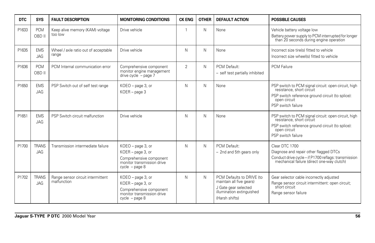| <b>DTC</b> | <b>SYS</b>               | <b>FAULT DESCRIPTION</b>                         | <b>MONITORING CONDITIONS</b>                                                                                        | <b>CK ENG</b>  | <b>OTHER</b> | <b>DEFAULT ACTION</b>                                                                                                        | <b>POSSIBLE CAUSES</b>                                                                                                                                                      |
|------------|--------------------------|--------------------------------------------------|---------------------------------------------------------------------------------------------------------------------|----------------|--------------|------------------------------------------------------------------------------------------------------------------------------|-----------------------------------------------------------------------------------------------------------------------------------------------------------------------------|
| P1633      | <b>PCM</b><br>OBD II     | Keep alive memory (KAM) voltage<br>too low       | Drive vehicle                                                                                                       |                | N            | None                                                                                                                         | Vehicle battery voltage low<br>Battery power supply to PCM interrupted for longer<br>than 20 seconds during engine operation                                                |
| P1635      | <b>EMS</b><br>JAG        | Wheel / axle ratio out of acceptable<br>range    | Drive vehicle                                                                                                       | N              | N            | None                                                                                                                         | Incorrect size tire(s) fitted to vehicle<br>Incorrect size wheel(s) fitted to vehicle                                                                                       |
| P1636      | <b>PCM</b><br>OBD II     | PCM Internal communication error                 | Comprehensive component<br>monitor engine management<br>drive cycle - page 7                                        | $\overline{2}$ | N            | PCM Default:<br>- self test partially inhibited                                                                              | <b>PCM Failure</b>                                                                                                                                                          |
| P1650      | <b>EMS</b><br><b>JAG</b> | PSP Switch out of self test range                | KOEO - page 3, or<br>$KOER - page 3$                                                                                | N              | N            | None                                                                                                                         | PSP switch to PCM signal circuit: open circuit, high<br>resistance, short circuit<br>PSP switch reference ground circuit (to splice):<br>open circuit<br>PSP switch failure |
| P1651      | <b>EMS</b><br><b>JAG</b> | PSP Switch circuit malfunction                   | Drive vehicle                                                                                                       | N              | N            | None                                                                                                                         | PSP switch to PCM signal circuit: open circuit, high<br>resistance, short circuit<br>PSP switch reference ground circuit (to splice):<br>open circuit<br>PSP switch failure |
| P1700      | <b>TRANS</b><br>JAG      | Transmission intermediate failure                | KOEO - page 3, or<br>KOER - page 3, or<br>Comprehensive component<br>monitor transmission drive<br>$cycle - page 8$ | N              | N            | PCM Default:<br>- 2nd and 5th gears only                                                                                     | Clear DTC 1700<br>Diagnose and repair other flagged DTCs<br>Conduct drive cycle - if P1700 reflags: transmission<br>mechanical failure (direct one-way clutch)              |
| P1702      | <b>TRANS</b><br>JAG      | Range sensor circuit intermittent<br>malfunction | KOEO - page 3, or<br>KOER - page 3, or<br>Comprehensive component<br>monitor transmission drive<br>$cycle - page 8$ | N              | N            | PCM Defaults to DRIVE (to<br>maintain all five gears)<br>J Gate gear selected<br>illumination extinguished<br>(Harsh shifts) | Gear selector cable incorrectly adjusted<br>Range sensor circuit intermittent: open circuit;<br>short circuit<br>Range sensor failure                                       |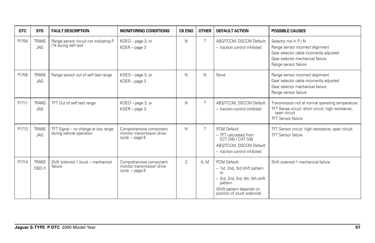| <b>DTC</b> | <b>SYS</b>                 | <b>FAULT DESCRIPTION</b>                                        | <b>MONITORING CONDITIONS</b>                                              | <b>CK ENG</b>  | <b>OTHER</b> | <b>DEFAULT ACTION</b>                                                                                                                                         | <b>POSSIBLE CAUSES</b>                                                                                                                                            |
|------------|----------------------------|-----------------------------------------------------------------|---------------------------------------------------------------------------|----------------|--------------|---------------------------------------------------------------------------------------------------------------------------------------------------------------|-------------------------------------------------------------------------------------------------------------------------------------------------------------------|
| P1704      | <b>TRANS</b><br>JAG        | Range sensor circuit not indicating P<br>/ N during self test   | KOEO - page 3, or<br>KOER - page 3                                        | N              | T            | ABS/TCCM, DSCCM Default:<br>- traction control inhibited                                                                                                      | Selector not in P / N<br>Range sensor incorrect alignment<br>Gear selector cable incorrectly adjusted<br>Gear selector mechanical failure<br>Range sensor failure |
| P1705      | <b>TRANS</b><br>JAG        | Range sensor out of self test range                             | KOEO - page 3, or<br>$KOER - page 3$                                      | N              | N            | None                                                                                                                                                          | Range sensor incorrect alignment<br>Gear selector cable incorrectly adjusted<br>Gear selector mechanical failure<br>Range sensor failure                          |
| P1711      | <b>TRANS</b><br>JAG        | TFT Out of self test range                                      | KOEO - page 3, or<br>$KOER - page 3$                                      | N              |              | ABS/TCCM, DSCCM Default:<br>- traction control inhibited                                                                                                      | Transmission not at normal operating temperature<br>TFT Sense circuit: short circuit; high resistance;<br>open circuit<br><b>TFT Sensor failure</b>               |
| P1713      | <b>TRANS</b><br><b>JAG</b> | TFT Signal - no change at low range<br>during vehicle operation | Comprehensive component<br>monitor transmission drive<br>$cycle - page 8$ | N              | T            | PCM Default:<br>- TFT calculated from<br>ECT (V8) / CHT (V6)<br>ABS/TCCM, DSCCM Default:<br>- traction control inhibited                                      | TFT Sensor circuit: high resistance; open circuit<br><b>TFT Sensor failure</b>                                                                                    |
| P1714      | <b>TRANS</b><br>OBD II     | Shift solenoid 1 stuck - mechanical<br>failure                  | Comprehensive component<br>monitor transmission drive<br>$cycle - page 8$ | $\overline{2}$ | A. M         | PCM Default:<br>- 1st, 2nd, 3rd shift pattern<br>or<br>- 3rd, 2nd, 3rd, 4th, 5th shift<br>pattern<br>(Shift pattern depends on<br>position of stuck solenoid) | Shift solenoid 1 mechanical failure                                                                                                                               |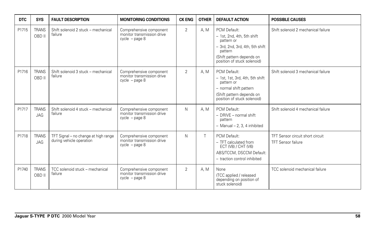| <b>DTC</b> | <b>SYS</b>                 | <b>FAULT DESCRIPTION</b>                                         | <b>MONITORING CONDITIONS</b>                                              | <b>CK ENG</b>  | <b>OTHER</b> | <b>DEFAULT ACTION</b>                                                                                                                                              | <b>POSSIBLE CAUSES</b>                                        |
|------------|----------------------------|------------------------------------------------------------------|---------------------------------------------------------------------------|----------------|--------------|--------------------------------------------------------------------------------------------------------------------------------------------------------------------|---------------------------------------------------------------|
| P1715      | <b>TRANS</b><br>OBD II     | Shift solenoid 2 stuck - mechanical<br>failure                   | Comprehensive component<br>monitor transmission drive<br>$cycle - page 8$ | $\overline{2}$ | A, M         | PCM Default:<br>- 1st, 2nd, 4th, 5th shift<br>pattern or<br>- 3rd, 2nd, 3rd, 4th, 5th shift<br>pattern<br>(Shift pattern depends on<br>position of stuck solenoid) | Shift solenoid 2 mechanical failure                           |
| P1716      | <b>TRANS</b><br>OBD II     | Shift solenoid 3 stuck - mechanical<br>failure                   | Comprehensive component<br>monitor transmission drive<br>$cycle - page 8$ | $\overline{2}$ | A. M         | PCM Default:<br>- 1st, 1st, 3rd, 4th, 5th shift<br>pattern or<br>- normal shift pattern<br>(Shift pattern depends on<br>position of stuck solenoid)                | Shift solenoid 3 mechanical failure                           |
| P1717      | <b>TRANS</b><br><b>JAG</b> | Shift solenoid 4 stuck - mechanical<br>failure                   | Comprehensive component<br>monitor transmission drive<br>$cycle - page 8$ | N              | A.M          | PCM Default:<br>$-$ DRIVE $-$ normal shift<br>pattern<br>$-$ Manual $-$ 2, 3, 4 inhibited                                                                          | Shift solenoid 4 mechanical failure                           |
| P1718      | <b>TRANS</b><br>JAG        | TFT Signal - no change at high range<br>during vehicle operation | Comprehensive component<br>monitor transmission drive<br>$cycle - page 8$ | N              | T.           | PCM Default:<br>- TFT calculated from<br>ECT (V8) / CHT (V6)<br>ABS/TCCM, DSCCM Default:<br>- traction control inhibited                                           | TFT Sensor circuit short circuit<br><b>TFT Sensor failure</b> |
| P1740      | <b>TRANS</b><br>OBD II     | TCC solenoid stuck - mechanical<br>failure                       | Comprehensive component<br>monitor transmission drive<br>$cycle - page 8$ | $\overline{2}$ | A. M.        | None<br>(TCC applied / released<br>depending on position of<br>stuck solenoid)                                                                                     | TCC solenoid mechanical failure                               |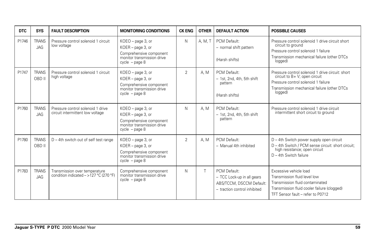| <b>DTC</b> | <b>SYS</b>                 | <b>FAULT DESCRIPTION</b>                                                  | <b>MONITORING CONDITIONS</b>                                                                                        | <b>CK ENG</b>  | <b>OTHER</b> | <b>DEFAULT ACTION</b>                                                                                  | <b>POSSIBLE CAUSES</b>                                                                                                                                                             |
|------------|----------------------------|---------------------------------------------------------------------------|---------------------------------------------------------------------------------------------------------------------|----------------|--------------|--------------------------------------------------------------------------------------------------------|------------------------------------------------------------------------------------------------------------------------------------------------------------------------------------|
| P1746      | <b>TRANS</b><br><b>JAG</b> | Pressure control solenoid 1 circuit<br>low voltage                        | KOEO - page 3, or<br>KOER - page 3, or<br>Comprehensive component<br>monitor transmission drive<br>$cycle - page 8$ | N              | A, M, T      | PCM Default:<br>- normal shift pattern<br>(Harsh shifts)                                               | Pressure control solenoid 1 drive circuit short<br>circuit to ground<br>Pressure control solenoid 1 failure<br>Transmission mechanical failure (other DTCs<br>logged)              |
| P1747      | <b>TRANS</b><br>OBD II     | Pressure control solenoid 1 circuit<br>high voltage                       | KOEO - page 3, or<br>KOER - page 3, or<br>Comprehensive component<br>monitor transmission drive<br>$cycle - page 8$ | $\overline{2}$ | A.M          | PCM Default:<br>- 1st, 2nd, 4th, 5th shift<br>pattern<br>(Harsh shifts)                                | Pressure control solenoid 1 drive circuit: short<br>circuit to B+ V; open circuit<br>Pressure control solenoid 1 failure<br>Transmission mechanical failure (other DTCs<br>logged) |
| P1760      | <b>TRANS</b><br>JAG        | Pressure control solenoid 1 drive<br>circuit intermittent low voltage     | KOEO - page 3, or<br>KOER - page 3, or<br>Comprehensive component<br>monitor transmission drive<br>$cycle - page 8$ | N              | A.M          | PCM Default:<br>- 1st, 2nd, 4th, 5th shift<br>pattern                                                  | Pressure control solenoid 1 drive circuit<br>intermittent short circuit to ground                                                                                                  |
| P1780      | <b>TRANS</b><br>OBD II     | D - 4th switch out of self test range                                     | KOEO - page 3, or<br>KOER - page 3, or<br>Comprehensive component<br>monitor transmission drive<br>$cycle - page 8$ | $\overline{2}$ | A.M          | PCM Default:<br>- Manual 4th inhibited                                                                 | D - 4th Switch power supply open circuit<br>D - 4th Switch / PCM sense circuit: short circuit:<br>high resistance; open circuit<br>$D - 4$ th Switch failure                       |
| P1783      | <b>TRANS</b><br><b>JAG</b> | Transmission over temperature<br>condition indicated $-$ >127 °C (270 °F) | Comprehensive component<br>monitor transmission drive<br>$cycle - page 8$                                           | N              |              | PCM Default:<br>- TCC Lock-up in all gears<br>ABS/TCCM, DSCCM Default:<br>- traction control inhibited | Excessive vehicle load<br>Transmission fluid level low<br>Transmission fluid contaminated<br>Transmission fluid cooler failure (clogged)<br>TFT Sensor fault - refer to P0712      |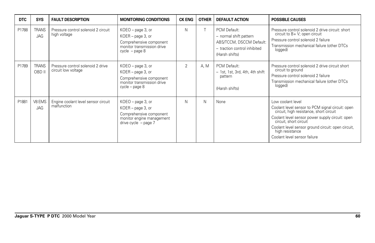| <b>DTC</b> | <b>SYS</b>             | <b>FAULT DESCRIPTION</b>                                 | <b>MONITORING CONDITIONS</b>                                                                                             | <b>CK ENG</b>  | <b>OTHER</b> | <b>DEFAULT ACTION</b>                                                                                                | <b>POSSIBLE CAUSES</b>                                                                                                                                                                                                                                                                                 |
|------------|------------------------|----------------------------------------------------------|--------------------------------------------------------------------------------------------------------------------------|----------------|--------------|----------------------------------------------------------------------------------------------------------------------|--------------------------------------------------------------------------------------------------------------------------------------------------------------------------------------------------------------------------------------------------------------------------------------------------------|
| P1788      | <b>TRANS</b><br>JAG    | Pressure control solenoid 2 circuit<br>high voltage      | $KOEO$ – page 3, or<br>KOER - page 3, or<br>Comprehensive component<br>monitor transmission drive<br>$cycle - page 8$    | N              |              | PCM Default:<br>- normal shift pattern<br>ABS/TCCM, DSCCM Default:<br>- traction control inhibited<br>(Harsh shifts) | Pressure control solenoid 2 drive circuit: short<br>circuit to B+ V; open circuit<br>Pressure control solenoid 2 failure<br>Transmission mechanical failure (other DTCs<br>logged)                                                                                                                     |
| P1789      | <b>TRANS</b><br>OBD II | Pressure control solenoid 2 drive<br>circuit low voltage | KOEO - page 3, or<br>KOER - page 3, or<br>Comprehensive component<br>monitor transmission drive<br>cycle – page 8        | $\overline{2}$ | A.M          | PCM Default:<br>- 1st, 1st, 3rd, 4th, 4th shift<br>pattern<br>(Harsh shifts)                                         | Pressure control solenoid 2 drive circuit short<br>circuit to ground<br>Pressure control solenoid 2 failure<br>Transmission mechanical failure (other DTCs<br>logged)                                                                                                                                  |
| P1881      | V8 EMS<br>JAG          | Engine coolant level sensor circuit<br>malfunction       | KOEO - page 3, or<br>KOER - page 3, or<br>Comprehensive component<br>monitor engine management<br>drive cycle $-$ page 7 | N              | N            | None                                                                                                                 | Low coolant level<br>Coolant level sensor to PCM signal circuit: open<br>circuit, high resistance, short circuit<br>Coolant level sensor power supply circuit: open<br>circuit, short circuit<br>Coolant level sensor ground circuit: open circuit,<br>high resistance<br>Coolant level sensor failure |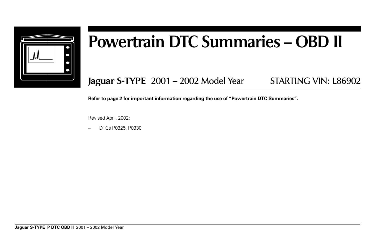

# **Powertrain DTC Summaries – OBD II**

**Jaguar S-TYPE** 2001 – 2002 Model Year STARTING VIN: L86902

**Refer to page 2 for important information regarding the use of "Powertrain DTC Summaries".**

Revised April, 2002:

– DTCs P0325, P0330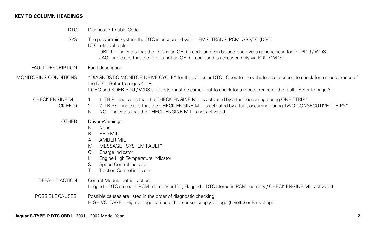## **KEY TO COLUMN HEADINGS**

| <b>DTC</b>                   | Diagnostic Trouble Code.                                                                                                                                                                                                                                                                                           |
|------------------------------|--------------------------------------------------------------------------------------------------------------------------------------------------------------------------------------------------------------------------------------------------------------------------------------------------------------------|
| <b>SYS</b>                   | The powertrain system the DTC is associated with – EMS, TRANS, PCM, ABS/TC (DSC).<br>DTC retrieval tools:<br>OBD II – indicates that the DTC is an OBD II code and can be accessed via a generic scan tool or PDU / WDS.<br>JAG – indicates that the DTC is not an OBD II code and is accessed only via PDU / WDS. |
| <b>FAULT DESCRIPTION</b>     | Fault description.                                                                                                                                                                                                                                                                                                 |
| MONITORING CONDITIONS        | "DIAGNOSTIC MONITOR DRIVE CYCLE" for the particular DTC. Operate the vehicle as described to check for a reoccurrence of<br>the DTC. Refer to pages $4 - 8$ .<br>KOEO and KOER PDU / WDS self tests must be carried out to check for a reoccurrence of the fault. Refer to page 3.                                 |
| CHECK ENGINE MIL<br>(CK ENG) | 1 TRIP – indicates that the CHECK ENGINE MIL is activated by a fault occurring during ONE "TRIP".<br>2 TRIPS - indicates that the CHECK ENGINE MIL is activated by a fault occurring during TWO CONSECUTIVE "TRIPS".<br>2<br>NO – indicates that the CHECK ENGINE MIL is not activated.<br>N                       |
| <b>OTHER</b>                 | Driver Warnings:<br>None<br>N.<br><b>RED MIL</b><br>R<br><b>AMBER MIL</b><br>A<br>MESSAGE "SYSTEM FAULT"<br>M<br>Charge indicator<br>C<br>Engine High Temperature indicator<br>H<br>Speed Control indicator<br>S<br><b>Traction Control indicator</b>                                                              |
| <b>DEFAULT ACTION</b>        | Control Module default action:<br>Logged – DTC stored in PCM memory buffer; Flagged – DTC stored in PCM memory / CHECK ENGINE MIL activated.                                                                                                                                                                       |
| POSSIBLE CAUSES              | Possible causes are listed in the order of diagnostic checking.<br>HIGH VOLTAGE – High voltage can be either sensor supply voltage (5 volts) or $B+$ voltage.                                                                                                                                                      |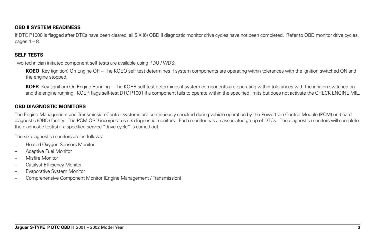#### **OBD II SYSTEM READINESS**

If DTC P1000 is flagged after DTCs have been cleared, all SIX (6) OBD II diagnostic monitor drive cycles have not been completed. Refer to OBD monitor drive cycles, pages  $4 - 8$ .

#### **SELF TESTS**

Two technician initiated component self tests are available using PDU / WDS:

**KOEO** Key (ignition) On Engine Off – The KOEO self test determines if system components are operating within tolerances with the ignition switched ON and the engine stopped.

**KOER** Key (ignition) On Engine Running – The KOER self test determines if system components are operating within tolerances with the ignition switched on and the engine running. KOER flags self-test DTC P1001 if a component fails to operate within the specified limits but does not activate the CHECK ENGINE MIL.

### **OBD DIAGNOSTIC MONITORS**

The Engine Management and Transmission Control systems are continuously checked during vehicle operation by the Powertrain Control Module (PCM) on-board diagnostic (OBD) facility. The PCM OBD incorporates six diagnostic monitors. Each monitor has an associated group of DTCs. The diagnostic monitors will complete the diagnostic test(s) if a specified service "drive cycle" is carried out.

The six diagnostic monitors are as follows:

- Heated Oxygen Sensors Monitor
- Adaptive Fuel Monitor
- Misfire Monitor
- Catalyst Efficiency Monitor
- Evaporative System Monitor
- Comprehensive Component Monitor (Engine Management / Transmission)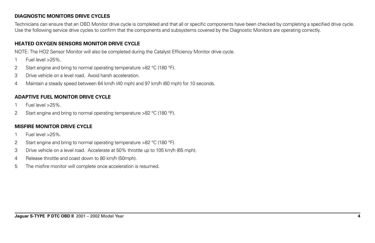## **DIAGNOSTIC MONITORS DRIVE CYCLES**

Technicians can ensure that an OBD Monitor drive cycle is completed and that all or specific components have been checked by completing a specified drive cycle. Use the following service drive cycles to confirm that the components and subsystems covered by the Diagnostic Monitors are operating correctly.

#### **HEATED OXYGEN SENSORS MONITOR DRIVE CYCLE**

NOTE: The HO2 Sensor Monitor will also be completed during the Catalyst Efficiency Monitor drive cycle.

- 1 Fuel level >25%.
- 2 Start engine and bring to normal operating temperature >82 °C (180 °F).
- 3 Drive vehicle on a level road. Avoid harsh acceleration.
- 4 Maintain a steady speed between 64 km/h (40 mph) and 97 km/h (60 mph) for 10 seconds.

## **ADAPTIVE FUEL MONITOR DRIVE CYCLE**

- 1 Fuel level >25%.
- 2 Start engine and bring to normal operating temperature >82 °C (180 °F).

### **MISFIRE MONITOR DRIVE CYCLE**

- 1 Fuel level >25%.
- 2 Start engine and bring to normal operating temperature >82 °C (180 °F).
- 3 Drive vehicle on a level road. Accelerate at 50% throttle up to 105 km/h (65 mph).
- 4 Release throttle and coast down to 80 km/h (50mph).
- 5 The misfire monitor will complete once acceleration is resumed.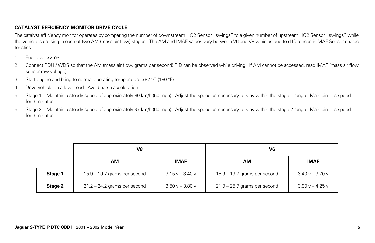## **CATALYST EFFICIENCY MONITOR DRIVE CYCLE**

The catalyst efficiency monitor operates by comparing the number of downstream HO2 Sensor "swings" to a given number of upstream HO2 Sensor "swings" while the vehicle is cruising in each of two AM (mass air flow) stages. The AM and IMAF values vary between V6 and V8 vehicles due to differences in MAF Sensor characteristics.

- 1 Fuel level >25%.
- 2 Connect PDU / WDS so that the AM (mass air flow, grams per second) PID can be observed while driving. If AM cannot be accessed, read IMAF (mass air flow sensor raw voltage).
- 3 Start engine and bring to normal operating temperature >82 °C (180 °F).
- 4 Drive vehicle on a level road. Avoid harsh acceleration.
- 5 Stage 1 Maintain a steady speed of approximately 80 km/h (50 mph). Adjust the speed as necessary to stay within the stage 1 range. Maintain this speed for 3 minutes.
- 6 Stage 2 Maintain a steady speed of approximately 97 km/h (60 mph). Adjust the speed as necessary to stay within the stage 2 range. Maintain this speed for 3 minutes.

|         | V8                             |                 | V6                             |                   |  |
|---------|--------------------------------|-----------------|--------------------------------|-------------------|--|
|         | АM                             | <b>IMAF</b>     | AM                             | <b>IMAF</b>       |  |
| Stage 1 | 15.9 - 19.7 grams per second   | $3.15v - 3.40v$ | 15.9 - 19.7 grams per second   | $3.40 v - 3.70 v$ |  |
| Stage 2 | $21.2 - 24.2$ grams per second | $3.50v - 3.80v$ | $21.9 - 25.7$ grams per second | $3.90 v - 4.25 v$ |  |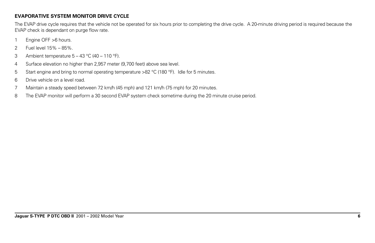## **EVAPORATIVE SYSTEM MONITOR DRIVE CYCLE**

The EVAP drive cycle requires that the vehicle not be operated for six hours prior to completing the drive cycle. A 20-minute driving period is required because the EVAP check is dependant on purge flow rate.

- 1 Engine OFF >6 hours.
- 2 Fuel level 15% 85%.
- 3 Ambient temperature  $5 43$  °C (40 110 °F).
- 4 Surface elevation no higher than 2,957 meter (9,700 feet) above sea level.
- 5 Start engine and bring to normal operating temperature >82 °C (180 °F). Idle for 5 minutes.
- 6 Drive vehicle on a level road.
- 7 Maintain a steady speed between 72 km/h (45 mph) and 121 km/h (75 mph) for 20 minutes.
- 8 The EVAP monitor will perform a 30 second EVAP system check sometime during the 20 minute cruise period.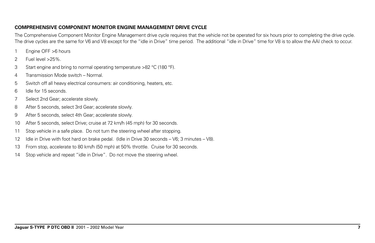#### **COMPREHENSIVE COMPONENT MONITOR ENGINE MANAGEMENT DRIVE CYCLE**

The Comprehensive Component Monitor Engine Management drive cycle requires that the vehicle not be operated for six hours prior to completing the drive cycle. The drive cycles are the same for V6 and V8 except for the "idle in Drive" time period. The additional "idle in Drive" time for V8 is to allow the AAI check to occur.

- 1 Engine OFF >6 hours
- 2 Fuel level >25%.
- 3 Start engine and bring to normal operating temperature >82 °C (180 °F).
- 4 Transmission Mode switch Normal.
- 5 Switch off all heavy electrical consumers: air conditioning, heaters, etc.
- 6 Idle for 15 seconds.
- 7 Select 2nd Gear; accelerate slowly.
- 8 After 5 seconds, select 3rd Gear; accelerate slowly.
- 9 After 5 seconds, select 4th Gear; accelerate slowly.
- 10 After 5 seconds, select Drive; cruise at 72 km/h (45 mph) for 30 seconds.
- 11 Stop vehicle in a safe place. Do not turn the steering wheel after stopping.
- 12 Idle in Drive with foot hard on brake pedal. (Idle in Drive 30 seconds V6; 3 minutes V8).
- 13 From stop, accelerate to 80 km/h (50 mph) at 50% throttle. Cruise for 30 seconds.
- 14 Stop vehicle and repeat "idle in Drive". Do not move the steering wheel.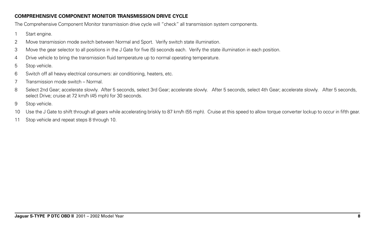### **COMPREHENSIVE COMPONENT MONITOR TRANSMISSION DRIVE CYCLE**

The Comprehensive Component Monitor transmission drive cycle will "check" all transmission system components.

- 1 Start engine.
- 2 Move transmission mode switch between Normal and Sport. Verify switch state illumination.
- 3 Move the gear selector to all positions in the J Gate for five (5) seconds each. Verify the state illumination in each position.
- 4 Drive vehicle to bring the transmission fluid temperature up to normal operating temperature.
- 5 Stop vehicle.
- 6 Switch off all heavy electrical consumers: air conditioning, heaters, etc.
- 7 Transmission mode switch Normal.
- 8 Select 2nd Gear; accelerate slowly. After 5 seconds, select 3rd Gear; accelerate slowly. After 5 seconds, select 4th Gear; accelerate slowly. After 5 seconds, select Drive; cruise at 72 km/h (45 mph) for 30 seconds.
- 9 Stop vehicle.
- 10 Use the J Gate to shift through all gears while accelerating briskly to 87 km/h (55 mph). Cruise at this speed to allow torque converter lockup to occur in fifth gear.
- 11 Stop vehicle and repeat steps 8 through 10.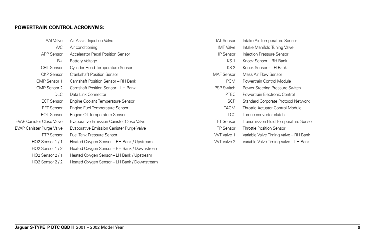#### **POWERTRAIN CONTROL ACRONYMS:**

| AAI Valve                        | Air Assist Injection Valve                       | <b>IAT Sensor</b> | Intake Air Temperature Sensor         |
|----------------------------------|--------------------------------------------------|-------------------|---------------------------------------|
| A/C                              | Air conditioning                                 | <b>IMT</b> Valve  | Intake Manifold Tuning Valve          |
| <b>APP Sensor</b>                | Accelerator Pedal Position Sensor                | <b>IP Sensor</b>  | Injection Pressure Sensor             |
| $B+$                             | <b>Battery Voltage</b>                           | KS <sub>1</sub>   | Knock Sensor - RH Bank                |
| <b>CHT</b> Sensor                | Cylinder Head Temperature Sensor                 | KS <sub>2</sub>   | Knock Sensor - LH Bank                |
| <b>CKP</b> Sensor                | <b>Crankshaft Position Sensor</b>                | <b>MAF</b> Sensor | Mass Air Flow Sensor                  |
| CMP Sensor 1                     | Camshaft Position Sensor - RH Bank               | <b>PCM</b>        | Powertrain Control Module             |
| CMP Sensor 2                     | Camshaft Position Sensor - LH Bank               | <b>PSP Switch</b> | Power Steering Pressure Switch        |
| <b>DLC</b>                       | Data Link Connector                              | <b>PTEC</b>       | Powertrain Electronic Control         |
| <b>ECT Sensor</b>                | Engine Coolant Temperature Sensor                | <b>SCP</b>        | Standard Corporate Protocol Network   |
| <b>EFT Sensor</b>                | Engine Fuel Temperature Sensor                   | <b>TACM</b>       | Throttle Actuator Control Module      |
| <b>EOT Sensor</b>                | Engine Oil Temperature Sensor                    | <b>TCC</b>        | Torque converter clutch               |
| <b>EVAP Canister Close Valve</b> | <b>Evaporative Emission Canister Close Valve</b> | <b>TFT Sensor</b> | Transmission Fluid Temperature Sensor |
| <b>EVAP Canister Purge Valve</b> | Evaporative Emission Canister Purge Valve        | <b>TP Sensor</b>  | <b>Throttle Position Sensor</b>       |
| <b>FTP Sensor</b>                | <b>Fuel Tank Pressure Sensor</b>                 | <b>WT</b> Valve 1 | Variable Valve Timing Valve - RH Bank |
| HO2 Sensor 1/1                   | Heated Oxygen Sensor - RH Bank / Upstream        | WT Valve 2        | Variable Valve Timing Valve - LH Bank |
| HO2 Sensor 1/2                   | Heated Oxygen Sensor - RH Bank / Downstream      |                   |                                       |
| HO <sub>2</sub> Sensor 2/1       | Heated Oxygen Sensor - LH Bank / Upstream        |                   |                                       |
|                                  |                                                  |                   |                                       |

HO2 Sensor 2 / 2 Heated Oxygen Sensor – LH Bank / Downstream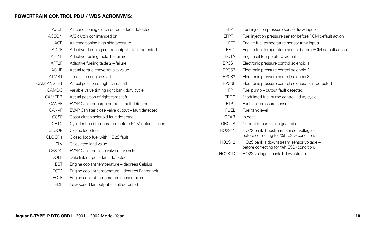#### **POWERTRAIN CONTROL PDU / WDS ACRONYMS:**

| <b>ACCF</b>       | Air conditioning clutch output - fault detected     | <b>FFPT</b>       | Fuel injection pressure sensor (raw input)                                          |
|-------------------|-----------------------------------------------------|-------------------|-------------------------------------------------------------------------------------|
| <b>ACCON</b>      | A/C clutch commanded on                             | EFPT1             | Fuel injection pressure sensor before PCM default action                            |
| <b>ACP</b>        | Air conditioning high side pressure                 | <b>EFT</b>        | Engine fuel temperature sensor (raw input)                                          |
| <b>ADCF</b>       | Adaptive damping control output - fault detected    | EFT1              | Engine fuel temperature sensor before PCM default action                            |
| AFT1F             | Adaptive fueling table 1 - failure                  | <b>EOTA</b>       | Engine oil temperature -actual                                                      |
| AFT <sub>2F</sub> | Adaptive fueling table 2 - failure                  | EPCS1             | Electronic pressure control solenoid 1                                              |
| <b>ASLIP</b>      | Actual torque converter slip value                  | EPCS <sub>2</sub> | Electronic pressure control solenoid 2                                              |
| ATMR1             | Time since engine start                             | EPCS3             | Electronic pressure control solenoid 3                                              |
| CAM ANGLE1        | Actual position of right camshaft                   | <b>EPCSF</b>      | Electronic pressure control solenoid fault detected                                 |
| CAMDC             | Variable valve timing right bank duty cycle         | FP <sub>1</sub>   | Fuel pump - output fault detected                                                   |
| <b>CAMERR</b>     | Actual position of right camshaft                   | <b>FPDC</b>       | Modulated fuel pump control - duty cycle                                            |
| <b>CANPF</b>      | EVAP Canister purge output - fault detected         | <b>FTPT</b>       | Fuel tank pressure sensor                                                           |
| <b>CANVF</b>      | EVAP Canister close valve output - fault detected   | <b>FUEL</b>       | Fuel tank level                                                                     |
| <b>CCSF</b>       | Coast clutch solenoid fault detected                | <b>GEAR</b>       | In gear                                                                             |
| <b>CHTC</b>       | Cylinder head temperature before PCM default action | <b>GRCUR</b>      | Current transmission gear ratio                                                     |
| <b>CLOOP</b>      | Closed loop fuel                                    | <b>HO2S11</b>     | HO2S bank 1 upstream sensor voltage -                                               |
| CLOOP1            | Closed loop fuel with HO2S fault                    |                   | before correcting for %h(CSD) condition.                                            |
| <b>CLV</b>        | Calculated load value                               | HO2S12            | HO2S bank 1 downstream sensor voltage -<br>before correcting for %h(CSD) condition. |
| <b>CVSDC</b>      | EVAP Canister close valve duty cycle                | HO2S1D            | HO2S voltage - bank 1 downstream                                                    |
| <b>DOLF</b>       | Data link output - fault detected                   |                   |                                                                                     |
| ECT               | Engine coolant temperature - degrees Celsius        |                   |                                                                                     |
| ECT <sub>2</sub>  | Engine coolant temperature - degrees Fahrenheit     |                   |                                                                                     |
| <b>ECTF</b>       | Engine coolant temperature sensor failure           |                   |                                                                                     |
| <b>EDF</b>        | Low speed fan output - fault detected               |                   |                                                                                     |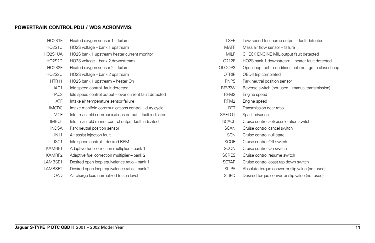#### **POWERTRAIN CONTROL PDU / WDS ACRONYMS:**

| HO2S1F           | Heated oxygen sensor 1 - failure                        |
|------------------|---------------------------------------------------------|
| HO2S1U           | HO2S voltage - bank 1 upstream                          |
| HO2S1UA          | HO2S bank 1 upstream heater current monitor             |
| HO2S2D           | HO2S voltage - bank 2 downstream                        |
| HO2S2F           | Heated oxygen sensor 2 – failure                        |
| HO2S2U           | HO2S voltage - bank 2 upstream                          |
| HTR11            | HO2S bank 1 upstream - heater On                        |
| IAC <sub>1</sub> | Idle speed control-fault detected                       |
| IAC <sub>2</sub> | Idle speed control output - over current fault detected |
| <b>IATF</b>      | Intake air temperature sensor failure                   |
| <b>IMCDC</b>     | Intake manifold communications control – duty cycle     |
| <b>IMCF</b>      | Inlet manifold communications output - fault indicated  |
| <b>IMRCF</b>     | Inlet manifold runner control output fault indicated    |
| <b>INDSA</b>     | Park neutral position sensor                            |
| INJ1             | Air assist injection fault                              |
| ISC <sub>1</sub> | Idle speed control - desired RPM                        |
| KAMRF1           | Adaptive fuel correction multiplier - bank 1            |
| KAMRF2           | Adaptive fuel correction multiplier - bank 2            |
| LAMBSE1          | Desired open loop equivalence ratio - bank 1            |
| LAMBSE2          | Desired open loop equivalence ratio - bank 2            |
| <b>LOAD</b>      | Air charge load normalized to sea level                 |

| <b>LSFP</b>      | Low speed fuel pump output – fault detected            |
|------------------|--------------------------------------------------------|
| <b>MAFF</b>      | Mass air flow sensor – failure                         |
| MII F            | CHECK ENGINE MIL output fault detected                 |
| O212F            | HO2S bank 1 downstream – heater fault detected         |
| OLOOP3           | Open loop fuel – conditions not met; go to closed loop |
| OTRIP            | OBDII trip completed                                   |
| <b>PNPS</b>      | Park neutral position sensor                           |
| <b>REVSW</b>     | Reverse switch (not used – manual transmission)        |
| RPM <sub>2</sub> | Engine speed                                           |
| RPM <sub>2</sub> | Engine speed                                           |
| RTT              | Transmission gear ratio                                |
| <b>SAFTOT</b>    | Spark advance                                          |
| SCACL            | Cruise control set/acceleration switch                 |
| <b>SCAN</b>      | Cruise control cancel switch                           |
| <b>SCN</b>       | Cruise control null state                              |
| <b>SCOF</b>      | Cruise control Off switch                              |
| <b>SCON</b>      | Cruise control On switch                               |
| <b>SCRES</b>     | Cruise control resume switch                           |
| <b>SCTAP</b>     | Cruise control coast tap down switch                   |
|                  |                                                        |

- SLIPA Absolute torque converter slip value (not used)
- SLIPD Desired torque converter slip value (not used)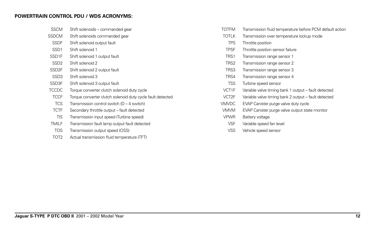## **POWERTRAIN CONTROL PDU / WDS ACRONYMS:**

| <b>SSCM</b>        | Shift solenoids - commanded gear                           |
|--------------------|------------------------------------------------------------|
| <b>SSDCM</b>       | Shift solenoids commanded gear                             |
| <b>SSDF</b>        | Shift solenoid output fault                                |
| SSD <sub>1</sub>   | Shift solenoid 1                                           |
| SSD <sub>1</sub> F | Shift solenoid 1 output fault                              |
| SSD <sub>2</sub>   | Shift solenoid 2                                           |
| SSD <sub>2F</sub>  | Shift solenoid 2 output fault                              |
| SSD <sub>3</sub>   | Shift solenoid 3                                           |
| SSD3F              | Shift solenoid 3 output fault                              |
| <b>TCCDC</b>       | Torque converter clutch solenoid duty cycle                |
| <b>TCCF</b>        | Torque converter clutch solenoid duty cycle fault detected |
| <b>TCS</b>         | Transmission control switch ( $D - 4$ switch)              |
| <b>TCTF</b>        | Secondary throttle output - fault detected                 |
| <b>TIS</b>         | Transmission input speed (Turbine speed)                   |
| TMILF              | Transmission fault lamp output fault detected              |
| <b>TOS</b>         | Transmission output speed (OSS)                            |
| TOT <sub>2</sub>   | Actual transmission fluid temperature (TFT)                |

- TOTFM Transmission fluid temperature before PCM default action
- TOTLK Transmission over temperature lockup mode
	- TPS Throttle position
- TPSF Throttle position sensor failure
- TRS1 Transmission range sensor 1
- TRS2 Transmission range sensor 2
- TRS3 Transmission range sensor 3
- TRS4 Transmission range sensor 4
- TSS Turbine speed sensor
- VCT1F Variable valve timing bank 1 output fault detected
- VCT2F Variable valve timing bank 2 output fault detected
- VMVDC EVAP Canister purge valve duty cycle
- VMVM EVAP Canister purge valve output state monitor
- VPWR Battery voltage
- VSF Variable speed fan level
- VSS Vehicle speed sensor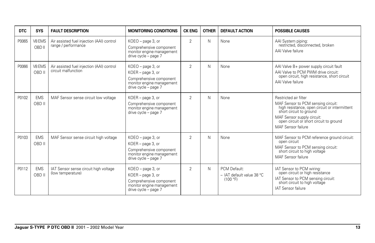| <b>DTC</b> | <b>SYS</b>           | <b>FAULT DESCRIPTION</b>                                         | <b>MONITORING CONDITIONS</b>                                                                                           | <b>CK ENG</b>  | <b>OTHER</b> | <b>DEFAULT ACTION</b>                                 | <b>POSSIBLE CAUSES</b>                                                                                                                                                                                                                 |
|------------|----------------------|------------------------------------------------------------------|------------------------------------------------------------------------------------------------------------------------|----------------|--------------|-------------------------------------------------------|----------------------------------------------------------------------------------------------------------------------------------------------------------------------------------------------------------------------------------------|
| P0065      | V8 EMS<br>OBD II     | Air assisted fuel injection (AAI) control<br>range / performance | KOEO - page 3, or<br>Comprehensive component<br>monitor engine management<br>drive cycle - page 7                      | $\overline{2}$ | N            | None                                                  | AAI System piping:<br>restricted, disconnected, broken<br>AAI Valve failure                                                                                                                                                            |
| P0066      | V8 EMS<br>OBD II     | Air assisted fuel injection (AAI) control<br>circuit malfunction | KOEO - page 3, or<br>KOER - page 3, or<br>Comprehensive component<br>monitor engine management<br>drive cycle - page 7 | $\overline{2}$ | N            | None                                                  | AAI Valve B+ power supply circuit fault<br>AAI Valve to PCM PWM drive circuit:<br>open circuit, high resistance, short circuit<br>AAI Valve failure                                                                                    |
| P0102      | <b>EMS</b><br>OBD II | MAF Sensor sense circuit low voltage                             | KOER - page 3, or<br>Comprehensive component<br>monitor engine management<br>drive cycle - page 7                      | $\overline{2}$ | N            | None                                                  | Restricted air filter<br>MAF Sensor to PCM sensing circuit:<br>high resistance, open circuit or intermittent<br>short circuit to ground<br>MAF Sensor supply circuit:<br>open circuit or short circuit to ground<br>MAF Sensor failure |
| P0103      | <b>EMS</b><br>OBD II | MAF Sensor sense circuit high voltage                            | KOEO - page 3, or<br>KOER - page 3, or<br>Comprehensive component<br>monitor engine management<br>drive cycle - page 7 | $\overline{2}$ | N            | None                                                  | MAF Sensor to PCM reference ground circuit:<br>open circuit<br>MAF Sensor to PCM sensing circuit:<br>short circuit to high voltage<br>MAF Sensor failure                                                                               |
| P0112      | <b>EMS</b><br>OBD II | IAT Sensor sense circuit high voltage<br>(low temperature)       | KOEO - page 3, or<br>KOER - page 3, or<br>Comprehensive component<br>monitor engine management<br>drive cycle - page 7 | $\overline{2}$ | N            | PCM Default:<br>- IAT default value 38 °C<br>(100 °F) | IAT Sensor to PCM wiring:<br>open circuit or high resistance<br>IAT Sensor to PCM sensing circuit:<br>short circuit to high voltage<br><b>IAT Sensor failure</b>                                                                       |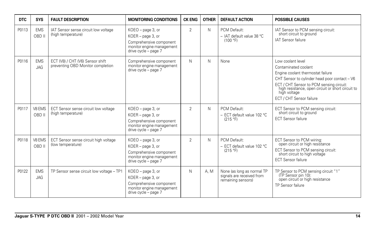| <b>DTC</b> | <b>SYS</b>               | <b>FAULT DESCRIPTION</b>                                              | <b>MONITORING CONDITIONS</b>                                                                                           | <b>CK ENG</b>  | <b>OTHER</b> | <b>DEFAULT ACTION</b>                                                         | <b>POSSIBLE CAUSES</b>                                                                                                                                                                                                                                                       |
|------------|--------------------------|-----------------------------------------------------------------------|------------------------------------------------------------------------------------------------------------------------|----------------|--------------|-------------------------------------------------------------------------------|------------------------------------------------------------------------------------------------------------------------------------------------------------------------------------------------------------------------------------------------------------------------------|
| P0113      | <b>EMS</b><br>OBD II     | IAT Sensor sense circuit low voltage<br>(high temperature)            | KOEO - page 3, or<br>KOER - page 3, or<br>Comprehensive component<br>monitor engine management<br>drive cycle - page 7 | $\overline{2}$ | N            | PCM Default:<br>- IAT default value 38 °C<br>(100 °F)                         | IAT Sensor to PCM sensing circuit:<br>short circuit to ground<br><b>IAT Sensor failure</b>                                                                                                                                                                                   |
| P0116      | <b>EMS</b><br><b>JAG</b> | ECT (V8) / CHT (V6) Sensor shift<br>preventing OBD Monitor completion | Comprehensive component<br>monitor engine management<br>drive cycle - page 7                                           | N              | N            | None                                                                          | Low coolant level<br>Contaminated coolant<br>Engine coolant thermostat failure<br>CHT Sensor to cylinder head poor contact - V6<br>ECT / CHT Sensor to PCM sensing circuit:<br>high resistance, open circuit or short circuit to<br>high voltage<br>ECT / CHT Sensor failure |
| P0117      | V8 EMS<br>OBD II         | ECT Sensor sense circuit low voltage<br>(high temperature)            | KOEO - page 3, or<br>KOER - page 3, or<br>Comprehensive component<br>monitor engine management<br>drive cycle - page 7 | $\overline{2}$ | N            | PCM Default:<br>- ECT default value 102 °C<br>(215 °F)                        | ECT Sensor to PCM sensing circuit:<br>short circuit to ground<br><b>ECT Sensor failure</b>                                                                                                                                                                                   |
| P0118      | V8 EMS<br>OBD II         | ECT Sensor sense circuit high voltage<br>(low temperature)            | KOEO - page 3, or<br>KOER - page 3, or<br>Comprehensive component<br>monitor engine management<br>drive cycle - page 7 | $\overline{2}$ | N            | PCM Default:<br>- ECT default value 102 °C<br>(215 °F)                        | ECT Sensor to PCM wiring:<br>open circuit or high resistance<br>ECT Sensor to PCM sensing circuit:<br>short circuit to high voltage<br><b>ECT Sensor failure</b>                                                                                                             |
| P0122      | <b>EMS</b><br><b>JAG</b> | TP Sensor sense circuit low voltage - TP1                             | KOEO - page 3, or<br>KOER - page 3, or<br>Comprehensive component<br>monitor engine management<br>drive cycle - page 7 | N              | A. M         | None (as long as normal TP<br>signals are received from<br>remaining sensors) | TP Sensor to PCM sensing circuit "1"<br>(TP Sensor pin 10):<br>open circuit or high resistance<br>TP Sensor failure                                                                                                                                                          |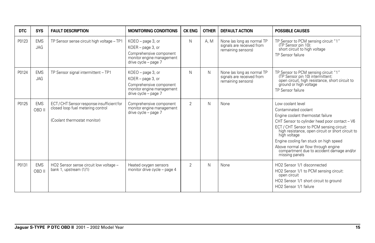| <b>DTC</b> | <b>SYS</b>               | <b>FAULT DESCRIPTION</b>                                                                                      | <b>MONITORING CONDITIONS</b>                                                                                             | <b>CK ENG</b>  | <b>OTHER</b> | <b>DEFAULT ACTION</b>                                                         | <b>POSSIBLE CAUSES</b>                                                                                                                                                                                                                                                                                                                                                                            |
|------------|--------------------------|---------------------------------------------------------------------------------------------------------------|--------------------------------------------------------------------------------------------------------------------------|----------------|--------------|-------------------------------------------------------------------------------|---------------------------------------------------------------------------------------------------------------------------------------------------------------------------------------------------------------------------------------------------------------------------------------------------------------------------------------------------------------------------------------------------|
| P0123      | <b>EMS</b><br><b>JAG</b> | TP Sensor sense circuit high voltage - TP1                                                                    | $KOEO$ – page 3, or<br>KOER - page 3, or<br>Comprehensive component<br>monitor engine management<br>drive cycle - page 7 | N              | A.M          | None (as long as normal TP<br>signals are received from<br>remaining sensors) | TP Sensor to PCM sensing circuit "1"<br>(TP Sensor pin 10):<br>short circuit to high voltage<br>TP Sensor failure                                                                                                                                                                                                                                                                                 |
| P0124      | <b>EMS</b><br><b>JAG</b> | TP Sensor signal intermittent - TP1                                                                           | $KOEO$ – page 3, or<br>KOER - page 3, or<br>Comprehensive component<br>monitor engine management<br>drive cycle - page 7 | N              | N            | None (as long as normal TP<br>signals are received from<br>remaining sensors) | TP Sensor to PCM sensing circuit "1"<br>(TP Sensor pin 10) intermittent:<br>open circuit, high resistance, short circuit to<br>ground or high voltage<br>TP Sensor failure                                                                                                                                                                                                                        |
| P0125      | <b>EMS</b><br>OBD II     | ECT/CHT Sensor response insufficient for<br>closed loop fuel metering control<br>(Coolant thermostat monitor) | Comprehensive component<br>monitor engine management<br>drive cycle - page 7                                             | $\overline{2}$ | N            | None                                                                          | Low coolant level<br>Contaminated coolant<br>Engine coolant thermostat failure<br>CHT Sensor to cylinder head poor contact - V6<br>ECT / CHT Sensor to PCM sensing circuit:<br>high resistance, open circuit or short circuit to<br>high voltage<br>Engine cooling fan stuck on high speed<br>Above normal air flow through engine<br>compartment due to accident damage and/or<br>missing panels |
| P0131      | <b>EMS</b><br>OBD II     | HO2 Sensor sense circuit low voltage -<br>bank 1, upstream (1/1)                                              | Heated oxygen sensors<br>monitor drive cycle - page 4                                                                    | $\overline{2}$ | N            | None                                                                          | HO <sub>2</sub> Sensor 1/1 disconnected<br>HO2 Sensor 1/1 to PCM sensing circuit:<br>open circuit<br>HO2 Sensor 1/1 short circuit to ground<br>HO2 Sensor 1/1 failure                                                                                                                                                                                                                             |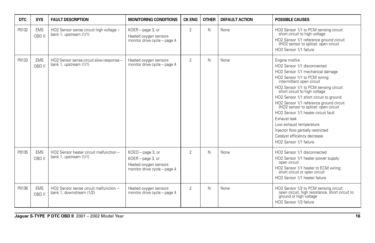| <b>DTC</b> | <b>SYS</b>           | <b>FAULT DESCRIPTION</b>                                           | <b>MONITORING CONDITIONS</b>                                                                    | <b>CK ENG</b>  | <b>OTHER</b> | <b>DEFAULT ACTION</b> | <b>POSSIBLE CAUSES</b>                                                                                                                                                                                                                                                                                                                                                                                                                                                                                                                                |
|------------|----------------------|--------------------------------------------------------------------|-------------------------------------------------------------------------------------------------|----------------|--------------|-----------------------|-------------------------------------------------------------------------------------------------------------------------------------------------------------------------------------------------------------------------------------------------------------------------------------------------------------------------------------------------------------------------------------------------------------------------------------------------------------------------------------------------------------------------------------------------------|
| P0132      | <b>EMS</b><br>OBD II | HO2 Sensor sense circuit high voltage -<br>bank 1, upstream (1/1)  | KOER - page 3, or<br>Heated oxygen sensors<br>monitor drive cycle - page 4                      | $\overline{2}$ | N            | None                  | HO2 Sensor 1/1 to PCM sensing circuit:<br>short circuit to high voltage<br>HO2 Sensor 1/1 reference ground circuit<br>(HO2 sensor to splice): open circuit<br>HO2 Sensor 1/1 failure                                                                                                                                                                                                                                                                                                                                                                  |
| P0133      | <b>EMS</b><br>OBD II | HO2 Sensor sense circuit slow response -<br>bank 1, upstream (1/1) | Heated oxygen sensors<br>monitor drive cycle - page 4                                           | $\overline{2}$ | N            | None                  | Engine misfire<br>HO <sub>2</sub> Sensor 1/1 disconnected<br>HO2 Sensor 1/1 mechanical damage<br>HO2 Sensor 1/1 to PCM wiring:<br>intermittent open circuit<br>HO2 Sensor 1/1 to PCM sensing circuit:<br>short circuit to high voltage<br>HO2 Sensor 1/1 short circuit to ground<br>HO2 Sensor 1/1 reference ground circuit<br>(HO2 sensor to splice): open circuit<br>HO2 Sensor 1/1 heater circuit fault<br>Exhaust leak<br>Low exhaust temperature<br>Injector flow partially restricted<br>Catalyst efficiency decrease<br>HO2 Sensor 1/1 failure |
| P0135      | <b>EMS</b><br>OBD II | HO2 Sensor heater circuit malfunction -<br>bank 1, upstream (1/1)  | KOEO - page 3, or<br>KOER - page 3, or<br>Heated oxygen sensors<br>monitor drive cycle - page 4 | $\overline{2}$ | N            | None                  | HO2 Sensor 1/1 disconnected<br>HO2 Sensor 1/1 heater power supply:<br>open circuit<br>HO2 Sensor 1/1 heater to ECM wiring:<br>short circuit or open circuit<br>HO2 Sensor 1/1 heater failure                                                                                                                                                                                                                                                                                                                                                          |
| P0136      | <b>EMS</b><br>OBD II | HO2 Sensor sense circuit malfunction -<br>bank 1, downstream (1/2) | Heated oxygen sensors<br>monitor drive cycle - page 4                                           | $\overline{2}$ | N            | None                  | HO2 Sensor 1/2 to PCM sensing circuit:<br>open circuit, high resistance, short circuit to<br>ground or high voltage<br>HO2 Sensor 1/2 failure                                                                                                                                                                                                                                                                                                                                                                                                         |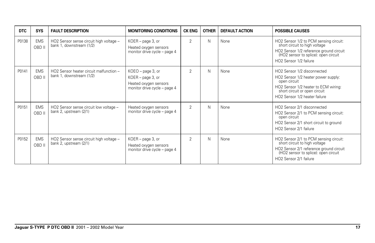| <b>DTC</b> | <b>SYS</b>           | <b>FAULT DESCRIPTION</b>                                            | <b>MONITORING CONDITIONS</b>                                                                         | <b>CK ENG</b>  | <b>OTHER</b> | <b>DEFAULT ACTION</b> | <b>POSSIBLE CAUSES</b>                                                                                                                                                                       |
|------------|----------------------|---------------------------------------------------------------------|------------------------------------------------------------------------------------------------------|----------------|--------------|-----------------------|----------------------------------------------------------------------------------------------------------------------------------------------------------------------------------------------|
| P0138      | <b>EMS</b><br>OBD II | HO2 Sensor sense circuit high voltage -<br>bank 1, downstream (1/2) | $KOER - page 3$ , or<br>Heated oxygen sensors<br>monitor drive cycle - page 4                        | 2              | N            | None                  | HO2 Sensor 1/2 to PCM sensing circuit:<br>short circuit to high voltage<br>HO2 Sensor 1/2 reference ground circuit<br>(HO2 sensor to splice): open circuit<br>HO2 Sensor 1/2 failure         |
| P0141      | <b>EMS</b><br>OBD II | HO2 Sensor heater circuit malfunction -<br>bank 1, downstream (1/2) | $KOEO$ – page 3, or<br>$KOER - page 3$ , or<br>Heated oxygen sensors<br>monitor drive cycle - page 4 | 2              | N            | None                  | HO2 Sensor 1/2 disconnected<br>HO2 Sensor 1/2 heater power supply:<br>open circuit<br>HO2 Sensor 1/2 heater to ECM wiring:<br>short circuit or open circuit<br>HO2 Sensor 1/2 heater failure |
| P0151      | <b>EMS</b><br>OBD II | HO2 Sensor sense circuit low voltage -<br>bank 2, upstream (2/1)    | Heated oxygen sensors<br>monitor drive cycle - page 4                                                | $\mathfrak{D}$ | N            | None                  | HO2 Sensor 2/1 disconnected<br>HO2 Sensor 2/1 to PCM sensing circuit:<br>open circuit<br>HO2 Sensor 2/1 short circuit to ground<br>HO2 Sensor 2/1 failure                                    |
| P0152      | <b>EMS</b><br>OBD II | HO2 Sensor sense circuit high voltage -<br>bank 2, upstream (2/1)   | $KOER - page 3$ , or<br>Heated oxygen sensors<br>monitor drive cycle - page 4                        | 2              | N            | None                  | HO2 Sensor 2/1 to PCM sensing circuit:<br>short circuit to high voltage<br>HO2 Sensor 2/1 reference ground circuit<br>(HO2 sensor to splice): open circuit<br>HO2 Sensor 2/1 failure         |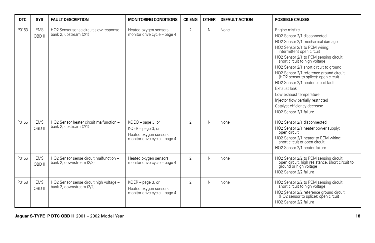| <b>DTC</b> | <b>SYS</b>           | <b>FAULT DESCRIPTION</b>                                            | <b>MONITORING CONDITIONS</b>                                                                    | <b>CK ENG</b>  | <b>OTHER</b> | <b>DEFAULT ACTION</b> | <b>POSSIBLE CAUSES</b>                                                                                                                                                                                                                                                                                                                                                                                                                                                                                                                    |
|------------|----------------------|---------------------------------------------------------------------|-------------------------------------------------------------------------------------------------|----------------|--------------|-----------------------|-------------------------------------------------------------------------------------------------------------------------------------------------------------------------------------------------------------------------------------------------------------------------------------------------------------------------------------------------------------------------------------------------------------------------------------------------------------------------------------------------------------------------------------------|
| P0153      | <b>EMS</b><br>OBD II | HO2 Sensor sense circuit slow response -<br>bank 2, upstream (2/1)  | Heated oxygen sensors<br>monitor drive cycle - page 4                                           | $\overline{2}$ | N            | None                  | Engine misfire<br>HO2 Sensor 2/1 disconnected<br>HO2 Sensor 2/1 mechanical damage<br>HO2 Sensor 2/1 to PCM wiring:<br>intermittent open circuit<br>HO2 Sensor 2/1 to PCM sensing circuit:<br>short circuit to high voltage<br>HO2 Sensor 2/1 short circuit to ground<br>HO2 Sensor 2/1 reference ground circuit<br>(HO2 sensor to splice): open circuit<br>HO2 Sensor 2/1 heater circuit fault<br>Exhaust leak<br>Low exhaust temperature<br>Injector flow partially restricted<br>Catalyst efficiency decrease<br>HO2 Sensor 2/1 failure |
| P0155      | <b>EMS</b><br>OBD II | HO2 Sensor heater circuit malfunction -<br>bank 2, upstream (2/1)   | KOEO - page 3, or<br>KOER - page 3, or<br>Heated oxygen sensors<br>monitor drive cycle - page 4 | $\overline{2}$ | N            | None                  | HO2 Sensor 2/1 disconnected<br>HO2 Sensor 2/1 heater power supply:<br>open circuit<br>HO2 Sensor 2/1 heater to ECM wiring:<br>short circuit or open circuit<br>HO2 Sensor 2/1 heater failure                                                                                                                                                                                                                                                                                                                                              |
| P0156      | <b>EMS</b><br>OBD II | HO2 Sensor sense circuit malfunction -<br>bank 2. downstream (2/2)  | Heated oxygen sensors<br>monitor drive cycle - page 4                                           | $\overline{2}$ | N            | None                  | HO2 Sensor 2/2 to PCM sensing circuit:<br>open circuit, high resistance, short circuit to<br>ground or high voltage<br>HO2 Sensor 2/2 failure                                                                                                                                                                                                                                                                                                                                                                                             |
| P0158      | <b>EMS</b><br>OBD II | HO2 Sensor sense circuit high voltage -<br>bank 2. downstream (2/2) | KOER - page 3, or<br>Heated oxygen sensors<br>monitor drive cycle - page 4                      | $\overline{2}$ | N            | None                  | HO2 Sensor 2/2 to PCM sensing circuit:<br>short circuit to high voltage<br>HO2 Sensor 2/2 reference ground circuit<br>(HO2 sensor to splice): open circuit<br>HO2 Sensor 2/2 failure                                                                                                                                                                                                                                                                                                                                                      |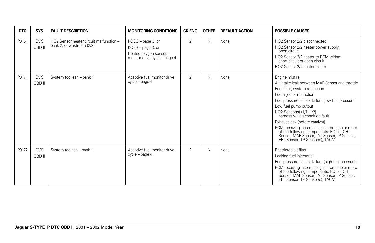| <b>DTC</b> | <b>SYS</b>           | <b>FAULT DESCRIPTION</b>                                            | <b>MONITORING CONDITIONS</b>                                                                      | <b>CK ENG</b>  | <b>OTHER</b> | <b>DEFAULT ACTION</b> | <b>POSSIBLE CAUSES</b>                                                                                                                                                                                                                                                                                                                                                                                                                                                                      |
|------------|----------------------|---------------------------------------------------------------------|---------------------------------------------------------------------------------------------------|----------------|--------------|-----------------------|---------------------------------------------------------------------------------------------------------------------------------------------------------------------------------------------------------------------------------------------------------------------------------------------------------------------------------------------------------------------------------------------------------------------------------------------------------------------------------------------|
| P0161      | <b>EMS</b><br>OBD II | HO2 Sensor heater circuit malfunction -<br>bank 2, downstream (2/2) | $KOEO$ – page 3, or<br>KOER - page 3, or<br>Heated oxygen sensors<br>monitor drive cycle - page 4 | $\overline{2}$ | Ν            | None                  | HO2 Sensor 2/2 disconnected<br>HO2 Sensor 2/2 heater power supply:<br>open circuit<br>HO2 Sensor 2/2 heater to ECM wiring:<br>short circuit or open circuit<br>HO2 Sensor 2/2 heater failure                                                                                                                                                                                                                                                                                                |
| P0171      | <b>EMS</b><br>OBD II | System too lean - bank 1                                            | Adaptive fuel monitor drive<br>cycle - page 4                                                     | $\overline{2}$ | N            | None                  | Engine misfire<br>Air intake leak between MAF Sensor and throttle<br>Fuel filter, system restriction<br>Fuel injector restriction<br>Fuel pressure sensor failure (low fuel pressure)<br>Low fuel pump output<br>HO2 Sensor(s) (1/1, 1/2)<br>harness wiring condition fault<br>Exhaust leak (before catalyst)<br>PCM receiving incorrect signal from one or more<br>of the following components: ECT or CHT<br>Sensor, MAF Sensor, IAT Sensor, IP Sensor,<br>EFT Sensor, TP Sensor(s), TACM |
| P0172      | <b>EMS</b><br>OBD II | System too rich - bank 1                                            | Adaptive fuel monitor drive<br>cycle - page 4                                                     | 2              | N            | None                  | Restricted air filter<br>Leaking fuel injector(s)<br>Fuel pressure sensor failure (high fuel pressure)<br>PCM receiving incorrect signal from one or more<br>of the following components: ECT or CHT<br>Sensor, MAF Sensor, IAT Sensor, IP Sensor, EFT Sensor, TP Sensor(s), TACM                                                                                                                                                                                                           |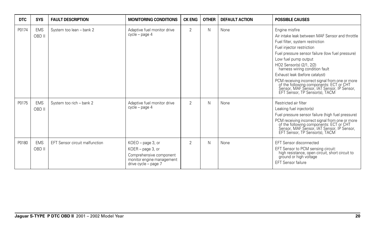| <b>DTC</b> | <b>SYS</b>           | <b>FAULT DESCRIPTION</b>              | <b>MONITORING CONDITIONS</b>                                                                                           | <b>CK ENG</b>  | <b>OTHER</b> | <b>DEFAULT ACTION</b> | <b>POSSIBLE CAUSES</b>                                                                                                                                                                                                                                                                                                                                                                                                                                                                      |
|------------|----------------------|---------------------------------------|------------------------------------------------------------------------------------------------------------------------|----------------|--------------|-----------------------|---------------------------------------------------------------------------------------------------------------------------------------------------------------------------------------------------------------------------------------------------------------------------------------------------------------------------------------------------------------------------------------------------------------------------------------------------------------------------------------------|
| P0174      | <b>EMS</b><br>OBD II | System too lean - bank 2              | Adaptive fuel monitor drive<br>cycle - page 4                                                                          | $\overline{2}$ | N            | None                  | Engine misfire<br>Air intake leak between MAF Sensor and throttle<br>Fuel filter, system restriction<br>Fuel injector restriction<br>Fuel pressure sensor failure (low fuel pressure)<br>Low fuel pump output<br>HO2 Sensor(s) (2/1, 2/2)<br>harness wiring condition fault<br>Exhaust leak (before catalyst)<br>PCM receiving incorrect signal from one or more<br>of the following components: ECT or CHT<br>Sensor, MAF Sensor, IAT Sensor, IP Sensor,<br>EFT Sensor, TP Sensor(s), TACM |
| P0175      | <b>EMS</b><br>OBD II | System too rich - bank 2              | Adaptive fuel monitor drive<br>cycle - page 4                                                                          | $\overline{2}$ | N            | None                  | Restricted air filter<br>Leaking fuel injector(s)<br>Fuel pressure sensor failure (high fuel pressure)<br>PCM receiving incorrect signal from one or more<br>of the following components: ECT or CHT<br>Sensor, MAF Sensor, IAT Sensor, IP Sensor,<br>EFT Sensor, TP Sensor(s), TACM                                                                                                                                                                                                        |
| P0180      | <b>EMS</b><br>OBD II | <b>EFT Sensor circuit malfunction</b> | KOEO - page 3, or<br>KOER - page 3, or<br>Comprehensive component<br>monitor engine management<br>drive cycle - page 7 | $\overline{2}$ | N            | None                  | <b>EFT Sensor disconnected</b><br>EFT Sensor to PCM sensing circuit:<br>high resistance, open circuit, short circuit to<br>ground or high voltage<br><b>EFT Sensor failure</b>                                                                                                                                                                                                                                                                                                              |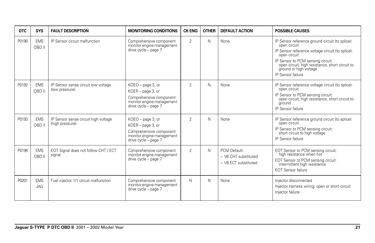| <b>DTC</b> | <b>SYS</b>           | <b>FAULT DESCRIPTION</b>                                | <b>MONITORING CONDITIONS</b>                                                                                           | <b>CK ENG</b>  | <b>OTHER</b> | <b>DEFAULT ACTION</b>                                        | <b>POSSIBLE CAUSES</b>                                                                                                                                                                                                                                                     |
|------------|----------------------|---------------------------------------------------------|------------------------------------------------------------------------------------------------------------------------|----------------|--------------|--------------------------------------------------------------|----------------------------------------------------------------------------------------------------------------------------------------------------------------------------------------------------------------------------------------------------------------------------|
| P0190      | <b>EMS</b><br>OBD II | IP Sensor circuit malfunction                           | Comprehensive component<br>monitor engine management<br>drive cycle - page 7                                           | $\overline{2}$ | N            | None                                                         | IP Sensor reference ground circuit (to splice):<br>open circuit<br>IP Sensor reference voltage circuit (to splice):<br>open circuit<br>IP Sensor to PCM sensing circuit:<br>open circuit, high resistance, short circuit to<br>ground or high voltage<br>IP Sensor failure |
| P0192      | <b>EMS</b><br>OBD II | IP Sensor sense circuit low voltage<br>(low pressure)   | KOEO - page 3, or<br>KOER - page 3, or<br>Comprehensive component<br>monitor engine management<br>drive cycle - page 7 | $\overline{2}$ | N            | None                                                         | IP Sensor reference voltage circuit (to splice):<br>open circuit<br>IP Sensor to PCM sensing circuit:<br>open circuit, high resistance, short circuit to<br>around<br>IP Sensor failure                                                                                    |
| P0193      | <b>EMS</b><br>OBD II | IP Sensor sense circuit high voltage<br>(high pressure) | KOEO - page 3, or<br>KOER - page 3, or<br>Comprehensive component<br>monitor engine management<br>drive cycle - page 7 | $\overline{2}$ | N            | None                                                         | IP Sensor reference ground circuit (to splice):<br>open circuit<br>IP Sensor to PCM sensing circuit:<br>short circuit to high voltage<br>IP Sensor failure                                                                                                                 |
| P0196      | <b>EMS</b><br>OBD II | EOT Signal does not follow CHT / ECT<br>signal          | Comprehensive component<br>monitor engine management<br>drive cycle - page 7                                           | $\overline{2}$ | N            | PCM Default:<br>- V6 CHT substituted<br>- V8 ECT substituted | EOT Sensor to PCM sensing circuit:<br>high resistance when hot<br>EOT Sensor to PCM sensing circuit:<br>intermittent high resistance<br><b>EOT Sensor failure</b>                                                                                                          |
| P0201      | <b>EMS</b><br>JAG    | Fuel injector 1/1 circuit malfunction                   | Comprehensive component<br>monitor engine management<br>drive cycle - page 7                                           | N              | N            | None                                                         | Injector disconnected<br>Injector harness wiring: open or short circuit<br>Injector failure                                                                                                                                                                                |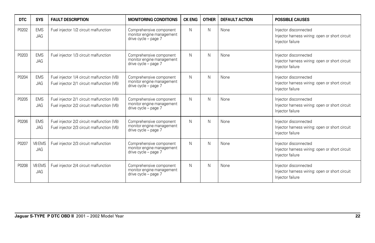| <b>DTC</b> | <b>SYS</b>               | <b>FAULT DESCRIPTION</b>                                                                 | <b>MONITORING CONDITIONS</b>                                                 | <b>CK ENG</b> | <b>OTHER</b> | <b>DEFAULT ACTION</b> | <b>POSSIBLE CAUSES</b>                                                                      |
|------------|--------------------------|------------------------------------------------------------------------------------------|------------------------------------------------------------------------------|---------------|--------------|-----------------------|---------------------------------------------------------------------------------------------|
| P0202      | <b>EMS</b><br><b>JAG</b> | Fuel injector 1/2 circuit malfunction                                                    | Comprehensive component<br>monitor engine management<br>drive cycle - page 7 | N             | N            | None                  | Injector disconnected<br>Injector harness wiring: open or short circuit<br>Injector failure |
| P0203      | <b>EMS</b><br><b>JAG</b> | Fuel injector 1/3 circuit malfunction                                                    | Comprehensive component<br>monitor engine management<br>drive cycle - page 7 | N             | N            | None                  | Injector disconnected<br>Injector harness wiring: open or short circuit<br>Injector failure |
| P0204      | <b>EMS</b><br><b>JAG</b> | Fuel injector 1/4 circuit malfunction (V8)<br>Fuel injector 2/1 circuit malfunction (V6) | Comprehensive component<br>monitor engine management<br>drive cycle - page 7 | N             | N            | None                  | Injector disconnected<br>Injector harness wiring: open or short circuit<br>Injector failure |
| P0205      | <b>EMS</b><br><b>JAG</b> | Fuel injector 2/1 circuit malfunction (V8)<br>Fuel injector 2/2 circuit malfunction (V6) | Comprehensive component<br>monitor engine management<br>drive cycle - page 7 | N             | N            | None                  | Injector disconnected<br>Injector harness wiring: open or short circuit<br>Injector failure |
| P0206      | <b>EMS</b><br>JAG        | Fuel injector 2/2 circuit malfunction (V8)<br>Fuel injector 2/3 circuit malfunction (V6) | Comprehensive component<br>monitor engine management<br>drive cycle - page 7 | N             | N            | None                  | Injector disconnected<br>Injector harness wiring: open or short circuit<br>Injector failure |
| P0207      | V8 EMS<br><b>JAG</b>     | Fuel injector 2/3 circuit malfunction                                                    | Comprehensive component<br>monitor engine management<br>drive cycle - page 7 | N             | N            | None                  | Injector disconnected<br>Injector harness wiring: open or short circuit<br>Injector failure |
| P0208      | V8 EMS<br><b>JAG</b>     | Fuel injector 2/4 circuit malfunction                                                    | Comprehensive component<br>monitor engine management<br>drive cycle - page 7 | N             | N            | None                  | Injector disconnected<br>Injector harness wiring: open or short circuit<br>Injector failure |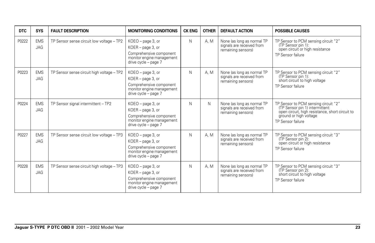| <b>DTC</b> | <b>SYS</b>               | <b>FAULT DESCRIPTION</b>                   | <b>MONITORING CONDITIONS</b>                                                                                             | <b>CK ENG</b> | <b>OTHER</b> | <b>DEFAULT ACTION</b>                                                         | <b>POSSIBLE CAUSES</b>                                                                                                                                                    |
|------------|--------------------------|--------------------------------------------|--------------------------------------------------------------------------------------------------------------------------|---------------|--------------|-------------------------------------------------------------------------------|---------------------------------------------------------------------------------------------------------------------------------------------------------------------------|
| P0222      | <b>EMS</b><br><b>JAG</b> | TP Sensor sense circuit low voltage - TP2  | KOEO - page 3, or<br>KOER - page 3, or<br>Comprehensive component<br>monitor engine management<br>drive cycle - page 7   | N             | A, M         | None (as long as normal TP<br>signals are received from<br>remaining sensors) | TP Sensor to PCM sensing circuit "2"<br>(TP Sensor pin 1):<br>open circuit or high resistance<br>TP Sensor failure                                                        |
| P0223      | <b>EMS</b><br><b>JAG</b> | TP Sensor sense circuit high voltage - TP2 | $KOEO$ – page 3, or<br>KOER - page 3, or<br>Comprehensive component<br>monitor engine management<br>drive cycle - page 7 | N             | A, M         | None (as long as normal TP<br>signals are received from<br>remaining sensors) | TP Sensor to PCM sensing circuit "2"<br>(TP Sensor pin 1):<br>short circuit to high voltage<br>TP Sensor failure                                                          |
| P0224      | <b>EMS</b><br><b>JAG</b> | TP Sensor signal intermittent - TP2        | KOEO - page 3, or<br>KOER - page 3, or<br>Comprehensive component<br>monitor engine management<br>drive cycle - page 7   | N             | N.           | None (as long as normal TP<br>signals are received from<br>remaining sensors) | TP Sensor to PCM sensing circuit "2"<br>(TP Sensor pin 1) intermittent:<br>open circuit, high resistance, short circuit to<br>ground or high voltage<br>TP Sensor failure |
| P0227      | <b>EMS</b><br><b>JAG</b> | TP Sensor sense circuit low voltage - TP3  | KOEO - page 3, or<br>KOER - page 3, or<br>Comprehensive component<br>monitor engine management<br>drive cycle - page 7   | N             | A. M         | None (as long as normal TP<br>signals are received from<br>remaining sensors) | TP Sensor to PCM sensing circuit "3"<br>(TP Sensor pin 2):<br>open circuit or high resistance<br>TP Sensor failure                                                        |
| P0228      | <b>EMS</b><br><b>JAG</b> | TP Sensor sense circuit high voltage - TP3 | KOEO - page 3, or<br>KOER - page 3, or<br>Comprehensive component<br>monitor engine management<br>drive cycle - page 7   | N             | A. M         | None (as long as normal TP<br>signals are received from<br>remaining sensors) | TP Sensor to PCM sensing circuit "3"<br>(TP Sensor pin 2):<br>short circuit to high voltage<br>TP Sensor failure                                                          |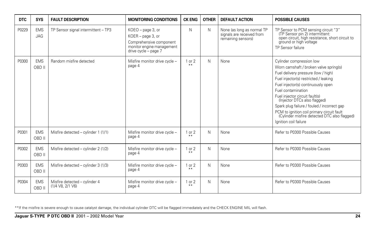| <b>DTC</b> | <b>SYS</b>               | <b>FAULT DESCRIPTION</b>                              | <b>MONITORING CONDITIONS</b>                                                                                           | <b>CK ENG</b>   | <b>OTHER</b> | <b>DEFAULT ACTION</b>                                                         | <b>POSSIBLE CAUSES</b>                                                                                                                                                                                                                                                                                                                                                                                                                                 |
|------------|--------------------------|-------------------------------------------------------|------------------------------------------------------------------------------------------------------------------------|-----------------|--------------|-------------------------------------------------------------------------------|--------------------------------------------------------------------------------------------------------------------------------------------------------------------------------------------------------------------------------------------------------------------------------------------------------------------------------------------------------------------------------------------------------------------------------------------------------|
| P0229      | <b>EMS</b><br><b>JAG</b> | TP Sensor signal intermittent - TP3                   | KOEO - page 3, or<br>KOER - page 3, or<br>Comprehensive component<br>monitor engine management<br>drive cycle - page 7 | N               | N            | None (as long as normal TP<br>signals are received from<br>remaining sensors) | TP Sensor to PCM sensing circuit "3"<br>(TP Sensor pin 2) intermittent:<br>open circuit, high resistance, short circuit to<br>ground or high voltage<br>TP Sensor failure                                                                                                                                                                                                                                                                              |
| P0300      | <b>EMS</b><br>OBD II     | Random misfire detected                               | Misfire monitor drive cycle -<br>page 4                                                                                | 1 or 2<br>$* *$ | Ν            | None                                                                          | Cylinder compression low<br>Worn camshaft / broken valve spring(s)<br>Fuel delivery pressure (low / high)<br>Fuel injector(s) restricted / leaking<br>Fuel injector(s) continuously open<br>Fuel contamination<br>Fuel injector circuit fault(s)<br>(Injector DTCs also flagged)<br>Spark plug failure / fouled / incorrect gap<br>PCM to ignition coil primary circuit fault<br>(Cylinder misfire detected DTC also flagged)<br>Ignition coil failure |
| P0301      | <b>EMS</b><br>OBD II     | Misfire detected - cylinder 1 (1/1)                   | Misfire monitor drive cycle -<br>page 4                                                                                | 1 or 2<br>$* *$ | N            | None                                                                          | Refer to P0300 Possible Causes                                                                                                                                                                                                                                                                                                                                                                                                                         |
| P0302      | <b>EMS</b><br>OBD II     | Misfire detected - cylinder 2 (1/2)                   | Misfire monitor drive cycle -<br>page 4                                                                                | 1 or 2<br>$* *$ | Ν            | None                                                                          | Refer to P0300 Possible Causes                                                                                                                                                                                                                                                                                                                                                                                                                         |
| P0303      | <b>EMS</b><br>OBD II     | Misfire detected – cylinder 3 (1/3)                   | Misfire monitor drive cycle -<br>page 4                                                                                | 1 or 2<br>$***$ | N            | None                                                                          | Refer to P0300 Possible Causes                                                                                                                                                                                                                                                                                                                                                                                                                         |
| P0304      | <b>EMS</b><br>OBD II     | Misfire detected - cylinder 4<br>$(1/4$ V8, $2/1$ V6) | Misfire monitor drive cycle -<br>page 4                                                                                | 1 or 2<br>$* *$ | Ν            | None                                                                          | Refer to P0300 Possible Causes                                                                                                                                                                                                                                                                                                                                                                                                                         |

\*\*If the misfire is severe enough to cause catalyst damage, the individual cylinder DTC will be flagged immediately and the CHECK ENGINE MIL will flash.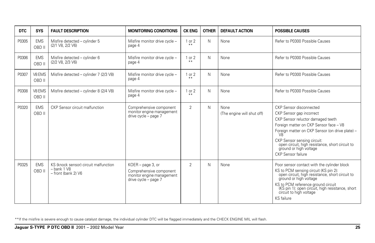| <b>DTC</b> | <b>SYS</b>           | <b>FAULT DESCRIPTION</b>                                                            | <b>MONITORING CONDITIONS</b>                                                                      | <b>CK ENG</b>   | <b>OTHER</b> | <b>DEFAULT ACTION</b>              | <b>POSSIBLE CAUSES</b>                                                                                                                                                                                                                                                                                                        |
|------------|----------------------|-------------------------------------------------------------------------------------|---------------------------------------------------------------------------------------------------|-----------------|--------------|------------------------------------|-------------------------------------------------------------------------------------------------------------------------------------------------------------------------------------------------------------------------------------------------------------------------------------------------------------------------------|
| P0305      | <b>EMS</b><br>OBD II | Misfire detected - cylinder 5<br>(2/1 V8, 2/2 V6)                                   | Misfire monitor drive cycle -<br>page 4                                                           | 1 or 2<br>$* *$ | N            | None                               | Refer to P0300 Possible Causes                                                                                                                                                                                                                                                                                                |
| P0306      | <b>EMS</b><br>OBD II | Misfire detected - cylinder 6<br>(2/2 V8, 2/3 V6)                                   | Misfire monitor drive cycle -<br>page 4                                                           | 1 or 2          | N            | None                               | Refer to P0300 Possible Causes                                                                                                                                                                                                                                                                                                |
| P0307      | V8 EMS<br>OBD II     | Misfire detected - cylinder 7 (2/3 V8)                                              | Misfire monitor drive cycle -<br>page 4                                                           | 1 or 2<br>$* *$ | N            | None                               | Refer to P0300 Possible Causes                                                                                                                                                                                                                                                                                                |
| P0308      | V8 EMS<br>OBD II     | Misfire detected - cylinder 8 (2/4 V8)                                              | Misfire monitor drive cycle -<br>page 4                                                           | 1 or 2<br>$+ 4$ | N            | None                               | Refer to P0300 Possible Causes                                                                                                                                                                                                                                                                                                |
| P0320      | <b>EMS</b><br>OBD II | CKP Sensor circuit malfunction                                                      | Comprehensive component<br>monitor engine management<br>drive cycle - page 7                      | $\overline{2}$  | N            | None<br>(The engine will shut off) | CKP Sensor disconnected<br>CKP Sensor gap incorrect<br>CKP Sensor reluctor damaged teeth<br>Foreign matter on CKP Sensor face - V8<br>Foreign matter on CKP Sensor (on drive plate) -<br>V8<br>CKP Sensor sensing circuit:<br>open circuit, high resistance, short circuit to<br>ground or high voltage<br>CKP Sensor failure |
| P0325      | <b>EMS</b><br>OBD II | KS (knock sensor) circuit malfunction<br>$-$ bank 1 $V8$<br>$-$ front (bank 2) $V6$ | KOER - page 3, or<br>Comprehensive component<br>monitor engine management<br>drive cycle - page 7 | $\overline{2}$  | N            | None                               | Poor sensor contact with the cylinder block<br>KS to PCM sensing circuit (KS pin 2):<br>open circuit, high resistance, short circuit to<br>ground or high voltage<br>KS to PCM reference ground circuit<br>(KS pin 1): open circuit, high resistance, short<br>circuit to high voltage<br>KS failure                          |

\*\*If the misfire is severe enough to cause catalyst damage, the individual cylinder DTC will be flagged immediately and the CHECK ENGINE MIL will flash.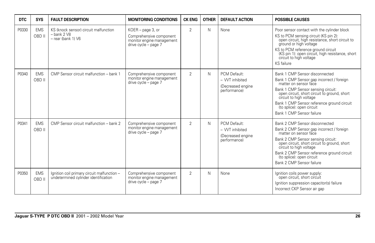| <b>DTC</b> | <b>SYS</b>           | <b>FAULT DESCRIPTION</b>                                                                 | <b>MONITORING CONDITIONS</b>                                                                      | <b>CK ENG</b>  | <b>OTHER</b> | <b>DEFAULT ACTION</b>                                                | <b>POSSIBLE CAUSES</b>                                                                                                                                                                                                                                                                                                        |
|------------|----------------------|------------------------------------------------------------------------------------------|---------------------------------------------------------------------------------------------------|----------------|--------------|----------------------------------------------------------------------|-------------------------------------------------------------------------------------------------------------------------------------------------------------------------------------------------------------------------------------------------------------------------------------------------------------------------------|
| P0330      | <b>EMS</b><br>OBD II | KS (knock sensor) circuit malfunction<br>$-$ bank 2 $V8$<br>$-$ rear (bank 1) $\sqrt{6}$ | KOER - page 3, or<br>Comprehensive component<br>monitor engine management<br>drive cycle - page 7 | $\overline{2}$ | N            | None                                                                 | Poor sensor contact with the cylinder block<br>KS to PCM sensing circuit (KS pin 2):<br>open circuit, high resistance, short circuit to<br>ground or high voltage<br>KS to PCM reference ground circuit<br>(KS pin 1): open circuit, high resistance, short<br>circuit to high voltage<br><b>KS</b> failure                   |
| P0340      | <b>EMS</b><br>OBD II | CMP Sensor circuit malfunction - bank 1                                                  | Comprehensive component<br>monitor engine management<br>drive cycle - page 7                      | 2              | N            | PCM Default:<br>- VVT inhibited<br>(Decreased engine<br>performance) | Bank 1 CMP Sensor disconnected<br>Bank 1 CMP Sensor gap incorrect / foreign<br>matter on sensor face<br>Bank 1 CMP Sensor sensing circuit:<br>open circuit, short circuit to ground, short<br>circuit to high voltage<br>Bank 1 CMP Sensor reference ground circuit<br>(to splice): open circuit<br>Bank 1 CMP Sensor failure |
| P0341      | <b>EMS</b><br>OBD II | CMP Sensor circuit malfunction - bank 2                                                  | Comprehensive component<br>monitor engine management<br>drive cycle - page 7                      | $\overline{2}$ | N            | PCM Default:<br>- VVT inhibited<br>(Decreased engine<br>performance) | Bank 2 CMP Sensor disconnected<br>Bank 2 CMP Sensor gap incorrect / foreign<br>matter on sensor face<br>Bank 2 CMP Sensor sensing circuit:<br>open circuit, short circuit to ground, short<br>circuit to high voltage<br>Bank 2 CMP Sensor reference ground circuit<br>(to splice): open circuit<br>Bank 2 CMP Sensor failure |
| P0350      | <b>EMS</b><br>OBD II | Ignition coil primary circuit malfunction -<br>undetermined cylinder identification      | Comprehensive component<br>monitor engine management<br>drive cycle - page 7                      | $\overline{2}$ | N            | None                                                                 | Ignition coils power supply:<br>open circuit, short circuit<br>Ignition suppression capacitor(s) failure<br>Incorrect CKP Sensor air gap                                                                                                                                                                                      |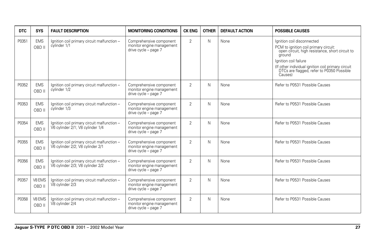| <b>DTC</b> | <b>SYS</b>           | <b>FAULT DESCRIPTION</b>                                                        | <b>MONITORING CONDITIONS</b>                                                 | <b>CK ENG</b>  | <b>OTHER</b> | <b>DEFAULT ACTION</b> | <b>POSSIBLE CAUSES</b>                                                                                                                                                                                                                                                  |
|------------|----------------------|---------------------------------------------------------------------------------|------------------------------------------------------------------------------|----------------|--------------|-----------------------|-------------------------------------------------------------------------------------------------------------------------------------------------------------------------------------------------------------------------------------------------------------------------|
| P0351      | <b>EMS</b><br>OBD II | Ignition coil primary circuit malfunction -<br>cylinder 1/1                     | Comprehensive component<br>monitor engine management<br>drive cycle - page 7 | $\overline{2}$ | N            | None                  | lanition coil disconnected<br>PCM to ignition coil primary circuit:<br>open circuit, high resistance, short circuit to<br>around<br>lanition coil failure<br>(If other individual ignition coil primary circuit<br>DTCs are flagged, refer to P0350 Possible<br>Causes) |
| P0352      | <b>EMS</b><br>OBD II | Ignition coil primary circuit malfunction -<br>cylinder 1/2                     | Comprehensive component<br>monitor engine management<br>drive cycle - page 7 | $\overline{2}$ | N            | None                  | Refer to P0531 Possible Causes                                                                                                                                                                                                                                          |
| P0353      | <b>EMS</b><br>OBD II | Ignition coil primary circuit malfunction -<br>cylinder 1/3                     | Comprehensive component<br>monitor engine management<br>drive cycle - page 7 | $\overline{2}$ | N            | None                  | Refer to P0531 Possible Causes                                                                                                                                                                                                                                          |
| P0354      | <b>EMS</b><br>OBD II | Ignition coil primary circuit malfunction -<br>V6 cylinder 2/1; V8 cylinder 1/4 | Comprehensive component<br>monitor engine management<br>drive cycle - page 7 | $\overline{2}$ | N            | None                  | Refer to P0531 Possible Causes                                                                                                                                                                                                                                          |
| P0355      | <b>EMS</b><br>OBD II | Ignition coil primary circuit malfunction -<br>V6 cylinder 2/2; V8 cylinder 2/1 | Comprehensive component<br>monitor engine management<br>drive cycle - page 7 | $\overline{2}$ | N            | None                  | Refer to P0531 Possible Causes                                                                                                                                                                                                                                          |
| P0356      | <b>EMS</b><br>OBD II | Ignition coil primary circuit malfunction -<br>V6 cylinder 2/3; V8 cylinder 2/2 | Comprehensive component<br>monitor engine management<br>drive cycle - page 7 | 2              | N            | None                  | Refer to P0531 Possible Causes                                                                                                                                                                                                                                          |
| P0357      | V8 EMS<br>OBD II     | Ignition coil primary circuit malfunction -<br>V8 cylinder 2/3                  | Comprehensive component<br>monitor engine management<br>drive cycle - page 7 | 2              | N            | None                  | Refer to P0531 Possible Causes                                                                                                                                                                                                                                          |
| P0358      | V8 EMS<br>OBD II     | Ignition coil primary circuit malfunction -<br>V8 cylinder 2/4                  | Comprehensive component<br>monitor engine management<br>drive cycle - page 7 | 2              | N            | None                  | Refer to P0531 Possible Causes                                                                                                                                                                                                                                          |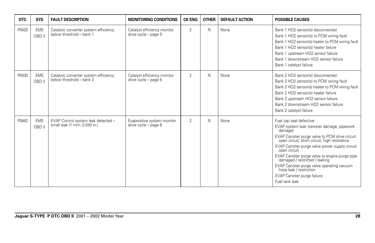| <b>DTC</b> | <b>SYS</b>           | <b>FAULT DESCRIPTION</b>                                            | <b>MONITORING CONDITIONS</b>                        | <b>CK ENG</b>  | <b>OTHER</b> | <b>DEFAULT ACTION</b> | <b>POSSIBLE CAUSES</b>                                                                                                                                                                                                                                                                                                                                                                                                                                                |
|------------|----------------------|---------------------------------------------------------------------|-----------------------------------------------------|----------------|--------------|-----------------------|-----------------------------------------------------------------------------------------------------------------------------------------------------------------------------------------------------------------------------------------------------------------------------------------------------------------------------------------------------------------------------------------------------------------------------------------------------------------------|
| P0420      | <b>EMS</b><br>OBD II | Catalytic converter system efficiency<br>below threshold - bank 1   | Catalyst efficiency monitor<br>drive cycle - page 5 | $\overline{2}$ | N            | None                  | Bank 1 HO2 sensor(s) disconnected<br>Bank 1 HO2 sensor(s) to PCM wiring fault<br>Bank 1 HO2 sensor(s) heater to PCM wiring fault<br>Bank 1 HO2 sensor(s) heater failure<br>Bank 1 upstream HO2 sensor failure<br>Bank 1 downstream HO2 sensor failure<br>Bank 1 catalyst failure                                                                                                                                                                                      |
| P0430      | <b>EMS</b><br>OBD II | Catalytic converter system efficiency<br>below threshold - bank 2   | Catalyst efficiency monitor<br>drive cycle - page 5 | 2              | N            | None                  | Bank 2 HO2 sensor(s) disconnected<br>Bank 2 HO2 sensor(s) to PCM wiring fault<br>Bank 2 HO2 sensor(s) heater to PCM wiring fault<br>Bank 2 HO2 sensor(s) heater failure<br>Bank 2 upstream HO2 sensor failure<br>Bank 2 downstream HO2 sensor failure<br>Bank 2 catalyst failure                                                                                                                                                                                      |
| P0442      | <b>EMS</b><br>OBD II | EVAP Control system leak detected -<br>small leak (1 mm; 0.040 in.) | Evaporative system monitor<br>drive cycle - page 6  | $\overline{2}$ | N            | None                  | Fuel cap seal defective<br>EVAP system leak (canister damage, pipework<br>damage)<br>EVAP Canister purge valve to PCM drive circuit:<br>open circuit, short circuit, high resistance<br>EVAP Canister purge valve power supply circuit:<br>open circuit<br>EVAP Canister purge valve to engine purge pipe<br>damaged / restricted / leaking<br>EVAP Canister purge valve operating vacuum<br>hose leak / restriction<br>EVAP Canister purge failure<br>Fuel tank leak |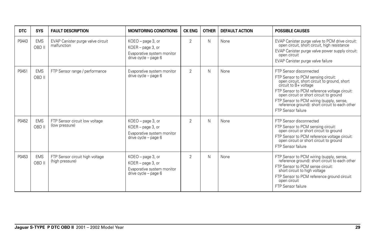| DTC   | <b>SYS</b>           | <b>FAULT DESCRIPTION</b>                           | <b>MONITORING CONDITIONS</b>                                                                     | <b>CK ENG</b>  | <b>OTHER</b> | <b>DEFAULT ACTION</b> | <b>POSSIBLE CAUSES</b>                                                                                                                                                                                                                                                                                                                                       |
|-------|----------------------|----------------------------------------------------|--------------------------------------------------------------------------------------------------|----------------|--------------|-----------------------|--------------------------------------------------------------------------------------------------------------------------------------------------------------------------------------------------------------------------------------------------------------------------------------------------------------------------------------------------------------|
| P0443 | <b>EMS</b><br>OBD II | EVAP Canister purge valve circuit<br>malfunction   | $KOEO$ – page 3, or<br>KOER - page 3, or<br>Evaporative system monitor<br>drive cycle - page 6   | $\overline{2}$ | N            | None                  | EVAP Canister purge valve to PCM drive circuit:<br>open circuit, short circuit, high resistance<br>EVAP Canister purge valve power supply circuit:<br>open circuit<br>EVAP Canister purge valve failure                                                                                                                                                      |
| P0451 | <b>EMS</b><br>OBD II | FTP Sensor range / performance                     | Evaporative system monitor<br>drive cycle - page 6                                               | $\overline{2}$ | N            | None                  | FTP Sensor disconnected<br>FTP Sensor to PCM sensing circuit:<br>open circuit, short circuit to ground, short<br>circuit to B+ voltage<br>FTP Sensor to PCM reference voltage circuit:<br>open circuit or short circuit to ground<br>FTP Sensor to PCM wiring (supply, sense,<br>reference ground): short circuit to each other<br><b>FTP Sensor failure</b> |
| P0452 | <b>EMS</b><br>OBD II | FTP Sensor circuit low voltage<br>(low pressure)   | $KOEO$ – page 3, or<br>KOER - page 3, or<br>Evaporative system monitor<br>drive $cycle - page 6$ | $\overline{2}$ | N            | None                  | FTP Sensor disconnected<br>FTP Sensor to PCM sensing circuit:<br>open circuit or short circuit to ground<br>FTP Sensor to PCM reference voltage circuit:<br>open circuit or short circuit to ground<br>FTP Sensor failure                                                                                                                                    |
| P0453 | <b>EMS</b><br>OBD II | FTP Sensor circuit high voltage<br>(high pressure) | KOEO - page 3, or<br>KOER - page 3, or<br>Evaporative system monitor<br>drive $cycle - page 6$   | $\overline{2}$ | N            | None                  | FTP Sensor to PCM wiring (supply, sense,<br>reference ground): short circuit to each other<br>FTP Sensor to PCM sense circuit:<br>short circuit to high voltage<br>FTP Sensor to PCM reference ground circuit:<br>open circuit<br><b>FTP Sensor failure</b>                                                                                                  |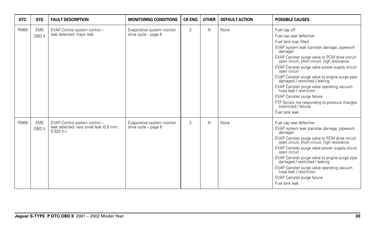| <b>DTC</b> | <b>SYS</b>           | <b>FAULT DESCRIPTION</b>                                                                 | <b>MONITORING CONDITIONS</b>                       | <b>CK ENG</b>  | <b>OTHER</b> | <b>DEFAULT ACTION</b> | <b>POSSIBLE CAUSES</b>                                                                                                                                                                                                                                                                                                                                                                                                                                                                                                                                                                    |
|------------|----------------------|------------------------------------------------------------------------------------------|----------------------------------------------------|----------------|--------------|-----------------------|-------------------------------------------------------------------------------------------------------------------------------------------------------------------------------------------------------------------------------------------------------------------------------------------------------------------------------------------------------------------------------------------------------------------------------------------------------------------------------------------------------------------------------------------------------------------------------------------|
| P0455      | <b>EMS</b><br>OBD II | EVAP Control system control -<br>leak detected: major leak                               | Evaporative system monitor<br>drive cycle - page 6 | $\overline{2}$ | N            | None                  | Fuel cap off<br>Fuel cap seal defective<br>Fuel tank over filled<br>EVAP system leak (canister damage, pipework<br>damage)<br>EVAP Canister purge valve to PCM drive circuit:<br>open circuit, short circuit, high resistance<br>EVAP Canister purge valve power supply circuit:<br>open circuit<br>EVAP Canister purge valve to engine purge pipe<br>damaged / restricted / leaking<br>EVAP Canister purge valve operating vacuum<br>hose leak / restriction<br>EVAP Canister purge failure<br>FTP Sensor not responding to pressure changes<br>(restricted / failure)<br>Fuel tank leak |
| P0456      | <b>EMS</b><br>OBD II | EVAP Control system control -<br>leak detected: very small leak (0.5 mm;<br>$0.020$ in.) | Evaporative system monitor<br>drive cycle - page 6 | $\overline{2}$ | N            | None                  | Fuel cap seal defective<br>EVAP system leak (canister damage, pipework<br>damage)<br>EVAP Canister purge valve to PCM drive circuit:<br>open circuit, short circuit, high resistance<br>EVAP Canister purge valve power supply circuit:<br>open circuit<br>EVAP Canister purge valve to engine purge pipe<br>damaged / restricted / leaking<br>EVAP Canister purge valve operating vacuum<br>hose leak / restriction<br>EVAP Canister purge failure<br>Fuel tank leak                                                                                                                     |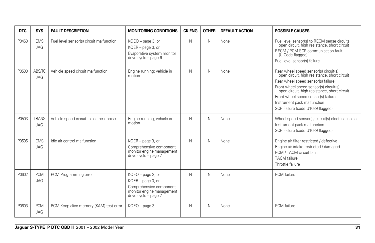| <b>DTC</b> | <b>SYS</b>                  | <b>FAULT DESCRIPTION</b>                 | <b>MONITORING CONDITIONS</b>                                                                                           | <b>CK ENG</b> | <b>OTHER</b> | <b>DEFAULT ACTION</b> | <b>POSSIBLE CAUSES</b>                                                                                                                                                                                                                                                                                                            |
|------------|-----------------------------|------------------------------------------|------------------------------------------------------------------------------------------------------------------------|---------------|--------------|-----------------------|-----------------------------------------------------------------------------------------------------------------------------------------------------------------------------------------------------------------------------------------------------------------------------------------------------------------------------------|
| P0460      | <b>EMS</b><br>JAG           | Fuel level sensor(s) circuit malfunction | KOEO - page 3, or<br>KOER - page 3, or<br>Evaporative system monitor<br>drive cycle - page 6                           | N             | N            | None                  | Fuel level sensor(s) to RECM sense circuits:<br>open circuit, high resistance, short circuit<br>RECM / PCM SCP communication fault<br>(U Code flagged)<br>Fuel level sensor(s) failure                                                                                                                                            |
| P0500      | <b>ABS/TC</b><br><b>JAG</b> | Vehicle speed circuit malfunction        | Engine running; vehicle in<br>motion                                                                                   | N             | N            | None                  | Rear wheel speed sensor(s) circuit(s):<br>open circuit, high resistance, short circuit<br>Rear wheel speed sensor(s) failure<br>Front wheel speed sensor(s) circuit(s):<br>open circuit, high resistance, short circuit<br>Front wheel speed sensor(s) failure<br>Instrument pack malfunction<br>SCP Failure (code U1039 flagged) |
| P0503      | <b>TRANS</b><br>JAG         | Vehicle speed circuit - electrical noise | Engine running; vehicle in<br>motion                                                                                   | N             | N            | None                  | Wheel speed sensor(s) circuit(s) electrical noise<br>Instrument pack malfunction<br>SCP Failure (code U1039 flagged)                                                                                                                                                                                                              |
| P0505      | <b>EMS</b><br>JAG           | Idle air control malfunction             | KOER - page 3, or<br>Comprehensive component<br>monitor engine management<br>drive cycle - page 7                      | N             | N            | None                  | Engine air filter restricted / defective<br>Engine air intake restricted / damaged<br>PCM / TACM circuit fault<br><b>TACM</b> failure<br>Throttle failure                                                                                                                                                                         |
| P0602      | <b>PCM</b><br><b>JAG</b>    | PCM Programming error                    | KOEO - page 3, or<br>KOER - page 3, or<br>Comprehensive component<br>monitor engine management<br>drive cycle - page 7 | N             | N            | None                  | PCM failure                                                                                                                                                                                                                                                                                                                       |
| P0603      | <b>PCM</b><br><b>JAG</b>    | PCM Keep alive memory (KAM) test error   | $KOEO - page 3$                                                                                                        | N             | N            | None                  | PCM failure                                                                                                                                                                                                                                                                                                                       |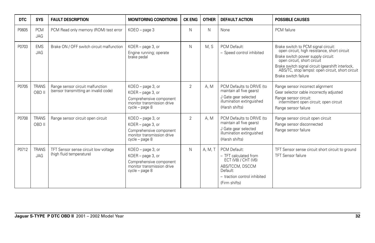| <b>DTC</b> | <b>SYS</b>                 | <b>FAULT DESCRIPTION</b>                                                  | <b>MONITORING CONDITIONS</b>                                                                                        | <b>CK ENG</b>  | <b>OTHER</b> | <b>DEFAULT ACTION</b>                                                                                                                        | <b>POSSIBLE CAUSES</b>                                                                                                                                                                                                                                                                    |
|------------|----------------------------|---------------------------------------------------------------------------|---------------------------------------------------------------------------------------------------------------------|----------------|--------------|----------------------------------------------------------------------------------------------------------------------------------------------|-------------------------------------------------------------------------------------------------------------------------------------------------------------------------------------------------------------------------------------------------------------------------------------------|
| P0605      | <b>PCM</b><br><b>JAG</b>   | PCM Read only memory (ROM) test error                                     | KOEO - page 3                                                                                                       | N              | N            | None                                                                                                                                         | PCM failure                                                                                                                                                                                                                                                                               |
| P0703      | <b>EMS</b><br><b>JAG</b>   | Brake ON / OFF switch circuit malfunction                                 | KOER - page 3, or<br>Engine running; operate<br>brake pedal                                                         | N              | M.S          | PCM Default:<br>- Speed control inhibited                                                                                                    | Brake switch to PCM signal circuit:<br>open circuit, high resistance, short circuit<br>Brake switch power supply circuit:<br>open circuit, short circuit<br>Brake switch signal circuit (gearshift interlock,<br>ABS/TC, stop lamps): open circuit, short circuit<br>Brake switch failure |
| P0705      | <b>TRANS</b><br>OBD II     | Range sensor circuit malfunction<br>(sensor transmitting an invalid code) | KOEO - page 3, or<br>KOER - page 3, or<br>Comprehensive component<br>monitor transmission drive<br>cycle - page 8   | $\overline{2}$ | A. M         | PCM Defaults to DRIVE (to<br>maintain all five gears)<br>J Gate gear selected<br>illumination extinguished<br>(Harsh shifts)                 | Range sensor incorrect alignment<br>Gear selector cable incorrectly adjusted<br>Range sensor circuit:<br>intermittent open circuit; open circuit<br>Range sensor failure                                                                                                                  |
| P0708      | <b>TRANS</b><br>OBD II     | Range sensor circuit open circuit                                         | KOEO - page 3, or<br>KOER - page 3, or<br>Comprehensive component<br>monitor transmission drive<br>$cycle - page 8$ | $\overline{2}$ | A. M         | PCM Defaults to DRIVE (to<br>maintain all five gears)<br>J Gate gear selected<br>illumination extinguished<br>(Harsh shifts)                 | Range sensor circuit open circuit<br>Range sensor disconnected<br>Range sensor failure                                                                                                                                                                                                    |
| P0712      | <b>TRANS</b><br><b>JAG</b> | TFT Sensor sense circuit low voltage<br>(high fluid temperature)          | KOEO - page 3, or<br>KOER - page 3, or<br>Comprehensive component<br>monitor transmission drive<br>cycle - page 8   | N              | A, M, T      | PCM Default:<br>- TFT calculated from<br>ECT (V8) / CHT (V6)<br>ABS/TCCM, DSCCM<br>Default:<br>- traction control inhibited<br>(Firm shifts) | TFT Sensor sense circuit short circuit to ground<br><b>TFT Sensor failure</b>                                                                                                                                                                                                             |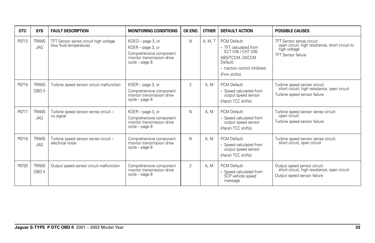| DTC   | <b>SYS</b>                 | <b>FAULT DESCRIPTION</b>                                         | <b>MONITORING CONDITIONS</b>                                                                                      | <b>CK ENG</b>  | <b>OTHER</b> | <b>DEFAULT ACTION</b>                                                                                                                        | <b>POSSIBLE CAUSES</b>                                                                                                    |
|-------|----------------------------|------------------------------------------------------------------|-------------------------------------------------------------------------------------------------------------------|----------------|--------------|----------------------------------------------------------------------------------------------------------------------------------------------|---------------------------------------------------------------------------------------------------------------------------|
| P0713 | <b>TRANS</b><br>JAG        | TFT Sensor sense circuit high voltage<br>(low fluid temperature) | KOEO - page 3, or<br>KOER - page 3, or<br>Comprehensive component<br>monitor transmission drive<br>cycle - page 8 | N              | A. M. T      | PCM Default:<br>- TFT calculated from<br>ECT (V8) / CHT (V6)<br>ABS/TCCM, DSCCM<br>Default:<br>- traction control inhibited<br>(Firm shifts) | TFT Sensor sense circuit:<br>open circuit, high resistance, short circuit to<br>high voltage<br><b>TFT Sensor failure</b> |
| P0715 | <b>TRANS</b><br>OBD II     | Turbine speed sensor circuit malfunction                         | KOER - page 3, or<br>Comprehensive component<br>monitor transmission drive<br>$cycle - page 8$                    | $\overline{2}$ | A. M         | PCM Default:<br>- Speed calculated from<br>output speed sensor<br>(Harsh TCC shifts)                                                         | Turbine speed sensor circuit:<br>short circuit, high resistance, open circuit<br>Turbine speed sensor failure             |
| P0717 | <b>TRANS</b><br><b>JAG</b> | Turbine speed sensor sense circuit -<br>no signal                | KOER - page 3, or<br>Comprehensive component<br>monitor transmission drive<br>$cycle - page 8$                    | N              | A. M         | PCM Default:<br>- Speed calculated from<br>output speed sensor<br>(Harsh TCC shifts)                                                         | Turbine speed sensor sense circuit:<br>open circuit<br>Turbine speed sensor failure                                       |
| P0718 | <b>TRANS</b><br><b>JAG</b> | Turbine speed sensor sense circuit -<br>electrical noise         | Comprehensive component<br>monitor transmission drive<br>$cycle - page 8$                                         | N              | A.M          | PCM Default:<br>- Speed calculated from<br>output speed sensor<br>(Harsh TCC shifts)                                                         | Turbine speed sensor sense circuit:<br>short circuit, open circuit                                                        |
| P0720 | <b>TRANS</b><br>OBD II     | Output speed sensor circuit malfunction                          | Comprehensive component<br>monitor transmission drive<br>cycle - page 8                                           | $\overline{2}$ | A, M         | PCM Default:<br>- Speed calculated from<br>SCP vehicle speed<br>message                                                                      | Output speed sensor circuit:<br>short circuit, high resistance, open circuit<br>Output speed sensor failure               |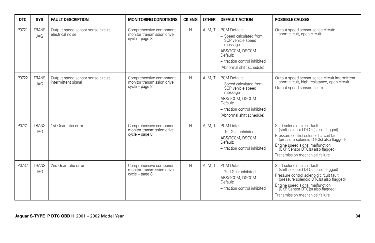| <b>DTC</b> | <b>SYS</b>                 | <b>FAULT DESCRIPTION</b>                                   | <b>MONITORING CONDITIONS</b>                                              | <b>CK ENG</b> | <b>OTHER</b> | <b>DEFAULT ACTION</b>                                                                                                                                               | <b>POSSIBLE CAUSES</b>                                                                                                                                                                                                                                               |
|------------|----------------------------|------------------------------------------------------------|---------------------------------------------------------------------------|---------------|--------------|---------------------------------------------------------------------------------------------------------------------------------------------------------------------|----------------------------------------------------------------------------------------------------------------------------------------------------------------------------------------------------------------------------------------------------------------------|
| P0721      | <b>TRANS</b><br><b>JAG</b> | Output speed sensor sense circuit -<br>electrical noise    | Comprehensive component<br>monitor transmission drive<br>cycle - page 8   | N             | A. M. T      | PCM Default:<br>- Speed calculated from<br>SCP vehicle speed<br>message<br>ABS/TCCM, DSCCM<br>Default:<br>- traction control inhibited<br>(Abnormal shift schedule) | Output speed sensor sense circuit:<br>short circuit, open circuit                                                                                                                                                                                                    |
| P0722      | <b>TRANS</b><br><b>JAG</b> | Output speed sensor sense circuit -<br>intermittent signal | Comprehensive component<br>monitor transmission drive<br>cycle - page 8   | N             | A, M, T      | PCM Default:<br>- Speed calculated from<br>SCP vehicle speed<br>message<br>ABS/TCCM, DSCCM<br>Default:<br>- traction control inhibited<br>(Abnormal shift schedule) | Output speed sensor sense circuit intermittent:<br>short circuit, high resistance, open circuit<br>Output speed sensor failure                                                                                                                                       |
| P0731      | <b>TRANS</b><br>JAG        | 1st Gear ratio error                                       | Comprehensive component<br>monitor transmission drive<br>cycle - page 8   | N             | A. M. T      | PCM Default:<br>- 1st Gear inhibited<br>ABS/TCCM, DSCCM<br>Default:<br>- traction control inhibited                                                                 | Shift solenoid circuit fault<br>(shift solenoid DTC(s) also flagged)<br>Pressure control solenoid circuit fault<br>(pressure solenoid DTC(s) also flagged)<br>Engine speed signal malfunction<br>(CKP Sensor DTC(s) also flagged)<br>Transmission mechanical failure |
| P0732      | <b>TRANS</b><br><b>JAG</b> | 2nd Gear ratio error                                       | Comprehensive component<br>monitor transmission drive<br>$cycle - page 8$ | N             | A, M, T      | PCM Default:<br>- 2nd Gear inhibited<br>ABS/TCCM, DSCCM<br>Default:<br>- traction control inhibited                                                                 | Shift solenoid circuit fault<br>(shift solenoid DTC(s) also flagged)<br>Pressure control solenoid circuit fault<br>(pressure solenoid DTC(s) also flagged)<br>Engine speed signal malfunction<br>(CKP Sensor DTC(s) also flagged)<br>Transmission mechanical failure |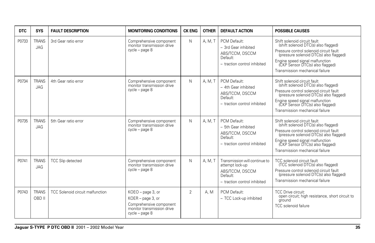| <b>DTC</b> | <b>SYS</b>                 | <b>FAULT DESCRIPTION</b>         | <b>MONITORING CONDITIONS</b>                                                                                      | <b>CK ENG</b>  | <b>OTHER</b> | <b>DEFAULT ACTION</b>                                                                                           | <b>POSSIBLE CAUSES</b>                                                                                                                                                                                                                                               |
|------------|----------------------------|----------------------------------|-------------------------------------------------------------------------------------------------------------------|----------------|--------------|-----------------------------------------------------------------------------------------------------------------|----------------------------------------------------------------------------------------------------------------------------------------------------------------------------------------------------------------------------------------------------------------------|
| P0733      | <b>TRANS</b><br><b>JAG</b> | 3rd Gear ratio error             | Comprehensive component<br>monitor transmission drive<br>cycle - page 8                                           | N              | A, M, T      | PCM Default:<br>- 3rd Gear inhibited<br>ABS/TCCM, DSCCM<br>Default:<br>- traction control inhibited             | Shift solenoid circuit fault<br>(shift solenoid DTC(s) also flagged)<br>Pressure control solenoid circuit fault<br>(pressure solenoid DTC(s) also flagged)<br>Engine speed signal malfunction<br>(CKP Sensor DTC(s) also flagged)<br>Transmission mechanical failure |
| P0734      | <b>TRANS</b><br><b>JAG</b> | 4th Gear ratio error             | Comprehensive component<br>monitor transmission drive<br>cycle - page 8                                           | N              | A. M. T      | PCM Default:<br>- 4th Gear inhibited<br>ABS/TCCM, DSCCM<br>Default:<br>- traction control inhibited             | Shift solenoid circuit fault<br>(shift solenoid DTC(s) also flagged)<br>Pressure control solenoid circuit fault<br>(pressure solenoid DTC(s) also flagged)<br>Engine speed signal malfunction<br>(CKP Sensor DTC(s) also flagged)<br>Transmission mechanical failure |
| P0735      | <b>TRANS</b><br>JAG        | 5th Gear ratio error             | Comprehensive component<br>monitor transmission drive<br>cycle - page 8                                           | N              | A, M, T      | PCM Default:<br>- 5th Gear inhibited<br>ABS/TCCM, DSCCM<br>Default:<br>- traction control inhibited             | Shift solenoid circuit fault<br>(shift solenoid DTC(s) also flagged)<br>Pressure control solenoid circuit fault<br>(pressure solenoid DTC(s) also flagged)<br>Engine speed signal malfunction<br>(CKP Sensor DTC(s) also flagged)<br>Transmission mechanical failure |
| P0741      | <b>TRANS</b><br><b>JAG</b> | <b>TCC Slip detected</b>         | Comprehensive component<br>monitor transmission drive<br>cycle - page 8                                           | N              | A. M. T      | Transmission will continue to<br>attempt lock-up<br>ABS/TCCM, DSCCM<br>Default:<br>- traction control inhibited | TCC solenoid circuit fault<br>(TCC solenoid DTC(s) also flagged)<br>Pressure control solenoid circuit fault<br>(pressure solenoid DTC(s) also flagged)<br>Transmission mechanical failure                                                                            |
| P0743      | <b>TRANS</b><br>OBD II     | TCC Solenoid circuit malfunction | KOEO - page 3, or<br>KOER - page 3, or<br>Comprehensive component<br>monitor transmission drive<br>cycle - page 8 | $\overline{2}$ | A.M          | PCM Default:<br>- TCC Lock-up inhibited                                                                         | <b>TCC Drive circuit:</b><br>open circuit; high resistance, short circuit to<br>ground<br><b>TCC</b> solenoid failure                                                                                                                                                |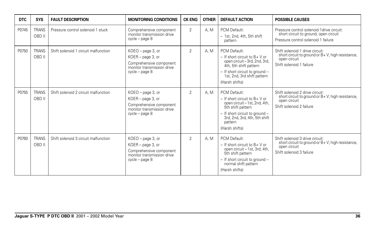| <b>DTC</b> | <b>SYS</b>             | <b>FAULT DESCRIPTION</b>             | <b>MONITORING CONDITIONS</b>                                                                                          | <b>CK ENG</b>  | <b>OTHER</b> | <b>DEFAULT ACTION</b>                                                                                                                                                                                 | <b>POSSIBLE CAUSES</b>                                                                                                          |
|------------|------------------------|--------------------------------------|-----------------------------------------------------------------------------------------------------------------------|----------------|--------------|-------------------------------------------------------------------------------------------------------------------------------------------------------------------------------------------------------|---------------------------------------------------------------------------------------------------------------------------------|
| P0745      | <b>TRANS</b><br>OBD II | Pressure control solenoid 1 stuck    | Comprehensive component<br>monitor transmission drive<br>$cycle - page 8$                                             | $\overline{2}$ | A, M         | PCM Default:<br>- 1st, 2nd, 4th, 5th shift<br>pattern                                                                                                                                                 | Pressure control solenoid 1 drive circuit:<br>short circuit to ground; open circuit<br>Pressure control solenoid 1 failure      |
| P0750      | <b>TRANS</b><br>OBD II | Shift solenoid 1 circuit malfunction | $KOEO$ – page 3, or<br>KOER - page 3, or<br>Comprehensive component<br>monitor transmission drive<br>$cycle - page 8$ | $\overline{2}$ | A.M          | PCM Default:<br>$-$ If short circuit to B+ V or<br>open circuit - 3rd, 2nd, 3rd,<br>4th, 5th shift pattern<br>- If short circuit to ground -<br>1st, 2nd, 3rd shift pattern<br>(Harsh shifts)         | Shift solenoid 1 drive circuit:<br>short circuit to ground or B+V; high resistance,<br>open circuit<br>Shift solenoid 1 failure |
| P0755      | <b>TRANS</b><br>OBD II | Shift solenoid 2 circuit malfunction | KOEO - page 3, or<br>KOER - page 3, or<br>Comprehensive component<br>monitor transmission drive<br>cycle - page 8     | 2              | A. M         | PCM Default:<br>$-$ If short circuit to B+ V or<br>open circuit - 1st, 2nd, 4th,<br>5th shift pattern<br>- If short circuit to ground -<br>3rd, 2nd, 3rd, 4th, 5th shift<br>pattern<br>(Harsh shifts) | Shift solenoid 2 drive circuit:<br>short circuit to ground or B+V; high resistance,<br>open circuit<br>Shift solenoid 2 failure |
| P0760      | <b>TRANS</b><br>OBD II | Shift solenoid 3 circuit malfunction | KOEO - page 3, or<br>KOER - page 3, or<br>Comprehensive component<br>monitor transmission drive<br>cycle - page 8     | $\overline{2}$ | A. M         | PCM Default:<br>$-$ If short circuit to B+ V or<br>open circuit - 1st, 3rd, 4th,<br>5th shift pattern<br>- If short circuit to ground -<br>normal shift pattern<br>(Harsh shifts)                     | Shift solenoid 3 drive circuit:<br>short circuit to ground or B+V; high resistance,<br>open circuit<br>Shift solenoid 3 failure |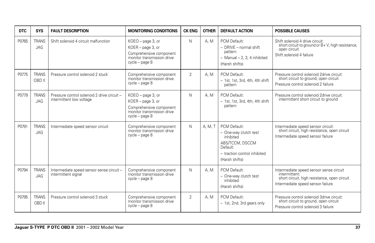| <b>DTC</b> | <b>SYS</b>                 | <b>FAULT DESCRIPTION</b>                                                | <b>MONITORING CONDITIONS</b>                                                                                        | <b>CK ENG</b>  | <b>OTHER</b> | <b>DEFAULT ACTION</b>                                                                                                               | <b>POSSIBLE CAUSES</b>                                                                                                                        |
|------------|----------------------------|-------------------------------------------------------------------------|---------------------------------------------------------------------------------------------------------------------|----------------|--------------|-------------------------------------------------------------------------------------------------------------------------------------|-----------------------------------------------------------------------------------------------------------------------------------------------|
| P0765      | <b>TRANS</b><br>JAG        | Shift solenoid 4 circuit malfunction                                    | KOEO - page 3, or<br>KOER - page 3, or<br>Comprehensive component<br>monitor transmission drive<br>$cycle - page 8$ | N.             | A.M          | PCM Default:<br>$-$ DRIVE $-$ normal shift<br>pattern<br>$-$ Manual $-$ 2, 3, 4 inhibited<br>(Harsh shifts)                         | Shift solenoid 4 drive circuit:<br>short circuit to ground or B+V, high resistance,<br>open circuit<br>Shift solenoid 4 failure               |
| P0775      | <b>TRANS</b><br>OBD II     | Pressure control solenoid 2 stuck                                       | Comprehensive component<br>monitor transmission drive<br>$cycle - page 8$                                           | $\overline{2}$ | A.M          | PCM Default:<br>$-1$ st, 1st, 3rd, 4th, 4th shift<br>pattern                                                                        | Pressure control solenoid 2drive circuit:<br>short circuit to ground; open circuit<br>Pressure control solenoid 2 failure                     |
| P0779      | <b>TRANS</b><br>JAG        | Pressure control solenoid 2 drive circuit -<br>intermittent low voltage | KOEO - page 3, or<br>KOER - page 3, or<br>Comprehensive component<br>monitor transmission drive<br>$cycle - page 8$ | N              | A.M          | PCM Default:<br>- 1st, 1st, 3rd, 4th, 4th shift<br>pattern                                                                          | Pressure control solenoid 2drive circuit:<br>intermittent short circuit to ground                                                             |
| P0791      | <b>TRANS</b><br>JAG        | Intermediate speed sensor circuit                                       | Comprehensive component<br>monitor transmission drive<br>$cycle - page 8$                                           | N              | A. M. T      | PCM Default:<br>- One-way clutch test<br>inhibited<br>ABS/TCCM, DSCCM<br>Default:<br>- traction control inhibited<br>(Harsh shifts) | Intermediate speed sensor circuit:<br>short circuit, high resistance, open circuit<br>Intermediate speed sensor failure                       |
| P0794      | <b>TRANS</b><br><b>JAG</b> | Intermediate speed sensor sense circuit-<br>intermittent signal         | Comprehensive component<br>monitor transmission drive<br>$cycle - page 8$                                           | N              | A.M          | PCM Default:<br>- One-way clutch test<br>inhibited<br>(Harsh shifts)                                                                | Intermediate speed sensor sense circuit<br>intermittent:<br>short circuit, high resistance, open circuit<br>Intermediate speed sensor failure |
| P0795      | <b>TRANS</b><br>OBD II     | Pressure control solenoid 3 stuck                                       | Comprehensive component<br>monitor transmission drive<br>cycle – page 8                                             | $\overline{2}$ | A.M          | PCM Default:<br>- 1st, 2nd, 3rd gears only                                                                                          | Pressure control solenoid 3drive circuit:<br>short circuit to ground, open circuit<br>Pressure control solenoid 3 failure                     |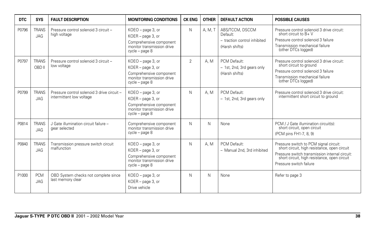| <b>DTC</b> | <b>SYS</b>                 | <b>FAULT DESCRIPTION</b>                                                | <b>MONITORING CONDITIONS</b>                                                                                      | <b>CK ENG</b>  | <b>OTHER</b> | <b>DEFAULT ACTION</b>                                                         | <b>POSSIBLE CAUSES</b>                                                                                                                                                                                              |
|------------|----------------------------|-------------------------------------------------------------------------|-------------------------------------------------------------------------------------------------------------------|----------------|--------------|-------------------------------------------------------------------------------|---------------------------------------------------------------------------------------------------------------------------------------------------------------------------------------------------------------------|
| P0796      | <b>TRANS</b><br><b>JAG</b> | Pressure control solenoid 3 circuit -<br>high voltage                   | KOEO - page 3, or<br>KOER - page 3, or<br>Comprehensive component<br>monitor transmission drive<br>cycle - page 8 | N              | A, M, T      | ABS/TCCM, DSCCM<br>Default:<br>- traction control inhibited<br>(Harsh shifts) | Pressure control solenoid 3 drive circuit:<br>short circuit to $B + V$<br>Pressure control solenoid 3 failure<br>Transmission mechanical failure<br>(other DTCs logged)                                             |
| P0797      | <b>TRANS</b><br>OBD II     | Pressure control solenoid 3 circuit -<br>low voltage                    | KOEO - page 3, or<br>KOER - page 3, or<br>Comprehensive component<br>monitor transmission drive<br>cycle - page 8 | $\overline{2}$ | A.M          | PCM Default:<br>- 1st, 2nd, 3rd gears only<br>(Harsh shifts)                  | Pressure control solenoid 3 drive circuit:<br>short circuit to ground<br>Pressure control solenoid 3 failure<br>Transmission mechanical failure<br>(other DTCs logged)                                              |
| P0799      | <b>TRANS</b><br><b>JAG</b> | Pressure control solenoid 3 drive circuit -<br>intermittent low voltage | KOEO - page 3, or<br>KOER - page 3, or<br>Comprehensive component<br>monitor transmission drive<br>cycle - page 8 | N              | A.M          | PCM Default:<br>- 1st, 2nd, 3rd gears only                                    | Pressure control solenoid 3 drive circuit:<br>intermittent short circuit to ground                                                                                                                                  |
| P0814      | <b>TRANS</b><br><b>JAG</b> | J Gate illumination circuit failure -<br>gear selected                  | Comprehensive component<br>monitor transmission drive<br>cycle - page 8                                           | N              | N.           | None                                                                          | PCM / J Gate illumination circuit(s):<br>short circuit, open circuit<br>(PCM pins FH1-7, 8, 9)                                                                                                                      |
| P0840      | <b>TRANS</b><br><b>JAG</b> | Transmission pressure switch circuit<br>malfunction                     | KOEO - page 3, or<br>KOER - page 3, or<br>Comprehensive component<br>monitor transmission drive<br>cycle - page 8 | N              | A.M          | PCM Default:<br>- Manual 2nd, 3rd inhibited                                   | Pressure switch to PCM signal circuit:<br>short circuit, high resistance, open circuit<br>Pressure switch transmission internal circuit:<br>short circuit, high resistance, open circuit<br>Pressure switch failure |
| P1000      | <b>PCM</b><br><b>JAG</b>   | OBD System checks not complete since<br>last memory clear               | KOEO - page 3, or<br>KOER - page 3, or<br>Drive vehicle                                                           | N              | N.           | None                                                                          | Refer to page 3                                                                                                                                                                                                     |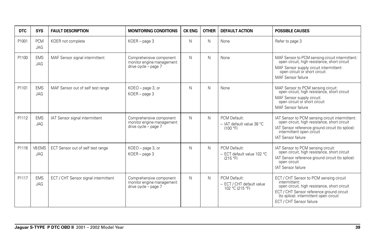| <b>DTC</b> | <b>SYS</b>               | <b>FAULT DESCRIPTION</b>             | <b>MONITORING CONDITIONS</b>                                                 | <b>CK ENG</b> | <b>OTHER</b> | <b>DEFAULT ACTION</b>                                        | <b>POSSIBLE CAUSES</b>                                                                                                                                                                                                      |
|------------|--------------------------|--------------------------------------|------------------------------------------------------------------------------|---------------|--------------|--------------------------------------------------------------|-----------------------------------------------------------------------------------------------------------------------------------------------------------------------------------------------------------------------------|
| P1001      | <b>PCM</b><br><b>JAG</b> | KOER not complete                    | $KOER - page 3$                                                              | N             | N            | None                                                         | Refer to page 3                                                                                                                                                                                                             |
| P1100      | <b>EMS</b><br>JAG        | MAF Sensor signal intermittent       | Comprehensive component<br>monitor engine management<br>drive cycle - page 7 | N             | N            | None                                                         | MAF Sensor to PCM sensing circuit intermittent:<br>open circuit, high resistance, short circuit<br>MAF Sensor supply circuit intermittent:<br>open circuit or short circuit<br>MAF Sensor failure                           |
| P1101      | <b>EMS</b><br>JAG        | MAF Sensor out of self test range    | KOEO - page 3, or<br>$KOER - page 3$                                         | N             | N            | None                                                         | MAF Sensor to PCM sensing circuit:<br>open circuit, high resistance, short circuit<br>MAF Sensor supply circuit:<br>open circuit or short circuit<br>MAF Sensor failure                                                     |
| P1112      | <b>EMS</b><br><b>JAG</b> | IAT Sensor signal intermittent       | Comprehensive component<br>monitor engine management<br>drive cycle - page 7 | N             | N            | PCM Default:<br>- IAT default value 38 °C<br>(100 °F)        | IAT Sensor to PCM sensing circuit intermittent:<br>open circuit, high resistance, short circuit<br>IAT Sensor reference ground circuit (to splice):<br>intermittent open circuit<br>IAT Sensor failure                      |
| P1116      | V8 EMS<br><b>JAG</b>     | ECT Sensor out of self test range    | KOEO - page 3, or<br>KOER - page 3                                           | N             | N            | PCM Default:<br>- ECT default value 102 °C<br>(215 °F)       | IAT Sensor to PCM sensing circuit:<br>open circuit, high resistance, short circuit<br>IAT Sensor reference ground circuit (to splice):<br>open circuit<br>IAT Sensor failure                                                |
| P1117      | <b>EMS</b><br><b>JAG</b> | ECT / CHT Sensor signal intermittent | Comprehensive component<br>monitor engine management<br>drive cycle - page 7 | N             | N            | PCM Default:<br>- ECT / CHT default value<br>102 °C (215 °F) | ECT / CHT Sensor to PCM sensing circuit<br>intermittent:<br>open circuit, high resistance, short circuit<br>ECT / CHT Sensor reference ground circuit<br>(to splice): intermittent open circuit<br>ECT / CHT Sensor failure |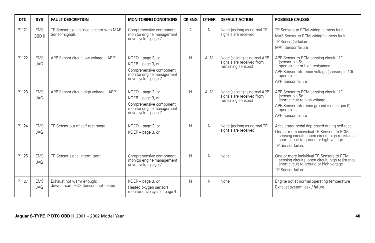| <b>DTC</b> | <b>SYS</b>               | <b>FAULT DESCRIPTION</b>                                      | <b>MONITORING CONDITIONS</b>                                                                                           | <b>CK ENG</b>  | <b>OTHER</b> | <b>DEFAULT ACTION</b>                                                          | <b>POSSIBLE CAUSES</b>                                                                                                                                                                                       |
|------------|--------------------------|---------------------------------------------------------------|------------------------------------------------------------------------------------------------------------------------|----------------|--------------|--------------------------------------------------------------------------------|--------------------------------------------------------------------------------------------------------------------------------------------------------------------------------------------------------------|
| P1121      | <b>EMS</b><br>OBD II     | TP Sensor signals inconsistent with MAF<br>Sensor signals     | Comprehensive component<br>monitor engine management<br>drive cycle - page 7                                           | $\overline{2}$ | N            | None (as long as normal TP<br>signals are received)                            | TP Sensors to PCM wiring harness fault<br>MAF Sensor to PCM wiring harness fault<br>TP Sensor(s) failure<br>MAF Sensor failure                                                                               |
| P1122      | <b>EMS</b><br><b>JAG</b> | APP Sensor circuit low voltage - APP1                         | KOEO - page 3, or<br>KOER - page 3, or<br>Comprehensive component<br>monitor engine management<br>drive cycle - page 7 | N              | A.M          | None (as long as normal APP<br>signals are received from<br>remaining sensors) | APP Sensor to PCM sensing circuit "1"<br>(sensor pin 5:<br>open circuit or high resistance<br>APP Sensor reference voltage (sensor pin 10):<br>open circuit<br>APP Sensor failure                            |
| P1123      | <b>EMS</b><br><b>JAG</b> | APP Sensor circuit high voltage - APP1                        | KOEO - page 3, or<br>KOER - page 3, or<br>Comprehensive component<br>monitor engine management<br>drive cycle - page 7 | N              | A.M          | None (as long as normal APP<br>signals are received from<br>remaining sensors) | APP Sensor to PCM sensing circuit "1"<br>(sensor pin 5):<br>short circuit to high voltage<br>APP Sensor reference ground (sensor pin 9):<br>open circuit<br>APP Sensor failure                               |
| P1124      | <b>EMS</b><br>JAG        | TP Sensor out of self test range                              | KOEO - page 3, or<br>KOER - page 3, or                                                                                 | N              | N            | None (as long as normal TP<br>signals are received)                            | Accelerator pedal depressed during self test<br>One or more individual TP Sensors to PCM<br>sensing circuits: open circuit, high resistance,<br>short circuit to ground or high voltage<br>TP Sensor failure |
| P1125      | <b>EMS</b><br><b>JAG</b> | TP Sensor signal intermittent                                 | Comprehensive component<br>monitor engine management<br>drive cycle - page 7                                           | N              | N            | None                                                                           | One or more individual TP Sensors to PCM<br>sensing circuits: open circuit, high resistance,<br>short circuit to ground or high voltage<br>TP Sensor failure                                                 |
| P1127      | <b>EMS</b><br><b>JAG</b> | Exhaust not warm enough;<br>downstream HO2 Sensors not tested | KOER - page 3, or<br>Heated oxygen sensors<br>monitor drive cycle - page 4                                             | N              | N            | None                                                                           | Engine not at normal operating temperature<br>Exhaust system leak / failure                                                                                                                                  |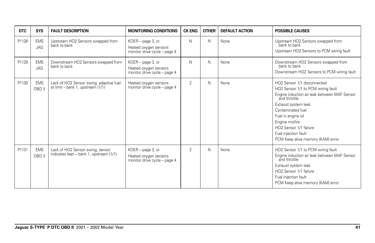| <b>DTC</b> | <b>SYS</b>               | <b>FAULT DESCRIPTION</b>                                                     | <b>MONITORING CONDITIONS</b>                                                  | <b>CK ENG</b>  | <b>OTHER</b> | <b>DEFAULT ACTION</b> | <b>POSSIBLE CAUSES</b>                                                                                                                                                                                                                                                                                       |
|------------|--------------------------|------------------------------------------------------------------------------|-------------------------------------------------------------------------------|----------------|--------------|-----------------------|--------------------------------------------------------------------------------------------------------------------------------------------------------------------------------------------------------------------------------------------------------------------------------------------------------------|
| P1128      | <b>EMS</b><br><b>JAG</b> | Upstream HO2 Sensors swapped from<br>bank to bank                            | KOER - page 3, or<br>Heated oxygen sensors<br>monitor drive cycle - page 4    | N              | N            | None                  | Upstream HO2 Sensors swapped from<br>bank to bank<br>Upstream HO2 Sensors to PCM wiring fault                                                                                                                                                                                                                |
| P1129      | <b>EMS</b><br><b>JAG</b> | Downstream HO2 Sensors swapped from<br>bank to bank                          | $KOER - page 3$ , or<br>Heated oxygen sensors<br>monitor drive cycle - page 4 | N              | N            | None                  | Downstream HO2 Sensors swapped from<br>bank to bank<br>Downstream HO2 Sensors to PCM wiring fault                                                                                                                                                                                                            |
| P1130      | <b>EMS</b><br>OBD II     | Lack of HO2 Sensor swing, adaptive fuel<br>at limit – bank 1, upstream (1/1) | Heated oxygen sensors<br>monitor drive cycle - page 4                         | $\overline{2}$ | N            | None                  | HO2 Sensor 1/1 disconnected<br>HO2 Sensor 1/1 to PCM wiring fault<br>Engine induction air leak between MAF Sensor<br>and throttle<br>Exhaust system leak<br>Contaminated fuel<br>Fuel in engine oil<br>Engine misfire<br>HO2 Sensor 1/1 failure<br>Fuel injection fault<br>PCM Keep alive memory (KAM) error |
| P1131      | <b>EMS</b><br>OBD II     | Lack of HO2 Sensor swing, sensor<br>indicates lean - bank 1, upstream (1/1)  | KOER - page 3, or<br>Heated oxygen sensors<br>monitor drive cycle - page 4    | $\overline{2}$ | N            | None                  | HO2 Sensor 1/1 to PCM wiring fault<br>Engine induction air leak between MAF Sensor<br>and throttle<br>Exhaust system leak<br>HO2 Sensor 1/1 failure<br>Fuel injection fault<br>PCM Keep alive memory (KAM) error                                                                                             |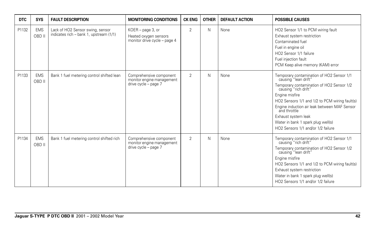| <b>DTC</b> | <b>SYS</b>           | <b>FAULT DESCRIPTION</b>                                                    | <b>MONITORING CONDITIONS</b>                                                 | <b>CK ENG</b>  | <b>OTHER</b> | <b>DEFAULT ACTION</b> | <b>POSSIBLE CAUSES</b>                                                                                                                                                                                                                                                                                                                                                        |
|------------|----------------------|-----------------------------------------------------------------------------|------------------------------------------------------------------------------|----------------|--------------|-----------------------|-------------------------------------------------------------------------------------------------------------------------------------------------------------------------------------------------------------------------------------------------------------------------------------------------------------------------------------------------------------------------------|
| P1132      | <b>EMS</b><br>OBD II | Lack of HO2 Sensor swing, sensor<br>indicates rich - bank 1, upstream (1/1) | KOER - page 3, or<br>Heated oxygen sensors<br>monitor drive cycle - page 4   | $\overline{2}$ | N            | None                  | HO2 Sensor 1/1 to PCM wiring fault<br>Exhaust system restriction<br>Contaminated fuel<br>Fuel in engine oil<br>HO2 Sensor 1/1 failure<br>Fuel injection fault<br>PCM Keep alive memory (KAM) error                                                                                                                                                                            |
| P1133      | <b>EMS</b><br>OBD II | Bank 1 fuel metering control shifted lean                                   | Comprehensive component<br>monitor engine management<br>drive cycle - page 7 | $\overline{2}$ | Ν            | None                  | Temporary contamination of HO2 Sensor 1/1<br>causing "lean drift"<br>Temporary contamination of HO2 Sensor 1/2<br>causing "rich drift"<br>Engine misfire<br>HO2 Sensors 1/1 and 1/2 to PCM wiring fault(s)<br>Engine induction air leak between MAF Sensor<br>and throttle<br>Exhaust system leak<br>Water in bank 1 spark plug well(s)<br>HO2 Sensors 1/1 and/or 1/2 failure |
| P1134      | <b>EMS</b><br>OBD II | Bank 1 fuel metering control shifted rich                                   | Comprehensive component<br>monitor engine management<br>drive cycle - page 7 | $\overline{2}$ | N            | None                  | Temporary contamination of HO2 Sensor 1/1<br>causing "rich drift"<br>Temporary contamination of HO2 Sensor 1/2<br>causing "lean drift"<br>Engine misfire<br>HO2 Sensors 1/1 and 1/2 to PCM wiring fault(s)<br>Exhaust system restriction<br>Water in bank 1 spark plug well(s)<br>HO2 Sensors 1/1 and/or 1/2 failure                                                          |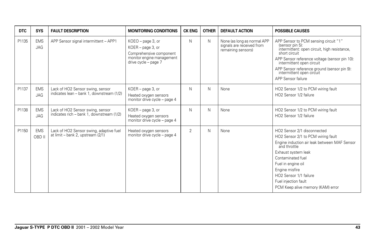| DTC   | <b>SYS</b>               | <b>FAULT DESCRIPTION</b>                                                      | <b>MONITORING CONDITIONS</b>                                                                                           | <b>CK ENG</b> | <b>OTHER</b> | <b>DEFAULT ACTION</b>                                                          | <b>POSSIBLE CAUSES</b>                                                                                                                                                                                                                                                                                                   |
|-------|--------------------------|-------------------------------------------------------------------------------|------------------------------------------------------------------------------------------------------------------------|---------------|--------------|--------------------------------------------------------------------------------|--------------------------------------------------------------------------------------------------------------------------------------------------------------------------------------------------------------------------------------------------------------------------------------------------------------------------|
| P1135 | <b>EMS</b><br><b>JAG</b> | APP Sensor signal intermittent - APP1                                         | KOEO - page 3, or<br>KOER - page 3, or<br>Comprehensive component<br>monitor engine management<br>drive cycle - page 7 | N             | N.           | None (as long as normal APP<br>signals are received from<br>remaining sensors) | APP Sensor to PCM sensing circuit "1"<br>(sensor pin 5):<br>intermittent: open circuit, high resistance,<br>short circuit<br>APP Sensor reference voltage (sensor pin 10):<br>intermittent open circuit<br>APP Sensor reference ground (sensor pin 9):<br>intermittent open circuit<br>APP Sensor failure                |
| P1137 | <b>EMS</b><br><b>JAG</b> | Lack of HO2 Sensor swing, sensor<br>indicates lean - bank 1, downstream (1/2) | KOER - page 3, or<br>Heated oxygen sensors<br>monitor drive cycle - page 4                                             | N             | N.           | None                                                                           | HO2 Sensor 1/2 to PCM wiring fault<br>HO2 Sensor 1/2 failure                                                                                                                                                                                                                                                             |
| P1138 | <b>EMS</b><br><b>JAG</b> | Lack of HO2 Sensor swing, sensor<br>indicates rich - bank 1, downstream (1/2) | KOER - page 3, or<br>Heated oxygen sensors<br>monitor drive cycle - page 4                                             | N             | N.           | None                                                                           | HO2 Sensor 1/2 to PCM wiring fault<br>HO2 Sensor 1/2 failure                                                                                                                                                                                                                                                             |
| P1150 | <b>EMS</b><br>OBD II     | Lack of HO2 Sensor swing, adaptive fuel<br>at limit - bank 2, upstream (2/1)  | Heated oxygen sensors<br>monitor drive cycle - page 4                                                                  | 2             | N.           | None                                                                           | HO2 Sensor 2/1 disconnected<br>HO2 Sensor 2/1 to PCM wiring fault<br>Engine induction air leak between MAF Sensor<br>and throttle<br>Exhaust system leak<br>Contaminated fuel<br>Fuel in engine oil<br>Engine misfire<br>HO <sub>2</sub> Sensor 1/1 failure<br>Fuel injection fault<br>PCM Keep alive memory (KAM) error |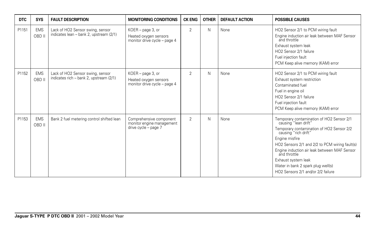| <b>DTC</b> | <b>SYS</b>           | <b>FAULT DESCRIPTION</b>                                                    | <b>MONITORING CONDITIONS</b>                                                 | <b>CK ENG</b>  | <b>OTHER</b> | <b>DEFAULT ACTION</b> | <b>POSSIBLE CAUSES</b>                                                                                                                                                                                                                                                                                                                                                        |
|------------|----------------------|-----------------------------------------------------------------------------|------------------------------------------------------------------------------|----------------|--------------|-----------------------|-------------------------------------------------------------------------------------------------------------------------------------------------------------------------------------------------------------------------------------------------------------------------------------------------------------------------------------------------------------------------------|
| P1151      | <b>EMS</b><br>OBD II | Lack of HO2 Sensor swing, sensor<br>indicates lean - bank 2, upstream (2/1) | KOER - page 3, or<br>Heated oxygen sensors<br>monitor drive cycle - page 4   | $\overline{2}$ | N            | None                  | HO2 Sensor 2/1 to PCM wiring fault<br>Engine induction air leak between MAF Sensor<br>and throttle<br>Exhaust system leak<br>HO2 Sensor 2/1 failure<br>Fuel injection fault<br>PCM Keep alive memory (KAM) error                                                                                                                                                              |
| P1152      | <b>EMS</b><br>OBD II | Lack of HO2 Sensor swing, sensor<br>indicates rich - bank 2, upstream (2/1) | KOER - page 3, or<br>Heated oxygen sensors<br>monitor drive cycle - page 4   | $\overline{2}$ | N            | None                  | HO2 Sensor 2/1 to PCM wiring fault<br>Exhaust system restriction<br>Contaminated fuel<br>Fuel in engine oil<br>HO2 Sensor 2/1 failure<br>Fuel injection fault<br>PCM Keep alive memory (KAM) error                                                                                                                                                                            |
| P1153      | <b>EMS</b><br>OBD II | Bank 2 fuel metering control shifted lean                                   | Comprehensive component<br>monitor engine management<br>drive cycle - page 7 | $\overline{2}$ | N            | None                  | Temporary contamination of HO2 Sensor 2/1<br>causing "lean drift"<br>Temporary contamination of HO2 Sensor 2/2<br>causing "rich drift"<br>Engine misfire<br>HO2 Sensors 2/1 and 2/2 to PCM wiring fault(s)<br>Engine induction air leak between MAF Sensor<br>and throttle<br>Exhaust system leak<br>Water in bank 2 spark plug well(s)<br>HO2 Sensors 2/1 and/or 2/2 failure |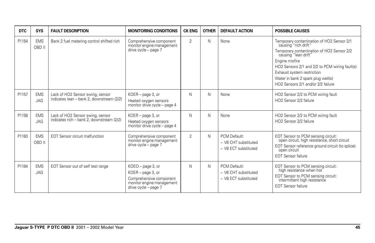| <b>DTC</b> | <b>SYS</b>               | <b>FAULT DESCRIPTION</b>                                                      | <b>MONITORING CONDITIONS</b>                                                                                           | <b>CK ENG</b>  | <b>OTHER</b> | <b>DEFAULT ACTION</b>                                        | <b>POSSIBLE CAUSES</b>                                                                                                                                                                                                                                                                                               |
|------------|--------------------------|-------------------------------------------------------------------------------|------------------------------------------------------------------------------------------------------------------------|----------------|--------------|--------------------------------------------------------------|----------------------------------------------------------------------------------------------------------------------------------------------------------------------------------------------------------------------------------------------------------------------------------------------------------------------|
| P1154      | <b>EMS</b><br>OBD II     | Bank 2 fuel metering control shifted rich                                     | Comprehensive component<br>monitor engine management<br>drive cycle - page 7                                           | $\overline{2}$ | N            | None                                                         | Temporary contamination of HO2 Sensor 2/1<br>causing "rich drift"<br>Temporary contamination of HO2 Sensor 2/2<br>causing "lean drift"<br>Engine misfire<br>HO2 Sensors 2/1 and 2/2 to PCM wiring fault(s)<br>Exhaust system restriction<br>Water in bank 2 spark plug well(s)<br>HO2 Sensors 2/1 and/or 2/2 failure |
| P1157      | <b>EMS</b><br><b>JAG</b> | Lack of HO2 Sensor swing, sensor<br>indicates lean - bank 2, downstream (2/2) | KOER - page 3, or<br>Heated oxygen sensors<br>monitor drive cycle - page 4                                             | N              | N            | None                                                         | HO2 Sensor 2/2 to PCM wiring fault<br>HO2 Sensor 2/2 failure                                                                                                                                                                                                                                                         |
| P1158      | <b>EMS</b><br><b>JAG</b> | Lack of HO2 Sensor swing, sensor<br>indicates rich - bank 2, downstream (2/2) | KOER - page 3, or<br>Heated oxygen sensors<br>monitor drive cycle - page 4                                             | N              | N            | None                                                         | HO2 Sensor 2/2 to PCM wiring fault<br>HO2 Sensor 2/2 failure                                                                                                                                                                                                                                                         |
| P1183      | <b>EMS</b><br>OBD II     | <b>EOT Sensor circuit malfunction</b>                                         | Comprehensive component<br>monitor engine management<br>drive cycle - page 7                                           | $\overline{2}$ | N.           | PCM Default:<br>- V6 CHT substituted<br>- V8 ECT substituted | EOT Sensor to PCM sensing circuit:<br>open circuit, high resistance, short circuit<br>EOT Sensor reference ground circuit (to splice):<br>open circuit<br><b>EOT Sensor failure</b>                                                                                                                                  |
| P1184      | <b>EMS</b><br><b>JAG</b> | EOT Sensor out of self test range                                             | KOEO - page 3, or<br>KOER - page 3, or<br>Comprehensive component<br>monitor engine management<br>drive cycle - page 7 | N              | N.           | PCM Default:<br>- V6 CHT substituted<br>- V8 ECT substituted | EOT Sensor to PCM sensing circuit:<br>high resistance when hot<br>EOT Sensor to PCM sensing circuit:<br>intermittent high resistance<br><b>EOT Sensor failure</b>                                                                                                                                                    |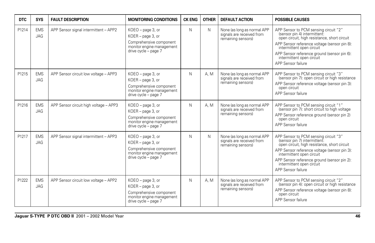| <b>DTC</b> | <b>SYS</b>               | <b>FAULT DESCRIPTION</b>               | <b>MONITORING CONDITIONS</b>                                                                                           | <b>CK ENG</b> | <b>OTHER</b> | <b>DEFAULT ACTION</b>                                                          | <b>POSSIBLE CAUSES</b>                                                                                                                                                                                                                                                                               |
|------------|--------------------------|----------------------------------------|------------------------------------------------------------------------------------------------------------------------|---------------|--------------|--------------------------------------------------------------------------------|------------------------------------------------------------------------------------------------------------------------------------------------------------------------------------------------------------------------------------------------------------------------------------------------------|
| P1214      | <b>EMS</b><br><b>JAG</b> | APP Sensor signal intermittent - APP2  | KOEO - page 3, or<br>KOER - page 3, or<br>Comprehensive component<br>monitor engine management<br>drive cycle - page 7 | N             | N            | None (as long as normal APP<br>signals are received from<br>remaining sensors) | APP Sensor to PCM sensing circuit "2"<br>(sensor pin 4) intermittent:<br>open circuit, high resistance, short circuit<br>APP Sensor reference voltage (sensor pin 8):<br>intermittent open circuit<br>APP Sensor reference ground (sensor pin 6):<br>intermittent open circuit<br>APP Sensor failure |
| P1215      | <b>EMS</b><br>JAG        | APP Sensor circuit low voltage - APP3  | KOEO - page 3, or<br>KOER - page 3, or<br>Comprehensive component<br>monitor engine management<br>drive cycle - page 7 | N             | A. M         | None (as long as normal APP<br>signals are received from<br>remaining sensors) | APP Sensor to PCM sensing circuit "3"<br>(sensor pin 7): open circuit or high resistance<br>APP Sensor reference voltage (sensor pin 3):<br>open circuit<br>APP Sensor failure                                                                                                                       |
| P1216      | <b>EMS</b><br><b>JAG</b> | APP Sensor circuit high voltage - APP3 | KOEO - page 3, or<br>KOER - page 3, or<br>Comprehensive component<br>monitor engine management<br>drive cycle - page 7 | N             | A. M         | None (as long as normal APP<br>signals are received from<br>remaining sensors) | APP Sensor to PCM sensing circuit "1"<br>(sensor pin 7): short circuit to high voltage<br>APP Sensor reference ground (sensor pin 2)<br>open circuit<br>APP Sensor failure                                                                                                                           |
| P1217      | <b>EMS</b><br><b>JAG</b> | APP Sensor signal intermittent - APP3  | KOEO - page 3, or<br>KOER - page 3, or<br>Comprehensive component<br>monitor engine management<br>drive cycle - page 7 | N             | N.           | None (as long as normal APP<br>signals are received from<br>remaining sensors) | APP Sensor to PCM sensing circuit "3"<br>(sensor pin 7) intermittent:<br>open circuit, high resistance, short circuit<br>APP Sensor reference voltage (sensor pin 3):<br>intermittent open circuit<br>APP Sensor reference ground (sensor pin 2):<br>intermittent open circuit<br>APP Sensor failure |
| P1222      | <b>EMS</b><br><b>JAG</b> | APP Sensor circuit low voltage - APP2  | KOEO - page 3, or<br>KOER - page 3, or<br>Comprehensive component<br>monitor engine management<br>drive cycle - page 7 | N             | A, M         | None (as long as normal APP<br>signals are received from<br>remaining sensors) | APP Sensor to PCM sensing circuit "2"<br>(sensor pin 4): open circuit or high resistance<br>APP Sensor reference voltage (sensor pin 8):<br>open circuit<br>APP Sensor failure                                                                                                                       |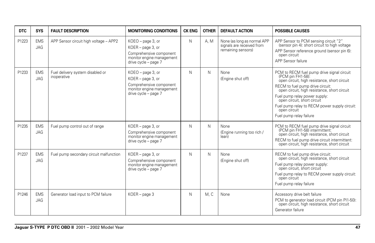| <b>DTC</b> | <b>SYS</b>               | <b>FAULT DESCRIPTION</b>                        | <b>MONITORING CONDITIONS</b>                                                                                             | <b>CK ENG</b> | <b>OTHER</b> | <b>DEFAULT ACTION</b>                                                          | <b>POSSIBLE CAUSES</b>                                                                                                                                                                                                                                                                                                                                          |
|------------|--------------------------|-------------------------------------------------|--------------------------------------------------------------------------------------------------------------------------|---------------|--------------|--------------------------------------------------------------------------------|-----------------------------------------------------------------------------------------------------------------------------------------------------------------------------------------------------------------------------------------------------------------------------------------------------------------------------------------------------------------|
| P1223      | <b>EMS</b><br><b>JAG</b> | APP Sensor circuit high voltage - APP2          | $KOEO$ – page 3, or<br>KOER - page 3, or<br>Comprehensive component<br>monitor engine management<br>drive cycle - page 7 | N             | A.M          | None (as long as normal APP<br>signals are received from<br>remaining sensors) | APP Sensor to PCM sensing circuit "2"<br>(sensor pin 4): short circuit to high voltage<br>APP Sensor reference ground (sensor pin 6):<br>open circuit<br>APP Sensor failure                                                                                                                                                                                     |
| P1233      | <b>EMS</b><br><b>JAG</b> | Fuel delivery system disabled or<br>inoperative | KOEO - page 3, or<br>KOER - page 3, or<br>Comprehensive component<br>monitor engine management<br>drive cycle - page 7   | N             | N            | None<br>(Engine shut off)                                                      | PCM to RECM fuel pump drive signal circuit<br>(PCM pin FH1-58):<br>open circuit, high resistance, short circuit<br>RECM to fuel pump drive circuit:<br>open circuit, high resistance, short circuit<br>Fuel pump relay power supply:<br>open circuit, short circuit<br>Fuel pump relay to RECM power supply circuit:<br>open circuit<br>Fuel pump relay failure |
| P1235      | <b>EMS</b><br>JAG        | Fuel pump control out of range                  | KOER - page 3, or<br>Comprehensive component<br>monitor engine management<br>drive cycle - page 7                        | N             | N            | None<br>(Engine running too rich /<br>lean)                                    | PCM to RECM fuel pump drive signal circuit<br>(PCM pin FH1-58) intermittent:<br>open circuit, high resistance, short circuit<br>RECM to fuel pump drive circuit intermittent:<br>open circuit, high resistance, short circuit                                                                                                                                   |
| P1237      | <b>EMS</b><br>JAG        | Fuel pump secondary circuit malfunction         | KOER - page 3, or<br>Comprehensive component<br>monitor engine management<br>drive cycle - page 7                        | N             | N            | None<br>(Engine shut off)                                                      | RECM to fuel pump drive circuit:<br>open circuit, high resistance, short circuit<br>Fuel pump relay power supply:<br>open circuit, short circuit<br>Fuel pump relay to RECM power supply circuit:<br>open circuit<br>Fuel pump relay failure                                                                                                                    |
| P1246      | <b>EMS</b><br><b>JAG</b> | Generator load input to PCM failure             | $KOER - page 3$                                                                                                          | N             | M.C          | None                                                                           | Accessory drive belt failure<br>PCM to generator load circuit (PCM pin PI1-50):<br>open circuit, high resistance, short circuit<br>Generator failure                                                                                                                                                                                                            |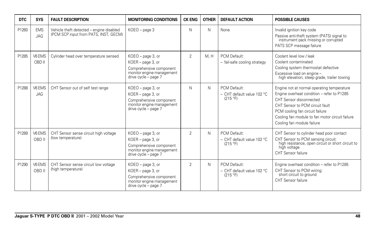| <b>DTC</b> | <b>SYS</b>               | <b>FAULT DESCRIPTION</b>                                                          | <b>MONITORING CONDITIONS</b>                                                                                           | <b>CK ENG</b>  | <b>OTHER</b> | <b>DEFAULT ACTION</b>                                    | <b>POSSIBLE CAUSES</b>                                                                                                                                                                                                                                                     |
|------------|--------------------------|-----------------------------------------------------------------------------------|------------------------------------------------------------------------------------------------------------------------|----------------|--------------|----------------------------------------------------------|----------------------------------------------------------------------------------------------------------------------------------------------------------------------------------------------------------------------------------------------------------------------------|
| P1260      | <b>EMS</b><br><b>JAG</b> | Vehicle theft detected - engine disabled<br>(PCM SCP input from PATS, INST, GECM) | KOEO - page 3                                                                                                          | N              | N            | None                                                     | Invalid ignition key code<br>Passive anti-theft system (PATS) signal to<br>instrument pack missing or corrupted<br>PATS SCP message failure                                                                                                                                |
| P1285      | V6 EMS<br>OBD II         | Cylinder head over temperature sensed                                             | KOEO - page 3, or<br>KOER - page 3, or<br>Comprehensive component<br>monitor engine management<br>drive cycle - page 7 | $\overline{2}$ | M.H          | PCM Default:<br>- fail-safe cooling strategy             | Coolant level low / leak<br>Coolant contaminated<br>Cooling system thermostat defective<br>Excessive load on engine -<br>high elevation, steep grade, trailer towing                                                                                                       |
| P1288      | V6 EMS<br><b>JAG</b>     | CHT Sensor out of self test range                                                 | KOEO - page 3, or<br>KOER - page 3, or<br>Comprehensive component<br>monitor engine management<br>drive cycle - page 7 | N              | N            | PCM Default:<br>$-$ CHT default value 102 °C<br>(215 °F) | Engine not at normal operating temperature<br>Engine overheat condition - refer to P1285<br>CHT Sensor disconnected<br>CHT Sensor to PCM circuit fault<br>PCM cooling fan circuit failure<br>Cooling fan module to fan motor circuit failure<br>Cooling fan module failure |
| P1289      | V6 EMS<br>OBD II         | CHT Sensor sense circuit high voltage<br>(low temperature)                        | KOEO - page 3, or<br>KOER - page 3, or<br>Comprehensive component<br>monitor engine management<br>drive cycle - page 7 | $\overline{2}$ | N            | PCM Default:<br>$-$ CHT default value 102 °C<br>(215 °F) | CHT Sensor to cylinder head poor contact<br>CHT Sensor to PCM sensing circuit:<br>high resistance, open circuit or short circuit to<br>high voltage<br>CHT Sensor failure                                                                                                  |
| P1290      | V6 EMS<br>OBD II         | CHT Sensor sense circuit low voltage<br>(high temperature)                        | KOEO - page 3, or<br>KOER - page 3, or<br>Comprehensive component<br>monitor engine management<br>drive cycle - page 7 | $\overline{2}$ | N            | PCM Default:<br>- CHT default value 102 °C<br>(215 °F)   | Engine overheat condition - refer to P1285<br>CHT Sensor to PCM wiring:<br>short circuit to ground<br>CHT Sensor failure                                                                                                                                                   |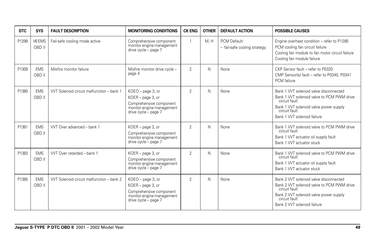| <b>DTC</b> | <b>SYS</b>           | <b>FAULT DESCRIPTION</b>                  | <b>MONITORING CONDITIONS</b>                                                                                           | <b>CK ENG</b>  | <b>OTHER</b> | <b>DEFAULT ACTION</b>                        | <b>POSSIBLE CAUSES</b>                                                                                                                                                                         |
|------------|----------------------|-------------------------------------------|------------------------------------------------------------------------------------------------------------------------|----------------|--------------|----------------------------------------------|------------------------------------------------------------------------------------------------------------------------------------------------------------------------------------------------|
| P1299      | V6 EMS<br>OBD II     | Fail-safe cooling mode active             | Comprehensive component<br>monitor engine management<br>drive cycle - page 7                                           |                | M.H          | PCM Default:<br>- fail-safe cooling strategy | Engine overheat condition - refer to P1285<br>PCM cooling fan circuit failure<br>Cooling fan module to fan motor circuit failure<br>Cooling fan module failure                                 |
| P1309      | <b>EMS</b><br>OBD II | Misfire monitor failure                   | Misfire monitor drive cycle -<br>page 4                                                                                | $\overline{2}$ | N.           | None                                         | CKP Sensor fault - refer to P0320<br>CMP Sensor(s) fault - refer to P0340, P0341<br>PCM failure                                                                                                |
| P1380      | <b>EMS</b><br>OBD II | VVT Solenoid circuit malfunction - bank 1 | KOEO - page 3, or<br>KOER - page 3, or<br>Comprehensive component<br>monitor engine management<br>drive cycle - page 7 | 2              | N.           | None                                         | Bank 1 WT solenoid valve disconnected<br>Bank 1 WT solenoid valve to PCM PWM drive<br>circuit fault<br>Bank 1 WT solenoid valve power supply<br>circuit fault<br>Bank 1 WT solenoid failure    |
| P1381      | <b>EMS</b><br>OBD II | VVT Over advanced - bank 1                | KOER - page 3, or<br>Comprehensive component<br>monitor engine management<br>drive cycle - page 7                      | $\overline{2}$ | N.           | None                                         | Bank 1 VVT solenoid valve to PCM PWM drive<br>circuit fault<br>Bank 1 VVT actuator oil supply fault<br>Bank 1 WT actuator stuck                                                                |
| P1383      | <b>EMS</b><br>OBD II | VVT Over retarded - bank 1                | KOER - page 3, or<br>Comprehensive component<br>monitor engine management<br>drive cycle - page 7                      | $\overline{2}$ | N.           | None                                         | Bank 1 WT solenoid valve to PCM PWM drive<br>circuit fault<br>Bank 1 VVT actuator oil supply fault<br>Bank 1 WT actuator stuck                                                                 |
| P1385      | <b>EMS</b><br>OBD II | VVT Solenoid circuit malfunction - bank 2 | KOEO - page 3, or<br>KOER - page 3, or<br>Comprehensive component<br>monitor engine management<br>drive cycle - page 7 | $\overline{2}$ | N            | None                                         | Bank 2 VVT solenoid valve disconnected<br>Bank 2 WT solenoid valve to PCM PWM drive<br>circuit fault<br>Bank 2 VVT solenoid valve power supply<br>circuit fault<br>Bank 2 VVT solenoid failure |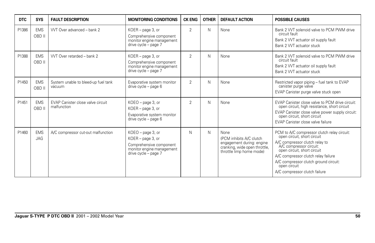| DTC   | <b>SYS</b>               | <b>FAULT DESCRIPTION</b>                         | <b>MONITORING CONDITIONS</b>                                                                                           | <b>CK ENG</b>  | <b>OTHER</b> | <b>DEFAULT ACTION</b>                                                                                                      | <b>POSSIBLE CAUSES</b>                                                                                                                                                                                                                                                                                  |
|-------|--------------------------|--------------------------------------------------|------------------------------------------------------------------------------------------------------------------------|----------------|--------------|----------------------------------------------------------------------------------------------------------------------------|---------------------------------------------------------------------------------------------------------------------------------------------------------------------------------------------------------------------------------------------------------------------------------------------------------|
| P1386 | <b>EMS</b><br>OBD II     | VVT Over advanced - bank 2                       | KOER - page 3, or<br>Comprehensive component<br>monitor engine management<br>drive cycle - page 7                      | $\overline{2}$ | N            | None                                                                                                                       | Bank 2 VVT solenoid valve to PCM PWM drive<br>circuit fault<br>Bank 2 VVT actuator oil supply fault<br>Bank 2 VVT actuator stuck                                                                                                                                                                        |
| P1388 | <b>EMS</b><br>OBD II     | VVT Over retarded - bank 2                       | KOER - page 3, or<br>Comprehensive component<br>monitor engine management<br>drive cycle - page 7                      | $\overline{2}$ | N            | None                                                                                                                       | Bank 2 WT solenoid valve to PCM PWM drive<br>circuit fault<br>Bank 2 VVT actuator oil supply fault<br>Bank 2 VVT actuator stuck                                                                                                                                                                         |
| P1450 | <b>EMS</b><br>OBD II     | System unable to bleed-up fuel tank<br>vacuum    | Evaporative system monitor<br>drive cycle - page 6                                                                     | $\overline{2}$ | N            | None                                                                                                                       | Restricted vapor piping – fuel tank to EVAP<br>canister purge valve<br>EVAP Canister purge valve stuck open                                                                                                                                                                                             |
| P1451 | <b>EMS</b><br>OBD II     | EVAP Canister close valve circuit<br>malfunction | KOEO - page 3, or<br>KOER - page 3, or<br>Evaporative system monitor<br>drive cycle - page 6                           | $\overline{2}$ | N            | None                                                                                                                       | EVAP Canister close valve to PCM drive circuit:<br>open circuit, high resistance, short circuit<br>EVAP Canister close valve power supply circuit:<br>open circuit, short circuit<br>EVAP Canister close valve failure                                                                                  |
| P1460 | <b>EMS</b><br><b>JAG</b> | A/C compressor cut-out malfunction               | KOEO - page 3, or<br>KOER - page 3, or<br>Comprehensive component<br>monitor engine management<br>drive cycle - page 7 | N              | N            | None<br>(PCM inhibits A/C clutch<br>engagement during: engine<br>cranking, wide open throttle,<br>throttle limp home mode) | PCM to A/C compressor clutch relay circuit:<br>open circuit, short circuit<br>A/C compressor clutch relay to<br>A/C compressor circuit:<br>open circuit, short circuit<br>A/C compressor clutch relay failure<br>A/C compressor clutch ground circuit:<br>open circuit<br>A/C compressor clutch failure |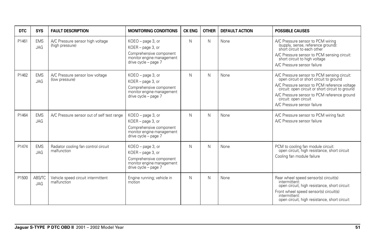| <b>DTC</b> | <b>SYS</b>                  | <b>FAULT DESCRIPTION</b>                            | <b>MONITORING CONDITIONS</b>                                                                                           | <b>CK ENG</b> | <b>OTHER</b> | <b>DEFAULT ACTION</b> | <b>POSSIBLE CAUSES</b>                                                                                                                                                                                                                                                                            |
|------------|-----------------------------|-----------------------------------------------------|------------------------------------------------------------------------------------------------------------------------|---------------|--------------|-----------------------|---------------------------------------------------------------------------------------------------------------------------------------------------------------------------------------------------------------------------------------------------------------------------------------------------|
| P1461      | <b>EMS</b><br><b>JAG</b>    | A/C Pressure sensor high voltage<br>(high pressure) | KOEO - page 3, or<br>KOER - page 3, or<br>Comprehensive component<br>monitor engine management<br>drive cycle - page 7 | N             | N            | None                  | A/C Pressure sensor to PCM wiring<br>(supply, sense, reference ground):<br>short circuit to each other<br>A/C Pressure sensor to PCM sensing circuit:<br>short circuit to high voltage<br>A/C Pressure sensor failure                                                                             |
| P1462      | <b>EMS</b><br><b>JAG</b>    | A/C Pressure sensor low voltage<br>(low pressure)   | KOEO - page 3, or<br>KOER - page 3, or<br>Comprehensive component<br>monitor engine management<br>drive cycle - page 7 | N             | N            | None                  | A/C Pressure sensor to PCM sensing circuit:<br>open circuit or short circuit to ground<br>A/C Pressure sensor to PCM reference voltage<br>circuit: open circuit or short circuit to ground<br>A/C Pressure sensor to PCM reference ground<br>circuit: open circuit<br>A/C Pressure sensor failure |
| P1464      | <b>EMS</b><br><b>JAG</b>    | A/C Pressure sensor out of self test range          | KOEO - page 3, or<br>KOER - page 3, or<br>Comprehensive component<br>monitor engine management<br>drive cycle - page 7 | N             | N            | None                  | A/C Pressure sensor to PCM wiring fault<br>A/C Pressure sensor failure                                                                                                                                                                                                                            |
| P1474      | <b>EMS</b><br><b>JAG</b>    | Radiator cooling fan control circuit<br>malfunction | KOEO - page 3, or<br>KOER - page 3, or<br>Comprehensive component<br>monitor engine management<br>drive cycle - page 7 | N             | N            | None                  | PCM to cooling fan module circuit:<br>open circuit, high resistance, short circuit<br>Cooling fan module failure                                                                                                                                                                                  |
| P1500      | <b>ABS/TC</b><br><b>JAG</b> | Vehicle speed circuit intermittent<br>malfunction   | Engine running; vehicle in<br>motion                                                                                   | N             | N            | None                  | Rear wheel speed sensor(s) circuit(s)<br>intermittent:<br>open circuit, high resistance, short circuit<br>Front wheel speed sensor(s) circuit(s)<br>intermittent:<br>open circuit, high resistance, short circuit                                                                                 |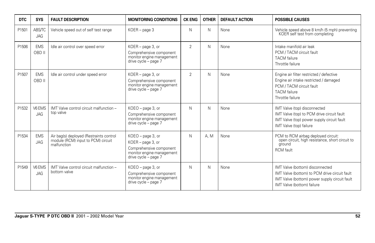| <b>DTC</b> | <b>SYS</b>           | <b>FAULT DESCRIPTION</b>                                                                     | <b>MONITORING CONDITIONS</b>                                                                                           | <b>CK ENG</b>  | <b>OTHER</b> | <b>DEFAULT ACTION</b> | <b>POSSIBLE CAUSES</b>                                                                                                                                          |
|------------|----------------------|----------------------------------------------------------------------------------------------|------------------------------------------------------------------------------------------------------------------------|----------------|--------------|-----------------------|-----------------------------------------------------------------------------------------------------------------------------------------------------------------|
| P1501      | ABS/TC<br><b>JAG</b> | Vehicle speed out of self test range                                                         | $KOER - page 3$                                                                                                        | N              | N            | None                  | Vehicle speed above 8 km/h (5 mph) preventing<br>KOER self test from completing                                                                                 |
| P1506      | <b>EMS</b><br>OBD II | Idle air control over speed error                                                            | KOER - page 3, or<br>Comprehensive component<br>monitor engine management<br>drive cycle - page 7                      | $\overline{2}$ | N            | None                  | Intake manifold air leak<br>PCM / TACM circuit fault<br><b>TACM</b> failure<br>Throttle failure                                                                 |
| P1507      | <b>EMS</b><br>OBD II | Idle air control under speed error                                                           | KOER - page 3, or<br>Comprehensive component<br>monitor engine management<br>drive cycle - page 7                      | $\overline{2}$ | Ν            | None                  | Engine air filter restricted / defective<br>Engine air intake restricted / damaged<br>PCM / TACM circuit fault<br><b>TACM</b> failure<br>Throttle failure       |
| P1532      | V6 EMS<br><b>JAG</b> | IMT Valve control circuit malfunction -<br>top valve                                         | KOEO - page 3, or<br>Comprehensive component<br>monitor engine management<br>drive cycle - page 7                      | N              | Ν            | None                  | IMT Valve (top) disconnected<br>IMT Valve (top) to PCM drive circuit fault<br>IMT Valve (top) power supply circuit fault<br>IMT Valve (top) failure             |
| P1534      | <b>EMS</b><br>JAG    | Air bag(s) deployed (Restraints control<br>module (RCM) input to PCM) circuit<br>malfunction | KOEO - page 3, or<br>KOER - page 3, or<br>Comprehensive component<br>monitor engine management<br>drive cycle - page 7 | N              | A.M          | None                  | PCM to RCM airbag deployed circuit:<br>open circuit, high resistance, short circuit to<br>ground<br><b>RCM</b> fault                                            |
| P1549      | V6 EMS<br><b>JAG</b> | IMT Valve control circuit malfunction -<br>bottom valve                                      | KOEO - page 3, or<br>Comprehensive component<br>monitor engine management<br>drive cycle - page 7                      | N              | Ν            | None                  | IMT Valve (bottom) disconnected<br>IMT Valve (bottom) to PCM drive circuit fault<br>IMT Valve (bottom) power supply circuit fault<br>IMT Valve (bottom) failure |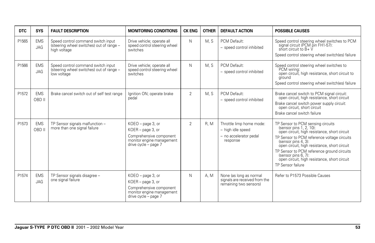| <b>DTC</b> | <b>SYS</b>               | <b>FAULT DESCRIPTION</b>                                                                       | <b>MONITORING CONDITIONS</b>                                                                                           | <b>CK ENG</b>  | <b>OTHER</b> | <b>DEFAULT ACTION</b>                                                               | <b>POSSIBLE CAUSES</b>                                                                                                                                                                                                                                                                                                                                                       |
|------------|--------------------------|------------------------------------------------------------------------------------------------|------------------------------------------------------------------------------------------------------------------------|----------------|--------------|-------------------------------------------------------------------------------------|------------------------------------------------------------------------------------------------------------------------------------------------------------------------------------------------------------------------------------------------------------------------------------------------------------------------------------------------------------------------------|
| P1565      | <b>EMS</b><br>JAG        | Speed control command switch input<br>(steering wheel switches) out of range -<br>high voltage | Drive vehicle; operate all<br>speed control steering wheel<br>switches                                                 | N              | M, S         | PCM Default:<br>- speed control inhibited                                           | Speed control steering wheel switches to PCM<br>signal circuit (PCM pin FH1-57):<br>short circuit to B+ V<br>Speed control steering wheel switch(es) failure                                                                                                                                                                                                                 |
| P1566      | <b>EMS</b><br><b>JAG</b> | Speed control command switch input<br>(steering wheel switches) out of range -<br>low voltage  | Drive vehicle; operate all<br>speed control steering wheel<br>switches                                                 | N              | M, S         | PCM Default:<br>- speed control inhibited                                           | Speed control steering wheel switches to<br>PCM wiring:<br>open circuit, high resistance, short circuit to<br>ground<br>Speed control steering wheel switch(es) failure                                                                                                                                                                                                      |
| P1572      | <b>EMS</b><br>OBD II     | Brake cancel switch out of self test range                                                     | Ignition ON; operate brake<br>pedal                                                                                    | $\overline{2}$ | M, S         | PCM Default:<br>- speed control inhibited                                           | Brake cancel switch to PCM signal circuit:<br>open circuit, high resistance, short circuit<br>Brake cancel switch power supply circuit:<br>open circuit, short circuit<br>Brake cancel switch failure                                                                                                                                                                        |
| P1573      | <b>EMS</b><br>OBD II     | TP Sensor signals malfunction -<br>more than one signal failure                                | KOEO - page 3, or<br>KOER - page 3, or<br>Comprehensive component<br>monitor engine management<br>drive cycle - page 7 | $\overline{2}$ | R.M          | Throttle limp home mode:<br>- high idle speed<br>- no accelerator pedal<br>response | TP Sensor to PCM sensing circuits<br>(sensor pins 1, 2, 10):<br>open circuit, high resistance, short circuit<br>TP Sensor to PCM reference voltage circuits<br>(sensor pins 4, 3):<br>open circuit, high resistance, short circuit<br>TP Sensor to PCM reference ground circuits<br>(sensor pins 6, 7):<br>open circuit, high resistance, short circuit<br>TP Sensor failure |
| P1574      | <b>EMS</b><br><b>JAG</b> | TP Sensor signals disagree -<br>one signal failure                                             | KOEO - page 3, or<br>KOER - page 3, or<br>Comprehensive component<br>monitor engine management<br>drive cycle - page 7 | N              | A. M         | None (as long as normal<br>signals are received from the<br>remaining two sensors)  | Refer to P1573 Possible Causes                                                                                                                                                                                                                                                                                                                                               |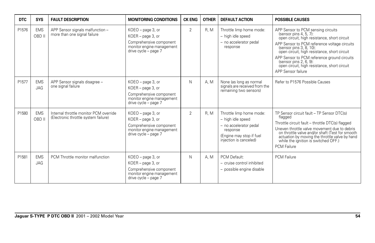| <b>DTC</b> | <b>SYS</b>               | <b>FAULT DESCRIPTION</b>                                                       | <b>MONITORING CONDITIONS</b>                                                                                           | <b>CK ENG</b>  | <b>OTHER</b> | <b>DEFAULT ACTION</b>                                                                                                                     | <b>POSSIBLE CAUSES</b>                                                                                                                                                                                                                                                                                                                                                                 |
|------------|--------------------------|--------------------------------------------------------------------------------|------------------------------------------------------------------------------------------------------------------------|----------------|--------------|-------------------------------------------------------------------------------------------------------------------------------------------|----------------------------------------------------------------------------------------------------------------------------------------------------------------------------------------------------------------------------------------------------------------------------------------------------------------------------------------------------------------------------------------|
| P1576      | <b>EMS</b><br>OBD II     | APP Sensor signals malfunction -<br>more than one signal failure               | KOEO - page 3, or<br>KOER - page 3, or<br>Comprehensive component<br>monitor engine management<br>drive cycle - page 7 | $\overline{2}$ | R, M         | Throttle limp home mode:<br>- high idle speed<br>- no accelerator pedal<br>response                                                       | APP Sensor to PCM sensing circuits<br>(sensor pins 4, 5, 7):<br>open circuit, high resistance, short circuit<br>APP Sensor to PCM reference voltage circuits<br>(sensor pins 3, 8, 10):<br>open circuit, high resistance, short circuit<br>APP Sensor to PCM reference ground circuits<br>(sensor pins 2, 6, 9):<br>open circuit, high resistance, short circuit<br>APP Sensor failure |
| P1577      | <b>EMS</b><br><b>JAG</b> | APP Sensor signals disagree -<br>one signal failure                            | KOEO - page 3, or<br>KOER - page 3, or<br>Comprehensive component<br>monitor engine management<br>drive cycle - page 7 | N              | A, M         | None (as long as normal<br>signals are received from the<br>remaining two sensors)                                                        | Refer to P1576 Possible Causes                                                                                                                                                                                                                                                                                                                                                         |
| P1580      | <b>EMS</b><br>OBD II     | Internal throttle monitor PCM override<br>(Electronic throttle system failure) | KOEO - page 3, or<br>KOER - page 3, or<br>Comprehensive component<br>monitor engine management<br>drive cycle - page 7 | $\overline{2}$ | R.M          | Throttle limp home mode:<br>- high idle speed<br>- no accelerator pedal<br>response<br>(Engine may stop if fuel<br>injection is canceled) | TP Sensor circuit fault - TP Sensor DTC(s)<br>flagged<br>Throttle circuit fault - throttle DTC(s) flagged<br>Uneven throttle valve movement due to debris<br>on throttle valve and/or shaft (Test for smooth<br>actuation by moving the throttle valve by hand<br>while the ignition is switched OFF.)<br><b>PCM Failure</b>                                                           |
| P1581      | <b>EMS</b><br><b>JAG</b> | PCM Throttle monitor malfunction                                               | KOEO - page 3, or<br>KOER - page 3, or<br>Comprehensive component<br>monitor engine management<br>drive cycle - page 7 | N              | A. M         | PCM Default:<br>- cruise control inhibited<br>- possible engine disable                                                                   | <b>PCM Failure</b>                                                                                                                                                                                                                                                                                                                                                                     |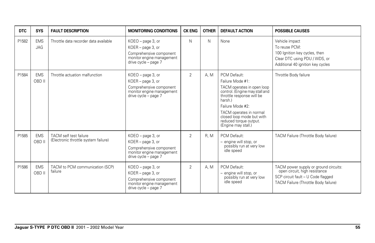| <b>DTC</b> | <b>SYS</b>           | <b>FAULT DESCRIPTION</b>                                       | <b>MONITORING CONDITIONS</b>                                                                                           | <b>CK ENG</b>  | <b>OTHER</b> | <b>DEFAULT ACTION</b>                                                                                                                                                                                                                                                 | <b>POSSIBLE CAUSES</b>                                                                                                                               |
|------------|----------------------|----------------------------------------------------------------|------------------------------------------------------------------------------------------------------------------------|----------------|--------------|-----------------------------------------------------------------------------------------------------------------------------------------------------------------------------------------------------------------------------------------------------------------------|------------------------------------------------------------------------------------------------------------------------------------------------------|
| P1582      | <b>EMS</b><br>JAG    | Throttle data recorder data available                          | KOEO - page 3, or<br>KOER - page 3, or<br>Comprehensive component<br>monitor engine management<br>drive cycle - page 7 | N              | N            | None                                                                                                                                                                                                                                                                  | Vehicle impact<br>To reuse PCM:<br>100 Ignition key cycles, then<br>Clear DTC using PDU / WDS, or<br>Additional 40 ignition key cycles               |
| P1584      | <b>EMS</b><br>OBD II | Throttle actuation malfunction                                 | KOEO - page 3, or<br>KOER - page 3, or<br>Comprehensive component<br>monitor engine management<br>drive cycle - page 7 | $\overline{2}$ | A. M         | PCM Default:<br>Failure Mode #1:<br>TACM operates in open loop<br>control. (Engine may stall and<br>throttle response will be<br>harsh.)<br>Failure Mode #2:<br>TACM operates in normal<br>closed loop mode but with<br>reduced torque output.<br>(Engine may stall.) | Throttle Body failure                                                                                                                                |
| P1585      | <b>EMS</b><br>OBD II | TACM self test failure<br>(Electronic throttle system failure) | KOEO - page 3, or<br>KOER - page 3, or<br>Comprehensive component<br>monitor engine management<br>drive cycle - page 7 | $\overline{2}$ | R.M          | PCM Default:<br>- engine will stop, or<br>possibly run at very low<br>idle speed                                                                                                                                                                                      | TACM Failure (Throttle Body failure)                                                                                                                 |
| P1586      | <b>EMS</b><br>OBD II | TACM to PCM communication (SCP)<br>failure                     | KOEO - page 3, or<br>KOER - page 3, or<br>Comprehensive component<br>monitor engine management<br>drive cycle - page 7 | $\overline{2}$ | A. M         | PCM Default:<br>- engine will stop, or<br>possibly run at very low<br>idle speed                                                                                                                                                                                      | TACM power supply or ground circuits:<br>open circuit, high resistance<br>SCP circuit fault - U Code flagged<br>TACM Failure (Throttle Body failure) |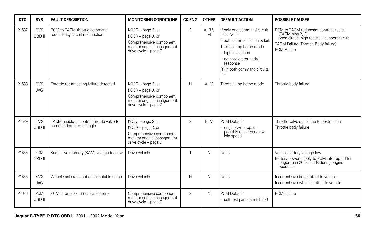| <b>DTC</b> | <b>SYS</b>           | <b>FAULT DESCRIPTION</b>                                             | <b>MONITORING CONDITIONS</b>                                                                                           | <b>CK ENG</b>  | <b>OTHER</b>  | <b>DEFAULT ACTION</b>                                                                                                                                                                                                 | <b>POSSIBLE CAUSES</b>                                                                                                                                                    |
|------------|----------------------|----------------------------------------------------------------------|------------------------------------------------------------------------------------------------------------------------|----------------|---------------|-----------------------------------------------------------------------------------------------------------------------------------------------------------------------------------------------------------------------|---------------------------------------------------------------------------------------------------------------------------------------------------------------------------|
| P1587      | <b>EMS</b><br>OBD II | PCM to TACM throttle command<br>redundancy circuit malfunction       | KOEO - page 3, or<br>KOER - page 3, or<br>Comprehensive component<br>monitor engine management<br>drive cycle - page 7 | 2              | A, $R^*$<br>M | If only one command circuit<br>fails: None<br>If both command circuits fail:<br>Throttle limp home mode<br>- high idle speed<br>- no accelerator pedal<br>response<br>R <sup>*</sup> If both command circuits<br>fail | PCM to TACM redundant control circuits<br>(TACM pins 2, 3):<br>open circuit, high resistance, short circuit<br>TACM Failure (Throttle Body failure)<br><b>PCM Failure</b> |
| P1588      | <b>EMS</b><br>JAG    | Throttle return spring failure detected                              | KOEO - page 3, or<br>KOER - page 3, or<br>Comprehensive component<br>monitor engine management<br>drive cycle - page 7 | N              | A, M          | Throttle limp home mode                                                                                                                                                                                               | Throttle body failure                                                                                                                                                     |
| P1589      | <b>EMS</b><br>OBD II | TACM unable to control throttle valve to<br>commanded throttle angle | KOEO - page 3, or<br>KOER - page 3, or<br>Comprehensive component<br>monitor engine management<br>drive cycle - page 7 | $\overline{2}$ | <b>R. M</b>   | PCM Default:<br>- engine will stop, or<br>possibly run at very low<br>idle speed                                                                                                                                      | Throttle valve stuck due to obstruction<br>Throttle body failure                                                                                                          |
| P1633      | <b>PCM</b><br>OBD II | Keep alive memory (KAM) voltage too low                              | Drive vehicle                                                                                                          | -1             | N             | None                                                                                                                                                                                                                  | Vehicle battery voltage low<br>Battery power supply to PCM interrupted for<br>longer than 20 seconds during engine<br>operation                                           |
| P1635      | <b>EMS</b><br>JAG    | Wheel / axle ratio out of acceptable range                           | Drive vehicle                                                                                                          | N              | N             | None                                                                                                                                                                                                                  | Incorrect size tire(s) fitted to vehicle<br>Incorrect size wheel(s) fitted to vehicle                                                                                     |
| P1636      | <b>PCM</b><br>OBD II | PCM Internal communication error                                     | Comprehensive component<br>monitor engine management<br>drive cycle - page 7                                           | $\overline{2}$ | N             | PCM Default:<br>- self test partially inhibited                                                                                                                                                                       | <b>PCM Failure</b>                                                                                                                                                        |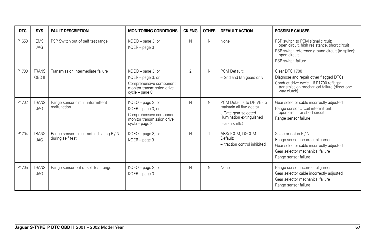| <b>DTC</b> | <b>SYS</b>                 | <b>FAULT DESCRIPTION</b>                                      | <b>MONITORING CONDITIONS</b>                                                                                        | <b>CK ENG</b>  | <b>OTHER</b> | <b>DEFAULT ACTION</b>                                                                                                        | <b>POSSIBLE CAUSES</b>                                                                                                                                                      |
|------------|----------------------------|---------------------------------------------------------------|---------------------------------------------------------------------------------------------------------------------|----------------|--------------|------------------------------------------------------------------------------------------------------------------------------|-----------------------------------------------------------------------------------------------------------------------------------------------------------------------------|
| P1650      | <b>EMS</b><br>JAG          | PSP Switch out of self test range                             | KOEO - page 3, or<br>KOER - page 3                                                                                  | $\mathsf{N}$   | N            | None                                                                                                                         | PSP switch to PCM signal circuit:<br>open circuit, high resistance, short circuit<br>PSP switch reference ground circuit (to splice):<br>open circuit<br>PSP switch failure |
| P1700      | <b>TRANS</b><br>OBD II     | Transmission intermediate failure                             | KOEO - page 3, or<br>KOER - page 3, or<br>Comprehensive component<br>monitor transmission drive<br>cycle - page 8   | $\overline{2}$ | N.           | PCM Default:<br>- 2nd and 5th gears only                                                                                     | Clear DTC 1700<br>Diagnose and repair other flagged DTCs<br>Conduct drive cycle – if P1700 reflags:<br>transmission mechanical failure (direct one-<br>way clutch)          |
| P1702      | <b>TRANS</b><br><b>JAG</b> | Range sensor circuit intermittent<br>malfunction              | $KOEO$ – page 3, or<br>KOER - page 3, or<br>Comprehensive component<br>monitor transmission drive<br>cycle - page 8 | N              | N.           | PCM Defaults to DRIVE (to<br>maintain all five gears)<br>J Gate gear selected<br>illumination extinguished<br>(Harsh shifts) | Gear selector cable incorrectly adjusted<br>Range sensor circuit intermittent:<br>open circuit or short circuit<br>Range sensor failure                                     |
| P1704      | <b>TRANS</b><br><b>JAG</b> | Range sensor circuit not indicating P / N<br>during self test | $KOEO$ – page 3, or<br>KOER - page 3                                                                                | N              |              | ABS/TCCM, DSCCM<br>Default:<br>- traction control inhibited                                                                  | Selector not in P / N<br>Range sensor incorrect alignment<br>Gear selector cable incorrectly adjusted<br>Gear selector mechanical failure<br>Range sensor failure           |
| P1705      | <b>TRANS</b><br>JAG        | Range sensor out of self test range                           | KOEO - page 3, or<br>$KOER - page 3$                                                                                | N              | N            | None                                                                                                                         | Range sensor incorrect alignment<br>Gear selector cable incorrectly adjusted<br>Gear selector mechanical failure<br>Range sensor failure                                    |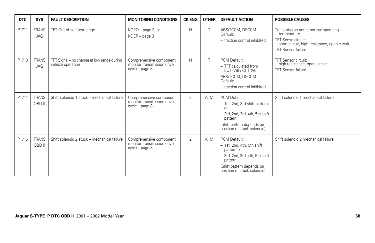| <b>DTC</b> | <b>SYS</b>                 | <b>FAULT DESCRIPTION</b>                                        | <b>MONITORING CONDITIONS</b>                                            | <b>CK ENG</b>  | <b>OTHER</b> | <b>DEFAULT ACTION</b>                                                                                                                                                            | <b>POSSIBLE CAUSES</b>                                                                                                                                 |
|------------|----------------------------|-----------------------------------------------------------------|-------------------------------------------------------------------------|----------------|--------------|----------------------------------------------------------------------------------------------------------------------------------------------------------------------------------|--------------------------------------------------------------------------------------------------------------------------------------------------------|
| P1711      | <b>TRANS</b><br>JAG        | TFT Out of self test range                                      | KOEO - page 3, or<br>KOER - page 3                                      | N              |              | ABS/TCCM, DSCCM<br>Default:<br>- traction control inhibited                                                                                                                      | Transmission not at normal operating<br>temperature<br>TFT Sense circuit:<br>short circuit, high resistance, open circuit<br><b>TFT Sensor failure</b> |
| P1713      | <b>TRANS</b><br><b>JAG</b> | TFT Signal – no change at low range during<br>vehicle operation | Comprehensive component<br>monitor transmission drive<br>cycle - page 8 | N              |              | PCM Default:<br>- TFT calculated from<br>ECT (V8) / CHT (V6)<br>ABS/TCCM, DSCCM<br>Default:<br>- traction control inhibited                                                      | <b>TFT Sensor circuit:</b><br>high resistance, open circuit<br><b>TFT Sensor failure</b>                                                               |
| P1714      | <b>TRANS</b><br>OBD II     | Shift solenoid 1 stuck - mechanical failure                     | Comprehensive component<br>monitor transmission drive<br>cycle - page 8 | $\overline{2}$ | A, M         | PCM Default:<br>- 1st, 2nd, 3rd shift pattern<br>$\Omega$ <sup>r</sup><br>- 3rd, 2nd, 3rd, 4th, 5th shift<br>pattern<br>(Shift pattern depends on<br>position of stuck solenoid) | Shift solenoid 1 mechanical failure                                                                                                                    |
| P1715      | <b>TRANS</b><br>OBD II     | Shift solenoid 2 stuck - mechanical failure                     | Comprehensive component<br>monitor transmission drive<br>cycle - page 8 | $\overline{2}$ | A. M         | PCM Default:<br>- 1st, 2nd, 4th, 5th shift<br>pattern or<br>- 3rd, 2nd, 3rd, 4th, 5th shift<br>pattern<br>(Shift pattern depends on<br>position of stuck solenoid)               | Shift solenoid 2 mechanical failure                                                                                                                    |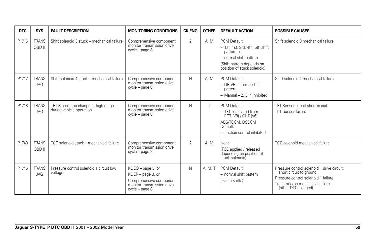| <b>DTC</b> | <b>SYS</b>             | <b>FAULT DESCRIPTION</b>                                         | <b>MONITORING CONDITIONS</b>                                                                                      | <b>CK ENG</b>  | <b>OTHER</b> | <b>DEFAULT ACTION</b>                                                                                                                                 | <b>POSSIBLE CAUSES</b>                                                                                                                                                 |
|------------|------------------------|------------------------------------------------------------------|-------------------------------------------------------------------------------------------------------------------|----------------|--------------|-------------------------------------------------------------------------------------------------------------------------------------------------------|------------------------------------------------------------------------------------------------------------------------------------------------------------------------|
| P1716      | <b>TRANS</b><br>OBD II | Shift solenoid 3 stuck - mechanical failure                      | Comprehensive component<br>monitor transmission drive<br>cycle - page 8                                           | $\overline{2}$ | A, M         | PCM Default:<br>$-1$ st, 1st, 3rd, 4th, 5th shift<br>pattern or<br>- normal shift pattern<br>(Shift pattern depends on<br>position of stuck solenoid) | Shift solenoid 3 mechanical failure                                                                                                                                    |
| P1717      | <b>TRANS</b><br>JAG    | Shift solenoid 4 stuck - mechanical failure                      | Comprehensive component<br>monitor transmission drive<br>cycle - page 8                                           | N              | A, M         | PCM Default:<br>- DRIVE - normal shift<br>pattern<br>$-$ Manual $-$ 2, 3, 4 inhibited                                                                 | Shift solenoid 4 mechanical failure                                                                                                                                    |
| P1718      | <b>TRANS</b><br>JAG    | TFT Signal - no change at high range<br>during vehicle operation | Comprehensive component<br>monitor transmission drive<br>cycle - page 8                                           | N              |              | PCM Default:<br>- TFT calculated from<br>ECT (V8) / CHT (V6)<br>ABS/TCCM, DSCCM<br>Default:<br>- traction control inhibited                           | TFT Sensor circuit short circuit<br><b>TFT Sensor failure</b>                                                                                                          |
| P1740      | <b>TRANS</b><br>OBD II | TCC solenoid stuck - mechanical failure                          | Comprehensive component<br>monitor transmission drive<br>cycle - page 8                                           | $\overline{2}$ | A.M          | None<br>(TCC applied / released<br>depending on position of<br>stuck solenoid)                                                                        | TCC solenoid mechanical failure                                                                                                                                        |
| P1746      | <b>TRANS</b><br>JAG    | Pressure control solenoid 1 circuit low<br>voltage               | KOEO - page 3, or<br>KOER - page 3, or<br>Comprehensive component<br>monitor transmission drive<br>cycle – page 8 | N              | A. M. T      | PCM Default:<br>- normal shift pattern<br>(Harsh shifts)                                                                                              | Pressure control solenoid 1 drive circuit:<br>short circuit to ground<br>Pressure control solenoid 1 failure<br>Transmission mechanical failure<br>(other DTCs logged) |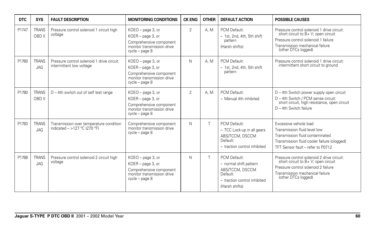| <b>DTC</b> | <b>SYS</b>                 | <b>FAULT DESCRIPTION</b>                                                | <b>MONITORING CONDITIONS</b>                                                                                      | <b>CK ENG</b>  | <b>OTHER</b> | <b>DEFAULT ACTION</b>                                                                                                   | <b>POSSIBLE CAUSES</b>                                                                                                                                                             |
|------------|----------------------------|-------------------------------------------------------------------------|-------------------------------------------------------------------------------------------------------------------|----------------|--------------|-------------------------------------------------------------------------------------------------------------------------|------------------------------------------------------------------------------------------------------------------------------------------------------------------------------------|
| P1747      | <b>TRANS</b><br>OBD II     | Pressure control solenoid 1 circuit high<br>voltage                     | KOEO - page 3, or<br>KOER - page 3, or<br>Comprehensive component<br>monitor transmission drive<br>cycle - page 8 | $\overline{2}$ | A. M         | PCM Default:<br>- 1st, 2nd, 4th, 5th shift<br>pattern<br>(Harsh shifts)                                                 | Pressure control solenoid 1 drive circuit:<br>short circuit to B+ V; open circuit<br>Pressure control solenoid 1 failure<br>Transmission mechanical failure<br>(other DTCs logged) |
| P1760      | <b>TRANS</b><br><b>JAG</b> | Pressure control solenoid 1 drive circuit<br>intermittent low voltage   | KOEO - page 3, or<br>KOER - page 3, or<br>Comprehensive component<br>monitor transmission drive<br>cycle - page 8 | N.             | A. M         | PCM Default:<br>- 1st. 2nd. 4th. 5th shift<br>pattern                                                                   | Pressure control solenoid 1 drive circuit:<br>intermittent short circuit to ground                                                                                                 |
| P1780      | <b>TRANS</b><br>OBD II     | D - 4th switch out of self test range                                   | KOEO - page 3, or<br>KOER - page 3, or<br>Comprehensive component<br>monitor transmission drive<br>cycle - page 8 | $\overline{2}$ | A. M         | PCM Default:<br>- Manual 4th inhibited                                                                                  | $D - 4$ th Switch power supply open circuit<br>D - 4th Switch / PCM sense circuit:<br>short circuit, high resistance, open circuit<br>$D - 4$ th Switch failure                    |
| P1783      | <b>TRANS</b><br><b>JAG</b> | Transmission over temperature condition<br>indicated - >127 °C (270 °F) | Comprehensive component<br>monitor transmission drive<br>cycle - page 8                                           | N              |              | PCM Default:<br>- TCC Lock-up in all gears<br>ABS/TCCM, DSCCM<br>Default:<br>- traction control inhibited               | Excessive vehicle load<br>Transmission fluid level low<br>Transmission fluid contaminated<br>Transmission fluid cooler failure (clogged)<br>TFT Sensor fault - refer to P0712      |
| P1788      | <b>TRANS</b><br><b>JAG</b> | Pressure control solenoid 2 circuit high<br>voltage                     | KOEO - page 3, or<br>KOER - page 3, or<br>Comprehensive component<br>monitor transmission drive<br>cycle - page 8 | N              |              | PCM Default:<br>- normal shift pattern<br>ABS/TCCM, DSCCM<br>Default:<br>- traction control inhibited<br>(Harsh shifts) | Pressure control solenoid 2 drive circuit:<br>short circuit to B+ V; open circuit<br>Pressure control solenoid 2 failure<br>Transmission mechanical failure<br>(other DTCs logged) |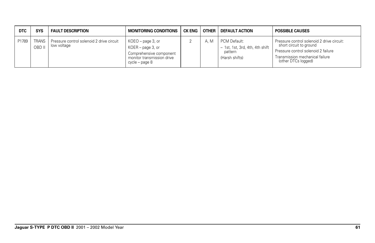| <b>DTC</b> | <b>SYS</b> | <b>FAULT DESCRIPTION</b>                                         | <b>MONITORING CONDITIONS</b>                                                                                        | CK ENG | <b>OTHER</b> | <b>DEFAULT ACTION</b>                                                        | <b>POSSIBLE CAUSES</b>                                                                                                                                                 |
|------------|------------|------------------------------------------------------------------|---------------------------------------------------------------------------------------------------------------------|--------|--------------|------------------------------------------------------------------------------|------------------------------------------------------------------------------------------------------------------------------------------------------------------------|
| P1789      | OBD II     | TRANS   Pressure control solenoid 2 drive circuit<br>low voltage | KOEO - page 3, or<br>KOER – page 3, or<br>Comprehensive component<br>monitor transmission drive<br>$cycle - page 8$ |        | A. M         | PCM Default:<br>- 1st, 1st, 3rd, 4th, 4th shift<br>pattern<br>(Harsh shifts) | Pressure control solenoid 2 drive circuit:<br>short circuit to ground<br>Pressure control solenoid 2 failure<br>Transmission mechanical failure<br>(other DTCs logged) |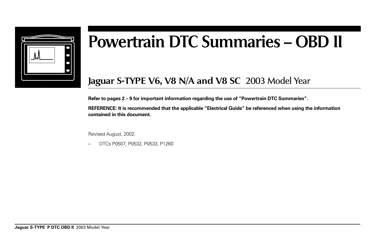

# **Powertrain DTC Summaries – OBD II**

# **Jaguar S-TYPE V6, V8 N/A and V8 SC** 2003 Model Year

**Refer to pages 2 – 9 for important information regarding the use of "Powertrain DTC Summaries".**

**REFERENCE: It is recommended that the applicable "Electrical Guide" be referenced when using the information contained in this document.**

Revised August, 2002:

– DTCs P0507, P0532, P0533, P1260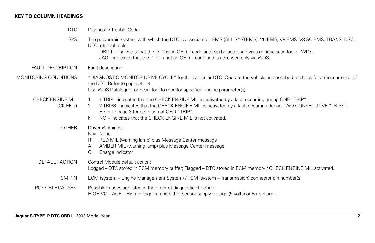# **KEY TO COLUMN HEADINGS**

| <b>DTC</b>                   | Diagnostic Trouble Code.                                                                                                                                                                                                                                                                                                                                      |
|------------------------------|---------------------------------------------------------------------------------------------------------------------------------------------------------------------------------------------------------------------------------------------------------------------------------------------------------------------------------------------------------------|
| <b>SYS</b>                   | The powertrain system with which the DTC is associated - EMS (ALL SYSTEMS), V6 EMS, V8 EMS, V8 SC EMS, TRANS, DSC.<br>DTC retrieval tools:<br>OBD II – indicates that the DTC is an OBD II code and can be accessed via a generic scan tool or WDS.<br>JAG – indicates that the DTC is not an OBD II code and is accessed only via WDS.                       |
| <b>FAULT DESCRIPTION</b>     | Fault description.                                                                                                                                                                                                                                                                                                                                            |
| MONITORING CONDITIONS        | "DIAGNOSTIC MONITOR DRIVE CYCLE" for the particular DTC. Operate the vehicle as described to check for a reoccurrence of<br>the DTC. Refer to pages $4 - 8$ .<br>Use WDS Datalogger or Scan Tool to monitor specified engine parameter(s).                                                                                                                    |
| CHECK ENGINE MIL<br>(CK ENG) | 1 TRIP – indicates that the CHECK ENGINE MIL is activated by a fault occurring during ONE "TRIP".<br>$\mathbf{1}$<br>2 TRIPS – indicates that the CHECK ENGINE MIL is activated by a fault occurring during TWO CONSECUTIVE "TRIPS".<br>2<br>Refer to page 3 for definition of OBD "TRIP".<br>NO – indicates that the CHECK ENGINE MIL is not activated.<br>N |
| <b>OTHER</b>                 | Driver Warnings:<br>$N = None$<br>R = RED MIL (warning lamp) plus Message Center message<br>A = AMBER MIL (warning lamp) plus Message Center message<br>$C =$ Charge indicator                                                                                                                                                                                |
| DEFAULT ACTION               | Control Module default action:<br>Logged - DTC stored in ECM memory buffer; Flagged - DTC stored in ECM memory / CHECK ENGINE MIL activated.                                                                                                                                                                                                                  |
| CM PIN                       | ECM (system – Engine Management System) / TCM (system – Transmission) connector pin number(s)                                                                                                                                                                                                                                                                 |
| POSSIBLE CAUSES              | Possible causes are listed in the order of diagnostic checking.<br>HIGH VOLTAGE – High voltage can be either sensor supply voltage (5 volts) or $B+$ voltage.                                                                                                                                                                                                 |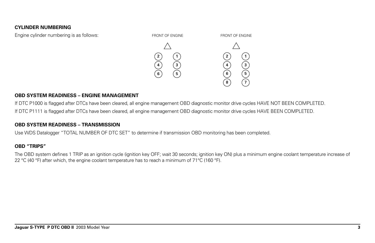#### **CYLINDER NUMBERING**



#### **OBD SYSTEM READINESS – ENGINE MANAGEMENT**

If DTC P1000 is flagged after DTCs have been cleared, all engine management OBD diagnostic monitor drive cycles HAVE NOT BEEN COMPLETED. If DTC P1111 is flagged after DTCs have been cleared, all engine management OBD diagnostic monitor drive cycles HAVE BEEN COMPLETED.

#### **OBD SYSTEM READINESS – TRANSMISSION**

Use WDS Datalogger "TOTAL NUMBER OF DTC SET" to determine if transmission OBD monitoring has been completed.

#### **OBD "TRIPS"**

The OBD system defines 1 TRIP as an ignition cycle (ignition key OFF; wait 30 seconds; ignition key ON) plus a minimum engine coolant temperature increase of 22 °C (40 °F) after which, the engine coolant temperature has to reach a minimum of 71 °C (160 °F).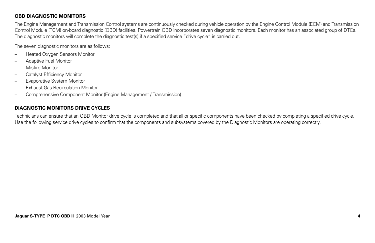### **OBD DIAGNOSTIC MONITORS**

The Engine Management and Transmission Control systems are continuously checked during vehicle operation by the Engine Control Module (ECM) and Transmission Control Module (TCM) on-board diagnostic (OBD) facilities. Powertrain OBD incorporates seven diagnostic monitors. Each monitor has an associated group of DTCs. The diagnostic monitors will complete the diagnostic test(s) if a specified service "drive cycle" is carried out.

The seven diagnostic monitors are as follows:

- Heated Oxygen Sensors Monitor
- Adaptive Fuel Monitor
- Misfire Monitor
- Catalyst Efficiency Monitor
- Evaporative System Monitor
- Exhaust Gas Recirculation Monitor
- Comprehensive Component Monitor (Engine Management / Transmission)

# **DIAGNOSTIC MONITORS DRIVE CYCLES**

Technicians can ensure that an OBD Monitor drive cycle is completed and that all or specific components have been checked by completing a specified drive cycle. Use the following service drive cycles to confirm that the components and subsystems covered by the Diagnostic Monitors are operating correctly.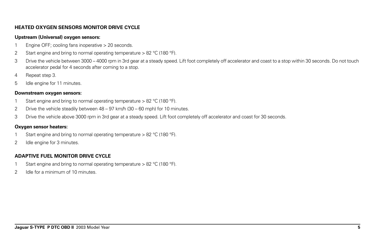#### **HEATED OXYGEN SENSORS MONITOR DRIVE CYCLE**

#### **Upstream (Universal) oxygen sensors:**

- 1 Engine OFF; cooling fans inoperative > 20 seconds.
- 2 Start engine and bring to normal operating temperature  $> 82$  °C (180 °F).
- 3 Drive the vehicle between 3000 4000 rpm in 3rd gear at a steady speed. Lift foot completely off accelerator and coast to a stop within 30 seconds. Do not touch accelerator pedal for 4 seconds after coming to a stop.
- 4 Repeat step 3.
- 5 Idle engine for 11 minutes.

#### **Downstream oxygen sensors:**

- 1 Start engine and bring to normal operating temperature > 82 °C (180 °F).
- 2 Drive the vehicle steadily between 48 97 km/h (30 60 mph) for 10 minutes.
- 3 Drive the vehicle above 3000 rpm in 3rd gear at a steady speed. Lift foot completely off accelerator and coast for 30 seconds.

#### **Oxygen sensor heaters:**

- 1 Start engine and bring to normal operating temperature > 82 °C (180 °F).
- 2 Idle engine for 3 minutes.

# **ADAPTIVE FUEL MONITOR DRIVE CYCLE**

- 1 Start engine and bring to normal operating temperature > 82 °C (180 °F).
- 2 Idle for a minimum of 10 minutes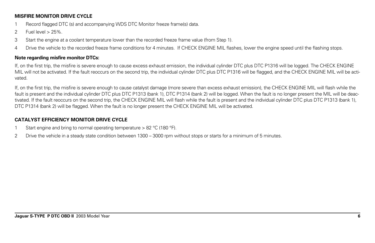#### **MISFIRE MONITOR DRIVE CYCLE**

- 1 Record flagged DTC (s) and accompanying WDS DTC Monitor freeze frame(s) data.
- 2 Fuel level > 25%.
- 3 Start the engine at a coolant temperature lower than the recorded freeze frame value (from Step 1).
- 4 Drive the vehicle to the recorded freeze frame conditions for 4 minutes. If CHECK ENGINE MIL flashes, lower the engine speed until the flashing stops.

# **Note regarding misfire monitor DTCs:**

If, on the first trip, the misfire is severe enough to cause excess exhaust emission, the individual cylinder DTC plus DTC P1316 will be logged. The CHECK ENGINE MIL will not be activated. If the fault reoccurs on the second trip, the individual cylinder DTC plus DTC P1316 will be flagged, and the CHECK ENGINE MIL will be activated.

If, on the first trip, the misfire is severe enough to cause catalyst damage (more severe than excess exhaust emission), the CHECK ENGINE MIL will flash while the fault is present and the individual cylinder DTC plus DTC P1313 (bank 1), DTC P1314 (bank 2) will be logged. When the fault is no longer present the MIL will be deactivated. If the fault reoccurs on the second trip, the CHECK ENGINE MIL will flash while the fault is present and the individual cylinder DTC plus DTC P1313 (bank 1), DTC P1314 (bank 2) will be flagged. When the fault is no longer present the CHECK ENGINE MIL will be activated.

# **CATALYST EFFICIENCY MONITOR DRIVE CYCLE**

- 1 Start engine and bring to normal operating temperature > 82 °C (180 °F).
- 2 Drive the vehicle in a steady state condition between 1300 3000 rpm without stops or starts for a minimum of 5 minutes.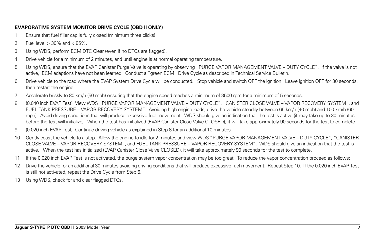#### **EVAPORATIVE SYSTEM MONITOR DRIVE CYCLE (OBD II ONLY)**

- 1 Ensure that fuel filler cap is fully closed (minimum three clicks).
- 2 Fuel level > 30% and < 85%.
- 3 Using WDS, perform ECM DTC Clear (even if no DTCs are flagged).
- 4 Drive vehicle for a minimum of 2 minutes, and until engine is at normal operating temperature.
- 5 Using WDS, ensure that the EVAP Canister Purge Valve is operating by observing "PURGE VAPOR MANAGEMENT VALVE DUTY CYCLE". If the valve is not active, ECM adaptions have not been learned. Conduct a "green ECM" Drive Cycle as described in Technical Service Bulletin.
- 6 Drive vehicle to the road where the EVAP System Drive Cycle will be conducted. Stop vehicle and switch OFF the ignition. Leave ignition OFF for 30 seconds, then restart the engine.
- 7 Accelerate briskly to 80 km/h (50 mph) ensuring that the engine speed reaches a minimum of 3500 rpm for a minimum of 5 seconds.
- 8 (0.040 inch EVAP Test) View WDS "PURGE VAPOR MANAGEMENT VALVE DUTY CYCLE", "CANISTER CLOSE VALVE VAPOR RECOVERY SYSTEM", and FUEL TANK PRESSURE – VAPOR RECOVERY SYSTEM". Avoiding high engine loads, drive the vehicle steadily between 65 km/h (40 mph) and 100 km/h (60 mph). Avoid driving conditions that will produce excessive fuel movement. WDS should give an indication that the test is active (it may take up to 30 minutes before the test will initialize). When the test has initialized (EVAP Canister Close Valve CLOSED), it will take approximately 90 seconds for the test to complete.
- 9 (0.020 inch EVAP Test) Continue driving vehicle as explained in Step 8 for an additional 10 minutes.
- 10 Gently coast the vehicle to a stop. Allow the engine to idle for 2 minutes and view WDS "PURGE VAPOR MANAGEMENT VALVE DUTY CYCLE", "CANISTER CLOSE VALVE – VAPOR RECOVERY SYSTEM", and FUEL TANK PRESSURE – VAPOR RECOVERY SYSTEM". WDS should give an indication that the test is active. When the test has initialized (EVAP Canister Close Valve CLOSED), it will take approximately 90 seconds for the test to complete.
- 11 If the 0.020 inch EVAP Test is not activated, the purge system vapor concentration may be too great. To reduce the vapor concentration proceed as follows:
- 12 Drive the vehicle for an additional 30 minutes avoiding driving conditions that will produce excessive fuel movement. Repeat Step 10. If the 0.020 inch EVAP Test is still not activated, repeat the Drive Cycle from Step 6.
- 13 Using WDS, check for and clear flagged DTCs.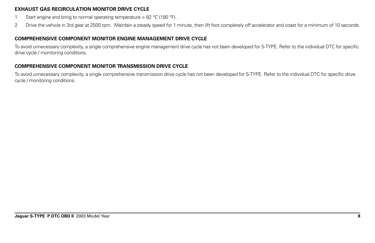#### **EXHAUST GAS RECIRCULATION MONITOR DRIVE CYCLE**

- 1 Start engine and bring to normal operating temperature > 82 °C (180 °F).
- 2 Drive the vehicle in 3rd gear at 2500 rpm. Maintain a steady speed for 1 minute, then lift foot completely off accelerator and coast for a minimum of 10 seconds.

# **COMPREHENSIVE COMPONENT MONITOR ENGINE MANAGEMENT DRIVE CYCLE**

To avoid unnecessary complexity, a single comprehensive engine management drive cycle has not been developed for S-TYPE. Refer to the individual DTC for specific drive cycle / monitoring conditions.

# **COMPREHENSIVE COMPONENT MONITOR TRANSMISSION DRIVE CYCLE**

To avoid unnecessary complexity, a single comprehensive transmission drive cycle has not been developed for S-TYPE. Refer to the individual DTC for specific drive cycle / monitoring conditions.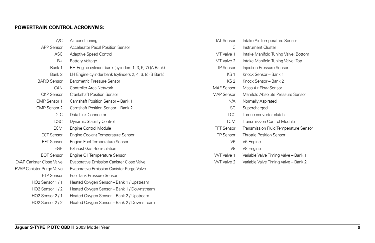#### **POWERTRAIN CONTROL ACRONYMS:**

| A/C                              | Air conditioning                                        | <b>IAT Sensor</b>  | Intake Air Temperature Sensor         |
|----------------------------------|---------------------------------------------------------|--------------------|---------------------------------------|
| APP Sensor                       | <b>Accelerator Pedal Position Sensor</b>                | IC                 | <b>Instrument Cluster</b>             |
| <b>ASC</b>                       | Adaptive Speed Control                                  | <b>IMT</b> Valve 1 | Intake Manifold Tuning Valve: Bottom  |
| $B+$                             | <b>Battery Voltage</b>                                  | <b>IMT</b> Valve 2 | Intake Manifold Tuning Valve: Top     |
| Bank 1                           | RH Engine cylinder bank (cylinders 1, 3, 5, 7) (A Bank) | IP Sensor          | Injection Pressure Sensor             |
| Bank 2                           | LH Engine cylinder bank (cylinders 2, 4, 6, 8) (B Bank) | KS <sub>1</sub>    | Knock Sensor - Bank 1                 |
| <b>BARO</b> Sensor               | Barometric Pressure Sensor                              | KS <sub>2</sub>    | Knock Sensor - Bank 2                 |
| CAN                              | Controller Area Network                                 | <b>MAF</b> Sensor  | Mass Air Flow Sensor                  |
| <b>CKP</b> Sensor                | <b>Crankshaft Position Sensor</b>                       | <b>MAP</b> Sensor  | Manifold Absolute Pressure Sensor     |
| CMP Sensor 1                     | Camshaft Position Sensor - Bank 1                       | N/A                | Normally Aspirated                    |
| CMP Sensor 2                     | Camshaft Position Sensor - Bank 2                       | <b>SC</b>          | Supercharged                          |
| <b>DLC</b>                       | Data Link Connector                                     | <b>TCC</b>         | Torque converter clutch               |
| <b>DSC</b>                       | Dynamic Stability Control                               | <b>TCM</b>         | Transmission Control Module           |
| <b>ECM</b>                       | <b>Engine Control Module</b>                            | <b>TFT Sensor</b>  | Transmission Fluid Temperature Sensor |
| <b>ECT Sensor</b>                | Engine Coolant Temperature Sensor                       | <b>TP Sensor</b>   | <b>Throttle Position Sensor</b>       |
| <b>EFT Sensor</b>                | Engine Fuel Temperature Sensor                          | V <sub>6</sub>     | V6 Engine                             |
| <b>EGR</b>                       | <b>Exhaust Gas Recirculation</b>                        | V <sub>8</sub>     | V8 Engine                             |
| <b>EOT Sensor</b>                | Engine Oil Temperature Sensor                           | <b>WT</b> Valve 1  | Variable Valve Timing Valve - Bank 1  |
| <b>EVAP Canister Close Valve</b> | Evaporative Emission Canister Close Valve               | <b>WT</b> Valve 2  | Variable Valve Timing Valve - Bank 2  |
| <b>EVAP Canister Purge Valve</b> | Evaporative Emission Canister Purge Valve               |                    |                                       |
| <b>FTP Sensor</b>                | <b>Fuel Tank Pressure Sensor</b>                        |                    |                                       |
| HO2 Sensor 1/1                   | Heated Oxygen Sensor - Bank 1 / Upstream                |                    |                                       |
| HO2 Sensor 1/2                   | Heated Oxygen Sensor - Bank 1 / Downstream              |                    |                                       |
| HO2 Sensor 2/1                   | Heated Oxygen Sensor - Bank 2 / Upstream                |                    |                                       |
| HO2 Sensor 2/2                   | Heated Oxygen Sensor - Bank 2 / Downstream              |                    |                                       |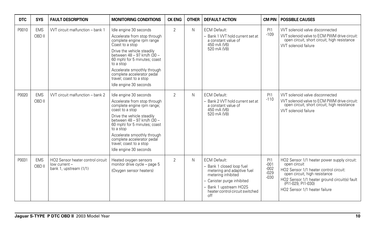| <b>DTC</b> | <b>SYS</b>           | <b>FAULT DESCRIPTION</b>                                                     | <b>MONITORING CONDITIONS</b>                                                                                                                                                                                                                                                                                                       | <b>CK ENG</b>  | <b>OTHER</b> | <b>DEFAULT ACTION</b>                                                                                                                                                                                | <b>CM PIN</b>                               | <b>POSSIBLE CAUSES</b>                                                                                                                                                                                                                         |
|------------|----------------------|------------------------------------------------------------------------------|------------------------------------------------------------------------------------------------------------------------------------------------------------------------------------------------------------------------------------------------------------------------------------------------------------------------------------|----------------|--------------|------------------------------------------------------------------------------------------------------------------------------------------------------------------------------------------------------|---------------------------------------------|------------------------------------------------------------------------------------------------------------------------------------------------------------------------------------------------------------------------------------------------|
| P0010      | <b>EMS</b><br>OBD II | VVT circuit malfunction - bank 1                                             | Idle engine 30 seconds<br>Accelerate from stop through<br>complete engine rpm range<br>Coast to a stop<br>Drive the vehicle steadily<br>between 48 - 97 km/h (30 -<br>60 mph) for 5 minutes; coast<br>to a stop<br>Accelerate smoothly through<br>complete accelerator pedal<br>travel; coast to a stop<br>Idle engine 30 seconds  | $\overline{2}$ | N            | <b>ECM Default:</b><br>- Bank 1 VVT hold current set at<br>a constant value of<br>450 mA (V6)<br>520 mA (V8)                                                                                         | PI1<br>$-109$                               | VVT solenoid valve disconnected<br>VVT solenoid valve to ECM PWM drive circuit:<br>open circuit, short circuit, high resistance<br>VVT solenoid failure                                                                                        |
| P0020      | <b>EMS</b><br>OBD II | WT circuit malfunction - bank 2                                              | Idle engine 30 seconds<br>Accelerate from stop through<br>complete engine rpm range;<br>coast to a stop<br>Drive the vehicle steadily<br>between 48 - 97 km/h (30 -<br>60 mph) for 5 minutes; coast<br>to a stop<br>Accelerate smoothly through<br>complete accelerator pedal<br>travel; coast to a stop<br>Idle engine 30 seconds | $\overline{2}$ | N            | <b>ECM Default:</b><br>- Bank 2 VVT hold current set at<br>a constant value of<br>450 mA (V6)<br>520 mA (V8)                                                                                         | PI1<br>$-110$                               | VVT solenoid valve disconnected<br>VVT solenoid valve to ECM PWM drive circuit:<br>open circuit, short circuit, high resistance<br><b>WT</b> solenoid failure                                                                                  |
| P0031      | <b>EMS</b><br>OBD II | HO2 Sensor heater control circuit<br>low current -<br>bank 1, upstream (1/1) | Heated oxygen sensors<br>monitor drive cycle - page 5<br>(Oxygen sensor heaters)                                                                                                                                                                                                                                                   | $\overline{2}$ | N            | <b>ECM Default:</b><br>- Bank 1 closed loop fuel<br>metering and adaptive fuel<br>metering inhibited<br>- Canister purge inhibited<br>Bank 1 upstream HO2S<br>heater control circuit switched<br>off | PI1<br>$-001$<br>$-002$<br>$-029$<br>$-030$ | HO2 Sensor 1/1 heater power supply circuit:<br>open circuit<br>HO2 Sensor 1/1 heater control circuit:<br>open circuit, high resistance<br>HO2 Sensor 1/1 heater ground circuit(s) fault<br>(PI1-029, PI1-030)<br>HO2 Sensor 1/1 heater failure |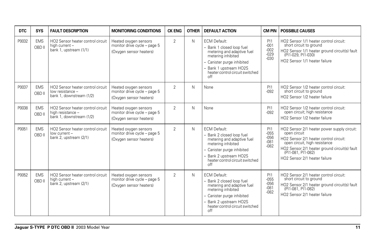| <b>DTC</b> | <b>SYS</b>           | <b>FAULT DESCRIPTION</b>                                                           | <b>MONITORING CONDITIONS</b>                                                     | <b>CK ENG</b>  | <b>OTHER</b> | <b>DEFAULT ACTION</b>                                                                                                                                                                                  | <b>CM PIN</b>                                      | <b>POSSIBLE CAUSES</b>                                                                                                                                                                                                                         |
|------------|----------------------|------------------------------------------------------------------------------------|----------------------------------------------------------------------------------|----------------|--------------|--------------------------------------------------------------------------------------------------------------------------------------------------------------------------------------------------------|----------------------------------------------------|------------------------------------------------------------------------------------------------------------------------------------------------------------------------------------------------------------------------------------------------|
| P0032      | <b>EMS</b><br>OBD II | HO2 Sensor heater control circuit<br>high current -<br>bank 1, upstream (1/1)      | Heated oxygen sensors<br>monitor drive cycle - page 5<br>(Oxygen sensor heaters) | 2              | N            | <b>ECM Default:</b><br>- Bank 1 closed loop fuel<br>metering and adaptive fuel<br>metering inhibited<br>- Canister purge inhibited<br>- Bank 1 upstream HO2S<br>heater control circuit switched<br>off | <b>PI1</b><br>$-001$<br>$-002$<br>$-029$<br>$-030$ | HO2 Sensor 1/1 heater control circuit:<br>short circuit to ground<br>HO2 Sensor 1/1 heater ground circuit(s) fault<br>(PI1-029, PI1-030)<br>HO2 Sensor 1/1 heater failure                                                                      |
| P0037      | <b>EMS</b><br>OBD II | HO2 Sensor heater control circuit<br>low resistance -<br>bank 1, downstream (1/2)  | Heated oxygen sensors<br>monitor drive cycle - page 5<br>(Oxygen sensor heaters) | 2              | N            | None                                                                                                                                                                                                   | PI1<br>$-0.92$                                     | HO2 Sensor 1/2 heater control circuit:<br>short circuit to ground<br>HO2 Sensor 1/2 heater failure                                                                                                                                             |
| P0038      | <b>EMS</b><br>OBD II | HO2 Sensor heater control circuit<br>high resistance -<br>bank 1, downstream (1/2) | Heated oxygen sensors<br>monitor drive cycle - page 5<br>(Oxygen sensor heaters) | $\overline{2}$ | N            | None                                                                                                                                                                                                   | PI1<br>$-092$                                      | HO2 Sensor 1/2 heater control circuit:<br>open circuit; high resistance<br>HO2 Sensor 1/2 heater failure                                                                                                                                       |
| P0051      | <b>EMS</b><br>OBD II | HO2 Sensor heater control circuit<br>low current -<br>bank 2, upstream (2/1)       | Heated oxygen sensors<br>monitor drive cycle - page 5<br>(Oxygen sensor heaters) | 2              | N            | <b>ECM Default:</b><br>- Bank 2 closed loop fuel<br>metering and adaptive fuel<br>metering inhibited<br>- Canister purge inhibited<br>- Bank 2 upstream HO2S<br>heater control circuit switched<br>off | P11<br>$-055$<br>$-056$<br>$-081$<br>$-082$        | HO2 Sensor 2/1 heater power supply circuit:<br>open circuit<br>HO2 Sensor 2/1 heater control circuit:<br>open circuit, high resistance<br>HO2 Sensor 2/1 heater ground circuit(s) fault<br>(PI1-081, PI1-082)<br>HO2 Sensor 2/1 heater failure |
| P0052      | <b>EMS</b><br>OBD II | HO2 Sensor heater control circuit<br>high current -<br>bank 2, upstream (2/1)      | Heated oxygen sensors<br>monitor drive cycle - page 5<br>(Oxygen sensor heaters) | $\overline{2}$ | N            | <b>ECM Default:</b><br>- Bank 2 closed loop fuel<br>metering and adaptive fuel<br>metering inhibited<br>- Canister purge inhibited<br>- Bank 2 upstream HO2S<br>heater control circuit switched<br>off | PI1<br>$-055$<br>$-056$<br>$-081$<br>$-082$        | HO2 Sensor 2/1 heater control circuit:<br>short circuit to ground<br>HO2 Sensor 2/1 heater ground circuit(s) fault<br>(PI1-081, PI1-082)<br>HO2 Sensor 2/1 heater failure                                                                      |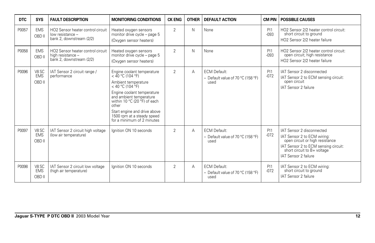| DTC   | <b>SYS</b>                    | <b>FAULT DESCRIPTION</b>                                                           | <b>MONITORING CONDITIONS</b>                                                                                                                                                                                                                                                                | <b>CK ENG</b>  | <b>OTHER</b> | <b>DEFAULT ACTION</b>                                            | <b>CM PIN</b>  | <b>POSSIBLE CAUSES</b>                                                                                                                                                                     |
|-------|-------------------------------|------------------------------------------------------------------------------------|---------------------------------------------------------------------------------------------------------------------------------------------------------------------------------------------------------------------------------------------------------------------------------------------|----------------|--------------|------------------------------------------------------------------|----------------|--------------------------------------------------------------------------------------------------------------------------------------------------------------------------------------------|
| P0057 | <b>EMS</b><br>OBD II          | HO2 Sensor heater control circuit<br>low resistance -<br>bank 2. downstream (2/2)  | Heated oxygen sensors<br>monitor drive cycle - page 5<br>(Oxygen sensor heaters)                                                                                                                                                                                                            | $\overline{2}$ | N            | None                                                             | PI1<br>$-0.93$ | HO2 Sensor 2/2 heater control circuit:<br>short circuit to ground<br>HO <sub>2</sub> Sensor 2/2 heater failure                                                                             |
| P0058 | <b>EMS</b><br>OBD II          | HO2 Sensor heater control circuit<br>high resistance -<br>bank 2, downstream (2/2) | Heated oxygen sensors<br>monitor drive cycle - page 5<br>(Oxygen sensor heaters)                                                                                                                                                                                                            | 2              | N            | None                                                             | PI1<br>$-0.93$ | HO2 Sensor 2/2 heater control circuit:<br>open circuit; high resistance<br>HO2 Sensor 2/2 heater failure                                                                                   |
| P0096 | V8 SC<br><b>EMS</b><br>OBD II | IAT Sensor 2 circuit range /<br>performance                                        | Engine coolant temperature<br>$<$ 40 °C (104 °F)<br>Ambient temperature<br>$<$ 40 °C (104 °F)<br>Engine coolant temperature<br>and ambient temperature<br>within 10 °C (20 °F) of each<br>other<br>Start engine and drive above<br>1500 rpm at a steady speed<br>for a minimum of 2 minutes | 2              | Α            | <b>ECM Default:</b><br>- Default value of 70 °C (158 °F)<br>used | PI1<br>$-072$  | IAT Sensor 2 disconnected<br>IAT Sensor 2 to ECM sensing circuit:<br>open circuit<br>IAT Sensor 2 failure                                                                                  |
| P0097 | V8 SC<br><b>EMS</b><br>OBD II | IAT Sensor 2 circuit high voltage<br>(low air temperature)                         | lanition ON 10 seconds                                                                                                                                                                                                                                                                      | $\overline{2}$ | Α            | <b>ECM Default:</b><br>- Default value of 70 °C (158 °F)<br>used | PI1<br>$-072$  | IAT Sensor 2 disconnected<br>IAT Sensor 2 to ECM wiring:<br>open circuit or high resistance<br>IAT Sensor 2 to ECM sensing circuit:<br>short circuit to B+ voltage<br>IAT Sensor 2 failure |
| P0098 | V8 SC<br><b>EMS</b><br>OBD II | IAT Sensor 2 circuit low voltage<br>(high air temperature)                         | lanition ON 10 seconds                                                                                                                                                                                                                                                                      | $\overline{2}$ | Α            | <b>ECM Default:</b><br>- Default value of 70 °C (158 °F)<br>used | PI1<br>$-072$  | IAT Sensor 2 to ECM wiring:<br>short circuit to ground<br>IAT Sensor 2 failure                                                                                                             |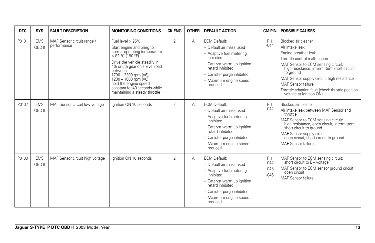| <b>DTC</b> | <b>SYS</b>           | <b>FAULT DESCRIPTION</b>                  | <b>MONITORING CONDITIONS</b>                                                                                                                                                                                                                                                                                                       | <b>CK ENG</b>  | <b>OTHER</b> | <b>DEFAULT ACTION</b>                                                                                                                                                                                         | <b>CM PIN</b>                     | <b>POSSIBLE CAUSES</b>                                                                                                                                                                                                                                                                                                                              |
|------------|----------------------|-------------------------------------------|------------------------------------------------------------------------------------------------------------------------------------------------------------------------------------------------------------------------------------------------------------------------------------------------------------------------------------|----------------|--------------|---------------------------------------------------------------------------------------------------------------------------------------------------------------------------------------------------------------|-----------------------------------|-----------------------------------------------------------------------------------------------------------------------------------------------------------------------------------------------------------------------------------------------------------------------------------------------------------------------------------------------------|
| P0101      | <b>EMS</b><br>OBD II | MAF Sensor circuit range /<br>performance | Fuel level $> 25\%$ .<br>Start engine and bring to<br>normal operating temperature<br>> 82 °C (180 °F)<br>Drive the vehicle steadily in<br>4th or 5th gear on a level road<br>between<br>1700 - 2300 rpm (V6),<br>1200 - 1800 rpm (V8);<br>hold the engine speed<br>constant for 40 seconds while<br>maintaining a steady throttle | $\overline{2}$ | A            | <b>ECM Default:</b><br>- Default air mass used<br>- Adaptive fuel metering<br>inhibited<br>- Catalyst warm up ignition<br>retard inhibited<br>- Canister purge inhibited<br>- Maximum engine speed<br>reduced | PI1<br>$-044$                     | Blocked air cleaner<br>Air intake leak<br>Engine breather leak<br>Throttle control malfunction<br>MAF Sensor to ECM sensing circuit:<br>high resistance, intermittent short circuit<br>to ground<br>MAF Sensor supply circuit: high resistance<br>MAF Sensor failure<br>Throttle adaption fault (check throttle position<br>voltage at Ignition ON) |
| P0102      | <b>EMS</b><br>OBD II | MAF Sensor circuit low voltage            | lanition ON 10 seconds                                                                                                                                                                                                                                                                                                             | $\overline{2}$ | А            | <b>ECM Default:</b><br>- Default air mass used<br>- Adaptive fuel metering<br>inhibited<br>- Catalyst warm up ignition<br>retard inhibited<br>- Canister purge inhibited<br>- Maximum engine speed<br>reduced | PI1<br>$-044$                     | Blocked air cleaner<br>Air intake leak between MAF Sensor and<br>throttle<br>MAF Sensor to ECM sensing circuit:<br>high resistance, open circuit, intermittent<br>short circuit to ground<br>MAF Sensor supply circuit:<br>open circuit, short circuit to ground<br>MAF Sensor failure                                                              |
| P0103      | <b>EMS</b><br>OBD II | MAF Sensor circuit high voltage           | lanition ON 10 seconds                                                                                                                                                                                                                                                                                                             | $\overline{2}$ | A            | <b>ECM Default:</b><br>- Default air mass used<br>- Adaptive fuel metering<br>inhibited<br>- Catalyst warm up ignition<br>retard inhibited<br>- Canister purge inhibited<br>- Maximum engine speed<br>reduced | PI1<br>$-044$<br>$-045$<br>$-046$ | MAF Sensor to ECM sensing circuit:<br>short circuit to B+ voltage<br>MAF Sensor to ECM sensor ground circuit:<br>open circuit<br>MAF Sensor failure                                                                                                                                                                                                 |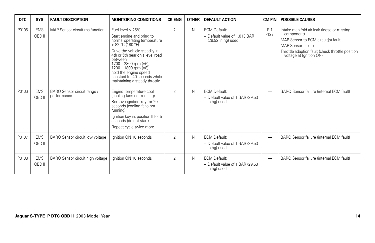| <b>DTC</b> | <b>SYS</b>           | <b>FAULT DESCRIPTION</b>                   | <b>MONITORING CONDITIONS</b>                                                                                                                                                                                                                                                                                                            | <b>CK ENG</b>  | <b>OTHER</b> | <b>DEFAULT ACTION</b>                                                       | <b>CM PIN</b>            | <b>POSSIBLE CAUSES</b>                                                                                                                                                                                     |
|------------|----------------------|--------------------------------------------|-----------------------------------------------------------------------------------------------------------------------------------------------------------------------------------------------------------------------------------------------------------------------------------------------------------------------------------------|----------------|--------------|-----------------------------------------------------------------------------|--------------------------|------------------------------------------------------------------------------------------------------------------------------------------------------------------------------------------------------------|
| P0105      | <b>EMS</b><br>OBD II | MAP Sensor circuit malfunction             | Fuel level $> 25\%$<br>Start engine and bring to<br>normal operating temperature<br>> 82 °C (180 °F)<br>Drive the vehicle steadily in<br>4th or 5th gear on a level road<br><b>between</b><br>1700 - 2300 rpm (V6),<br>1200 - 1800 rpm (V8);<br>hold the engine speed<br>constant for 40 seconds while<br>maintaining a steady throttle | $\overline{2}$ | N            | <b>ECM Default:</b><br>- Default value of 1.013 BAR<br>$(29.92$ in hg) used | PI1<br>$-127$            | Intake manifold air leak (loose or missing<br>component)<br>MAP Sensor to ECM circuit(s) fault<br><b>MAP Sensor failure</b><br>Throttle adaption fault (check throttle position<br>voltage at Ignition ON) |
| P0106      | <b>EMS</b><br>OBD II | BARO Sensor circuit range /<br>performance | Engine temperature cool<br>(cooling fans not running)<br>Remove ignition key for 20<br>seconds (cooling fans not<br>running)<br>Ignition key in, position II for 5<br>seconds (do not start)<br>Repeat cycle twice more                                                                                                                 | 2              | N            | <b>ECM Default:</b><br>- Default value of 1 BAR (29.53)<br>in hg) used      | $\overline{\phantom{0}}$ | BARO Sensor failure (internal ECM fault)                                                                                                                                                                   |
| P0107      | <b>EMS</b><br>OBD II | BARO Sensor circuit low voltage            | Ignition ON 10 seconds                                                                                                                                                                                                                                                                                                                  | $\overline{2}$ | N            | <b>ECM Default:</b><br>- Default value of 1 BAR (29.53)<br>in hg) used      | —                        | BARO Sensor failure (internal ECM fault)                                                                                                                                                                   |
| P0108      | <b>EMS</b><br>OBD II | BARO Sensor circuit high voltage           | Ignition ON 10 seconds                                                                                                                                                                                                                                                                                                                  | $\overline{2}$ | N            | <b>ECM Default:</b><br>- Default value of 1 BAR (29.53)<br>in hg) used      | —                        | BARO Sensor failure (internal ECM fault)                                                                                                                                                                   |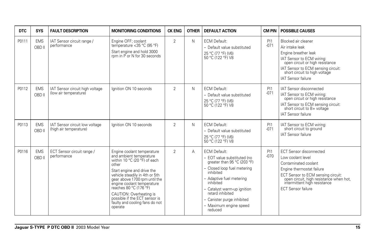| <b>DTC</b> | <b>SYS</b>           | <b>FAULT DESCRIPTION</b>                                 | <b>MONITORING CONDITIONS</b>                                                                                                                                                                                                                                                                                                                                     | <b>CK ENG</b>  | <b>OTHER</b> | <b>DEFAULT ACTION</b>                                                                                                                                                                                                                                                                        | <b>CM PIN</b> | <b>POSSIBLE CAUSES</b>                                                                                                                                                                                                                                 |
|------------|----------------------|----------------------------------------------------------|------------------------------------------------------------------------------------------------------------------------------------------------------------------------------------------------------------------------------------------------------------------------------------------------------------------------------------------------------------------|----------------|--------------|----------------------------------------------------------------------------------------------------------------------------------------------------------------------------------------------------------------------------------------------------------------------------------------------|---------------|--------------------------------------------------------------------------------------------------------------------------------------------------------------------------------------------------------------------------------------------------------|
| P0111      | <b>EMS</b><br>OBD II | IAT Sensor circuit range /<br>performance                | Engine OFF; coolant<br>temperature < 35 °C (95 °F)<br>Start engine and hold 3000<br>rpm in P or N for 30 seconds                                                                                                                                                                                                                                                 | $\overline{2}$ | N            | <b>ECM Default:</b><br>- Default value substituted<br>25 °C (77 °F) (V6)<br>50 °C (122 °F) V8                                                                                                                                                                                                | PI1<br>$-071$ | Blocked air cleaner<br>Air intake leak<br>Engine breather leak<br>IAT Sensor to ECM wiring:<br>open circuit or high resistance<br>IAT Sensor to ECM sensing circuit:<br>short circuit to high voltage<br>IAT Sensor failure                            |
| P0112      | <b>EMS</b><br>OBD II | IAT Sensor circuit high voltage<br>(low air temperature) | lanition ON 10 seconds                                                                                                                                                                                                                                                                                                                                           | $\overline{2}$ | N            | <b>ECM Default:</b><br>- Default value substituted<br>25 °C (77 °F) (V6)<br>50 °C (122 °F) V8                                                                                                                                                                                                | PI1<br>$-071$ | <b>IAT Sensor disconnected</b><br>IAT Sensor to ECM wiring:<br>open circuit or high resistance<br>IAT Sensor to ECM sensing circuit:<br>short circuit to B+ voltage<br>IAT Sensor failure                                                              |
| P0113      | <b>EMS</b><br>OBD II | IAT Sensor circuit low voltage<br>(high air temperature) | lanition ON 10 seconds                                                                                                                                                                                                                                                                                                                                           | $\overline{2}$ | N            | <b>ECM Default:</b><br>- Default value substituted<br>25 °C (77 °F) (V6)<br>50 °C (122 °F) V8                                                                                                                                                                                                | PI1<br>$-071$ | IAT Sensor to ECM wiring:<br>short circuit to ground<br><b>IAT Sensor failure</b>                                                                                                                                                                      |
| P0116      | <b>EMS</b><br>OBD II | ECT Sensor circuit range /<br>performance                | Engine coolant temperature<br>and ambient temperature<br>within 10 °C (20 °F) of each<br>other<br>Start engine and drive the<br>vehicle steadily in 4th or 5th<br>gear above 1700 rpm until the<br>engine coolant temperature<br>reaches 80 °C (176 °F)<br>CAUTION: Overheating is<br>possible if the ECT sensor is<br>faulty and cooling fans do not<br>operate | $\overline{2}$ | А            | <b>ECM Default:</b><br>- EOT value substituted (no<br>qreater than 95 °C (203 °F)<br>- Closed loop fuel metering<br>inhibited<br>- Adaptive fuel metering<br>inhibited<br>- Catalyst warm-up ignition<br>retard inhibited<br>- Canister purge inhibited<br>- Maximum engine speed<br>reduced | PI1<br>$-070$ | <b>ECT Sensor disconnected</b><br>Low coolant level<br>Contaminated coolant<br>Engine thermostat failure<br>ECT Sensor to ECM sensing circuit:<br>open circuit, high resistance when hot,<br>intermittent high resistance<br><b>ECT Sensor failure</b> |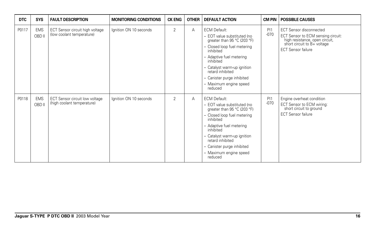| <b>DTC</b> | <b>SYS</b>           | <b>FAULT DESCRIPTION</b>                                     | <b>MONITORING CONDITIONS</b> | <b>CK ENG</b>  | <b>OTHER</b> | <b>DEFAULT ACTION</b>                                                                                                                                                                                                                                                                        | CM PIN        | <b>POSSIBLE CAUSES</b>                                                                                                                                             |
|------------|----------------------|--------------------------------------------------------------|------------------------------|----------------|--------------|----------------------------------------------------------------------------------------------------------------------------------------------------------------------------------------------------------------------------------------------------------------------------------------------|---------------|--------------------------------------------------------------------------------------------------------------------------------------------------------------------|
| P0117      | <b>EMS</b><br>OBD II | ECT Sensor circuit high voltage<br>(low coolant temperature) | Ignition ON 10 seconds       | $\overline{2}$ | A            | <b>ECM Default:</b><br>- EOT value substituted (no<br>greater than 95 °C (203 °F)<br>- Closed loop fuel metering<br>inhibited<br>- Adaptive fuel metering<br>inhibited<br>- Catalyst warm-up ignition<br>retard inhibited<br>- Canister purge inhibited<br>- Maximum engine speed<br>reduced | PI1<br>$-070$ | <b>ECT Sensor disconnected</b><br>ECT Sensor to ECM sensing circuit:<br>high resistance, open circuit,<br>short circuit to B+ voltage<br><b>ECT Sensor failure</b> |
| P0118      | <b>EMS</b><br>OBD II | ECT Sensor circuit low voltage<br>(high coolant temperature) | Ignition ON 10 seconds       | $\overline{2}$ | A            | <b>ECM Default:</b><br>- EOT value substituted (no<br>greater than 95 °C (203 °F)<br>- Closed loop fuel metering<br>inhibited<br>- Adaptive fuel metering<br>inhibited<br>- Catalyst warm-up ignition<br>retard inhibited<br>- Canister purge inhibited<br>- Maximum engine speed<br>reduced | PI1<br>$-070$ | Engine overheat condition<br>ECT Sensor to ECM wiring:<br>short circuit to ground<br><b>ECT Sensor failure</b>                                                     |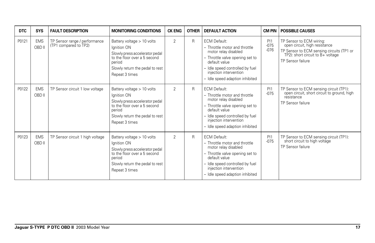| DTC   | <b>SYS</b>           | <b>FAULT DESCRIPTION</b>                               | <b>MONITORING CONDITIONS</b>                                                                                                                                                 | <b>CK ENG</b> | <b>OTHER</b> | <b>DEFAULT ACTION</b>                                                                                                                                                                                                            |                         | <b>CM PIN   POSSIBLE CAUSES</b>                                                                                                                                  |
|-------|----------------------|--------------------------------------------------------|------------------------------------------------------------------------------------------------------------------------------------------------------------------------------|---------------|--------------|----------------------------------------------------------------------------------------------------------------------------------------------------------------------------------------------------------------------------------|-------------------------|------------------------------------------------------------------------------------------------------------------------------------------------------------------|
| P0121 | <b>EMS</b><br>OBD II | TP Sensor range / performance<br>(TP1 compared to TP2) | Battery voltage > 10 volts<br>Ignition ON<br>Slowly press accelerator pedal<br>to the floor over a 5 second<br>period<br>Slowly return the pedal to rest<br>Repeat 3 times   | 2             | R            | <b>ECM Default:</b><br>- Throttle motor and throttle<br>motor relay disabled<br>- Throttle valve opening set to<br>default value<br>- Idle speed controlled by fuel<br>injection intervention<br>- Idle speed adaption inhibited | PI1<br>$-075$<br>$-076$ | TP Sensor to ECM wiring:<br>open circuit, high resistance<br>TP Sensor to ECM sensing circuits (TP1 or<br>TP2): short circuit to B+ voltage<br>TP Sensor failure |
| P0122 | <b>EMS</b><br>OBD II | TP Sensor circuit 1 low voltage                        | Battery voltage $> 10$ volts<br>Ignition ON<br>Slowly press accelerator pedal<br>to the floor over a 5 second<br>period<br>Slowly return the pedal to rest<br>Repeat 3 times | 2             | $\mathsf{R}$ | <b>ECM Default:</b><br>- Throttle motor and throttle<br>motor relay disabled<br>- Throttle valve opening set to<br>default value<br>- Idle speed controlled by fuel<br>injection intervention<br>- Idle speed adaption inhibited | PI1<br>$-075$           | TP Sensor to ECM sensing circuit (TP1):<br>open circuit, short circuit to ground, high<br>resistance<br>TP Sensor failure                                        |
| P0123 | <b>EMS</b><br>OBD II | TP Sensor circuit 1 high voltage                       | Battery voltage > 10 volts<br>Ignition ON<br>Slowly press accelerator pedal<br>to the floor over a 5 second<br>period<br>Slowly return the pedal to rest<br>Repeat 3 times   | 2             | R            | <b>ECM Default:</b><br>- Throttle motor and throttle<br>motor relay disabled<br>- Throttle valve opening set to<br>default value<br>- Idle speed controlled by fuel<br>injection intervention<br>- Idle speed adaption inhibited | PI1<br>$-075$           | TP Sensor to ECM sensing circuit (TP1):<br>short circuit to high voltage<br>TP Sensor failure                                                                    |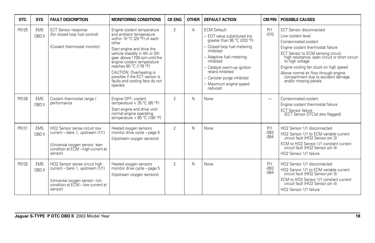| <b>DTC</b> | <b>SYS</b>           | <b>FAULT DESCRIPTION</b>                                                                                                                            | <b>MONITORING CONDITIONS</b>                                                                                                                                                                                                                                                                                                                                     | <b>CK ENG</b>  | <b>OTHER</b> | <b>DEFAULT ACTION</b>                                                                                                                                                                                                                                                                        | <b>CM PIN</b>            | <b>POSSIBLE CAUSES</b>                                                                                                                                                                                                                                                                                                                                                       |
|------------|----------------------|-----------------------------------------------------------------------------------------------------------------------------------------------------|------------------------------------------------------------------------------------------------------------------------------------------------------------------------------------------------------------------------------------------------------------------------------------------------------------------------------------------------------------------|----------------|--------------|----------------------------------------------------------------------------------------------------------------------------------------------------------------------------------------------------------------------------------------------------------------------------------------------|--------------------------|------------------------------------------------------------------------------------------------------------------------------------------------------------------------------------------------------------------------------------------------------------------------------------------------------------------------------------------------------------------------------|
| P0125      | <b>EMS</b><br>OBD II | <b>ECT Sensor response</b><br>(for closed loop fuel control)<br>(Coolant thermostat monitor)                                                        | Engine coolant temperature<br>and ambient temperature<br>within 10 °C (20 °F) of each<br>other<br>Start engine and drive the<br>vehicle steadily in 4th or 5th<br>gear above 1700 rpm until the<br>engine coolant temperature<br>reaches 80 °C (176 °F)<br>CAUTION: Overheating is<br>possible if the ECT sensor is<br>faulty and cooling fans do not<br>operate | $\overline{2}$ | A            | <b>ECM Default:</b><br>- EOT value substituted (no<br>qreater than 95 °C (203 °F)<br>- Closed loop fuel metering<br>inhibited<br>- Adaptive fuel metering<br>inhibited<br>- Catalyst warm-up ignition<br>retard inhibited<br>- Canister purge inhibited<br>- Maximum engine speed<br>reduced | PI1<br>$-070$            | <b>ECT Sensor disconnected</b><br>Low coolant level<br>Contaminated coolant<br>Engine coolant thermostat failure<br>ECT Sensor to ECM sensing circuit:<br>high resistance, open circuit or short circuit<br>to high voltage<br>Engine cooling fan stuck on high speed<br>Above normal air flow through engine<br>compartment due to accident damage<br>and/or missing panels |
| P0128      | <b>EMS</b><br>OBD II | Coolant thermostat range /<br>performance                                                                                                           | Engine OFF; coolant<br>temperature $<$ 35 °C (95 °F)<br>Start engine and drive until<br>normal engine operating<br>temperature > $85^{\circ}$ C (180 °F)                                                                                                                                                                                                         | $\overline{2}$ | N            | None                                                                                                                                                                                                                                                                                         | $\overline{\phantom{0}}$ | Contaminated coolant<br>Engine coolant thermostat failure<br><b>ECT Sensor failure</b><br>(ECT Sensor DTC(s) also flagged)                                                                                                                                                                                                                                                   |
| P0131      | <b>EMS</b><br>OBD II | HO2 Sensor sense circuit low<br>current - bank 1, upstream (1/1)<br>(Universal oxygen sensor: lean<br>condition at ECM - high current at<br>sensor) | Heated oxygen sensors<br>monitor drive cycle - page 5<br>(Upstream oxygen sensors)                                                                                                                                                                                                                                                                               | $\overline{2}$ | N            | None                                                                                                                                                                                                                                                                                         | PI1<br>$-083$<br>$-084$  | HO <sub>2</sub> Sensor 1/1 disconnected<br>HO2 Sensor 1/1 to ECM variable current<br>circuit fault (HO2 Sensor pin 3)<br>ECM to HO2 Sensor 1/1 constant current<br>circuit fault (HO2 Sensor pin 4)<br>HO2 Sensor 1/1 failure                                                                                                                                                |
| P0132      | <b>EMS</b><br>OBD II | HO2 Sensor sense circuit high<br>current – bank 1, upstream (1/1)<br>(Universal oxygen sensor: rich<br>condition at ECM - low current at<br>sensor) | Heated oxygen sensors<br>monitor drive cycle - page 5<br>(Upstream oxygen sensors)                                                                                                                                                                                                                                                                               | $\overline{2}$ | N            | None                                                                                                                                                                                                                                                                                         | PI1<br>$-083$<br>$-084$  | HO2 Sensor 1/1 disconnected<br>HO2 Sensor 1/1 to ECM variable current<br>circuit fault (HO2 Sensor pin 3)<br>ECM to HO2 Sensor 1/1 constant current<br>circuit fault (HO2 Sensor pin 4)<br>HO2 Sensor 1/1 failure                                                                                                                                                            |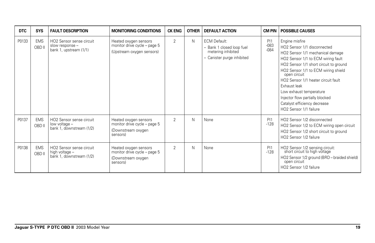| <b>DTC</b> | <b>SYS</b>           | <b>FAULT DESCRIPTION</b>                                                          | <b>MONITORING CONDITIONS</b>                                                            | <b>CK ENG</b>  | <b>OTHER</b> | <b>DEFAULT ACTION</b>                                                                                |                         | <b>CM PIN   POSSIBLE CAUSES</b>                                                                                                                                                                                                                                                                                                                                                                         |
|------------|----------------------|-----------------------------------------------------------------------------------|-----------------------------------------------------------------------------------------|----------------|--------------|------------------------------------------------------------------------------------------------------|-------------------------|---------------------------------------------------------------------------------------------------------------------------------------------------------------------------------------------------------------------------------------------------------------------------------------------------------------------------------------------------------------------------------------------------------|
| P0133      | <b>EMS</b><br>OBD II | HO2 Sensor sense circuit<br>slow response -<br>bank 1, upstream (1/1)             | Heated oxygen sensors<br>monitor drive cycle - page 5<br>(Upstream oxygen sensors)      | $\overline{2}$ | N            | <b>ECM Default:</b><br>- Bank 1 closed loop fuel<br>metering inhibited<br>- Canister purge inhibited | PI1<br>$-083$<br>$-084$ | Engine misfire<br>HO2 Sensor 1/1 disconnected<br>HO2 Sensor 1/1 mechanical damage<br>HO2 Sensor 1/1 to ECM wiring fault<br>HO2 Sensor 1/1 short circuit to ground<br>HO2 Sensor 1/1 to ECM wiring shield<br>open circuit<br>HO2 Sensor 1/1 heater circuit fault<br>Exhaust leak<br>Low exhaust temperature<br>Injector flow partially blocked<br>Catalyst efficiency decrease<br>HO2 Sensor 1/1 failure |
| P0137      | <b>EMS</b><br>OBD II | HO <sub>2</sub> Sensor sense circuit<br>low voltage -<br>bank 1, downstream (1/2) | Heated oxygen sensors<br>monitor drive cycle - page 5<br>(Downstream oxygen<br>sensors) | $\overline{2}$ | N            | None                                                                                                 | PI1<br>$-128$           | HO2 Sensor 1/2 disconnected<br>HO2 Sensor 1/2 to ECM wiring open circuit<br>HO2 Sensor 1/2 short circuit to ground<br>HO2 Sensor 1/2 failure                                                                                                                                                                                                                                                            |
| P0138      | <b>EMS</b><br>OBD II | HO2 Sensor sense circuit<br>high voltage -<br>bank 1, downstream (1/2)            | Heated oxygen sensors<br>monitor drive cycle - page 5<br>(Downstream oxygen<br>sensors) | $\overline{2}$ | N            | None                                                                                                 | PI1<br>$-128$           | HO2 Sensor 1/2 sensing circuit:<br>short circuit to high voltage<br>HO2 Sensor 1/2 ground (BRD - braided shield)<br>open circuit<br>HO2 Sensor 1/2 failure                                                                                                                                                                                                                                              |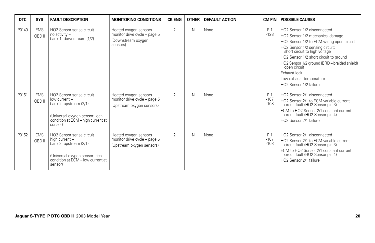| <b>DTC</b> | <b>SYS</b>           | <b>FAULT DESCRIPTION</b>                                                                                                                                           | <b>MONITORING CONDITIONS</b>                                                            | <b>CK ENG</b>  | <b>OTHER</b> | <b>DEFAULT ACTION</b> | CM PIN                  | <b>POSSIBLE CAUSES</b>                                                                                                                                                                                                                                                                                                                                          |
|------------|----------------------|--------------------------------------------------------------------------------------------------------------------------------------------------------------------|-----------------------------------------------------------------------------------------|----------------|--------------|-----------------------|-------------------------|-----------------------------------------------------------------------------------------------------------------------------------------------------------------------------------------------------------------------------------------------------------------------------------------------------------------------------------------------------------------|
| P0140      | <b>EMS</b><br>OBD II | HO2 Sensor sense circuit<br>no activity -<br>bank 1, downstream (1/2)                                                                                              | Heated oxygen sensors<br>monitor drive cycle - page 5<br>(Downstream oxygen<br>sensors) | $\overline{2}$ | N            | None                  | PI1<br>$-128$           | HO2 Sensor 1/2 disconnected<br>HO2 Sensor 1/2 mechanical damage<br>HO2 Sensor 1/2 to ECM wiring open circuit<br>HO2 Sensor 1/2 sensing circuit:<br>short circuit to high voltage<br>HO2 Sensor 1/2 short circuit to ground<br>HO2 Sensor 1/2 ground (BRD - braided shield)<br>open circuit<br>Exhaust leak<br>Low exhaust temperature<br>HO2 Sensor 1/2 failure |
| P0151      | <b>EMS</b><br>OBD II | HO <sub>2</sub> Sensor sense circuit<br>low current -<br>bank 2, upstream (2/1)<br>(Universal oxygen sensor: lean<br>condition at ECM - high current at<br>sensor) | Heated oxygen sensors<br>monitor drive cycle - page 5<br>(Upstream oxygen sensors)      | $\overline{2}$ | N            | None                  | PI1<br>$-107$<br>$-108$ | HO2 Sensor 2/1 disconnected<br>HO2 Sensor 2/1 to ECM variable current<br>circuit fault (HO2 Sensor pin 3)<br>ECM to HO2 Sensor 2/1 constant current<br>circuit fault (HO2 Sensor pin 4)<br>HO2 Sensor 2/1 failure                                                                                                                                               |
| P0152      | <b>EMS</b><br>OBD II | HO <sub>2</sub> Sensor sense circuit<br>high current -<br>bank 2, upstream (2/1)<br>(Universal oxygen sensor: rich<br>condition at ECM - low current at<br>sensor) | Heated oxygen sensors<br>monitor drive cycle - page 5<br>(Upstream oxygen sensors)      | $\overline{2}$ | N            | None                  | PI1<br>$-107$<br>$-108$ | HO2 Sensor 2/1 disconnected<br>HO2 Sensor 2/1 to ECM variable current<br>circuit fault (HO2 Sensor pin 3)<br>ECM to HO2 Sensor 2/1 constant current<br>circuit fault (HO2 Sensor pin 4)<br>HO2 Sensor 2/1 failure                                                                                                                                               |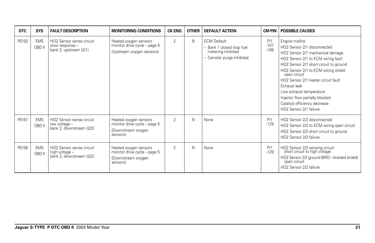| <b>DTC</b> | <b>SYS</b>           | <b>FAULT DESCRIPTION</b>                                                          | <b>MONITORING CONDITIONS</b>                                                            | <b>CK ENG</b>  | <b>OTHER</b> | <b>DEFAULT ACTION</b>                                                                                |                         | <b>CM PIN   POSSIBLE CAUSES</b>                                                                                                                                                                                                                                                                                                                                                                         |
|------------|----------------------|-----------------------------------------------------------------------------------|-----------------------------------------------------------------------------------------|----------------|--------------|------------------------------------------------------------------------------------------------------|-------------------------|---------------------------------------------------------------------------------------------------------------------------------------------------------------------------------------------------------------------------------------------------------------------------------------------------------------------------------------------------------------------------------------------------------|
| P0153      | <b>EMS</b><br>OBD II | HO2 Sensor sense circuit<br>slow response -<br>bank 2, upstream (2/1)             | Heated oxygen sensors<br>monitor drive cycle - page 5<br>(Upstream oxygen sensors)      | $\overline{2}$ | N            | <b>ECM Default:</b><br>- Bank 1 closed loop fuel<br>metering inhibited<br>- Canister purge inhibited | PI1<br>$-107$<br>$-108$ | Engine misfire<br>HO2 Sensor 2/1 disconnected<br>HO2 Sensor 2/1 mechanical damage<br>HO2 Sensor 2/1 to ECM wiring fault<br>HO2 Sensor 2/1 short circuit to ground<br>HO2 Sensor 2/1 to ECM wiring shield<br>open circuit<br>HO2 Sensor 2/1 heater circuit fault<br>Exhaust leak<br>Low exhaust temperature<br>Injector flow partially blocked<br>Catalyst efficiency decrease<br>HO2 Sensor 2/1 failure |
| P0157      | <b>EMS</b><br>OBD II | HO <sub>2</sub> Sensor sense circuit<br>low voltage -<br>bank 2, downstream (2/2) | Heated oxygen sensors<br>monitor drive cycle - page 5<br>(Downstream oxygen<br>sensors) | $\overline{2}$ | N            | None                                                                                                 | PI1<br>$-129$           | HO2 Sensor 2/2 disconnected<br>HO2 Sensor 2/2 to ECM wiring open circuit<br>HO2 Sensor 2/2 short circuit to ground<br>HO2 Sensor 2/2 failure                                                                                                                                                                                                                                                            |
| P0158      | <b>EMS</b><br>OBD II | HO2 Sensor sense circuit<br>high voltage -<br>bank 2, downstream (2/2)            | Heated oxygen sensors<br>monitor drive cycle - page 5<br>(Downstream oxygen<br>sensors) | $\overline{2}$ | N            | None                                                                                                 | PI1<br>$-129$           | HO2 Sensor 2/2 sensing circuit:<br>short circuit to high voltage<br>HO2 Sensor 2/2 ground (BRD - braided shield)<br>open circuit<br>HO2 Sensor 2/2 failure                                                                                                                                                                                                                                              |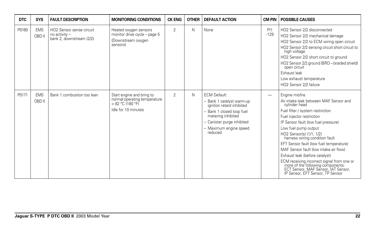| <b>DTC</b> | <b>SYS</b>           | <b>FAULT DESCRIPTION</b>                                              | <b>MONITORING CONDITIONS</b>                                                                         | <b>CK ENG</b>  | <b>OTHER</b> | <b>DEFAULT ACTION</b>                                                                                                                                                                               | CM PIN        | <b>POSSIBLE CAUSES</b>                                                                                                                                                                                                                                                                                                                                                                                                                                                                                                                                       |
|------------|----------------------|-----------------------------------------------------------------------|------------------------------------------------------------------------------------------------------|----------------|--------------|-----------------------------------------------------------------------------------------------------------------------------------------------------------------------------------------------------|---------------|--------------------------------------------------------------------------------------------------------------------------------------------------------------------------------------------------------------------------------------------------------------------------------------------------------------------------------------------------------------------------------------------------------------------------------------------------------------------------------------------------------------------------------------------------------------|
| P0160      | <b>EMS</b><br>OBD II | HO2 Sensor sense circuit<br>no activity -<br>bank 2, downstream (2/2) | Heated oxygen sensors<br>monitor drive cycle - page 5<br>(Downstream oxygen<br>sensors)              | $\overline{2}$ | N            | None                                                                                                                                                                                                | PI1<br>$-129$ | HO2 Sensor 2/2 disconnected<br>HO2 Sensor 2/2 mechanical damage<br>HO2 Sensor 2/2 to ECM wiring open circuit<br>HO2 Sensor 2/2 sensing circuit short circuit to<br>high voltage<br>HO2 Sensor 2/2 short circuit to ground<br>HO2 Sensor 2/2 ground (BRD - braided shield)<br>open circuit<br>Exhaust leak<br>Low exhaust temperature<br>HO2 Sensor 2/2 failure                                                                                                                                                                                               |
| P0171      | <b>EMS</b><br>OBD II | Bank 1 combustion too lean                                            | Start engine and bring to<br>normal operating temperature<br>> 82 °C (180 °F)<br>Idle for 10 minutes | $\overline{2}$ | N            | <b>ECM Default:</b><br>- Bank 1 catalyst warm-up<br>ignition retard inhibited<br>- Bank 1 closed loop fuel<br>metering inhibited<br>- Canister purge inhibited<br>- Maximum engine speed<br>reduced | -             | Engine misfire<br>Air intake leak between MAF Sensor and<br>cylinder head<br>Fuel filter / system restriction<br>Fuel injector restriction<br>IP Sensor fault (low fuel pressure)<br>Low fuel pump output<br>HO2 Sensor(s) (1/1, 1/2)<br>harness wiring condition fault<br>EFT Sensor fault (low fuel temperature)<br>MAF Sensor fault (low intake air flow)<br>Exhaust leak (before catalyst)<br>ECM receiving incorrect signal from one or<br>more of the following components:<br>ECT Sensor, MAF Sensor, IAT Sensor,<br>IP Sensor, EFT Sensor, TP Sensor |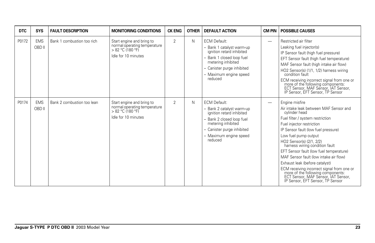| <b>DTC</b> | <b>SYS</b>           | <b>FAULT DESCRIPTION</b>   | <b>MONITORING CONDITIONS</b>                                                                           | <b>CK ENG</b>  | <b>OTHER</b> | <b>DEFAULT ACTION</b>                                                                                                                                                                               | CM PIN                   | <b>POSSIBLE CAUSES</b>                                                                                                                                                                                                                                                                                                                                                                                                                                                                                                                                    |
|------------|----------------------|----------------------------|--------------------------------------------------------------------------------------------------------|----------------|--------------|-----------------------------------------------------------------------------------------------------------------------------------------------------------------------------------------------------|--------------------------|-----------------------------------------------------------------------------------------------------------------------------------------------------------------------------------------------------------------------------------------------------------------------------------------------------------------------------------------------------------------------------------------------------------------------------------------------------------------------------------------------------------------------------------------------------------|
| P0172      | <b>EMS</b><br>OBD II | Bank 1 combustion too rich | Start engine and bring to<br>normal operating temperature<br>$> 82 °C$ (180 °F)<br>Idle for 10 minutes | $\overline{2}$ | N            | <b>ECM Default:</b><br>- Bank 1 catalyst warm-up<br>ignition retard inhibited<br>Bank 1 closed loop fuel<br>metering inhibited<br>- Canister purge inhibited<br>- Maximum engine speed<br>reduced   | -                        | Restricted air filter<br>Leaking fuel injector(s)<br>IP Sensor fault (high fuel pressure)<br>EFT Sensor fault (high fuel temperature)<br>MAF Sensor fault (high intake air flow)<br>HO2 Sensor(s) (1/1, 1/2) harness wiring<br>condition fault<br>ECM receiving incorrect signal from one or<br>more of the following components:<br>ECT Sensor, MAF Sensor, IAT Sensor,<br>IP Sensor, EFT Sensor, TP Sensor                                                                                                                                              |
| P0174      | <b>EMS</b><br>OBD II | Bank 2 combustion too lean | Start engine and bring to<br>normal operating temperature<br>> 82 °C (180 °F)<br>Idle for 10 minutes   | $\overline{2}$ | N            | <b>ECM Default:</b><br>- Bank 2 catalyst warm-up<br>ignition retard inhibited<br>- Bank 2 closed loop fuel<br>metering inhibited<br>- Canister purge inhibited<br>- Maximum engine speed<br>reduced | $\overline{\phantom{m}}$ | Engine misfire<br>Air intake leak between MAF Sensor and<br>cylinder head<br>Fuel filter / system restriction<br>Fuel injector restriction<br>IP Sensor fault (low fuel pressure)<br>Low fuel pump output<br>HO2 Sensor(s) (2/1, 2/2)<br>harness wiring condition fault<br>EFT Sensor fault (low fuel temperature)<br>MAF Sensor fault (low intake air flow)<br>Exhaust leak (before catalyst)<br>ECM receiving incorrect signal from one or<br>more of the following components:<br>ECT Sensor, MAF Sensor, IAT Sensor, IP Sensor, EFT Sensor, TP Sensor |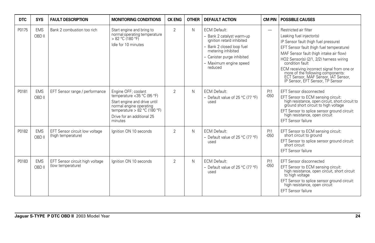| <b>DTC</b> | <b>SYS</b>           | <b>FAULT DESCRIPTION</b>                             | <b>MONITORING CONDITIONS</b>                                                                                                                                                          | <b>CK ENG</b>  | <b>OTHER</b> | <b>DEFAULT ACTION</b>                                                                                                                                                                               | <b>CM PIN</b>            | <b>POSSIBLE CAUSES</b>                                                                                                                                                                                                                                                                                                                                                                                       |
|------------|----------------------|------------------------------------------------------|---------------------------------------------------------------------------------------------------------------------------------------------------------------------------------------|----------------|--------------|-----------------------------------------------------------------------------------------------------------------------------------------------------------------------------------------------------|--------------------------|--------------------------------------------------------------------------------------------------------------------------------------------------------------------------------------------------------------------------------------------------------------------------------------------------------------------------------------------------------------------------------------------------------------|
| P0175      | <b>EMS</b><br>OBD II | Bank 2 combustion too rich                           | Start engine and bring to<br>normal operating temperature<br>> 82 °C (180 °F)<br>Idle for 10 minutes                                                                                  | $\mathfrak{D}$ | N            | <b>ECM Default:</b><br>- Bank 2 catalyst warm-up<br>ignition retard inhibited<br>- Bank 2 closed loop fuel<br>metering inhibited<br>- Canister purge inhibited<br>- Maximum engine speed<br>reduced | $\overline{\phantom{0}}$ | Restricted air filter<br>Leaking fuel injector(s)<br>IP Sensor fault (high fuel pressure)<br>EFT Sensor fault (high fuel temperature)<br>MAF Sensor fault (high intake air flow)<br>HO2 Sensor(s) (2/1, 2/2) harness wiring<br>condition fault<br>ECM receiving incorrect signal from one or<br>Finance of the following components:<br>ECT Sensor, MAF Sensor, IAT Sensor, IP Sensor, EFT Sensor, TP Sensor |
| P0181      | <b>EMS</b><br>OBD II | EFT Sensor range / performance                       | Engine OFF; coolant<br>temperature <35 °C (95 °F)<br>Start engine and drive until<br>normal engine operating<br>temperature > 82 °C (180 °F)<br>Drive for an additional 25<br>minutes | $\mathfrak{D}$ | N            | <b>ECM Default:</b><br>- Default value of 25 °C (77 °F)<br>used                                                                                                                                     | PI1<br>$-050$            | EFT Sensor disconnected<br>EFT Sensor to ECM sensing circuit:<br>high resistance, open circuit, short circuit to<br>ground short circuit to high voltage<br>EFT Sensor to splice sensor ground circuit:<br>high resistance, open circuit<br><b>EFT Sensor failure</b>                                                                                                                                        |
| P0182      | <b>EMS</b><br>OBD II | EFT Sensor circuit low voltage<br>(high temperature) | Ignition ON 10 seconds                                                                                                                                                                | $\overline{2}$ | N            | <b>ECM Default:</b><br>- Default value of 25 °C (77 °F)<br>used                                                                                                                                     | PI1<br>$-050$            | EFT Sensor to ECM sensing circuit:<br>short circuit to ground<br>EFT Sensor to splice sensor ground circuit:<br>short circuit<br><b>EFT Sensor failure</b>                                                                                                                                                                                                                                                   |
| P0183      | <b>EMS</b><br>OBD II | EFT Sensor circuit high voltage<br>(low temperature) | lanition ON 10 seconds                                                                                                                                                                | $\overline{2}$ | N            | <b>ECM Default:</b><br>- Default value of 25 °C (77 °F)<br>used                                                                                                                                     | PI1<br>$-050$            | EFT Sensor disconnected<br>EFT Sensor to ECM sensing circuit:<br>high resistance, open circuit, short circuit<br>to high voltage<br>EFT Sensor to splice sensor ground circuit:<br>high resistance, open circuit<br><b>EFT Sensor failure</b>                                                                                                                                                                |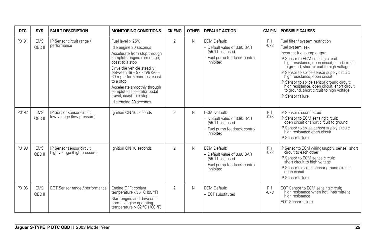| <b>DTC</b> | <b>SYS</b>           | <b>FAULT DESCRIPTION</b>                                 | <b>MONITORING CONDITIONS</b>                                                                                                                                                                                                                                                                                                                              | <b>CK ENG</b>  | <b>OTHER</b> | <b>DEFAULT ACTION</b>                                                                                                 | <b>CM PIN</b> | <b>POSSIBLE CAUSES</b>                                                                                                                                                                                                                                                                                                                                                                                                                                            |
|------------|----------------------|----------------------------------------------------------|-----------------------------------------------------------------------------------------------------------------------------------------------------------------------------------------------------------------------------------------------------------------------------------------------------------------------------------------------------------|----------------|--------------|-----------------------------------------------------------------------------------------------------------------------|---------------|-------------------------------------------------------------------------------------------------------------------------------------------------------------------------------------------------------------------------------------------------------------------------------------------------------------------------------------------------------------------------------------------------------------------------------------------------------------------|
| P0191      | <b>EMS</b><br>OBD II | IP Sensor circuit range /<br>performance                 | Fuel level $> 25\%$<br>Idle engine 30 seconds<br>Accelerate from stop through<br>complete engine rpm range;<br>coast to a stop<br>Drive the vehicle steadily<br>between 48 - 97 km/h (30 -<br>60 mph) for 5 minutes; coast<br>to a stop<br>Accelerate smoothly through<br>complete accelerator pedal<br>travel: coast to a stop<br>Idle engine 30 seconds | $\overline{2}$ | N            | <b>ECM Default:</b><br>- Default value of 3.80 BAR<br>$(55.11$ psi) used<br>- Fuel pump feedback control<br>inhibited | PI1<br>$-073$ | Fuel filter / system restriction<br>Fuel system leak<br>Incorrect fuel pump output<br>IP Sensor to ECM sensing circuit:<br>high resistance, open circuit, short circuit<br>to ground, short circuit to high voltage<br>IP Sensor to splice sensor supply circuit:<br>high resistance, open circuit<br>IP Sensor to splice sensor ground circuit:<br>high resistance, open circuit, short circuit<br>to ground, short circuit to high voltage<br>IP Sensor failure |
| P0192      | <b>EMS</b><br>OBD II | IP Sensor sensor circuit<br>low voltage (low pressure)   | lanition ON 10 seconds                                                                                                                                                                                                                                                                                                                                    | $\overline{2}$ | N            | <b>ECM Default:</b><br>- Default value of 3.80 BAR<br>$(55.11$ psi) used<br>- Fuel pump feedback control<br>inhibited | PI1<br>$-073$ | IP Sensor disconnected<br>IP Sensor to ECM sensing circuit:<br>open circuit or short circuit to ground<br>IP Sensor to splice sensor supply circuit:<br>high resistance open circuit<br>IP Sensor failure                                                                                                                                                                                                                                                         |
| P0193      | <b>EMS</b><br>OBD II | IP Sensor sensor circuit<br>high voltage (high pressure) | lanition ON 10 seconds                                                                                                                                                                                                                                                                                                                                    | $\overline{2}$ | N            | FCM Default:<br>- Default value of 3.80 BAR<br>(55.11 psi) used<br>- Fuel pump feedback control<br>inhibited          | PI1<br>$-073$ | IP Sensor to ECM wiring (supply, sense): short<br>circuit to each other<br>IP Sensor to ECM sense circuit:<br>short circuit to high voltage<br>IP Sensor to splice sensor ground circuit:<br>open circuit<br>IP Sensor failure                                                                                                                                                                                                                                    |
| P0196      | <b>EMS</b><br>OBD II | EOT Sensor range / performance                           | Engine OFF; coolant<br>temperature <35 °C (95 °F)<br>Start engine and drive until<br>normal engine operating<br>temperature > $82 °C$ (180 °F)                                                                                                                                                                                                            | $\overline{2}$ | N            | <b>ECM Default:</b><br>- ECT substituted                                                                              | PI1<br>$-078$ | EOT Sensor to ECM sensing circuit;<br>high resistance when hot, intermittent<br>high resistance<br><b>EOT Sensor failure</b>                                                                                                                                                                                                                                                                                                                                      |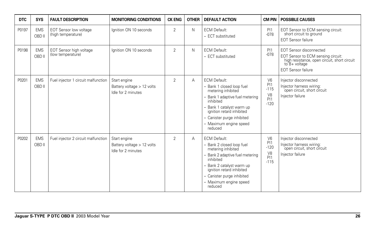| <b>DTC</b> | <b>SYS</b>           | <b>FAULT DESCRIPTION</b>                            | <b>MONITORING CONDITIONS</b>                                     | <b>CK ENG</b>  | <b>OTHER</b> | <b>DEFAULT ACTION</b>                                                                                                                                                                                                                             | CM PIN                                                                        | <b>POSSIBLE CAUSES</b>                                                                                                                                                 |
|------------|----------------------|-----------------------------------------------------|------------------------------------------------------------------|----------------|--------------|---------------------------------------------------------------------------------------------------------------------------------------------------------------------------------------------------------------------------------------------------|-------------------------------------------------------------------------------|------------------------------------------------------------------------------------------------------------------------------------------------------------------------|
| P0197      | <b>EMS</b><br>OBD II | <b>EOT Sensor low voltage</b><br>(high temperature) | Ignition ON 10 seconds                                           | $\overline{2}$ | N            | <b>ECM Default:</b><br>- ECT substituted                                                                                                                                                                                                          | P <sub>11</sub><br>$-078$                                                     | EOT Sensor to ECM sensing circuit:<br>short circuit to ground<br><b>EOT Sensor failure</b>                                                                             |
| P0198      | <b>EMS</b><br>OBD II | EOT Sensor high voltage<br>(low temperature)        | lanition ON 10 seconds                                           | $\overline{2}$ | N            | <b>ECM Default:</b><br>- ECT substituted                                                                                                                                                                                                          | <b>PI1</b><br>$-078$                                                          | <b>EOT Sensor disconnected</b><br>EOT Sensor to ECM sensing circuit:<br>high resistance, open circuit, short circuit<br>$to$ $B+$ voltage<br><b>EOT Sensor failure</b> |
| P0201      | <b>EMS</b><br>OBD II | Fuel injector 1 circuit malfunction                 | Start engine<br>Battery voltage > 12 volts<br>Idle for 2 minutes | $\overline{2}$ | Α            | <b>ECM Default:</b><br>- Bank 1 closed loop fuel<br>metering inhibited<br>- Bank 1 adaptive fuel metering<br>inhibited<br>Bank 1 catalyst warm up<br>ignition retard inhibited<br>- Canister purge inhibited<br>- Maximum engine speed<br>reduced | V <sub>6</sub><br>P <sub>1</sub><br>$-115$<br>V8<br>P <sub>11</sub><br>$-120$ | Injector disconnected<br>Injector harness wiring:<br>open circuit, short circuit<br>Injector failure                                                                   |
| P0202      | <b>EMS</b><br>OBD II | Fuel injector 2 circuit malfunction                 | Start engine<br>Battery voltage > 12 volts<br>Idle for 2 minutes | 2              | A            | <b>ECM Default:</b><br>- Bank 2 closed loop fuel<br>metering inhibited<br>Bank 2 adaptive fuel metering<br>inhibited<br>Bank 2 catalyst warm up<br>ignition retard inhibited<br>- Canister purge inhibited<br>- Maximum engine speed<br>reduced   | V <sub>6</sub><br>PI1<br>$-120$<br>V <sub>8</sub><br>PI1<br>$-115$            | Injector disconnected<br>Injector harness wiring:<br>open circuit, short circuit<br>Injector failure                                                                   |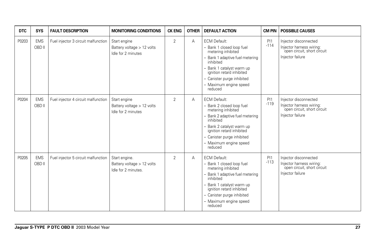| <b>DTC</b> | <b>SYS</b>           | <b>FAULT DESCRIPTION</b>            | <b>MONITORING CONDITIONS</b>                                       | <b>CK ENG</b>  | <b>OTHER</b> | <b>DEFAULT ACTION</b>                                                                                                                                                                                                                           | <b>CM PIN</b> | <b>POSSIBLE CAUSES</b>                                                                               |
|------------|----------------------|-------------------------------------|--------------------------------------------------------------------|----------------|--------------|-------------------------------------------------------------------------------------------------------------------------------------------------------------------------------------------------------------------------------------------------|---------------|------------------------------------------------------------------------------------------------------|
| P0203      | <b>EMS</b><br>OBD II | Fuel injector 3 circuit malfunction | Start engine<br>Battery voltage > 12 volts<br>Idle for 2 minutes   | $\overline{2}$ | Α            | <b>ECM Default:</b><br>- Bank 1 closed loop fuel<br>metering inhibited<br>Bank 1 adaptive fuel metering<br>inhibited<br>Bank 1 catalyst warm up<br>ignition retard inhibited<br>- Canister purge inhibited<br>- Maximum engine speed<br>reduced | P11<br>$-114$ | Injector disconnected<br>Injector harness wiring:<br>open circuit, short circuit<br>Injector failure |
| P0204      | <b>EMS</b><br>OBD II | Fuel injector 4 circuit malfunction | Start engine<br>Battery voltage > 12 volts<br>Idle for 2 minutes   | $\overline{2}$ | A            | <b>ECM Default:</b><br>- Bank 2 closed loop fuel<br>metering inhibited<br>Bank 2 adaptive fuel metering<br>inhibited<br>Bank 2 catalyst warm up<br>ignition retard inhibited<br>- Canister purge inhibited<br>- Maximum engine speed<br>reduced | P11<br>$-119$ | Injector disconnected<br>Injector harness wiring:<br>open circuit, short circuit<br>Injector failure |
| P0205      | <b>EMS</b><br>OBD II | Fuel injector 5 circuit malfunction | Start engine.<br>Battery voltage > 12 volts<br>Idle for 2 minutes. | $\overline{2}$ | Α            | <b>ECM Default:</b><br>- Bank 1 closed loop fuel<br>metering inhibited<br>Bank 1 adaptive fuel metering<br>inhibited<br>Bank 1 catalyst warm up<br>ignition retard inhibited<br>- Canister purge inhibited<br>- Maximum engine speed<br>reduced | PI1<br>$-113$ | Injector disconnected<br>Injector harness wiring:<br>open circuit, short circuit<br>Injector failure |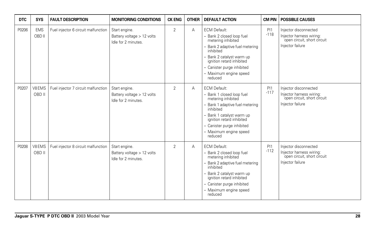| <b>DTC</b> | <b>SYS</b>           | <b>FAULT DESCRIPTION</b>            | <b>MONITORING CONDITIONS</b>                                       | <b>CK ENG</b>  | <b>OTHER</b> | <b>DEFAULT ACTION</b>                                                                                                                                                                                                                               | <b>CM PIN</b> | <b>POSSIBLE CAUSES</b>                                                                               |
|------------|----------------------|-------------------------------------|--------------------------------------------------------------------|----------------|--------------|-----------------------------------------------------------------------------------------------------------------------------------------------------------------------------------------------------------------------------------------------------|---------------|------------------------------------------------------------------------------------------------------|
| P0206      | <b>EMS</b><br>OBD II | Fuel injector 6 circuit malfunction | Start engine.<br>Battery voltage > 12 volts<br>Idle for 2 minutes. | $\overline{2}$ | A            | <b>ECM Default:</b><br>- Bank 2 closed loop fuel<br>metering inhibited<br>- Bank 2 adaptive fuel metering<br>inhibited<br>- Bank 2 catalyst warm up<br>ignition retard inhibited<br>- Canister purge inhibited<br>- Maximum engine speed<br>reduced | PI1<br>$-118$ | Injector disconnected<br>Injector harness wiring:<br>open circuit, short circuit<br>Injector failure |
| P0207      | V8EMS<br>OBD II      | Fuel injector 7 circuit malfunction | Start engine.<br>Battery voltage > 12 volts<br>Idle for 2 minutes. | $\overline{2}$ | A            | <b>ECM Default:</b><br>- Bank 1 closed loop fuel<br>metering inhibited<br>- Bank 1 adaptive fuel metering<br>inhibited<br>- Bank 1 catalyst warm up<br>ignition retard inhibited<br>- Canister purge inhibited<br>- Maximum engine speed<br>reduced | PI1<br>$-117$ | Injector disconnected<br>Injector harness wiring:<br>open circuit, short circuit<br>Injector failure |
| P0208      | V8EMS<br>OBD II      | Fuel injector 8 circuit malfunction | Start engine.<br>Battery voltage > 12 volts<br>Idle for 2 minutes. | $\overline{2}$ | Α            | <b>ECM Default:</b><br>- Bank 2 closed loop fuel<br>metering inhibited<br>- Bank 2 adaptive fuel metering<br>inhibited<br>- Bank 2 catalyst warm up<br>ignition retard inhibited<br>- Canister purge inhibited<br>- Maximum engine speed<br>reduced | PI1<br>$-112$ | Injector disconnected<br>Injector harness wiring:<br>open circuit, short circuit<br>Injector failure |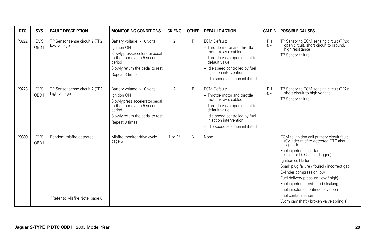| <b>DTC</b> | <b>SYS</b>           | <b>FAULT DESCRIPTION</b>                                  | <b>MONITORING CONDITIONS</b>                                                                                                                                               | <b>CK ENG</b>  | <b>OTHER</b> | <b>DEFAULT ACTION</b>                                                                                                                                                                                                            | <b>CM PIN</b>            | <b>POSSIBLE CAUSES</b>                                                                                                                                                                                                                                                                                                                                                                                                                                    |
|------------|----------------------|-----------------------------------------------------------|----------------------------------------------------------------------------------------------------------------------------------------------------------------------------|----------------|--------------|----------------------------------------------------------------------------------------------------------------------------------------------------------------------------------------------------------------------------------|--------------------------|-----------------------------------------------------------------------------------------------------------------------------------------------------------------------------------------------------------------------------------------------------------------------------------------------------------------------------------------------------------------------------------------------------------------------------------------------------------|
| P0222      | <b>EMS</b><br>OBD II | TP Sensor sense circuit 2 (TP2)<br>low voltage            | Battery voltage > 10 volts<br>Ignition ON<br>Slowly press accelerator pedal<br>to the floor over a 5 second<br>period<br>Slowly return the pedal to rest<br>Repeat 3 times | $\overline{2}$ | R            | <b>ECM Default:</b><br>- Throttle motor and throttle<br>motor relay disabled<br>- Throttle valve opening set to<br>default value<br>- Idle speed controlled by fuel<br>injection intervention<br>- Idle speed adaption inhibited | <b>P11</b><br>$-076$     | TP Sensor to ECM sensing circuit (TP2):<br>open circuit, short circuit to ground,<br>high resistance<br>TP Sensor failure                                                                                                                                                                                                                                                                                                                                 |
| P0223      | <b>EMS</b><br>OBD II | TP Sensor sense circuit 2 (TP2)<br>high voltage           | Battery voltage > 10 volts<br>Ignition ON<br>Slowly press accelerator pedal<br>to the floor over a 5 second<br>period<br>Slowly return the pedal to rest<br>Repeat 3 times | $\overline{2}$ | R            | <b>ECM Default:</b><br>- Throttle motor and throttle<br>motor relay disabled<br>- Throttle valve opening set to<br>default value<br>- Idle speed controlled by fuel<br>injection intervention<br>- Idle speed adaption inhibited | <b>P11</b><br>$-076$     | TP Sensor to ECM sensing circuit (TP2):<br>short circuit to high voltage<br>TP Sensor failure                                                                                                                                                                                                                                                                                                                                                             |
| P0300      | <b>EMS</b><br>OBD II | Random misfire detected<br>*Refer to Misfire Note, page 6 | Misfire monitor drive cycle -<br>page 6                                                                                                                                    | 1 or $2^*$     | N            | None                                                                                                                                                                                                                             | $\overline{\phantom{m}}$ | ECM to ignition coil primary circuit fault<br>(Cylinder misfire detected DTC also<br>flagged)<br>Fuel injector circuit fault(s)<br>(Injector DTCs also flagged)<br>Ignition coil failure<br>Spark plug failure / fouled / incorrect gap<br>Cylinder compression low<br>Fuel delivery pressure (low / high)<br>Fuel injector(s) restricted / leaking<br>Fuel injector(s) continuously open<br>Fuel contamination<br>Worn camshaft / broken valve spring(s) |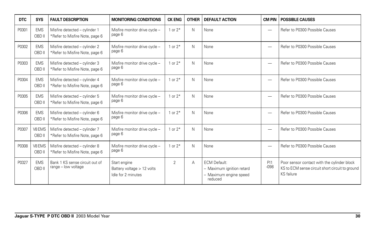| <b>DTC</b> | <b>SYS</b>           | <b>FAULT DESCRIPTION</b>                                        | <b>MONITORING CONDITIONS</b>                                     | <b>CK ENG</b>  | <b>OTHER</b> | <b>DEFAULT ACTION</b>                                                                 | <b>CM PIN</b>            | <b>POSSIBLE CAUSES</b>                                                                                       |
|------------|----------------------|-----------------------------------------------------------------|------------------------------------------------------------------|----------------|--------------|---------------------------------------------------------------------------------------|--------------------------|--------------------------------------------------------------------------------------------------------------|
| P0301      | <b>EMS</b><br>OBD II | Misfire detected - cylinder 1<br>*Refer to Misfire Note, page 6 | Misfire monitor drive cycle -<br>page 6                          | 1 or $2*$      | N            | None                                                                                  | $\overline{\phantom{0}}$ | Refer to P0300 Possible Causes                                                                               |
| P0302      | <b>EMS</b><br>OBD II | Misfire detected - cylinder 2<br>*Refer to Misfire Note, page 6 | Misfire monitor drive cycle -<br>page 6                          | 1 or $2*$      | N            | None                                                                                  | -                        | Refer to P0300 Possible Causes                                                                               |
| P0303      | <b>EMS</b><br>OBD II | Misfire detected - cylinder 3<br>*Refer to Misfire Note, page 6 | Misfire monitor drive cycle -<br>page 6                          | 1 or $2*$      | N            | None                                                                                  | —                        | Refer to P0300 Possible Causes                                                                               |
| P0304      | <b>EMS</b><br>OBD II | Misfire detected - cylinder 4<br>*Refer to Misfire Note, page 6 | Misfire monitor drive cycle -<br>page 6                          | 1 or $2*$      | N            | None                                                                                  | $\overline{\phantom{0}}$ | Refer to P0300 Possible Causes                                                                               |
| P0305      | <b>EMS</b><br>OBD II | Misfire detected - cylinder 5<br>*Refer to Misfire Note, page 6 | Misfire monitor drive cycle -<br>page 6                          | 1 or $2*$      | N            | None                                                                                  | —                        | Refer to P0300 Possible Causes                                                                               |
| P0306      | <b>EMS</b><br>OBD II | Misfire detected - cylinder 6<br>*Refer to Misfire Note, page 6 | Misfire monitor drive cycle -<br>page 6                          | 1 or $2*$      | N            | None                                                                                  | $\overline{\phantom{0}}$ | Refer to P0300 Possible Causes                                                                               |
| P0307      | V8 EMS<br>OBD II     | Misfire detected - cylinder 7<br>*Refer to Misfire Note, page 6 | Misfire monitor drive cycle -<br>page 6                          | 1 or $2*$      | N            | None                                                                                  | $\overline{\phantom{0}}$ | Refer to P0300 Possible Causes                                                                               |
| P0308      | V8 EMS<br>OBD II     | Misfire detected - cylinder 8<br>*Refer to Misfire Note, page 6 | Misfire monitor drive cycle -<br>page 6                          | 1 or $2*$      | N            | None                                                                                  | —                        | Refer to P0300 Possible Causes                                                                               |
| P0327      | <b>EMS</b><br>OBD II | Bank 1 KS sense circuit out of<br>range - low voltage           | Start engine<br>Battery voltage > 12 volts<br>Idle for 2 minutes | $\overline{2}$ | А            | <b>ECM Default:</b><br>- Maximum ignition retard<br>- Maximum engine speed<br>reduced | PI1<br>$-0.98$           | Poor sensor contact with the cylinder block<br>KS to ECM sense circuit short circuit to ground<br>KS failure |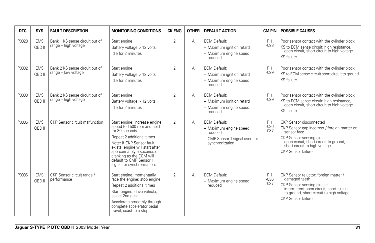| <b>DTC</b> | <b>SYS</b>           | <b>FAULT DESCRIPTION</b>                               | <b>MONITORING CONDITIONS</b>                                                                                                                                                                                                                                                                   | <b>CK ENG</b>  | <b>OTHER</b> | <b>DEFAULT ACTION</b>                                                                                         | <b>CM PIN</b>            | <b>POSSIBLE CAUSES</b>                                                                                                                                                                                                 |
|------------|----------------------|--------------------------------------------------------|------------------------------------------------------------------------------------------------------------------------------------------------------------------------------------------------------------------------------------------------------------------------------------------------|----------------|--------------|---------------------------------------------------------------------------------------------------------------|--------------------------|------------------------------------------------------------------------------------------------------------------------------------------------------------------------------------------------------------------------|
| P0328      | <b>EMS</b><br>OBD II | Bank 1 KS sense circuit out of<br>range - high voltage | Start engine<br>Battery voltage > 12 volts<br>Idle for 2 minutes                                                                                                                                                                                                                               | 2              | A            | <b>ECM Default:</b><br>- Maximum ignition retard<br>- Maximum engine speed<br>reduced                         | PI1<br>$-098$            | Poor sensor contact with the cylinder block<br>KS to ECM sense circuit: high resistance,<br>open circuit, short circuit to high voltage<br>KS failure                                                                  |
| P0332      | <b>EMS</b><br>OBD II | Bank 2 KS sense circuit out of<br>range - low voltage  | Start engine<br>Battery voltage > 12 volts<br>Idle for 2 minutes                                                                                                                                                                                                                               | $\overline{2}$ | A            | <b>ECM Default:</b><br>- Maximum ignition retard<br>- Maximum engine speed<br>reduced                         | PI1<br>$-099$            | Poor sensor contact with the cylinder block<br>KS to ECM sense circuit short circuit to ground<br>KS failure                                                                                                           |
| P0333      | <b>EMS</b><br>OBD II | Bank 2 KS sense circuit out of<br>range - high voltage | Start engine<br>Battery voltage > 12 volts<br>Idle for 2 minutes                                                                                                                                                                                                                               | 2              | Α            | <b>ECM Default:</b><br>- Maximum ignition retard<br>- Maximum engine speed<br>reduced                         | PI1<br>$-099$            | Poor sensor contact with the cylinder block<br>KS to ECM sense circuit: high resistance,<br>open circuit, short circuit to high voltage<br>KS failure                                                                  |
| P0335      | <b>EMS</b><br>OBD II | CKP Sensor circuit malfunction                         | Start engine; increase engine<br>speed to 1500 rpm and hold<br>for 30 seconds<br>Repeat 2 additional times<br>Note: If CKP Sensor fault<br>exists, engine will start after<br>approximately 5 seconds of<br>cranking as the ECM will<br>default to CMP Sensor 1<br>signal for synchronization. | $\overline{2}$ | A            | <b>ECM Default:</b><br>- Maximum engine speed<br>reduced<br>- CMP Sensor 1 signal used for<br>synchronization | PI1<br>$-036$<br>$-0.37$ | CKP Sensor disconnected<br>CKP Sensor gap incorrect / foreign matter on<br>sensor face<br>CKP Sensor sensing circuit:<br>open circuit, short circuit to ground,<br>short circuit to high voltage<br>CKP Sensor failure |
| P0336      | <b>EMS</b><br>OBD II | CKP Sensor circuit range /<br>performance              | Start engine; momentarily<br>race the engine; stop engine<br>Repeat 2 additional times<br>Start engine; drive vehicle;<br>select 2nd gear<br>Accelerate smoothly through<br>complete accelerator pedal<br>travel; coast to a stop                                                              | 2              | A            | <b>ECM Default:</b><br>- Maximum engine speed<br>reduced                                                      | PI1<br>$-036$<br>$-037$  | CKP Sensor reluctor: foreign matter /<br>damaged teeth<br>CKP Sensor sensing circuit:<br>intermittent open circuit, short circuit<br>to ground, short circuit to high voltage<br>CKP Sensor failure                    |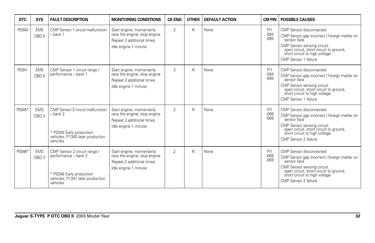| <b>DTC</b> | <b>SYS</b>           | <b>FAULT DESCRIPTION</b>                                                                                                         | <b>MONITORING CONDITIONS</b>                                                                                   | <b>CK ENG</b>  | <b>OTHER</b> | <b>DEFAULT ACTION</b> | <b>CM PIN</b>            | <b>POSSIBLE CAUSES</b>                                                                                                                                                                                                   |
|------------|----------------------|----------------------------------------------------------------------------------------------------------------------------------|----------------------------------------------------------------------------------------------------------------|----------------|--------------|-----------------------|--------------------------|--------------------------------------------------------------------------------------------------------------------------------------------------------------------------------------------------------------------------|
| P0340      | <b>EMS</b><br>OBD II | CMP Sensor 1 circuit malfunction<br>- bank 1                                                                                     | Start engine; momentarily<br>race the engine; stop engine<br>Repeat 2 additional times<br>Idle engine 1 minute | $\overline{2}$ | N            | None                  | PI1<br>$-094$<br>$-0.95$ | CMP Sensor disconnected<br>CMP Sensor gap incorrect / foreign matter on<br>sensor face<br>CMP Sensor sensing circuit:<br>open circuit, short circuit to ground,<br>short circuit to high voltage<br>CMP Sensor 1 failure |
| P0341      | <b>EMS</b><br>OBD II | CMP Sensor 1 circuit range /<br>performance - bank 1                                                                             | Start engine; momentarily<br>race the engine; stop engine<br>Repeat 2 additional times<br>Idle engine 1 minute | $\overline{2}$ | N            | None                  | PI1<br>$-094$<br>$-0.95$ | CMP Sensor disconnected<br>CMP Sensor gap incorrect / foreign matter on<br>sensor face<br>CMP Sensor sensing circuit:<br>open circuit, short circuit to ground,<br>short circuit to high voltage<br>CMP Sensor 1 failure |
| P0345*     | <b>EMS</b><br>OBD II | CMP Sensor 2 circuit malfunction<br>- bank 2<br>* P0345 Early production<br>vehicles; P1340 later production<br>vehicles         | Start engine; momentarily<br>race the engine; stop engine<br>Repeat 2 additional times<br>Idle engine 1 minute | $\overline{2}$ | N            | None                  | PI1<br>$-068$<br>$-069$  | CMP Sensor disconnected<br>CMP Sensor gap incorrect / foreign matter on<br>sensor face<br>CMP Sensor sensing circuit:<br>open circuit, short circuit to ground,<br>short circuit to high voltage<br>CMP Sensor 2 failure |
| P0346*     | <b>EMS</b><br>OBD II | CMP Sensor 2 circuit range /<br>performance - bank 2<br>* P0346 Early production<br>vehicles; P1341 later production<br>vehicles | Start engine; momentarily<br>race the engine; stop engine<br>Repeat 2 additional times<br>Idle engine 1 minute | $\overline{2}$ | N            | None                  | PI1<br>$-068$<br>$-069$  | CMP Sensor disconnected<br>CMP Sensor gap incorrect / foreign matter on<br>sensor face<br>CMP Sensor sensing circuit:<br>open circuit, short circuit to ground,<br>short circuit to high voltage<br>CMP Sensor 2 failure |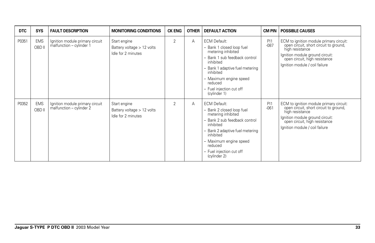| <b>DTC</b> | <b>SYS</b>           | <b>FAULT DESCRIPTION</b>                                    | <b>MONITORING CONDITIONS</b>                                       | <b>CK ENG</b> | <b>OTHER</b> | <b>DEFAULT ACTION</b>                                                                                                                                                                                                                                 | <b>CM PIN</b> | <b>POSSIBLE CAUSES</b>                                                                                                                                                                                     |
|------------|----------------------|-------------------------------------------------------------|--------------------------------------------------------------------|---------------|--------------|-------------------------------------------------------------------------------------------------------------------------------------------------------------------------------------------------------------------------------------------------------|---------------|------------------------------------------------------------------------------------------------------------------------------------------------------------------------------------------------------------|
| P0351      | <b>EMS</b><br>OBD II | Ignition module primary circuit<br>malfunction - cylinder 1 | Start engine<br>Battery voltage > 12 volts<br>Idle for 2 minutes   | 2             | A            | <b>ECM Default:</b><br>- Bank 1 closed loop fuel<br>metering inhibited<br>- Bank 1 sub feedback control<br>inhibited<br>- Bank 1 adaptive fuel metering<br>inhibited<br>- Maximum engine speed<br>reduced<br>- Fuel injection cut off<br>(cylinder 1) | PI1<br>$-087$ | ECM to ignition module primary circuit:<br>open circuit, short circuit to ground,<br>high resistance<br>Ignition module ground circuit:<br>open circuit, high resistance<br>Ignition module / coil failure |
| P0352      | <b>EMS</b><br>OBD II | Ignition module primary circuit<br>malfunction - cylinder 2 | Start engine<br>Battery voltage $> 12$ volts<br>Idle for 2 minutes | 2             | A            | <b>ECM Default:</b><br>- Bank 2 closed loop fuel<br>metering inhibited<br>- Bank 2 sub feedback control<br>inhibited<br>- Bank 2 adaptive fuel metering<br>inhibited<br>- Maximum engine speed<br>reduced<br>- Fuel injection cut off<br>(cylinder 2) | PI1<br>$-061$ | ECM to ignition module primary circuit:<br>open circuit, short circuit to ground,<br>high resistance<br>Ignition module ground circuit:<br>open circuit, high resistance<br>Ignition module / coil failure |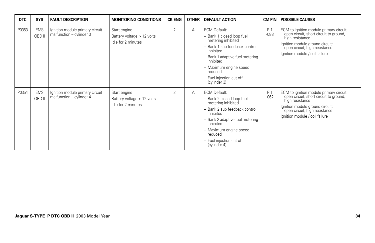| <b>DTC</b> | <b>SYS</b>           | <b>FAULT DESCRIPTION</b>                                    | <b>MONITORING CONDITIONS</b>                                       | <b>CK ENG</b>  | <b>OTHER</b> | <b>DEFAULT ACTION</b>                                                                                                                                                                                                                             |               | <b>CM PIN   POSSIBLE CAUSES</b>                                                                                                                                                                            |
|------------|----------------------|-------------------------------------------------------------|--------------------------------------------------------------------|----------------|--------------|---------------------------------------------------------------------------------------------------------------------------------------------------------------------------------------------------------------------------------------------------|---------------|------------------------------------------------------------------------------------------------------------------------------------------------------------------------------------------------------------|
| P0353      | <b>EMS</b><br>OBD II | Ignition module primary circuit<br>malfunction - cylinder 3 | Start engine<br>Battery voltage $> 12$ volts<br>Idle for 2 minutes | $\overline{2}$ | Α            | <b>ECM Default:</b><br>- Bank 1 closed loop fuel<br>metering inhibited<br>Bank 1 sub feedback control<br>inhibited<br>Bank 1 adaptive fuel metering<br>inhibited<br>- Maximum engine speed<br>reduced<br>- Fuel injection cut off<br>(cylinder 3) | PI1<br>$-088$ | ECM to ignition module primary circuit:<br>open circuit, short circuit to ground,<br>high resistance<br>Ignition module ground circuit:<br>open circuit, high resistance<br>Ignition module / coil failure |
| P0354      | <b>EMS</b><br>OBD II | Ignition module primary circuit<br>malfunction - cylinder 4 | Start engine<br>Battery voltage $> 12$ volts<br>Idle for 2 minutes | $\overline{2}$ | А            | <b>ECM Default:</b><br>Bank 2 closed loop fuel<br>metering inhibited<br>- Bank 2 sub feedback control<br>inhibited<br>Bank 2 adaptive fuel metering<br>inhibited<br>- Maximum engine speed<br>reduced<br>- Fuel injection cut off<br>(cylinder 4) | PI1<br>$-062$ | ECM to ignition module primary circuit:<br>open circuit, short circuit to ground,<br>high resistance<br>Ignition module ground circuit:<br>open circuit, high resistance<br>Ignition module / coil failure |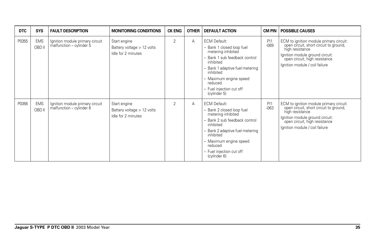| <b>DTC</b> | <b>SYS</b>           | <b>FAULT DESCRIPTION</b>                                    | <b>MONITORING CONDITIONS</b>                                       | <b>CK ENG</b>  | <b>OTHER</b> | <b>DEFAULT ACTION</b>                                                                                                                                                                                                                                 |               | <b>CM PIN   POSSIBLE CAUSES</b>                                                                                                                                                                            |
|------------|----------------------|-------------------------------------------------------------|--------------------------------------------------------------------|----------------|--------------|-------------------------------------------------------------------------------------------------------------------------------------------------------------------------------------------------------------------------------------------------------|---------------|------------------------------------------------------------------------------------------------------------------------------------------------------------------------------------------------------------|
| P0355      | <b>EMS</b><br>OBD II | Ignition module primary circuit<br>malfunction – cylinder 5 | Start engine<br>Battery voltage $> 12$ volts<br>Idle for 2 minutes | 2              | A            | <b>ECM Default:</b><br>- Bank 1 closed loop fuel<br>metering inhibited<br>- Bank 1 sub feedback control<br>inhibited<br>- Bank 1 adaptive fuel metering<br>inhibited<br>- Maximum engine speed<br>reduced<br>- Fuel injection cut off<br>(cylinder 5) | PI1<br>$-089$ | ECM to ignition module primary circuit:<br>open circuit, short circuit to ground,<br>high resistance<br>Ignition module ground circuit:<br>open circuit, high resistance<br>Ignition module / coil failure |
| P0356      | <b>EMS</b><br>OBD II | Ignition module primary circuit<br>malfunction - cylinder 6 | Start engine<br>Battery voltage $> 12$ volts<br>Idle for 2 minutes | $\overline{2}$ | A            | <b>ECM Default:</b><br>- Bank 2 closed loop fuel<br>metering inhibited<br>- Bank 2 sub feedback control<br>inhibited<br>- Bank 2 adaptive fuel metering<br>inhibited<br>- Maximum engine speed<br>reduced<br>- Fuel injection cut off<br>(cylinder 6) | PI1<br>$-063$ | ECM to ignition module primary circuit:<br>open circuit, short circuit to ground,<br>high resistance<br>Ignition module ground circuit:<br>open circuit, high resistance<br>Ignition module / coil failure |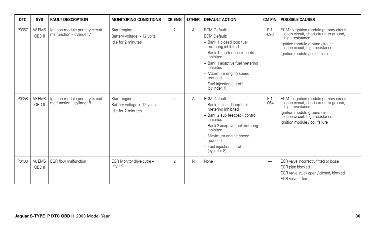| <b>DTC</b> | <b>SYS</b>       | <b>FAULT DESCRIPTION</b>                                         | <b>MONITORING CONDITIONS</b>                                     | <b>CK ENG</b>  | <b>OTHER</b> | <b>DEFAULT ACTION</b>                                                                                                                                                                                                                                                        | <b>CM PIN</b>            | <b>POSSIBLE CAUSES</b>                                                                                                                                                                                     |
|------------|------------------|------------------------------------------------------------------|------------------------------------------------------------------|----------------|--------------|------------------------------------------------------------------------------------------------------------------------------------------------------------------------------------------------------------------------------------------------------------------------------|--------------------------|------------------------------------------------------------------------------------------------------------------------------------------------------------------------------------------------------------|
| P0357      | V8 EMS<br>OBD II | Ignition module primary circuit<br>malfunction - cylinder 7      | Start engine<br>Battery voltage > 12 volts<br>Idle for 2 minutes | $\overline{2}$ | Α            | <b>ECM Default:</b><br><b>ECM Default:</b><br>- Bank 1 closed loop fuel<br>metering inhibited<br>- Bank 1 sub feedback control<br>inhibited<br>- Bank 1 adaptive fuel metering<br>inhibited<br>- Maximum engine speed<br>reduced<br>- Fuel injection cut off<br>(cylinder 7) | PI1<br>$-090$            | ECM to ignition module primary circuit:<br>open circuit, short circuit to ground,<br>high resistance<br>Ignition module ground circuit:<br>open circuit, high resistance<br>Ignition module / coil failure |
| P0358      | V8 EMS<br>OBD II | Ignition module primary circuit<br>$m$ alfunction – cylinder $8$ | Start engine<br>Battery voltage > 12 volts<br>Idle for 2 minutes | $\overline{2}$ | Α            | <b>ECM Default:</b><br>- Bank 2 closed loop fuel<br>metering inhibited<br>- Bank 2 sub feedback control<br>inhibited<br>- Bank 2 adaptive fuel metering<br>inhibited<br>- Maximum engine speed<br>reduced<br>- Fuel injection cut off<br>(cylinder 8)                        | PI1<br>$-064$            | ECM to ignition module primary circuit:<br>open circuit, short circuit to ground,<br>high resistance<br>Ignition module ground circuit:<br>open circuit, high resistance<br>Ignition module / coil failure |
| P0400      | V8 EMS<br>OBD II | EGR flow malfunction                                             | EGR Monitor drive cycle -<br>page 8                              | $\overline{2}$ | N            | None                                                                                                                                                                                                                                                                         | $\overline{\phantom{0}}$ | EGR valve incorrectly fitted or loose<br>EGR pipe blocked<br>EGR valve stuck open / closed, blocked<br>EGR valve failure                                                                                   |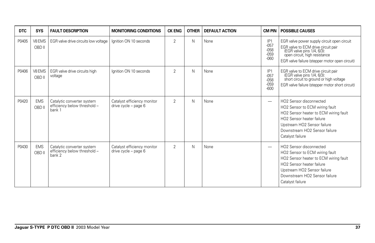| <b>DTC</b> | <b>SYS</b>           | <b>FAULT DESCRIPTION</b>                                             | <b>MONITORING CONDITIONS</b>                        | <b>CK ENG</b>  | <b>OTHER</b> | <b>DEFAULT ACTION</b> | CM PIN                                                  | <b>POSSIBLE CAUSES</b>                                                                                                                                                                                                          |
|------------|----------------------|----------------------------------------------------------------------|-----------------------------------------------------|----------------|--------------|-----------------------|---------------------------------------------------------|---------------------------------------------------------------------------------------------------------------------------------------------------------------------------------------------------------------------------------|
| P0405      | V8 EMS<br>OBD II     | EGR valve drive circuits low voltage                                 | Ignition ON 10 seconds                              | $\overline{2}$ | Ν            | None                  | IP <sub>1</sub><br>$-057$<br>$-058$<br>$-059$<br>$-060$ | EGR valve power supply circuit open circuit<br>EGR valve to ECM drive circuit pair<br>(EGR valve pins 1/4, 6/3):<br>open circuit, high resistance<br>EGR valve failure (stepper motor open circuit)                             |
| P0406      | V8 EMS<br>OBD II     | EGR valve drive circuits high<br>voltage                             | lanition ON 10 seconds                              | $\overline{2}$ | N            | None                  | IP <sub>1</sub><br>$-057$<br>$-058$<br>$-059$<br>$-600$ | EGR valve to ECM drive circuit pair<br>(EGR valve pins 1/4, 6/3):<br>short circuit to ground or high voltage<br>EGR valve failure (stepper motor short circuit)                                                                 |
| P0420      | <b>EMS</b><br>OBD II | Catalytic converter system<br>efficiency below threshold -<br>bank 1 | Catalyst efficiency monitor<br>drive cycle - page 6 | $\overline{2}$ | $\mathsf{N}$ | None                  | $\overline{\phantom{0}}$                                | HO <sub>2</sub> Sensor disconnected<br>HO2 Sensor to ECM wiring fault<br>HO2 Sensor heater to ECM wiring fault<br>HO2 Sensor heater failure<br>Upstream HO2 Sensor failure<br>Downstream HO2 Sensor failure<br>Catalyst failure |
| P0430      | <b>EMS</b><br>OBD II | Catalytic converter system<br>efficiency below threshold -<br>bank 2 | Catalyst efficiency monitor<br>drive cycle - page 6 | $\overline{2}$ | N            | None                  |                                                         | HO2 Sensor disconnected<br>HO2 Sensor to ECM wiring fault<br>HO2 Sensor heater to ECM wiring fault<br>HO2 Sensor heater failure<br>Upstream HO2 Sensor failure<br>Downstream HO2 Sensor failure<br>Catalyst failure             |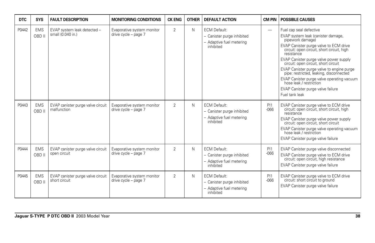| <b>DTC</b> | <b>SYS</b>           | <b>FAULT DESCRIPTION</b>                           | <b>MONITORING CONDITIONS</b>                       | <b>CK ENG</b>  | <b>OTHER</b> | <b>DEFAULT ACTION</b>                                                                      | <b>CM PIN</b>            | <b>POSSIBLE CAUSES</b>                                                                                                                                                                                                                                                                                                                                                                                                                                                                            |
|------------|----------------------|----------------------------------------------------|----------------------------------------------------|----------------|--------------|--------------------------------------------------------------------------------------------|--------------------------|---------------------------------------------------------------------------------------------------------------------------------------------------------------------------------------------------------------------------------------------------------------------------------------------------------------------------------------------------------------------------------------------------------------------------------------------------------------------------------------------------|
| P0442      | <b>EMS</b><br>OBD II | EVAP system leak detected -<br>small (0.040 in.)   | Evaporative system monitor<br>drive cycle - page 7 | $\mathfrak{D}$ | N            | <b>ECM Default:</b><br>- Canister purge inhibited<br>- Adaptive fuel metering<br>inhibited | $\overline{\phantom{0}}$ | Fuel cap seal defective<br>EVAP system leak (canister damage,<br>pipework damage)<br>EVAP Canister purge valve to ECM drive<br>circuit: open circuit, short circuit, high<br>resistance<br>EVAP Canister purge valve power supply<br>circuit: open circuit, short circuit<br>EVAP Canister purge valve to engine purge<br>pipe: restricted, leaking, disconnected<br>EVAP Canister purge valve operating vacuum<br>hose leak / restriction<br>EVAP Canister purge valve failure<br>Fuel tank leak |
| P0443      | <b>EMS</b><br>OBD II | EVAP canister purge valve circuit<br>malfunction   | Evaporative system monitor<br>drive cycle - page 7 | $\overline{2}$ | N            | <b>ECM Default:</b><br>- Canister purge inhibited<br>- Adaptive fuel metering<br>inhibited | PI1<br>$-066$            | EVAP Canister purge valve to ECM drive<br>circuit: open circuit, short circuit, high<br>resistance<br>EVAP Canister purge valve power supply<br>circuit: open circuit, short circuit<br>EVAP Canister purge valve operating vacuum<br>hose leak / restriction<br>EVAP Canister purge valve failure                                                                                                                                                                                                |
| P0444      | <b>EMS</b><br>OBD II | EVAP canister purge valve circuit<br>open circuit  | Evaporative system monitor<br>drive cycle - page 7 | $\overline{2}$ | N            | <b>ECM Default:</b><br>- Canister purge inhibited<br>- Adaptive fuel metering<br>inhibited | PI1<br>$-066$            | EVAP Canister purge valve disconnected<br>EVAP Canister purge valve to ECM drive<br>circuit: open circuit, high resistance<br>EVAP Canister purge valve failure                                                                                                                                                                                                                                                                                                                                   |
| P0445      | <b>EMS</b><br>OBD II | EVAP canister purge valve circuit<br>short circuit | Evaporative system monitor<br>drive cycle - page 7 | $\overline{2}$ | N            | <b>ECM Default:</b><br>- Canister purge inhibited<br>- Adaptive fuel metering<br>inhibited | PI1<br>$-066$            | EVAP Canister purge valve to ECM drive<br>circuit: short circuit to ground<br>EVAP Canister purge valve failure                                                                                                                                                                                                                                                                                                                                                                                   |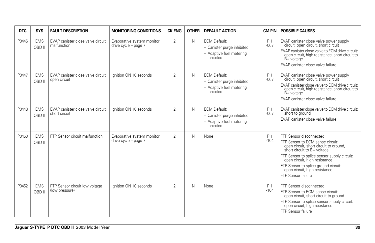| <b>DTC</b> | <b>SYS</b>           | <b>FAULT DESCRIPTION</b>                           | <b>MONITORING CONDITIONS</b>                       | <b>CK ENG</b>  | <b>OTHER</b> | <b>DEFAULT ACTION</b>                                                                      | <b>CM PIN</b> | <b>POSSIBLE CAUSES</b>                                                                                                                                                                                                                                                                                              |
|------------|----------------------|----------------------------------------------------|----------------------------------------------------|----------------|--------------|--------------------------------------------------------------------------------------------|---------------|---------------------------------------------------------------------------------------------------------------------------------------------------------------------------------------------------------------------------------------------------------------------------------------------------------------------|
| P0446      | <b>EMS</b><br>OBD II | EVAP canister close valve circuit<br>malfunction   | Evaporative system monitor<br>drive cycle - page 7 | 2              | N            | <b>ECM Default:</b><br>- Canister purge inhibited<br>- Adaptive fuel metering<br>inhibited | PI1<br>$-067$ | EVAP canister close valve power supply<br>circuit: open circuit, short circuit<br>EVAP canister close valve to ECM drive circuit:<br>open circuit, high resistance, short circuit to<br>$B+$ voltage<br>EVAP canister close valve failure                                                                           |
| P0447      | <b>EMS</b><br>OBD II | EVAP canister close valve circuit<br>open circuit  | lanition ON 10 seconds                             | $\overline{2}$ | N            | <b>ECM Default:</b><br>- Canister purge inhibited<br>- Adaptive fuel metering<br>inhibited | PI1<br>$-067$ | EVAP canister close valve power supply<br>circuit: open circuit, short circuit<br>EVAP canister close valve to ECM drive circuit:<br>open circuit, high resistance, short circuit to<br>B+ voltage<br>EVAP canister close valve failure                                                                             |
| P0448      | <b>EMS</b><br>OBD II | EVAP canister close valve circuit<br>short circuit | Ignition ON 10 seconds                             | 2              | N            | <b>ECM Default:</b><br>- Canister purge inhibited<br>- Adaptive fuel metering<br>inhibited | PI1<br>$-067$ | EVAP canister close valve to ECM drive circuit:<br>short to ground<br>EVAP canister close valve failure                                                                                                                                                                                                             |
| P0450      | <b>EMS</b><br>OBD II | FTP Sensor circuit malfunction                     | Evaporative system monitor<br>drive cycle - page 7 | $\overline{2}$ | $\mathsf{N}$ | None                                                                                       | PI1<br>$-104$ | FTP Sensor disconnected<br>FTP Sensor to ECM sense circuit:<br>open circuit, short circuit to ground,<br>short circuit to B+ voltage<br>FTP Sensor to splice sensor supply circuit:<br>open circuit, high resistance<br>FTP Sensor to splice ground circuit:<br>open circuit, high resistance<br>FTP Sensor failure |
| P0452      | <b>EMS</b><br>OBD II | FTP Sensor circuit low voltage<br>(low pressure)   | lanition ON 10 seconds                             | $\overline{2}$ | $\mathsf{N}$ | None                                                                                       | PI1<br>$-104$ | FTP Sensor disconnected<br>FTP Sensor to ECM sense circuit:<br>open circuit, short circuit to ground<br>FTP Sensor to splice sensor supply circuit:<br>open circuit, high resistance<br>FTP Sensor failure                                                                                                          |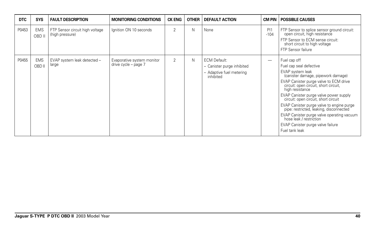| <b>DTC</b> | <b>SYS</b>           | <b>FAULT DESCRIPTION</b>                           | <b>MONITORING CONDITIONS</b>                       | <b>CK ENG</b>  | <b>OTHER</b> | <b>DEFAULT ACTION</b>                                                                      |                          | <b>CM PIN   POSSIBLE CAUSES</b>                                                                                                                                                                                                                                                                                                                                                                                                                                                                                   |
|------------|----------------------|----------------------------------------------------|----------------------------------------------------|----------------|--------------|--------------------------------------------------------------------------------------------|--------------------------|-------------------------------------------------------------------------------------------------------------------------------------------------------------------------------------------------------------------------------------------------------------------------------------------------------------------------------------------------------------------------------------------------------------------------------------------------------------------------------------------------------------------|
| P0453      | <b>EMS</b><br>OBD II | FTP Sensor circuit high voltage<br>(high pressure) | Ignition ON 10 seconds                             | $\overline{2}$ | N            | None                                                                                       | PI1<br>$-104$            | FTP Sensor to splice sensor ground circuit:<br>open circuit, high resistance<br>FTP Sensor to ECM sense circuit:<br>short circuit to high voltage<br>FTP Sensor failure                                                                                                                                                                                                                                                                                                                                           |
| P0455      | <b>EMS</b><br>OBD II | EVAP system leak detected -<br>large               | Evaporative system monitor<br>drive cycle - page 7 | $\overline{2}$ | N            | <b>ECM Default:</b><br>- Canister purge inhibited<br>- Adaptive fuel metering<br>inhibited | $\overline{\phantom{0}}$ | Fuel cap off<br>Fuel cap seal defective<br>EVAP system leak<br>(canister damage, pipework damage)<br>EVAP Canister purge valve to ECM drive<br>circuit: open circuit, short circuit,<br>high resistance<br>EVAP Canister purge valve power supply<br>circuit: open circuit, short circuit<br>EVAP Canister purge valve to engine purge<br>pipe: restricted, leaking, disconnected<br>EVAP Canister purge valve operating vacuum<br>hose leak / restriction<br>EVAP Canister purge valve failure<br>Fuel tank leak |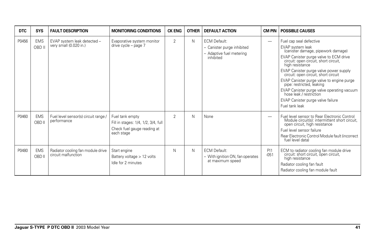| DTC   | <b>SYS</b>           | <b>FAULT DESCRIPTION</b>                                 | <b>MONITORING CONDITIONS</b>                                                                        | <b>CK ENG</b>  | <b>OTHER</b> | <b>DEFAULT ACTION</b>                                                                      | CM PIN                   | <b>POSSIBLE CAUSES</b>                                                                                                                                                                                                                                                                                                                                                                                                                                                              |
|-------|----------------------|----------------------------------------------------------|-----------------------------------------------------------------------------------------------------|----------------|--------------|--------------------------------------------------------------------------------------------|--------------------------|-------------------------------------------------------------------------------------------------------------------------------------------------------------------------------------------------------------------------------------------------------------------------------------------------------------------------------------------------------------------------------------------------------------------------------------------------------------------------------------|
| P0456 | <b>EMS</b><br>OBD II | EVAP system leak detected -<br>very small (0.020 in.)    | Evaporative system monitor<br>drive cycle - page 7                                                  | $\overline{2}$ | N            | <b>ECM Default:</b><br>- Canister purge inhibited<br>- Adaptive fuel metering<br>inhibited | -                        | Fuel cap seal defective<br>EVAP system leak<br>(canister damage, pipework damage)<br>EVAP Canister purge valve to ECM drive<br>circuit: open circuit, short circuit,<br>high resistance<br>EVAP Canister purge valve power supply<br>circuit: open circuit, short circuit<br>EVAP Canister purge valve to engine purge<br>pipe: restricted, leaking<br>EVAP Canister purge valve operating vacuum<br>hose leak / restriction<br>EVAP Canister purge valve failure<br>Fuel tank leak |
| P0460 | <b>EMS</b><br>OBD II | Fuel level sensor(s) circuit range /<br>performance      | Fuel tank empty<br>Fill in stages: 1/4, 1/2, 3/4, full<br>Check fuel gauge reading at<br>each stage | $\overline{2}$ | N            | None                                                                                       | $\overline{\phantom{0}}$ | Fuel level sensor to Rear Electronic Control<br>Module circuit(s): intermittent short circuit,<br>open circuit, high resistance<br>Fuel level sensor failure<br>Rear Electronic Control Module fault (incorrect<br>fuel level data)                                                                                                                                                                                                                                                 |
| P0480 | <b>EMS</b><br>OBD II | Radiator cooling fan module drive<br>circuit malfunction | Start engine<br>Battery voltage $> 12$ volts<br>Idle for 2 minutes                                  | N              | N            | <b>ECM Default:</b><br>- With ignition ON, fan operates<br>at maximum speed                | PI1<br>$-051$            | ECM to radiator cooling fan module drive<br>circuit: short circuit, open circuit,<br>high resistance<br>Radiator cooling fan fault<br>Radiator cooling fan module fault                                                                                                                                                                                                                                                                                                             |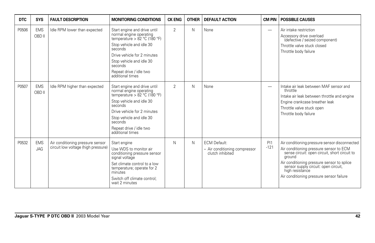| <b>DTC</b> | <b>SYS</b>               | <b>FAULT DESCRIPTION</b>                                                | <b>MONITORING CONDITIONS</b>                                                                                                                                                                                                                          | <b>CK ENG</b>  | <b>OTHER</b> | <b>DEFAULT ACTION</b>                                                    | CM PIN                   | <b>POSSIBLE CAUSES</b>                                                                                                                                                                                                                                                                                   |
|------------|--------------------------|-------------------------------------------------------------------------|-------------------------------------------------------------------------------------------------------------------------------------------------------------------------------------------------------------------------------------------------------|----------------|--------------|--------------------------------------------------------------------------|--------------------------|----------------------------------------------------------------------------------------------------------------------------------------------------------------------------------------------------------------------------------------------------------------------------------------------------------|
| P0506      | <b>EMS</b><br>OBD II     | Idle RPM lower than expected                                            | Start engine and drive until<br>normal engine operating<br>temperature > 82 °C (180 °F)<br>Stop vehicle and idle 30<br>seconds<br>Drive vehicle for 2 minutes<br>Stop vehicle and idle 30<br>seconds<br>Repeat drive / idle two<br>additional times   | $\overline{2}$ | N            | None                                                                     | $\overline{\phantom{0}}$ | Air intake restriction<br>Accessory drive overload<br>(defective / seized component)<br>Throttle valve stuck closed<br>Throttle body failure                                                                                                                                                             |
| P0507      | <b>EMS</b><br>OBD II     | Idle RPM higher than expected                                           | Start engine and drive until<br>normal engine operating<br>temperature > $82 °C$ (180 °F)<br>Stop vehicle and idle 30<br>seconds<br>Drive vehicle for 2 minutes<br>Stop vehicle and idle 30<br>seconds<br>Repeat drive / idle two<br>additional times | $\overline{2}$ | N            | None                                                                     | $\overline{\phantom{0}}$ | Intake air leak between MAF sensor and<br>throttle<br>Intake air leak between throttle and engine<br>Engine crankcase breather leak<br>Throttle valve stuck open<br>Throttle body failure                                                                                                                |
| P0532      | <b>EMS</b><br><b>JAG</b> | Air conditioning pressure sensor<br>circuit low voltage (high pressure) | Start engine<br>Use WDS to monitor air<br>conditioning pressure sensor<br>signal voltage<br>Set climate control to a low<br>temperature; operate for 2<br>minutes<br>Switch off climate control:<br>wait 2 minutes                                    | N              | N            | <b>ECM Default:</b><br>- Air conditioning compressor<br>clutch inhibited | PI1<br>$-121$            | Air conditioning pressure sensor disconnected<br>Air conditioning pressure sensor to ECM<br>sense circuit: open circuit, short circuit to<br>ground<br>Air conditioning pressure sensor to splice<br>sensor supply circuit: open circuit,<br>high resistance<br>Air conditioning pressure sensor failure |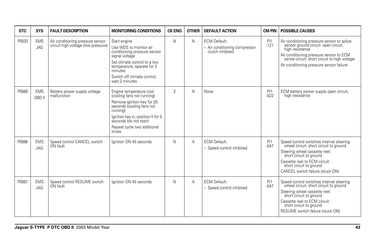| <b>DTC</b> | <b>SYS</b>               | <b>FAULT DESCRIPTION</b>                                                | <b>MONITORING CONDITIONS</b>                                                                                                                                                                                                         | <b>CK ENG</b>  | <b>OTHER</b> | <b>DEFAULT ACTION</b>                                                    | <b>CM PIN</b> | <b>POSSIBLE CAUSES</b>                                                                                                                                                                                                                         |
|------------|--------------------------|-------------------------------------------------------------------------|--------------------------------------------------------------------------------------------------------------------------------------------------------------------------------------------------------------------------------------|----------------|--------------|--------------------------------------------------------------------------|---------------|------------------------------------------------------------------------------------------------------------------------------------------------------------------------------------------------------------------------------------------------|
| P0533      | <b>EMS</b><br>JAG        | Air conditioning pressure sensor<br>circuit high voltage (low pressure) | Start engine<br>Use WDS to monitor air<br>conditioning pressure sensor<br>signal voltage<br>Set climate control to a low<br>temperature; operate for 2<br>minutes<br>Switch off climate control:<br>wait 2 minutes                   | N              | N            | <b>ECM Default:</b><br>- Air conditioning compressor<br>clutch inhibited | PI1<br>$-121$ | Air conditioning pressure sensor to splice<br>sensor ground circuit: open circuit,<br>high resistance<br>Air conditioning pressure sensor to ECM<br>sense circuit: short circuit to high voltage<br>Air conditioning pressure sensor failure   |
| P0560      | <b>EMS</b><br>OBD II     | Battery power supply voltage<br>malfunction                             | Engine temperature cool<br>(cooling fans not running)<br>Remove ignition key for 20<br>seconds (cooling fans not<br>running)<br>Ignition key in, position II for 5<br>seconds (do not start)<br>Repeat cycle two additional<br>times | $\overline{2}$ | $\mathsf{N}$ | None                                                                     | PI1<br>$-022$ | ECM battery power supply open circuit,<br>high resistance                                                                                                                                                                                      |
| P0566      | <b>EMS</b><br>JAG        | Speed control CANCEL switch<br>ON fault                                 | lanition ON 45 seconds                                                                                                                                                                                                               | N              | А            | <b>ECM Default:</b><br>- Speed control inhibited                         | PI1<br>$-047$ | Speed control switches internal steering<br>wheel circuit: short circuit to ground<br>Steering wheel cassette reel:<br>short circuit to ground<br>Cassette reel to ECM circuit:<br>short circuit to ground<br>CANCEL switch failure (stuck ON) |
| P0567      | <b>EMS</b><br><b>JAG</b> | Speed control RESUME switch<br>ON fault                                 | Ignition ON 45 seconds                                                                                                                                                                                                               | N              | A            | <b>ECM Default:</b><br>- Speed control inhibited                         | PI1<br>$-047$ | Speed control switches internal steering<br>wheel circuit: short circuit to ground<br>Steering wheel cassette reel:<br>short circuit to ground<br>Cassette reel to ECM circuit:<br>short circuit to ground<br>RESUME switch failure (stuck ON) |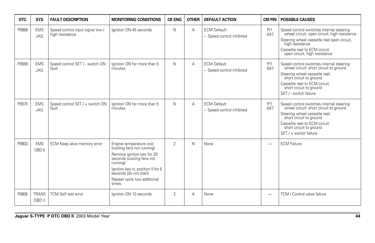| <b>DTC</b> | <b>SYS</b>               | <b>FAULT DESCRIPTION</b>                            | <b>MONITORING CONDITIONS</b>                                                                                                                                                                                                          | <b>CK ENG</b>  | <b>OTHER</b>   | <b>DEFAULT ACTION</b>                            | <b>CM PIN</b>            | <b>POSSIBLE CAUSES</b>                                                                                                                                                                                                               |
|------------|--------------------------|-----------------------------------------------------|---------------------------------------------------------------------------------------------------------------------------------------------------------------------------------------------------------------------------------------|----------------|----------------|--------------------------------------------------|--------------------------|--------------------------------------------------------------------------------------------------------------------------------------------------------------------------------------------------------------------------------------|
| P0568      | <b>EMS</b><br><b>JAG</b> | Speed control input signal low /<br>high resistance | lanition ON 45 seconds                                                                                                                                                                                                                | N              | $\overline{A}$ | <b>ECM Default:</b><br>- Speed control inhibited | PI1<br>$-047$            | Speed control switches internal steering<br>wheel circuit: open circuit; high resistance<br>Steering wheel cassette reel open circuit,<br>high resistance<br>Cassette reel to ECM circuit:<br>open circuit, high resistance          |
| P0569      | <b>EMS</b><br><b>JAG</b> | Speed control SET / - switch ON<br>fault            | Ignition ON for more than 5<br>minutes                                                                                                                                                                                                | N              | А              | <b>ECM Default:</b><br>- Speed control inhibited | PI1<br>$-047$            | Speed control switches internal steering<br>wheel circuit: short circuit to ground<br>Steering wheel cassette reel:<br>short circuit to ground<br>Cassette reel to ECM circuit:<br>short circuit to ground<br>SET / - switch failure |
| P0570      | <b>EMS</b><br><b>JAG</b> | Speed control SET / + switch ON<br>fault            | lanition ON for more than 5<br>minutes                                                                                                                                                                                                | N              | A              | <b>ECM Default:</b><br>- Speed control inhibited | PI1<br>$-047$            | Speed control switches internal steering<br>wheel circuit: short circuit to around<br>Steering wheel cassette reel:<br>short circuit to ground<br>Cassette reel to ECM circuit:<br>short circuit to ground<br>SET / + switch failure |
| P0603      | <b>EMS</b><br>OBD II     | ECM Keep alive memory error                         | Engine temperature cool<br>(cooling fans not running)<br>Remove ignition key for 20<br>seconds (cooling fans not<br>running)<br>Ignition key in, position II for 5<br>seconds (do not start)<br>Repeat cycle two additional<br>times. | $\overline{2}$ | N              | None                                             | $\overline{\phantom{0}}$ | <b>ECM Failure</b>                                                                                                                                                                                                                   |
| P0605      | <b>TRANS</b><br>OBD II   | <b>TCM Self test error</b>                          | Ignition ON 10 seconds                                                                                                                                                                                                                | $\overline{2}$ | Α              | None                                             |                          | TCM / Control valve failure                                                                                                                                                                                                          |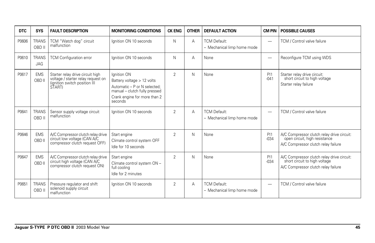| <b>DTC</b> | <b>SYS</b>                 | <b>FAULT DESCRIPTION</b>                                                                                          | <b>MONITORING CONDITIONS</b>                                                                                                                          | <b>CK ENG</b>  | <b>OTHER</b> | <b>DEFAULT ACTION</b>                              | <b>CM PIN</b>            | <b>POSSIBLE CAUSES</b>                                                                                             |
|------------|----------------------------|-------------------------------------------------------------------------------------------------------------------|-------------------------------------------------------------------------------------------------------------------------------------------------------|----------------|--------------|----------------------------------------------------|--------------------------|--------------------------------------------------------------------------------------------------------------------|
| P0606      | <b>TRANS</b><br>OBD II     | TCM "Watch dog" circuit<br>malfunction                                                                            | Ignition ON 10 seconds                                                                                                                                | N              | А            | <b>TCM Default:</b><br>- Mechanical limp home mode | $\overline{\phantom{0}}$ | TCM / Control valve failure                                                                                        |
| P0610      | <b>TRANS</b><br><b>JAG</b> | <b>TCM Configuration error</b>                                                                                    | lanition ON 10 seconds                                                                                                                                | N              | A            | None                                               |                          | Reconfigure TCM using WDS                                                                                          |
| P0617      | <b>EMS</b><br>OBD II       | Starter relay drive circuit high<br>voltage / starter relay request on<br>(ignition switch position III<br>START) | Ignition ON<br>Battery voltage > 12 volts<br>Automatic - P or N selected;<br>manual - clutch fully pressed<br>Crank engine for more than 2<br>seconds | $\overline{2}$ | N            | None                                               | PI1<br>$-041$            | Starter relay drive circuit:<br>short circuit to high voltage<br>Starter relay failure                             |
| P0641      | <b>TRANS</b><br>OBD II     | Sensor supply voltage circuit<br>malfunction                                                                      | Ignition ON 10 seconds                                                                                                                                | $\overline{2}$ | A            | <b>TCM Default:</b><br>- Mechanical limp home mode |                          | TCM / Control valve failure                                                                                        |
| P0646      | <b>EMS</b><br>OBD II       | A/C Compressor clutch relay drive<br>circuit low voltage (CAN A/C<br>compressor clutch request OFF)               | Start engine<br>Climate control system OFF<br>Idle for 10 seconds                                                                                     | $\overline{2}$ | N            | None                                               | PI1<br>$-0.34$           | A/C Compressor clutch relay drive circuit:<br>open circuit, high resistance<br>A/C Compressor clutch relay failure |
| P0647      | <b>EMS</b><br>OBD II       | A/C Compressor clutch relay drive<br>circuit high voltage (CAN A/C<br>compressor clutch request ON)               | Start engine<br>Climate control system ON -<br>full cooling<br>Idle for 2 minutes                                                                     | $\overline{2}$ | N            | None                                               | PI1<br>$-034$            | A/C Compressor clutch relay drive circuit:<br>short circuit to high voltage<br>A/C Compressor clutch relay failure |
| P0651      | <b>TRANS</b><br>OBD II     | Pressure regulator and shift<br>solenoid supply circuit<br>malfunction                                            | lanition ON 10 seconds                                                                                                                                | $\overline{2}$ | A            | <b>TCM Default:</b><br>- Mechanical limp home mode | -                        | TCM / Control valve failure                                                                                        |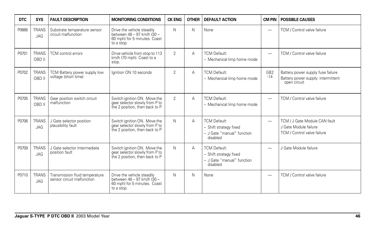| DTC   | <b>SYS</b>                 | <b>FAULT DESCRIPTION</b>                                     | <b>MONITORING CONDITIONS</b>                                                                           | <b>CK ENG</b>  | <b>OTHER</b> | <b>DEFAULT ACTION</b>                                                                   | <b>CM PIN</b>            | <b>POSSIBLE CAUSES</b>                                                                  |
|-------|----------------------------|--------------------------------------------------------------|--------------------------------------------------------------------------------------------------------|----------------|--------------|-----------------------------------------------------------------------------------------|--------------------------|-----------------------------------------------------------------------------------------|
| P0666 | <b>TRANS</b><br><b>JAG</b> | Substrate temperature sensor<br>circuit malfunction          | Drive the vehicle steadily<br>between 48 - 97 km/h (30 -<br>60 mph) for 5 minutes. Coast<br>to a stop. | N              | N            | None                                                                                    | $\overline{\phantom{0}}$ | TCM / Control valve failure                                                             |
| P0701 | <b>TRANS</b><br>OBD II     | TCM control errors                                           | Drive vehicle from stop to 113<br>km/h (70 mph). Coast to a<br>stop.                                   | $\mathfrak{D}$ | A            | <b>TCM Default:</b><br>- Mechanical limp home mode                                      | -                        | TCM / Control valve failure                                                             |
| P0702 | <b>TRANS</b><br>OBD II     | TCM Battery power supply low<br>voltage (short time)         | lanition ON 10 seconds                                                                                 | $\overline{2}$ | А            | <b>TCM Default:</b><br>- Mechanical limp home mode                                      | GB <sub>2</sub><br>$-14$ | Battery power supply fuse failure<br>Battery power supply: intermittent<br>open circuit |
| P0705 | <b>TRANS</b><br>OBD II     | Gear position switch circuit<br>malfunction                  | Switch ignition ON. Move the<br>gear selector slowly from P to<br>the 2 position, then back to P       | $\overline{2}$ | A            | <b>TCM Default:</b><br>- Mechanical limp home mode                                      | $\overline{\phantom{0}}$ | TCM / Control valve failure                                                             |
| P0706 | <b>TRANS</b><br><b>JAG</b> | J Gate selector position<br>plausibility fault               | Switch ignition ON. Move the<br>gear selector slowly from P to<br>the 2 position, then back to P       | N              | А            | <b>TCM Default:</b><br>- Shift strategy fixed<br>- J Gate "manual" function<br>disabled | $\overline{\phantom{0}}$ | TCM / J Gate Module CAN fault<br>J Gate Module failure<br>TCM / Control valve failure   |
| P0709 | <b>TRANS</b><br>JAG        | J Gate selector Intermediate<br>position fault               | Switch ignition ON. Move the<br>gear selector slowly from P to<br>the 2 position, then back to P       | N              | А            | <b>TCM Default:</b><br>- Shift strategy fixed<br>- J Gate "manual" function<br>disabled | $\overline{\phantom{0}}$ | J Gate Module failure                                                                   |
| P0710 | <b>TRANS</b><br><b>JAG</b> | Transmission fluid temperature<br>sensor circuit malfunction | Drive the vehicle steadily<br>between 48 - 97 km/h (30 -<br>60 mph) for 5 minutes. Coast<br>to a stop. | N              | N            | None                                                                                    | -                        | TCM / Control valve failure                                                             |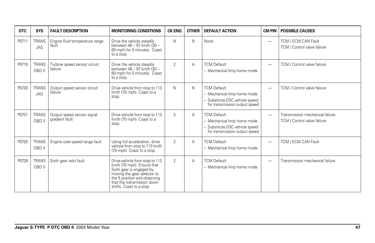| DTC   | <b>SYS</b>                 | <b>FAULT DESCRIPTION</b>                     | <b>MONITORING CONDITIONS</b>                                                                                                                                                                                      | <b>CK ENG</b>  | <b>OTHER</b> | <b>DEFAULT ACTION</b>                                                                                                 | <b>CM PIN</b>            | <b>POSSIBLE CAUSES</b>                                         |
|-------|----------------------------|----------------------------------------------|-------------------------------------------------------------------------------------------------------------------------------------------------------------------------------------------------------------------|----------------|--------------|-----------------------------------------------------------------------------------------------------------------------|--------------------------|----------------------------------------------------------------|
| P0711 | <b>TRANS</b><br><b>JAG</b> | Engine fluid temperature range<br>fault      | Drive the vehicle steadily<br>between 48 - 97 km/h (30 -<br>60 mph) for 5 minutes. Coast<br>to a stop.                                                                                                            | N              | N            | None                                                                                                                  | $\overline{\phantom{0}}$ | TCM / ECM CAN Fault<br>TCM / Control valve failure             |
| P0715 | <b>TRANS</b><br>OBD II     | Turbine speed sensor circuit<br>failure      | Drive the vehicle steadily<br>between 48 - 97 km/h (30 -<br>60 mph) for 5 minutes. Coast<br>to a stop.                                                                                                            | $\overline{2}$ | A            | <b>TCM Default:</b><br>- Mechanical limp home mode                                                                    | $\overline{\phantom{0}}$ | TCM / Control valve failure                                    |
| P0720 | <b>TRANS</b><br>JAG        | Output speed sensor circuit<br>failure       | Drive vehicle from stop to 113<br>km/h (70 mph). Coast to a<br>stop.                                                                                                                                              | $\mathsf{N}$   | N            | <b>TCM Default:</b><br>- Mechanical limp home mode<br>- Substitute DSC vehicle speed<br>for transmission output speed | $\overline{\phantom{0}}$ | TCM / Control valve failure                                    |
| P0721 | <b>TRANS</b><br>OBD II     | Output speed sensor signal<br>gradient fault | Drive vehicle from stop to 113<br>km/h (70 mph). Coast to a<br>stop.                                                                                                                                              | $\overline{2}$ | Α            | <b>TCM Default:</b><br>- Mechanical limp home mode<br>- Substitute DSC vehicle speed<br>for transmission output speed | $\overline{\phantom{0}}$ | Transmission mechanical failure<br>TCM / Control valve failure |
| P0725 | <b>TRANS</b><br>OBD II     | Engine over-speed range fault                | Using full acceleration, drive<br>vehicle from stop to 113 km/h<br>(70 mph). Coast to a stop.                                                                                                                     | $\overline{2}$ | Α            | <b>TCM Default:</b><br>- Mechanical limp home mode                                                                    | $\overline{\phantom{0}}$ | TCM / ECM CAN Fault                                            |
| P0729 | <b>TRANS</b><br>OBD II     | Sixth gear ratio fault                       | Drive vehicle from stop to 113<br>km/h (70 mph). Ensure that<br>Sixth gear is engaged by<br>moving the gear selector to<br>the 5 position and observing<br>that the transmission down<br>shifts. Coast to a stop. | $\overline{2}$ | Α            | <b>TCM Default:</b><br>- Mechanical limp home mode                                                                    |                          | Transmission mechanical failure                                |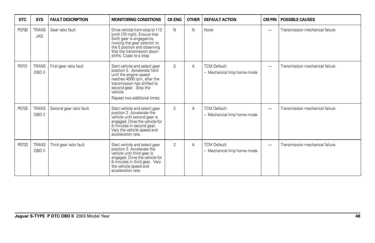| <b>DTC</b> | <b>SYS</b>             | <b>FAULT DESCRIPTION</b> | <b>MONITORING CONDITIONS</b>                                                                                                                                                                                             | <b>CK ENG</b>  | <b>OTHER</b> | <b>DEFAULT ACTION</b>                              | <b>CM PIN</b>            | <b>POSSIBLE CAUSES</b>          |
|------------|------------------------|--------------------------|--------------------------------------------------------------------------------------------------------------------------------------------------------------------------------------------------------------------------|----------------|--------------|----------------------------------------------------|--------------------------|---------------------------------|
| P0730      | <b>TRANS</b><br>JAG    | Gear ratio fault         | Drive vehicle from stop to 113<br>km/h (70 mph). Ensure that<br>Sixth gear is engaged by<br>moving the gear selector to<br>the 5 position and observing<br>that the transmission down<br>shifts. Coast to a stop         | N              | $\mathsf{N}$ | None                                               | —                        | Transmission mechanical failure |
| P0731      | <b>TRANS</b><br>OBD II | First gear ratio fault   | Start vehicle and select gear<br>position 2. Accelerate hard<br>until the engine speed<br>reaches 4500 rpm, after the<br>transmission has shifted to<br>second gear. Stop the<br>vehicle.<br>Repeat two additional times | $\overline{2}$ | Α            | <b>TCM Default:</b><br>- Mechanical limp home mode | $\overline{\phantom{0}}$ | Transmission mechanical failure |
| P0732      | <b>TRANS</b><br>OBD II | Second gear ratio fault  | Start vehicle and select gear<br>position 2. Accelerate the<br>vehicle until second gear is<br>engaged. Drive the vehicle for<br>5 minutes in second gear.<br>Vary the vehicle speed and<br>acceleration rate.           | $\overline{2}$ | Α            | <b>TCM Default:</b><br>- Mechanical limp home mode | $\overline{\phantom{0}}$ | Transmission mechanical failure |
| P0733      | <b>TRANS</b><br>OBD II | Third gear ratio fault   | Start vehicle and select gear<br>position 3. Accelerate the<br>vehicle until third gear is<br>engaged. Drive the vehicle for<br>5 minutes in third gear. Vary<br>the vehicle speed and<br>acceleration rate.             | 2              | A            | <b>TCM Default:</b><br>- Mechanical limp home mode | $\overline{\phantom{0}}$ | Transmission mechanical failure |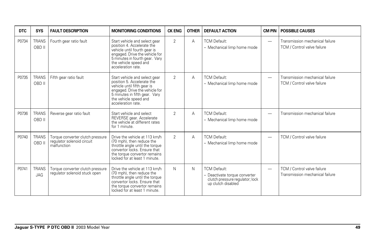| <b>DTC</b> | <b>SYS</b>                 | <b>FAULT DESCRIPTION</b>                                                      | <b>MONITORING CONDITIONS</b>                                                                                                                                                                                   | <b>CK ENG</b>  | <b>OTHER</b> | <b>DEFAULT ACTION</b>                                                                                         | <b>CM PIN</b>            | <b>POSSIBLE CAUSES</b>                                         |
|------------|----------------------------|-------------------------------------------------------------------------------|----------------------------------------------------------------------------------------------------------------------------------------------------------------------------------------------------------------|----------------|--------------|---------------------------------------------------------------------------------------------------------------|--------------------------|----------------------------------------------------------------|
| P0734      | <b>TRANS</b><br>OBD II     | Fourth gear ratio fault                                                       | Start vehicle and select gear<br>position 4. Accelerate the<br>vehicle until fourth gear is<br>engaged. Drive the vehicle for<br>5 minutes in fourth gear. Vary<br>the vehicle speed and<br>acceleration rate. | $\overline{2}$ | A            | <b>TCM Default:</b><br>- Mechanical limp home mode                                                            | —                        | Transmission mechanical failure<br>TCM / Control valve failure |
| P0735      | <b>TRANS</b><br>OBD II     | Fifth gear ratio fault                                                        | Start vehicle and select gear<br>position 5. Accelerate the<br>vehicle until fifth gear is<br>engaged. Drive the vehicle for<br>5 minutes in fifth gear. Vary<br>the vehicle speed and<br>acceleration rate.   | 2              | Α            | <b>TCM Default:</b><br>- Mechanical limp home mode                                                            | $\overline{\phantom{0}}$ | Transmission mechanical failure<br>TCM / Control valve failure |
| P0736      | <b>TRANS</b><br>OBD II     | Reverse gear ratio fault                                                      | Start vehicle and select<br>REVERSE gear. Accelerate<br>the vehicle at different rates<br>for 1 minute.                                                                                                        | $\mathfrak{D}$ | Α            | <b>TCM Default:</b><br>- Mechanical limp home mode                                                            | $\overline{\phantom{0}}$ | Transmission mechanical failure                                |
| P0740      | <b>TRANS</b><br>OBD II     | Torque converter clutch pressure<br>requlator solenoid circuit<br>malfunction | Drive the vehicle at 113 km/h<br>(70 mph), then reduce the<br>throttle angle until the torque<br>convertor locks. Ensure that<br>the torque convertor remains<br>locked for at least 1 minute.                 | $\overline{2}$ | Α            | <b>TCM Default:</b><br>- Mechanical limp home mode                                                            | -                        | TCM / Control valve failure                                    |
| P0741      | <b>TRANS</b><br><b>JAG</b> | Torque converter clutch pressure<br>requlator solenoid stuck open             | Drive the vehicle at 113 km/h<br>(70 mph), then reduce the<br>throttle angle until the torque<br>convertor locks. Ensure that<br>the torque convertor remains<br>locked for at least 1 minute.                 | N              | N            | <b>TCM Default:</b><br>- Deactivate torque converter<br>clutch pressure regulator; lock<br>up clutch disabled | $\overline{\phantom{0}}$ | TCM / Control valve failure<br>Transmission mechanical failure |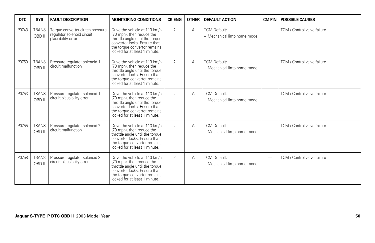| <b>DTC</b> | <b>SYS</b>             | <b>FAULT DESCRIPTION</b>                                                             | <b>MONITORING CONDITIONS</b>                                                                                                                                                                   | <b>CK ENG</b>  | <b>OTHER</b> | <b>DEFAULT ACTION</b>                              | <b>CM PIN</b>            | <b>POSSIBLE CAUSES</b>      |
|------------|------------------------|--------------------------------------------------------------------------------------|------------------------------------------------------------------------------------------------------------------------------------------------------------------------------------------------|----------------|--------------|----------------------------------------------------|--------------------------|-----------------------------|
| P0743      | <b>TRANS</b><br>OBD II | Torque converter clutch pressure<br>requlator solenoid circuit<br>plausibility error | Drive the vehicle at 113 km/h<br>(70 mph), then reduce the<br>throttle angle until the torque<br>convertor locks. Ensure that<br>the torque convertor remains<br>locked for at least 1 minute. | $\overline{2}$ | A            | <b>TCM Default:</b><br>- Mechanical limp home mode |                          | TCM / Control valve failure |
| P0750      | <b>TRANS</b><br>OBD II | Pressure regulator solenoid 1<br>circuit malfunction                                 | Drive the vehicle at 113 km/h<br>(70 mph), then reduce the<br>throttle angle until the torque<br>convertor locks. Ensure that<br>the torque convertor remains<br>locked for at least 1 minute. | $\overline{2}$ | A            | <b>TCM Default:</b><br>- Mechanical limp home mode | $\overline{\phantom{m}}$ | TCM / Control valve failure |
| P0753      | <b>TRANS</b><br>OBD II | Pressure regulator solenoid 1<br>circuit plausibility error                          | Drive the vehicle at 113 km/h<br>(70 mph), then reduce the<br>throttle angle until the torque<br>convertor locks. Ensure that<br>the torque convertor remains<br>locked for at least 1 minute. | $\overline{2}$ | А            | <b>TCM Default:</b><br>- Mechanical limp home mode | $\overline{\phantom{0}}$ | TCM / Control valve failure |
| P0755      | <b>TRANS</b><br>OBD II | Pressure regulator solenoid 2<br>circuit malfunction                                 | Drive the vehicle at 113 km/h<br>(70 mph), then reduce the<br>throttle angle until the torque<br>convertor locks. Ensure that<br>the torque convertor remains<br>locked for at least 1 minute. | $\overline{2}$ | A            | <b>TCM Default:</b><br>- Mechanical limp home mode | $\overline{\phantom{m}}$ | TCM / Control valve failure |
| P0758      | <b>TRANS</b><br>OBD II | Pressure regulator solenoid 2<br>circuit plausibility error                          | Drive the vehicle at 113 km/h<br>(70 mph), then reduce the<br>throttle angle until the torque<br>convertor locks. Ensure that<br>the torque convertor remains<br>locked for at least 1 minute. | $\overline{2}$ | A            | <b>TCM Default:</b><br>- Mechanical limp home mode | $\overline{\phantom{m}}$ | TCM / Control valve failure |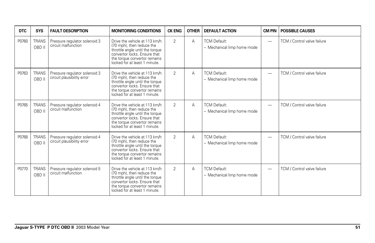| <b>DTC</b> | <b>SYS</b>             | <b>FAULT DESCRIPTION</b>                                    | <b>MONITORING CONDITIONS</b>                                                                                                                                                                   | <b>CK ENG</b>  | <b>OTHER</b> | <b>DEFAULT ACTION</b>                              | <b>CM PIN</b>            | <b>POSSIBLE CAUSES</b>      |
|------------|------------------------|-------------------------------------------------------------|------------------------------------------------------------------------------------------------------------------------------------------------------------------------------------------------|----------------|--------------|----------------------------------------------------|--------------------------|-----------------------------|
| P0760      | <b>TRANS</b><br>OBD II | Pressure regulator solenoid 3<br>circuit malfunction        | Drive the vehicle at 113 km/h<br>(70 mph), then reduce the<br>throttle angle until the torque<br>convertor locks. Ensure that<br>the torque convertor remains<br>locked for at least 1 minute. | $\overline{2}$ | Α            | <b>TCM Default:</b><br>- Mechanical limp home mode | -                        | TCM / Control valve failure |
| P0763      | <b>TRANS</b><br>OBD II | Pressure regulator solenoid 3<br>circuit plausibility error | Drive the vehicle at 113 km/h<br>(70 mph), then reduce the<br>throttle angle until the torque<br>convertor locks. Ensure that<br>the torque convertor remains<br>locked for at least 1 minute. | $\overline{2}$ | А            | <b>TCM Default:</b><br>- Mechanical limp home mode | $\overline{\phantom{0}}$ | TCM / Control valve failure |
| P0765      | <b>TRANS</b><br>OBD II | Pressure regulator solenoid 4<br>circuit malfunction        | Drive the vehicle at 113 km/h<br>(70 mph), then reduce the<br>throttle angle until the torque<br>convertor locks. Ensure that<br>the torque convertor remains<br>locked for at least 1 minute. | $\overline{2}$ | А            | <b>TCM Default:</b><br>- Mechanical limp home mode | $\overline{\phantom{0}}$ | TCM / Control valve failure |
| P0768      | <b>TRANS</b><br>OBD II | Pressure regulator solenoid 4<br>circuit plausibility error | Drive the vehicle at 113 km/h<br>(70 mph), then reduce the<br>throttle angle until the torque<br>convertor locks. Ensure that<br>the torque convertor remains<br>locked for at least 1 minute. | 2              | Α            | <b>TCM Default:</b><br>- Mechanical limp home mode | -                        | TCM / Control valve failure |
| P0770      | <b>TRANS</b><br>OBD II | Pressure regulator solenoid 5<br>circuit malfunction        | Drive the vehicle at 113 km/h<br>(70 mph), then reduce the<br>throttle angle until the torque<br>convertor locks. Ensure that<br>the torque convertor remains<br>locked for at least 1 minute. | $\overline{2}$ | Α            | <b>TCM Default:</b><br>- Mechanical limp home mode | -                        | TCM / Control valve failure |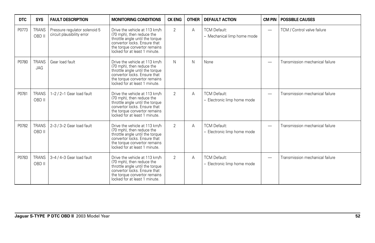| <b>DTC</b> | <b>SYS</b>             | <b>FAULT DESCRIPTION</b>                                    | <b>MONITORING CONDITIONS</b>                                                                                                                                                                   | <b>CK ENG</b>  | <b>OTHER</b> | <b>DEFAULT ACTION</b>                              | <b>CM PIN</b>            | <b>POSSIBLE CAUSES</b>          |
|------------|------------------------|-------------------------------------------------------------|------------------------------------------------------------------------------------------------------------------------------------------------------------------------------------------------|----------------|--------------|----------------------------------------------------|--------------------------|---------------------------------|
| P0773      | <b>TRANS</b><br>OBD II | Pressure regulator solenoid 5<br>circuit plausibility error | Drive the vehicle at 113 km/h<br>(70 mph), then reduce the<br>throttle angle until the torque<br>convertor locks. Ensure that<br>the torque convertor remains<br>locked for at least 1 minute. | $\overline{2}$ | A            | <b>TCM Default:</b><br>- Mechanical limp home mode | $\overline{\phantom{0}}$ | TCM / Control valve failure     |
| P0780      | <b>TRANS</b><br>JAG    | Gear load fault                                             | Drive the vehicle at 113 km/h<br>(70 mph), then reduce the<br>throttle angle until the torque<br>convertor locks. Ensure that<br>the torque convertor remains<br>locked for at least 1 minute. | N              | N            | None                                               |                          | Transmission mechanical failure |
| P0781      | <b>TRANS</b><br>OBD II | 1-2 / 2-1 Gear load fault                                   | Drive the vehicle at 113 km/h<br>(70 mph), then reduce the<br>throttle angle until the torque<br>convertor locks. Ensure that<br>the torque convertor remains<br>locked for at least 1 minute. | $\overline{2}$ | A            | <b>TCM Default:</b><br>- Electronic limp home mode |                          | Transmission mechanical failure |
| P0782      | <b>TRANS</b><br>OBD II | 2-3 / 3-2 Gear load fault                                   | Drive the vehicle at 113 km/h<br>(70 mph), then reduce the<br>throttle angle until the torque<br>convertor locks. Ensure that<br>the torque convertor remains<br>locked for at least 1 minute. | $\overline{2}$ | Α            | <b>TCM Default:</b><br>- Electronic limp home mode |                          | Transmission mechanical failure |
| P0783      | <b>TRANS</b><br>OBD II | 3-4 / 4-3 Gear load fault                                   | Drive the vehicle at 113 km/h<br>(70 mph), then reduce the<br>throttle angle until the torque<br>convertor locks. Ensure that<br>the torque convertor remains<br>locked for at least 1 minute. | $\overline{2}$ | Α            | <b>TCM Default:</b><br>- Electronic limp home mode | -                        | Transmission mechanical failure |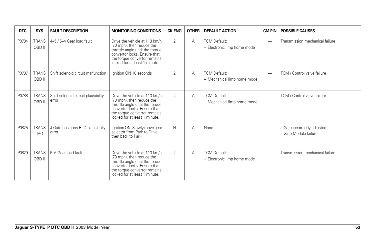| <b>DTC</b> | <b>SYS</b>                 | <b>FAULT DESCRIPTION</b>                     | <b>MONITORING CONDITIONS</b>                                                                                                                                                                   | <b>CK ENG</b>  | <b>OTHER</b> | <b>DEFAULT ACTION</b>                              | <b>CM PIN</b>            | <b>POSSIBLE CAUSES</b>                               |
|------------|----------------------------|----------------------------------------------|------------------------------------------------------------------------------------------------------------------------------------------------------------------------------------------------|----------------|--------------|----------------------------------------------------|--------------------------|------------------------------------------------------|
| P0784      | <b>TRANS</b><br>OBD II     | 4-5 / 5-4 Gear load fault                    | Drive the vehicle at 113 km/h<br>(70 mph), then reduce the<br>throttle angle until the torque<br>convertor locks. Ensure that<br>the torque convertor remains<br>locked for at least 1 minute. | 2              | A            | <b>TCM Default:</b><br>- Electronic limp home mode | $\overline{\phantom{0}}$ | Transmission mechanical failure                      |
| P0787      | <b>TRANS</b><br>OBD II     | Shift solenoid circuit malfunction           | Ignition ON 10 seconds                                                                                                                                                                         | 2              | A            | <b>TCM Default:</b><br>- Mechanical limp home mode | $\overline{\phantom{0}}$ | TCM / Control valve failure                          |
| P0788      | <b>TRANS</b><br>OBD II     | Shift solenoid circuit plausibility<br>error | Drive the vehicle at 113 km/h<br>(70 mph), then reduce the<br>throttle angle until the torque<br>convertor locks. Ensure that<br>the torque convertor remains<br>locked for at least 1 minute. | 2              | A            | <b>TCM Default:</b><br>- Mechanical limp home mode | $\overline{\phantom{0}}$ | TCM / Control valve failure                          |
| P0825      | <b>TRANS</b><br><b>JAG</b> | J Gate positions R, D plausibility<br>error  | Ignition ON. Slowly move gear<br>selector from Park to Drive,<br>then back to Park.                                                                                                            | N              | A            | None                                               | $\overline{\phantom{0}}$ | J Gate incorrectly adjusted<br>J Gate Module failure |
| P0829      | <b>TRANS</b><br>OBD II     | 5-6 Gear load fault                          | Drive the vehicle at 113 km/h<br>(70 mph), then reduce the<br>throttle angle until the torque<br>convertor locks. Ensure that<br>the torque convertor remains<br>locked for at least 1 minute. | $\overline{2}$ | A            | <b>TCM Default:</b><br>- Electronic limp home mode | $\overline{\phantom{0}}$ | Transmission mechanical failure                      |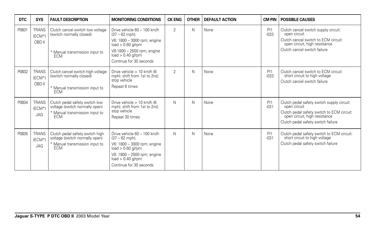| <b>DTC</b> | <b>SYS</b>                           | <b>FAULT DESCRIPTION</b>                                                                                          | <b>MONITORING CONDITIONS</b>                                                                                                                                                           | <b>CK ENG</b>  | <b>OTHER</b> | <b>DEFAULT ACTION</b> | <b>CM PIN</b>  | <b>POSSIBLE CAUSES</b>                                                                                                                                                          |
|------------|--------------------------------------|-------------------------------------------------------------------------------------------------------------------|----------------------------------------------------------------------------------------------------------------------------------------------------------------------------------------|----------------|--------------|-----------------------|----------------|---------------------------------------------------------------------------------------------------------------------------------------------------------------------------------|
| P0831      | <b>TRANS</b><br>$(ECM*)$<br>OBD II   | Clutch cancel switch low voltage<br>(switch normally closed)<br>* Manual transmission input to<br>ECM             | Drive vehicle 60 - 100 km/h<br>$(37 - 62$ mph);<br>V6: 1800 - 3000 rpm; engine<br>$load > 0.60$ q/rpm<br>V8:1800 - 2500 rpm; engine<br>$load > 0.40$ g/rpm<br>Continue for 30 seconds  | $\overline{2}$ | $\mathsf{N}$ | None                  | PI1<br>$-033$  | Clutch cancel switch supply circuit:<br>open circuit<br>Clutch cancel switch to ECM circuit:<br>open circuit, high resistance<br>Clutch cancel switch failure                   |
| P0832      | <b>TRANS</b><br>$(ECM^*)$<br>OBD II  | Clutch cancel switch high voltage<br>(switch normally closed)<br>* Manual transmission input to<br>ECM            | Drive vehicle $> 10$ km/h (6)<br>mph); shift from 1st to 2nd;<br>stop vehicle<br>Repeat 6 times                                                                                        | $\mathfrak{D}$ | $\mathsf{N}$ | None                  | PI1<br>$-0.33$ | Clutch cancel switch to ECM circuit:<br>short circuit to high voltage<br>Clutch cancel switch failure                                                                           |
| P0834      | <b>TRANS</b><br>$(ECM^*)$<br>JAG     | Clutch pedal safety switch low<br>voltage (switch normally open)<br>* Manual transmission input to<br>ECM         | Drive vehicle > 10 km/h (6<br>mph); shift from 1st to 2nd;<br>stop vehicle<br>Repeat 30 times                                                                                          | N              | $\mathsf{N}$ | None                  | PI1<br>$-031$  | Clutch pedal safety switch supply circuit:<br>open circuit<br>Clutch pedal safety switch to ECM circuit:<br>open circuit, high resistance<br>Clutch pedal safety switch failure |
| P0835      | <b>TRANS</b><br>(ECM*)<br><b>JAG</b> | Clutch pedal safety switch high<br>voltage (switch normally open)<br>* Manual transmission input to<br><b>ECM</b> | Drive vehicle 60 - 100 km/h<br>$(37 - 62$ mph);<br>V6: 1800 - 3000 rpm; engine<br>$load > 0.60$ q/rpm<br>V8: 1800 - 2500 rpm; engine<br>$load > 0.40$ g/rpm<br>Continue for 30 seconds | N              | N            | None                  | PI1<br>$-031$  | Clutch pedal safety switch to ECM circuit:<br>short circuit to high voltage<br>Clutch pedal safety switch failure                                                               |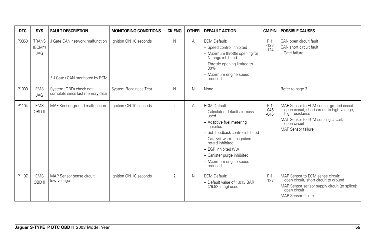| DTC   | <b>SYS</b>                              | <b>FAULT DESCRIPTION</b>                                          | <b>MONITORING CONDITIONS</b> | <b>CK ENG</b>  | <b>OTHER</b> | <b>DEFAULT ACTION</b>                                                                                                                                                                                                                                                                   | <b>CM PIN</b>           | <b>POSSIBLE CAUSES</b>                                                                                                                                                                 |
|-------|-----------------------------------------|-------------------------------------------------------------------|------------------------------|----------------|--------------|-----------------------------------------------------------------------------------------------------------------------------------------------------------------------------------------------------------------------------------------------------------------------------------------|-------------------------|----------------------------------------------------------------------------------------------------------------------------------------------------------------------------------------|
| P0860 | <b>TRANS</b><br>$(ECM^*)$<br><b>JAG</b> | J Gate CAN network malfunction<br>* J Gate / CAN monitored by ECM | Ignition ON 10 seconds       | N              | A            | <b>ECM Default:</b><br>- Speed control inhibited<br>- Maximum throttle opening for<br>N range inhibited<br>- Throttle opening limited to<br>30%<br>- Maximum engine speed<br>reduced                                                                                                    | PI1<br>$-123$<br>$-124$ | CAN open circuit fault<br>CAN short circuit fault<br>J Gate failure                                                                                                                    |
| P1000 | <b>EMS</b><br><b>JAG</b>                | System (OBD) check not<br>complete since last memory clear        | System Readiness Test        | N              | N            | None                                                                                                                                                                                                                                                                                    | -                       | Refer to page 3                                                                                                                                                                        |
| P1104 | <b>EMS</b><br>OBD II                    | MAF Sensor ground malfunction                                     | lanition ON 10 seconds       | $\overline{2}$ | A            | <b>ECM Default:</b><br>- Calculated default air mass<br>used<br>- Adaptive fuel metering<br>inhibited<br>- Sub feedback control inhibited<br>- Catalyst warm up ignition<br>retard inhibited<br>- EGR inhibited (V8)<br>- Canister purge inhibited<br>- Maximum engine speed<br>reduced | PI1<br>$-045$<br>$-046$ | MAF Sensor to ECM sensor ground circuit<br>open circuit, short circuit to high voltage,<br>high resistance<br>MAF Sensor to ECM sensing circuit:<br>open circuit<br>MAF Sensor failure |
| P1107 | <b>EMS</b><br>OBD II                    | MAP Sensor sense circuit<br>low voltage                           | Ignition ON 10 seconds       | $\overline{2}$ | N            | <b>ECM Default:</b><br>- Default value of 1.013 BAR<br>(29.92 in hg) used                                                                                                                                                                                                               | PI1<br>$-127$           | MAP Sensor to ECM sense circuit:<br>open circuit, short circuit to ground<br>MAP Sensor sensor supply circuit (to splice):<br>open circuit<br><b>MAP Sensor failure</b>                |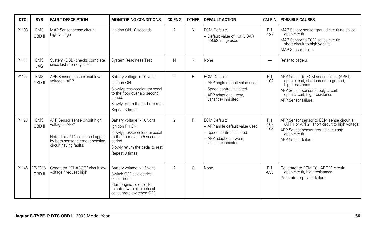| DTC   | <b>SYS</b>               | <b>FAULT DESCRIPTION</b>                                                                                                                       | <b>MONITORING CONDITIONS</b>                                                                                                                                                  | <b>CK ENG</b>  | <b>OTHER</b> | <b>DEFAULT ACTION</b>                                                                                                               | CM PIN                   | <b>POSSIBLE CAUSES</b>                                                                                                                                                                           |
|-------|--------------------------|------------------------------------------------------------------------------------------------------------------------------------------------|-------------------------------------------------------------------------------------------------------------------------------------------------------------------------------|----------------|--------------|-------------------------------------------------------------------------------------------------------------------------------------|--------------------------|--------------------------------------------------------------------------------------------------------------------------------------------------------------------------------------------------|
| P1108 | <b>EMS</b><br>OBD II     | MAP Sensor sense circuit<br>high voltage                                                                                                       | lanition ON 10 seconds                                                                                                                                                        | 2              | N            | <b>ECM Default:</b><br>- Default value of 1.013 BAR<br>$(29.92$ in hg) used                                                         | PI1<br>$-127$            | MAP Sensor sensor ground circuit (to splice):<br>open circuit<br>MAP Sensor to ECM sense circuit:<br>short circuit to high voltage<br>MAP Sensor failure                                         |
| P1111 | <b>EMS</b><br><b>JAG</b> | System (OBD) checks complete<br>since last memory clear                                                                                        | <b>System Readiness Test</b>                                                                                                                                                  | N              | N            | None                                                                                                                                | $\overline{\phantom{0}}$ | Refer to page 3                                                                                                                                                                                  |
| P1122 | <b>EMS</b><br>OBD II     | APP Sensor sense circuit low<br>voltage - APP1                                                                                                 | Battery voltage > 10 volts<br>Ignition ON<br>Slowly press accelerator pedal<br>to the floor over a 5 second<br>period.<br>Slowly return the pedal to rest<br>Repeat 3 times   | $\overline{2}$ | R            | <b>ECM Default:</b><br>- APP angle default value used<br>- Speed control inhibited<br>- APP adaptions (wear,<br>variance) inhibited | PI1<br>$-102$            | APP Sensor to ECM sense circuit (APP1):<br>open circuit, short circuit to ground,<br>high resistance<br>APP Sensor sensor supply circuit:<br>open circuit, high resistance<br>APP Sensor failure |
| P1123 | <b>EMS</b><br>OBD II     | APP Sensor sense circuit high<br>voltage - APP1<br>Note: This DTC could be flagged<br>by both sensor element sensing<br>circuit having faults. | Battery voltage > 10 volts<br>Ignition PI1ON<br>Slowly press accelerator pedal<br>to the floor over a 5 second<br>period<br>Slowly return the pedal to rest<br>Repeat 3 times | $\overline{2}$ | R            | <b>ECM Default:</b><br>- APP angle default value used<br>- Speed control inhibited<br>- APP adaptions (wear,<br>variance) inhibited | PI1<br>$-102$<br>$-103$  | APP Sensor sensor to ECM sense circuit(s)<br>(APP1 or APP2): short circuit to high voltage<br>APP Sensor sensor ground circuit(s):<br>open circuit<br>APP Sensor failure                         |
| P1146 | V6EMS<br>OBD II          | Generator "CHARGE" circuit low<br>voltage / request high                                                                                       | Battery voltage > 12 volts<br>Switch OFF all electrical<br>consumers<br>Start engine; idle for 16<br>minutes with all electrical<br>consumers switched OFF                    | $\mathfrak{D}$ | C            | None                                                                                                                                | PI1<br>$-053$            | Generator to ECM "CHARGE" circuit:<br>open circuit, high resistance<br>Generator regulator failure                                                                                               |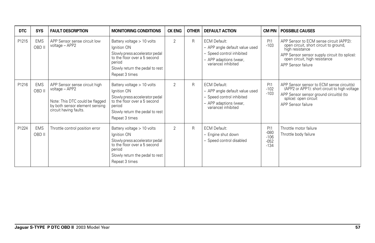| <b>DTC</b> | <b>SYS</b>           | <b>FAULT DESCRIPTION</b>                                                                                                                       | <b>MONITORING CONDITIONS</b>                                                                                                                                               | <b>CK ENG</b>  | <b>OTHER</b> | <b>DEFAULT ACTION</b>                                                                                                               | CM PIN                                      | <b>POSSIBLE CAUSES</b>                                                                                                                                                                                       |
|------------|----------------------|------------------------------------------------------------------------------------------------------------------------------------------------|----------------------------------------------------------------------------------------------------------------------------------------------------------------------------|----------------|--------------|-------------------------------------------------------------------------------------------------------------------------------------|---------------------------------------------|--------------------------------------------------------------------------------------------------------------------------------------------------------------------------------------------------------------|
| P1215      | <b>EMS</b><br>OBD II | APP Sensor sense circuit low<br>voltage - APP2                                                                                                 | Battery voltage > 10 volts<br>Ignition ON<br>Slowly press accelerator pedal<br>to the floor over a 5 second<br>period<br>Slowly return the pedal to rest<br>Repeat 3 times | $\overline{2}$ | R            | <b>ECM Default:</b><br>- APP angle default value used<br>- Speed control inhibited<br>- APP adaptions (wear,<br>variance) inhibited | PI1<br>$-103$                               | APP Sensor to ECM sense circuit (APP2):<br>open circuit, short circuit to ground,<br>high resistance<br>APP Sensor sensor supply circuit (to splice):<br>open circuit, high resistance<br>APP Sensor failure |
| P1216      | <b>EMS</b><br>OBD II | APP Sensor sense circuit high<br>voltage - APP2<br>Note: This DTC could be flagged<br>by both sensor element sensing<br>circuit having faults. | Battery voltage > 10 volts<br>Ignition ON<br>Slowly press accelerator pedal<br>to the floor over a 5 second<br>period<br>Slowly return the pedal to rest<br>Repeat 3 times | $\mathfrak{D}$ | R            | <b>ECM Default:</b><br>- APP angle default value used<br>- Speed control inhibited<br>- APP adaptions (wear,<br>variance) inhibited | P <sub>11</sub><br>$-102$<br>$-103$         | APP Sensor sensor to ECM sense circuit(s)<br>(APP2 or APP1): short circuit to high voltage<br>APP Sensor sensor ground circuit(s) (to<br>splice): open circuit<br>APP Sensor failure                         |
| P1224      | <b>EMS</b><br>OBD II | Throttle control position error                                                                                                                | Battery voltage > 10 volts<br>Ignition ON<br>Slowly press accelerator pedal<br>to the floor over a 5 second<br>period<br>Slowly return the pedal to rest<br>Repeat 3 times | $\overline{2}$ | R            | <b>ECM Default:</b><br>- Engine shut down<br>- Speed control disabled                                                               | PI1<br>$-080$<br>$-106$<br>$-052$<br>$-134$ | Throttle motor failure<br>Throttle body failure                                                                                                                                                              |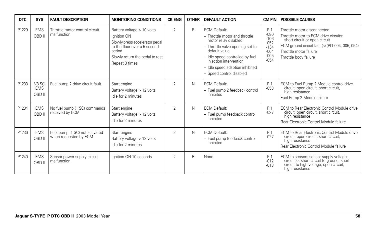| DTC   | <b>SYS</b>                    | <b>FAULT DESCRIPTION</b>                                | <b>MONITORING CONDITIONS</b>                                                                                                                                               | <b>CK ENG</b>  | <b>OTHER</b> | <b>DEFAULT ACTION</b>                                                                                                                                                                                                                                        |                                                                           | <b>CM PIN   POSSIBLE CAUSES</b>                                                                                                                                                                             |
|-------|-------------------------------|---------------------------------------------------------|----------------------------------------------------------------------------------------------------------------------------------------------------------------------------|----------------|--------------|--------------------------------------------------------------------------------------------------------------------------------------------------------------------------------------------------------------------------------------------------------------|---------------------------------------------------------------------------|-------------------------------------------------------------------------------------------------------------------------------------------------------------------------------------------------------------|
| P1229 | <b>EMS</b><br>OBD II          | Throttle motor control circuit<br>malfunction           | Battery voltage > 10 volts<br>Ignition ON<br>Slowly press accelerator pedal<br>to the floor over a 5 second<br>period<br>Slowly return the pedal to rest<br>Repeat 3 times | $\overline{2}$ | R            | <b>ECM Default:</b><br>- Throttle motor and throttle<br>motor relay disabled<br>- Throttle valve opening set to<br>default value<br>- Idle speed controlled by fuel<br>injection intervention<br>- Idle speed adaption inhibited<br>- Speed control disabled | PI1<br>$-080$<br>$-106$<br>$-052$<br>$-134$<br>$-004$<br>$-005$<br>$-054$ | Throttle motor disconnected<br>Throttle motor to ECM drive circuits:<br>short circuit or open circuit<br>ECM ground circuit fault(s) (PI1-004, 005, 054)<br>Throttle motor failure<br>Throttle body failure |
| P1233 | V8 SC<br><b>EMS</b><br>OBD II | Fuel pump 2 drive circuit fault                         | Start engine<br>Battery voltage > 12 volts<br>Idle for 2 minutes                                                                                                           | 2              | N            | <b>ECM Default:</b><br>- Fuel pump 2 feedback control<br>inhibited                                                                                                                                                                                           | PI1<br>$-053$                                                             | ECM to Fuel Pump 2 Module control drive<br>circuit: open circuit, short circuit,<br>high resistance<br>Fuel Pump 2 Module failure                                                                           |
| P1234 | <b>EMS</b><br>OBD II          | No fuel pump (1 SC) commands<br>received by ECM         | Start engine<br>Battery voltage $> 12$ volts<br>Idle for 2 minutes                                                                                                         | $\overline{2}$ | N            | <b>ECM Default:</b><br>- Fuel pump feedback control<br>inhibited                                                                                                                                                                                             | P <sub>11</sub><br>$-027$                                                 | ECM to Rear Electronic Control Module drive<br>circuit: open circuit, short circuit,<br>high resistance<br>Rear Electronic Control Module failure                                                           |
| P1236 | <b>EMS</b><br>OBD II          | Fuel pump (1 SC) not activated<br>when requested by ECM | Start engine<br>Battery voltage > 12 volts<br>Idle for 2 minutes                                                                                                           | 2              | N            | <b>ECM Default:</b><br>- Fuel pump feedback control<br>inhibited                                                                                                                                                                                             | PI1<br>$-027$                                                             | ECM to Rear Electronic Control Module drive<br>circuit: open circuit, short circuit,<br>high resistance<br>Rear Electronic Control Module failure                                                           |
| P1240 | <b>EMS</b><br>OBD II          | Sensor power supply circuit<br>malfunction              | Ignition ON 10 seconds                                                                                                                                                     | $\overline{2}$ | $\mathsf{R}$ | None                                                                                                                                                                                                                                                         | PI1<br>$-012$<br>$-013$                                                   | ECM to sensors sensor supply voltage<br>circuit(s): short circuit to ground, short<br>circuit to high voltage, open circuit,<br>high resistance                                                             |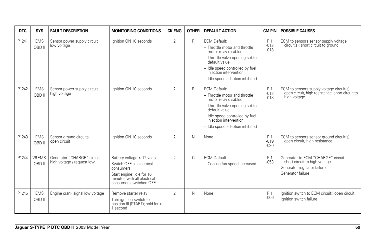| <b>DTC</b> | <b>SYS</b>           | <b>FAULT DESCRIPTION</b>                                 | <b>MONITORING CONDITIONS</b>                                                                                                                               | <b>CK ENG</b>  | <b>OTHER</b> | <b>DEFAULT ACTION</b>                                                                                                                                                                                                            | <b>CM PIN</b>                  | <b>POSSIBLE CAUSES</b>                                                                                                  |
|------------|----------------------|----------------------------------------------------------|------------------------------------------------------------------------------------------------------------------------------------------------------------|----------------|--------------|----------------------------------------------------------------------------------------------------------------------------------------------------------------------------------------------------------------------------------|--------------------------------|-------------------------------------------------------------------------------------------------------------------------|
| P1241      | <b>EMS</b><br>OBD II | Sensor power supply circuit<br>low voltage               | lanition ON 10 seconds                                                                                                                                     | 2              | R            | <b>ECM Default:</b><br>- Throttle motor and throttle<br>motor relay disabled<br>- Throttle valve opening set to<br>default value<br>- Idle speed controlled by fuel<br>injection intervention<br>- Idle speed adaption inhibited | <b>PI1</b><br>$-012$<br>$-013$ | ECM to sensors sensor supply voltage<br>circuit(s): short circuit to ground                                             |
| P1242      | <b>EMS</b><br>OBD II | Sensor power supply circuit<br>high voltage              | lanition ON 10 seconds                                                                                                                                     | 2              | $\mathsf{R}$ | <b>ECM Default:</b><br>- Throttle motor and throttle<br>motor relay disabled<br>- Throttle valve opening set to<br>default value<br>- Idle speed controlled by fuel<br>injection intervention<br>- Idle speed adaption inhibited | PI1<br>$-012$<br>$-013$        | ECM to sensors supply voltage circuit(s):<br>open circuit, high resistance, short circuit to<br>high voltage            |
| P1243      | <b>EMS</b><br>OBD II | Sensor ground circuits<br>open circuit                   | Ignition ON 10 seconds                                                                                                                                     | $\overline{2}$ | N            | None                                                                                                                                                                                                                             | PI1<br>$-019$<br>$-020$        | ECM to sensors sensor ground circuit(s):<br>open circuit, high resistance                                               |
| P1244      | V6EMS<br>OBD II      | Generator "CHARGE" circuit<br>high voltage / request low | Battery voltage > 12 volts<br>Switch OFF all electrical<br>consumers<br>Start engine; idle for 16<br>minutes with all electrical<br>consumers switched OFF | 2              | $\mathsf{C}$ | <b>ECM Default:</b><br>- Cooling fan speed increased                                                                                                                                                                             | PI1<br>$-053$                  | Generator to ECM "CHARGE" circuit:<br>short circuit to high voltage<br>Generator regulator failure<br>Generator failure |
| P1245      | <b>EMS</b><br>OBD II | Engine crank signal low voltage                          | Remove starter relay<br>Turn ignition switch to<br>position III (START); hold for ><br>second                                                              | $\overline{2}$ | N            | None                                                                                                                                                                                                                             | PI1<br>$-006$                  | Ignition switch to ECM circuit:: open circuit<br>Ignition switch failure                                                |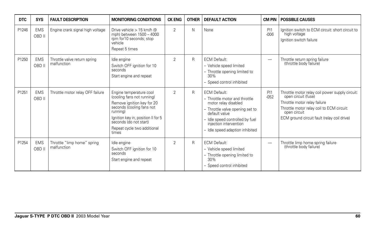| <b>DTC</b> | <b>SYS</b>           | <b>FAULT DESCRIPTION</b>                    | <b>MONITORING CONDITIONS</b>                                                                                                                                                                                                         | <b>CK ENG</b>  | <b>OTHER</b>   | <b>DEFAULT ACTION</b>                                                                                                                                                                                                          | <b>CM PIN</b> | <b>POSSIBLE CAUSES</b>                                                                                                                                                                                             |
|------------|----------------------|---------------------------------------------|--------------------------------------------------------------------------------------------------------------------------------------------------------------------------------------------------------------------------------------|----------------|----------------|--------------------------------------------------------------------------------------------------------------------------------------------------------------------------------------------------------------------------------|---------------|--------------------------------------------------------------------------------------------------------------------------------------------------------------------------------------------------------------------|
| P1246      | <b>EMS</b><br>OBD II | Engine crank signal high voltage            | Drive vehicle $> 15$ km/h (9)<br>mph) between 1500 - 4000<br>rpm for 10 seconds; stop<br>vehicle<br>Repeat 5 times                                                                                                                   | $\overline{2}$ | N              | None                                                                                                                                                                                                                           | PI1<br>$-006$ | lanition switch to ECM circuit: short circuit to<br>high voltage<br>Ignition switch failure                                                                                                                        |
| P1250      | <b>EMS</b><br>OBD II | Throttle valve return spring<br>malfunction | Idle engine<br>Switch OFF ignition for 10<br>seconds<br>Start engine and repeat                                                                                                                                                      | $\overline{2}$ | R              | <b>ECM Default:</b><br>- Vehicle speed limited<br>- Throttle opening limited to<br>30%<br>- Speed control inhibited                                                                                                            | -             | Throttle return spring failure<br>(throttle body failure)                                                                                                                                                          |
| P1251      | <b>EMS</b><br>OBD II | Throttle motor relay OFF failure            | Engine temperature cool<br>(cooling fans not running)<br>Remove ignition key for 20<br>seconds (cooling fans not<br>running)<br>Ignition key in, position II for 5<br>seconds (do not start)<br>Repeat cycle two additional<br>times | $\overline{2}$ | R              | <b>ECM Default:</b><br>- Throttle motor and throttle<br>motor relay disabled<br>- Throttle valve opening set to<br>default value<br>Idle speed controlled by fuel<br>injection intervention<br>- Idle speed adaption inhibited | PI1<br>$-052$ | Throttle motor relay coil power supply circuit:<br>open circuit (fuse)<br>Throttle motor relay failure<br>Throttle motor relay coil to ECM circuit:<br>open circuit<br>ECM ground circuit fault (relay coil drive) |
| P1254      | <b>EMS</b><br>OBD II | Throttle "limp home" spring<br>malfunction  | Idle engine<br>Switch OFF ignition for 10<br>seconds<br>Start engine and repeat                                                                                                                                                      | $\overline{2}$ | $\overline{R}$ | <b>ECM Default:</b><br>- Vehicle speed limited<br>- Throttle opening limited to<br>30%<br>- Speed control inhibited                                                                                                            | -             | Throttle limp home spring failure<br>(throttle body failure)                                                                                                                                                       |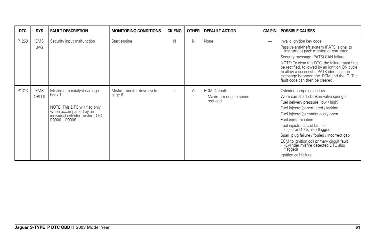| <b>DTC</b> | <b>SYS</b>           | <b>FAULT DESCRIPTION</b>                                                                                                                                 | <b>MONITORING CONDITIONS</b>            | <b>CK ENG</b>  | <b>OTHER</b> | <b>DEFAULT ACTION</b>                                    | CM PIN                   | <b>POSSIBLE CAUSES</b>                                                                                                                                                                                                                                                                                                                                                                                                                                    |
|------------|----------------------|----------------------------------------------------------------------------------------------------------------------------------------------------------|-----------------------------------------|----------------|--------------|----------------------------------------------------------|--------------------------|-----------------------------------------------------------------------------------------------------------------------------------------------------------------------------------------------------------------------------------------------------------------------------------------------------------------------------------------------------------------------------------------------------------------------------------------------------------|
| P1260      | <b>EMS</b><br>JAG    | Security input malfunction                                                                                                                               | Start engine                            | N              | N            | None                                                     | $\overline{\phantom{0}}$ | Invalid ignition key code<br>Passive anti-theft system (PATS) signal to<br>instrument pack missing or corrupted<br>Security message (PATS) CAN failure<br>NOTE: To clear this DTC, the failure must first<br>be rectified, followed by an ignition ON cycle<br>to allow a successful PATS identification<br>exchange between the ECM and the IC. The<br>fault code can then be cleared.                                                                   |
| P1313      | <b>EMS</b><br>OBD II | Misfire rate catalyst damage -<br>bank 1<br>NOTE: This DTC will flag only<br>when accompanied by an<br>individual cylinder misfire DTC:<br>P0300 - P0308 | Misfire monitor drive cycle -<br>page 6 | $\overline{2}$ | Α            | <b>ECM Default:</b><br>- Maximum engine speed<br>reduced | $\overline{\phantom{0}}$ | Cylinder compression low<br>Worn camshaft / broken valve spring(s)<br>Fuel delivery pressure (low / high)<br>Fuel injector(s) restricted / leaking<br>Fuel injector(s) continuously open<br>Fuel contamination<br>Fuel injector circuit fault(s)<br>(Injector DTCs also flagged)<br>Spark plug failure / fouled / incorrect gap<br>ECM to ignition coil primary circuit fault<br>(Cylinder misfire detected DTC also<br>flagged)<br>Ignition coil failure |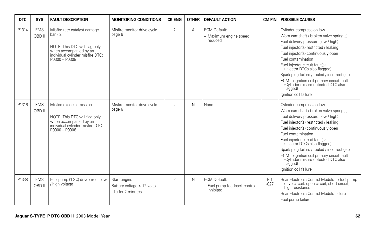| <b>DTC</b> | <b>SYS</b>           | <b>FAULT DESCRIPTION</b>                                                                                                                                 | <b>MONITORING CONDITIONS</b>                                     | <b>CK ENG</b>  | <b>OTHER</b> | <b>DEFAULT ACTION</b>                                            | <b>CM PIN</b>            | <b>POSSIBLE CAUSES</b>                                                                                                                                                                                                                                                                                                                                                                                                                                    |
|------------|----------------------|----------------------------------------------------------------------------------------------------------------------------------------------------------|------------------------------------------------------------------|----------------|--------------|------------------------------------------------------------------|--------------------------|-----------------------------------------------------------------------------------------------------------------------------------------------------------------------------------------------------------------------------------------------------------------------------------------------------------------------------------------------------------------------------------------------------------------------------------------------------------|
| P1314      | <b>EMS</b><br>OBD II | Misfire rate catalyst damage -<br>bank 2<br>NOTE: This DTC will flag only<br>when accompanied by an<br>individual cylinder misfire DTC:<br>P0300 - P0308 | Misfire monitor drive cycle -<br>page 6                          | $\overline{2}$ | A            | <b>ECM Default:</b><br>- Maximum engine speed<br>reduced         | $\overline{\phantom{0}}$ | Cylinder compression low<br>Worn camshaft / broken valve spring(s)<br>Fuel delivery pressure (low / high)<br>Fuel injector(s) restricted / leaking<br>Fuel injector(s) continuously open<br>Fuel contamination<br>Fuel injector circuit fault(s)<br>(Injector DTCs also flagged)<br>Spark plug failure / fouled / incorrect gap<br>ECM to ignition coil primary circuit fault<br>(Cylinder misfire detected DTC also<br>flagged)<br>Ignition coil failure |
| P1316      | <b>EMS</b><br>OBD II | Misfire excess emission<br>NOTE: This DTC will flag only<br>when accompanied by an<br>individual cylinder misfire DTC:<br>P0300 - P0308                  | Misfire monitor drive cycle -<br>page 6                          | $\mathfrak{D}$ | N            | None                                                             | $\overline{\phantom{0}}$ | Cylinder compression low<br>Worn camshaft / broken valve spring(s)<br>Fuel delivery pressure (low / high)<br>Fuel injector(s) restricted / leaking<br>Fuel injector(s) continuously open<br>Fuel contamination<br>Fuel injector circuit fault(s)<br>(Injector DTCs also flagged)<br>Spark plug failure / fouled / incorrect gap<br>ECM to ignition coil primary circuit fault<br>(Cylinder misfire detected DTC also<br>flagged)<br>Ignition coil failure |
| P1338      | <b>EMS</b><br>OBD II | Fuel pump (1 SC) drive circuit low<br>/ high voltage                                                                                                     | Start engine<br>Battery voltage > 12 volts<br>Idle for 2 minutes | $\mathfrak{D}$ | N            | <b>ECM Default:</b><br>- Fuel pump feedback control<br>inhibited | PI1<br>$-027$            | Rear Electronic Control Module to fuel pump<br>drive circuit: open circuit, short circuit,<br>high resistance<br>Rear Electronic Control Module failure<br>Fuel pump failure                                                                                                                                                                                                                                                                              |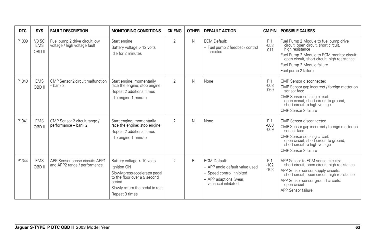| DTC   | <b>SYS</b>                    | <b>FAULT DESCRIPTION</b>                                       | <b>MONITORING CONDITIONS</b>                                                                                                                                               | <b>CK ENG</b>  | <b>OTHER</b> | <b>DEFAULT ACTION</b>                                                                                                               | CM PIN                              | <b>POSSIBLE CAUSES</b>                                                                                                                                                                                                                               |
|-------|-------------------------------|----------------------------------------------------------------|----------------------------------------------------------------------------------------------------------------------------------------------------------------------------|----------------|--------------|-------------------------------------------------------------------------------------------------------------------------------------|-------------------------------------|------------------------------------------------------------------------------------------------------------------------------------------------------------------------------------------------------------------------------------------------------|
| P1339 | V8 SC<br><b>EMS</b><br>OBD II | Fuel pump 2 drive circuit low<br>voltage / high voltage fault  | Start engine<br>Battery voltage > 12 volts<br>Idle for 2 minutes                                                                                                           | $\overline{2}$ | N            | <b>ECM Default:</b><br>- Fuel pump 2 feedback control<br>inhibited                                                                  | PI1<br>$-053$<br>$-011$             | Fuel Pump 2 Module to fuel pump drive<br>circuit: open circuit, short circuit,<br>high resistance<br>Fuel Pump 2 Module to ECM monitor circuit:<br>open circuit, short circuit, high resistance<br>Fuel Pump 2 Module failure<br>Fuel pump 2 failure |
| P1340 | <b>EMS</b><br>OBD II          | CMP Sensor 2 circuit malfunction<br>– bank 2                   | Start engine; momentarily<br>race the engine; stop engine<br>Repeat 2 additional times<br>Idle engine 1 minute                                                             | $\overline{2}$ | $\mathsf{N}$ | None                                                                                                                                | P <sub>11</sub><br>$-068$<br>$-069$ | CMP Sensor disconnected<br>CMP Sensor gap incorrect / foreign matter on<br>sensor face<br>CMP Sensor sensing circuit:<br>open circuit, short circuit to ground,<br>short circuit to high voltage<br>CMP Sensor 2 failure                             |
| P1341 | <b>EMS</b><br>OBD II          | CMP Sensor 2 circuit range /<br>performance - bank 2           | Start engine; momentarily<br>race the engine; stop engine<br>Repeat 2 additional times<br>Idle engine 1 minute                                                             | 2              | $\mathsf{N}$ | None                                                                                                                                | PI1<br>$-068$<br>$-069$             | CMP Sensor disconnected<br>CMP Sensor gap incorrect / foreign matter on<br>sensor face<br>CMP Sensor sensing circuit:<br>open circuit, short circuit to ground,<br>short circuit to high voltage<br>CMP Sensor 2 failure                             |
| P1344 | <b>EMS</b><br>OBD II          | APP Sensor sense circuits APP1<br>and APP2 range / performance | Battery voltage > 10 volts<br>Ignition ON<br>Slowly press accelerator pedal<br>to the floor over a 5 second<br>period<br>Slowly return the pedal to rest<br>Repeat 3 times | $\overline{2}$ | $\mathsf{R}$ | <b>ECM Default:</b><br>- APP angle default value used<br>- Speed control inhibited<br>- APP adaptions (wear,<br>variance) inhibited | PI1<br>$-102$<br>$-103$             | APP Sensor to ECM sense circuits:<br>short circuit, open circuit, high resistance<br>APP Sensor sensor supply circuits:<br>short circuit, open circuit, high resistance<br>APP Sensor sensor ground circuits:<br>open circuit<br>APP Sensor failure  |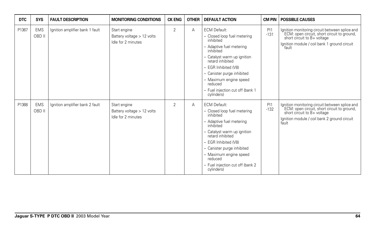| <b>DTC</b> | <b>SYS</b>           | <b>FAULT DESCRIPTION</b>        | <b>MONITORING CONDITIONS</b>                                     | <b>CK ENG</b>  | <b>OTHER</b> | <b>DEFAULT ACTION</b>                                                                                                                                                                                                                                                                                     | <b>CM PIN</b> | <b>POSSIBLE CAUSES</b>                                                                                                                                                                |
|------------|----------------------|---------------------------------|------------------------------------------------------------------|----------------|--------------|-----------------------------------------------------------------------------------------------------------------------------------------------------------------------------------------------------------------------------------------------------------------------------------------------------------|---------------|---------------------------------------------------------------------------------------------------------------------------------------------------------------------------------------|
| P1367      | <b>EMS</b><br>OBD II | Ignition amplifier bank 1 fault | Start engine<br>Battery voltage > 12 volts<br>Idle for 2 minutes | $\overline{2}$ | A            | <b>ECM Default:</b><br>- Closed loop fuel metering<br>inhibited<br>- Adaptive fuel metering<br>inhibited<br>- Catalyst warm up ignition<br>retard inhibited<br>- EGR Inhibited (V8)<br>- Canister purge inhibited<br>- Maximum engine speed<br>reduced<br>- Fuel injection cut off (bank 1<br>cylinders)  | PI1<br>$-131$ | Ignition monitoring circuit between splice and<br>ECM: open circuit, short circuit to ground,<br>short circuit to B+ voltage<br>Ignition module / coil bank 1 ground circuit<br>fault |
| P1368      | <b>EMS</b><br>OBD II | Ignition amplifier bank 2 fault | Start engine<br>Battery voltage > 12 volts<br>Idle for 2 minutes | $\overline{2}$ | A            | <b>ECM Default:</b><br>- Closed loop fuel metering<br>inhibited<br>- Adaptive fuel metering<br>inhibited<br>- Catalyst warm up ignition<br>retard inhibited<br>- EGR Inhibited (V8)<br>- Canister purge inhibited<br>- Maximum engine speed<br>reduced<br>- Fuel injection cut off (bank 2)<br>cylinders) | PI1<br>$-132$ | Ignition monitoring circuit between splice and<br>ECM: open circuit, short circuit to ground,<br>short circuit to B+ voltage<br>Ignition module / coil bank 2 ground circuit<br>fault |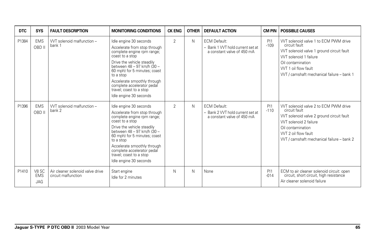| <b>DTC</b> | <b>SYS</b>                        | <b>FAULT DESCRIPTION</b>                                | <b>MONITORING CONDITIONS</b>                                                                                                                                                                                                                                                                                                       | <b>CK ENG</b> | <b>OTHER</b> | <b>DEFAULT ACTION</b>                                                                 | <b>CM PIN</b>             | <b>POSSIBLE CAUSES</b>                                                                                                                                                                                                  |
|------------|-----------------------------------|---------------------------------------------------------|------------------------------------------------------------------------------------------------------------------------------------------------------------------------------------------------------------------------------------------------------------------------------------------------------------------------------------|---------------|--------------|---------------------------------------------------------------------------------------|---------------------------|-------------------------------------------------------------------------------------------------------------------------------------------------------------------------------------------------------------------------|
| P1384      | <b>EMS</b><br>OBD II              | WT solenoid malfunction -<br>bank 1                     | Idle engine 30 seconds<br>Accelerate from stop through<br>complete engine rpm range;<br>coast to a stop<br>Drive the vehicle steadily<br>between 48 - 97 km/h (30 -<br>60 mph) for 5 minutes; coast<br>to a stop<br>Accelerate smoothly through<br>complete accelerator pedal<br>travel; coast to a stop<br>Idle engine 30 seconds | 2             | N            | <b>ECM Default:</b><br>- Bank 1 VVT hold current set at<br>a constant valve of 450 mA | <b>PI1</b><br>$-109$      | VVT solenoid valve 1 to ECM PWM drive<br>circuit fault<br>VVT solenoid valve 1 ground circuit fault<br>VVT solenoid 1 failure<br>Oil contamination<br>WT 1 oil flow fault<br>WT / camshaft mechanical failure - bank 1  |
| P1396      | <b>EMS</b><br>OBD II              | WT solenoid malfunction -<br>bank 2                     | Idle engine 30 seconds<br>Accelerate from stop through<br>complete engine rpm range;<br>coast to a stop<br>Drive the vehicle steadily<br>between 48 - 97 km/h (30 -<br>60 mph) for 5 minutes; coast<br>to a stop<br>Accelerate smoothly through<br>complete accelerator pedal<br>travel; coast to a stop<br>Idle engine 30 seconds | 2             | N            | <b>ECM Default:</b><br>- Bank 2 VVT hold current set at<br>a constant valve of 450 mA | PI1<br>$-110$             | VVT solenoid valve 2 to ECM PWM drive<br>circuit fault<br>VVT solenoid valve 2 ground circuit fault<br>VVT solenoid 2 failure<br>Oil contamination<br>WT 2 oil flow fault<br>VVT / camshaft mechanical failure - bank 2 |
| P1410      | V8 SC<br><b>EMS</b><br><b>JAG</b> | Air cleaner solenoid valve drive<br>circuit malfunction | Start engine<br>Idle for 2 minutes                                                                                                                                                                                                                                                                                                 | N             | N            | None                                                                                  | P <sub>11</sub><br>$-014$ | ECM to air cleaner solenoid circuit: open<br>circuit, short circuit, high resistance<br>Air cleaner solenoid failure                                                                                                    |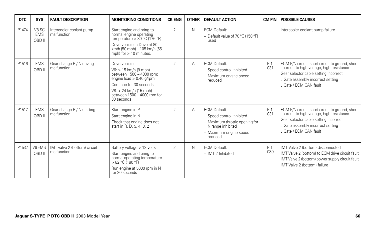| <b>DTC</b> | <b>SYS</b>                    | <b>FAULT DESCRIPTION</b>                    | <b>MONITORING CONDITIONS</b>                                                                                                                                                                         | <b>CK ENG</b>  | <b>OTHER</b> | <b>DEFAULT ACTION</b>                                                                                                                        | <b>CM PIN</b>             | <b>POSSIBLE CAUSES</b>                                                                                                                                                                              |
|------------|-------------------------------|---------------------------------------------|------------------------------------------------------------------------------------------------------------------------------------------------------------------------------------------------------|----------------|--------------|----------------------------------------------------------------------------------------------------------------------------------------------|---------------------------|-----------------------------------------------------------------------------------------------------------------------------------------------------------------------------------------------------|
| P1474      | V8 SC<br><b>EMS</b><br>OBD II | Intercooler coolant pump<br>malfunction     | Start engine and bring to<br>normal engine operating<br>temperature > $80 °C$ (176 °F)<br>Drive vehicle in Drive at 80<br>km/h (50 mph) - 105 km/h (65<br>mph) for $> 10$ minutes.                   | $\overline{2}$ | N            | <b>ECM Default:</b><br>- Default value of 70 °C (158 °F)<br>used                                                                             | $\overline{\phantom{0}}$  | Intercooler coolant pump failure                                                                                                                                                                    |
| P1516      | <b>EMS</b><br>OBD II          | Gear change P / N driving<br>malfunction    | Drive vehicle<br>$V6:$ > 15 km/h (9 mph)<br>between 1500 - 4000 rpm;<br>engine load $> 0.40$ g/rpm<br>Continue for 30 seconds<br>V8: > 24 km/h (15 mph)<br>between 1500 - 4000 rpm for<br>30 seconds | $\overline{2}$ | Α            | <b>ECM Default:</b><br>- Speed control inhibited<br>- Maximum engine speed<br>reduced                                                        | PI1<br>$-031$             | ECM P/N circuit: short circuit to ground, short<br>circuit to high voltage; high resistance<br>Gear selector cable setting incorrect<br>J Gate assembly incorrect setting<br>J Gate / ECM CAN fault |
| P1517      | <b>EMS</b><br>OBD II          | Gear change P / N starting<br>malfunction   | Start engine in P<br>Start engine in N<br>Check that engine does not<br>start in R, D, 5, 4, 3, 2                                                                                                    | $\overline{2}$ | A            | <b>ECM Default:</b><br>- Speed control inhibited<br>- Maximum throttle opening for<br>N range inhibited<br>- Maximum engine speed<br>reduced | PI1<br>$-031$             | ECM P/N circuit: short circuit to ground, short<br>circuit to high voltage; high resistance<br>Gear selector cable setting incorrect<br>J Gate assembly incorrect setting<br>J Gate / ECM CAN fault |
| P1532      | V6EMS<br>OBD II               | IMT valve 2 (bottom) circuit<br>malfunction | Battery voltage > 12 volts<br>Start engine and bring to<br>normal operating temperature<br>> 82 °C (180 °F)<br>Run engine at 5000 rpm in N<br>for 20 seconds                                         | $\overline{2}$ | N            | <b>ECM Default:</b><br>- IMT 2 Inhibited                                                                                                     | P <sub>11</sub><br>$-039$ | IMT Valve 2 (bottom) disconnected<br>IMT Valve 2 (bottom) to ECM drive circuit fault<br>IMT Valve 2 (bottom) power supply circuit fault<br>IMT Valve 2 (bottom) failure                             |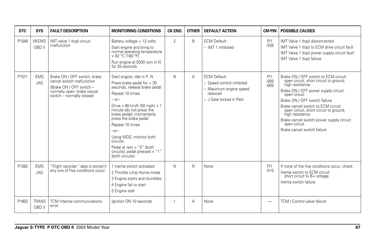| <b>DTC</b> | <b>SYS</b>               | <b>FAULT DESCRIPTION</b>                                                                                                                          | <b>MONITORING CONDITIONS</b>                                                                                                                                                                                                                                                                                                                                                                           | <b>CK ENG</b> | <b>OTHER</b> | <b>DEFAULT ACTION</b>                                                                                            | <b>CM PIN</b>           | <b>POSSIBLE CAUSES</b>                                                                                                                                                                                                                                                                                                                                                                      |
|------------|--------------------------|---------------------------------------------------------------------------------------------------------------------------------------------------|--------------------------------------------------------------------------------------------------------------------------------------------------------------------------------------------------------------------------------------------------------------------------------------------------------------------------------------------------------------------------------------------------------|---------------|--------------|------------------------------------------------------------------------------------------------------------------|-------------------------|---------------------------------------------------------------------------------------------------------------------------------------------------------------------------------------------------------------------------------------------------------------------------------------------------------------------------------------------------------------------------------------------|
| P1549      | V6EMS<br>OBD II          | IMT valve 1 (top) circuit<br>malfunction                                                                                                          | Battery voltage > 12 volts<br>Start engine and bring to<br>normal operating temperature<br>$> 82 °C$ (180 °F)<br>Run engine at 5000 rpm in N<br>for 20 seconds                                                                                                                                                                                                                                         | 2             | N            | <b>ECM Default:</b><br>- IMT 1 Inhibited                                                                         | PI1<br>$-038$           | IMT Valve 1 (top) disconnected<br>IMT Valve 1 (top) to ECM drive circuit fault<br>IMT Valve 1 (top) power supply circuit fault<br>IMT Valve 1 (top) failure                                                                                                                                                                                                                                 |
| P1571      | <b>EMS</b><br>JAG        | Brake ON / OFF switch; brake<br>cancel switch malfunction<br>(Brake ON / OFF switch -<br>normally open; brake cancel<br>switch - normally closed) | Start engine; idle in P, N<br>Press brake pedal for $>$ 30<br>seconds; release brake pedal<br>Repeat 10 times<br>$-$ or-<br>Drive $> 80$ km/h (50 mph) $> 1$<br>minute (do not press the<br>brake pedal); momentarily<br>press the brake pedal<br>Repeat 10 times<br>$-0r-$<br>Using WDS, monitor both<br>circuits<br>Pedal at rest = $"0"$ (both<br>circuits); pedal pressed = "1"<br>(both circuits) | N             | Α            | <b>ECM Default:</b><br>- Speed control inhibited<br>- Maximum engine speed<br>reduced<br>- J Gate locked in Park | PI1<br>$-008$<br>$-009$ | Brake ON / OFF switch to ECM circuit:<br>open circuit, short circuit to ground,<br>high resistance<br>Brake ON / OFF power supply circuit:<br>open circuit<br>Brake ON / OFF switch failure<br>Brake cancel switch to ECM circuit:<br>open circuit, short circuit to ground,<br>high resistance<br>Brake cancel switch power supply circuit:<br>open circuit<br>Brake cancel switch failure |
| P1582      | <b>EMS</b><br><b>JAG</b> | "Flight recorder" data is stored if<br>any one of five conditions occur:                                                                          | 1 Inertia switch activated<br>2 Throttle Limp Home mode<br>3 Engine starts and stumbles<br>4 Engine fail to start<br>5 Engine stall                                                                                                                                                                                                                                                                    | N             | N            | None                                                                                                             | PI1<br>$-010$           | If none of the five conditions occur, check:<br>Inertia switch to ECM circuit:<br>short circuit to B+ voltage<br>Inertia switch failure                                                                                                                                                                                                                                                     |
| P1603      | <b>TRANS</b><br>OBD II   | <b>TCM</b> Internal communications<br>error                                                                                                       | lanition ON 10 seconds                                                                                                                                                                                                                                                                                                                                                                                 | $\mathbf{1}$  | A            | None                                                                                                             |                         | TCM / Control valve failure                                                                                                                                                                                                                                                                                                                                                                 |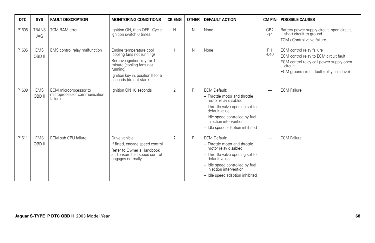| DTC   | <b>SYS</b>                 | <b>FAULT DESCRIPTION</b>                                         | <b>MONITORING CONDITIONS</b>                                                                                                                                                               | <b>CK ENG</b>  | <b>OTHER</b> | <b>DEFAULT ACTION</b>                                                                                                                                                                                                            | <b>CM PIN</b>            | <b>POSSIBLE CAUSES</b>                                                                                                                                                    |
|-------|----------------------------|------------------------------------------------------------------|--------------------------------------------------------------------------------------------------------------------------------------------------------------------------------------------|----------------|--------------|----------------------------------------------------------------------------------------------------------------------------------------------------------------------------------------------------------------------------------|--------------------------|---------------------------------------------------------------------------------------------------------------------------------------------------------------------------|
| P1605 | <b>TRANS</b><br><b>JAG</b> | <b>TCM RAM error</b>                                             | Ignition ON, then OFF. Cycle<br>ignition switch 6 times.                                                                                                                                   | $\mathsf{N}$   | N            | None                                                                                                                                                                                                                             | GB <sub>2</sub><br>$-14$ | Battery power supply circuit: open circuit,<br>short circuit to ground<br>TCM / Control valve failure                                                                     |
| P1606 | <b>EMS</b><br>OBD II       | EMS control relay malfunction                                    | Engine temperature cool<br>(cooling fans not running)<br>Remove ignition key for 1<br>minute (cooling fans not<br>running)<br>Ignition key in, position II for 5<br>seconds (do not start) | $\mathbf{1}$   | N            | None                                                                                                                                                                                                                             | PI1<br>$-040$            | ECM control relay failure<br>ECM control relay to ECM circuit fault<br>ECM control relay coil power supply open<br>circuit<br>ECM ground circuit fault (relay coil drive) |
| P1609 | <b>EMS</b><br>OBD II       | ECM microprocessor to<br>microprocessor communication<br>failure | Ignition ON 10 seconds                                                                                                                                                                     | $\overline{2}$ | R            | <b>ECM Default:</b><br>- Throttle motor and throttle<br>motor relay disabled<br>- Throttle valve opening set to<br>default value<br>- Idle speed controlled by fuel<br>injection intervention<br>- Idle speed adaption inhibited | —                        | <b>ECM Failure</b>                                                                                                                                                        |
| P1611 | <b>EMS</b><br>OBD II       | ECM sub CPU failure                                              | Drive vehicle<br>If fitted, engage speed control<br>Refer to Owner's Handbook<br>and ensure that speed control<br>engages normally                                                         | 2              | R            | <b>ECM Default:</b><br>- Throttle motor and throttle<br>motor relay disabled<br>- Throttle valve opening set to<br>default value<br>- Idle speed controlled by fuel<br>injection intervention<br>- Idle speed adaption inhibited | —                        | <b>ECM Failure</b>                                                                                                                                                        |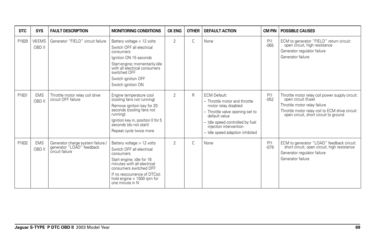| DTC   | <b>SYS</b>           | <b>FAULT DESCRIPTION</b>                                                          | <b>MONITORING CONDITIONS</b>                                                                                                                                                                                                                 | <b>CK ENG</b>  | <b>OTHER</b> | <b>DEFAULT ACTION</b>                                                                                                                                                                                                            | <b>CM PIN</b> | <b>POSSIBLE CAUSES</b>                                                                                                                                                                             |
|-------|----------------------|-----------------------------------------------------------------------------------|----------------------------------------------------------------------------------------------------------------------------------------------------------------------------------------------------------------------------------------------|----------------|--------------|----------------------------------------------------------------------------------------------------------------------------------------------------------------------------------------------------------------------------------|---------------|----------------------------------------------------------------------------------------------------------------------------------------------------------------------------------------------------|
| P1629 | V6EMS<br>OBD II      | Generator "FIELD" circuit failure                                                 | Battery voltage > 12 volts<br>Switch OFF all electrical<br>consumers<br>lanition ON 15 seconds<br>Start engine; momentarily idle<br>with all electrical consumers<br>switched OFF<br>Switch ignition OFF<br>Switch ignition ON               | $\overline{2}$ | $\mathsf{C}$ | None                                                                                                                                                                                                                             | PI1<br>$-065$ | ECM to generator "FIELD" return circuit:<br>open circuit, high resistance<br>Generator regulator failure<br>Generator failure                                                                      |
| P1631 | <b>EMS</b><br>OBD II | Throttle motor relay coil drive<br>circuit OFF failure                            | Engine temperature cool<br>(cooling fans not running)<br>Remove ignition key for 20<br>seconds (cooling fans not<br>runnina)<br>Ignition key in, position II for 5<br>seconds (do not start)<br>Repeat cycle twice more                      | $\mathfrak{p}$ | R            | <b>ECM Default:</b><br>- Throttle motor and throttle<br>motor relay disabled<br>- Throttle valve opening set to<br>default value<br>- Idle speed controlled by fuel<br>iniection intervention<br>- Idle speed adaption inhibited | PI1<br>$-052$ | Throttle motor relay coil power supply circuit:<br>open circuit (fuse)<br>Throttle motor relay failure<br>Throttle motor relay coil to ECM drive circuit:<br>open circuit, short circuit to ground |
| P1632 | <b>EMS</b><br>OBD II | Generator charge system failure /<br>generator "LOAD" feedback<br>circuit failure | Battery voltage > 12 volts<br>Switch OFF all electrical<br>consumers<br>Start engine; idle for 16<br>minutes with all electrical<br>consumers switched OFF<br>If no reoccurrence of DTC(s):<br>hold engine > 1500 rpm for<br>one minute in N | 2              | $\mathsf{C}$ | None                                                                                                                                                                                                                             | PI1<br>$-079$ | ECM to generator "LOAD" feedback circuit:<br>short circuit, open circuit, high resistance<br>Generator regulator failure<br>Generator failure                                                      |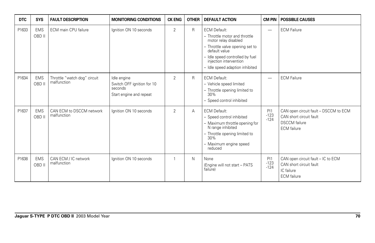| <b>DTC</b> | <b>SYS</b>           | <b>FAULT DESCRIPTION</b>                    | <b>MONITORING CONDITIONS</b>                                                    | <b>CK ENG</b>  | <b>OTHER</b> | <b>DEFAULT ACTION</b>                                                                                                                                                                                                            | <b>CM PIN</b>            | <b>POSSIBLE CAUSES</b>                                                                                         |
|------------|----------------------|---------------------------------------------|---------------------------------------------------------------------------------|----------------|--------------|----------------------------------------------------------------------------------------------------------------------------------------------------------------------------------------------------------------------------------|--------------------------|----------------------------------------------------------------------------------------------------------------|
| P1633      | <b>EMS</b><br>OBD II | ECM main CPU failure                        | Ignition ON 10 seconds                                                          | $\overline{2}$ | R            | <b>ECM Default:</b><br>- Throttle motor and throttle<br>motor relay disabled<br>- Throttle valve opening set to<br>default value<br>- Idle speed controlled by fuel<br>injection intervention<br>- Idle speed adaption inhibited | $\overline{\phantom{m}}$ | <b>ECM Failure</b>                                                                                             |
| P1634      | <b>EMS</b><br>OBD II | Throttle "watch dog" circuit<br>malfunction | Idle engine<br>Switch OFF ignition for 10<br>seconds<br>Start engine and repeat | $\overline{2}$ | R            | <b>ECM Default:</b><br>- Vehicle speed limited<br>- Throttle opening limited to<br>30%<br>- Speed control inhibited                                                                                                              | $\overline{\phantom{m}}$ | <b>ECM Failure</b>                                                                                             |
| P1637      | <b>EMS</b><br>OBD II | CAN ECM to DSCCM network<br>malfunction     | Ignition ON 10 seconds                                                          | $\overline{2}$ | A            | <b>ECM Default:</b><br>- Speed control inhibited<br>- Maximum throttle opening for<br>N range inhibited<br>- Throttle opening limited to<br>30%<br>- Maximum engine speed<br>reduced                                             | P11<br>$-123$<br>$-124$  | CAN open circuit fault - DSCCM to ECM<br>CAN short circuit fault<br><b>DSCCM</b> failure<br><b>ECM</b> failure |
| P1638      | <b>EMS</b><br>OBD II | CAN ECM / IC network<br>malfunction         | Ignition ON 10 seconds                                                          | 1              | N            | None<br>(Engine will not start - PATS<br>failure)                                                                                                                                                                                | PI1<br>$-123$<br>$-124$  | CAN open circuit fault - IC to ECM<br>CAN short circuit fault<br>IC failure<br><b>ECM</b> failure              |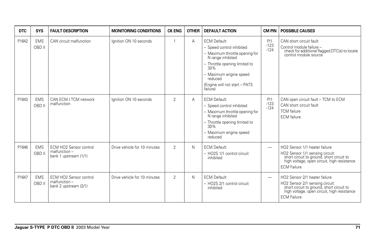| <b>DTC</b> | <b>SYS</b>           | <b>FAULT DESCRIPTION</b>                                                  | <b>MONITORING CONDITIONS</b> | <b>CK ENG</b>  | <b>OTHER</b> | <b>DEFAULT ACTION</b>                                                                                                                                                                                                             | <b>CM PIN</b>            | <b>POSSIBLE CAUSES</b>                                                                                                                                                             |
|------------|----------------------|---------------------------------------------------------------------------|------------------------------|----------------|--------------|-----------------------------------------------------------------------------------------------------------------------------------------------------------------------------------------------------------------------------------|--------------------------|------------------------------------------------------------------------------------------------------------------------------------------------------------------------------------|
| P1642      | <b>EMS</b><br>OBD II | CAN circuit malfunction                                                   | Ignition ON 10 seconds       |                | A            | <b>ECM Default:</b><br>- Speed control inhibited<br>- Maximum throttle opening for<br>N range inhibited<br>- Throttle opening limited to<br>30%<br>- Maximum engine speed<br>reduced<br>(Engine will not start - PATS<br>failure) | PI1<br>$-123$<br>$-124$  | CAN short circuit fault<br>Control module failure -<br>check for additional flagged DTC(s) to locate<br>control module source                                                      |
| P1643      | <b>EMS</b><br>OBD II | CAN ECM / TCM network<br>malfunction                                      | Ignition ON 10 seconds       | $\overline{2}$ | Α            | <b>ECM Default:</b><br>- Speed control inhibited<br>- Maximum throttle opening for<br>N range inhibited<br>- Throttle opening limited to<br>30%<br>- Maximum engine speed<br>reduced                                              | PI1<br>$-123$<br>$-124$  | CAN open circuit fault - TCM to ECM<br>CAN short circuit fault<br><b>TCM</b> failure<br><b>ECM</b> failure                                                                         |
| P1646      | <b>EMS</b><br>OBD II | ECM HO2 Sensor control<br>malfunction -<br>bank 1 upstream (1/1)          | Drive vehicle for 10 minutes | $\overline{2}$ | N            | <b>ECM Default:</b><br>- HO2S 1/1 control circuit<br>inhibited                                                                                                                                                                    | $\overline{\phantom{0}}$ | HO2 Sensor 1/1 heater failure<br>HO2 Sensor 1/1 sensing circuit:<br>short circuit to ground, short circuit to<br>high voltage, open circuit, high resistance<br><b>ECM Failure</b> |
| P1647      | <b>EMS</b><br>OBD II | <b>ECM HO2 Sensor control</b><br>$malfunction -$<br>bank 2 upstream (2/1) | Drive vehicle for 10 minutes | $\overline{2}$ | $\mathsf{N}$ | <b>ECM Default:</b><br>- HO2S 2/1 control circuit<br>inhibited                                                                                                                                                                    | $\overline{\phantom{m}}$ | HO2 Sensor 2/1 heater failure<br>HO2 Sensor 2/1 sensing circuit:<br>short circuit to ground, short circuit to<br>high voltage, open circuit, high resistance<br><b>ECM Failure</b> |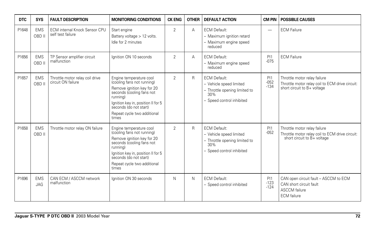| <b>DTC</b> | <b>SYS</b>               | <b>FAULT DESCRIPTION</b>                                  | <b>MONITORING CONDITIONS</b>                                                                                                                                                                                                         | <b>CK ENG</b>  | <b>OTHER</b> | <b>DEFAULT ACTION</b>                                                                                               | <b>CM PIN</b>            | <b>POSSIBLE CAUSES</b>                                                                                         |
|------------|--------------------------|-----------------------------------------------------------|--------------------------------------------------------------------------------------------------------------------------------------------------------------------------------------------------------------------------------------|----------------|--------------|---------------------------------------------------------------------------------------------------------------------|--------------------------|----------------------------------------------------------------------------------------------------------------|
| P1648      | <b>EMS</b><br>OBD II     | <b>ECM</b> internal Knock Sensor CPU<br>self test failure | Start engine<br>Battery voltage > 12 volts.<br>Idle for 2 minutes                                                                                                                                                                    | $\overline{2}$ | A            | <b>ECM Default:</b><br>- Maximum ignition retard<br>- Maximum engine speed<br>reduced                               | $\overline{\phantom{0}}$ | <b>ECM Failure</b>                                                                                             |
| P1656      | <b>EMS</b><br>OBD II     | TP Sensor amplifier circuit<br>malfunction                | Ignition ON 10 seconds                                                                                                                                                                                                               | $\overline{2}$ | A            | <b>ECM Default:</b><br>- Maximum engine speed<br>reduced                                                            | PI1<br>$-075$            | <b>ECM Failure</b>                                                                                             |
| P1657      | <b>EMS</b><br>OBD II     | Throttle motor relay coil drive<br>circuit ON failure     | Engine temperature cool<br>(cooling fans not running)<br>Remove ignition key for 20<br>seconds (cooling fans not<br>running)<br>Ignition key in, position II for 5<br>seconds (do not start)<br>Repeat cycle two additional<br>times | $\overline{2}$ | $\mathsf{R}$ | <b>ECM Default:</b><br>- Vehicle speed limited<br>- Throttle opening limited to<br>30%<br>- Speed control inhibited | PI1<br>$-052$<br>$-134$  | Throttle motor relay failure<br>Throttle motor relay coil to ECM drive circuit:<br>short circuit to B+ voltage |
| P1658      | <b>EMS</b><br>OBD II     | Throttle motor relay ON failure                           | Engine temperature cool<br>(cooling fans not running)<br>Remove ignition key for 20<br>seconds (cooling fans not<br>running)<br>Ignition key in, position II for 5<br>seconds (do not start)<br>Repeat cycle two additional<br>times | $\mathfrak{D}$ | $\mathsf{R}$ | <b>ECM Default:</b><br>- Vehicle speed limited<br>- Throttle opening limited to<br>30%<br>- Speed control inhibited | PI1<br>$-052$            | Throttle motor relay failure<br>Throttle motor relay coil to ECM drive circuit:<br>short circuit to B+ voltage |
| P1696      | <b>EMS</b><br><b>JAG</b> | CAN ECM / ASCCM network<br>malfunction                    | Ignition ON 30 seconds                                                                                                                                                                                                               | N              | N            | <b>ECM Default:</b><br>- Speed control inhibited                                                                    | PI1<br>$-123$<br>$-124$  | CAN open circuit fault - ASCCM to ECM<br>CAN short circuit fault<br><b>ASCCM</b> failure<br><b>ECM</b> failure |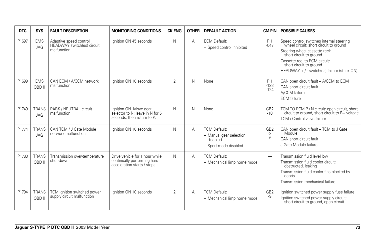| <b>DTC</b> | <b>SYS</b>                 | <b>FAULT DESCRIPTION</b>                                            | <b>MONITORING CONDITIONS</b>                                                                  | <b>CK ENG</b>  | <b>OTHER</b> | <b>DEFAULT ACTION</b>                                                               | <b>CM PIN</b>                   | <b>POSSIBLE CAUSES</b>                                                                                                                                                                                                                                    |
|------------|----------------------------|---------------------------------------------------------------------|-----------------------------------------------------------------------------------------------|----------------|--------------|-------------------------------------------------------------------------------------|---------------------------------|-----------------------------------------------------------------------------------------------------------------------------------------------------------------------------------------------------------------------------------------------------------|
| P1697      | <b>EMS</b><br><b>JAG</b>   | Adaptive speed control<br>HEADWAY switch(es) circuit<br>malfunction | Ignition ON 45 seconds                                                                        | N              | A            | <b>ECM Default:</b><br>- Speed control inhibited                                    | PI1<br>$-047$                   | Speed control switches internal steering<br>wheel circuit: short circuit to ground<br>Steering wheel cassette reel:<br>short circuit to ground<br>Cassette reel to ECM circuit:<br>short circuit to ground<br>HEADWAY + / - switch(es) failure (stuck ON) |
| P1699      | <b>EMS</b><br>OBD II       | CAN ECM / A/CCM network<br>malfunction                              | lanition ON 10 seconds                                                                        | $\mathfrak{p}$ | N            | None                                                                                | PI1<br>$-123$<br>$-124$         | CAN open circuit fault - A/CCM to ECM<br>CAN short circuit fault<br>A/CCM failure<br><b>ECM</b> failure                                                                                                                                                   |
| P1749      | <b>TRANS</b><br><b>JAG</b> | PARK / NEUTRAL circuit<br>malfunction                               | Ignition ON. Move gear<br>selector to N; leave in N for 5<br>seconds, then return to P.       | N              | N            | None                                                                                | GB <sub>2</sub><br>$-10$        | TCM TO ECM P / N circuit: open circuit, short<br>circuit to ground, short circuit to B+ voltage<br>TCM / Control valve failure                                                                                                                            |
| P1774      | <b>TRANS</b><br><b>JAG</b> | CAN TCM / J Gate Module<br>network malfunction                      | Ignition ON 10 seconds                                                                        | N              | A            | <b>TCM Default:</b><br>- Manual gear selection<br>disabled<br>- Sport mode disabled | GB <sub>2</sub><br>$-2$<br>$-6$ | CAN open circuit fault - TCM to J Gate<br>Module<br>CAN short circuit fault<br>J Gate Module failure                                                                                                                                                      |
| P1783      | <b>TRANS</b><br>OBD II     | Transmission over-temperature<br>shut-down                          | Drive vehicle for 1 hour while<br>continually performing hard<br>acceleration starts / stops. | $\mathsf{N}$   | A            | <b>TCM Default:</b><br>- Mechanical limp home mode                                  | -                               | Transmission fluid level low<br>Transmission fluid cooler circuit:<br>obstructed, leaking<br>Transmission fluid cooler fins blocked by<br>debris<br>Transmission mechanical failure                                                                       |
| P1794      | <b>TRANS</b><br>OBD II     | TCM ignition switched power<br>supply circuit malfunction           | Ignition ON 10 seconds                                                                        | 2              | Α            | <b>TCM Default:</b><br>- Mechanical limp home mode                                  | GB <sub>2</sub><br>-9           | Ignition switched power supply fuse failure<br>Ignition switched power supply circuit:<br>short circuit to ground, open circuit                                                                                                                           |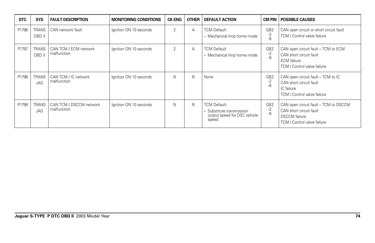| <b>DTC</b> | <b>SYS</b>                 | <b>FAULT DESCRIPTION</b>               | <b>MONITORING CONDITIONS</b> | <b>CK ENG</b> | <b>OTHER</b> | <b>DEFAULT ACTION</b>                                                                     | CM PIN                        | <b>POSSIBLE CAUSES</b>                                                                                                  |
|------------|----------------------------|----------------------------------------|------------------------------|---------------|--------------|-------------------------------------------------------------------------------------------|-------------------------------|-------------------------------------------------------------------------------------------------------------------------|
| P1796      | <b>TRANS</b><br>OBD II     | CAN network fault                      | Ignition ON 10 seconds       | 2             | A            | <b>TCM Default:</b><br>- Mechanical limp home mode                                        | GB <sub>2</sub><br>-2<br>$-6$ | CAN open circuit or short circuit fault<br>TCM / Control valve failure                                                  |
| P1797      | <b>TRANS</b><br>OBD II     | CAN TCM / ECM network<br>malfunction   | Ignition ON 10 seconds       | 2             | A            | <b>TCM Default:</b><br>- Mechanical limp home mode                                        | GB <sub>2</sub><br>-2<br>-6   | CAN open circuit fault - TCM to ECM<br>CAN short circuit fault<br><b>ECM</b> failure<br>TCM / Control valve failure     |
| P1798      | <b>TRANS</b><br><b>JAG</b> | CAN TCM / IC network<br>malfunction    | Ignition ON 10 seconds       | N             | N            | None                                                                                      | GB <sub>2</sub><br>-2<br>$-6$ | CAN open circuit fault - TCM to IC<br>CAN short circuit fault<br>IC failure<br>TCM / Control valve failure              |
| P1799      | <b>TRANS</b><br><b>JAG</b> | CAN TCM / DSCCM network<br>malfunction | Ignition ON 10 seconds       | N             | N            | <b>TCM Default:</b><br>- Substitute transmission<br>output speed for DSC vehicle<br>speed | GB <sub>2</sub><br>-2<br>$-6$ | CAN open circuit fault - TCM to DSCCM<br>CAN short circuit fault<br><b>DSCCM</b> failure<br>TCM / Control valve failure |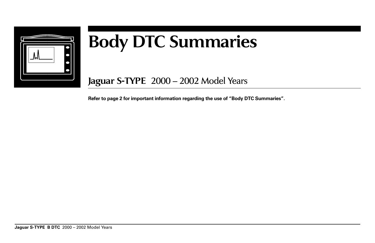

## **Body DTC Summaries**

**Jaguar S-TYPE** 2000 – 2002 Model Years

**Refer to page 2 for important information regarding the use of "Body DTC Summaries".**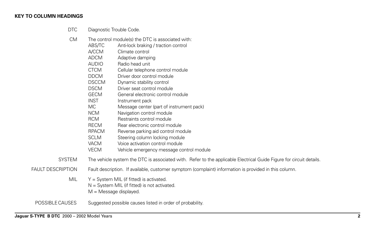## **KEY TO COLUMN HEADINGS**

- DTC Diagnostic Trouble Code.
- CM The control module(s) the DTC is associated with:
	- ABS/TC Anti-lock braking / traction control
	- A/CCM Climate control
	- ADCM Adaptive damping
	- AUDIO Radio head unit
	- CTCM Cellular telephone control module
	- DDCM Driver door control module
	- DSCCM Dynamic stability control
	- DSCM Driver seat control module
	- GECM General electronic control module
	- INST Instrument pack
	- MC Message center (part of instrument pack)
	- NCM Navigation control module
	- RCM Restraints control module
	- RECM Rear electronic control module
	- RPACM Reverse parking aid control module
	- SCLM Steering column locking module
	- VACM Voice activation control module
	- VECM Vehicle emergency message control module
- SYSTEM The vehicle system the DTC is associated with. Refer to the applicable Electrical Guide Figure for circuit details.
- FAULT DESCRIPTION Fault description. If available, customer symptom (complaint) information is provided in this column.
	- MIL  $Y = System \text{ MIL}$  (if fitted) is activated.
		- N = System MIL (if fitted) is not activated.
		- M = Message displayed.

POSSIBLE CAUSES Suggested possible causes listed in order of probability.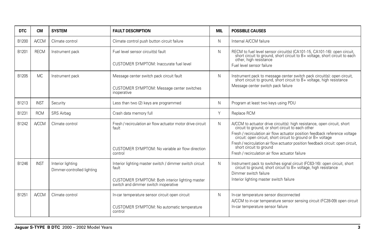| <b>DTC</b> | <b>CM</b>    | <b>SYSTEM</b>                                   | <b>FAULT DESCRIPTION</b>                                                                                                                                    | <b>MIL</b> | <b>POSSIBLE CAUSES</b>                                                                                                                                                                                                                                                                                                                                                                                                                         |
|------------|--------------|-------------------------------------------------|-------------------------------------------------------------------------------------------------------------------------------------------------------------|------------|------------------------------------------------------------------------------------------------------------------------------------------------------------------------------------------------------------------------------------------------------------------------------------------------------------------------------------------------------------------------------------------------------------------------------------------------|
| B1200      | <b>A/CCM</b> | Climate control                                 | Climate control push button circuit failure                                                                                                                 | N          | Internal A/CCM failure                                                                                                                                                                                                                                                                                                                                                                                                                         |
| B1201      | <b>RECM</b>  | Instrument pack                                 | Fuel level sensor circuit(s) fault<br>CUSTOMER SYMPTOM: Inaccurate fuel level                                                                               | N          | RECM to fuel level sensor circuit(s) (CA101-15, CA101-16): open circuit, short circuit to ground, short circuit to B+ voltage, short circuit to each<br>other, high resistance<br>Fuel level sensor failure                                                                                                                                                                                                                                    |
| B1205      | MC.          | Instrument pack                                 | Message center switch pack circuit fault<br>CUSTOMER SYMPTOM: Message center switches<br>inoperative                                                        | N          | Instrument pack to message center switch pack circuit(s): open circuit, short circuit to ground, short circuit to B+ voltage, high resistance<br>Message center switch pack failure                                                                                                                                                                                                                                                            |
| B1213      | <b>INST</b>  | Security                                        | Less than two (2) keys are programmed                                                                                                                       | N          | Program at least two keys using PDU                                                                                                                                                                                                                                                                                                                                                                                                            |
| B1231      | <b>RCM</b>   | SRS Airbag                                      | Crash data memory full                                                                                                                                      | Y          | Replace RCM                                                                                                                                                                                                                                                                                                                                                                                                                                    |
| B1242      | <b>A/CCM</b> | Climate control                                 | Fresh / recirculation air flow actuator motor drive circuit<br>fault<br>CUSTOMER SYMPTOM: No variable air flow direction<br>control                         | N          | A/CCM to actuator drive circuit(s): high resistance, open circuit, short<br>circuit to ground, or short circuit to each other<br>Fresh / recirculation air flow actuator position feedback reference voltage<br>circuit: open circuit, short circuit to ground or B+ voltage<br>Fresh / recirculation air flow actuator position feedback circuit: open circuit,<br>short circuit to ground<br>Fresh / recirculation air flow actuator failure |
| B1246      | <b>INST</b>  | Interior lighting<br>Dimmer-controlled lighting | Interior lighting master switch / dimmer switch circuit<br>fault<br>CUSTOMER SYMPTOM: Both interior lighting master<br>switch and dimmer switch inoperative | N          | Instrument pack to switches signal circuit (FC63-16): open circuit, short circuit to ground, short circuit to B+ voltage, high resistance<br>Dimmer switch failure<br>Interior lighting master switch failure                                                                                                                                                                                                                                  |
| B1251      | <b>A/CCM</b> | Climate control                                 | In-car temperature sensor circuit open circuit<br>CUSTOMER SYMPTOM: No automatic temperature<br>control                                                     | N          | In-car temperature sensor disconnected<br>A/CCM to in-car temperature sensor sensing circuit (FC28-09) open circuit<br>In-car temperature sensor failure                                                                                                                                                                                                                                                                                       |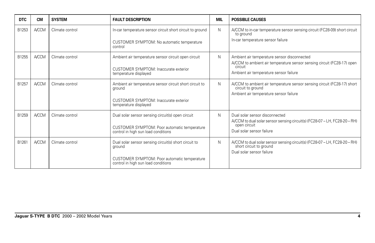| <b>DTC</b> | <b>CM</b>    | <b>SYSTEM</b>   | <b>FAULT DESCRIPTION</b>                                                                                                                               | <b>MIL</b> | <b>POSSIBLE CAUSES</b>                                                                                                                                                     |
|------------|--------------|-----------------|--------------------------------------------------------------------------------------------------------------------------------------------------------|------------|----------------------------------------------------------------------------------------------------------------------------------------------------------------------------|
| B1253      | <b>A/CCM</b> | Climate control | In-car temperature sensor circuit short circuit to ground<br>CUSTOMER SYMPTOM: No automatic temperature<br>control                                     | N          | A/CCM to in-car temperature sensor sensing circuit (FC28-09) short circuit<br>to ground<br>In-car temperature sensor failure                                               |
| B1255      | <b>A/CCM</b> | Climate control | Ambient air temperature sensor circuit open circuit<br><b>CUSTOMER SYMPTOM: Inaccurate exterior</b><br>temperature displayed                           | N          | Ambient air temperature sensor disconnected<br>A/CCM to ambient air temperature sensor sensing circuit (FC28-17) open<br>circuit<br>Ambient air temperature sensor failure |
| B1257      | <b>A/CCM</b> | Climate control | Ambient air temperature sensor circuit short circuit to<br>around<br>CUSTOMER SYMPTOM: Inaccurate exterior<br>temperature displayed                    | N          | A/CCM to ambient air temperature sensor sensing circuit (FC28-17) short<br>circuit to ground<br>Ambient air temperature sensor failure                                     |
| B1259      | <b>A/CCM</b> | Climate control | Dual solar sensor sensing circuit(s) open circuit<br>CUSTOMER SYMPTOM: Poor automatic temperature<br>control in high sun load conditions               | N          | Dual solar sensor disconnected<br>A/CCM to dual solar sensor sensing circuit(s) (FC28-07 - LH, FC28-20 - RH)<br>open circuit<br>Dual solar sensor failure                  |
| B1261      | <b>A/CCM</b> | Climate control | Dual solar sensor sensing circuit(s) short circuit to<br>ground<br>CUSTOMER SYMPTOM: Poor automatic temperature<br>control in high sun load conditions | N          | A/CCM to dual solar sensor sensing circuit(s) (FC28-07 - LH, FC28-20 - RH)<br>short circuit to ground<br>Dual solar sensor failure                                         |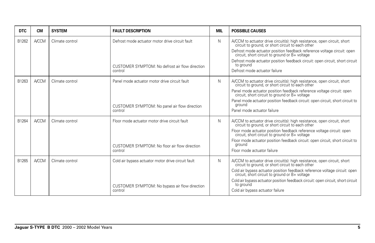| <b>DTC</b> | <b>CM</b>    | <b>SYSTEM</b>   | <b>FAULT DESCRIPTION</b>                                                                                        | <b>MIL</b> | <b>POSSIBLE CAUSES</b>                                                                                                                                                                                                                                                                                                                                                                         |
|------------|--------------|-----------------|-----------------------------------------------------------------------------------------------------------------|------------|------------------------------------------------------------------------------------------------------------------------------------------------------------------------------------------------------------------------------------------------------------------------------------------------------------------------------------------------------------------------------------------------|
| B1262      | <b>A/CCM</b> | Climate control | Defrost mode actuator motor drive circuit fault<br>CUSTOMER SYMPTOM: No defrost air flow direction<br>control   | N          | A/CCM to actuator drive circuit(s): high resistance, open circuit, short circuit to ground, or short circuit to each other<br>Defrost mode actuator position feedback reference voltage circuit: open<br>circuit, short circuit to ground or B+ voltage<br>Defrost mode actuator position feedback circuit: open circuit, short circuit<br>to ground<br>Defrost mode actuator failure          |
| B1263      | <b>A/CCM</b> | Climate control | Panel mode actuator motor drive circuit fault<br>CUSTOMER SYMPTOM: No panel air flow direction<br>control       | N          | A/CCM to actuator drive circuit(s): high resistance, open circuit, short<br>circuit to ground, or short circuit to each other<br>Panel mode actuator position feedback reference voltage circuit: open<br>circuit, short circuit to ground or B+ voltage<br>Panel mode actuator position feedback circuit: open circuit, short circuit to<br>ground<br>Panel mode actuator failure             |
| B1264      | <b>A/CCM</b> | Climate control | Floor mode actuator motor drive circuit fault<br>CUSTOMER SYMPTOM: No floor air flow direction<br>control       | N          | A/CCM to actuator drive circuit(s): high resistance, open circuit, short circuit to ground, or short circuit to each other<br>Floor mode actuator position feedback reference voltage circuit: open circuit, short circuit to ground or B+ voltage<br>Floor mode actuator position feedback circuit: open circuit, short circuit to<br>around<br>Floor mode actuator failure                   |
| B1265      | <b>A/CCM</b> | Climate control | Cold air bypass actuator motor drive circuit fault<br>CUSTOMER SYMPTOM: No bypass air flow direction<br>control | N          | A/CCM to actuator drive circuit(s): high resistance, open circuit, short circuit to ground, or short circuit to each other<br>Cold air bypass actuator position feedback reference voltage circuit: open<br>circuit, short circuit to ground or B+ voltage<br>Cold air bypass actuator position feedback circuit: open circuit, short circuit<br>to ground<br>Cold air bypass actuator failure |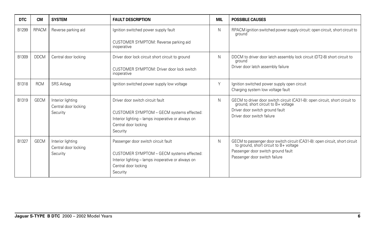| <b>DTC</b> | CМ           | <b>SYSTEM</b>                                         | <b>FAULT DESCRIPTION</b>                                                                                                                                                   | MIL | <b>POSSIBLE CAUSES</b>                                                                                                                                                                    |
|------------|--------------|-------------------------------------------------------|----------------------------------------------------------------------------------------------------------------------------------------------------------------------------|-----|-------------------------------------------------------------------------------------------------------------------------------------------------------------------------------------------|
| B1299      | <b>RPACM</b> | Reverse parking aid                                   | Ignition switched power supply fault                                                                                                                                       | N   | RPACM ignition switched power supply circuit: open circuit, short circuit to<br>around                                                                                                    |
|            |              |                                                       | CUSTOMER SYMPTOM: Reverse parking aid<br>inoperative                                                                                                                       |     |                                                                                                                                                                                           |
| B1309      | <b>DDCM</b>  | Central door locking                                  | Driver door lock circuit short circuit to ground                                                                                                                           | N   | DDCM to driver door latch assembly lock circuit (DT2-8) short circuit to<br>ground                                                                                                        |
|            |              |                                                       | CUSTOMER SYMPTOM: Driver door lock switch<br>inoperative                                                                                                                   |     | Driver door latch assembly failure                                                                                                                                                        |
| B1318      | <b>RCM</b>   | SRS Airbag                                            | Ignition switched power supply low voltage                                                                                                                                 | Y   | Ignition switched power supply open circuit<br>Charging system low voltage fault                                                                                                          |
| B1319      | <b>GECM</b>  | Interior lighting<br>Central door locking<br>Security | Driver door switch circuit fault<br>CUSTOMER SYMPTOM - GECM systems effected:<br>Interior lighting - lamps inoperative or always on<br>Central door locking<br>Security    | N   | GECM to driver door switch circuit (CA31-8): open circuit, short circuit to<br>ground, short circuit to B+ voltage<br>Driver door switch ground fault<br>Driver door switch failure       |
| B1327      | <b>GECM</b>  | Interior lighting<br>Central door locking<br>Security | Passenger door switch circuit fault<br>CUSTOMER SYMPTOM - GECM systems effected:<br>Interior lighting - lamps inoperative or always on<br>Central door locking<br>Security | N   | GECM to passenger door switch circuit (CA31-8): open circuit, short circuit to ground, short circuit to B+ voltage<br>Passenger door switch ground fault<br>Passenger door switch failure |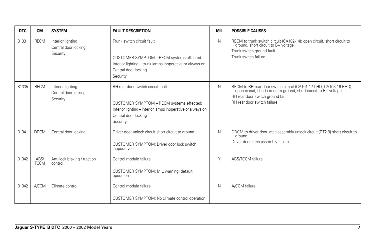| <b>DTC</b> | <b>CM</b>           | <b>SYSTEM</b>                                         | <b>FAULT DESCRIPTION</b>                                                                                                                                                          | <b>MIL</b> | <b>POSSIBLE CAUSES</b>                                                                                                                                                                                     |
|------------|---------------------|-------------------------------------------------------|-----------------------------------------------------------------------------------------------------------------------------------------------------------------------------------|------------|------------------------------------------------------------------------------------------------------------------------------------------------------------------------------------------------------------|
| B1331      | <b>RECM</b>         | Interior lighting<br>Central door locking<br>Security | Trunk switch circuit fault<br>CUSTOMER SYMPTOM - RECM systems effected:<br>Interior lighting - trunk lamps inoperative or always on<br>Central door locking<br>Security           | N          | RECM to trunk switch circuit (CA102-14): open circuit, short circuit to ground, short circuit to B+ voltage<br>Trunk switch ground fault<br>Trunk switch failure                                           |
| B1335      | <b>RECM</b>         | Interior lighting<br>Central door locking<br>Security | RH rear door switch circuit fault<br>CUSTOMER SYMPTOM - RECM systems effected:<br>Interior lighting - interior lamps inoperative or always on<br>Central door locking<br>Security | N          | RECM to RH rear door switch circuit (CA101-17 LHD, CA103-16 RHD):<br>open circuit, short circuit to ground, short circuit to B+ voltage<br>RH rear door switch ground fault<br>RH rear door switch failure |
| B1341      | <b>DDCM</b>         | Central door locking                                  | Driver door unlock circuit short circuit to ground<br>CUSTOMER SYMPTOM: Driver door lock switch<br>inoperative                                                                    | N          | DDCM to driver door latch assembly unlock circuit (DT2-9) short circuit to<br>ground<br>Driver door latch assembly failure                                                                                 |
| B1342      | ABS/<br><b>TCCM</b> | Anti-lock braking / traction<br>control               | Control module failure<br>CUSTOMER SYMPTOM: MIL warning; default<br>operation                                                                                                     | Y          | ABS/TCCM failure                                                                                                                                                                                           |
| B1342      | <b>A/CCM</b>        | Climate control                                       | Control module failure<br>CUSTOMER SYMPTOM: No climate control operation                                                                                                          | N          | A/CCM failure                                                                                                                                                                                              |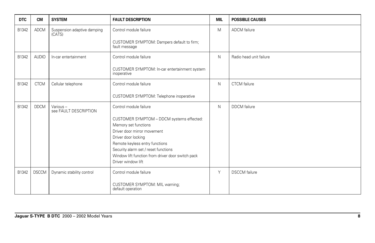| <b>DTC</b> | <b>CM</b>    | <b>SYSTEM</b>                         | <b>FAULT DESCRIPTION</b>                                               | <b>MIL</b>   | <b>POSSIBLE CAUSES</b>  |
|------------|--------------|---------------------------------------|------------------------------------------------------------------------|--------------|-------------------------|
| B1342      | <b>ADCM</b>  | Suspension adaptive damping<br>(CATS) | Control module failure                                                 | M            | ADCM failure            |
|            |              |                                       | CUSTOMER SYMPTOM: Dampers default to firm;<br>fault message            |              |                         |
| B1342      | <b>AUDIO</b> | In-car entertainment                  | Control module failure                                                 | $\mathsf{N}$ | Radio head unit failure |
|            |              |                                       | CUSTOMER SYMPTOM: In-car entertainment system<br>inoperative           |              |                         |
| B1342      | <b>CTCM</b>  | Cellular telephone                    | Control module failure                                                 | $\mathsf{N}$ | <b>CTCM</b> failure     |
|            |              |                                       | CUSTOMER SYMPTOM: Telephone inoperative                                |              |                         |
| B1342      | <b>DDCM</b>  | Various-<br>see FAULT DESCRIPTION     | Control module failure                                                 | N            | <b>DDCM</b> failure     |
|            |              |                                       | CUSTOMER SYMPTOM - DDCM systems effected:<br>Memory set functions      |              |                         |
|            |              |                                       | Driver door mirror movement                                            |              |                         |
|            |              |                                       | Driver door locking                                                    |              |                         |
|            |              |                                       | Remote keyless entry functions<br>Security alarm set / reset functions |              |                         |
|            |              |                                       | Window lift function from driver door switch pack                      |              |                         |
|            |              |                                       | Driver window lift                                                     |              |                         |
| B1342      | <b>DSCCM</b> | Dynamic stability control             | Control module failure                                                 | Y            | <b>DSCCM</b> failure    |
|            |              |                                       | CUSTOMER SYMPTOM: MIL warning;<br>default operation                    |              |                         |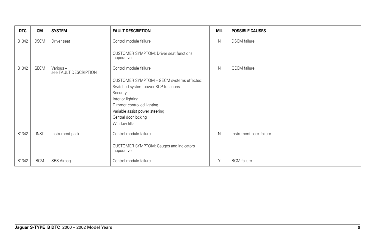| <b>DTC</b> | <b>CM</b>   | <b>SYSTEM</b>                     | <b>FAULT DESCRIPTION</b>                               | <b>MIL</b> | <b>POSSIBLE CAUSES</b>  |
|------------|-------------|-----------------------------------|--------------------------------------------------------|------------|-------------------------|
| B1342      | <b>DSCM</b> | Driver seat                       | Control module failure                                 | N          | <b>DSCM</b> failure     |
|            |             |                                   | CUSTOMER SYMPTOM: Driver seat functions<br>inoperative |            |                         |
| B1342      | GECM        | Various-<br>see FAULT DESCRIPTION | Control module failure                                 | N          | <b>GECM</b> failure     |
|            |             |                                   | CUSTOMER SYMPTOM - GECM systems effected:              |            |                         |
|            |             |                                   | Switched system power SCP functions                    |            |                         |
|            |             |                                   | Security<br>Interior lighting                          |            |                         |
|            |             |                                   | Dimmer controlled lighting                             |            |                         |
|            |             |                                   | Variable assist power steering                         |            |                         |
|            |             |                                   | Central door locking                                   |            |                         |
|            |             |                                   | Window lifts                                           |            |                         |
| B1342      | <b>INST</b> | Instrument pack                   | Control module failure                                 | N          | Instrument pack failure |
|            |             |                                   | CUSTOMER SYMPTOM: Gauges and indicators<br>inoperative |            |                         |
| B1342      | <b>RCM</b>  | SRS Airbag                        | Control module failure                                 | Y          | RCM failure             |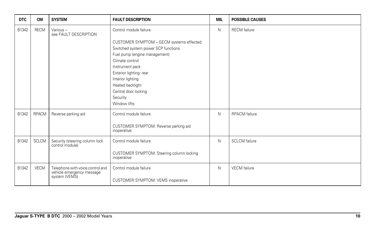| <b>DTC</b>     | <b>CM</b>                    | <b>SYSTEM</b>                                                                  | <b>FAULT DESCRIPTION</b>                                                                                                                                                                                                                                                                                  | <b>MIL</b> | <b>POSSIBLE CAUSES</b>                       |
|----------------|------------------------------|--------------------------------------------------------------------------------|-----------------------------------------------------------------------------------------------------------------------------------------------------------------------------------------------------------------------------------------------------------------------------------------------------------|------------|----------------------------------------------|
| B1342          | <b>RECM</b>                  | Various-<br>see FAULT DESCRIPTION                                              | Control module failure<br>CUSTOMER SYMPTOM - GECM systems effected:<br>Switched system power SCP functions<br>Fuel pump (engine management)<br>Climate control<br>Instrument pack<br>Exterior lighting: rear<br>Interior lighting<br>Heated backlight<br>Central door locking<br>Security<br>Window lifts | N          | <b>RECM</b> failure                          |
| B1342<br>B1342 | <b>RPACM</b><br><b>SCLCM</b> | Reverse parking aid<br>Security (steering column lock                          | Control module failure<br>CUSTOMER SYMPTOM: Reverse parking aid<br>inoperative<br>Control module failure                                                                                                                                                                                                  | N<br>N     | <b>RPACM</b> failure<br><b>SCLCM</b> failure |
|                |                              | control module)                                                                | CUSTOMER SYMPTOM: Steering column locking<br>inoperative                                                                                                                                                                                                                                                  |            |                                              |
| B1342          | <b>VECM</b>                  | Telephone with voice control and<br>vehicle emergency message<br>system (VEMS) | Control module failure<br><b>CUSTOMER SYMPTOM: VEMS inoperative</b>                                                                                                                                                                                                                                       | N          | <b>VECM</b> failure                          |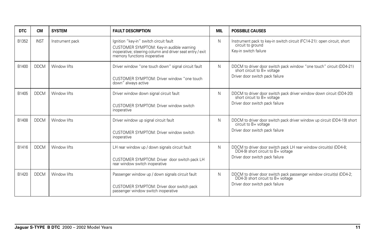| <b>DTC</b> | <b>CM</b>   | <b>SYSTEM</b>   | <b>FAULT DESCRIPTION</b>                                                                                                                                                        | <b>MIL</b> | <b>POSSIBLE CAUSES</b>                                                                                                                       |
|------------|-------------|-----------------|---------------------------------------------------------------------------------------------------------------------------------------------------------------------------------|------------|----------------------------------------------------------------------------------------------------------------------------------------------|
| B1352      | <b>INST</b> | Instrument pack | Ignition "key-in" switch circuit fault<br>CUSTOMER SYMPTOM: Key-in audible warning<br>inoperative; steering column and driver seat entry / exit<br>memory functions inoperative | N          | Instrument pack to key-in switch circuit (FC14-21): open circuit, short<br>circuit to ground<br>Key-in switch failure                        |
| B1400      | <b>DDCM</b> | Window lifts    | Driver window "one touch down" signal circuit fault<br>CUSTOMER SYMPTOM: Driver window "one touch<br>down" always active                                                        | N          | DDCM to driver door switch pack window "one touch" circuit (DD4-21) short circuit to B+ voltage<br>Driver door switch pack failure           |
| B1405      | <b>DDCM</b> | Window lifts    | Driver window down signal circuit fault<br>CUSTOMER SYMPTOM: Driver window switch<br>inoperative                                                                                | N          | DDCM to driver door switch pack driver window down circuit (DD4-20)<br>short circuit to B+ voltage<br>Driver door switch pack failure        |
| B1408      | <b>DDCM</b> | Window lifts    | Driver window up signal circuit fault<br>CUSTOMER SYMPTOM: Driver window switch<br>inoperative                                                                                  | N          | DDCM to driver door switch pack driver window up circuit (DD4-19) short<br>circuit to B+ voltage<br>Driver door switch pack failure          |
| B1416      | <b>DDCM</b> | Window lifts    | LH rear window up / down signals circuit fault<br>CUSTOMER SYMPTOM: Driver door switch pack LH<br>rear window switch inoperative                                                | N          | DDCM to driver door switch pack LH rear window circuit(s) (DD4-8;<br>DD4-9) short circuit to B+ voltage<br>Driver door switch pack failure   |
| B1420      | <b>DDCM</b> | Window lifts    | Passenger window up / down signals circuit fault<br>CUSTOMER SYMPTOM: Driver door switch pack<br>passenger window switch inoperative                                            | N          | DDCM to driver door switch pack passenger window circuit(s) (DD4-2;<br>DD4-3) short circuit to B+ voltage<br>Driver door switch pack failure |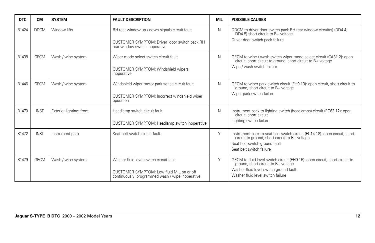| <b>DTC</b> | <b>CM</b>   | <b>SYSTEM</b>            | <b>FAULT DESCRIPTION</b>                                                                                                                 | <b>MIL</b> | <b>POSSIBLE CAUSES</b>                                                                                                                                                                         |
|------------|-------------|--------------------------|------------------------------------------------------------------------------------------------------------------------------------------|------------|------------------------------------------------------------------------------------------------------------------------------------------------------------------------------------------------|
| B1424      | <b>DDCM</b> | Window lifts             | RH rear window up / down signals circuit fault<br>CUSTOMER SYMPTOM: Driver door switch pack RH<br>rear window switch inoperative         | N          | DDCM to driver door switch pack RH rear window circuit(s) (DD4-4;<br>DD4-5) short circuit to B+ voltage<br>Driver door switch pack failure                                                     |
| B1438      | <b>GECM</b> | Wash / wipe system       | Wiper mode select switch circuit fault<br>CUSTOMER SYMPTOM: Windshield wipers<br>inoperative                                             | N          | GECM to wipe / wash switch wiper mode select circuit (CA31-2): open<br>circuit, short circuit to ground, short circuit to B+ voltage<br>Wipe / wash switch failure                             |
| B1446      | <b>GECM</b> | Wash / wipe system       | Windshield wiper motor park sense circuit fault<br>CUSTOMER SYMPTOM: Incorrect windshield wiper<br>operation                             | N          | GECM to wiper park switch circuit (FH9-13): open circuit, short circuit to<br>ground, short circuit to B+ voltage<br>Wiper park switch failure                                                 |
| B1470      | <b>INST</b> | Exterior lighting: front | Headlamp switch circuit fault<br>CUSTOMER SYMPTOM: Headlamp switch inoperative                                                           | N          | Instrument pack to lighting switch (headlamps) circuit (FC63-12): open<br>circuit, short circuit<br>Lighting switch failure                                                                    |
| B1472      | <b>INST</b> | Instrument pack          | Seat belt switch circuit fault                                                                                                           | Y          | Instrument pack to seat belt switch circuit (FC14-18): open circuit, short circuit to ground, short circuit to B+ voltage<br>Seat belt switch ground fault<br>Seat belt switch failure         |
| B1479      | <b>GECM</b> | Wash / wipe system       | Washer fluid level switch circuit fault<br>CUSTOMER SYMPTOM: Low fluid MIL on or off<br>continuously; programmed wash / wipe inoperative | Y          | GECM to fluid level switch circuit (FH9-15): open circuit, short circuit to ground, short circuit to B+ voltage<br>Washer fluid level switch ground fault<br>Washer fluid level switch failure |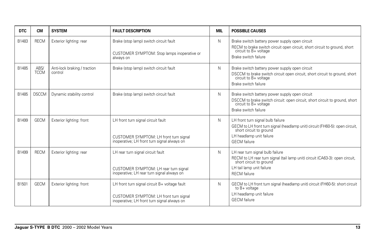| <b>DTC</b> | <b>CM</b>           | <b>SYSTEM</b>                           | <b>FAULT DESCRIPTION</b>                                                                                                               | MIL | <b>POSSIBLE CAUSES</b>                                                                                                                                                                          |
|------------|---------------------|-----------------------------------------|----------------------------------------------------------------------------------------------------------------------------------------|-----|-------------------------------------------------------------------------------------------------------------------------------------------------------------------------------------------------|
| B1483      | <b>RECM</b>         | Exterior lighting: rear                 | Brake (stop lamp) switch circuit fault<br>CUSTOMER SYMPTOM: Stop lamps inoperative or<br>always on                                     | N   | Brake switch battery power supply open circuit<br>RECM to brake switch circuit open circuit, short circuit to ground, short<br>circuit to B+ voltage<br>Brake switch failure                    |
| B1485      | ABS/<br><b>TCCM</b> | Anti-lock braking / traction<br>control | Brake (stop lamp) switch circuit fault                                                                                                 | N   | Brake switch battery power supply open circuit<br>DSCCM to brake switch circuit open circuit, short circuit to ground, short<br>circuit to B+ voltage<br>Brake switch failure                   |
| B1485      | <b>DSCCM</b>        | Dynamic stability control               | Brake (stop lamp) switch circuit fault                                                                                                 | N   | Brake switch battery power supply open circuit<br>DSCCM to brake switch circuit: open circuit, short circuit to ground, short<br>circuit to B+ voltage<br>Brake switch failure                  |
| B1499      | <b>GECM</b>         | Exterior lighting: front                | LH front turn signal circuit fault<br>CUSTOMER SYMPTOM: LH front turn signal<br>inoperative; LH front turn signal always on            | N   | LH front turn signal bulb failure<br>GECM to LH front turn signal (headlamp unit) circuit (FH60-5): open circuit,<br>short circuit to ground<br>LH headlamp unit failure<br><b>GECM</b> failure |
| B1499      | <b>RECM</b>         | Exterior lighting: rear                 | LH rear turn signal circuit fault<br>CUSTOMER SYMPTOM: LH rear turn signal<br>inoperative; LH rear turn signal always on               | N   | LH rear turn signal bulb failure<br>RECM to LH rear turn signal (tail lamp unit) circuit (CA63-3): open circuit,<br>short circuit to ground<br>LH tail lamp unit failure<br><b>RECM</b> failure |
| B1501      | <b>GECM</b>         | Exterior lighting: front                | LH front turn signal circuit B+ voltage fault<br>CUSTOMER SYMPTOM: LH front turn signal<br>inoperative; LH front turn signal always on | N   | GECM to LH front turn signal (headlamp unit) circuit (FH60-5): short circuit<br>to $B+$ voltage<br>LH headlamp unit failure<br><b>GECM</b> failure                                              |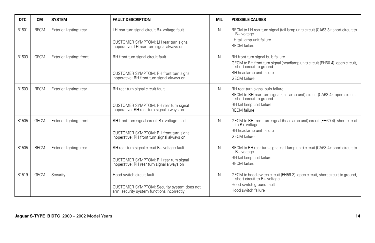| <b>DTC</b> | <b>CM</b>   | <b>SYSTEM</b>            | <b>FAULT DESCRIPTION</b>                                                                                                               | MIL | <b>POSSIBLE CAUSES</b>                                                                                                                                                                          |
|------------|-------------|--------------------------|----------------------------------------------------------------------------------------------------------------------------------------|-----|-------------------------------------------------------------------------------------------------------------------------------------------------------------------------------------------------|
| B1501      | <b>RECM</b> | Exterior lighting: rear  | LH rear turn signal circuit B+ voltage fault<br>CUSTOMER SYMPTOM: LH rear turn signal<br>inoperative; LH rear turn signal always on    | N.  | RECM to LH rear turn signal (tail lamp unit) circuit (CA63-3): short circuit to<br>B+ voltage<br>LH tail lamp unit failure<br><b>RECM</b> failure                                               |
| B1503      | <b>GECM</b> | Exterior lighting: front | RH front turn signal circuit fault<br>CUSTOMER SYMPTOM: RH front turn signal<br>inoperative; RH front turn signal always on            | N.  | RH front turn signal bulb failure<br>GECM to RH front turn signal (headlamp unit) circuit (FH60-4): open circuit,<br>short circuit to ground<br>RH headlamp unit failure<br><b>GECM</b> failure |
| B1503      | <b>RECM</b> | Exterior lighting: rear  | RH rear turn signal circuit fault<br>CUSTOMER SYMPTOM: RH rear turn signal<br>inoperative; RH rear turn signal always on               | N.  | RH rear turn signal bulb failure<br>RECM to RH rear turn signal (tail lamp unit) circuit (CA63-4): open circuit,<br>short circuit to ground<br>RH tail lamp unit failure<br><b>RECM</b> failure |
| B1505      | <b>GECM</b> | Exterior lighting: front | RH front turn signal circuit B+ voltage fault<br>CUSTOMER SYMPTOM: RH front turn signal<br>inoperative; RH front turn signal always on | N   | GECM to RH front turn signal (headlamp unit) circuit (FH60-4): short circuit<br>to B+ voltage<br>RH headlamp unit failure<br><b>GECM</b> failure                                                |
| B1505      | <b>RECM</b> | Exterior lighting: rear  | RH rear turn signal circuit B+ voltage fault<br>CUSTOMER SYMPTOM: RH rear turn signal<br>inoperative; RH rear turn signal always on    | N.  | RECM to RH rear turn signal (tail lamp unit) circuit (CA63-4): short circuit to<br>B+ voltage<br>RH tail lamp unit failure<br><b>RECM</b> failure                                               |
| B1519      | <b>GECM</b> | Security                 | Hood switch circuit fault<br>CUSTOMER SYMPTOM: Security system does not<br>arm; security system functions incorrectly                  | N   | GECM to hood switch circuit (FH59-3): open circuit, short circuit to ground,<br>short circuit to B+ voltage<br>Hood switch ground fault<br>Hood switch failure                                  |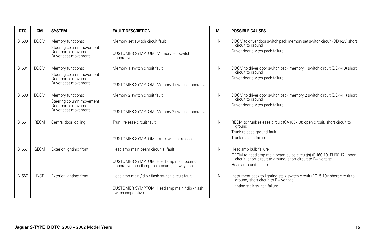| <b>DTC</b> | <b>CM</b>   | <b>SYSTEM</b>                                                                                 | <b>FAULT DESCRIPTION</b>                                                                                                       | <b>MIL</b> | <b>POSSIBLE CAUSES</b>                                                                                                                                                                  |
|------------|-------------|-----------------------------------------------------------------------------------------------|--------------------------------------------------------------------------------------------------------------------------------|------------|-----------------------------------------------------------------------------------------------------------------------------------------------------------------------------------------|
| B1530      | <b>DDCM</b> | Memory functions:<br>Steering column movement<br>Door mirror movement<br>Driver seat movement | Memory set switch circuit fault<br>CUSTOMER SYMPTOM: Memory set switch<br>inoperative                                          | N          | DDCM to driver door switch pack memory set switch circuit (DD4-25) short<br>circuit to ground<br>Driver door switch pack failure                                                        |
| B1534      | <b>DDCM</b> | Memory functions:<br>Steering column movement<br>Door mirror movement<br>Driver seat movement | Memory 1 switch circuit fault<br>CUSTOMER SYMPTOM: Memory 1 switch inoperative                                                 | N          | DDCM to driver door switch pack memory 1 switch circuit (DD4-10) short<br>circuit to ground<br>Driver door switch pack failure                                                          |
| B1538      | <b>DDCM</b> | Memory functions:<br>Steering column movement<br>Door mirror movement<br>Driver seat movement | Memory 2 switch circuit fault<br>CUSTOMER SYMPTOM: Memory 2 switch inoperative                                                 | N          | DDCM to driver door switch pack memory 2 switch circuit (DD4-11) short<br>circuit to ground<br>Driver door switch pack failure                                                          |
| B1551      | <b>RECM</b> | Central door locking                                                                          | Trunk release circuit fault<br>CUSTOMER SYMPTOM: Trunk will not release                                                        | N          | RECM to trunk release circuit (CA103-10): open circuit, short circuit to<br>ground<br>Trunk release ground fault<br>Trunk release failure                                               |
| B1567      | <b>GECM</b> | Exterior lighting: front                                                                      | Headlamp main beam circuit(s) fault<br>CUSTOMER SYMPTOM: Headlamp main beam(s)<br>inoperative; headlamp main beam(s) always on | N          | Headlamp bulb failure<br>GECM to headlamp main beam bulbs circuit(s) (FH60-10, FH60-17): open<br>circuit, short circuit to ground, short circuit to B+ voltage<br>Headlamp unit failure |
| B1567      | <b>INST</b> | Exterior lighting: front                                                                      | Headlamp main / dip / flash switch circuit fault<br>CUSTOMER SYMPTOM: Headlamp main / dip / flash<br>switch inoperative        | N          | Instrument pack to lighting stalk switch circuit (FC15-19): short circuit to ground, short circuit to B+ voltage<br>Lighting stalk switch failure                                       |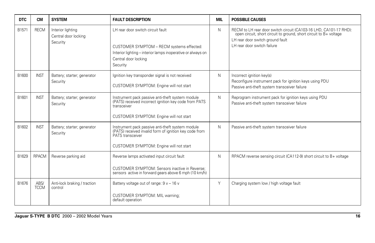| <b>DTC</b> | <b>CM</b>           | <b>SYSTEM</b>                                         | <b>FAULT DESCRIPTION</b>                                                                                                                                                          | MIL | <b>POSSIBLE CAUSES</b>                                                                                                                                                                                     |
|------------|---------------------|-------------------------------------------------------|-----------------------------------------------------------------------------------------------------------------------------------------------------------------------------------|-----|------------------------------------------------------------------------------------------------------------------------------------------------------------------------------------------------------------|
| B1571      | <b>RECM</b>         | Interior lighting<br>Central door locking<br>Security | LH rear door switch circuit fault<br>CUSTOMER SYMPTOM - RECM systems effected:<br>Interior lighting - interior lamps inoperative or always on<br>Central door locking<br>Security | N   | RECM to LH rear door switch circuit (CA103-16 LHD, CA101-17 RHD):<br>open circuit, short circuit to ground, short circuit to B+ voltage<br>LH rear door switch ground fault<br>LH rear door switch failure |
| B1600      | <b>INST</b>         | Battery; starter; generator<br>Security               | Ignition key transponder signal is not received<br>CUSTOMER SYMPTOM: Engine will not start                                                                                        | N   | Incorrect ignition key(s)<br>Reconfigure instrument pack for ignition keys using PDU<br>Passive anti-theft system transceiver failure                                                                      |
| B1601      | <b>INST</b>         | Battery; starter; generator<br>Security               | Instrument pack passive anti-theft system module<br>(PATS) received incorrect ignition key code from PATS<br>transceiver<br>CUSTOMER SYMPTOM: Engine will not start               | N   | Reprogram instrument pack for ignition keys using PDU<br>Passive anti-theft system transceiver failure                                                                                                     |
| B1602      | <b>INST</b>         | Battery; starter; generator<br>Security               | Instrument pack passive anti-theft system module<br>(PATS) received invalid form of ignition key code from<br>PATS transceiver<br>CUSTOMER SYMPTOM: Engine will not start         | N   | Passive anti-theft system transceiver failure                                                                                                                                                              |
| B1629      | <b>RPACM</b>        | Reverse parking aid                                   | Reverse lamps activated input circuit fault<br>CUSTOMER SYMPTOM: Sensors inactive in Reverse:<br>sensors active in forward gears above 6 mph (10 km/h)                            | N   | RPACM reverse sensing circuit (CA112-9) short circuit to B+ voltage                                                                                                                                        |
| B1676      | ABS/<br><b>TCCM</b> | Anti-lock braking / traction<br>control               | Battery voltage out of range: $9v - 16v$<br><b>CUSTOMER SYMPTOM: MIL warning:</b><br>default operation                                                                            | Y   | Charging system low / high voltage fault                                                                                                                                                                   |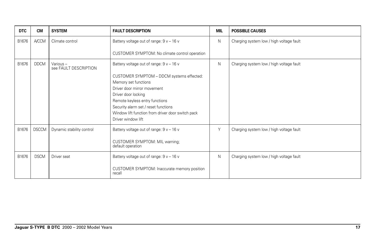| <b>DTC</b> | <b>CM</b>    | <b>SYSTEM</b>                     | <b>FAULT DESCRIPTION</b>                                               | <b>MIL</b> | <b>POSSIBLE CAUSES</b>                   |
|------------|--------------|-----------------------------------|------------------------------------------------------------------------|------------|------------------------------------------|
| B1676      | <b>A/CCM</b> | Climate control                   | Battery voltage out of range: $9v - 16v$                               | N          | Charging system low / high voltage fault |
|            |              |                                   | CUSTOMER SYMPTOM: No climate control operation                         |            |                                          |
| B1676      | <b>DDCM</b>  | Various-<br>see FAULT DESCRIPTION | Battery voltage out of range: $9v - 16v$                               | N          | Charging system low / high voltage fault |
|            |              |                                   | CUSTOMER SYMPTOM - DDCM systems effected:<br>Memory set functions      |            |                                          |
|            |              |                                   | Driver door mirror movement                                            |            |                                          |
|            |              |                                   | Driver door locking                                                    |            |                                          |
|            |              |                                   | Remote keyless entry functions<br>Security alarm set / reset functions |            |                                          |
|            |              |                                   | Window lift function from driver door switch pack                      |            |                                          |
|            |              |                                   | Driver window lift                                                     |            |                                          |
| B1676      | <b>DSCCM</b> | Dynamic stability control         | Battery voltage out of range: $9v - 16v$                               | Y          | Charging system low / high voltage fault |
|            |              |                                   | CUSTOMER SYMPTOM: MIL warning;<br>default operation                    |            |                                          |
| B1676      | <b>DSCM</b>  | Driver seat                       | Battery voltage out of range: $9v - 16v$                               | N          | Charging system low / high voltage fault |
|            |              |                                   | CUSTOMER SYMPTOM: Inaccurate memory position<br>recall                 |            |                                          |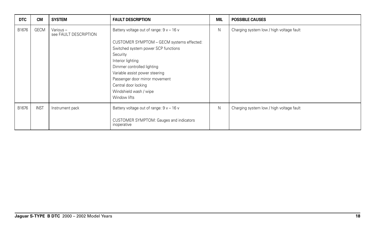| <b>DTC</b> | <b>CM</b>   | <b>SYSTEM</b>                      | <b>FAULT DESCRIPTION</b>                                                                                                                                                                                                                                                              | <b>MIL</b> | <b>POSSIBLE CAUSES</b>                   |
|------------|-------------|------------------------------------|---------------------------------------------------------------------------------------------------------------------------------------------------------------------------------------------------------------------------------------------------------------------------------------|------------|------------------------------------------|
| B1676      | GECM        | Various -<br>see FAULT DESCRIPTION | Battery voltage out of range: $9v - 16v$                                                                                                                                                                                                                                              | N          | Charging system low / high voltage fault |
|            |             |                                    | CUSTOMER SYMPTOM - GECM systems effected:<br>Switched system power SCP functions<br>Security<br>Interior lighting<br>Dimmer controlled lighting<br>Variable assist power steering<br>Passenger door mirror movement<br>Central door locking<br>Windshield wash / wipe<br>Window lifts |            |                                          |
| B1676      | <b>INST</b> | Instrument pack                    | Battery voltage out of range: $9v - 16v$                                                                                                                                                                                                                                              | N          | Charging system low / high voltage fault |
|            |             |                                    | CUSTOMER SYMPTOM: Gauges and indicators<br>inoperative                                                                                                                                                                                                                                |            |                                          |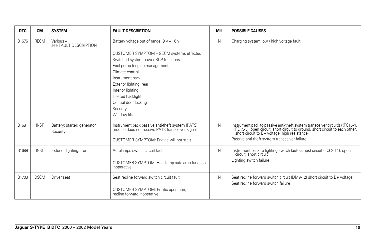| <b>DTC</b> | <b>CM</b>   | <b>SYSTEM</b>                           | <b>FAULT DESCRIPTION</b>                                                                                                                                                                                                                                                                                                    | <b>MIL</b> | <b>POSSIBLE CAUSES</b>                                                                                                                                                                                                                                  |
|------------|-------------|-----------------------------------------|-----------------------------------------------------------------------------------------------------------------------------------------------------------------------------------------------------------------------------------------------------------------------------------------------------------------------------|------------|---------------------------------------------------------------------------------------------------------------------------------------------------------------------------------------------------------------------------------------------------------|
| B1676      | <b>RECM</b> | Various-<br>see FAULT DESCRIPTION       | Battery voltage out of range: $9v - 16v$<br>CUSTOMER SYMPTOM - GECM systems effected:<br>Switched system power SCP functions<br>Fuel pump (engine management)<br>Climate control<br>Instrument pack<br>Exterior lighting: rear<br>Interior lighting<br>Heated backlight<br>Central door locking<br>Security<br>Window lifts | N          | Charging system low / high voltage fault                                                                                                                                                                                                                |
| B1681      | <b>INST</b> | Battery; starter; generator<br>Security | Instrument pack passive anti-theft system (PATS)<br>module does not receive PATS transceiver signal<br>CUSTOMER SYMPTOM: Engine will not start                                                                                                                                                                              | N          | Instrument pack to passive anti-theft system transceiver circuit(s) (FC15-4, FC15-5): open circuit, short circuit to ground, short circuit to each other, short circuit to B+ voltage, high resistance<br>Passive anti-theft system transceiver failure |
| B1689      | <b>INST</b> | Exterior lighting: front                | Autolamps switch circuit fault<br>CUSTOMER SYMPTOM: Headlamp autolamp function<br>inoperative                                                                                                                                                                                                                               | N          | Instrument pack to lighting switch (autolamps) circuit (FC63-14): open<br>circuit, short circuit<br>Lighting switch failure                                                                                                                             |
| B1703      | <b>DSCM</b> | Driver seat                             | Seat recline forward switch circuit fault<br>CUSTOMER SYMPTOM: Erratic operation;<br>recline forward inoperative                                                                                                                                                                                                            | N          | Seat recline forward switch circuit (DM9-12) short circuit to B+ voltage<br>Seat recline forward switch failure                                                                                                                                         |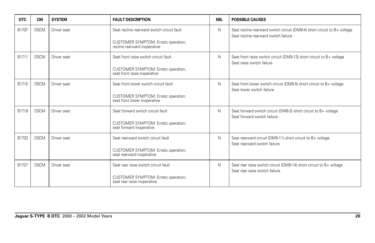| <b>DTC</b> | <b>CM</b>   | <b>SYSTEM</b> | <b>FAULT DESCRIPTION</b>                                                    | <b>MIL</b> | <b>POSSIBLE CAUSES</b>                                                                                           |
|------------|-------------|---------------|-----------------------------------------------------------------------------|------------|------------------------------------------------------------------------------------------------------------------|
| B1707      | <b>DSCM</b> | Driver seat   | Seat recline rearward switch circuit fault                                  | N          | Seat recline rearward switch circuit (DM9-4) short circuit to B+ voltage<br>Seat recline rearward switch failure |
|            |             |               | <b>CUSTOMER SYMPTOM: Erratic operation;</b><br>recline rearward inoperative |            |                                                                                                                  |
| B1711      | <b>DSCM</b> | Driver seat   | Seat front raise switch circuit fault                                       | N          | Seat front raise switch circuit (DM9-13) short circuit to B+ voltage<br>Seat raise switch failure                |
|            |             |               | CUSTOMER SYMPTOM: Erratic operation;<br>seat front raise inoperative        |            |                                                                                                                  |
| B1715      | <b>DSCM</b> | Driver seat   | Seat front lower switch circuit fault                                       | N          | Seat front lower switch circuit (DM9-5) short circuit to B+ voltage<br>Seat lower switch failure                 |
|            |             |               | <b>CUSTOMER SYMPTOM: Erratic operation;</b><br>seat front lower inoperative |            |                                                                                                                  |
| B1719      | <b>DSCM</b> | Driver seat   | Seat forward switch circuit fault                                           | N          | Seat forward switch circuit (DM9-3) short circuit to B+ voltage<br>Seat forward switch failure                   |
|            |             |               | <b>CUSTOMER SYMPTOM: Erratic operation;</b><br>seat forward inoperative     |            |                                                                                                                  |
| B1723      | <b>DSCM</b> | Driver seat   | Seat rearward switch circuit fault                                          | N          | Seat rearward circuit (DM9-11) short circuit to B+ voltage<br>Seat rearward switch failure                       |
|            |             |               | <b>CUSTOMER SYMPTOM: Erratic operation;</b><br>seat rearward inoperative    |            |                                                                                                                  |
| B1727      | <b>DSCM</b> | Driver seat   | Seat rear raise switch circuit fault                                        | N          | Seat rear raise switch circuit (DM9-14) short circuit to B+ voltage<br>Seat rear raise switch failure            |
|            |             |               | CUSTOMER SYMPTOM: Erratic operation;<br>seat rear raise inoperative         |            |                                                                                                                  |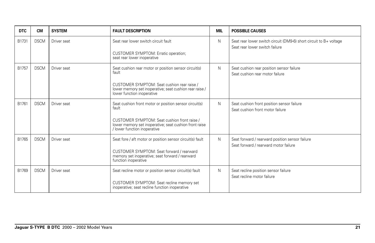| <b>DTC</b> | <b>CM</b>   | <b>SYSTEM</b> | <b>FAULT DESCRIPTION</b>                                                                                                               | <b>MIL</b> | <b>POSSIBLE CAUSES</b>                                                                                 |
|------------|-------------|---------------|----------------------------------------------------------------------------------------------------------------------------------------|------------|--------------------------------------------------------------------------------------------------------|
| B1731      | <b>DSCM</b> | Driver seat   | Seat rear lower switch circuit fault                                                                                                   | N          | Seat rear lower switch circuit (DM9-6) short circuit to $B+$ voltage<br>Seat rear lower switch failure |
|            |             |               | CUSTOMER SYMPTOM: Erratic operation;<br>seat rear lower inoperative                                                                    |            |                                                                                                        |
| B1757      | <b>DSCM</b> | Driver seat   | Seat cushion rear motor or position sensor circuit(s)<br>fault                                                                         | N          | Seat cushion rear position sensor failure<br>Seat cushion rear motor failure                           |
|            |             |               | CUSTOMER SYMPTOM: Seat cushion rear raise /<br>lower memory set inoperative; seat cushion rear raise /<br>lower function inoperative   |            |                                                                                                        |
| B1761      | <b>DSCM</b> | Driver seat   | Seat cushion front motor or position sensor circuit(s)<br>fault                                                                        | N          | Seat cushion front position sensor failure<br>Seat cushion front motor failure                         |
|            |             |               | CUSTOMER SYMPTOM: Seat cushion front raise /<br>lower memory set inoperative; seat cushion front raise<br>/ lower function inoperative |            |                                                                                                        |
| B1765      | <b>DSCM</b> | Driver seat   | Seat fore / aft motor or position sensor circuit(s) fault                                                                              | N          | Seat forward / rearward position sensor failure<br>Seat forward / rearward motor failure               |
|            |             |               | CUSTOMER SYMPTOM: Seat forward / rearward<br>memory set inoperative; seat forward / rearward<br>function inoperative                   |            |                                                                                                        |
| B1769      | <b>DSCM</b> | Driver seat   | Seat recline motor or position sensor circuit(s) fault                                                                                 | N          | Seat recline position sensor failure<br>Seat recline motor failure                                     |
|            |             |               | CUSTOMER SYMPTOM: Seat recline memory set<br>inoperative; seat recline function inoperative                                            |            |                                                                                                        |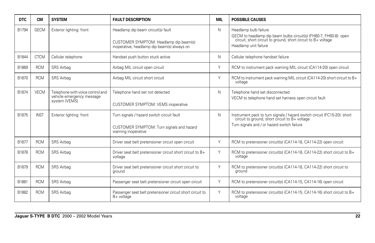| <b>DTC</b> | <b>CM</b>   | <b>SYSTEM</b>                                                 | <b>FAULT DESCRIPTION</b>                                                              | <b>MIL</b> | <b>POSSIBLE CAUSES</b>                                                                                                                                      |
|------------|-------------|---------------------------------------------------------------|---------------------------------------------------------------------------------------|------------|-------------------------------------------------------------------------------------------------------------------------------------------------------------|
| B1794      | <b>GECM</b> | Exterior lighting: front                                      | Headlamp dip beam circuit(s) fault                                                    | N.         | Headlamp bulb failure<br>GECM to headlamp dip beam bulbs circuit(s) (FH60-7, FH60-8): open<br>circuit, short circuit to ground, short circuit to B+ voltage |
|            |             |                                                               | CUSTOMER SYMPTOM: Headlamp dip beam(s)<br>inoperative; headlamp dip beam(s) always on |            | Headlamp unit failure                                                                                                                                       |
| B1844      | <b>CTCM</b> | Cellular telephone                                            | Handset push button stuck active                                                      | N.         | Cellular telephone handset failure                                                                                                                          |
| B1869      | <b>RCM</b>  | SRS Airbag                                                    | Airbag MIL circuit open circuit                                                       | Y          | RCM to instrument pack warning MIL circuit (CA114-20) open circuit                                                                                          |
| B1870      | <b>RCM</b>  | SRS Airbag                                                    | Airbag MIL circuit short circuit                                                      | Y          | RCM to instrument pack warning MIL circuit (CA114-20) short circuit to B+<br>voltage                                                                        |
| B1874      | <b>VECM</b> | Telephone with voice control and<br>vehicle emergency message | Telephone hand set not detected                                                       | N          | Telephone hand set disconnected<br>VECM to telephone hand set harness open circuit fault                                                                    |
|            |             | system (VEMS)                                                 | <b>CUSTOMER SYMPTOM: VEMS inoperative</b>                                             |            |                                                                                                                                                             |
| B1875      | <b>INST</b> | Exterior lighting: front                                      | Turn signals / hazard switch circuit fault                                            | N          | Instrument pack to turn signals / hazard switch circuit (FC15-20): short circuit to ground, short circuit to B+ voltage                                     |
|            |             |                                                               | CUSTOMER SYMPTOM: Turn signals and hazard<br>warning inoperative                      |            | Turn signals and / or hazard switch failure                                                                                                                 |
| B1877      | <b>RCM</b>  | SRS Airbag                                                    | Driver seat belt pretensioner circuit open circuit                                    | Y          | RCM to pretensioner circuit(s) (CA114-18, CA114-22) open circuit                                                                                            |
| B1878      | <b>RCM</b>  | SRS Airbag                                                    | Driver seat belt pretensioner circuit short circuit to B+<br>voltage                  | Υ          | RCM to pretensioner circuit(s) (CA114-18, CA114-22) short circuit to B+<br>voltage                                                                          |
| B1879      | <b>RCM</b>  | SRS Airbag                                                    | Driver seat belt pretensioner circuit short circuit to<br>ground                      | Υ          | RCM to pretensioner circuit(s) (CA114-18, CA114-22) short circuit to<br>ground                                                                              |
| B1881      | <b>RCM</b>  | SRS Airbag                                                    | Passenger seat belt pretensioner circuit open circuit                                 | Υ          | RCM to pretensioner circuit(s) (CA114-15, CA114-16) open circuit                                                                                            |
| B1882      | <b>RCM</b>  | SRS Airbag                                                    | Passenger seat belt pretensioner circuit short circuit to<br>B+ voltage               | Y          | RCM to pretensioner circuit(s) (CA114-15, CA114-16) short circuit to B+<br>voltage                                                                          |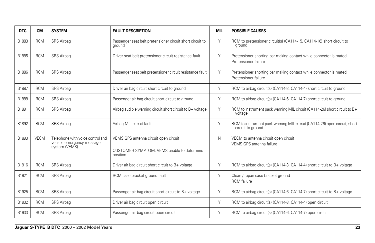| <b>DTC</b> | <b>CM</b>   | <b>SYSTEM</b>                                                                  | <b>FAULT DESCRIPTION</b>                                                                        | <b>MIL</b> | <b>POSSIBLE CAUSES</b>                                                                         |
|------------|-------------|--------------------------------------------------------------------------------|-------------------------------------------------------------------------------------------------|------------|------------------------------------------------------------------------------------------------|
| B1883      | <b>RCM</b>  | SRS Airbag                                                                     | Passenger seat belt pretensioner circuit short circuit to<br>ground                             | Y          | RCM to pretensioner circuit(s) (CA114-15, CA114-16) short circuit to<br>ground                 |
| B1885      | <b>RCM</b>  | SRS Airbag                                                                     | Driver seat belt pretensioner circuit resistance fault                                          | Y          | Pretensioner shorting bar making contact while connector is mated<br>Pretensioner failure      |
| B1886      | <b>RCM</b>  | <b>SRS</b> Airbag                                                              | Passenger seat belt pretensioner circuit resistance fault                                       | Y          | Pretensioner shorting bar making contact while connector is mated<br>Pretensioner failure      |
| B1887      | <b>RCM</b>  | SRS Airbag                                                                     | Driver air bag circuit short circuit to ground                                                  | Y          | RCM to airbag circuit(s) (CA114-3, CA114-4) short circuit to ground                            |
| B1888      | <b>RCM</b>  | SRS Airbag                                                                     | Passenger air bag circuit short circuit to ground                                               | Y          | RCM to airbag circuit(s) (CA114-6, CA114-7) short circuit to ground                            |
| B1891      | <b>RCM</b>  | SRS Airbag                                                                     | Airbag audible warning circuit short circuit to B+ voltage                                      | Y          | RCM to instrument pack warning MIL circuit (CA114-26) short circuit to B+<br>voltage           |
| B1892      | <b>RCM</b>  | SRS Airbag                                                                     | Airbag MIL circuit fault                                                                        | Y          | RCM to instrument pack warning MIL circuit (CA114-26) open circuit, short<br>circuit to ground |
| B1893      | <b>VECM</b> | Telephone with voice control and<br>vehicle emergency message<br>system (VEMS) | VEMS GPS antenna circuit open circuit<br>CUSTOMER SYMPTOM: VEMS unable to determine<br>position | N          | VECM to antenna circuit open circuit<br>VEMS GPS antenna failure                               |
| B1916      | <b>RCM</b>  | SRS Airbag                                                                     | Driver air bag circuit short circuit to B+ voltage                                              | Y          | RCM to airbag circuit(s) (CA114-3, CA114-4) short circuit to B+ voltage                        |
| B1921      | <b>RCM</b>  | SRS Airbag                                                                     | RCM case bracket ground fault                                                                   | Y          | Clean / repair case bracket ground<br><b>RCM</b> failure                                       |
| B1925      | <b>RCM</b>  | SRS Airbag                                                                     | Passenger air bag circuit short circuit to B+ voltage                                           | Y          | RCM to airbag circuit(s) (CA114-6, CA114-7) short circuit to B+ voltage                        |
| B1932      | <b>RCM</b>  | <b>SRS Airbag</b>                                                              | Driver air bag circuit open circuit                                                             | Y          | RCM to airbag circuit(s) (CA114-3, CA114-4) open circuit                                       |
| B1933      | <b>RCM</b>  | SRS Airbag                                                                     | Passenger air bag circuit open circuit                                                          | Y          | RCM to airbag circuit(s) (CA114-6, CA114-7) open circuit                                       |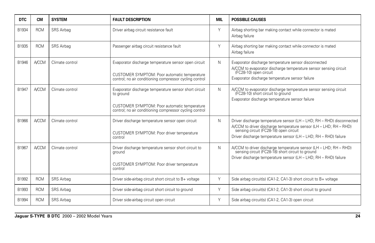| <b>DTC</b> | <b>CM</b>    | <b>SYSTEM</b>     | <b>FAULT DESCRIPTION</b>                                                                                                                                                      | MIL | <b>POSSIBLE CAUSES</b>                                                                                                                                                                                                                                |
|------------|--------------|-------------------|-------------------------------------------------------------------------------------------------------------------------------------------------------------------------------|-----|-------------------------------------------------------------------------------------------------------------------------------------------------------------------------------------------------------------------------------------------------------|
| B1934      | <b>RCM</b>   | <b>SRS Airbag</b> | Driver airbag circuit resistance fault                                                                                                                                        | Y   | Airbag shorting bar making contact while connector is mated<br>Airbag failure                                                                                                                                                                         |
| B1935      | <b>RCM</b>   | <b>SRS</b> Airbag | Passenger airbag circuit resistance fault                                                                                                                                     | Y   | Airbag shorting bar making contact while connector is mated<br>Airbag failure                                                                                                                                                                         |
| B1946      | <b>A/CCM</b> | Climate control   | Evaporator discharge temperature sensor open circuit<br>CUSTOMER SYMPTOM: Poor automatic temperature<br>control; no air conditioning compressor cycling control               | N   | Evaporator discharge temperature sensor disconnected<br>A/CCM to evaporator discharge temperature sensor sensing circuit (FC28-10) open circuit<br>Evaporator discharge temperature sensor failure                                                    |
| B1947      | <b>A/CCM</b> | Climate control   | Evaporator discharge temperature sensor short circuit<br>to ground<br>CUSTOMER SYMPTOM: Poor automatic temperature<br>control; no air conditioning compressor cycling control | N   | A/CCM to evaporator discharge temperature sensor sensing circuit (FC28-10) short circuit to ground<br>Evaporator discharge temperature sensor failure                                                                                                 |
| B1966      | <b>A/CCM</b> | Climate control   | Driver discharge temperature sensor open circuit<br>CUSTOMER SYMPTOM: Poor driver temperature<br>control                                                                      | N   | Driver discharge temperature sensor (LH - LHD; RH - RHD) disconnected<br>A/CCM to driver discharge temperature sensor (LH - LHD; RH - RHD) sensing circuit (FC28-18) open circuit<br>Driver discharge temperature sensor (LH - LHD; RH - RHD) failure |
| B1967      | <b>A/CCM</b> | Climate control   | Driver discharge temperature sensor short circuit to<br>ground<br>CUSTOMER SYMPTOM: Poor driver temperature<br>control                                                        | N   | A/CCM to driver discharge temperature sensor (LH - LHD; RH - RHD)<br>sensing circuit (FC28-18) short circuit to ground<br>Driver discharge temperature sensor (LH - LHD; RH - RHD) failure                                                            |
| B1992      | <b>RCM</b>   | <b>SRS Airbag</b> | Driver side-airbag circuit short circuit to B+ voltage                                                                                                                        | Y   | Side airbag circuit(s) (CA1-2, CA1-3) short circuit to B+ voltage                                                                                                                                                                                     |
| B1993      | <b>RCM</b>   | SRS Airbag        | Driver side-airbag circuit short circuit to ground                                                                                                                            | Y   | Side airbag circuit(s) (CA1-2, CA1-3) short circuit to ground                                                                                                                                                                                         |
| B1994      | <b>RCM</b>   | <b>SRS Airbag</b> | Driver side-airbag circuit open circuit                                                                                                                                       | Y   | Side airbag circuit(s) (CA1-2, CA1-3) open circuit                                                                                                                                                                                                    |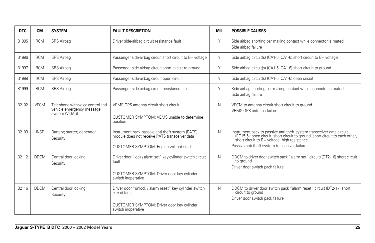| <b>DTC</b> | <b>CM</b>   | <b>SYSTEM</b>                                                                  | <b>FAULT DESCRIPTION</b>                                                                                                                     | <b>MIL</b> | <b>POSSIBLE CAUSES</b>                                                                                                                                                                                                                               |
|------------|-------------|--------------------------------------------------------------------------------|----------------------------------------------------------------------------------------------------------------------------------------------|------------|------------------------------------------------------------------------------------------------------------------------------------------------------------------------------------------------------------------------------------------------------|
| B1995      | <b>RCM</b>  | SRS Airbag                                                                     | Driver side-airbag circuit resistance fault                                                                                                  | Y          | Side airbag shorting bar making contact while connector is mated<br>Side airbag failure                                                                                                                                                              |
| B1996      | <b>RCM</b>  | SRS Airbag                                                                     | Passenger side-airbag circuit short circuit to B+ voltage                                                                                    | Y          | Side airbag circuit(s) (CA1-5, CA1-6) short circuit to B+ voltage                                                                                                                                                                                    |
| B1997      | <b>RCM</b>  | SRS Airbag                                                                     | Passenger side-airbag circuit short circuit to ground                                                                                        | Y          | Side airbag circuit(s) (CA1-5, CA1-6) short circuit to ground                                                                                                                                                                                        |
| B1998      | <b>RCM</b>  | SRS Airbag                                                                     | Passenger side-airbag circuit open circuit                                                                                                   | Y          | Side airbag circuit(s) (CA1-5, CA1-6) open circuit                                                                                                                                                                                                   |
| B1999      | <b>RCM</b>  | SRS Airbag                                                                     | Passenger side-airbag circuit resistance fault                                                                                               | Y          | Side airbag shorting bar making contact while connector is mated<br>Side airbag failure                                                                                                                                                              |
| B2102      | <b>VECM</b> | Telephone with voice control and<br>vehicle emergency message<br>system (VEMS) | VEMS GPS antenna circuit short circuit<br>CUSTOMER SYMPTOM: VEMS unable to determine<br>position                                             | N          | VECM to antenna circuit short circuit to ground<br>VEMS GPS antenna failure                                                                                                                                                                          |
| B2103      | <b>INST</b> | Battery; starter; generator<br>Security                                        | Instrument pack passive anti-theft system (PATS)<br>module does not receive PATS transceiver data<br>CUSTOMER SYMPTOM: Engine will not start | N          | Instrument pack to passive anti-theft system transceiver data circuit<br>(FC15-5): open circuit, short circuit to ground, short circuit to each other, short circuit to B+ voltage, high resistance<br>Passive anti-theft system transceiver failure |
| B2112      | <b>DDCM</b> | Central door locking<br>Security                                               | Driver door "lock / alarm set" key cylinder switch circuit<br>fault<br>CUSTOMER SYMPTOM: Driver door key cylinder<br>switch inoperative      | N          | DDCM to driver door switch pack "alarm set" circuit) (DT2-16) short circuit<br>to ground<br>Driver door switch pack failure                                                                                                                          |
| B2116      | <b>DDCM</b> | Central door locking<br>Security                                               | Driver door "unlock / alarm reset" key cylinder switch<br>circuit fault<br>CUSTOMER SYMPTOM: Driver door key cylinder<br>switch inoperative  | N          | DDCM to driver door switch pack "alarm reset" circuit (DT2-17) short<br>circuit to ground<br>Driver door switch pack failure                                                                                                                         |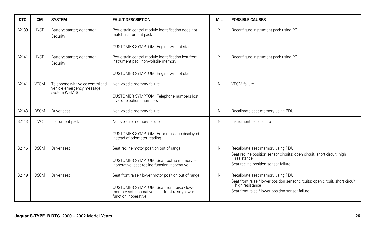| <b>DTC</b> | <b>CM</b>     | <b>SYSTEM</b>                                                 | <b>FAULT DESCRIPTION</b>                                                                                               | <b>MIL</b> | <b>POSSIBLE CAUSES</b>                                                                                               |
|------------|---------------|---------------------------------------------------------------|------------------------------------------------------------------------------------------------------------------------|------------|----------------------------------------------------------------------------------------------------------------------|
| B2139      | <b>INST</b>   | Battery; starter; generator<br>Security                       | Powertrain control module identification does not<br>match instrument pack                                             | Y          | Reconfigure instrument pack using PDU                                                                                |
|            |               |                                                               | CUSTOMER SYMPTOM: Engine will not start                                                                                |            |                                                                                                                      |
| B2141      | <b>INST</b>   | Battery; starter; generator<br>Security                       | Powertrain control module identification lost from<br>instrument pack non-volatile memory                              | Y          | Reconfigure instrument pack using PDU                                                                                |
|            |               |                                                               | CUSTOMER SYMPTOM: Engine will not start                                                                                |            |                                                                                                                      |
| B2141      | <b>VECM</b>   | Telephone with voice control and<br>vehicle emergency message | Non-volatile memory failure                                                                                            | N          | <b>VECM</b> failure                                                                                                  |
|            | system (VEMS) |                                                               | CUSTOMER SYMPTOM: Telephone numbers lost;<br>invalid telephone numbers                                                 |            |                                                                                                                      |
| B2143      | <b>DSCM</b>   | Driver seat                                                   | Non-volatile memory failure                                                                                            | N          | Recalibrate seat memory using PDU                                                                                    |
| B2143      | <b>MC</b>     | Instrument pack                                               | Non-volatile memory failure                                                                                            | N          | Instrument pack failure                                                                                              |
|            |               |                                                               | CUSTOMER SYMPTOM: Error message displayed<br>instead of odometer reading                                               |            |                                                                                                                      |
| B2146      | <b>DSCM</b>   | Driver seat                                                   | Seat recline motor position out of range                                                                               | N          | Recalibrate seat memory using PDU<br>Seat recline position sensor circuits: open circuit, short circuit, high        |
|            |               |                                                               | CUSTOMER SYMPTOM: Seat recline memory set<br>inoperative; seat recline function inoperative                            |            | resistance<br>Seat recline position sensor failure                                                                   |
| B2149      | <b>DSCM</b>   | Driver seat                                                   | Seat front raise / lower motor position out of range                                                                   | N          | Recalibrate seat memory using PDU<br>Seat front raise / lower position sensor circuits: open circuit, short circuit, |
|            |               |                                                               | CUSTOMER SYMPTOM: Seat front raise / lower<br>memory set inoperative; seat front raise / lower<br>function inoperative |            | high resistance<br>Seat front raise / lower position sensor failure                                                  |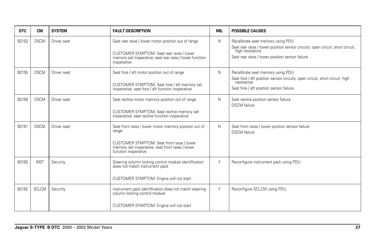| <b>DTC</b> | <b>CM</b>    | <b>SYSTEM</b> | <b>FAULT DESCRIPTION</b>                                                                                                                                                                 | <b>MIL</b> | <b>POSSIBLE CAUSES</b>                                                                                                                                                                    |
|------------|--------------|---------------|------------------------------------------------------------------------------------------------------------------------------------------------------------------------------------------|------------|-------------------------------------------------------------------------------------------------------------------------------------------------------------------------------------------|
| B2152      | <b>DSCM</b>  | Driver seat   | Seat rear raise / lower motor position out of range<br>CUSTOMER SYMPTOM: Seat rear raise / lower<br>memory set inoperative; seat rear raise / lower function<br>inoperative              | N          | Recalibrate seat memory using PDU<br>Seat rear raise / lower position sensor circuits: open circuit, short circuit,<br>high resistance<br>Seat rear raise / lower position sensor failure |
| B2155      | <b>DSCM</b>  | Driver seat   | Seat fore / aft motor position out of range<br>CUSTOMER SYMPTOM: Seat fore / aft memory set<br>inoperative; seat fore / aft function inoperative                                         | N          | Recalibrate seat memory using PDU<br>Seat fore / aft position sensor circuits: open circuit, short circuit, high<br>resistance<br>Seat fore / aft position sensor failure                 |
| B2158      | <b>DSCM</b>  | Driver seat   | Seat recline motor memory position out of range<br>CUSTOMER SYMPTOM: Seat recline memory set<br>inoperative; seat recline function inoperative                                           | N          | Seat recline position sensor failure<br><b>DSCM</b> failure                                                                                                                               |
| B2161      | <b>DSCM</b>  | Driver seat   | Seat front raise / lower motor memory position out of<br>range<br>CUSTOMER SYMPTOM: Seat front raise / lower<br>memory set inoperative; seat front raise / lower<br>function inoperative | N          | Seat front raise / lower position sensor failure<br><b>DSCM</b> failure                                                                                                                   |
| B2162      | <b>INST</b>  | Security      | Steering column locking control module identification<br>does not match instrument pack<br>CUSTOMER SYMPTOM: Engine will not start                                                       | Y          | Reconfigure instrument pack using PDU                                                                                                                                                     |
| B2162      | <b>SCLCM</b> | Security      | Instrument pack identification does not match steering<br>column locking control module<br>CUSTOMER SYMPTOM: Engine will not start                                                       | Y          | Reconfigure SCLCM using PDU                                                                                                                                                               |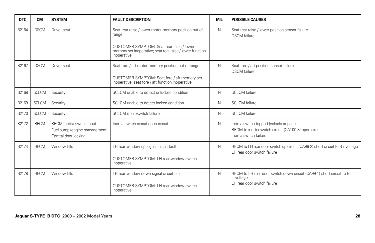| <b>DTC</b> | <b>CM</b>    | <b>SYSTEM</b>                                                                      | <b>FAULT DESCRIPTION</b>                                                                                             | <b>MIL</b> | <b>POSSIBLE CAUSES</b>                                                                                                     |
|------------|--------------|------------------------------------------------------------------------------------|----------------------------------------------------------------------------------------------------------------------|------------|----------------------------------------------------------------------------------------------------------------------------|
| B2164      | <b>DSCM</b>  | Driver seat                                                                        | Seat rear raise / lower motor memory position out of<br>range                                                        | N          | Seat rear raise / lower position sensor failure<br><b>DSCM</b> failure                                                     |
|            |              |                                                                                    | CUSTOMER SYMPTOM: Seat rear raise / lower<br>memory set inoperative; seat rear raise / lower function<br>inoperative |            |                                                                                                                            |
| B2167      | <b>DSCM</b>  | Driver seat                                                                        | Seat fore / aft motor memory position out of range                                                                   | N          | Seat fore / aft position sensor failure<br><b>DSCM</b> failure                                                             |
|            |              |                                                                                    | CUSTOMER SYMPTOM: Seat fore / aft memory set<br>inoperative; seat fore / aft function inoperative                    |            |                                                                                                                            |
| B2168      | <b>SCLCM</b> | Security                                                                           | SCLCM unable to detect unlocked condition                                                                            | N          | <b>SCLCM</b> failure                                                                                                       |
| B2169      | <b>SCLCM</b> | Security                                                                           | SCLCM unable to detect locked condition                                                                              | N          | <b>SCLCM</b> failure                                                                                                       |
| B2170      | <b>SCLCM</b> | Security                                                                           | SCLCM microswitch failure                                                                                            | N          | <b>SCLCM</b> failure                                                                                                       |
| B2172      | <b>RECM</b>  | RECM inertia switch input<br>Fuel pump (engine management)<br>Central door locking | Inertia switch circuit open circuit                                                                                  | N          | Inertia switch tripped (vehicle impact)<br>RECM to inertia switch circuit (CA100-8) open circuit<br>Inertia switch failure |
| B2174      | <b>RECM</b>  | Window lifts                                                                       | LH rear window up signal circuit fault                                                                               | N          | RECM to LH rear door switch up circuit (CA99-2) short circuit to B+ voltage<br>LH rear door switch failure                 |
|            |              |                                                                                    | CUSTOMER SYMPTOM: LH rear window switch<br>inoperative                                                               |            |                                                                                                                            |
| B2178      | <b>RECM</b>  | Window lifts                                                                       | LH rear window down signal circuit fault                                                                             | N          | RECM to LH rear door switch down circuit (CA99-1) short circuit to B+<br>voltage                                           |
|            |              |                                                                                    | CUSTOMER SYMPTOM: LH rear window switch<br>inoperative                                                               |            | LH rear door switch failure                                                                                                |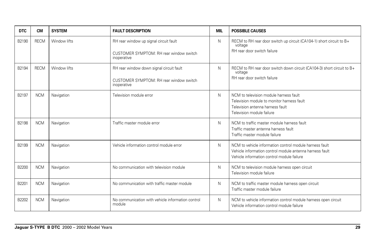| <b>DTC</b> | <b>CM</b>   | <b>SYSTEM</b> | <b>FAULT DESCRIPTION</b>                                                                           | <b>MIL</b> | <b>POSSIBLE CAUSES</b>                                                                                                                                            |
|------------|-------------|---------------|----------------------------------------------------------------------------------------------------|------------|-------------------------------------------------------------------------------------------------------------------------------------------------------------------|
| B2190      | <b>RECM</b> | Window lifts  | RH rear window up signal circuit fault<br>CUSTOMER SYMPTOM: RH rear window switch<br>inoperative   | N          | RECM to RH rear door switch up circuit (CA104-1) short circuit to B+<br>voltage<br>RH rear door switch failure                                                    |
| B2194      | <b>RECM</b> | Window lifts  | RH rear window down signal circuit fault<br>CUSTOMER SYMPTOM: RH rear window switch<br>inoperative | N          | RECM to RH rear door switch down circuit (CA104-3) short circuit to B+<br>voltage<br>RH rear door switch failure                                                  |
| B2197      | <b>NCM</b>  | Navigation    | Television module error                                                                            | N          | NCM to television module harness fault<br>Television module to monitor harness fault<br>Television antenna harness fault<br>Television module failure             |
| B2198      | <b>NCM</b>  | Navigation    | Traffic master module error                                                                        | N          | NCM to traffic master module harness fault<br>Traffic master antenna harness fault<br>Traffic master module failure                                               |
| B2199      | <b>NCM</b>  | Navigation    | Vehicle information control module error                                                           | N          | NCM to vehicle information control module harness fault<br>Vehicle information control module antenna harness fault<br>Vehicle information control module failure |
| B2200      | <b>NCM</b>  | Navigation    | No communication with television module                                                            | N          | NCM to television module harness open circuit<br>Television module failure                                                                                        |
| B2201      | <b>NCM</b>  | Navigation    | No communication with traffic master module                                                        | N          | NCM to traffic master module harness open circuit<br>Traffic master module failure                                                                                |
| B2202      | <b>NCM</b>  | Navigation    | No communication with vehicle information control<br>module                                        | N          | NCM to vehicle information control module harness open circuit<br>Vehicle information control module failure                                                      |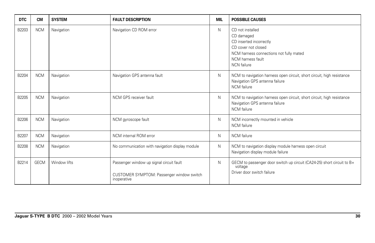| <b>DTC</b> | <b>CM</b>   | <b>SYSTEM</b> | <b>FAULT DESCRIPTION</b>                                 | <b>MIL</b> | <b>POSSIBLE CAUSES</b>                                                                                                                                                 |
|------------|-------------|---------------|----------------------------------------------------------|------------|------------------------------------------------------------------------------------------------------------------------------------------------------------------------|
| B2203      | <b>NCM</b>  | Navigation    | Navigation CD ROM error                                  | N          | CD not installed<br>CD damaged<br>CD inserted incorrectly<br>CD cover not closed<br>NCM harness connections not fully mated<br>NCM harness fault<br><b>NCN</b> failure |
| B2204      | <b>NCM</b>  | Navigation    | Navigation GPS antenna fault                             | N          | NCM to navigation harness open circuit, short circuit, high resistance<br>Navigation GPS antenna failure<br>NCM failure                                                |
| B2205      | <b>NCM</b>  | Navigation    | NCM GPS receiver fault                                   | N          | NCM to navigation harness open circuit, short circuit, high resistance<br>Navigation GPS antenna failure<br><b>NCM</b> failure                                         |
| B2206      | <b>NCM</b>  | Navigation    | NCM gyroscope fault                                      | N          | NCM incorrectly mounted in vehicle<br>NCM failure                                                                                                                      |
| B2207      | <b>NCM</b>  | Navigation    | NCM internal ROM error                                   | N          | <b>NCM</b> failure                                                                                                                                                     |
| B2208      | <b>NCM</b>  | Navigation    | No communication with navigation display module          | N          | NCM to navigation display module harness open circuit<br>Navigation display module failure                                                                             |
| B2214      | <b>GECM</b> | Window lifts  | Passenger window up signal circuit fault                 | N          | GECM to passenger door switch up circuit (CA24-25) short circuit to B+<br>voltage                                                                                      |
|            |             |               | CUSTOMER SYMPTOM: Passenger window switch<br>inoperative |            | Driver door switch failure                                                                                                                                             |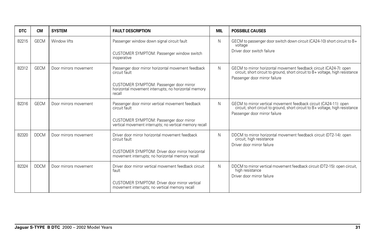| <b>DTC</b> | CМ          | <b>SYSTEM</b>         | <b>FAULT DESCRIPTION</b>                                                                                                                                                         | <b>MIL</b> | <b>POSSIBLE CAUSES</b>                                                                                                                                                               |
|------------|-------------|-----------------------|----------------------------------------------------------------------------------------------------------------------------------------------------------------------------------|------------|--------------------------------------------------------------------------------------------------------------------------------------------------------------------------------------|
| B2215      | <b>GECM</b> | Window lifts          | Passenger window down signal circuit fault<br>CUSTOMER SYMPTOM: Passenger window switch<br>inoperative                                                                           | N          | GECM to passenger door switch down circuit (CA24-10) short circuit to B+<br>voltage<br>Driver door switch failure                                                                    |
| B2312      | <b>GECM</b> | Door mirrors movement | Passenger door mirror horizontal movement feedback<br>circuit fault<br>CUSTOMER SYMPTOM: Passenger door mirror<br>horizontal movement interrupts; no horizontal memory<br>recall | N          | GECM to mirror horizontal movement feedback circuit (CA24-7): open circuit, short circuit to ground, short circuit to B+ voltage, high resistance<br>Passenger door mirror failure   |
| B2316      | <b>GECM</b> | Door mirrors movement | Passenger door mirror vertical movement feedback<br>circuit fault<br>CUSTOMER SYMPTOM: Passenger door mirror<br>vertical movement interrupts; no vertical memory recall          | N          | GECM to mirror vertical movement feedback circuit (CA24-11): open<br>circuit, short circuit to ground, short circuit to B+ voltage, high resistance<br>Passenger door mirror failure |
| B2320      | <b>DDCM</b> | Door mirrors movement | Driver door mirror horizontal movement feedback<br>circuit fault<br>CUSTOMER SYMPTOM: Driver door mirror horizontal<br>movement interrupts; no horizontal memory recall          | N          | DDCM to mirror horizontal movement feedback circuit (DT2-14): open<br>circuit, high resistance<br>Driver door mirror failure                                                         |
| B2324      | <b>DDCM</b> | Door mirrors movement | Driver door mirror vertical movement feedback circuit<br>fault<br>CUSTOMER SYMPTOM: Driver door mirror vertical<br>movement interrupts; no vertical memory recall                | N          | DDCM to mirror vertical movement feedback circuit (DT2-15): open circuit,<br>high resistance<br>Driver door mirror failure                                                           |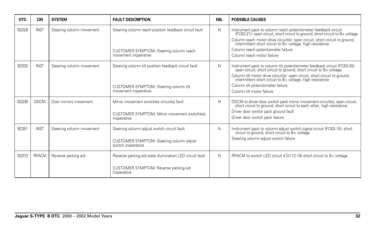| <b>DTC</b> | <b>CM</b>    | <b>SYSTEM</b>            | <b>FAULT DESCRIPTION</b>                                                                                                 | <b>MIL</b> | <b>POSSIBLE CAUSES</b>                                                                                                                                                                                                                                                                                                                                       |
|------------|--------------|--------------------------|--------------------------------------------------------------------------------------------------------------------------|------------|--------------------------------------------------------------------------------------------------------------------------------------------------------------------------------------------------------------------------------------------------------------------------------------------------------------------------------------------------------------|
| B2328      | <b>INST</b>  | Steering column movement | Steering column reach position feedback circuit fault<br>CUSTOMER SYMPTOM: Steering column reach<br>movement inoperative | N          | Instrument pack to column reach potentiometer feedback circuit<br>(FC63-21): open circuit, short circuit to ground, short circuit to B+ voltage<br>Column reach motor drive circuit(s): open circuit, short circuit to ground, intermittent short circuit to B+ voltage, high resistance<br>Column reach potentiometer failure<br>Column reach motor failure |
| B2332      | <b>INST</b>  | Steering column movement | Steering column tilt position feedback circuit fault<br>CUSTOMER SYMPTOM: Steering column tilt<br>movement inoperative   | N          | Instrument pack to column tilt potentiometer feedback circuit (FC63-20):<br>open circuit, short circuit to ground, short circuit to B+ voltage<br>Column tilt motor drive circuit(s): open circuit, short circuit to ground, intermittent short circuit to B+ voltage, high resistance<br>Column tilt potentiometer failure<br>Column tilt motor failure     |
| B2336      | <b>DDCM</b>  | Door mirrors movement    | Mirror movement switches circuit(s) fault<br>CUSTOMER SYMPTOM: Mirror movement switch(es)<br>inoperative                 | N          | DDCM to driver door switch pack mirror movement circuit(s); open circuit, short circuit to ground, short circuit to each other, high resistance<br>Driver door switch pack ground fault<br>Driver door switch pack failure                                                                                                                                   |
| B2351      | <b>INST</b>  | Steering column movement | Steering column adjust switch circuit fault<br>CUSTOMER SYMPTOM: Steering column adjust<br>switch inoperative            | N          | Instrument pack to column adjust switch signal circuit (FC63-15): short circuit to ground, short circuit to B+ voltage<br>Steering column adjust switch failure                                                                                                                                                                                              |
| B2373      | <b>RPACM</b> | Reverse parking aid      | Reverse parking aid state illumination LED circuit fault<br>CUSTOMER SYMPTOM: Reverse parking aid<br>inoperative         | N.         | RPACM to switch LED circuit (CA112-19) short circuit to B+ voltage                                                                                                                                                                                                                                                                                           |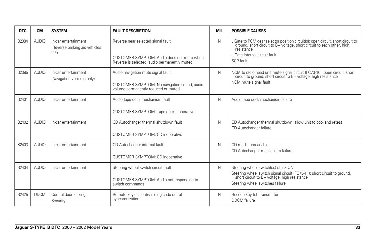| <b>DTC</b> | <b>CM</b>    | <b>SYSTEM</b>                                                  | <b>FAULT DESCRIPTION</b>                                                                                                         | <b>MIL</b> | <b>POSSIBLE CAUSES</b>                                                                                                                                                                                             |
|------------|--------------|----------------------------------------------------------------|----------------------------------------------------------------------------------------------------------------------------------|------------|--------------------------------------------------------------------------------------------------------------------------------------------------------------------------------------------------------------------|
| B2384      | <b>AUDIO</b> | In-car entertainment<br>(Reverse parking aid vehicles<br>only) | Reverse gear selected signal fault<br>CUSTOMER SYMPTOM: Audio does not mute when<br>Reverse is selected; audio permanently muted | N          | J Gate to PCM gear selector position circuit(s): open circuit, short circuit to ground, short circuit to B+ voltage, short circuit to each other, high<br>resistance<br>J Gate internal circuit fault<br>SCP fault |
| B2385      | <b>AUDIO</b> | In-car entertainment<br>(Navigation vehicles only)             | Audio navigation mute signal fault<br>CUSTOMER SYMPTOM: No navigation sound; audio<br>volume permanently reduced or muted        | N          | NCM to radio head unit mute signal circuit (FC73-16): open circuit, short circuit to ground, short circuit to B+ voltage, high resistance<br>NCM mute signal fault                                                 |
| B2401      | <b>AUDIO</b> | In-car entertainment                                           | Audio tape deck mechanism fault<br>CUSTOMER SYMPTOM: Tape deck inoperative                                                       | N          | Audio tape deck mechanism failure                                                                                                                                                                                  |
| B2402      | <b>AUDIO</b> | In-car entertainment                                           | CD Autochanger thermal shutdown fault<br><b>CUSTOMER SYMPTOM: CD inoperative</b>                                                 | N          | CD Autochanger thermal shutdown; allow unit to cool and retest<br>CD Autochanger failure                                                                                                                           |
| B2403      | <b>AUDIO</b> | In-car entertainment                                           | CD Autochanger internal fault<br><b>CUSTOMER SYMPTOM: CD inoperative</b>                                                         | N          | CD media unreadable<br>CD Autochanger mechanism failure                                                                                                                                                            |
| B2404      | <b>AUDIO</b> | In-car entertainment                                           | Steering wheel switch circuit fault<br>CUSTOMER SYMPTOM: Audio not responding to<br>switch commands                              | N          | Steering wheel switch(es) stuck ON<br>Steering wheel switch signal circuit (FC73-11): short circuit to ground,<br>short circuit to B+ voltage, high resistance<br>Steering wheel switches failure                  |
| B2425      | <b>DDCM</b>  | Central door locking<br>Security                               | Remote keyless entry rolling code out of<br>synchronization                                                                      | N          | Recode key fob transmitter<br><b>DDCM</b> failure                                                                                                                                                                  |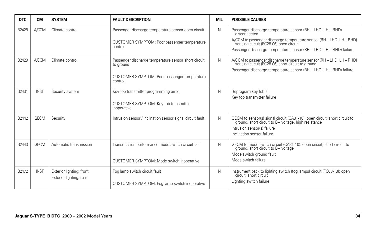| DTC.  | <b>CM</b>    | <b>SYSTEM</b>                                       | <b>FAULT DESCRIPTION</b>                                                                                                     | <b>MIL</b> | <b>POSSIBLE CAUSES</b>                                                                                                                                                                                                                                               |
|-------|--------------|-----------------------------------------------------|------------------------------------------------------------------------------------------------------------------------------|------------|----------------------------------------------------------------------------------------------------------------------------------------------------------------------------------------------------------------------------------------------------------------------|
| B2428 | <b>A/CCM</b> | Climate control                                     | Passenger discharge temperature sensor open circuit<br>CUSTOMER SYMPTOM: Poor passenger temperature<br>control               | N          | Passenger discharge temperature sensor (RH - LHD; LH - RHD)<br>disconnected<br>A/CCM to passenger discharge temperature sensor (RH - LHD; LH - RHD)<br>sensing circuit (FC28-06) open circuit<br>Passenger discharge temperature sensor (RH - LHD; LH - RHD) failure |
| B2429 | <b>A/CCM</b> | Climate control                                     | Passenger discharge temperature sensor short circuit<br>to ground<br>CUSTOMER SYMPTOM: Poor passenger temperature<br>control | N          | A/CCM to passenger discharge temperature sensor (RH - LHD; LH - RHD)<br>sensing circuit (FC28-06) short circuit to ground<br>Passenger discharge temperature sensor (RH - LHD; LH - RHD) failure                                                                     |
| B2431 | <b>INST</b>  | Security system                                     | Key fob transmitter programming error<br>CUSTOMER SYMPTOM: Key fob transmitter<br>inoperative                                | N          | Reprogram key fob(s)<br>Key fob transmitter failure                                                                                                                                                                                                                  |
| B2442 | <b>GECM</b>  | Security                                            | Intrusion sensor / inclination sensor signal circuit fault                                                                   | N          | GECM to sensor(s) signal circuit (CA31-18): open circuit, short circuit to ground, short circuit to B+ voltage, high resistance<br>Intrusion sensor(s) failure<br>Inclination sensor failure                                                                         |
| B2443 | <b>GECM</b>  | Automatic transmission                              | Transmission performance mode switch circuit fault<br>CUSTOMER SYMPTOM: Mode switch inoperative                              | N          | GECM to mode switch circuit (CA31-10): open circuit, short circuit to<br>ground, short circuit to B+ voltage<br>Mode switch ground fault<br>Mode switch failure                                                                                                      |
| B2472 | <b>INST</b>  | Exterior lighting: front<br>Exterior lighting: rear | Fog lamp switch circuit fault<br>CUSTOMER SYMPTOM: Fog lamp switch inoperative                                               | N          | Instrument pack to lighting switch (fog lamps) circuit (FC63-13): open<br>circuit, short circuit<br>Lighting switch failure                                                                                                                                          |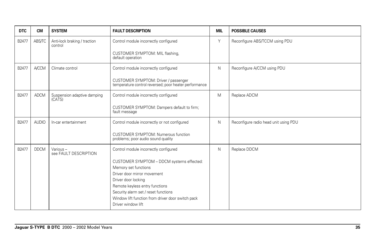| <b>DTC</b> | <b>CM</b>    | <b>SYSTEM</b>                           | <b>FAULT DESCRIPTION</b>                                                                      | <b>MIL</b> | <b>POSSIBLE CAUSES</b>                |
|------------|--------------|-----------------------------------------|-----------------------------------------------------------------------------------------------|------------|---------------------------------------|
| B2477      | ABS/TC       | Anti-lock braking / traction<br>control | Control module incorrectly configured                                                         | Y          | Reconfigure ABS/TCCM using PDU        |
|            |              |                                         | CUSTOMER SYMPTOM: MIL flashing,<br>default operation                                          |            |                                       |
| B2477      | <b>A/CCM</b> | Climate control                         | Control module incorrectly configured                                                         | N          | Reconfigure A/CCM using PDU           |
|            |              |                                         | CUSTOMER SYMPTOM: Driver / passenger<br>temperature control reversed; poor heater performance |            |                                       |
| B2477      | <b>ADCM</b>  | Suspension adaptive damping<br>(CATS)   | Control module incorrectly configured                                                         | M          | Replace ADCM                          |
|            |              |                                         | CUSTOMER SYMPTOM: Dampers default to firm;<br>fault message                                   |            |                                       |
| B2477      | <b>AUDIO</b> | In-car entertainment                    | Control module incorrectly or not configured                                                  | N          | Reconfigure radio head unit using PDU |
|            |              |                                         | CUSTOMER SYMPTOM: Numerous function<br>problems; poor audio sound quality                     |            |                                       |
| B2477      | <b>DDCM</b>  | Various-<br>see FAULT DESCRIPTION       | Control module incorrectly configured                                                         | N          | Replace DDCM                          |
|            |              |                                         | CUSTOMER SYMPTOM - DDCM systems effected:                                                     |            |                                       |
|            |              |                                         | Memory set functions                                                                          |            |                                       |
|            |              |                                         | Driver door mirror movement                                                                   |            |                                       |
|            |              |                                         | Driver door locking<br>Remote keyless entry functions                                         |            |                                       |
|            |              |                                         | Security alarm set / reset functions                                                          |            |                                       |
|            |              |                                         | Window lift function from driver door switch pack                                             |            |                                       |
|            |              |                                         | Driver window lift                                                                            |            |                                       |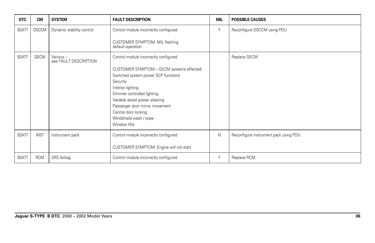| <b>DTC</b> | <b>CM</b>    | <b>SYSTEM</b>                     | <b>FAULT DESCRIPTION</b>                             | <b>MIL</b> | <b>POSSIBLE CAUSES</b>                |
|------------|--------------|-----------------------------------|------------------------------------------------------|------------|---------------------------------------|
| B2477      | <b>DSCCM</b> | Dynamic stability control         | Control module incorrectly configured                | Y          | Reconfigure DSCCM using PDU           |
|            |              |                                   | CUSTOMER SYMPTOM: MIL flashing,<br>default operation |            |                                       |
| B2477      | GECM         | Various-<br>see FAULT DESCRIPTION | Control module incorrectly configured                |            | Replace GECM                          |
|            |              |                                   | CUSTOMER SYMPTOM - GECM systems effected:            |            |                                       |
|            |              |                                   | Switched system power SCP functions                  |            |                                       |
|            |              |                                   | Security                                             |            |                                       |
|            |              |                                   | Interior lighting                                    |            |                                       |
|            |              |                                   | Dimmer controlled lighting                           |            |                                       |
|            |              |                                   | Variable assist power steering                       |            |                                       |
|            |              |                                   | Passenger door mirror movement                       |            |                                       |
|            |              |                                   | Central door locking                                 |            |                                       |
|            |              |                                   | Windshield wash / wipe<br>Window lifts               |            |                                       |
|            |              |                                   |                                                      |            |                                       |
| B2477      | <b>INST</b>  | Instrument pack                   | Control module incorrectly configured                | N          | Reconfigure instrument pack using PDU |
|            |              |                                   |                                                      |            |                                       |
|            |              |                                   | CUSTOMER SYMPTOM: Engine will not start              |            |                                       |
| B2477      | <b>RCM</b>   | SRS Airbag                        | Control module incorrectly configured                | Y          | Replace RCM                           |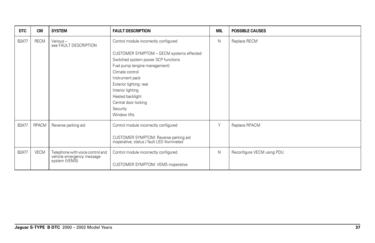| <b>DTC</b> | <b>CM</b>   | <b>SYSTEM</b>                                                 | <b>FAULT DESCRIPTION</b>                                                             | MIL | <b>POSSIBLE CAUSES</b>     |
|------------|-------------|---------------------------------------------------------------|--------------------------------------------------------------------------------------|-----|----------------------------|
| B2477      | <b>RECM</b> | Various-<br>see FAULT DESCRIPTION                             | Control module incorrectly configured                                                | N   | Replace RECM               |
|            |             |                                                               | CUSTOMER SYMPTOM - GECM systems effected:                                            |     |                            |
|            |             |                                                               | Switched system power SCP functions                                                  |     |                            |
|            |             |                                                               | Fuel pump (engine management)<br>Climate control                                     |     |                            |
|            |             |                                                               | Instrument pack                                                                      |     |                            |
|            |             |                                                               | Exterior lighting: rear                                                              |     |                            |
|            |             |                                                               | Interior lighting                                                                    |     |                            |
|            |             |                                                               | Heated backlight<br>Central door locking                                             |     |                            |
|            |             |                                                               | Security                                                                             |     |                            |
|            |             |                                                               | Window lifts                                                                         |     |                            |
| B2477      | RPACM       | Reverse parking aid                                           | Control module incorrectly configured                                                | Y   | Replace RPACM              |
|            |             |                                                               | CUSTOMER SYMPTOM: Reverse parking aid<br>inoperative; status / fault LED illuminated |     |                            |
| B2477      | <b>VECM</b> | Telephone with voice control and<br>vehicle emergency message | Control module incorrectly configured                                                | N   | Reconfigure VECM using PDU |
|            |             | system (VEMS)                                                 | CUSTOMER SYMPTOM: VEMS inoperative                                                   |     |                            |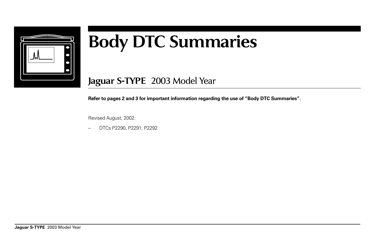

## **Body DTC Summaries**

**Jaguar S-TYPE** 2003 Model Year

**Refer to pages 2 and 3 for important information regarding the use of "Body DTC Summaries".**

Revised August, 2002:

– DTCs P2290, P2291, P2292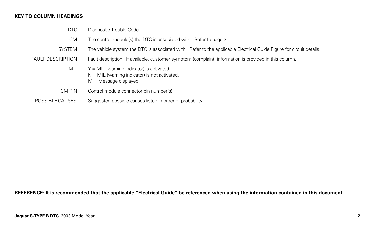## **KEY TO COLUMN HEADINGS**

- DTC Diagnostic Trouble Code.
- CM The control module(s) the DTC is associated with. Refer to page 3.
- SYSTEM The vehicle system the DTC is associated with. Refer to the applicable Electrical Guide Figure for circuit details.
- FAULT DESCRIPTION Fault description. If available, customer symptom (complaint) information is provided in this column.
	- $MIL \tY = MIL$  (warning indicator) is activated.  $N = MIL$  (warning indicator) is not activated.  $M =$  Message displayed.
	- CM PIN Control module connector pin number(s)
	- POSSIBLE CAUSES Suggested possible causes listed in order of probability.

**REFERENCE: It is recommended that the applicable "Electrical Guide" be referenced when using the information contained in this document.**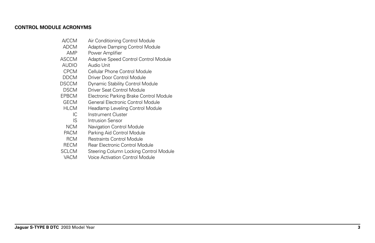## **CONTROL MODULE ACRONYMS**

- A/CCM Air Conditioning Control Module
- ADCM Adaptive Damping Control Module
- AMP Power Amplifier<br>ASCCM Adaptive Speed (
- Adaptive Speed Control Control Module
- AUDIO Audio Unit<br>CPCM Cellular Pho
- CPCM Cellular Phone Control Module<br>DDCM Driver Door Control Module
- Driver Door Control Module
- DSCCM Dynamic Stability Control Module<br>DSCM Driver Seat Control Module
- DSCM Driver Seat Control Module<br>EPBCM Electronic Parking Brake Co
- Electronic Parking Brake Control Module
- GECM General Electronic Control Module<br>HLCM Headlamp Leveling Control Module
- M Headlamp Leveling Control Module<br>IC Instrument Cluster
	- Instrument Cluster
- **IS** Intrusion Sensor<br>NCM Navigation Control
- NCM Navigation Control Module<br>PACM Parking Aid Control Module
- Parking Aid Control Module
- RCM Restraints Control Module<br>RECM Rear Electronic Control Mo
- RECM Rear Electronic Control Module<br>SCLCM Steering Column Locking Contro
- Steering Column Locking Control Module
- VACM Voice Activation Control Module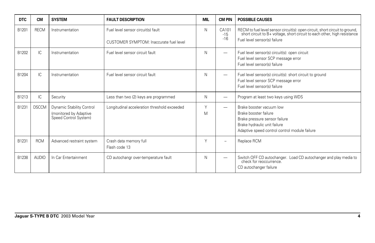| <b>DTC</b> | <b>CM</b>    | <b>SYSTEM</b>                                                                | <b>FAULT DESCRIPTION</b>                                                      | <b>MIL</b>  | <b>CM PIN</b>            | <b>POSSIBLE CAUSES</b>                                                                                                                                                                    |
|------------|--------------|------------------------------------------------------------------------------|-------------------------------------------------------------------------------|-------------|--------------------------|-------------------------------------------------------------------------------------------------------------------------------------------------------------------------------------------|
| B1201      | <b>RECM</b>  | Instrumentation                                                              | Fuel level sensor circuit(s) fault<br>CUSTOMER SYMPTOM: Inaccurate fuel level | N           | CA101<br>$-15$<br>$-16$  | RECM to fuel level sensor circuit(s): open circuit, short circuit to ground,<br>short circuit to B+ voltage, short circuit to each other, high resistance<br>Fuel level sensor(s) failure |
| B1202      | IC.          | Instrumentation                                                              | Fuel level sensor circuit fault                                               | N           |                          | Fuel level sensor(s) circuit(s): open circuit<br>Fuel level sensor SCP message error<br>Fuel level sensor(s) failure                                                                      |
| B1204      | IC.          | Instrumentation                                                              | Fuel level sensor circuit fault                                               | N           | -                        | Fuel level sensor(s) circuit(s): short circuit to ground<br>Fuel level sensor SCP message error<br>Fuel level sensor(s) failure                                                           |
| B1213      | IC           | Security                                                                     | Less than two (2) keys are programmed                                         | N           | -                        | Program at least two keys using WDS                                                                                                                                                       |
| B1231      | <b>DSCCM</b> | Dynamic Stability Control<br>(monitored by Adaptive<br>Speed Control System) | Longitudinal acceleration threshold exceeded                                  | $\vee$<br>M |                          | Brake booster vacuum low<br>Brake booster failure<br>Brake pressure sensor failure<br>Brake hydraulic unit failure<br>Adaptive speed control control module failure                       |
| B1231      | <b>RCM</b>   | Advanced restraint system                                                    | Crash data memory full<br>Flash code 13                                       | $\vee$      |                          | Replace RCM                                                                                                                                                                               |
| B1238      | <b>AUDIO</b> | In Car Entertainment                                                         | CD autochangr over-temperature fault                                          | N           | $\overline{\phantom{0}}$ | Switch OFF CD autochanger. Load CD autochanger and play media to<br>check for reoccurrence.<br>CD autochanger failure                                                                     |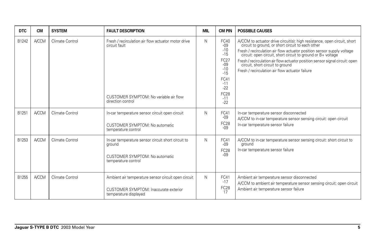| <b>DTC</b> | <b>CM</b>    | <b>SYSTEM</b>   | <b>FAULT DESCRIPTION</b>                                                                                                            | <b>MIL</b> | <b>CM PIN</b>                                                                                                                 | <b>POSSIBLE CAUSES</b>                                                                                                                                                                                                                                                                                                                                                                                                                      |
|------------|--------------|-----------------|-------------------------------------------------------------------------------------------------------------------------------------|------------|-------------------------------------------------------------------------------------------------------------------------------|---------------------------------------------------------------------------------------------------------------------------------------------------------------------------------------------------------------------------------------------------------------------------------------------------------------------------------------------------------------------------------------------------------------------------------------------|
| B1242      | <b>A/CCM</b> | Climate Control | Fresh / recirculation air flow actuator motor drive<br>circuit fault<br>CUSTOMER SYMPTOM: No variable air flow<br>direction control | N          | FC40<br>$-09$<br>$-10$<br>$-15$<br>FC27<br>$-09$<br>$-10$<br>$-15$<br>FC41<br>$-11$<br>$-22$<br><b>FC28</b><br>$-11$<br>$-22$ | A/CCM to actuator drive circuit(s): high resistance, open circuit, short circuit to ground, or short circuit to each other<br>Fresh / recirculation air flow actuator position sensor supply voltage<br>circuit: open circuit, short circuit to ground or B+ voltage<br>Fresh / recirculation air flow actuator position sensor signal circuit: open<br>circuit, short circuit to ground<br>Fresh / recirculation air flow actuator failure |
| B1251      | <b>A/CCM</b> | Climate Control | In-car temperature sensor circuit open circuit<br>CUSTOMER SYMPTOM: No automatic<br>temperature control                             | N          | FC41<br>$-09$<br><b>FC28</b><br>$-0.9$                                                                                        | In-car temperature sensor disconnected<br>A/CCM to in-car temperature sensor sensing circuit: open circuit<br>In-car temperature sensor failure                                                                                                                                                                                                                                                                                             |
| B1253      | <b>A/CCM</b> | Climate Control | In-car temperature sensor circuit short circuit to<br>ground<br>CUSTOMER SYMPTOM: No automatic<br>temperature control               | N          | FC41<br>$-0.9$<br><b>FC28</b><br>$-0.9$                                                                                       | A/CCM to in-car temperature sensor sensing circuit: short circuit to<br>ground<br>In-car temperature sensor failure                                                                                                                                                                                                                                                                                                                         |
| B1255      | <b>A/CCM</b> | Climate Control | Ambient air temperature sensor circuit open circuit<br>CUSTOMER SYMPTOM: Inaccurate exterior<br>temperature displayed               | N          | FC41<br>$-17$<br>FC <sub>28</sub><br>17                                                                                       | Ambient air temperature sensor disconnected<br>A/CCM to ambient air temperature sensor sensing circuit: open circuit<br>Ambient air temperature sensor failure                                                                                                                                                                                                                                                                              |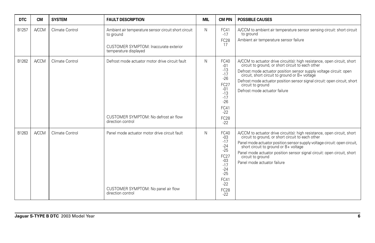| <b>DTC</b> | <b>CM</b>    | <b>SYSTEM</b>   | <b>FAULT DESCRIPTION</b>                                                                                                            | MIL | <b>CM PIN</b>                                                                                                                        | <b>POSSIBLE CAUSES</b>                                                                                                                                                                                                                                                                                                                                                                |
|------------|--------------|-----------------|-------------------------------------------------------------------------------------------------------------------------------------|-----|--------------------------------------------------------------------------------------------------------------------------------------|---------------------------------------------------------------------------------------------------------------------------------------------------------------------------------------------------------------------------------------------------------------------------------------------------------------------------------------------------------------------------------------|
| B1257      | <b>A/CCM</b> | Climate Control | Ambient air temperature sensor circuit short circuit<br>to ground<br>CUSTOMER SYMPTOM: Inaccurate exterior<br>temperature displayed | N   | FC41<br>$-17$<br><b>FC28</b><br>17                                                                                                   | A/CCM to ambient air temperature sensor sensing circuit: short circuit<br>to ground<br>Ambient air temperature sensor failure                                                                                                                                                                                                                                                         |
| B1262      | <b>A/CCM</b> | Climate Control | Defrost mode actuator motor drive circuit fault<br>CUSTOMER SYMPTOM: No defrost air flow<br>direction control                       | N   | FC40<br>$-01$<br>$-13$<br>$-17$<br>$-26$<br><b>FC27</b><br>$-01$<br>$-13$<br>$-17$<br>$-26$<br>FC41<br>$-22$<br><b>FC28</b><br>$-22$ | A/CCM to actuator drive circuit(s): high resistance, open circuit, short circuit to ground, or short circuit to each other<br>Defrost mode actuator position sensor supply voltage circuit: open<br>circuit, short circuit to ground or B+ voltage<br>Defrost mode actuator position sensor signal circuit: open circuit, short<br>circuit to ground<br>Defrost mode actuator failure |
| B1263      | <b>A/CCM</b> | Climate Control | Panel mode actuator motor drive circuit fault<br>CUSTOMER SYMPTOM: No panel air flow<br>direction control                           | N   | FC40<br>$-03$<br>$-17$<br>$-24$<br>$-25$<br>FC27<br>$-03$<br>$-17$<br>$-24$<br>$-25$<br>FC41<br>$-22$<br><b>FC28</b><br>$-22$        | A/CCM to actuator drive circuit(s): high resistance, open circuit, short circuit to ground, or short circuit to each other<br>Panel mode actuator position sensor supply voltage circuit: open circuit, short circuit to ground or B+ voltage<br>Panel mode actuator position sensor signal circuit: open circuit, short<br>circuit to ground<br>Panel mode actuator failure          |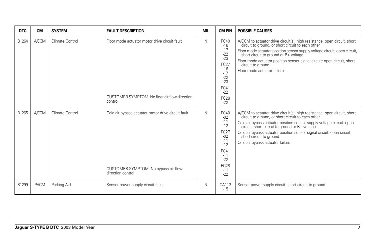| <b>DTC</b> | <b>CM</b>    | <b>SYSTEM</b>   | <b>FAULT DESCRIPTION</b>                                                                                        | <b>MIL</b> | <b>CM PIN</b>                                                                                                                        | <b>POSSIBLE CAUSES</b>                                                                                                                                                                                                                                                                                                                                                                      |
|------------|--------------|-----------------|-----------------------------------------------------------------------------------------------------------------|------------|--------------------------------------------------------------------------------------------------------------------------------------|---------------------------------------------------------------------------------------------------------------------------------------------------------------------------------------------------------------------------------------------------------------------------------------------------------------------------------------------------------------------------------------------|
| B1264      | <b>A/CCM</b> | Climate Control | Floor mode actuator motor drive circuit fault<br>CUSTOMER SYMPTOM: No floor air flow direction<br>control       | N          | FC40<br>$-16$<br>$-17$<br>$-22$<br>$-23$<br><b>FC27</b><br>$-16$<br>$-17$<br>$-22$<br>$-23$<br>FC41<br>$-22$<br><b>FC28</b><br>$-22$ | A/CCM to actuator drive circuit(s): high resistance, open circuit, short circuit to ground, or short circuit to each other<br>Floor mode actuator position sensor supply voltage circuit: open circuit,<br>short circuit to ground or B+ voltage<br>Floor mode actuator position sensor signal circuit: open circuit, short<br>circuit to ground<br>Floor mode actuator failure             |
| B1265      | <b>A/CCM</b> | Climate Control | Cold air bypass actuator motor drive circuit fault<br>CUSTOMER SYMPTOM: No bypass air flow<br>direction control | N          | FC40<br>$-02$<br>$-11$<br>$-12$<br>FC27<br>$-02$<br>$-11$<br>$-12$<br>FC41<br>$-11$<br>$-22$<br><b>FC28</b><br>$-11$<br>$-22$        | A/CCM to actuator drive circuit(s): high resistance, open circuit, short circuit to ground, or short circuit to each other<br>Cold air bypass actuator position sensor supply voltage circuit: open<br>circuit, short circuit to ground or B+ voltage<br>Cold air bypass actuator position sensor signal circuit: open circuit, short circuit to ground<br>Cold air bypass actuator failure |
| B1299      | <b>PACM</b>  | Parking Aid     | Sensor power supply circuit fault                                                                               | N          | CA112<br>$-15$                                                                                                                       | Sensor power supply circuit: short circuit to ground                                                                                                                                                                                                                                                                                                                                        |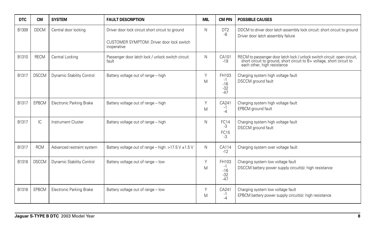| <b>DTC</b> | <b>CM</b>    | <b>SYSTEM</b>                   | <b>FAULT DESCRIPTION</b>                                   | <b>MIL</b> | <b>CM PIN</b>                            | <b>POSSIBLE CAUSES</b>                                                                                                                                                         |
|------------|--------------|---------------------------------|------------------------------------------------------------|------------|------------------------------------------|--------------------------------------------------------------------------------------------------------------------------------------------------------------------------------|
| B1309      | <b>DDCM</b>  | Central door locking            | Driver door lock circuit short circuit to ground           | N          | DT <sub>2</sub><br>-8                    | DDCM to driver door latch assembly lock circuit: short circuit to ground<br>Driver door latch assembly failure                                                                 |
|            |              |                                 | CUSTOMER SYMPTOM: Driver door lock switch<br>inoperative   |            |                                          |                                                                                                                                                                                |
| B1310      | <b>RECM</b>  | Central Locking                 | Passenger door latch lock / unlock switch circuit<br>fault | N          | CA101<br>$-19$                           | RECM to passenger door latch lock / unlock switch circuit: open circuit,<br>short circuit to ground, short circuit to B+ voltage, short circuit to each other, high resistance |
| B1317      | <b>DSCCM</b> | Dynamic Stability Control       | Battery voltage out of range - high                        | Y<br>M     | FH103<br>$-1$<br>$-16$<br>$-32$<br>$-47$ | Charging system high voltage fault<br><b>DSCCM</b> ground fault                                                                                                                |
| B1317      | <b>EPBCM</b> | <b>Electronic Parking Brake</b> | Battery voltage out of range - high                        | Y<br>M     | CA241<br>-1<br>$-4$                      | Charging system high voltage fault<br>EPBCM ground fault                                                                                                                       |
| B1317      | IC.          | Instrument Cluster              | Battery voltage out of range - high                        | N          | FC14<br>$-3$<br>FC15<br>-3               | Charging system high voltage fault<br>DSCCM ground fault                                                                                                                       |
| B1317      | <b>RCM</b>   | Advanced restraint system       | Battery voltage out of range - high: $>17.5$ V $\pm$ 1.5 V | N          | CA114<br>$-12$                           | Charging system over voltage fault                                                                                                                                             |
| B1318      | <b>DSCCM</b> | Dynamic Stability Control       | Battery voltage out of range - low                         | Y<br>M     | FH103<br>$-1$<br>$-16$<br>$-32$<br>$-47$ | Charging system low voltage fault<br>DSCCM battery power supply circuit(s): high resistance                                                                                    |
| B1318      | <b>EPBCM</b> | <b>Electronic Parking Brake</b> | Battery voltage out of range - low                         | Y<br>M     | CA241<br>-1<br>-4                        | Charging system low voltage fault<br>EPBCM battery power supply circuit(s): high resistance                                                                                    |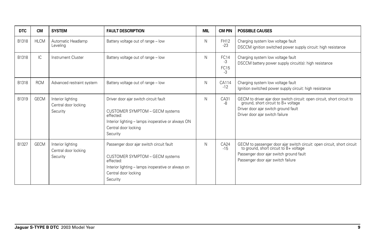| <b>DTC</b> | <b>CM</b>   | <b>SYSTEM</b>                                         | <b>FAULT DESCRIPTION</b>                                                                                                                                                           | <b>MIL</b> | <b>CM PIN</b>                     | <b>POSSIBLE CAUSES</b>                                                                                                                                                                             |
|------------|-------------|-------------------------------------------------------|------------------------------------------------------------------------------------------------------------------------------------------------------------------------------------|------------|-----------------------------------|----------------------------------------------------------------------------------------------------------------------------------------------------------------------------------------------------|
| B1318      | <b>HLCM</b> | Automatic Headlamp<br>Levelina                        | Battery voltage out of range - low                                                                                                                                                 | N          | <b>FH12</b><br>$-23$              | Charging system low voltage fault<br>DSCCM ignition switched power supply circuit: high resistance                                                                                                 |
| B1318      | IC.         | Instrument Cluster                                    | Battery voltage out of range - low                                                                                                                                                 | N          | <b>FC14</b><br>$-3$<br>FC15<br>-3 | Charging system low voltage fault<br>DSCCM battery power supply circuit(s): high resistance                                                                                                        |
| B1318      | <b>RCM</b>  | Advanced restraint system                             | Battery voltage out of range - low                                                                                                                                                 | N          | CA114<br>$-12$                    | Charging system low voltage fault<br>Ignition switched power supply circuit: high resistance                                                                                                       |
| B1319      | <b>GECM</b> | Interior lighting<br>Central door locking<br>Security | Driver door ajar switch circuit fault<br>CUSTOMER SYMPTOM - GECM systems<br>effected:<br>Interior lighting - lamps inoperative or always ON<br>Central door locking<br>Security    | N          | CA31<br>-8                        | GECM to driver ajar door switch circuit: open circuit, short circuit to ground, short circuit to $B+$ voltage<br>Driver door ajar switch ground fault<br>Driver door ajar switch failure           |
| B1327      | <b>GECM</b> | Interior lighting<br>Central door locking<br>Security | Passenger door ajar switch circuit fault<br>CUSTOMER SYMPTOM - GECM systems<br>effected:<br>Interior lighting - lamps inoperative or always on<br>Central door locking<br>Security | N          | CA24<br>$-15$                     | GECM to passenger door ajar switch circuit: open circuit, short circuit<br>to ground, short circuit to B+ voltage<br>Passenger door ajar switch ground fault<br>Passenger door ajar switch failure |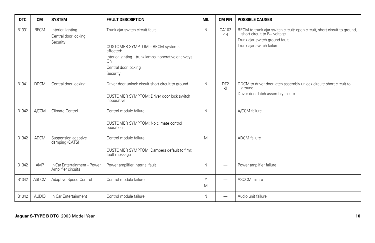| <b>DTC</b> | <b>CM</b>    | <b>SYSTEM</b>                                         | <b>FAULT DESCRIPTION</b>                                                                                                                                                           | <b>MIL</b> | <b>CM PIN</b>         | <b>POSSIBLE CAUSES</b>                                                                                                                                               |
|------------|--------------|-------------------------------------------------------|------------------------------------------------------------------------------------------------------------------------------------------------------------------------------------|------------|-----------------------|----------------------------------------------------------------------------------------------------------------------------------------------------------------------|
| B1331      | <b>RECM</b>  | Interior lighting<br>Central door locking<br>Security | Trunk ajar switch circuit fault<br>CUSTOMER SYMPTOM - RECM systems<br>effected:<br>Interior lighting - trunk lamps inoperative or always<br>ON<br>Central door locking<br>Security | N          | CA102<br>$-14$        | RECM to trunk ajar switch circuit: open circuit, short circuit to ground, short circuit to B+ voltage<br>Trunk ajar switch ground fault<br>Trunk ajar switch failure |
| B1341      | <b>DDCM</b>  | Central door locking                                  | Driver door unlock circuit short circuit to ground<br>CUSTOMER SYMPTOM: Driver door lock switch<br>inoperative                                                                     | N          | DT <sub>2</sub><br>-9 | DDCM to driver door latch assembly unlock circuit: short circuit to<br>ground<br>Driver door latch assembly failure                                                  |
| B1342      | <b>A/CCM</b> | Climate Control                                       | Control module failure<br>CUSTOMER SYMPTOM: No climate control<br>operation                                                                                                        | N          | -                     | A/CCM failure                                                                                                                                                        |
| B1342      | <b>ADCM</b>  | Suspension adaptive<br>damping (CATS)                 | Control module failure<br>CUSTOMER SYMPTOM: Dampers default to firm;<br>fault message                                                                                              | M          |                       | <b>ADCM</b> failure                                                                                                                                                  |
| B1342      | AMP          | In Car Entertainment-Power<br>Amplifier circuits      | Power amplifier internal fault                                                                                                                                                     | N          |                       | Power amplifier failure                                                                                                                                              |
| B1342      | <b>ASCCM</b> | Adaptive Speed Control                                | Control module failure                                                                                                                                                             | Y<br>M     | -                     | <b>ASCCM</b> failure                                                                                                                                                 |
| B1342      | <b>AUDIO</b> | In Car Entertainment                                  | Control module failure                                                                                                                                                             | N          | -                     | Audio unit failure                                                                                                                                                   |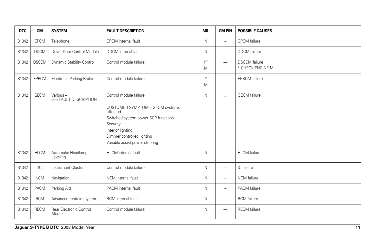| <b>DTC</b> | <b>CM</b>     | <b>SYSTEM</b>                     | <b>FAULT DESCRIPTION</b>                                                                                                                                                                                       | <b>MIL</b> | <b>CM PIN</b>            | <b>POSSIBLE CAUSES</b>                     |
|------------|---------------|-----------------------------------|----------------------------------------------------------------------------------------------------------------------------------------------------------------------------------------------------------------|------------|--------------------------|--------------------------------------------|
| B1342      | <b>CPCM</b>   | Telephone                         | CPCM internal fault                                                                                                                                                                                            | N          | ÷                        | <b>CPCM</b> failure                        |
| B1342      | <b>DDCM</b>   | Driver Door Control Module        | DDCM internal fault                                                                                                                                                                                            | N          | -                        | <b>DDCM</b> failure                        |
| B1342      | <b>DSCCM</b>  | Dynamic Stability Control         | Control module failure                                                                                                                                                                                         | $Y^*$<br>M | -                        | <b>DSCCM</b> failure<br>* CHECK ENGINE MIL |
| B1342      | EPBCM         | <b>Electronic Parking Brake</b>   | Control module failure                                                                                                                                                                                         | Y<br>M     | $\overline{\phantom{0}}$ | <b>EPBCM</b> failure                       |
| B1342      | <b>GECM</b>   | Various-<br>see FAULT DESCRIPTION | Control module failure<br>CUSTOMER SYMPTOM - GECM systems<br>effected:<br>Switched system power SCP functions<br>Security<br>Interior lighting<br>Dimmer controlled lighting<br>Variable assist power steering | N          | $\overline{\phantom{0}}$ | <b>GECM</b> failure                        |
| B1342      | <b>HLCM</b>   | Automatic Headlamp<br>Leveling    | HLCM internal fault                                                                                                                                                                                            | N          | -                        | <b>HLCM</b> failure                        |
| B1342      | $\mathsf{IC}$ | <b>Instrument Cluster</b>         | Control module failure                                                                                                                                                                                         | N          | $\overline{\phantom{0}}$ | IC failure                                 |
| B1342      | <b>NCM</b>    | Navigation                        | NCM internal fault                                                                                                                                                                                             | N          | -                        | <b>NCM</b> failure                         |
| B1342      | PACM          | Parking Aid                       | PACM internal fault                                                                                                                                                                                            | N          | $\overline{\phantom{0}}$ | PACM failure                               |
| B1342      | <b>RCM</b>    | Advanced restraint system         | RCM internal fault                                                                                                                                                                                             | N          | -                        | <b>RCM</b> failure                         |
| B1342      | <b>RECM</b>   | Rear Electronic Control<br>Module | Control module failure                                                                                                                                                                                         | N          | $\overline{\phantom{0}}$ | <b>RECM</b> failure                        |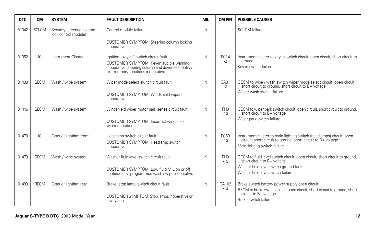| <b>DTC</b> | <b>CM</b>    | <b>SYSTEM</b>                                     | <b>FAULT DESCRIPTION</b>                                                                                                                                                        | <b>MIL</b> | <b>CM PIN</b>            | <b>POSSIBLE CAUSES</b>                                                                                                                                                |
|------------|--------------|---------------------------------------------------|---------------------------------------------------------------------------------------------------------------------------------------------------------------------------------|------------|--------------------------|-----------------------------------------------------------------------------------------------------------------------------------------------------------------------|
| B1342      | <b>SCLCM</b> | Security (steering column<br>lock control module) | Control module failure                                                                                                                                                          | N          |                          | <b>SCLCM</b> failure                                                                                                                                                  |
|            |              |                                                   | CUSTOMER SYMPTOM: Steering column locking<br>inoperative                                                                                                                        |            |                          |                                                                                                                                                                       |
| B1352      | IC.          | <b>Instrument Cluster</b>                         | Ignition "key-in" switch circuit fault<br>CUSTOMER SYMPTOM: Key-in audible warning<br>inoperative; steering column and driver seat entry /<br>exit memory functions inoperative | N          | <b>FC14</b><br>$-2$      | Instrument cluster to key-in switch circuit: open circuit, short circuit to<br>around<br>Key-in switch failure                                                        |
| B1438      | <b>GECM</b>  | Wash / wipe system                                | Wiper mode select switch circuit fault                                                                                                                                          | N          | CA31<br>$-2$             | GECM to wipe / wash switch wiper mode select circuit: open circuit, short circuit to ground, short circuit to B+ voltage                                              |
|            |              |                                                   | CUSTOMER SYMPTOM: Windshield wipers<br>inoperative                                                                                                                              |            |                          | Wipe / wash switch failure                                                                                                                                            |
| B1446      | <b>GECM</b>  | Wash / wipe system                                | Windshield wiper motor park sense circuit fault                                                                                                                                 | N          | FH <sub>9</sub><br>$-13$ | GECM to wiper park switch circuit: open circuit, short circuit to ground,<br>short circuit to B+ voltage                                                              |
|            |              |                                                   | CUSTOMER SYMPTOM: Incorrect windshield<br>wiper operation                                                                                                                       |            |                          | Wiper park switch failure                                                                                                                                             |
| B1470      | IC.          | Exterior lighting: front                          | Headlamp switch circuit fault<br>CUSTOMER SYMPTOM: Headlamp switch<br>inoperative                                                                                               | N          | FC63<br>$-13$            | Instrument cluster to main lighting switch (headlamps) circuit: open<br>circuit, short circuit to ground, short circuit to B+ voltage<br>Main lighting switch failure |
| B1479      | <b>GECM</b>  | Wash / wipe system                                | Washer fluid level switch circuit fault                                                                                                                                         | Υ          | FH <sub>9</sub><br>$-15$ | GECM to fluid level switch circuit: open circuit, short circuit to ground,<br>short circuit to B+ voltage                                                             |
|            |              |                                                   | CUSTOMER SYMPTOM: Low fluid MIL on or off<br>continuously; programmed wash / wipe inoperative                                                                                   |            |                          | Washer fluid level switch ground fault<br>Washer fluid level switch failure                                                                                           |
| B1483      | <b>RECM</b>  | Exterior lighting: rear                           | Brake (stop lamp) switch circuit fault                                                                                                                                          | N          | CA102<br>$-13$           | Brake switch battery power supply open circuit<br>RECM to brake switch circuit open circuit, short circuit to ground, short                                           |
|            |              |                                                   | CUSTOMER SYMPTOM: Stop lamps inoperative or<br>always on                                                                                                                        |            |                          | circuit to B+ voltage<br>Brake switch failure                                                                                                                         |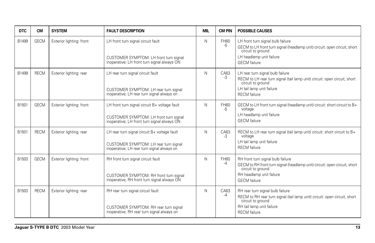| <b>DTC</b> | <b>CM</b>   | <b>SYSTEM</b>            | <b>FAULT DESCRIPTION</b>                                                                                                               | <b>MIL</b> | <b>CM PIN</b> | <b>POSSIBLE CAUSES</b>                                                                                                                                                                 |
|------------|-------------|--------------------------|----------------------------------------------------------------------------------------------------------------------------------------|------------|---------------|----------------------------------------------------------------------------------------------------------------------------------------------------------------------------------------|
| B1499      | <b>GECM</b> | Exterior lighting: front | LH front turn signal circuit fault<br>CUSTOMER SYMPTOM: LH front turn signal<br>inoperative; LH front turn signal always ON            | N          | FH60<br>$-5$  | LH front turn signal bulb failure<br>GECM to LH front turn signal (headlamp unit) circuit; open circuit, short<br>circuit to ground<br>LH headlamp unit failure<br><b>GECM</b> failure |
|            |             |                          |                                                                                                                                        |            |               |                                                                                                                                                                                        |
| B1499      | <b>RECM</b> | Exterior lighting: rear  | LH rear turn signal circuit fault<br>CUSTOMER SYMPTOM: LH rear turn signal<br>inoperative; LH rear turn signal always on               | N          | CA63<br>-3    | LH rear turn signal bulb failure<br>RECM to LH rear turn signal (tail lamp unit) circuit: open circuit, short<br>circuit to ground<br>LH tail lamp unit failure<br><b>RECM</b> failure |
| B1501      | <b>GECM</b> | Exterior lighting: front | LH front turn signal circuit B+ voltage fault<br>CUSTOMER SYMPTOM: LH front turn signal<br>inoperative; LH front turn signal always ON | N          | FH60<br>-5    | GECM to LH front turn signal (headlamp unit) circuit: short circuit to B+<br>voltage<br>LH headlamp unit failure<br><b>GECM</b> failure                                                |
|            | <b>RECM</b> |                          |                                                                                                                                        |            |               |                                                                                                                                                                                        |
| B1501      |             | Exterior lighting: rear  | LH rear turn signal circuit B+ voltage fault                                                                                           | N          | CA63<br>$-3$  | RECM to LH rear turn signal (tail lamp unit) circuit: short circuit to B+<br>voltage                                                                                                   |
|            |             |                          | CUSTOMER SYMPTOM: LH rear turn signal<br>inoperative; LH rear turn signal always on                                                    |            |               | LH tail lamp unit failure<br><b>RECM</b> failure                                                                                                                                       |
| B1503      | <b>GECM</b> | Exterior lighting: front | RH front turn signal circuit fault                                                                                                     | N          | FH60<br>-4    | RH front turn signal bulb failure<br>GECM to RH front turn signal (headlamp unit) circuit: open circuit, short<br>circuit to ground                                                    |
|            |             |                          | CUSTOMER SYMPTOM: RH front turn signal<br>inoperative; RH front turn signal always ON                                                  |            |               | RH headlamp unit failure<br><b>GECM</b> failure                                                                                                                                        |
| B1503      | <b>RECM</b> | Exterior lighting: rear  | RH rear turn signal circuit fault                                                                                                      | N          | CA63<br>$-4$  | RH rear turn signal bulb failure<br>RECM to RH rear turn signal (tail lamp unit) circuit: open circuit, short<br>circuit to ground                                                     |
|            |             |                          | CUSTOMER SYMPTOM: RH rear turn signal<br>inoperative; RH rear turn signal always on                                                    |            |               | RH tail lamp unit failure<br><b>RECM</b> failure                                                                                                                                       |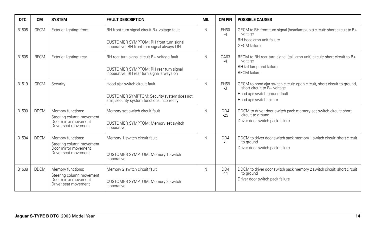| <b>DTC</b> | <b>CM</b>   | <b>SYSTEM</b>                                                                                 | <b>FAULT DESCRIPTION</b>                                                                                                               | <b>MIL</b> | <b>CM PIN</b>       | <b>POSSIBLE CAUSES</b>                                                                                                                                            |
|------------|-------------|-----------------------------------------------------------------------------------------------|----------------------------------------------------------------------------------------------------------------------------------------|------------|---------------------|-------------------------------------------------------------------------------------------------------------------------------------------------------------------|
| B1505      | <b>GECM</b> | Exterior lighting: front                                                                      | RH front turn signal circuit B+ voltage fault<br>CUSTOMER SYMPTOM: RH front turn signal<br>inoperative; RH front turn signal always ON | N          | FH60<br>$-4$        | GECM to RH front turn signal (headlamp unit) circuit: short circuit to B+<br>voltage<br>RH headlamp unit failure<br><b>GECM</b> failure                           |
| B1505      | <b>RECM</b> | Exterior lighting: rear                                                                       | RH rear turn signal circuit B+ voltage fault<br>CUSTOMER SYMPTOM: RH rear turn signal<br>inoperative; RH rear turn signal always on    | N          | CA63<br>$-4$        | RECM to RH rear turn signal (tail lamp unit) circuit: short circuit to B+<br>voltage<br>RH tail lamp unit failure<br><b>RECM</b> failure                          |
| B1519      | <b>GECM</b> | Security                                                                                      | Hood ajar switch circuit fault<br>CUSTOMER SYMPTOM: Security system does not<br>arm; security system functions incorrectly             | N          | <b>FH59</b><br>$-3$ | GECM to hood ajar switch circuit: open circuit, short circuit to ground, short circuit to B+ voltage<br>Hood ajar switch ground fault<br>Hood ajar switch failure |
| B1530      | <b>DDCM</b> | Memory functions:<br>Steering column movement<br>Door mirror movement<br>Driver seat movement | Memory set switch circuit fault<br>CUSTOMER SYMPTOM: Memory set switch<br>inoperative                                                  | N          | DD4<br>$-25$        | DDCM to driver door switch pack memory set switch circuit: short<br>circuit to ground<br>Driver door switch pack failure                                          |
| B1534      | <b>DDCM</b> | Memory functions:<br>Steering column movement<br>Door mirror movement<br>Driver seat movement | Memory 1 switch circuit fault<br>CUSTOMER SYMPTOM: Memory 1 switch<br>inoperative                                                      | N          | DD4<br>$-1$         | DDCM to driver door switch pack memory 1 switch circuit: short circuit<br>to ground<br>Driver door switch pack failure                                            |
| B1538      | <b>DDCM</b> | Memory functions:<br>Steering column movement<br>Door mirror movement<br>Driver seat movement | Memory 2 switch circuit fault<br>CUSTOMER SYMPTOM: Memory 2 switch<br>inoperative                                                      | N          | DD4<br>$-11$        | DDCM to driver door switch pack memory 2 switch circuit: short circuit<br>to ground<br>Driver door switch pack failure                                            |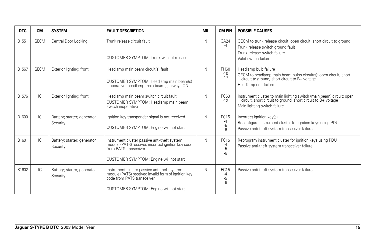| <b>DTC</b> | <b>CM</b>   | <b>SYSTEM</b>                           | <b>FAULT DESCRIPTION</b>                                                                                                                                                     | MIL | <b>CM PIN</b>                 | <b>POSSIBLE CAUSES</b>                                                                                                                                                |
|------------|-------------|-----------------------------------------|------------------------------------------------------------------------------------------------------------------------------------------------------------------------------|-----|-------------------------------|-----------------------------------------------------------------------------------------------------------------------------------------------------------------------|
| B1551      | <b>GECM</b> | Central Door Locking                    | Trunk release circuit fault<br>CUSTOMER SYMPTOM: Trunk will not release                                                                                                      | N   | CA24<br>$-4$                  | GECM to trunk release circuit: open circuit, short circuit to ground<br>Trunk release switch ground fault<br>Trunk release switch failure<br>Valet switch failure     |
| B1567      | <b>GECM</b> | Exterior lighting: front                | Headlamp main beam circuit(s) fault<br>CUSTOMER SYMPTOM: Headlamp main beam(s)<br>inoperative; headlamp main beam(s) always ON                                               | N   | FH60<br>$-10$<br>$-17$        | Headlamp bulb failure<br>GECM to headlamp main beam bulbs circuit(s): open circuit, short circuit to ground, short circuit to B+ voltage<br>Headlamp unit failure     |
| B1576      | IC          | Exterior lighting: front                | Headlamp main beam switch circuit fault<br>CUSTOMER SYMPTOM: Headlamp main beam<br>switch inoperative                                                                        | N   | FC63<br>$-12$                 | Instrument cluster to main lighting switch (main beam) circuit: open<br>circuit, short circuit to ground, short circuit to B+ voltage<br>Main lighting switch failure |
| B1600      | IC          | Battery; starter; generator<br>Security | Ignition key transponder signal is not received<br>CUSTOMER SYMPTOM: Engine will not start                                                                                   | N   | FC15<br>-4<br>-5<br>$-6$      | Incorrect ignition key(s)<br>Reconfigure instrument cluster for ignition keys using PDU<br>Passive anti-theft system transceiver failure                              |
| B1601      | IC.         | Battery; starter; generator<br>Security | Instrument cluster passive anti-theft system<br>module (PATS) received incorrect ignition key code<br>from PATS transceiver<br>CUSTOMER SYMPTOM: Engine will not start       | N   | FC15<br>-4<br>-5<br>$-6$      | Reprogram instrument cluster for ignition keys using PDU<br>Passive anti-theft system transceiver failure                                                             |
| B1602      | IC.         | Battery; starter; generator<br>Security | Instrument cluster passive anti-theft system<br>module (PATS) received invalid form of ignition key<br>code from PATS transceiver<br>CUSTOMER SYMPTOM: Engine will not start | N   | <b>FC15</b><br>-4<br>-5<br>-6 | Passive anti-theft system transceiver failure                                                                                                                         |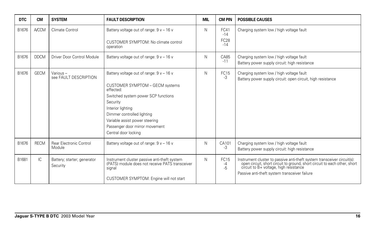| <b>DTC</b> | <b>CM</b>    | <b>SYSTEM</b>                           | <b>FAULT DESCRIPTION</b>                                                                                                                                                                                                                                                                   | <b>MIL</b> | <b>CM PIN</b>                         | <b>POSSIBLE CAUSES</b>                                                                                                                                                                                                                          |
|------------|--------------|-----------------------------------------|--------------------------------------------------------------------------------------------------------------------------------------------------------------------------------------------------------------------------------------------------------------------------------------------|------------|---------------------------------------|-------------------------------------------------------------------------------------------------------------------------------------------------------------------------------------------------------------------------------------------------|
| B1676      | <b>A/CCM</b> | Climate Control                         | Battery voltage out of range: $9v - 16v$<br>CUSTOMER SYMPTOM: No climate control<br>operation                                                                                                                                                                                              | N          | FC41<br>$-14$<br><b>FC28</b><br>$-14$ | Charging system low / high voltage fault                                                                                                                                                                                                        |
| B1676      | <b>DDCM</b>  | Driver Door Control Module              | Battery voltage out of range: $9v - 16v$                                                                                                                                                                                                                                                   | N          | CA85<br>$-11$                         | Charging system low / high voltage fault<br>Battery power supply circuit: high resistance                                                                                                                                                       |
| B1676      | <b>GECM</b>  | Various-<br>see FAULT DESCRIPTION       | Battery voltage out of range: $9v - 16v$<br>CUSTOMER SYMPTOM - GECM systems<br>effected:<br>Switched system power SCP functions<br>Security<br>Interior lighting<br>Dimmer controlled lighting<br>Variable assist power steering<br>Passenger door mirror movement<br>Central door locking | N          | FC15<br>$-3$                          | Charging system low / high voltage fault<br>Battery power supply circuit: open circuit, high resistance                                                                                                                                         |
| B1676      | <b>RECM</b>  | Rear Electronic Control<br>Module       | Battery voltage out of range: $9v - 16v$                                                                                                                                                                                                                                                   | N          | CA101<br>-3                           | Charging system low / high voltage fault<br>Battery power supply circuit: high resistance                                                                                                                                                       |
| B1681      | IC.          | Battery; starter; generator<br>Security | Instrument cluster passive anti-theft system<br>(PATS) module does not receive PATS transceiver<br>signal<br>CUSTOMER SYMPTOM: Engine will not start                                                                                                                                       | N          | FC15<br>-4<br>$-5$                    | Instrument cluster to passive anti-theft system transceiver circuit(s):<br>open circuit, short circuit to ground, short circuit to each other, short<br>circuit to B+ voltage, high resistance<br>Passive anti-theft system transceiver failure |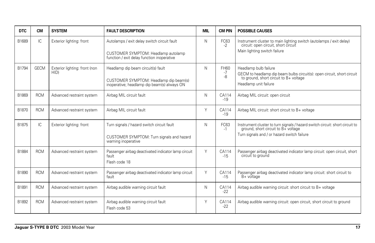| <b>DTC</b> | <b>CM</b>   | <b>SYSTEM</b>                         | <b>FAULT DESCRIPTION</b>                                                                                                         | <b>MIL</b> | <b>CM PIN</b>           | <b>POSSIBLE CAUSES</b>                                                                                                                                              |
|------------|-------------|---------------------------------------|----------------------------------------------------------------------------------------------------------------------------------|------------|-------------------------|---------------------------------------------------------------------------------------------------------------------------------------------------------------------|
| B1689      | IC.         | Exterior lighting: front              | Autolamps / exit delay switch circuit fault<br>CUSTOMER SYMPTOM: Headlamp autolamp<br>function / exit delay function inoperative | Ν          | FC63<br>$-2$            | Instrument cluster to main lighting switch (autolamps / exit delay) circuit: open circuit, short circuit<br>Main lighting switch failure                            |
| B1794      | <b>GECM</b> | Exterior lighting: front (non<br>HID) | Headlamp dip beam circuit(s) fault<br>CUSTOMER SYMPTOM: Headlamp dip beam(s)<br>inoperative; headlamp dip beam(s) always ON      | N          | <b>FH60</b><br>-7<br>-8 | Headlamp bulb failure<br>GECM to headlamp dip beam bulbs circuit(s): open circuit, short circuit<br>to ground, short circuit to B+ voltage<br>Headlamp unit failure |
| B1869      | <b>RCM</b>  | Advanced restraint system             | Airbag MIL circuit fault                                                                                                         | N          | CA114<br>$-19$          | Airbag MIL circuit: open circuit                                                                                                                                    |
| B1870      | <b>RCM</b>  | Advanced restraint system             | Airbag MIL circuit fault                                                                                                         | Υ          | CA114<br>$-19$          | Airbag MIL circuit: short circuit to B+ voltage                                                                                                                     |
| B1875      | IC          | Exterior lighting: front              | Turn signals / hazard switch circuit fault<br>CUSTOMER SYMPTOM: Turn signals and hazard<br>warning inoperative                   | N          | FC63<br>$-1$            | Instrument cluster to turn signals / hazard switch circuit: short circuit to<br>ground, short circuit to B+ voltage<br>Turn signals and / or hazard switch failure  |
| B1884      | <b>RCM</b>  | Advanced restraint system             | Passenger airbag deactivated indicator lamp circuit<br>fault<br>Flash code 18                                                    | Υ          | CA114<br>$-15$          | Passenger airbag deactivated indicator lamp circuit: open circuit, short<br>circuit to ground                                                                       |
| B1890      | <b>RCM</b>  | Advanced restraint system             | Passenger airbag deactivated indicator lamp circuit<br>fault                                                                     | Y          | CA114<br>$-15$          | Passenger airbag deactivated indicator lamp circuit: short circuit to<br>$B+$ voltage                                                                               |
| B1891      | <b>RCM</b>  | Advanced restraint system             | Airbag audible warning circuit fault                                                                                             | N          | CA114<br>$-22$          | Airbag audible warning circuit: short circuit to B+ voltage                                                                                                         |
| B1892      | <b>RCM</b>  | Advanced restraint system             | Airbag audible warning circuit fault<br>Flash code 53                                                                            | Υ          | CA114<br>$-22$          | Airbag audible warning circuit: open circuit, short circuit to ground                                                                                               |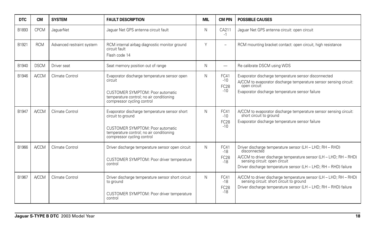| <b>DTC</b> | <b>CM</b>    | <b>SYSTEM</b>             | <b>FAULT DESCRIPTION</b>                                                                                                                                                         | MIL | <b>CM PIN</b>                         | <b>POSSIBLE CAUSES</b>                                                                                                                                                                                                                             |
|------------|--------------|---------------------------|----------------------------------------------------------------------------------------------------------------------------------------------------------------------------------|-----|---------------------------------------|----------------------------------------------------------------------------------------------------------------------------------------------------------------------------------------------------------------------------------------------------|
| B1893      | <b>CPCM</b>  | JaquarNet                 | Jaquar Net GPS antenna circuit fault                                                                                                                                             | N   | CA211<br>$-1$                         | Jaquar Net GPS antenna circuit: open circuit                                                                                                                                                                                                       |
| B1921      | <b>RCM</b>   | Advanced restraint system | RCM internal airbag diagnostic monitor ground<br>circuit fault<br>Flash code 14                                                                                                  | Υ   | $\overline{\phantom{a}}$              | RCM mounting bracket contact: open circuit, high resistance                                                                                                                                                                                        |
| B1940      | <b>DSCM</b>  | Driver seat               | Seat memory position out of range                                                                                                                                                | N   | $\overline{\phantom{0}}$              | Re calibrate DSCM using WDS                                                                                                                                                                                                                        |
| B1946      | <b>A/CCM</b> | Climate Control           | Evaporator discharge temperature sensor open<br>circuit<br>CUSTOMER SYMPTOM: Poor automatic<br>temperature control; no air conditioning<br>compressor cycling control            | N   | FC41<br>$-10$<br><b>FC28</b><br>$-10$ | Evaporator discharge temperature sensor disconnected<br>A/CCM to evaporator discharge temperature sensor sensing circuit:<br>open circuit<br>Evaporator discharge temperature sensor failure                                                       |
| B1947      | <b>A/CCM</b> | Climate Control           | Evaporator discharge temperature sensor short<br>circuit to ground<br>CUSTOMER SYMPTOM: Poor automatic<br>temperature control; no air conditioning<br>compressor cycling control | N   | FC41<br>$-10$<br><b>FC28</b><br>$-10$ | A/CCM to evaporator discharge temperature sensor sensing circuit:<br>short circuit to ground<br>Evaporator discharge temperature sensor failure                                                                                                    |
| B1966      | <b>A/CCM</b> | Climate Control           | Driver discharge temperature sensor open circuit<br>CUSTOMER SYMPTOM: Poor driver temperature<br>control                                                                         | N   | FC41<br>$-18$<br><b>FC28</b><br>$-18$ | Driver discharge temperature sensor (LH - LHD; RH - RHD)<br>disconnected<br>A/CCM to driver discharge temperature sensor (LH - LHD; RH - RHD)<br>sensing circuit: open circuit<br>Driver discharge temperature sensor (LH - LHD; RH - RHD) failure |
| B1967      | <b>A/CCM</b> | Climate Control           | Driver discharge temperature sensor short circuit<br>to ground<br>CUSTOMER SYMPTOM: Poor driver temperature<br>control                                                           | N   | FC41<br>$-18$<br><b>FC28</b><br>$-18$ | A/CCM to driver discharge temperature sensor (LH - LHD; RH - RHD)<br>sensing circuit: short circuit to ground<br>Driver discharge temperature sensor (LH - LHD; RH - RHD) failure                                                                  |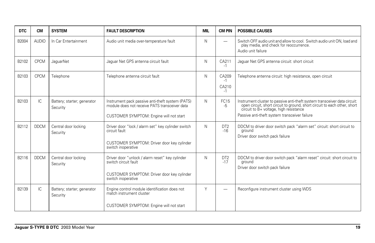| <b>DTC</b> | <b>CM</b>    | <b>SYSTEM</b>                           | <b>FAULT DESCRIPTION</b>                                                                                                                     | <b>MIL</b> | <b>CM PIN</b>                  | <b>POSSIBLE CAUSES</b>                                                                                                                                                                                                                         |
|------------|--------------|-----------------------------------------|----------------------------------------------------------------------------------------------------------------------------------------------|------------|--------------------------------|------------------------------------------------------------------------------------------------------------------------------------------------------------------------------------------------------------------------------------------------|
| B2004      | <b>AUDIO</b> | In Car Entertainment                    | Audio unit media over-temperature fault                                                                                                      | N          |                                | Switch OFF audio unit and allow to cool. Switch audio unit ON, load and<br>play media, and check for reoccurrence.<br>Audio unit failure                                                                                                       |
| B2102      | <b>CPCM</b>  | JaquarNet                               | Jaquar Net GPS antenna circuit fault                                                                                                         | N          | CA211<br>$-1$                  | Jaquar Net GPS antenna circuit: short circuit                                                                                                                                                                                                  |
| B2103      | <b>CPCM</b>  | Telephone                               | Telephone antenna circuit fault                                                                                                              | N          | CA209<br>$-1$<br>CA210<br>$-1$ | Telephone antenna circuit: high resistance, open circuit                                                                                                                                                                                       |
| B2103      | IC.          | Battery; starter; generator<br>Security | Instrument pack passive anti-theft system (PATS)<br>module does not receive PATS transceiver data<br>CUSTOMER SYMPTOM: Engine will not start | N          | FC <sub>15</sub><br>-5         | Instrument cluster to passive anti-theft system transceiver data circuit:<br>open circuit, short circuit to ground, short circuit to each other, short circuit to B+ voltage, high resistance<br>Passive anti-theft system transceiver failure |
| B2112      | <b>DDCM</b>  | Central door locking<br>Security        | Driver door "lock / alarm set" key cylinder switch<br>circuit fault<br>CUSTOMER SYMPTOM: Driver door key cylinder<br>switch inoperative      | N          | DT <sub>2</sub><br>$-16$       | DDCM to driver door switch pack "alarm set" circuit: short circuit to<br>around<br>Driver door switch pack failure                                                                                                                             |
| B2116      | <b>DDCM</b>  | Central door locking<br>Security        | Driver door "unlock / alarm reset" key cylinder<br>switch circuit fault<br>CUSTOMER SYMPTOM: Driver door key cylinder<br>switch inoperative  | N          | DT <sub>2</sub><br>$-17$       | DDCM to driver door switch pack "alarm reset" circuit: short circuit to<br>ground<br>Driver door switch pack failure                                                                                                                           |
| B2139      | IC.          | Battery; starter; generator<br>Security | Engine control module identification does not<br>match instrument cluster<br>CUSTOMER SYMPTOM: Engine will not start                         | Υ          |                                | Reconfigure instrument cluster using WDS                                                                                                                                                                                                       |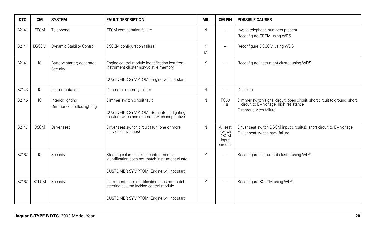| <b>DTC</b> | <b>CM</b>    | <b>SYSTEM</b>                                   | <b>FAULT DESCRIPTION</b>                                                                                                              | <b>MIL</b> | <b>CM PIN</b>                                          | <b>POSSIBLE CAUSES</b>                                                                                                                        |
|------------|--------------|-------------------------------------------------|---------------------------------------------------------------------------------------------------------------------------------------|------------|--------------------------------------------------------|-----------------------------------------------------------------------------------------------------------------------------------------------|
| B2141      | <b>CPCM</b>  | Telephone                                       | CPCM configuration failure                                                                                                            | N          | $\overline{\phantom{m}}$                               | Invalid telephone numbers present<br>Reconfigure CPCM using WDS                                                                               |
| B2141      | <b>DSCCM</b> | Dynamic Stability Control                       | <b>DSCCM</b> configuration failure                                                                                                    | Y<br>M     | $\overline{\phantom{m}}$                               | Reconfigure DSCCM using WDS                                                                                                                   |
| B2141      | IC.          | Battery; starter; generator<br>Security         | Engine control module identification lost from<br>instrument cluster non-volatile memory<br>CUSTOMER SYMPTOM: Engine will not start   | Y          |                                                        | Reconfigure instrument cluster using WDS                                                                                                      |
| B2143      | IC.          | Instrumentation                                 | Odometer memory failure                                                                                                               | N          |                                                        | IC failure                                                                                                                                    |
| B2146      | IC.          | Interior lighting<br>Dimmer-controlled lighting | Dimmer switch circuit fault<br>CUSTOMER SYMPTOM: Both interior lighting<br>master switch and dimmer switch inoperative                | N          | FC63<br>$-16$                                          | Dimmer switch signal circuit: open circuit, short circuit to ground, short<br>circuit to B+ voltage, high resistance<br>Dimmer switch failure |
| B2147      | <b>DSCM</b>  | Driver seat                                     | Driver seat switch circuit fault (one or more<br>individual switches)                                                                 | N          | All seat<br>switch<br><b>DSCM</b><br>input<br>circuits | Driver seat switch DSCM input circuit(s): short circuit to B+ voltage<br>Driver seat switch pack failure                                      |
| B2162      | IC           | Security                                        | Steering column locking control module<br>identification does not match instrument cluster<br>CUSTOMER SYMPTOM: Engine will not start | Y          | -                                                      | Reconfigure instrument cluster using WDS                                                                                                      |
| B2162      | <b>SCLCM</b> | Security                                        | Instrument pack identification does not match<br>steering column locking control module<br>CUSTOMER SYMPTOM: Engine will not start    | Υ          | -                                                      | Reconfigure SCLCM using WDS                                                                                                                   |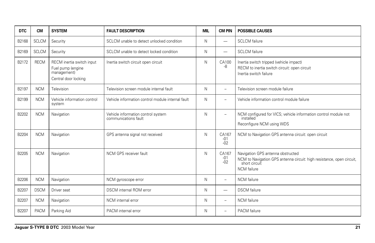| <b>DTC</b> | <b>CM</b>    | <b>SYSTEM</b>                                                                         | <b>FAULT DESCRIPTION</b>                                   | <b>MIL</b> | <b>CM PIN</b>            | <b>POSSIBLE CAUSES</b>                                                                                                                            |
|------------|--------------|---------------------------------------------------------------------------------------|------------------------------------------------------------|------------|--------------------------|---------------------------------------------------------------------------------------------------------------------------------------------------|
| B2168      | <b>SCLCM</b> | Security                                                                              | SCLCM unable to detect unlocked condition                  | N          |                          | <b>SCLCM</b> failure                                                                                                                              |
| B2169      | <b>SCLCM</b> | Security                                                                              | SCLCM unable to detect locked condition                    | N          |                          | <b>SCLCM</b> failure                                                                                                                              |
| B2172      | <b>RECM</b>  | RECM inertia switch input<br>Fuel pump (engine<br>management)<br>Central door locking | Inertia switch circuit open circuit                        | N          | CA100<br>-8              | Inertia switch tripped (vehicle impact)<br>RECM to inertia switch circuit: open circuit<br>Inertia switch failure                                 |
| B2197      | <b>NCM</b>   | Television                                                                            | Television screen module internal fault                    | N          | ÷                        | Television screen module failure                                                                                                                  |
| B2199      | <b>NCM</b>   | Vehicle information control<br>system                                                 | Vehicle information control module internal fault          | N          | $\equiv$                 | Vehicle information control module failure                                                                                                        |
| B2202      | <b>NCM</b>   | Navigation                                                                            | Vehicle information control system<br>communications fault | N          | ÷                        | NCM configured for VICS; vehicle information control module not<br>installed<br>Reconfigure NCM using WDS                                         |
| B2204      | <b>NCM</b>   | Navigation                                                                            | GPS antenna signal not received                            | N          | CA167<br>$-01$<br>$-02$  | NCM to Navigation GPS antenna circuit: open circuit                                                                                               |
| B2205      | <b>NCM</b>   | Navigation                                                                            | NCM GPS receiver fault                                     | N          | CA167<br>$-01$<br>$-02$  | Navigation GPS antenna obstructed<br>NCM to Navigation GPS antenna circuit: high resistance, open circuit,<br>short circuit<br><b>NCM</b> failure |
| B2206      | <b>NCM</b>   | Navigation                                                                            | NCM gyroscope error                                        | N          | $\overline{\phantom{0}}$ | NCM failure                                                                                                                                       |
| B2207      | <b>DSCM</b>  | Driver seat                                                                           | DSCM internal ROM error                                    | N          |                          | <b>DSCM</b> failure                                                                                                                               |
| B2207      | <b>NCM</b>   | Navigation                                                                            | NCM internal error                                         | N          | $\overline{\phantom{0}}$ | <b>NCM</b> failure                                                                                                                                |
| B2207      | <b>PACM</b>  | Parking Aid                                                                           | PACM internal error                                        | N          | $\overline{\phantom{0}}$ | <b>PACM</b> failure                                                                                                                               |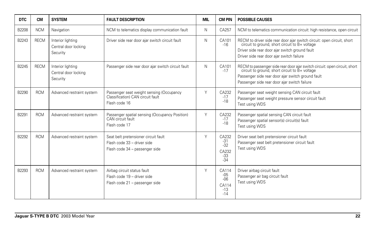| <b>DTC</b> | <b>CM</b>   | <b>SYSTEM</b>                                         | <b>FAULT DESCRIPTION</b>                                                                              | <b>MIL</b> | <b>CM PIN</b>                                      | <b>POSSIBLE CAUSES</b>                                                                                                                                                                                                        |
|------------|-------------|-------------------------------------------------------|-------------------------------------------------------------------------------------------------------|------------|----------------------------------------------------|-------------------------------------------------------------------------------------------------------------------------------------------------------------------------------------------------------------------------------|
| B2208      | <b>NCM</b>  | Navigation                                            | NCM to telematics display communication fault                                                         | N          | CA257                                              | NCM to telematics communication circuit: high resistance, open circuit                                                                                                                                                        |
| B2243      | <b>RECM</b> | Interior lighting<br>Central door locking<br>Security | Driver side rear door ajar switch circuit fault                                                       | N          | CA101<br>$-16$                                     | RECM to driver side rear door ajar switch circuit: open circuit, short circuit to ground, short circuit to B+ voltage<br>Driver side rear door ajar switch ground fault<br>Driver side rear door ajar switch failure          |
| B2245      | <b>RECM</b> | Interior lighting<br>Central door locking<br>Security | Passenger side rear door ajar switch circuit fault                                                    | N          | CA101<br>$-17$                                     | RECM to passenger side rear door ajar switch circuit: open circuit, short circuit to ground, short circuit to B+ voltage<br>Passenger side rear door ajar switch ground fault<br>Passenger side rear door ajar switch failure |
| B2290      | <b>RCM</b>  | Advanced restraint system                             | Passenger seat weight sensing (Occupancy<br>Classification) CAN circuit fault<br>Flash code 16        | Υ          | CA232<br>$-17$<br>$-18$                            | Passenger seat weight sensing CAN circuit fault<br>Passenger seat weight pressure sensor circuit fault<br>Test using WDS                                                                                                      |
| B2291      | <b>RCM</b>  | Advanced restraint system                             | Passenger spatial sensing (Occupancy Position)<br>CAN circuit fault<br>Flash code 17                  | Υ          | CA232<br>$-17$<br>$-18$                            | Passenger spatial sensing CAN circuit fault<br>Passenger spatial sensor(s) circuit(s) fault<br>Test using WDS                                                                                                                 |
| B2292      | <b>RCM</b>  | Advanced restraint system                             | Seat belt pretensioner circuit fault<br>Flash code 33 - driver side<br>Flash code 34 - passenger side | Υ          | CA232<br>$-31$<br>$-32$<br>CA232<br>$-33$<br>$-34$ | Driver seat belt pretensioner circuit fault<br>Passenger seat belt pretensioner circuit fault<br>Test using WDS                                                                                                               |
| B2293      | <b>RCM</b>  | Advanced restraint system                             | Airbag circuit status fault<br>Flash code 19 - driver side<br>Flash code 21 - passenger side          | Υ          | CA114<br>$-05$<br>$-06$<br>CA114<br>$-13$<br>$-14$ | Driver airbag circuit fault<br>Passenger air bag circuit fault<br>Test using WDS                                                                                                                                              |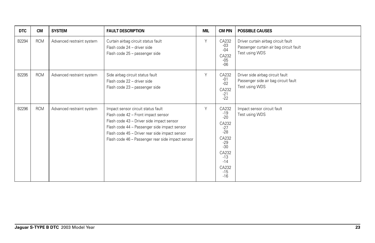| <b>DTC</b> | <b>CM</b>  | <b>SYSTEM</b>             | <b>FAULT DESCRIPTION</b>                                                                                                                                                                                                                                                      | <b>MIL</b> | <b>CM PIN</b>                                                                                                                       | <b>POSSIBLE CAUSES</b>                                                                           |
|------------|------------|---------------------------|-------------------------------------------------------------------------------------------------------------------------------------------------------------------------------------------------------------------------------------------------------------------------------|------------|-------------------------------------------------------------------------------------------------------------------------------------|--------------------------------------------------------------------------------------------------|
| B2294      | <b>RCM</b> | Advanced restraint system | Curtain airbag circuit status fault<br>Flash code 24 - driver side<br>Flash code 25 - passenger side                                                                                                                                                                          | Υ          | CA232<br>$-03$<br>$-04$<br>CA232<br>$-05$<br>$-06$                                                                                  | Driver curtain airbag circuit fault<br>Passenger curtain air bag circuit fault<br>Test using WDS |
| B2295      | <b>RCM</b> | Advanced restraint system | Side airbag circuit status fault<br>Flash code 22 - driver side<br>Flash code 23 - passenger side                                                                                                                                                                             | Y          | CA232<br>$-01$<br>$-02$<br>CA232<br>$-21$<br>$-22$                                                                                  | Driver side airbag circuit fault<br>Passenger side air bag circuit fault<br>Test using WDS       |
| B2296      | <b>RCM</b> | Advanced restraint system | Impact sensor circuit status fault<br>Flash code 42 - Front impact sensor<br>Flash code 43 - Driver side impact sensor<br>Flash code 44 - Passenger side impact sensor<br>Flash code 45 - Driver rear side impact sensor<br>Flash code 46 - Passenger rear side impact sensor | Υ          | CA232<br>$-19$<br>$-20$<br>CA232<br>$-27$<br>$-28$<br>CA232<br>$-29$<br>$-30$<br>CA232<br>$-13$<br>$-14$<br>CA232<br>$-15$<br>$-16$ | Impact sensor circuit fault<br>Test using WDS                                                    |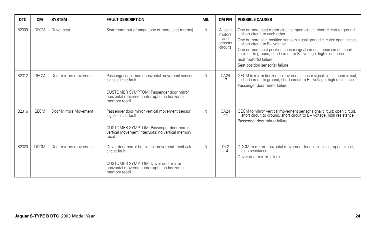| <b>DTC</b> | <b>CM</b>   | <b>SYSTEM</b>         | <b>FAULT DESCRIPTION</b>                                                                                                                                                              | <b>MIL</b> | <b>CM PIN</b>                                    | <b>POSSIBLE CAUSES</b>                                                                                                                                                                                                                                                                                                                                                                                             |
|------------|-------------|-----------------------|---------------------------------------------------------------------------------------------------------------------------------------------------------------------------------------|------------|--------------------------------------------------|--------------------------------------------------------------------------------------------------------------------------------------------------------------------------------------------------------------------------------------------------------------------------------------------------------------------------------------------------------------------------------------------------------------------|
| B2309      | <b>DSCM</b> | Driver seat           | Seat motor out of range (one or more seat motors)                                                                                                                                     | N          | All seat<br>motors<br>and<br>sensors<br>circuits | One or more seat motor circuits: open circuit, short circuit to ground, short circuit to each other<br>One or more seat position sensors signal ground circuits: open circuit,<br>short circuit to B+ voltage<br>One or more seat position sensor signal circuits: open circuit, short circuit to ground, short circuit to B+ voltage, high resistance<br>Seat motor(s) failure<br>Seat position sensor(s) failure |
| B2312      | <b>GECM</b> | Door mirrors movement | Passenger door mirror horizontal movement sensor<br>signal circuit fault<br>CUSTOMER SYMPTOM: Passenger door mirror<br>horizontal movement interrupts; no horizontal<br>memory recall | N          | CA24<br>$-7$                                     | GECM to mirror horizontal movement sensor signal circuit: open circuit,<br>short circuit to ground, short circuit to B+ voltage, high resistance<br>Passenger door mirror failure                                                                                                                                                                                                                                  |
| B2316      | <b>GECM</b> | Door Mirrors Movement | Passenger door mirror vertical movement sensor<br>signal circuit fault<br>CUSTOMER SYMPTOM: Passenger door mirror<br>vertical movement interrupts; no vertical memory<br>recall       | N          | CA24<br>$-11$                                    | GECM to mirror vertical movement sensor signal circuit: open circuit,<br>short circuit to ground, short circuit to B+ voltage, high resistance<br>Passenger door mirror failure                                                                                                                                                                                                                                    |
| B2320      | <b>DDCM</b> | Door mirrors movement | Driver door mirror horizontal movement feedback<br>circuit fault<br>CUSTOMER SYMPTOM: Driver door mirror<br>horizontal movement interrupts; no horizontal<br>memory recall            | N          | DT <sub>2</sub><br>$-14$                         | DDCM to mirror horizontal movement feedback circuit: open circuit,<br>high resistance<br>Driver door mirror failure                                                                                                                                                                                                                                                                                                |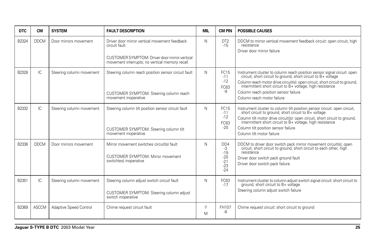| <b>DTC</b> | <b>CM</b>    | <b>SYSTEM</b>            | <b>FAULT DESCRIPTION</b>                                                                                               | <b>MIL</b> | <b>CM PIN</b>                                                     | <b>POSSIBLE CAUSES</b>                                                                                                                                                                                                                                                                                                                                  |
|------------|--------------|--------------------------|------------------------------------------------------------------------------------------------------------------------|------------|-------------------------------------------------------------------|---------------------------------------------------------------------------------------------------------------------------------------------------------------------------------------------------------------------------------------------------------------------------------------------------------------------------------------------------------|
| B2324      | <b>DDCM</b>  | Door mirrors movement    | Driver door mirror vertical movement feedback<br>circuit fault<br>CUSTOMER SYMPTOM: Driver door mirror vertical        | N          | DT <sub>2</sub><br>$-15$                                          | DDCM to mirror vertical movement feedback circuit: open circuit, high<br>resistance<br>Driver door mirror failure                                                                                                                                                                                                                                       |
|            |              |                          | movement interrupts; no vertical memory recall                                                                         |            |                                                                   |                                                                                                                                                                                                                                                                                                                                                         |
| B2328      | IC           | Steering column movement | Steering column reach position sensor circuit fault<br>CUSTOMER SYMPTOM: Steering column reach<br>movement inoperative | N          | <b>FC15</b><br>$-11$<br>$-12$<br>FC63<br>-9                       | Instrument cluster to column reach position sensor signal circuit: open<br>circuit, short circuit to ground, short circuit to B+ voltage<br>Column reach motor drive circuit(s): open circuit, short circuit to ground, intermittent short circuit to B+ voltage, high resistance<br>Column reach position sensor failure<br>Column reach motor failure |
| B2332      | IC           | Steering column movement | Steering column tilt position sensor circuit fault<br>CUSTOMER SYMPTOM: Steering column tilt<br>movement inoperative   | N          | <b>FC15</b><br>$-11$<br>$-12$<br>FC63<br>$-20$                    | Instrument cluster to column tilt position sensor circuit: open circuit, short circuit to ground, short circuit to B+ voltage<br>Column tilt motor drive circuit(s): open circuit, short circuit to ground,<br>intermittent short circuit to B+ voltage, high resistance<br>Column tilt position sensor failure<br>Column tilt motor failure            |
| B2336      | <b>DDCM</b>  | Door mirrors movement    | Mirror movement switches circuit(s) fault<br>CUSTOMER SYMPTOM: Mirror movement<br>switch(es) inoperative               | N          | D <sub>D</sub><br>-3<br>$-19$<br>$-20$<br>$-21$<br>$-23$<br>$-24$ | DDCM to driver door switch pack mirror movement circuit(s); open circuit, short circuit to ground, short circuit to each other, high<br>resistance<br>Driver door switch pack ground fault<br>Driver door switch pack failure                                                                                                                           |
| B2351      | IC           | Steering column movement | Steering column adjust switch circuit fault<br>CUSTOMER SYMPTOM: Steering column adjust<br>switch inoperative          | N          | FC63<br>$-17$                                                     | Instrument cluster to column adjust switch signal circuit: short circuit to ground, short circuit to B+ voltage<br>Steering column adjust switch failure                                                                                                                                                                                                |
| B2369      | <b>ASCCM</b> | Adaptive Speed Control   | Chime request circuit fault                                                                                            | Y<br>M     | FH107<br>-6                                                       | Chime request circuit: short circuit to ground                                                                                                                                                                                                                                                                                                          |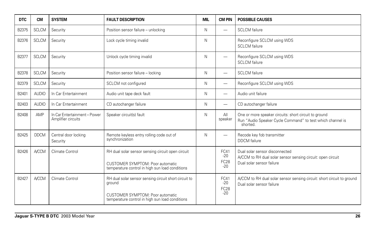| <b>DTC</b> | <b>CM</b>    | <b>SYSTEM</b>                                      | <b>FAULT DESCRIPTION</b>                                                                                                                               | <b>MIL</b> | <b>CM PIN</b>                              | <b>POSSIBLE CAUSES</b>                                                                                                          |
|------------|--------------|----------------------------------------------------|--------------------------------------------------------------------------------------------------------------------------------------------------------|------------|--------------------------------------------|---------------------------------------------------------------------------------------------------------------------------------|
| B2375      | <b>SCLCM</b> | Security                                           | Position sensor failure - unlocking                                                                                                                    | N          | $\overline{\phantom{0}}$                   | <b>SCLCM</b> failure                                                                                                            |
| B2376      | <b>SCLCM</b> | Security                                           | Lock cycle timing invalid                                                                                                                              | N          |                                            | Reconfigure SCLCM using WDS<br><b>SCLCM</b> failure                                                                             |
| B2377      | <b>SCLCM</b> | Security                                           | Unlock cycle timing invalid                                                                                                                            | N          | —                                          | Reconfigure SCLCM using WDS<br><b>SCLCM</b> failure                                                                             |
| B2378      | <b>SCLCM</b> | Security                                           | Position sensor failure - locking                                                                                                                      | N          | —                                          | <b>SCLCM</b> failure                                                                                                            |
| B2379      | <b>SCLCM</b> | Security                                           | SCLCM not configured                                                                                                                                   | N          | $\overline{\phantom{0}}$                   | Reconfigure SCLCM using WDS                                                                                                     |
| B2401      | <b>AUDIO</b> | In Car Entertainment                               | Audio unit tape deck fault                                                                                                                             | N          | $\overline{\phantom{0}}$                   | Audio unit failure                                                                                                              |
| B2403      | <b>AUDIO</b> | In Car Entertainment                               | CD autochanger failure                                                                                                                                 | N          | $\overline{\phantom{0}}$                   | CD autochanger failure                                                                                                          |
| B2408      | AMP          | In Car Entertainment - Power<br>Amplifier circuits | Speaker circuit(s) fault                                                                                                                               | N          | All<br>speaker                             | One or more speaker circuits: short circuit to ground<br>Run "Audio Speaker Cycle Command" to test which channel is<br>shorted. |
| B2425      | <b>DDCM</b>  | Central door locking<br>Security                   | Remote keyless entry rolling code out of<br>synchronization                                                                                            | N          | $\overline{\phantom{0}}$                   | Recode key fob transmitter<br><b>DDCM</b> failure                                                                               |
| B2426      | <b>A/CCM</b> | Climate Control                                    | RH dual solar sensor sensing circuit open circuit<br><b>CUSTOMER SYMPTOM: Poor automatic</b><br>temperature control in high sun load conditions        |            | FC41<br>$-20$<br>FC <sub>28</sub><br>$-20$ | Dual solar sensor disconnected<br>A/CCM to RH dual solar sensor sensing circuit: open circuit<br>Dual solar sensor failure      |
| B2427      | <b>A/CCM</b> | Climate Control                                    | RH dual solar sensor sensing circuit short circuit to<br>ground<br>CUSTOMER SYMPTOM: Poor automatic<br>temperature control in high sun load conditions |            | FC41<br>$-20$<br><b>FC28</b><br>$-20$      | A/CCM to RH dual solar sensor sensing circuit: short circuit to ground<br>Dual solar sensor failure                             |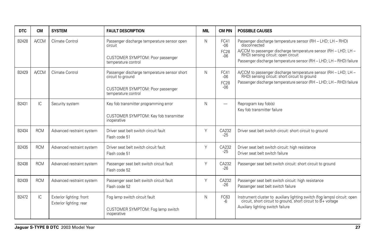| <b>DTC</b> | <b>CM</b>    | <b>SYSTEM</b>                                       | <b>FAULT DESCRIPTION</b>                                                                                                     | <b>MIL</b> | <b>CM PIN</b>                         | <b>POSSIBLE CAUSES</b>                                                                                                                                                                                                                                   |
|------------|--------------|-----------------------------------------------------|------------------------------------------------------------------------------------------------------------------------------|------------|---------------------------------------|----------------------------------------------------------------------------------------------------------------------------------------------------------------------------------------------------------------------------------------------------------|
| B2428      | <b>A/CCM</b> | Climate Control                                     | Passenger discharge temperature sensor open<br>circuit<br>CUSTOMER SYMPTOM: Poor passenger<br>temperature control            | N          | FC41<br>$-06$<br><b>FC28</b><br>$-06$ | Passenger discharge temperature sensor (RH - LHD; LH - RHD)<br>disconnected<br>A/CCM to passenger discharge temperature sensor (RH - LHD; LH - RHD) sensing circuit: open circuit<br>Passenger discharge temperature sensor (RH - LHD; LH - RHD) failure |
| B2429      | <b>A/CCM</b> | Climate Control                                     | Passenger discharge temperature sensor short<br>circuit to ground<br>CUSTOMER SYMPTOM: Poor passenger<br>temperature control | N          | FC41<br>$-06$<br><b>FC28</b><br>$-06$ | A/CCM to passenger discharge temperature sensor (RH - LHD; LH - RHD) sensing circuit: short circuit to ground<br>Passenger discharge temperature sensor (RH - LHD; LH - RHD) failure                                                                     |
| B2431      | IC           | Security system                                     | Key fob transmitter programming error<br>CUSTOMER SYMPTOM: Key fob transmitter<br>inoperative                                | N          |                                       | Reprogram key fob(s)<br>Key fob transmitter failure                                                                                                                                                                                                      |
| B2434      | <b>RCM</b>   | Advanced restraint system                           | Driver seat belt switch circuit fault<br>Flash code 51                                                                       | Y          | CA232<br>$-25$                        | Driver seat belt switch circuit: short circuit to ground                                                                                                                                                                                                 |
| B2435      | <b>RCM</b>   | Advanced restraint system                           | Driver seat belt switch circuit fault<br>Flash code 51                                                                       | Y          | CA232<br>$-25$                        | Driver seat belt switch circuit: high resistance<br>Driver seat belt switch failure                                                                                                                                                                      |
| B2438      | <b>RCM</b>   | Advanced restraint system                           | Passenger seat belt switch circuit fault<br>Flash code 52                                                                    | Y          | CA232<br>$-26$                        | Passenger seat belt switch circuit: short circuit to ground                                                                                                                                                                                              |
| B2439      | <b>RCM</b>   | Advanced restraint system                           | Passenger seat belt switch circuit fault<br>Flash code 52                                                                    | Y          | CA232<br>$-26$                        | Passenger seat belt switch circuit: high resistance<br>Passenger seat belt switch failure                                                                                                                                                                |
| B2472      | IC           | Exterior lighting: front<br>Exterior lighting: rear | Fog lamp switch circuit fault<br>CUSTOMER SYMPTOM: Fog lamp switch<br>inoperative                                            | N          | FC63<br>-6                            | Instrument cluster to auxiliary lighting switch (fog lamps) circuit: open circuit, short circuit to ground, short circuit to B+ voltage<br>Auxiliary lighting switch failure                                                                             |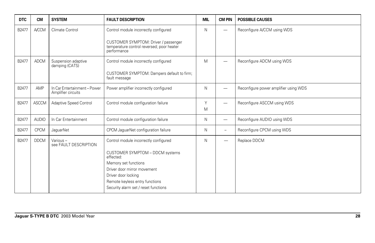| <b>DTC</b> | <b>CM</b>    | <b>SYSTEM</b>                                      | <b>FAULT DESCRIPTION</b>                                                                                                                                            | <b>MIL</b> | <b>CM PIN</b>            | <b>POSSIBLE CAUSES</b>                |
|------------|--------------|----------------------------------------------------|---------------------------------------------------------------------------------------------------------------------------------------------------------------------|------------|--------------------------|---------------------------------------|
| B2477      | <b>A/CCM</b> | Climate Control                                    | Control module incorrectly configured                                                                                                                               | N          | $\overline{\phantom{0}}$ | Reconfigure A/CCM using WDS           |
|            |              |                                                    | CUSTOMER SYMPTOM: Driver / passenger<br>temperature control reversed; poor heater<br>performance                                                                    |            |                          |                                       |
| B2477      | <b>ADCM</b>  | Suspension adaptive<br>damping (CATS)              | Control module incorrectly configured                                                                                                                               | M          |                          | Reconfigure ADCM using WDS            |
|            |              |                                                    | CUSTOMER SYMPTOM: Dampers default to firm;<br>fault message                                                                                                         |            |                          |                                       |
| B2477      | AMP          | In Car Entertainment - Power<br>Amplifier circuits | Power amplifier incorrectly configured                                                                                                                              | N          | —                        | Reconfigure power amplifier using WDS |
| B2477      | <b>ASCCM</b> | Adaptive Speed Control                             | Control module configuration failure                                                                                                                                | Y<br>M     | —                        | Reconfigure ASCCM using WDS           |
| B2477      | <b>AUDIO</b> | In Car Entertainment                               | Control module configuration failure                                                                                                                                | N          | —                        | Reconfigure AUDIO using WDS           |
| B2477      | <b>CPCM</b>  | JaguarNet                                          | CPCM JaguarNet configuration failure                                                                                                                                | N          | $\overline{\phantom{0}}$ | Reconfigure CPCM using WDS            |
| B2477      | <b>DDCM</b>  | Various-<br>see FAULT DESCRIPTION                  | Control module incorrectly configured<br>CUSTOMER SYMPTOM - DDCM systems<br>effected:<br>Memory set functions<br>Driver door mirror movement<br>Driver door locking | N          | $\overline{\phantom{m}}$ | Replace DDCM                          |
|            |              |                                                    | Remote keyless entry functions<br>Security alarm set / reset functions                                                                                              |            |                          |                                       |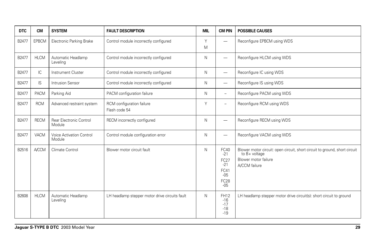| <b>DTC</b> | <b>CM</b>    | <b>SYSTEM</b>                      | <b>FAULT DESCRIPTION</b>                       | <b>MIL</b> | <b>CM PIN</b>                                                           | <b>POSSIBLE CAUSES</b>                                                                                                               |
|------------|--------------|------------------------------------|------------------------------------------------|------------|-------------------------------------------------------------------------|--------------------------------------------------------------------------------------------------------------------------------------|
| B2477      | <b>EPBCM</b> | Electronic Parking Brake           | Control module incorrectly configured          | Υ<br>M     | -                                                                       | Reconfigure EPBCM using WDS                                                                                                          |
| B2477      | <b>HLCM</b>  | Automatic Headlamp<br>Leveling     | Control module incorrectly configured          | N          | -                                                                       | Reconfigure HLCM using WDS                                                                                                           |
| B2477      | IC           | <b>Instrument Cluster</b>          | Control module incorrectly configured          | N          | -                                                                       | Reconfigure IC using WDS                                                                                                             |
| B2477      | IS           | Intrusion Sensor                   | Control module incorrectly configured          | N          |                                                                         | Reconfigure IS using WDS                                                                                                             |
| B2477      | <b>PACM</b>  | Parking Aid                        | PACM configuration failure                     | N          | $\overline{\phantom{0}}$                                                | Reconfigure PACM using WDS                                                                                                           |
| B2477      | <b>RCM</b>   | Advanced restraint system          | RCM configuration failure<br>Flash code 54     | Y          | $\overline{\phantom{0}}$                                                | Reconfigure RCM using WDS                                                                                                            |
| B2477      | <b>RECM</b>  | Rear Electronic Control<br>Module  | RECM incorrectly configured                    | N          | -                                                                       | Reconfigure RECM using WDS                                                                                                           |
| B2477      | VACM         | Voice Activation Control<br>Module | Control module configuration error             | N          | -                                                                       | Reconfigure VACM using WDS                                                                                                           |
| B2516      | <b>A/CCM</b> | Climate Control                    | Blower motor circuit fault                     | N          | FC40<br>$-21$<br>FC27<br>$-21$<br>FC41<br>$-05$<br><b>FC28</b><br>$-05$ | Blower motor circuit: open circuit, short circuit to ground, short circuit<br>to B+ voltage<br>Blower motor failure<br>A/CCM failure |
| B2608      | <b>HLCM</b>  | Automatic Headlamp<br>Leveling     | LH headlamp stepper motor drive circuits fault | N          | <b>FH12</b><br>$-16$<br>$-17$<br>$-18$<br>$-19$                         | LH headlamp stepper motor drive circuit(s): short circuit to ground                                                                  |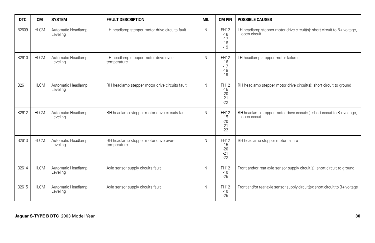| <b>DTC</b> | <b>CM</b>   | <b>SYSTEM</b>                  | <b>FAULT DESCRIPTION</b>                             | <b>MIL</b> | <b>CM PIN</b>                                   | <b>POSSIBLE CAUSES</b>                                                                   |
|------------|-------------|--------------------------------|------------------------------------------------------|------------|-------------------------------------------------|------------------------------------------------------------------------------------------|
| B2609      | <b>HLCM</b> | Automatic Headlamp<br>Leveling | LH headlamp stepper motor drive circuits fault       | N          | FH12<br>$-16$<br>$-17$<br>$-18$<br>$-19$        | LH headlamp stepper motor drive circuit(s): short circuit to B+ voltage,<br>open circuit |
| B2610      | <b>HLCM</b> | Automatic Headlamp<br>Levelina | LH headlamp stepper motor drive over-<br>temperature | N          | FH12<br>$-16$<br>$-17$<br>$-18$<br>$-19$        | LH headlamp stepper motor failure                                                        |
| B2611      | <b>HLCM</b> | Automatic Headlamp<br>Leveling | RH headlamp stepper motor drive circuits fault       | N          | FH12<br>$-15$<br>$-20$<br>$-21$<br>$-22$        | RH headlamp stepper motor drive circuit(s): short circuit to ground                      |
| B2612      | <b>HLCM</b> | Automatic Headlamp<br>Levelina | RH headlamp stepper motor drive circuits fault       | N          | FH12<br>$-15$<br>$-20$<br>$-21$<br>$-22$        | RH headlamp stepper motor drive circuit(s): short circuit to B+ voltage,<br>open circuit |
| B2613      | <b>HLCM</b> | Automatic Headlamp<br>Leveling | RH headlamp stepper motor drive over-<br>temperature | N          | <b>FH12</b><br>$-15$<br>$-20$<br>$-21$<br>$-22$ | RH headlamp stepper motor failure                                                        |
| B2614      | <b>HLCM</b> | Automatic Headlamp<br>Leveling | Axle sensor supply circuits fault                    | N          | FH12<br>$-10$<br>$-25$                          | Front and/or rear axle sensor supply circuit(s): short circuit to ground                 |
| B2615      | <b>HLCM</b> | Automatic Headlamp<br>Leveling | Axle sensor supply circuits fault                    | N          | FH12<br>$-10$<br>$-25$                          | Front and/or rear axle sensor supply circuit(s): short circuit to B+ voltage             |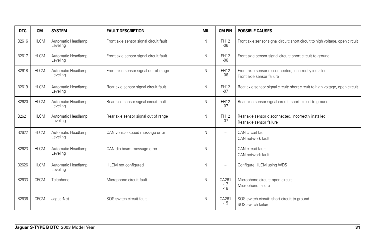| <b>DTC</b> | <b>CM</b>   | <b>SYSTEM</b>                  | <b>FAULT DESCRIPTION</b>               | <b>MIL</b> | <b>CM PIN</b>            | <b>POSSIBLE CAUSES</b>                                                             |
|------------|-------------|--------------------------------|----------------------------------------|------------|--------------------------|------------------------------------------------------------------------------------|
| B2616      | <b>HLCM</b> | Automatic Headlamp<br>Levelina | Front axle sensor signal circuit fault | N          | FH12<br>$-06$            | Front axle sensor signal circuit: short circuit to high voltage, open circuit      |
| B2617      | <b>HLCM</b> | Automatic Headlamp<br>Leveling | Front axle sensor signal circuit fault | N          | <b>FH12</b><br>$-06$     | Front axle sensor signal circuit: short circuit to ground                          |
| B2618      | <b>HLCM</b> | Automatic Headlamp<br>Leveling | Front axle sensor signal out of range  | N          | FH12<br>$-06$            | Front axle sensor disconnected, incorrectly installed<br>Front axle sensor failure |
| B2619      | <b>HLCM</b> | Automatic Headlamp<br>Leveling | Rear axle sensor signal circuit fault  | N          | FH12<br>$-07$            | Rear axle sensor signal circuit: short circuit to high voltage, open circuit       |
| B2620      | <b>HLCM</b> | Automatic Headlamp<br>Leveling | Rear axle sensor signal circuit fault  | N          | FH12<br>$-07$            | Rear axle sensor signal circuit: short circuit to ground                           |
| B2621      | <b>HLCM</b> | Automatic Headlamp<br>Leveling | Rear axle sensor signal out of range   | N          | FH12<br>$-07$            | Rear axle sensor disconnected, incorrectly installed<br>Rear axle sensor failure   |
| B2622      | <b>HLCM</b> | Automatic Headlamp<br>Levelina | CAN vehicle speed message error        | N          | -                        | CAN circuit fault<br>CAN network fault                                             |
| B2623      | <b>HLCM</b> | Automatic Headlamp<br>Levelina | CAN dip beam message error             | N          |                          | CAN circuit fault<br>CAN network fault                                             |
| B2626      | <b>HLCM</b> | Automatic Headlamp<br>Leveling | HLCM not configured                    | N          | $\overline{\phantom{0}}$ | Configure HLCM using WDS                                                           |
| B2633      | <b>CPCM</b> | Telephone                      | Microphone circuit fault               | N          | CA261<br>$-17$<br>$-18$  | Microphone circuit: open circuit<br>Microphone failure                             |
| B2636      | <b>CPCM</b> | JaquarNet                      | SOS switch circuit fault               | N          | CA261<br>$-15$           | SOS switch circuit: short circuit to ground<br>SOS switch failure                  |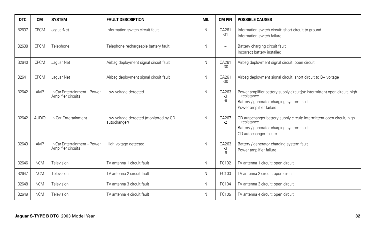| <b>DTC</b> | <b>CM</b>    | <b>SYSTEM</b>                                      | <b>FAULT DESCRIPTION</b>                              | <b>MIL</b> | <b>CM PIN</b>            | <b>POSSIBLE CAUSES</b>                                                                                                                                           |
|------------|--------------|----------------------------------------------------|-------------------------------------------------------|------------|--------------------------|------------------------------------------------------------------------------------------------------------------------------------------------------------------|
| B2637      | <b>CPCM</b>  | JaguarNet                                          | Information switch circuit fault                      | N          | CA261<br>$-31$           | Information switch circuit: short circuit to ground<br>Information switch failure                                                                                |
| B2638      | <b>CPCM</b>  | Telephone                                          | Telephone rechargeable battery fault                  | N          | $\overline{\phantom{0}}$ | Battery charging circuit fault<br>Incorrect battery installed                                                                                                    |
| B2640      | <b>CPCM</b>  | Jaguar Net                                         | Airbag deployment signal circuit fault                | N          | CA261<br>$-30$           | Airbag deployment signal circuit: open circuit                                                                                                                   |
| B2641      | <b>CPCM</b>  | Jaquar Net                                         | Airbag deployment signal circuit fault                | N          | CA261<br>$-30$           | Airbag deployment signal circuit: short circuit to B+ voltage                                                                                                    |
| B2642      | AMP          | In Car Entertainment - Power<br>Amplifier circuits | Low voltage detected                                  | N          | CA263<br>-3<br>-9        | Power amplifier battery supply circuit(s): intermittent open circuit, high<br>resistance<br>Battery / generator charging system fault<br>Power amplifier failure |
| B2642      | <b>AUDIO</b> | In Car Entertainment                               | Low voltage detected (monitored by CD<br>autochanger) | N          | CA267<br>$-2$            | CD autochanger battery supply circuit: intermittent open circuit, high<br>resistance<br>Battery / generator charging system fault<br>CD autochanger failure      |
| B2643      | AMP          | In Car Entertainment - Power<br>Amplifier circuits | High voltage detected                                 | N          | CA263<br>-3<br>$-9$      | Battery / generator charging system fault<br>Power amplifier failure                                                                                             |
| B2646      | <b>NCM</b>   | Television                                         | TV antenna 1 circuit fault                            | N          | FC102                    | TV antenna 1 circuit: open circuit                                                                                                                               |
| B2647      | <b>NCM</b>   | Television                                         | TV antenna 2 circuit fault                            | N          | FC103                    | TV antenna 2 circuit: open circuit                                                                                                                               |
| B2648      | <b>NCM</b>   | Television                                         | TV antenna 3 circuit fault                            | N          | FC104                    | TV antenna 3 circuit: open circuit                                                                                                                               |
| B2649      | <b>NCM</b>   | Television                                         | TV antenna 4 circuit fault                            | N          | FC105                    | TV antenna 4 circuit: open circuit                                                                                                                               |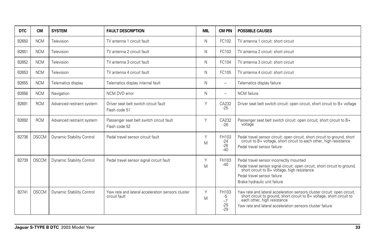| <b>DTC</b> | <b>CM</b>    | <b>SYSTEM</b>             | <b>FAULT DESCRIPTION</b>                                           | MIL    | <b>CM PIN</b>                         | <b>POSSIBLE CAUSES</b>                                                                                                                                                                                                                         |
|------------|--------------|---------------------------|--------------------------------------------------------------------|--------|---------------------------------------|------------------------------------------------------------------------------------------------------------------------------------------------------------------------------------------------------------------------------------------------|
| B2650      | <b>NCM</b>   | Television                | TV antenna 1 circuit fault                                         | N      | FC102                                 | TV antenna 1 circuit: short circuit                                                                                                                                                                                                            |
| B2651      | <b>NCM</b>   | Television                | TV antenna 2 circuit fault                                         | N      | FC103                                 | TV antenna 2 circuit: short circuit                                                                                                                                                                                                            |
| B2652      | <b>NCM</b>   | Television                | TV antenna 3 circuit fault                                         | N      | FC104                                 | TV antenna 3 circuit: short circuit                                                                                                                                                                                                            |
| B2653      | <b>NCM</b>   | Television                | TV antenna 4 circuit fault                                         | N      | FC105                                 | TV antenna 4 circuit: short circuit                                                                                                                                                                                                            |
| B2655      | <b>NCM</b>   | Telematics display        | Telematics display internal fault                                  | N      | $\overline{\phantom{0}}$              | Telematics display failure                                                                                                                                                                                                                     |
| B2656      | <b>NCM</b>   | Navigation                | NCM DVD error                                                      | N      | $\overline{\phantom{0}}$              | <b>NCM</b> failure                                                                                                                                                                                                                             |
| B2691      | <b>RCM</b>   | Advanced restraint system | Driver seat belt switch circuit fault<br>Flash code 51             | Υ      | CA232<br>$-25$                        | Driver seat belt switch circuit: open circuit, short circuit to B+ voltage                                                                                                                                                                     |
| B2692      | <b>RCM</b>   | Advanced restraint system | Passenger seat belt switch circuit fault<br>Flash code 52          | Υ      | CA232<br>$-26$                        | Passenger seat belt switch circuit: open circuit, short circuit to B+<br>voltage                                                                                                                                                               |
| B2736      | <b>DSCCM</b> | Dynamic Stability Control | Pedal travel sensor circuit fault                                  | Υ<br>M | FH103<br>$-24$<br>$-26$<br>$-40$      | Pedal travel sensor circuit: open circuit, short circuit to ground, short circuit to B+ voltage, short circuit to each other, high resistance<br>Pedal travel sensor failure                                                                   |
| B2739      | <b>DSCCM</b> | Dynamic Stability Control | Pedal travel sensor signal circuit fault                           | Υ<br>M | FH103<br>$-40$                        | Pedal travel sensor incorrectly mounted<br>Pedal travel sensor signal circuit: open circuit, short circuit to ground,<br>short circuit to B+ voltage, high resistance<br>Pedal travel sensor failure<br>Brake hydraulic unit failure           |
| B2741      | <b>DSCCM</b> | Dynamic Stability Control | Yaw rate and lateral acceleration sensors cluster<br>circuit fault | Y<br>M | FH103<br>-5<br>$-7$<br>$-25$<br>$-29$ | Yaw rate and lateral acceleration sensors cluster circuit: open circuit,<br>short circuit to ground, short circuit to B+ voltage, short circuit to<br>each other, high resistance<br>Yaw rate and lateral acceleration sensors cluster failure |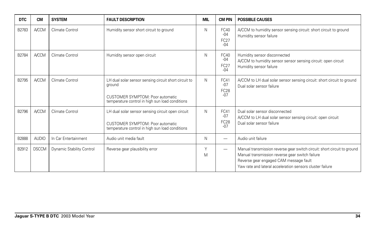| <b>DTC</b>   | <b>CM</b>    | <b>SYSTEM</b>             | <b>FAULT DESCRIPTION</b>                                                                                                                               | <b>MIL</b> | <b>CM PIN</b>                         | <b>POSSIBLE CAUSES</b>                                                                                                                                                                                                             |
|--------------|--------------|---------------------------|--------------------------------------------------------------------------------------------------------------------------------------------------------|------------|---------------------------------------|------------------------------------------------------------------------------------------------------------------------------------------------------------------------------------------------------------------------------------|
| B2783        | <b>A/CCM</b> | Climate Control           | Humidity sensor short circuit to ground                                                                                                                | N          | FC40<br>$-04$<br><b>FC27</b><br>$-04$ | A/CCM to humidity sensor sensing circuit: short circuit to ground<br>Humidity sensor failure                                                                                                                                       |
| B2784        | <b>A/CCM</b> | Climate Control           | Humidity sensor open circuit                                                                                                                           | N          | FC40<br>$-04$<br>FC27<br>$-04$        | Humidity sensor disconnected<br>A/CCM to humidity sensor sensor sensing circuit: open circuit<br>Humidity sensor failure                                                                                                           |
| B2795        | <b>A/CCM</b> | Climate Control           | LH dual solar sensor sensing circuit short circuit to<br>ground<br>CUSTOMER SYMPTOM: Poor automatic<br>temperature control in high sun load conditions | N          | FC41<br>$-07$<br><b>FC28</b><br>$-07$ | A/CCM to LH dual solar sensor sensing circuit: short circuit to ground<br>Dual solar sensor failure                                                                                                                                |
| B2796        | <b>A/CCM</b> | Climate Control           | LH dual solar sensor sensing circuit open circuit<br>CUSTOMER SYMPTOM: Poor automatic<br>temperature control in high sun load conditions               | N          | FC41<br>$-07$<br>FC28<br>$-07$        | Dual solar sensor disconnected<br>A/CCM to LH dual solar sensor sensing circuit: open circuit<br>Dual solar sensor failure                                                                                                         |
| <b>B2888</b> | <b>AUDIO</b> | In Car Entertainment      | Audio unit media fault                                                                                                                                 | N          |                                       | Audio unit failure                                                                                                                                                                                                                 |
| B2912        | <b>DSCCM</b> | Dynamic Stability Control | Reverse gear plausibility error                                                                                                                        | Y<br>M     | -                                     | Manual transmission reverse gear switch circuit: short circuit to ground<br>Manual transmission reverse gear switch failure<br>Reverse gear engaged CAM message fault<br>Yaw rate and lateral acceleration sensors cluster failure |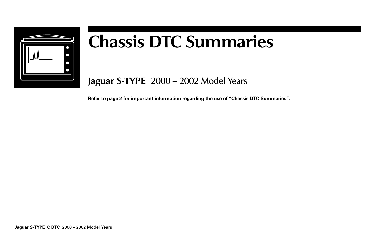

# **Chassis DTC Summaries**

**Jaguar S-TYPE** 2000 – 2002 Model Years

**Refer to page 2 for important information regarding the use of "Chassis DTC Summaries".**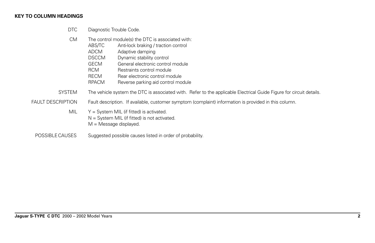#### **KEY TO COLUMN HEADINGS**

- DTC Diagnostic Trouble Code.
- CM The control module(s) the DTC is associated with:
	- ABS/TC Anti-lock braking / traction control
	- ADCM Adaptive damping<br>DSCCM Dynamic stability c
	- Dynamic stability control
	- GECM General electronic control module
	- RCM Restraints control module
	- RECM Rear electronic control module
	- RPACM Reverse parking aid control module
- SYSTEM The vehicle system the DTC is associated with. Refer to the applicable Electrical Guide Figure for circuit details.
- FAULT DESCRIPTION Fault description. If available, customer symptom (complaint) information is provided in this column.
	- MIL  $Y = System \text{ MIL}$  (if fitted) is activated.  $N =$  System MIL (if fitted) is not activated.  $M =$ Message displayed.
- POSSIBLE CAUSES Suggested possible causes listed in order of probability.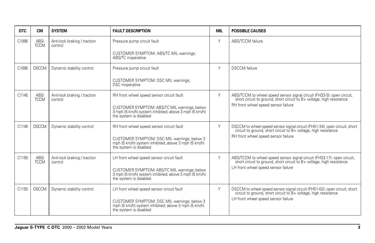| <b>DTC</b> | <b>CM</b>           | <b>SYSTEM</b>                           | <b>FAULT DESCRIPTION</b>                                                                                                        | MIL | <b>POSSIBLE CAUSES</b>                                                                                                                         |
|------------|---------------------|-----------------------------------------|---------------------------------------------------------------------------------------------------------------------------------|-----|------------------------------------------------------------------------------------------------------------------------------------------------|
| C1095      | ABS/<br><b>TCCM</b> | Anti-lock braking / traction<br>control | Pressure pump circuit fault                                                                                                     | Y   | ABS/TCCM failure                                                                                                                               |
|            |                     |                                         | CUSTOMER SYMPTOM: ABS/TC MIL warnings;<br>ABS/TC inoperative                                                                    |     |                                                                                                                                                |
| C1095      | <b>DSCCM</b>        | Dynamic stability control               | Pressure pump circuit fault                                                                                                     | Y   | <b>DSCCM</b> failure                                                                                                                           |
|            |                     |                                         | CUSTOMER SYMPTOM: DSC MIL warnings;<br><b>DSC</b> inoperative                                                                   |     |                                                                                                                                                |
| C1145      | ABS/<br><b>TCCM</b> | Anti-lock braking / traction<br>control | RH front wheel speed sensor circuit fault                                                                                       | Y   | ABS/TCCM to wheel speed sensor signal circuit (FH33-3): open circuit,<br>short circuit to ground, short circuit to B+ voltage, high resistance |
|            |                     |                                         | CUSTOMER SYMPTOM: ABS/TC MIL warnings; below<br>3 mph (5 km/h) system inhibited; above 3 mph (5 km/h)<br>the system is disabled |     | RH front wheel speed sensor failure                                                                                                            |
| C1145      | <b>DSCCM</b>        | Dynamic stability control               | RH front wheel speed sensor circuit fault                                                                                       | Y   | DSCCM to wheel speed sensor signal circuit (FH51-34): open circuit, short circuit to ground, short circuit to B+ voltage, high resistance      |
|            |                     |                                         | CUSTOMER SYMPTOM: DSC MIL warnings; below 3 mph (5 km/h) system inhibited; above 3 mph (5 km/h)<br>the system is disabled       |     | RH front wheel speed sensor failure                                                                                                            |
| C1155      | ABS/<br><b>TCCM</b> | Anti-lock braking / traction<br>control | LH front wheel speed sensor circuit fault                                                                                       | Y   | ABS/TCCM to wheel speed sensor signal circuit (FH33-17): open circuit, short circuit to ground, short circuit to B+ voltage, high resistance   |
|            |                     |                                         | CUSTOMER SYMPTOM: ABS/TC MIL warnings; below<br>3 mph (5 km/h) system inhibited; above 3 mph (5 km/h)<br>the system is disabled |     | LH front wheel speed sensor failure                                                                                                            |
| C1155      | <b>DSCCM</b>        | Dynamic stability control               | LH front wheel speed sensor circuit fault                                                                                       | Y   | DSCCM to wheel speed sensor signal circuit (FH51-02): open circuit, short<br>circuit to ground, short circuit to B+ voltage, high resistance   |
|            |                     |                                         | CUSTOMER SYMPTOM: DSC MIL warnings; below 3<br>mph (5 km/h) system inhibited; above 3 mph (5 km/h)<br>the system is disabled    |     | LH front wheel speed sensor failure                                                                                                            |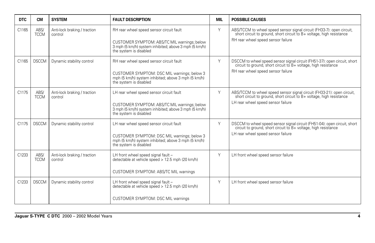| <b>DTC</b>        | <b>CM</b>           | <b>SYSTEM</b>                           | <b>FAULT DESCRIPTION</b>                                                                                                        | <b>MIL</b> | <b>POSSIBLE CAUSES</b>                                                                                                                       |
|-------------------|---------------------|-----------------------------------------|---------------------------------------------------------------------------------------------------------------------------------|------------|----------------------------------------------------------------------------------------------------------------------------------------------|
| C1165             | ABS/<br><b>TCCM</b> | Anti-lock braking / traction<br>control | RH rear wheel speed sensor circuit fault                                                                                        | Y          | ABS/TCCM to wheel speed sensor signal circuit (FH33-7): open circuit, short circuit to ground, short circuit to B+ voltage, high resistance  |
|                   |                     |                                         | CUSTOMER SYMPTOM: ABS/TC MIL warnings; below<br>3 mph (5 km/h) system inhibited; above 3 mph (5 km/h)<br>the system is disabled |            | RH rear wheel speed sensor failure                                                                                                           |
| C <sub>1165</sub> | <b>DSCCM</b>        | Dynamic stability control               | RH rear wheel speed sensor circuit fault                                                                                        | Y          | DSCCM to wheel speed sensor signal circuit (FH51-37): open circuit, short circuit to ground, short circuit to B+ voltage, high resistance    |
|                   |                     |                                         | CUSTOMER SYMPTOM: DSC MIL warnings; below 3<br>mph (5 km/h) system inhibited; above 3 mph (5 km/h)<br>the system is disabled    |            | RH rear wheel speed sensor failure                                                                                                           |
| C1175             | ABS/<br><b>TCCM</b> | Anti-lock braking / traction<br>control | LH rear wheel speed sensor circuit fault                                                                                        | Y          | ABS/TCCM to wheel speed sensor signal circuit (FH33-21): open circuit, short circuit to ground, short circuit to B+ voltage, high resistance |
|                   |                     |                                         | CUSTOMER SYMPTOM: ABS/TC MIL warnings; below<br>3 mph (5 km/h) system inhibited; above 3 mph (5 km/h)<br>the system is disabled |            | LH rear wheel speed sensor failure                                                                                                           |
| C1175             | <b>DSCCM</b>        | Dynamic stability control               | LH rear wheel speed sensor circuit fault                                                                                        | Y          | DSCCM to wheel speed sensor signal circuit (FH51-04): open circuit, short circuit to ground, short circuit to B+ voltage, high resistance    |
|                   |                     |                                         | CUSTOMER SYMPTOM: DSC MIL warnings; below 3<br>mph (5 km/h) system inhibited; above 3 mph (5 km/h)<br>the system is disabled    |            | LH rear wheel speed sensor failure                                                                                                           |
| C1233             | ABS/<br><b>TCCM</b> | Anti-lock braking / traction<br>control | LH front wheel speed signal fault -<br>detectable at vehicle speed > 12.5 mph (20 km/h)                                         | Y          | LH front wheel speed sensor failure                                                                                                          |
|                   |                     |                                         | CUSTOMER SYMPTOM: ABS/TC MIL warnings                                                                                           |            |                                                                                                                                              |
| C1233             | <b>DSCCM</b>        | Dynamic stability control               | LH front wheel speed signal fault -<br>detectable at vehicle speed > 12.5 mph (20 km/h)                                         | Y          | LH front wheel speed sensor failure                                                                                                          |
|                   |                     |                                         | CUSTOMER SYMPTOM: DSC MIL warnings                                                                                              |            |                                                                                                                                              |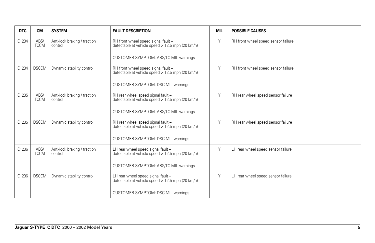| <b>DTC</b> | <b>CM</b>           | <b>SYSTEM</b>                           | <b>FAULT DESCRIPTION</b>                                                                | <b>MIL</b> | <b>POSSIBLE CAUSES</b>              |
|------------|---------------------|-----------------------------------------|-----------------------------------------------------------------------------------------|------------|-------------------------------------|
| C1234      | ABS/<br><b>TCCM</b> | Anti-lock braking / traction<br>control | RH front wheel speed signal fault -<br>detectable at vehicle speed > 12.5 mph (20 km/h) | Y          | RH front wheel speed sensor failure |
|            |                     |                                         | CUSTOMER SYMPTOM: ABS/TC MIL warnings                                                   |            |                                     |
| C1234      | <b>DSCCM</b>        | Dynamic stability control               | RH front wheel speed signal fault -<br>detectable at vehicle speed > 12.5 mph (20 km/h) | Y          | RH front wheel speed sensor failure |
|            |                     |                                         | CUSTOMER SYMPTOM: DSC MIL warnings                                                      |            |                                     |
| C1235      | ABS/<br><b>TCCM</b> | Anti-lock braking / traction<br>control | RH rear wheel speed signal fault -<br>detectable at vehicle speed > 12.5 mph (20 km/h)  | Y          | RH rear wheel speed sensor failure  |
|            |                     |                                         | CUSTOMER SYMPTOM: ABS/TC MIL warnings                                                   |            |                                     |
| C1235      | <b>DSCCM</b>        | Dynamic stability control               | RH rear wheel speed signal fault -<br>detectable at vehicle speed > 12.5 mph (20 km/h)  | Y          | RH rear wheel speed sensor failure  |
|            |                     |                                         | CUSTOMER SYMPTOM: DSC MIL warnings                                                      |            |                                     |
| C1236      | ABS/<br><b>TCCM</b> | Anti-lock braking / traction<br>control | LH rear wheel speed signal fault -<br>detectable at vehicle speed > 12.5 mph (20 km/h)  | Y          | LH rear wheel speed sensor failure  |
|            |                     |                                         | CUSTOMER SYMPTOM: ABS/TC MIL warnings                                                   |            |                                     |
| C1236      | <b>DSCCM</b>        | Dynamic stability control               | LH rear wheel speed signal fault -<br>detectable at vehicle speed > 12.5 mph (20 km/h)  | Y          | LH rear wheel speed sensor failure  |
|            |                     |                                         | CUSTOMER SYMPTOM: DSC MIL warnings                                                      |            |                                     |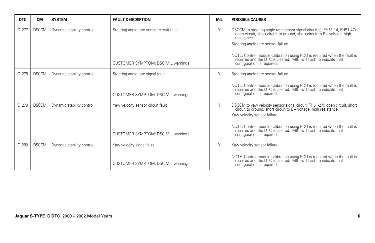| <b>DTC</b> | <b>CM</b>    | <b>SYSTEM</b>             | <b>FAULT DESCRIPTION</b>                 | <b>MIL</b> | <b>POSSIBLE CAUSES</b>                                                                                                                                                                                 |
|------------|--------------|---------------------------|------------------------------------------|------------|--------------------------------------------------------------------------------------------------------------------------------------------------------------------------------------------------------|
| C1277      | <b>DSCCM</b> | Dynamic stability control | Steering angle rate sensor circuit fault | Y          | DSCCM to steering angle rate sensor signal circuit(s) (FH51-14, FH51-47): open circuit, short circuit to ground, short circuit to B+ voltage, high<br>resistance<br>Steering angle rate sensor failure |
|            |              |                           | CUSTOMER SYMPTOM: DSC MIL warnings       |            | NOTE: Control module calibration using PDU is required when the fault is repaired and the DTC is cleared. MIL will flash to indicate that configuration is required.                                   |
| C1278      | <b>DSCCM</b> | Dynamic stability control | Steering angle rate signal fault         | Y          | Steering angle rate sensor failure                                                                                                                                                                     |
|            |              |                           | CUSTOMER SYMPTOM: DSC MIL warnings       |            | NOTE: Control module calibration using PDU is required when the fault is repaired and the DTC is cleared. MIL will flash to indicate that<br>configuration is required.                                |
| C1279      | <b>DSCCM</b> | Dynamic stability control | Yaw velocity sensor circuit fault        | Y          | DSCCM to yaw velocity sensor signal circuit (FH51-27): open circuit, short circuit to ground, short circuit to B+ voltage, high resistance<br>Yaw velocity sensor failure                              |
|            |              |                           | CUSTOMER SYMPTOM: DSC MIL warnings       |            | NOTE: Control module calibration using PDU is required when the fault is repaired and the DTC is cleared. MIL will flash to indicate that<br>configuration is required.                                |
| C1280      | <b>DSCCM</b> | Dynamic stability control | Yaw velocity signal fault                | Y          | Yaw velocity sensor failure                                                                                                                                                                            |
|            |              |                           | CUSTOMER SYMPTOM: DSC MIL warnings       |            | NOTE: Control module calibration using PDU is required when the fault is repaired and the DTC is cleared. MIL will flash to indicate that<br>configuration is required.                                |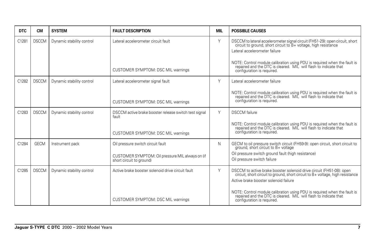| <b>DTC</b> | <b>CM</b>    | <b>SYSTEM</b>             | <b>FAULT DESCRIPTION</b>                                                     | <b>MIL</b> | <b>POSSIBLE CAUSES</b>                                                                                                                                                                          |
|------------|--------------|---------------------------|------------------------------------------------------------------------------|------------|-------------------------------------------------------------------------------------------------------------------------------------------------------------------------------------------------|
| C1281      | <b>DSCCM</b> | Dynamic stability control | Lateral accelerometer circuit fault                                          | Y          | DSCCM to lateral accelerometer signal circuit (FH51-29): open circuit, short circuit to ground, short circuit to B+ voltage, high resistance<br>Lateral accelerometer failure                   |
|            |              |                           | CUSTOMER SYMPTOM: DSC MIL warnings                                           |            | NOTE: Control module calibration using PDU is required when the fault is repaired and the DTC is cleared. MIL will flash to indicate that<br>configuration is required.                         |
| C1282      | <b>DSCCM</b> | Dynamic stability control | Lateral accelerometer signal fault                                           | Υ          | Lateral accelerometer failure                                                                                                                                                                   |
|            |              |                           | CUSTOMER SYMPTOM: DSC MIL warnings                                           |            | NOTE: Control module calibration using PDU is required when the fault is repaired and the DTC is cleared. MIL will flash to indicate that<br>configuration is required.                         |
| C1283      | <b>DSCCM</b> | Dynamic stability control | DSCCM active brake booster release switch test signal<br>fault               | Y          | <b>DSCCM</b> failure                                                                                                                                                                            |
|            |              |                           | CUSTOMER SYMPTOM: DSC MIL warnings                                           |            | NOTE: Control module calibration using PDU is required when the fault is repaired and the DTC is cleared. MIL will flash to indicate that<br>configuration is required.                         |
| C1284      | <b>GECM</b>  | Instrument pack           | Oil pressure switch circuit fault                                            | N          | GECM to oil pressure switch circuit (FH59-9): open circuit, short circuit to<br>ground, short circuit to B+ voltage                                                                             |
|            |              |                           | CUSTOMER SYMPTOM: Oil pressure MIL always on (if<br>short circuit to ground) |            | Oil pressure switch ground fault (high resistance)<br>Oil pressure switch failure                                                                                                               |
| C1285      | <b>DSCCM</b> | Dynamic stability control | Active brake booster solenoid drive circuit fault                            | Y          | DSCCM to active brake booster solenoid drive circuit (FH51-08): open<br>circuit, short circuit to ground, short circuit to B+ voltage, high resistance<br>Active brake booster solenoid failure |
|            |              |                           | CUSTOMER SYMPTOM: DSC MIL warnings                                           |            | NOTE: Control module calibration using PDU is required when the fault is repaired and the DTC is cleared. MIL will flash to indicate that<br>configuration is required.                         |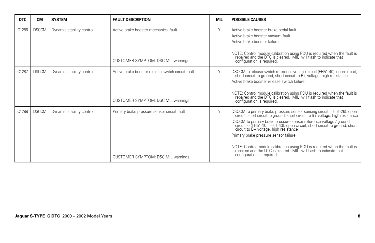| <b>DTC</b> | <b>CM</b>    | <b>SYSTEM</b>             | <b>FAULT DESCRIPTION</b>                                                                | <b>MIL</b> | <b>POSSIBLE CAUSES</b>                                                                                                                                                                                                                                                                                                                                                                                                                                                                                                                                                  |
|------------|--------------|---------------------------|-----------------------------------------------------------------------------------------|------------|-------------------------------------------------------------------------------------------------------------------------------------------------------------------------------------------------------------------------------------------------------------------------------------------------------------------------------------------------------------------------------------------------------------------------------------------------------------------------------------------------------------------------------------------------------------------------|
| C1286      | <b>DSCCM</b> | Dynamic stability control | Active brake booster mechanical fault<br><b>CUSTOMER SYMPTOM: DSC MIL warnings</b>      | Y          | Active brake booster brake pedal fault<br>Active brake booster vacuum fault<br>Active brake booster failure<br>NOTE: Control module calibration using PDU is required when the fault is repaired and the DTC is cleared. MIL will flash to indicate that<br>configuration is required.                                                                                                                                                                                                                                                                                  |
| C1287      | <b>DSCCM</b> | Dynamic stability control | Active brake booster release switch circuit fault<br>CUSTOMER SYMPTOM: DSC MIL warnings | Y          | DSCCM to release switch reference voltage circuit (FH51-40): open circuit, short circuit to ground, short circuit to B+ voltage, high resistance<br>Active brake booster release switch failure<br>NOTE: Control module calibration using PDU is required when the fault is repaired and the DTC is cleared. MIL will flash to indicate that<br>configuration is required.                                                                                                                                                                                              |
| C1288      | <b>DSCCM</b> | Dynamic stability control | Primary brake pressure sensor circuit fault<br>CUSTOMER SYMPTOM: DSC MIL warnings       | Y          | DSCCM to primary brake pressure sensor sensing circuit (FH51-26): open circuit, short circuit to ground, short circuit to B+ voltage, high resistance<br>DSCCM to primary brake pressure sensor reference voltage / ground<br>circuit(s) (FH51-10, FH51-43): open circuit, short circuit to ground, short<br>circuit to B+ voltage, high resistance<br>Primary brake pressure sensor failure<br>NOTE: Control module calibration using PDU is required when the fault is repaired and the DTC is cleared. MIL will flash to indicate that<br>configuration is required. |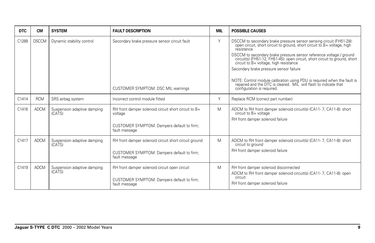| <b>DTC</b> | <b>CM</b>    | <b>SYSTEM</b>                         | <b>FAULT DESCRIPTION</b>                                        | <b>MIL</b> | <b>POSSIBLE CAUSES</b>                                                                                                                                                                                                                                                                                                                                                                                                                                                                                                                                |
|------------|--------------|---------------------------------------|-----------------------------------------------------------------|------------|-------------------------------------------------------------------------------------------------------------------------------------------------------------------------------------------------------------------------------------------------------------------------------------------------------------------------------------------------------------------------------------------------------------------------------------------------------------------------------------------------------------------------------------------------------|
| C1289      | <b>DSCCM</b> | Dynamic stability control             | Secondary brake pressure sensor circuit fault                   | Y          | DSCCM to secondary brake pressure sensor sensing circuit (FH51-28):<br>open circuit, short circuit to ground, short circuit to B+ voltage, high<br>resistance<br>DSCCM to secondary brake pressure sensor reference voltage / ground<br>circuit(s) (FH51-12, FH51-45): open circuit, short circuit to ground, short<br>circuit to B+ voltage, high resistance<br>Secondary brake pressure sensor failure<br>NOTE: Control module calibration using PDU is required when the fault is repaired and the DTC is cleared. MIL will flash to indicate that |
|            |              |                                       | CUSTOMER SYMPTOM: DSC MIL warnings                              |            | configuration is required.                                                                                                                                                                                                                                                                                                                                                                                                                                                                                                                            |
| C1414      | <b>RCM</b>   | SRS airbag system                     | Incorrect control module fitted                                 | Y          | Replace RCM (correct part number)                                                                                                                                                                                                                                                                                                                                                                                                                                                                                                                     |
| C1416      | <b>ADCM</b>  | Suspension adaptive damping<br>(CATS) | RH front damper solenoid circuit short circuit to B+<br>voltage | M          | ADCM to RH front damper solenoid circuit(s) (CA11-7, CA11-8): short<br>circuit to B+ voltage<br>RH front damper solenoid failure                                                                                                                                                                                                                                                                                                                                                                                                                      |
|            |              |                                       | CUSTOMER SYMPTOM: Dampers default to firm;<br>fault message     |            |                                                                                                                                                                                                                                                                                                                                                                                                                                                                                                                                                       |
| C1417      | <b>ADCM</b>  | Suspension adaptive damping<br>(CATS) | RH front damper solenoid circuit short circuit ground           | M          | ADCM to RH front damper solenoid circuit(s) (CA11-7, CA11-8): short<br>circuit to ground                                                                                                                                                                                                                                                                                                                                                                                                                                                              |
|            |              |                                       | CUSTOMER SYMPTOM: Dampers default to firm;<br>fault message     |            | RH front damper solenoid failure                                                                                                                                                                                                                                                                                                                                                                                                                                                                                                                      |
| C1419      | <b>ADCM</b>  | Suspension adaptive damping<br>(CATS) | RH front damper solenoid circuit open circuit                   | Μ          | RH front damper solenoid disconnected<br>ADCM to RH front damper solenoid circuit(s) (CA11-7, CA11-8): open                                                                                                                                                                                                                                                                                                                                                                                                                                           |
|            |              |                                       | CUSTOMER SYMPTOM: Dampers default to firm;<br>fault message     |            | circuit<br>RH front damper solenoid failure                                                                                                                                                                                                                                                                                                                                                                                                                                                                                                           |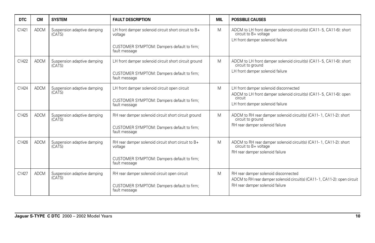| <b>DTC</b> | <b>CM</b>   | <b>SYSTEM</b>                         | <b>FAULT DESCRIPTION</b>                                        | <b>MIL</b> | <b>POSSIBLE CAUSES</b>                                                                                                           |
|------------|-------------|---------------------------------------|-----------------------------------------------------------------|------------|----------------------------------------------------------------------------------------------------------------------------------|
| C1421      | <b>ADCM</b> | Suspension adaptive damping<br>(CATS) | LH front damper solenoid circuit short circuit to B+<br>voltage | M          | ADCM to LH front damper solenoid circuit(s) (CA11-5, CA11-6): short<br>circuit to B+ voltage<br>LH front damper solenoid failure |
|            |             |                                       | CUSTOMER SYMPTOM: Dampers default to firm;<br>fault message     |            |                                                                                                                                  |
| C1422      | <b>ADCM</b> | Suspension adaptive damping<br>(CATS) | LH front damper solenoid circuit short circuit ground           | M          | ADCM to LH front damper solenoid circuit(s) (CA11-5, CA11-6): short<br>circuit to ground                                         |
|            |             |                                       | CUSTOMER SYMPTOM: Dampers default to firm;<br>fault message     |            | LH front damper solenoid failure                                                                                                 |
| C1424      | <b>ADCM</b> | Suspension adaptive damping<br>(CATS) | LH front damper solenoid circuit open circuit                   | M          | LH front damper solenoid disconnected<br>ADCM to LH front damper solenoid circuit(s) (CA11-5, CA11-6): open                      |
|            |             |                                       | CUSTOMER SYMPTOM: Dampers default to firm;<br>fault message     |            | circuit<br>LH front damper solenoid failure                                                                                      |
| C1425      | <b>ADCM</b> | Suspension adaptive damping<br>(CATS) | RH rear damper solenoid circuit short circuit ground            | M          | ADCM to RH rear damper solenoid circuit(s) (CA11-1, CA11-2): short<br>circuit to ground                                          |
|            |             |                                       | CUSTOMER SYMPTOM: Dampers default to firm;<br>fault message     |            | RH rear damper solenoid failure                                                                                                  |
| C1426      | <b>ADCM</b> | Suspension adaptive damping<br>(CATS) | RH rear damper solenoid circuit short circuit to B+<br>voltage  | M          | ADCM to RH rear damper solenoid circuit(s) (CA11-1, CA11-2): short<br>circuit to B+ voltage                                      |
|            |             |                                       | CUSTOMER SYMPTOM: Dampers default to firm;<br>fault message     |            | RH rear damper solenoid failure                                                                                                  |
| C1427      | <b>ADCM</b> | Suspension adaptive damping<br>(CATS) | RH rear damper solenoid circuit open circuit                    | M          | RH rear damper solenoid disconnected<br>ADCM to RH rear damper solenoid circuit(s) (CA11-1, CA11-2): open circuit                |
|            |             |                                       | CUSTOMER SYMPTOM: Dampers default to firm;<br>fault message     |            | RH rear damper solenoid failure                                                                                                  |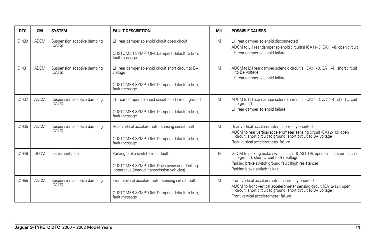| <b>DTC</b> | <b>CM</b>   | <b>SYSTEM</b>                         | <b>FAULT DESCRIPTION</b>                                                                                                      | MIL | <b>POSSIBLE CAUSES</b>                                                                                                                                                                                                          |
|------------|-------------|---------------------------------------|-------------------------------------------------------------------------------------------------------------------------------|-----|---------------------------------------------------------------------------------------------------------------------------------------------------------------------------------------------------------------------------------|
| C1430      | <b>ADCM</b> | Suspension adaptive damping<br>(CATS) | LH rear damper solenoid circuit open circuit<br>CUSTOMER SYMPTOM: Dampers default to firm;<br>fault message                   | M   | LH rear damper solenoid disconnected<br>ADCM to LH rear damper solenoid circuit(s) (CA11-3, CA11-4): open circuit<br>LH rear damper solenoid failure                                                                            |
| C1431      | <b>ADCM</b> | Suspension adaptive damping<br>(CATS) | LH rear damper solenoid circuit short circuit to B+<br>voltage<br>CUSTOMER SYMPTOM: Dampers default to firm;<br>fault message | M   | ADCM to LH rear damper solenoid circuit(s) (CA11-3, CA11-4): short circuit<br>to $B+$ voltage<br>LH rear damper solenoid failure                                                                                                |
| C1432      | <b>ADCM</b> | Suspension adaptive damping<br>(CATS) | LH rear damper solenoid circuit short circuit ground<br>CUSTOMER SYMPTOM: Dampers default to firm;<br>fault message           | M   | ADCM to LH rear damper solenoid circuit(s) (CA11-3, CA11-4): short circuit<br>to ground<br>LH rear damper solenoid failure                                                                                                      |
| C1435      | <b>ADCM</b> | Suspension adaptive damping<br>(CATS) | Rear vertical accelerometer sensing circuit fault<br>CUSTOMER SYMPTOM: Dampers default to firm;<br>fault message              | M   | Rear vertical accelerometer incorrectly oriented<br>ADCM to rear vertical accelerometer sensing circuit (CA12-10): open circuit, short circuit to ground, short circuit to B+ voltage<br>Rear vertical accelerometer failure    |
| C1446      | <b>GECM</b> | Instrument pack                       | Parking brake switch circuit fault<br>CUSTOMER SYMPTOM: Drive away door locking<br>inoperative (manual transmission vehicles) | N.  | GECM to parking brake switch circuit (CA31-19): open circuit, short circuit to ground, short circuit to B+ voltage<br>Parking brake switch ground fault (high resistance)<br>Parking brake switch failure                       |
| C1455      | <b>ADCM</b> | Suspension adaptive damping<br>(CATS) | Front vertical accelerometer sensing circuit fault<br>CUSTOMER SYMPTOM: Dampers default to firm;<br>fault message             | M   | Front vertical accelerometer incorrectly oriented<br>ADCM to front vertical accelerometer sensing circuit (CA12-12): open circuit, short circuit to ground, short circuit to B+ voltage<br>Front vertical accelerometer failure |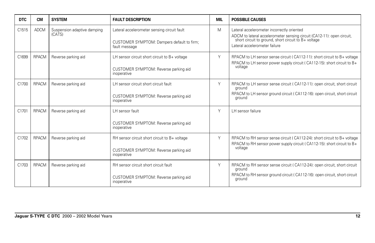| <b>DTC</b>        | <b>CM</b>    | <b>SYSTEM</b>                         | <b>FAULT DESCRIPTION</b>                                                                                   | MIL | <b>POSSIBLE CAUSES</b>                                                                                                                                                                                          |
|-------------------|--------------|---------------------------------------|------------------------------------------------------------------------------------------------------------|-----|-----------------------------------------------------------------------------------------------------------------------------------------------------------------------------------------------------------------|
| C1515             | <b>ADCM</b>  | Suspension adaptive damping<br>(CATS) | Lateral accelerometer sensing circuit fault<br>CUSTOMER SYMPTOM: Dampers default to firm;<br>fault message | Μ   | Lateral accelerometer incorrectly oriented<br>ADCM to lateral accelerometer sensing circuit (CA12-11): open circuit,<br>short circuit to ground, short circuit to $B+$ voltage<br>Lateral accelerometer failure |
| C1699             | <b>RPACM</b> | Reverse parking aid                   | LH sensor circuit short circuit to B+ voltage<br>CUSTOMER SYMPTOM: Reverse parking aid<br>inoperative      | Y   | RPACM to LH sensor sense circuit (CA112-11): short circuit to B+ voltage<br>RPACM to LH sensor power supply circuit (CA112-15): short circuit to B+<br>voltage                                                  |
| C1700             | <b>RPACM</b> | Reverse parking aid                   | LH sensor circuit short circuit fault<br>CUSTOMER SYMPTOM: Reverse parking aid<br>inoperative              | Y   | RPACM to LH sensor sense circuit (CA112-11): open circuit, short circuit<br>ground<br>RPACM to LH sensor ground circuit (CA112-16): open circuit, short circuit<br>ground                                       |
| C <sub>1701</sub> | <b>RPACM</b> | Reverse parking aid                   | LH sensor fault<br>CUSTOMER SYMPTOM: Reverse parking aid<br>inoperative                                    | Y   | LH sensor failure                                                                                                                                                                                               |
| C1702             | <b>RPACM</b> | Reverse parking aid                   | RH sensor circuit short circuit to B+ voltage<br>CUSTOMER SYMPTOM: Reverse parking aid<br>inoperative      | Y   | RPACM to RH sensor sense circuit (CA112-24): short circuit to B+ voltage<br>RPACM to RH sensor power supply circuit (CA112-15): short circuit to B+<br>voltage                                                  |
| C <sub>1703</sub> | <b>RPACM</b> | Reverse parking aid                   | RH sensor circuit short circuit fault<br>CUSTOMER SYMPTOM: Reverse parking aid<br>inoperative              | Y   | RPACM to RH sensor sense circuit (CA112-24): open circuit, short circuit<br>ground<br>RPACM to RH sensor ground circuit (CA112-16): open circuit, short circuit<br>ground                                       |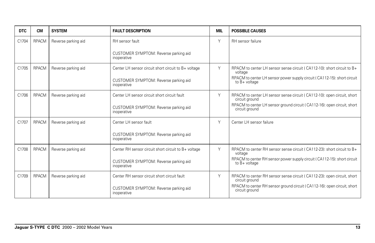| <b>DTC</b>        | <b>CM</b>    | <b>SYSTEM</b>       | <b>FAULT DESCRIPTION</b>                             | <b>MIL</b> | <b>POSSIBLE CAUSES</b>                                                                      |
|-------------------|--------------|---------------------|------------------------------------------------------|------------|---------------------------------------------------------------------------------------------|
| C1704             | <b>RPACM</b> | Reverse parking aid | RH sensor fault                                      | Υ          | RH sensor failure                                                                           |
|                   |              |                     | CUSTOMER SYMPTOM: Reverse parking aid<br>inoperative |            |                                                                                             |
| C1705             | <b>RPACM</b> | Reverse parking aid | Center LH sensor circuit short circuit to B+ voltage | Y          | RPACM to center LH sensor sense circuit (CA112-10): short circuit to B+<br>voltage          |
|                   |              |                     | CUSTOMER SYMPTOM: Reverse parking aid<br>inoperative |            | RPACM to center LH sensor power supply circuit (CA112-15): short circuit<br>to $B+$ voltage |
| C1706             | <b>RPACM</b> | Reverse parking aid | Center LH sensor circuit short circuit fault         | Y          | RPACM to center LH sensor sense circuit (CA112-10): open circuit, short<br>circuit ground   |
|                   |              |                     | CUSTOMER SYMPTOM: Reverse parking aid<br>inoperative |            | RPACM to center LH sensor ground circuit (CA112-16): open circuit, short<br>circuit ground  |
| C1707             | <b>RPACM</b> | Reverse parking aid | Center LH sensor fault                               | Y          | Center LH sensor failure                                                                    |
|                   |              |                     | CUSTOMER SYMPTOM: Reverse parking aid<br>inoperative |            |                                                                                             |
| C1708             | <b>RPACM</b> | Reverse parking aid | Center RH sensor circuit short circuit to B+ voltage | Υ          | RPACM to center RH sensor sense circuit (CA112-23): short circuit to B+<br>voltage          |
|                   |              |                     | CUSTOMER SYMPTOM: Reverse parking aid<br>inoperative |            | RPACM to center RH sensor power supply circuit (CA112-15): short circuit<br>to $B+$ voltage |
| C <sub>1709</sub> | <b>RPACM</b> | Reverse parking aid | Center RH sensor circuit short circuit fault         | Y          | RPACM to center RH sensor sense circuit (CA112-23): open circuit, short<br>circuit ground   |
|                   |              |                     | CUSTOMER SYMPTOM: Reverse parking aid<br>inoperative |            | RPACM to center RH sensor ground circuit (CA112-16): open circuit, short<br>circuit ground  |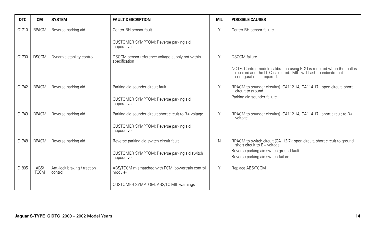| <b>DTC</b> | <b>CM</b>           | <b>SYSTEM</b>                           | <b>FAULT DESCRIPTION</b>                                          | <b>MIL</b> | <b>POSSIBLE CAUSES</b>                                                                                                                                                  |
|------------|---------------------|-----------------------------------------|-------------------------------------------------------------------|------------|-------------------------------------------------------------------------------------------------------------------------------------------------------------------------|
| C1710      | <b>RPACM</b>        | Reverse parking aid                     | Center RH sensor fault                                            | Y          | Center RH sensor failure                                                                                                                                                |
|            |                     |                                         | CUSTOMER SYMPTOM: Reverse parking aid<br>inoperative              |            |                                                                                                                                                                         |
| C1730      | <b>DSCCM</b>        | Dynamic stability control               | DSCCM sensor reference voltage supply not within<br>specification | Y          | <b>DSCCM</b> failure                                                                                                                                                    |
|            |                     |                                         |                                                                   |            | NOTE: Control module calibration using PDU is required when the fault is repaired and the DTC is cleared. MIL will flash to indicate that<br>configuration is required. |
| C1742      | <b>RPACM</b>        | Reverse parking aid                     | Parking aid sounder circuit fault                                 | Y          | RPACM to sounder circuit(s) (CA112-14, CA114-17): open circuit, short<br>circuit to ground                                                                              |
|            |                     |                                         | CUSTOMER SYMPTOM: Reverse parking aid<br>inoperative              |            | Parking aid sounder failure                                                                                                                                             |
| C1743      | <b>RPACM</b>        | Reverse parking aid                     | Parking aid sounder circuit short circuit to B+ voltage           | Y          | RPACM to sounder circuit(s) (CA112-14, CA114-17): short circuit to B+<br>voltage                                                                                        |
|            |                     |                                         | CUSTOMER SYMPTOM: Reverse parking aid<br>inoperative              |            |                                                                                                                                                                         |
| C1748      | <b>RPACM</b>        | Reverse parking aid                     | Reverse parking aid switch circuit fault                          | N          | RPACM to switch circuit (CA112-7): open circuit, short circuit to ground, short circuit to B+ voltage                                                                   |
|            |                     |                                         | CUSTOMER SYMPTOM: Reverse parking aid switch<br>inoperative       |            | Reverse parking aid switch ground fault<br>Reverse parking aid switch failure                                                                                           |
| C1805      | ABS/<br><b>TCCM</b> | Anti-lock braking / traction<br>control | ABS/TCCM mismatched with PCM (powertrain control<br>module)       | Y          | Replace ABS/TCCM                                                                                                                                                        |
|            |                     |                                         | CUSTOMER SYMPTOM: ABS/TC MIL warnings                             |            |                                                                                                                                                                         |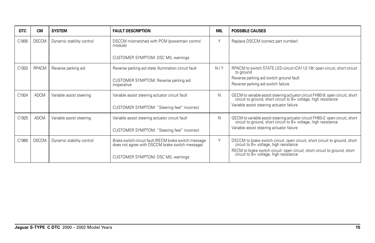| <b>DTC</b> | <b>CM</b>    | <b>SYSTEM</b>             | <b>FAULT DESCRIPTION</b>                                                                                 | MIL | <b>POSSIBLE CAUSES</b>                                                                                                                        |
|------------|--------------|---------------------------|----------------------------------------------------------------------------------------------------------|-----|-----------------------------------------------------------------------------------------------------------------------------------------------|
| C1805      | <b>DSCCM</b> | Dynamic stability control | DSCCM mismatched with PCM (powertrain control<br>module)                                                 | Y   | Replace DSCCM (correct part number)                                                                                                           |
|            |              |                           | CUSTOMER SYMPTOM: DSC MIL warnings                                                                       |     |                                                                                                                                               |
| C1920      | <b>RPACM</b> | Reverse parking aid       | Reverse parking aid state illumination circuit fault                                                     | N/Y | RPACM to switch STATE LED circuit (CA112-19): open circuit, short circuit<br>to ground                                                        |
|            |              |                           | CUSTOMER SYMPTOM: Reverse parking aid<br>inoperative                                                     |     | Reverse parking aid switch ground fault<br>Reverse parking aid switch failure                                                                 |
| C1924      | ADCM         | Variable assist steering  | Variable assist steering actuator circuit fault                                                          | N   | GECM to variable assist steering actuator circuit FH60-9: open circuit, short circuit to ground, short circuit to B+ voltage, high resistance |
|            |              |                           | CUSTOMER SYMPTOM: "Steering feel" incorrect                                                              |     | Variable assist steering actuator failure                                                                                                     |
| C1925      | <b>ADCM</b>  | Variable assist steering  | Variable assist steering actuator circuit fault                                                          | N   | GECM to variable assist steering actuator circuit FH60-2: open circuit, short circuit to ground, short circuit to B+ voltage, high resistance |
|            |              |                           | CUSTOMER SYMPTOM: "Steering feel" incorrect                                                              |     | Variable assist steering actuator failure                                                                                                     |
| C1960      | <b>DSCCM</b> | Dynamic stability control | Brake switch circuit fault (RECM brake switch message<br>does not agree with DSCCM brake switch message) | Y   | DSCCM to brake switch circuit: open circuit, short circuit to ground, short circuit to B+ voltage, high resistance                            |
|            |              |                           | CUSTOMER SYMPTOM: DSC MIL warnings                                                                       |     | RECM to brake switch circuit: open circuit, short circuit to ground, short<br>circuit to B+ voltage, high resistance                          |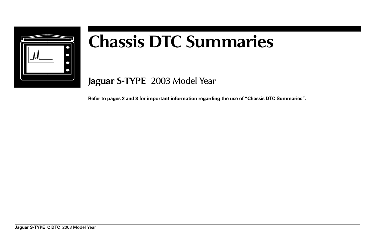

# **Chassis DTC Summaries**

**Jaguar S-TYPE** 2003 Model Year

**Refer to pages 2 and 3 for important information regarding the use of "Chassis DTC Summaries".**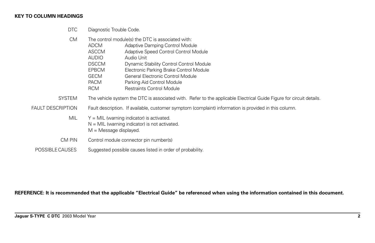#### **KEY TO COLUMN HEADINGS**

DTC Diagnostic Trouble Code.

| <b>CM</b>                | ADCM<br><b>ASCCM</b><br><b>AUDIO</b><br><b>DSCCM</b><br><b>EPBCM</b><br><b>GECM</b><br><b>PACM</b><br><b>RCM</b> | The control module(s) the DTC is associated with:<br>Adaptive Damping Control Module<br>Adaptive Speed Control Control Module<br>Audio Unit<br>Dynamic Stability Control Control Module<br>Electronic Parking Brake Control Module<br>General Electronic Control Module<br>Parking Aid Control Module<br><b>Restraints Control Module</b> |  |  |  |  |
|--------------------------|------------------------------------------------------------------------------------------------------------------|-------------------------------------------------------------------------------------------------------------------------------------------------------------------------------------------------------------------------------------------------------------------------------------------------------------------------------------------|--|--|--|--|
| <b>SYSTEM</b>            |                                                                                                                  | The vehicle system the DTC is associated with. Refer to the applicable Electrical Guide Figure for circuit details.                                                                                                                                                                                                                       |  |  |  |  |
| <b>FAULT DESCRIPTION</b> |                                                                                                                  | Fault description. If available, customer symptom (complaint) information is provided in this column.                                                                                                                                                                                                                                     |  |  |  |  |
| <b>MIL</b>               | $M =$ Message displayed.                                                                                         | $Y = MIL$ (warning indicator) is activated.<br>$N = MIL$ (warning indicator) is not activated.                                                                                                                                                                                                                                            |  |  |  |  |
| CM PIN                   |                                                                                                                  | Control module connector pin number(s)                                                                                                                                                                                                                                                                                                    |  |  |  |  |
| POSSIBLE CAUSES          |                                                                                                                  | Suggested possible causes listed in order of probability.                                                                                                                                                                                                                                                                                 |  |  |  |  |

**REFERENCE: It is recommended that the applicable "Electrical Guide" be referenced when using the information contained in this document.**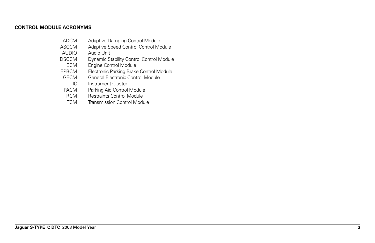### **CONTROL MODULE ACRONYMS**

| <b>ADCM</b> | Adaptive Damping Control Module |
|-------------|---------------------------------|
|-------------|---------------------------------|

- ASCCM Adaptive Speed Control Control Module<br>AUDIO Audio Unit
- AUDIO Audio Unit<br>DSCCM Dynamic St
- Dynamic Stability Control Control Module
- ECM Engine Control Module<br>EPBCM Electronic Parking Brake
- EPBCM Electronic Parking Brake Control Module<br>GECM General Electronic Control Module
- General Electronic Control Module
- IC Instrument Cluster<br>PACM Parking Aid Control
- PACM Parking Aid Control Module<br>RCM Restraints Control Module
- Restraints Control Module
- TCM Transmission Control Module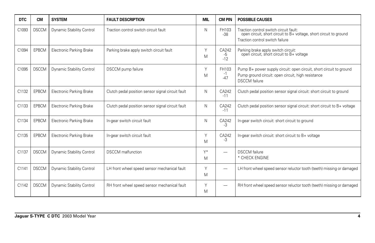| <b>DTC</b> | <b>CM</b>    | <b>SYSTEM</b>                   | <b>FAULT DESCRIPTION</b>                          | <b>MIL</b> | <b>CM PIN</b>          | <b>POSSIBLE CAUSES</b>                                                                                                                            |
|------------|--------------|---------------------------------|---------------------------------------------------|------------|------------------------|---------------------------------------------------------------------------------------------------------------------------------------------------|
| C1093      | <b>DSCCM</b> | Dynamic Stability Control       | Traction control switch circuit fault             | N          | FH103<br>$-38$         | Traction control switch circuit fault:<br>open circuit, short circuit to B+ voltage, short circuit to ground<br>Traction control switch failure   |
| C1094      | <b>EPBCM</b> | <b>Electronic Parking Brake</b> | Parking brake apply switch circuit fault          | Y<br>M     | CA242<br>-5<br>$-12$   | Parking brake apply switch circuit:<br>open circuit, short circuit to B+ voltage                                                                  |
| C1095      | <b>DSCCM</b> | Dynamic Stability Control       | <b>DSCCM</b> pump failure                         | Υ<br>M     | FH103<br>$-1$<br>$-47$ | Pump B+ power supply circuit: open circuit, short circuit to ground<br>Pump ground circuit: open circuit, high resistance<br><b>DSCCM</b> failure |
| C1132      | <b>EPBCM</b> | <b>Electronic Parking Brake</b> | Clutch pedal position sensor signal circuit fault | N          | CA242<br>$-11$         | Clutch pedal position sensor signal circuit: short circuit to ground                                                                              |
| C1133      | <b>EPBCM</b> | <b>Electronic Parking Brake</b> | Clutch pedal position sensor signal circuit fault | N          | CA242<br>$-11$         | Clutch pedal position sensor signal circuit: short circuit to B+ voltage                                                                          |
| C1134      | <b>EPBCM</b> | <b>Electronic Parking Brake</b> | In-gear switch circuit fault                      | N          | CA242<br>$-3$          | In-gear switch circuit: short circuit to ground                                                                                                   |
| C1135      | <b>EPBCM</b> | <b>Electronic Parking Brake</b> | In-gear switch circuit fault                      | Υ<br>M     | CA242<br>$-3$          | In-gear switch circuit: short circuit to B+ voltage                                                                                               |
| C1137      | <b>DSCCM</b> | Dynamic Stability Control       | <b>DSCCM</b> malfunction                          | Y*<br>M    | -                      | <b>DSCCM</b> failure<br>* CHECK ENGINE                                                                                                            |
| C1141      | <b>DSCCM</b> | Dynamic Stability Control       | LH front wheel speed sensor mechanical fault      | Υ<br>M     |                        | LH front wheel speed sensor reluctor tooth (teeth) missing or damaged                                                                             |
| C1142      | <b>DSCCM</b> | Dynamic Stability Control       | RH front wheel speed sensor mechanical fault      | Y<br>M     |                        | RH front wheel speed sensor reluctor tooth (teeth) missing or damaged                                                                             |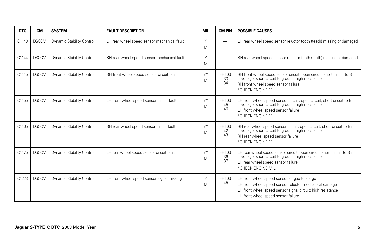| <b>DTC</b>        | <b>CM</b>    | <b>SYSTEM</b>             | <b>FAULT DESCRIPTION</b>                    | <b>MIL</b> | <b>CM PIN</b>           | <b>POSSIBLE CAUSES</b>                                                                                                                                                                                        |
|-------------------|--------------|---------------------------|---------------------------------------------|------------|-------------------------|---------------------------------------------------------------------------------------------------------------------------------------------------------------------------------------------------------------|
| C1143             | <b>DSCCM</b> | Dynamic Stability Control | LH rear wheel speed sensor mechanical fault | Y<br>M     |                         | LH rear wheel speed sensor reluctor tooth (teeth) missing or damaged                                                                                                                                          |
| C1144             | <b>DSCCM</b> | Dynamic Stability Control | RH rear wheel speed sensor mechanical fault | Y<br>M     |                         | RH rear wheel speed sensor reluctor tooth (teeth) missing or damaged                                                                                                                                          |
| C1145             | <b>DSCCM</b> | Dynamic Stability Control | RH front wheel speed sensor circuit fault   | Y*<br>M    | FH103<br>$-33$<br>$-34$ | RH front wheel speed sensor circuit: open circuit, short circuit to B+<br>voltage, short circuit to ground, high resistance<br>RH front wheel speed sensor failure<br>*CHECK ENGINE MIL                       |
| C <sub>1155</sub> | <b>DSCCM</b> | Dynamic Stability Control | LH front wheel speed sensor circuit fault   | Y*<br>M    | FH103<br>$-45$<br>$-46$ | LH front wheel speed sensor circuit: open circuit, short circuit to B+<br>voltage, short circuit to ground, high resistance<br>LH front wheel speed sensor failure<br>*CHECK ENGINE MIL                       |
| C1165             | <b>DSCCM</b> | Dynamic Stability Control | RH rear wheel speed sensor circuit fault    | Y*<br>M    | FH103<br>$-42$<br>$-43$ | RH rear wheel speed sensor circuit: open circuit, short circuit to B+<br>voltage, short circuit to ground, high resistance<br>RH rear wheel speed sensor failure<br>*CHECK ENGINE MIL                         |
| C1175             | <b>DSCCM</b> | Dynamic Stability Control | LH rear wheel speed sensor circuit fault    | Y*<br>M    | FH103<br>$-36$<br>$-37$ | LH rear wheel speed sensor circuit: open circuit, short circuit to B+<br>voltage, short circuit to ground, high resistance<br>LH rear wheel speed sensor failure<br>*CHECK ENGINE MIL                         |
| C1223             | <b>DSCCM</b> | Dynamic Stability Control | LH front wheel speed sensor signal missing  | Y<br>M     | FH103<br>$-45$          | LH front wheel speed sensor air gap too large<br>LH front wheel speed sensor reluctor mechanical damage<br>LH front wheel speed sensor signal circuit: high resistance<br>LH front wheel speed sensor failure |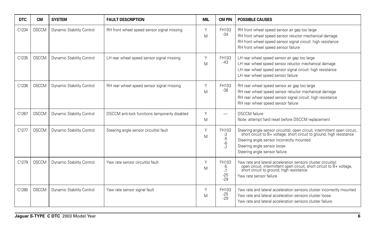| <b>DTC</b>        | <b>CM</b>    | <b>SYSTEM</b>             | <b>FAULT DESCRIPTION</b>                       | <b>MIL</b> | <b>CM PIN</b>                         | <b>POSSIBLE CAUSES</b>                                                                                                                                                                                                                                        |
|-------------------|--------------|---------------------------|------------------------------------------------|------------|---------------------------------------|---------------------------------------------------------------------------------------------------------------------------------------------------------------------------------------------------------------------------------------------------------------|
| C1234             | <b>DSCCM</b> | Dynamic Stability Control | RH front wheel speed sensor signal missing     | Υ<br>M     | FH103<br>$-34$                        | RH front wheel speed sensor air gap too large<br>RH front wheel speed sensor reluctor mechanical damage<br>RH front wheel speed sensor signal circuit: high resistance<br>RH front wheel speed sensor failure                                                 |
| C1235             | <b>DSCCM</b> | Dynamic Stability Control | LH rear wheel speed sensor signal missing      | Y<br>M     | FH103<br>$-43$                        | LH rear wheel speed sensor air gap too large<br>LH rear wheel speed sensor reluctor mechanical damage<br>LH rear wheel speed sensor signal circuit: high resistance<br>LH rear wheel speed sensor failure                                                     |
| C <sub>1236</sub> | <b>DSCCM</b> | Dynamic Stability Control | RH rear wheel speed sensor signal missing      | Y<br>M     | FH103<br>$-36$                        | RH rear wheel speed sensor air gap too large<br>RH rear wheel speed sensor reluctor mechanical damage<br>RH rear wheel speed sensor signal circuit: high resistance<br>RH rear wheel speed sensor failure                                                     |
| C1267             | <b>DSCCM</b> | Dynamic Stability Control | DSCCM anti-lock functions temporarily disabled | Υ<br>M     |                                       | <b>DSCCM</b> failure<br>Note: attempt hard reset before DSCCM replacement                                                                                                                                                                                     |
| C1277             | <b>DSCCM</b> | Dynamic Stability Control | Steering angle sensor circuit(s) fault         | Υ<br>M     | FH103<br>-3<br>$-5$<br>$-6$<br>$-7$   | Steering angle sensor circuit(s): open circuit, intermittent open circuit, short circuit to B+ voltage, short circuit to ground, high resistance<br>Steering angle sensor incorrectly mounted<br>Steering angle sensor loose<br>Steering angle sensor failure |
| C1279             | <b>DSCCM</b> | Dynamic Stability Control | Yaw rate sensor circuit(s) fault               | Υ<br>M     | FH103<br>-5<br>$-7$<br>$-25$<br>$-29$ | Yaw rate and lateral acceleration sensors cluster circuit(s):<br>open circuit, intermittent open circuit, short circuit to B+ voltage, short circuit to ground, high resistance<br>Yaw rate sensor failure                                                    |
| C1280             | <b>DSCCM</b> | Dynamic Stability Control | Yaw rate sensor signal fault                   | Y<br>M     | FH103<br>$-25$<br>$-29$               | Yaw rate and lateral acceleration sensors cluster incorrectly mounted<br>Yaw rate and lateral acceleration sensors cluster loose<br>Yaw rate and lateral acceleration sensors cluster failure                                                                 |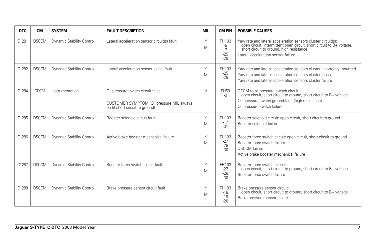| <b>DTC</b> | <b>CM</b>    | <b>SYSTEM</b>             | <b>FAULT DESCRIPTION</b>                                                                                          | <b>MIL</b> | <b>CM PIN</b>                         | <b>POSSIBLE CAUSES</b>                                                                                                                                                                                                 |
|------------|--------------|---------------------------|-------------------------------------------------------------------------------------------------------------------|------------|---------------------------------------|------------------------------------------------------------------------------------------------------------------------------------------------------------------------------------------------------------------------|
| C1281      | <b>DSCCM</b> | Dynamic Stability Control | Lateral acceleration sensor circuit(s) fault                                                                      | Y<br>M     | FH103<br>-5<br>$-7$<br>$-25$<br>$-29$ | Yaw rate and lateral acceleration sensors cluster circuit(s):<br>open circuit, intermittent open circuit, short circuit to B+ voltage, short circuit to ground, high resistance<br>Lateral acceleration sensor failure |
| C1282      | <b>DSCCM</b> | Dynamic Stability Control | Lateral acceleration sensor signal fault                                                                          | Υ<br>M     | FH103<br>$-25$<br>$-29$               | Yaw rate and lateral acceleration sensors cluster incorrectly mounted<br>Yaw rate and lateral acceleration sensors cluster loose<br>Yaw rate and lateral acceleration sensors cluster failure                          |
| C1284      | <b>GECM</b>  | Instrumentation           | Oil pressure switch circuit fault<br>CUSTOMER SYMPTOM: Oil pressure MIL always<br>on (if short circuit to ground) | N          | <b>FH59</b><br>$-9$                   | GECM to oil pressure switch circuit:<br>open circuit, short circuit to ground, short circuit to B+ voltage<br>Oil pressure switch ground fault (high resistance)<br>Oil pressure switch failure                        |
| C1285      | <b>DSCCM</b> | Dynamic Stability Control | Booster solenoid circuit fault                                                                                    | Y<br>M     | FH103<br>$-17$<br>$-31$               | Booster solenoid circuit: open circuit, short circuit to ground<br>Booster solenoid failure                                                                                                                            |
| C1286      | <b>DSCCM</b> | Dynamic Stability Control | Active brake booster mechanical failure                                                                           | Υ<br>M     | FH103<br>$-27$<br>$-28$<br>$-30$      | Booster force switch circuit: open circuit, short circuit to ground<br>Booster force switch failure<br><b>DSCCM</b> failure<br>Active brake booster mechanical failure                                                 |
| C1287      | <b>DSCCM</b> | Dynamic Stability Control | Booster force switch circuit fault                                                                                | Υ<br>M     | FH103<br>$-27$<br>$-28$<br>$-30$      | Booster force switch circuit:<br>open circuit, short circuit to ground, short circuit to B+ voltage<br>Booster force switch failure                                                                                    |
| C1288      | <b>DSCCM</b> | Dynamic Stability Control | Brake pressure sensor circuit fault                                                                               | Υ<br>Μ     | FH103<br>$-18$<br>$-19$<br>$-20$      | Brake pressure sensor circuit:<br>open circuit, short circuit to ground, short circuit to B+ voltage<br>Brake pressure sensor failure                                                                                  |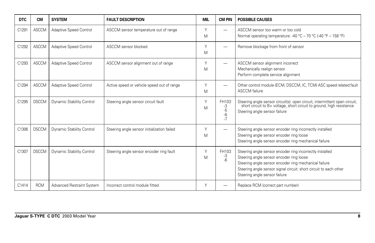| <b>DTC</b> | <b>CM</b>    | <b>SYSTEM</b>                    | <b>FAULT DESCRIPTION</b>                    | <b>MIL</b>  | <b>CM PIN</b>                       | <b>POSSIBLE CAUSES</b>                                                                                                                                                                                                                                              |
|------------|--------------|----------------------------------|---------------------------------------------|-------------|-------------------------------------|---------------------------------------------------------------------------------------------------------------------------------------------------------------------------------------------------------------------------------------------------------------------|
| C1291      | <b>ASCCM</b> | Adaptive Speed Control           | ASCCM sensor temperature out of range       | Υ<br>M      | —                                   | ASCCM sensor too warm or too cold<br>Normal operating temperature: -40 °C - 70 °C (-40 °F - 158 °F)                                                                                                                                                                 |
| C1292      | <b>ASCCM</b> | Adaptive Speed Control           | ASCCM sensor blocked                        | Υ<br>M      |                                     | Remove blockage from front of sensor                                                                                                                                                                                                                                |
| C1293      | <b>ASCCM</b> | Adaptive Speed Control           | ASCCM sensor alignment out of range         | Υ<br>M      | —                                   | ASCCM sensor alignment incorrect<br>Mechanically realign sensor<br>Perform complete service alignment                                                                                                                                                               |
| C1294      | <b>ASCCM</b> | Adaptive Speed Control           | Active speed or vehicle speed out of range  | $\vee$<br>M |                                     | Other control module (ECM, DSCCM, IC, TCM) ASC speed related fault<br><b>ASCCM</b> failure                                                                                                                                                                          |
| C1295      | <b>DSCCM</b> | <b>Dynamic Stability Control</b> | Steering angle sensor circuit fault         | Υ<br>M      | FH103<br>-3<br>$-5$<br>$-6$<br>$-7$ | Steering angle sensor circuit(s): open circuit, intermittent open circuit, short circuit to B+ voltage, short circuit to ground, high resistance<br>Steering angle sensor failure                                                                                   |
| C1306      | <b>DSCCM</b> | <b>Dynamic Stability Control</b> | Steering angle sensor initialization failed | Υ<br>M      | -                                   | Steering angle sensor encoder ring incorrectly installed<br>Steering angle sensor encoder ring loose<br>Steering angle sensor encoder ring mechanical failure                                                                                                       |
| C1307      | <b>DSCCM</b> | <b>Dynamic Stability Control</b> | Steering angle sensor encoder ring fault    | Υ<br>M      | FH103<br>-3<br>$-6$                 | Steering angle sensor encoder ring incorrectly installed<br>Steering angle sensor encoder ring loose<br>Steering angle sensor encoder ring mechanical failure<br>Steering angle sensor signal circuit: short circuit to each other<br>Steering angle sensor failure |
| C1414      | <b>RCM</b>   | Advanced Restraint System        | Incorrect control module fitted             | Υ           |                                     | Replace RCM (correct part number)                                                                                                                                                                                                                                   |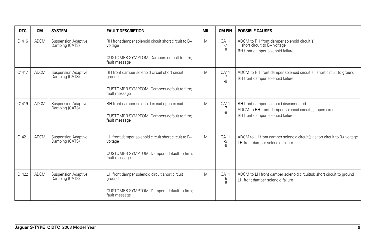| <b>DTC</b> | <b>CM</b>   | <b>SYSTEM</b>                                | <b>FAULT DESCRIPTION</b>                                                                                     | <b>MIL</b> | <b>CM PIN</b>             | <b>POSSIBLE CAUSES</b>                                                                                                                 |
|------------|-------------|----------------------------------------------|--------------------------------------------------------------------------------------------------------------|------------|---------------------------|----------------------------------------------------------------------------------------------------------------------------------------|
| C1416      | <b>ADCM</b> | <b>Suspension Adaptive</b><br>Damping (CATS) | RH front damper solenoid circuit short circuit to B+<br>voltage                                              | M          | CA11<br>$-7$<br>-8        | ADCM to RH front damper solenoid circuit(s):<br>short circuit to B+ voltage<br>RH front damper solenoid failure                        |
|            |             |                                              | CUSTOMER SYMPTOM: Dampers default to firm;<br>fault message                                                  |            |                           |                                                                                                                                        |
| C1417      | <b>ADCM</b> | <b>Suspension Adaptive</b><br>Damping (CATS) | RH front damper solenoid circuit short circuit<br>ground                                                     | M          | CA11<br>-7<br>-8          | ADCM to RH front damper solenoid circuit(s): short circuit to ground<br>RH front damper solenoid failure                               |
|            |             |                                              | CUSTOMER SYMPTOM: Dampers default to firm;<br>fault message                                                  |            |                           |                                                                                                                                        |
| C1419      | <b>ADCM</b> | <b>Suspension Adaptive</b><br>Damping (CATS) | RH front damper solenoid circuit open circuit<br>CUSTOMER SYMPTOM: Dampers default to firm;<br>fault message | M          | CA11<br>-7<br>$-8$        | RH front damper solenoid disconnected<br>ADCM to RH front damper solenoid circuit(s): open circuit<br>RH front damper solenoid failure |
| C1421      | <b>ADCM</b> | Suspension Adaptive                          | LH front damper solenoid circuit short circuit to B+                                                         | M          | CA11                      | ADCM to LH front damper solenoid circuit(s): short circuit to B+ voltage                                                               |
|            |             | Damping (CATS)                               | voltage                                                                                                      |            | $-5$<br>-6                | LH front damper solenoid failure                                                                                                       |
|            |             |                                              | CUSTOMER SYMPTOM: Dampers default to firm;<br>fault message                                                  |            |                           |                                                                                                                                        |
| C1422      | <b>ADCM</b> | <b>Suspension Adaptive</b><br>Damping (CATS) | LH front damper solenoid circuit short circuit<br>ground                                                     | M          | <b>CA11</b><br>-5<br>$-6$ | ADCM to LH front damper solenoid circuit(s): short circuit to ground<br>LH front damper solenoid failure                               |
|            |             |                                              | CUSTOMER SYMPTOM: Dampers default to firm;<br>fault message                                                  |            |                           |                                                                                                                                        |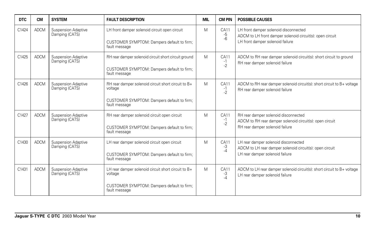| <b>DTC</b> | <b>CM</b>   | <b>SYSTEM</b>                                | <b>FAULT DESCRIPTION</b>                                                                                                      | <b>MIL</b> | <b>CM PIN</b>               | <b>POSSIBLE CAUSES</b>                                                                                                                 |
|------------|-------------|----------------------------------------------|-------------------------------------------------------------------------------------------------------------------------------|------------|-----------------------------|----------------------------------------------------------------------------------------------------------------------------------------|
| C1424      | <b>ADCM</b> | <b>Suspension Adaptive</b><br>Damping (CATS) | LH front damper solenoid circuit open circuit<br>CUSTOMER SYMPTOM: Dampers default to firm;<br>fault message                  | M          | CA11<br>-5<br>-6            | LH front damper solenoid disconnected<br>ADCM to LH front damper solenoid circuit(s): open circuit<br>LH front damper solenoid failure |
| C1425      | <b>ADCM</b> | <b>Suspension Adaptive</b><br>Damping (CATS) | RH rear damper solenoid circuit short circuit ground<br>CUSTOMER SYMPTOM: Dampers default to firm;<br>fault message           | M          | CA11<br>$-1$<br>$-2$        | ADCM to RH rear damper solenoid circuit(s): short circuit to ground<br>RH rear damper solenoid failure                                 |
| C1426      | <b>ADCM</b> | Suspension Adaptive<br>Damping (CATS)        | RH rear damper solenoid circuit short circuit to B+<br>voltage<br>CUSTOMER SYMPTOM: Dampers default to firm;                  | M          | <b>CA11</b><br>$-1$<br>$-2$ | ADCM to RH rear damper solenoid circuit(s): short circuit to B+ voltage<br>RH rear damper solenoid failure                             |
|            |             |                                              | fault message                                                                                                                 |            |                             |                                                                                                                                        |
| C1427      | <b>ADCM</b> | Suspension Adaptive<br>Damping (CATS)        | RH rear damper solenoid circuit open circuit<br>CUSTOMER SYMPTOM: Dampers default to firm;<br>fault message                   | M          | CA11<br>$-1$<br>$-2$        | RH rear damper solenoid disconnected<br>ADCM to RH rear damper solenoid circuit(s): open circuit<br>RH rear damper solenoid failure    |
| C1430      | <b>ADCM</b> | Suspension Adaptive<br>Damping (CATS)        | LH rear damper solenoid circuit open circuit<br>CUSTOMER SYMPTOM: Dampers default to firm;<br>fault message                   | M          | CA11<br>-3<br>$-4$          | LH rear damper solenoid disconnected<br>ADCM to LH rear damper solenoid circuit(s): open circuit<br>LH rear damper solenoid failure    |
| C1431      | <b>ADCM</b> | Suspension Adaptive<br>Damping (CATS)        | LH rear damper solenoid circuit short circuit to B+<br>voltage<br>CUSTOMER SYMPTOM: Dampers default to firm;<br>fault message | M          | CA11<br>-3<br>-4            | ADCM to LH rear damper solenoid circuit(s): short circuit to B+ voltage<br>LH rear damper solenoid failure                             |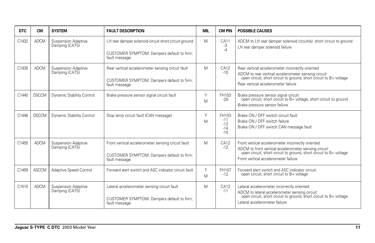| <b>DTC</b> | <b>CM</b>    | <b>SYSTEM</b>                                | <b>FAULT DESCRIPTION</b>                                                                                            | <b>MIL</b> | <b>CM PIN</b>                             | <b>POSSIBLE CAUSES</b>                                                                                                                                                                                                   |
|------------|--------------|----------------------------------------------|---------------------------------------------------------------------------------------------------------------------|------------|-------------------------------------------|--------------------------------------------------------------------------------------------------------------------------------------------------------------------------------------------------------------------------|
| C1432      | <b>ADCM</b>  | <b>Suspension Adaptive</b><br>Damping (CATS) | LH rear damper solenoid circuit short circuit ground<br>CUSTOMER SYMPTOM: Dampers default to firm;<br>fault message | M          | <b>CA11</b><br>-3<br>$-4$                 | ADCM to LH rear damper solenoid circuit(s): short circuit to ground<br>LH rear damper solenoid failure                                                                                                                   |
| C1435      | <b>ADCM</b>  | <b>Suspension Adaptive</b><br>Damping (CATS) | Rear vertical accelerometer sensing circuit fault<br>CUSTOMER SYMPTOM: Dampers default to firm;<br>fault message    | M          | CA12<br>$-10$                             | Rear vertical accelerometer incorrectly oriented<br>ADCM to rear vertical accelerometer sensing circuit:<br>open circuit, short circuit to ground, short circuit to B+ voltage<br>Rear vertical accelerometer failure    |
| C1440      | <b>DSCCM</b> | Dynamic Stability Control                    | Brake pressure sensor signal circuit fault                                                                          | Υ<br>M     | FH103<br>$-20$                            | Brake pressure sensor signal circuit:<br>open circuit, short circuit to B+ voltage, short circuit to ground<br>Brake pressure sensor failure                                                                             |
| C1446      | <b>DSCCM</b> | Dynamic Stability Control                    | Stop lamp circuit fault (CAN message)                                                                               | Υ<br>M     | FH103<br>$-11$<br>$-12$<br>$-14$<br>$-15$ | Brake ON / OFF switch circuit fault<br>Brake ON / OFF switch failure<br>Brake ON / OFF switch CAN message fault                                                                                                          |
| C1455      | <b>ADCM</b>  | <b>Suspension Adaptive</b><br>Damping (CATS) | Front vertical accelerometer sensing circuit fault<br>CUSTOMER SYMPTOM: Dampers default to firm;<br>fault message   | M          | CA12<br>$-12$                             | Front vertical accelerometer incorrectly oriented<br>ADCM to front vertical accelerometer sensing circuit:<br>open circuit, short circuit to ground, short circuit to B+ voltage<br>Front vertical accelerometer failure |
| C1459      | <b>ASCCM</b> | Adaptive Speed Control                       | Forward alert switch and ASC indicator circuit fault                                                                | Y<br>M     | FH107<br>$-12$                            | Forward alert switch and ASC indicator circuit:<br>open circuit, short circuit to B+ voltage                                                                                                                             |
| C1515      | <b>ADCM</b>  | <b>Suspension Adaptive</b><br>Damping (CATS) | Lateral accelerometer sensing circuit fault<br>CUSTOMER SYMPTOM: Dampers default to firm;<br>fault message          | M          | CA12<br>$-11$                             | Lateral accelerometer incorrectly oriented<br>ADCM to lateral accelerometer sensing circuit:<br>open circuit, short circuit to ground, short circuit to B+ voltage<br>Lateral accelerometer failure                      |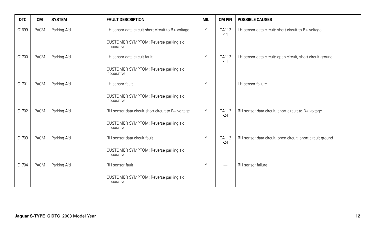| <b>DTC</b> | <b>CM</b> | <b>SYSTEM</b> | <b>FAULT DESCRIPTION</b>                             | <b>MIL</b> | <b>CM PIN</b>  | <b>POSSIBLE CAUSES</b>                                     |
|------------|-----------|---------------|------------------------------------------------------|------------|----------------|------------------------------------------------------------|
| C1699      | PACM      | Parking Aid   | LH sensor data circuit short circuit to B+ voltage   | Υ          | CA112<br>$-11$ | LH sensor data circuit: short circuit to B+ voltage        |
|            |           |               | CUSTOMER SYMPTOM: Reverse parking aid<br>inoperative |            |                |                                                            |
| C1700      | PACM      | Parking Aid   | LH sensor data circuit fault                         | Y          | CA112<br>$-11$ | LH sensor data circuit: open circuit, short circuit ground |
|            |           |               | CUSTOMER SYMPTOM: Reverse parking aid<br>inoperative |            |                |                                                            |
| C1701      | PACM      | Parking Aid   | LH sensor fault                                      | Υ          | —              | LH sensor failure                                          |
|            |           |               | CUSTOMER SYMPTOM: Reverse parking aid<br>inoperative |            |                |                                                            |
| C1702      | PACM      | Parking Aid   | RH sensor data circuit short circuit to B+ voltage   | Y          | CA112<br>$-24$ | RH sensor data circuit: short circuit to B+ voltage        |
|            |           |               | CUSTOMER SYMPTOM: Reverse parking aid<br>inoperative |            |                |                                                            |
| C1703      | PACM      | Parking Aid   | RH sensor data circuit fault                         | Υ          | CA112<br>$-24$ | RH sensor data circuit: open circuit, short circuit ground |
|            |           |               | CUSTOMER SYMPTOM: Reverse parking aid<br>inoperative |            |                |                                                            |
| C1704      | PACM      | Parking Aid   | RH sensor fault                                      | Υ          |                | RH sensor failure                                          |
|            |           |               | CUSTOMER SYMPTOM: Reverse parking aid<br>inoperative |            |                |                                                            |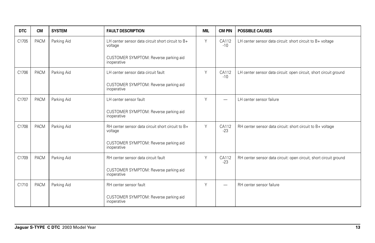| <b>DTC</b> | <b>CM</b>   | <b>SYSTEM</b> | <b>FAULT DESCRIPTION</b>                                     | <b>MIL</b> | <b>CM PIN</b>  | <b>POSSIBLE CAUSES</b>                                            |
|------------|-------------|---------------|--------------------------------------------------------------|------------|----------------|-------------------------------------------------------------------|
| C1705      | <b>PACM</b> | Parking Aid   | LH center sensor data circuit short circuit to B+<br>voltage | Y          | CA112<br>$-10$ | LH center sensor data circuit: short circuit to B+ voltage        |
|            |             |               | CUSTOMER SYMPTOM: Reverse parking aid<br>inoperative         |            |                |                                                                   |
| C1706      | <b>PACM</b> | Parking Aid   | LH center sensor data circuit fault                          | Y          | CA112<br>$-10$ | LH center sensor data circuit: open circuit, short circuit ground |
|            |             |               | CUSTOMER SYMPTOM: Reverse parking aid<br>inoperative         |            |                |                                                                   |
| C1707      | <b>PACM</b> | Parking Aid   | LH center sensor fault                                       | Y          |                | LH center sensor failure                                          |
|            |             |               | CUSTOMER SYMPTOM: Reverse parking aid<br>inoperative         |            |                |                                                                   |
| C1708      | <b>PACM</b> | Parking Aid   | RH center sensor data circuit short circuit to B+<br>voltage | Y          | CA112<br>$-23$ | RH center sensor data circuit: short circuit to B+ voltage        |
|            |             |               | CUSTOMER SYMPTOM: Reverse parking aid<br>inoperative         |            |                |                                                                   |
| C1709      | <b>PACM</b> | Parking Aid   | RH center sensor data circuit fault                          | Y          | CA112<br>$-23$ | RH center sensor data circuit: open circuit, short circuit ground |
|            |             |               | CUSTOMER SYMPTOM: Reverse parking aid<br>inoperative         |            |                |                                                                   |
| C1710      | <b>PACM</b> | Parking Aid   | RH center sensor fault                                       | Y          |                | RH center sensor failure                                          |
|            |             |               | CUSTOMER SYMPTOM: Reverse parking aid<br>inoperative         |            |                |                                                                   |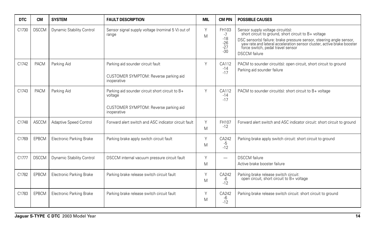| <b>DTC</b> | <b>CM</b>    | <b>SYSTEM</b>                   | <b>FAULT DESCRIPTION</b>                                                                                           | <b>MIL</b> | <b>CM PIN</b>                                     | <b>POSSIBLE CAUSES</b>                                                                                                                                                                                                                                                                                   |
|------------|--------------|---------------------------------|--------------------------------------------------------------------------------------------------------------------|------------|---------------------------------------------------|----------------------------------------------------------------------------------------------------------------------------------------------------------------------------------------------------------------------------------------------------------------------------------------------------------|
| C1730      | <b>DSCCM</b> | Dynamic Stability Control       | Sensor signal supply voltage (nominal 5 V) out of<br>range                                                         | Υ<br>M     | FH103<br>$-7$<br>$-18$<br>$-26$<br>$-27$<br>$-30$ | Sensor supply voltage circuit(s):<br>short circuit to ground, short circuit to B+ voltage<br>DSC sensor(s) failure: brake pressure sensor, steering angle sensor,<br>yaw rate and lateral acceleration sensor cluster, active brake booster<br>force switch, pedal travel sensor<br><b>DSCCM</b> failure |
| C1742      | PACM         | Parking Aid                     | Parking aid sounder circuit fault<br>CUSTOMER SYMPTOM: Reverse parking aid<br>inoperative                          | Υ          | CA112<br>$-14$<br>$-17$                           | PACM to sounder circuit(s): open circuit, short circuit to ground<br>Parking aid sounder failure                                                                                                                                                                                                         |
| C1743      | PACM         | Parking Aid                     | Parking aid sounder circuit short circuit to B+<br>voltage<br>CUSTOMER SYMPTOM: Reverse parking aid<br>inoperative | Y          | CA112<br>$-14$<br>$-17$                           | PACM to sounder circuit(s): short circuit to B+ voltage                                                                                                                                                                                                                                                  |
| C1748      | <b>ASCCM</b> | <b>Adaptive Speed Control</b>   | Forward alert switch and ASC indicator circuit fault                                                               | Y<br>M     | FH107<br>$-12$                                    | Forward alert switch and ASC indicator circuit: short circuit to ground                                                                                                                                                                                                                                  |
| C1769      | EPBCM        | <b>Electronic Parking Brake</b> | Parking brake apply switch circuit fault                                                                           | Υ<br>M     | CA242<br>$-5$<br>$-12$                            | Parking brake apply switch circuit: short circuit to ground                                                                                                                                                                                                                                              |
| C1777      | <b>DSCCM</b> | Dynamic Stability Control       | DSCCM internal vacuum pressure circuit fault                                                                       | Υ<br>M     | $\overline{\phantom{0}}$                          | <b>DSCCM</b> failure<br>Active brake booster failure                                                                                                                                                                                                                                                     |
| C1782      | EPBCM        | <b>Electronic Parking Brake</b> | Parking brake release switch circuit fault                                                                         | Y<br>M     | CA242<br>$-6$<br>$-12$                            | Parking brake release switch circuit:<br>open circuit, short circuit to B+ voltage                                                                                                                                                                                                                       |
| C1783      | EPBCM        | <b>Electronic Parking Brake</b> | Parking brake release switch circuit fault                                                                         | Υ<br>M     | CA242<br>-6<br>$-12$                              | Parking brake release switch circuit: short circuit to ground                                                                                                                                                                                                                                            |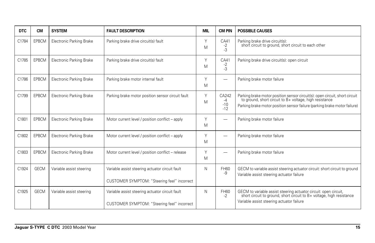| <b>DTC</b> | <b>CM</b>    | <b>SYSTEM</b>                   | <b>FAULT DESCRIPTION</b>                                                                       | <b>MIL</b> | <b>CM PIN</b>                   | <b>POSSIBLE CAUSES</b>                                                                                                                                                                                           |
|------------|--------------|---------------------------------|------------------------------------------------------------------------------------------------|------------|---------------------------------|------------------------------------------------------------------------------------------------------------------------------------------------------------------------------------------------------------------|
| C1784      | EPBCM        | Electronic Parking Brake        | Parking brake drive circuit(s) fault                                                           | Υ<br>M     | CA41<br>$-2$<br>$-3$            | Parking brake drive circuit(s):<br>short circuit to ground, short circuit to each other                                                                                                                          |
| C1785      | EPBCM        | <b>Electronic Parking Brake</b> | Parking brake drive circuit(s) fault                                                           | Υ<br>M     | CA41<br>$-2$<br>$-3$            | Parking brake drive circuit(s): open circuit                                                                                                                                                                     |
| C1786      | <b>EPBCM</b> | <b>Electronic Parking Brake</b> | Parking brake motor internal fault                                                             | Y<br>M     |                                 | Parking brake motor failure                                                                                                                                                                                      |
| C1799      | EPBCM        | Electronic Parking Brake        | Parking brake motor position sensor circuit fault                                              | Y<br>M     | CA242<br>$-4$<br>$-10$<br>$-12$ | Parking brake motor position sensor circuit(s): open circuit, short circuit to ground, short circuit to B+ voltage, high resistance<br>Parking brake motor position sensor failure (parking brake motor failure) |
| C1801      | EPBCM        | <b>Electronic Parking Brake</b> | Motor current level / position conflict - apply                                                | Y<br>M     |                                 | Parking brake motor failure                                                                                                                                                                                      |
| C1802      | EPBCM        | <b>Electronic Parking Brake</b> | Motor current level / position conflict - apply                                                | Υ<br>M     |                                 | Parking brake motor failure                                                                                                                                                                                      |
| C1803      | <b>EPBCM</b> | <b>Electronic Parking Brake</b> | Motor current level / position conflict - release                                              | Υ<br>M     |                                 | Parking brake motor failure                                                                                                                                                                                      |
| C1924      | <b>GECM</b>  | Variable assist steering        | Variable assist steering actuator circuit fault<br>CUSTOMER SYMPTOM: "Steering feel" incorrect | N          | FH60<br>-9                      | GECM to variable assist steering actuator circuit: short circuit to ground<br>Variable assist steering actuator failure                                                                                          |
| C1925      | <b>GECM</b>  | Variable assist steering        | Variable assist steering actuator circuit fault<br>CUSTOMER SYMPTOM: "Steering feel" incorrect | N          | FH60<br>$-2$                    | GECM to variable assist steering actuator circuit: open circuit,<br>short circuit to ground, short circuit to B+ voltage, high resistance<br>Variable assist steering actuator failure                           |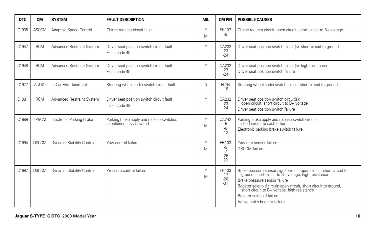| <b>DTC</b> | <b>CM</b>    | <b>SYSTEM</b>                    | <b>FAULT DESCRIPTION</b>                                             | <b>MIL</b> | <b>CM PIN</b>                      | <b>POSSIBLE CAUSES</b>                                                                                                                                                                                                                                                                                                                     |
|------------|--------------|----------------------------------|----------------------------------------------------------------------|------------|------------------------------------|--------------------------------------------------------------------------------------------------------------------------------------------------------------------------------------------------------------------------------------------------------------------------------------------------------------------------------------------|
| C1935      | <b>ASCCM</b> | Adaptive Speed Control           | Chime request circuit fault                                          | Y<br>M     | FH107<br>-6                        | Chime request circuit: open circuit, short circuit to B+ voltage                                                                                                                                                                                                                                                                           |
| C1947      | <b>RCM</b>   | Advanced Restraint System        | Driver seat position switch circuit fault<br>Flash code 49           | Y          | CA232<br>$-23$<br>$-24$            | Driver seat position switch circuit(s): short circuit to ground                                                                                                                                                                                                                                                                            |
| C1948      | <b>RCM</b>   | <b>Advanced Restraint System</b> | Driver seat position switch circuit fault<br>Flash code 49           | Υ          | CA232<br>$-23$<br>$-24$            | Driver seat position switch circuit(s): high resistance<br>Driver seat position switch failure                                                                                                                                                                                                                                             |
| C1977      | <b>AUDIO</b> | In Car Entertainment             | Steering wheel audio switch circuit fault                            | N          | FC94<br>$-18$                      | Steering wheel audio switch circuit: short circuit to ground                                                                                                                                                                                                                                                                               |
| C1981      | <b>RCM</b>   | <b>Advanced Restraint System</b> | Driver seat position switch circuit fault<br>Flash code 49           | Υ          | CA232<br>$-23$<br>$-24$            | Driver seat position switch circuit(s):<br>open circuit, short circuit to B+ voltage<br>Driver seat position switch failure                                                                                                                                                                                                                |
| C1989      | EPBCM        | Electronic Parking Brake         | Parking brake apply and release switches<br>simultaneously activated | Y<br>M     | CA242<br>-5<br>$-6$<br>$-12$       | Parking brake apply and release switch circuits:<br>short circuit to each other<br>Electronic parking brake switch failure                                                                                                                                                                                                                 |
| C1994      | <b>DSCCM</b> | Dynamic Stability Control        | Yaw control failure                                                  | Y<br>M     | FH103<br>-5<br>$-7$<br>$-25$<br>29 | Yaw rate sensor failure<br><b>DSCCM</b> failure                                                                                                                                                                                                                                                                                            |
| C1997      | <b>DSCCM</b> | Dynamic Stability Control        | Pressure control failure                                             | Υ<br>M     | FH103<br>$-17$<br>$-20$<br>$-31$   | Brake pressure sensor signal circuit: open circuit, short circuit to ground, short circuit to B+ voltage, high resistance<br>Brake pressure sensor failure<br>Booster solenoid circuit: open circuit, short circuit to ground,<br>short circuit to B+ voltage, high resistance<br>Booster solenoid failure<br>Active brake booster failure |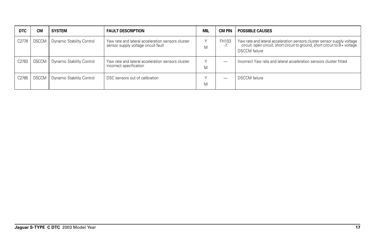| <b>DTC</b> | <b>CM</b>    | <b>SYSTEM</b>             | <b>FAULT DESCRIPTION</b>                                                                 | <b>MIL</b> | CM PIN     | <b>POSSIBLE CAUSES</b>                                                                                                                                                          |
|------------|--------------|---------------------------|------------------------------------------------------------------------------------------|------------|------------|---------------------------------------------------------------------------------------------------------------------------------------------------------------------------------|
| C2778      | <b>DSCCM</b> | Dynamic Stability Control | Yaw rate and lateral acceleration sensors cluster<br>sensor supply voltage circuit fault | M          | FH103<br>٠ | Yaw rate and lateral acceleration sensors cluster sensor supply voltage<br>circuit: open circuit, short circuit to ground, short circuit to B+ voltage.<br><b>DSCCM</b> failure |
| C2783      | <b>DSCCM</b> | Dynamic Stability Control | Yaw rate and lateral acceleration sensors cluster<br>incorrect specification             | Μ          | -          | Incorrect Yaw rate and lateral acceleration sensors cluster fitted                                                                                                              |
| C2785      | <b>DSCCM</b> | Dynamic Stability Control | DSC sensors out of calibration                                                           | М          | --         | <b>DSCCM</b> failure                                                                                                                                                            |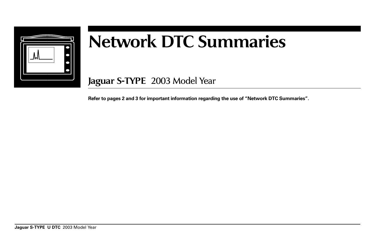

## **Network DTC Summaries**

**Jaguar S-TYPE** 2003 Model Year

**Refer to pages 2 and 3 for important information regarding the use of "Network DTC Summaries".**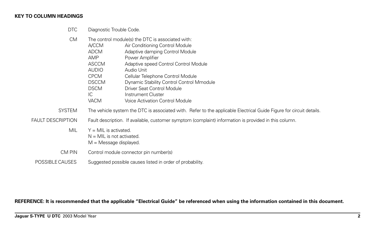## **KEY TO COLUMN HEADINGS**

DTC Diagnostic Trouble Code.

| <b>CM</b>                |                                                                                                       | The control module(s) the DTC is associated with:                                                                   |  |  |
|--------------------------|-------------------------------------------------------------------------------------------------------|---------------------------------------------------------------------------------------------------------------------|--|--|
|                          | A/CCM                                                                                                 | Air Conditioning Control Module                                                                                     |  |  |
|                          | <b>ADCM</b>                                                                                           | Adaptive damping Control Module                                                                                     |  |  |
|                          | AMP                                                                                                   | Power Amplifier                                                                                                     |  |  |
|                          | <b>ASCCM</b>                                                                                          | Adaptive speed Control Control Module                                                                               |  |  |
|                          | <b>AUDIO</b>                                                                                          | Audio Unit                                                                                                          |  |  |
|                          | <b>CPCM</b>                                                                                           | Cellular Telephone Control Module                                                                                   |  |  |
|                          | <b>DSCCM</b>                                                                                          | Dynamic Stability Control Control Mmodule                                                                           |  |  |
|                          | <b>DSCM</b>                                                                                           | Driver Seat Control Module                                                                                          |  |  |
|                          | IC                                                                                                    | Instrument Cluster                                                                                                  |  |  |
|                          | <b>VACM</b>                                                                                           | Voice Activation Control Module                                                                                     |  |  |
| <b>SYSTEM</b>            |                                                                                                       | The vehicle system the DTC is associated with. Refer to the applicable Electrical Guide Figure for circuit details. |  |  |
| <b>FAULT DESCRIPTION</b> | Fault description. If available, customer symptom (complaint) information is provided in this column. |                                                                                                                     |  |  |
| <b>MIL</b>               | $Y = MIL$ is activated.<br>$N = MIL$ is not activated.<br>$M =$ Message displayed.                    |                                                                                                                     |  |  |
| CM PIN                   |                                                                                                       | Control module connector pin number(s)                                                                              |  |  |
| POSSIBLE CAUSES          |                                                                                                       | Suggested possible causes listed in order of probability.                                                           |  |  |

**REFERENCE: It is recommended that the applicable "Electrical Guide" be referenced when using the information contained in this document.**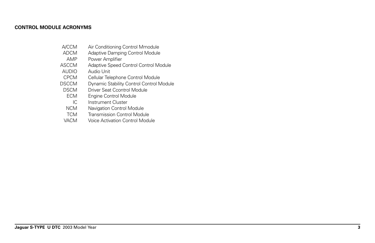## **CONTROL MODULE ACRONYMS**

- A/CCM Air Conditioning Control Mmodule<br>ADCM Adaptive Damping Control Module
- DCM Adaptive Damping Control Module<br>
AMP Power Amplifier
- Power Amplifier
- ASCCM Adaptive Speed Control Control Module<br>AUDIO Audio Unit
- AUDIO Audio Unit<br>CPCM Cellular Tele
- Cellular Telephone Control Module
- DSCCM Dynamic Stability Control Control Module<br>DSCM Driver Seat Ccontrol Module
- SCM Driver Seat Ccontrol Module<br>ECM Engine Control Module
- Engine Control Module
- IC Instrument Cluster<br>NCM Navigation Control
- NCM Navigation Control Module<br>TCM Transmission Control Modu
- Transmission Control Module
- VACM Voice Activation Control Module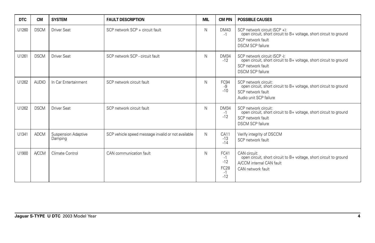| <b>DTC</b> | <b>CM</b>    | <b>SYSTEM</b>                  | <b>FAULT DESCRIPTION</b>                           | MIL | <b>CM PIN</b>                                              | <b>POSSIBLE CAUSES</b>                                                                                                                             |
|------------|--------------|--------------------------------|----------------------------------------------------|-----|------------------------------------------------------------|----------------------------------------------------------------------------------------------------------------------------------------------------|
| U1260      | <b>DSCM</b>  | <b>Driver Seat</b>             | SCP network SCP + circuit fault                    | N   | <b>DM43</b><br>$-1$                                        | SCP network circuit (SCP +):<br>open circuit, short circuit to B+ voltage, short circuit to ground<br>SCP network fault<br><b>DSCM SCP failure</b> |
| U1261      | <b>DSCM</b>  | <b>Driver Seat</b>             | SCP network SCP - circuit fault                    | N   | <b>DM34</b><br>$-12$                                       | SCP network circuit (SCP -):<br>open circuit, short circuit to B+ voltage, short circuit to ground<br>SCP network fault<br><b>DSCM SCP failure</b> |
| U1262      | <b>AUDIO</b> | In Car Entertainment           | SCP network circuit fault                          | N   | FC94<br>-9<br>$-10$                                        | SCP network circuit:<br>open circuit, short circuit to B+ voltage, short circuit to ground<br>SCP network fault<br>Audio unit SCP failure          |
| U1262      | <b>DSCM</b>  | <b>Driver Seat</b>             | SCP network circuit fault                          | N   | <b>DM34</b><br>$-1$<br>$-12$                               | SCP network circuit:<br>open circuit, short circuit to B+ voltage, short circuit to ground<br>SCP network fault<br><b>DSCM SCP failure</b>         |
| U1341      | <b>ADCM</b>  | Suspension Adaptive<br>Damping | SCP vehicle speed message invalid or not available | N   | CA11<br>$-13$<br>$-14$                                     | Verify integrity of DSCCM<br>SCP network fault                                                                                                     |
| U1900      | <b>A/CCM</b> | Climate Control                | CAN communication fault                            | N   | FC41<br>$-1$<br>$-12$<br>FC <sub>28</sub><br>$-1$<br>$-12$ | CAN circuit:<br>open circuit, short circuit to B+ voltage, short circuit to ground<br>A/CCM internal CAN fault<br>CAN network fault                |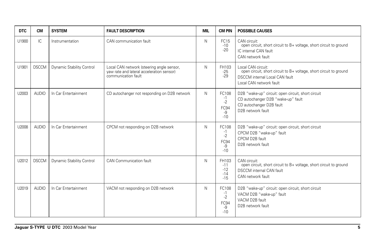| <b>DTC</b> | <b>CM</b>    | <b>SYSTEM</b>                    | <b>FAULT DESCRIPTION</b>                                                                                      | <b>MIL</b> | <b>CM PIN</b>                                | <b>POSSIBLE CAUSES</b>                                                                                                                                       |
|------------|--------------|----------------------------------|---------------------------------------------------------------------------------------------------------------|------------|----------------------------------------------|--------------------------------------------------------------------------------------------------------------------------------------------------------------|
| U1900      | IC           | Instrumentation                  | CAN communication fault                                                                                       | N          | FC15<br>$-10$<br>$-20$                       | CAN circuit:<br>open circuit, short circuit to B+ voltage, short circuit to ground<br>IC internal CAN fault<br>CAN network fault                             |
| U1901      | <b>DSCCM</b> | <b>Dynamic Stability Control</b> | Local CAN network (steering angle sensor,<br>yaw rate and lateral acceleration sensor)<br>communication fault | N          | FH103<br>$-25$<br>$-29$                      | Local CAN circuit:<br>open circuit, short circuit to B+ voltage, short circuit to ground<br><b>DSCCM</b> internal Local CAN fault<br>Local CAN network fault |
| U2003      | <b>AUDIO</b> | In Car Entertainment             | CD autochanger not responding on D2B network                                                                  | N          | FC108<br>$-1$<br>$-2$<br>FC94<br>-9<br>$-10$ | D2B "wake-up" circuit: open circuit, short circuit<br>CD autochanger D2B "wake-up" fault<br>CD autochanger D2B fault<br>D2B network fault                    |
| U2008      | <b>AUDIO</b> | In Car Entertainment             | CPCM not responding on D2B network                                                                            | N          | FC108<br>$-1$<br>$-2$<br>FC94<br>-9<br>$-10$ | D2B "wake-up" circuit: open circuit, short circuit<br>CPCM D2B "wake-up" fault<br>CPCM D2B fault<br>D2B network fault                                        |
| U2012      | <b>DSCCM</b> | <b>Dynamic Stability Control</b> | CAN Communication fault                                                                                       | N          | FH103<br>$-11$<br>$-12$<br>$-14$<br>$-15$    | CAN circuit:<br>open circuit, short circuit to B+ voltage, short circuit to ground<br><b>DSCCM</b> internal CAN fault<br>CAN network fault                   |
| U2019      | <b>AUDIO</b> | In Car Entertainment             | VACM not responding on D2B network                                                                            | N          | FC108<br>-1<br>$-2$<br>FC94<br>-9<br>$-10$   | D2B "wake-up" circuit: open circuit, short circuit<br>VACM D2B "wake-up" fault<br>VACM D2B fault<br>D2B network fault                                        |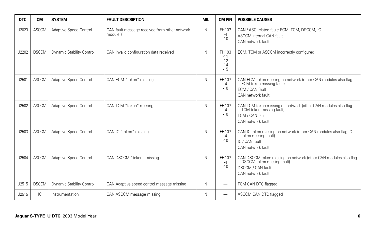| <b>DTC</b> | <b>CM</b>    | <b>SYSTEM</b>             | <b>FAULT DESCRIPTION</b>                                   | <b>MIL</b> | <b>CM PIN</b>                             | <b>POSSIBLE CAUSES</b>                                                                                                                  |
|------------|--------------|---------------------------|------------------------------------------------------------|------------|-------------------------------------------|-----------------------------------------------------------------------------------------------------------------------------------------|
| U2023      | <b>ASCCM</b> | Adaptive Speed Control    | CAN fault message received from other network<br>module(s) | N          | FH107<br>-4<br>$-10$                      | CAN / ASC related fault: ECM, TCM, DSCCM, IC<br><b>ASCCM</b> internal CAN fault<br>CAN network fault                                    |
| U2202      | <b>DSCCM</b> | Dynamic Stability Control | CAN Invalid configuration data received                    | N          | FH103<br>$-11$<br>$-12$<br>$-14$<br>$-15$ | ECM, TCM or ASCCM incorrectly configured                                                                                                |
| U2501      | <b>ASCCM</b> | Adaptive Speed Control    | CAN ECM "token" missing                                    | N          | FH107<br>-4<br>$-10$                      | CAN ECM token missing on network (other CAN modules also flag<br>ECM token missing fault)<br>ECM / CAN fault<br>CAN network fault       |
| U2502      | <b>ASCCM</b> | Adaptive Speed Control    | CAN TCM "token" missing                                    | N          | FH107<br>-4<br>$-10$                      | CAN TCM token missing on network (other CAN modules also flag<br>TCM token missing fault)<br>TCM / CAN fault<br>CAN network fault       |
| U2503      | <b>ASCCM</b> | Adaptive Speed Control    | CAN IC "token" missing                                     | N          | FH107<br>-4<br>$-10$                      | CAN IC token missing on network (other CAN modules also flag IC<br>token missing fault)<br>IC / CAN fault<br>CAN network fault          |
| U2504      | <b>ASCCM</b> | Adaptive Speed Control    | CAN DSCCM "token" missing                                  | N          | FH107<br>-4<br>$-10$                      | CAN DSCCM token missing on network (other CAN modules also flag<br>DSCCM token missing fault)<br>DSCCM / CAN fault<br>CAN network fault |
| U2515      | <b>DSCCM</b> | Dynamic Stability Control | CAN Adaptive speed control message missing                 | N          | -                                         | TCM CAN DTC flagged                                                                                                                     |
| U2515      | IC           | Instrumentation           | CAN ASCCM message missing                                  | N          | $\overline{\phantom{0}}$                  | ASCCM CAN DTC flagged                                                                                                                   |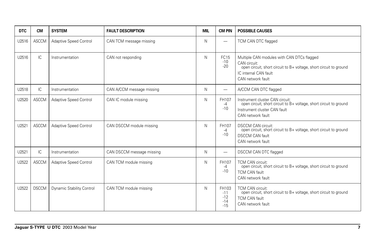| <b>DTC</b> | <b>CM</b>    | <b>SYSTEM</b>                    | <b>FAULT DESCRIPTION</b>  | <b>MIL</b> | <b>CM PIN</b>                             | <b>POSSIBLE CAUSES</b>                                                                                                                                                         |
|------------|--------------|----------------------------------|---------------------------|------------|-------------------------------------------|--------------------------------------------------------------------------------------------------------------------------------------------------------------------------------|
| U2516      | <b>ASCCM</b> | Adaptive Speed Control           | CAN TCM message missing   | N          | $\overline{\phantom{0}}$                  | TCM CAN DTC flagged                                                                                                                                                            |
| U2516      | IC           | Instrumentation                  | CAN not responding        | N          | FC15<br>$-10$<br>$-20$                    | Multiple CAN modules with CAN DTCs flagged<br>CAN circuit:<br>open circuit, short circuit to B+ voltage, short circuit to ground<br>IC internal CAN fault<br>CAN network fault |
| U2518      | IC           | Instrumentation                  | CAN A/CCM message missing | N          | $\overline{\phantom{0}}$                  | A/CCM CAN DTC flagged                                                                                                                                                          |
| U2520      | <b>ASCCM</b> | Adaptive Speed Control           | CAN IC module missing     | N          | FH107<br>-4<br>$-10$                      | Instrument cluster CAN circuit:<br>open circuit, short circuit to B+ voltage, short circuit to ground<br>Instrument cluster CAN fault<br>CAN network fault                     |
| U2521      | <b>ASCCM</b> | Adaptive Speed Control           | CAN DSCCM module missing  | N          | FH107<br>-4<br>$-10$                      | <b>DSCCM CAN circuit:</b><br>open circuit, short circuit to B+ voltage, short circuit to ground<br><b>DSCCM CAN fault</b><br>CAN network fault                                 |
| U2521      | IC           | Instrumentation                  | CAN DSCCM message missing | N          | —                                         | <b>DSCCM CAN DTC flagged</b>                                                                                                                                                   |
| U2522      | ASCCM        | Adaptive Speed Control           | CAN TCM module missing    | N          | FH107<br>-4<br>$-10$                      | TCM CAN circuit:<br>open circuit, short circuit to B+ voltage, short circuit to ground<br><b>TCM CAN fault</b><br>CAN network fault                                            |
| U2522      | <b>DSCCM</b> | <b>Dynamic Stability Control</b> | CAN TCM module missing    | N          | FH103<br>$-11$<br>$-12$<br>$-14$<br>$-15$ | TCM CAN circuit:<br>open circuit, short circuit to B+ voltage, short circuit to ground<br><b>TCM CAN fault</b><br>CAN network fault                                            |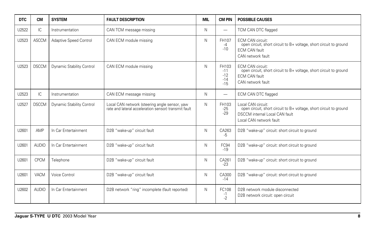| <b>DTC</b> | <b>CM</b>    | <b>SYSTEM</b>                 | <b>FAULT DESCRIPTION</b>                                                                              | <b>MIL</b> | <b>CM PIN</b>                             | <b>POSSIBLE CAUSES</b>                                                                                                                                       |
|------------|--------------|-------------------------------|-------------------------------------------------------------------------------------------------------|------------|-------------------------------------------|--------------------------------------------------------------------------------------------------------------------------------------------------------------|
| U2522      | IC           | Instrumentation               | CAN TCM message missing                                                                               | N          | —                                         | TCM CAN DTC flagged                                                                                                                                          |
| U2523      | <b>ASCCM</b> | <b>Adaptive Speed Control</b> | CAN ECM module missing                                                                                | N          | FH107<br>$-4$<br>$-10$                    | <b>ECM CAN circuit:</b><br>open circuit, short circuit to B+ voltage, short circuit to ground<br><b>ECM CAN fault</b><br>CAN network fault                   |
| U2523      | <b>DSCCM</b> | Dynamic Stability Control     | CAN ECM module missing                                                                                | N          | FH103<br>$-11$<br>$-12$<br>$-14$<br>$-15$ | <b>ECM CAN circuit:</b><br>open circuit, short circuit to B+ voltage, short circuit to ground<br><b>ECM CAN fault</b><br>CAN network fault                   |
| U2523      | IC.          | Instrumentation               | CAN ECM message missing                                                                               | N          |                                           | ECM CAN DTC flagged                                                                                                                                          |
| U2527      | <b>DSCCM</b> | Dynamic Stability Control     | Local CAN network (steering angle sensor, yaw<br>rate and lateral acceleration sensor) transmit fault | N          | FH103<br>$-25$<br>$-29$                   | Local CAN circuit:<br>open circuit, short circuit to B+ voltage, short circuit to ground<br><b>DSCCM</b> internal Local CAN fault<br>Local CAN network fault |
| U2601      | AMP          | In Car Entertainment          | D2B "wake-up" circuit fault                                                                           | N          | CA263<br>$-5$                             | D2B "wake-up" circuit: short circuit to ground                                                                                                               |
| U2601      | <b>AUDIO</b> | In Car Entertainment          | D2B "wake-up" circuit fault                                                                           | N          | FC94<br>$-19$                             | D2B "wake-up" circuit: short circuit to ground                                                                                                               |
| U2601      | <b>CPCM</b>  | Telephone                     | D2B "wake-up" circuit fault                                                                           | Ν          | CA261<br>$-23$                            | D2B "wake-up" circuit: short circuit to ground                                                                                                               |
| U2601      | VACM         | Voice Control                 | D2B "wake-up" circuit fault                                                                           | N          | CA300<br>$-14$                            | D2B "wake-up" circuit: short circuit to ground                                                                                                               |
| U2602      | <b>AUDIO</b> | In Car Entertainment          | D2B network "ring" incomplete (fault reported)                                                        | N          | FC108<br>$-1$<br>$-2$                     | D2B network module disconnected<br>D2B network circuit: open circuit                                                                                         |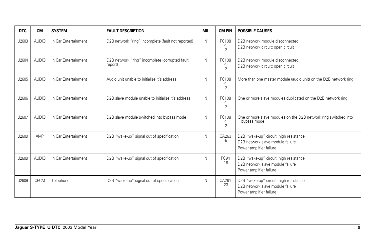| <b>DTC</b> | <b>CM</b>    | <b>SYSTEM</b>        | <b>FAULT DESCRIPTION</b>                                  | <b>MIL</b>   | <b>CM PIN</b>         | <b>POSSIBLE CAUSES</b>                                                                                |
|------------|--------------|----------------------|-----------------------------------------------------------|--------------|-----------------------|-------------------------------------------------------------------------------------------------------|
| U2603      | <b>AUDIO</b> | In Car Entertainment | D2B network "ring" incomplete (fault not reported)        | $\mathsf{N}$ | FC108<br>-1<br>$-2$   | D2B network module disconnected<br>D2B network circuit: open circuit                                  |
| U2604      | <b>AUDIO</b> | In Car Entertainment | D2B network "ring" incomplete (corrupted fault<br>report) | N            | FC108<br>$-1$<br>$-2$ | D2B network module disconnected<br>D2B network circuit: open circuit                                  |
| U2605      | <b>AUDIO</b> | In Car Entertainment | Audio unit unable to initialize it's address              | N            | FC108<br>$-1$<br>$-2$ | More than one master module (audio unit) on the D2B network ring                                      |
| U2606      | <b>AUDIO</b> | In Car Entertainment | D2B slave module unable to initialize it's address        | N            | FC108<br>$-1$<br>$-2$ | One or more slave modules duplicated on the D2B network ring                                          |
| U2607      | <b>AUDIO</b> | In Car Entertainment | D2B slave module switched into bypass mode                | N            | FC108<br>$-1$<br>$-2$ | One or more slave modules on the D2B network ring switched into<br>bypass mode                        |
| U2609      | AMP          | In Car Entertainment | D2B "wake-up" signal out of specification                 | N            | CA263<br>-5           | D2B "wake-up" circuit: high resistance<br>D2B network slave module failure<br>Power amplifier failure |
| U2609      | <b>AUDIO</b> | In Car Entertainment | D2B "wake-up" signal out of specification                 | N            | FC94<br>$-19$         | D2B "wake-up" circuit: high resistance<br>D2B network slave module failure<br>Power amplifier failure |
| U2609      | <b>CPCM</b>  | Telephone            | D2B "wake-up" signal out of specification                 | N            | CA261<br>$-23$        | D2B "wake-up" circuit: high resistance<br>D2B network slave module failure<br>Power amplifier failure |